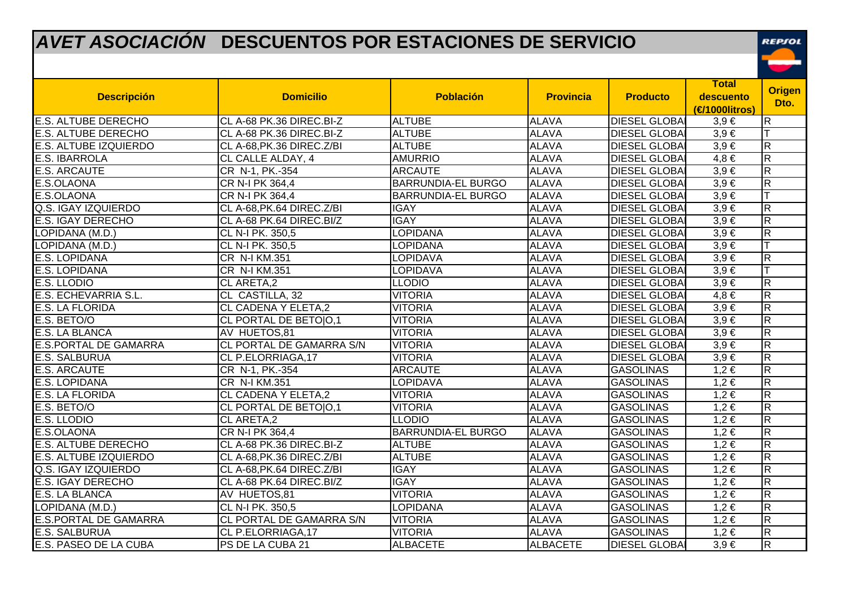## *AVET ASOCIACIÓN* **DESCUENTOS POR ESTACIONES DE SERVICIO**

REPSOL

| <b>Descripción</b>           | <b>Domicilio</b>           | <b>Población</b>          | <b>Provincia</b> | <b>Producto</b>      | <b>Total</b><br>descuento<br>(€1000litros) | <b>Origen</b><br>Dto.   |
|------------------------------|----------------------------|---------------------------|------------------|----------------------|--------------------------------------------|-------------------------|
| E.S. ALTUBE DERECHO          | CL A-68 PK.36 DIREC.BI-Z   | <b>ALTUBE</b>             | <b>ALAVA</b>     | <b>DIESEL GLOBAI</b> | $3,9 \in$                                  | lR.                     |
| <b>E.S. ALTUBE DERECHO</b>   | CL A-68 PK.36 DIREC.BI-Z   | <b>ALTUBE</b>             | <b>ALAVA</b>     | <b>DIESEL GLOBAI</b> | $3,9 \in$                                  |                         |
| <b>E.S. ALTUBE IZQUIERDO</b> | CL A-68, PK.36 DIREC. Z/BI | <b>ALTUBE</b>             | <b>ALAVA</b>     | <b>DIESEL GLOBAI</b> | $3,9 \in$                                  | $\overline{\mathsf{R}}$ |
| <b>E.S. IBARROLA</b>         | CL CALLE ALDAY, 4          | <b>AMURRIO</b>            | <b>ALAVA</b>     | <b>DIESEL GLOBAI</b> | $4,8 \in$                                  | $\overline{\pi}$        |
| <b>E.S. ARCAUTE</b>          | CR N-1, PK.-354            | <b>ARCAUTE</b>            | <b>ALAVA</b>     | <b>DIESEL GLOBAI</b> | $3,9 \in$                                  | $\mathsf R$             |
| E.S.OLAONA                   | CR N-I PK 364,4            | <b>BARRUNDIA-EL BURGO</b> | <b>ALAVA</b>     | <b>DIESEL GLOBAI</b> | $3,9 \in$                                  | $\overline{\mathbf{z}}$ |
| E.S.OLAONA                   | CR N-I PK 364,4            | <b>BARRUNDIA-EL BURGO</b> | <b>ALAVA</b>     | <b>DIESEL GLOBAI</b> | $3,9 \in$                                  |                         |
| Q.S. IGAY IZQUIERDO          | CL A-68, PK.64 DIREC. Z/BI | <b>IGAY</b>               | <b>ALAVA</b>     | <b>DIESEL GLOBAI</b> | $3,9 \in$                                  | $\mathsf R$             |
| E.S. IGAY DERECHO            | CL A-68 PK.64 DIREC.BI/Z   | <b>IGAY</b>               | <b>ALAVA</b>     | <b>DIESEL GLOBAI</b> | $3,9 \in$                                  | $\overline{\pi}$        |
| LOPIDANA (M.D.)              | CL N-I PK. 350,5           | <b>LOPIDANA</b>           | <b>ALAVA</b>     | <b>DIESEL GLOBAI</b> | $3,9 \in$                                  | $\overline{\mathsf{R}}$ |
| LOPIDANA (M.D.)              | CL N-I PK. 350,5           | LOPIDANA                  | <b>ALAVA</b>     | <b>DIESEL GLOBAI</b> | $3,9 \in$                                  |                         |
| E.S. LOPIDANA                | CR N-I KM.351              | LOPIDAVA                  | <b>ALAVA</b>     | <b>DIESEL GLOBAI</b> | $3,9 \in$                                  | $\overline{\mathsf{R}}$ |
| E.S. LOPIDANA                | CR N-I KM.351              | LOPIDAVA                  | <b>ALAVA</b>     | <b>DIESEL GLOBAI</b> | $3,9 \in$                                  |                         |
| E.S. LLODIO                  | CL ARETA,2                 | <b>LLODIO</b>             | <b>ALAVA</b>     | <b>DIESEL GLOBAI</b> | $3,9 \in$                                  | $\overline{\pi}$        |
| E.S. ECHEVARRIA S.L.         | CL CASTILLA, 32            | <b>VITORIA</b>            | <b>ALAVA</b>     | <b>DIESEL GLOBAI</b> | $4,8 \in$                                  | $\overline{\pi}$        |
| E.S. LA FLORIDA              | <b>CL CADENA Y ELETA,2</b> | <b>VITORIA</b>            | <b>ALAVA</b>     | <b>DIESEL GLOBAI</b> | $3,9 \in$                                  | $\overline{\mathbf{z}}$ |
| E.S. BETO/O                  | CL PORTAL DE BETO O,1      | <b>VITORIA</b>            | <b>ALAVA</b>     | <b>DIESEL GLOBAI</b> | $3,9 \in$                                  | $\overline{\mathsf{R}}$ |
| E.S. LA BLANCA               | AV HUETOS,81               | <b>VITORIA</b>            | <b>ALAVA</b>     | <b>DIESEL GLOBAI</b> | $3,9 \in$                                  | $\overline{R}$          |
| <b>E.S.PORTAL DE GAMARRA</b> | CL PORTAL DE GAMARRA S/N   | <b>VITORIA</b>            | <b>ALAVA</b>     | <b>DIESEL GLOBAI</b> | $3,9 \in$                                  | $\overline{\mathbf{z}}$ |
| E.S. SALBURUA                | CL P.ELORRIAGA, 17         | <b>VITORIA</b>            | <b>ALAVA</b>     | <b>DIESEL GLOBAI</b> | $3,9 \in$                                  | $\overline{\pi}$        |
| <b>E.S. ARCAUTE</b>          | CR N-1, PK.-354            | <b>ARCAUTE</b>            | <b>ALAVA</b>     | <b>GASOLINAS</b>     | $1,2 \in$                                  | $\overline{\mathbf{z}}$ |
| <b>E.S. LOPIDANA</b>         | CR N-I KM.351              | <b>LOPIDAVA</b>           | <b>ALAVA</b>     | <b>GASOLINAS</b>     | $1,2 \in$                                  | $\overline{\pi}$        |
| E.S. LA FLORIDA              | <b>CL CADENA Y ELETA,2</b> | <b>VITORIA</b>            | <b>ALAVA</b>     | <b>GASOLINAS</b>     | $1,2 \in$                                  | $\overline{\pi}$        |
| E.S. BETO/O                  | CL PORTAL DE BETOIO,1      | <b>VITORIA</b>            | <b>ALAVA</b>     | <b>GASOLINAS</b>     | $1,2 \in$                                  | $\overline{\mathbf{z}}$ |
| E.S. LLODIO                  | CL ARETA,2                 | <b>LLODIO</b>             | <b>ALAVA</b>     | <b>GASOLINAS</b>     | 1,2 €                                      | $\overline{R}$          |
| E.S.OLAONA                   | CR N-I PK 364,4            | <b>BARRUNDIA-EL BURGO</b> | <b>ALAVA</b>     | <b>GASOLINAS</b>     | $1,2 \in$                                  | $\overline{\mathsf{R}}$ |
| E.S. ALTUBE DERECHO          | CL A-68 PK.36 DIREC.BI-Z   | <b>ALTUBE</b>             | <b>ALAVA</b>     | <b>GASOLINAS</b>     | $1,2 \in$                                  | $\mathsf R$             |
| E.S. ALTUBE IZQUIERDO        | CL A-68, PK.36 DIREC. Z/BI | <b>ALTUBE</b>             | <b>ALAVA</b>     | <b>GASOLINAS</b>     | $1,2 \in$                                  | $\overline{R}$          |
| Q.S. IGAY IZQUIERDO          | CL A-68, PK.64 DIREC. Z/BI | <b>IGAY</b>               | <b>ALAVA</b>     | <b>GASOLINAS</b>     | $1,2 \in$                                  | $\overline{\mathsf{R}}$ |
| <b>E.S. IGAY DERECHO</b>     | CL A-68 PK.64 DIREC.BI/Z   | <b>IGAY</b>               | <b>ALAVA</b>     | <b>GASOLINAS</b>     | $1,2 \in$                                  | $\overline{\mathbf{R}}$ |
| E.S. LA BLANCA               | AV HUETOS,81               | <b>VITORIA</b>            | <b>ALAVA</b>     | <b>GASOLINAS</b>     | $1,2 \in$                                  | $\overline{\mathsf{R}}$ |
| LOPIDANA (M.D.)              | CL N-I PK. 350,5           | LOPIDANA                  | <b>ALAVA</b>     | <b>GASOLINAS</b>     | $1,2 \in$                                  | $\overline{\mathbf{z}}$ |
| E.S.PORTAL DE GAMARRA        | CL PORTAL DE GAMARRA S/N   | <b>VITORIA</b>            | <b>ALAVA</b>     | <b>GASOLINAS</b>     | 1,2€                                       | $\overline{\pi}$        |
| E.S. SALBURUA                | CL P.ELORRIAGA, 17         | <b>VITORIA</b>            | <b>ALAVA</b>     | <b>GASOLINAS</b>     | 1,2€                                       | $\overline{\mathsf{R}}$ |
| E.S. PASEO DE LA CUBA        | PS DE LA CUBA 21           | <b>ALBACETE</b>           | <b>ALBACETE</b>  | <b>DIESEL GLOBAI</b> | $3.9 \in$                                  | $\overline{\mathbf{z}}$ |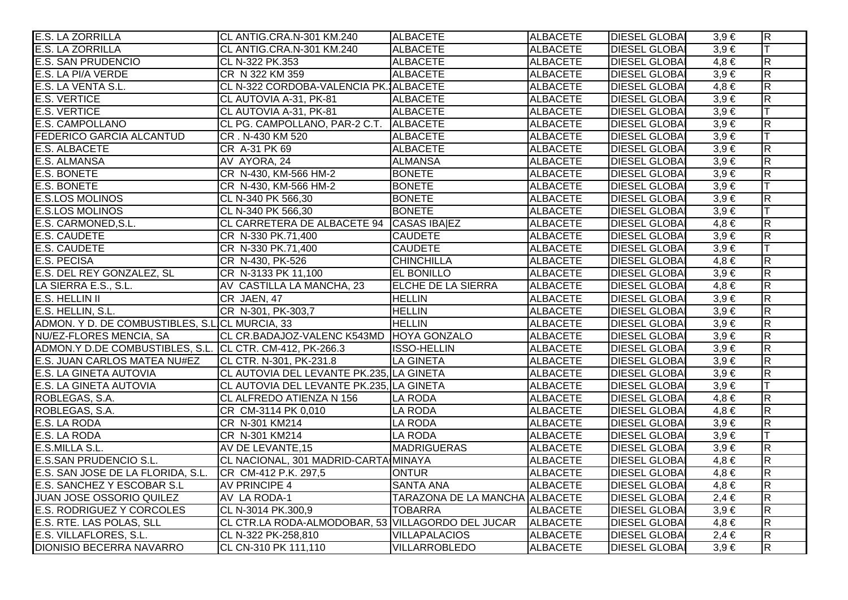| E.S. LA ZORRILLA                                         | CL ANTIG.CRA.N-301 KM.240                         | <b>ALBACETE</b>                       | <b>ALBACETE</b> | <b>DIESEL GLOBAL</b> | $3,9 \in$ | $\overline{R}$          |
|----------------------------------------------------------|---------------------------------------------------|---------------------------------------|-----------------|----------------------|-----------|-------------------------|
| <b>E.S. LA ZORRILLA</b>                                  | CL ANTIG.CRA.N-301 KM.240                         | <b>ALBACETE</b>                       | <b>ALBACETE</b> | <b>DIESEL GLOBA</b>  | $3,9 \in$ | lΤ                      |
| <b>E.S. SAN PRUDENCIO</b>                                | CL N-322 PK.353                                   | <b>ALBACETE</b>                       | <b>ALBACETE</b> | <b>DIESEL GLOBA</b>  | $4,8 \in$ | $\overline{\mathsf{R}}$ |
| E.S. LA PI/A VERDE                                       | CR N 322 KM 359                                   | <b>ALBACETE</b>                       | <b>ALBACETE</b> | <b>DIESEL GLOBA</b>  | $3,9 \in$ | $\overline{\mathbf{z}}$ |
| E.S. LA VENTA S.L.                                       | CL N-322 CORDOBA-VALENCIA PK. ALBACETE            |                                       | <b>ALBACETE</b> | <b>DIESEL GLOBA</b>  | $4,8 \in$ | $\overline{\mathbf{z}}$ |
| <b>E.S. VERTICE</b>                                      | CL AUTOVIA A-31, PK-81                            | <b>ALBACETE</b>                       | <b>ALBACETE</b> | <b>DIESEL GLOBA</b>  | $3,9 \in$ | $\overline{R}$          |
| <b>E.S. VERTICE</b>                                      | CL AUTOVIA A-31, PK-81                            | <b>ALBACETE</b>                       | <b>ALBACETE</b> | <b>DIESEL GLOBA</b>  | $3,9 \in$ | lΤ                      |
| <b>E.S. CAMPOLLANO</b>                                   | CL PG. CAMPOLLANO, PAR-2 C.T. ALBACETE            |                                       | <b>ALBACETE</b> | <b>DIESEL GLOBAL</b> | $3,9 \in$ | $\overline{R}$          |
| <b>FEDERICO GARCIA ALCANTUD</b>                          | CR. N-430 KM 520                                  | <b>ALBACETE</b>                       | <b>ALBACETE</b> | <b>DIESEL GLOBAI</b> | $3,9 \in$ | lΤ                      |
| E.S. ALBACETE                                            | CR A-31 PK 69                                     | <b>ALBACETE</b>                       | <b>ALBACETE</b> | <b>DIESEL GLOBA</b>  | $3,9 \in$ | $\overline{\mathsf{R}}$ |
| E.S. ALMANSA                                             | AV AYORA, 24                                      | <b>ALMANSA</b>                        | <b>ALBACETE</b> | <b>DIESEL GLOBA</b>  | $3,9 \in$ | $\overline{\mathbf{z}}$ |
| <b>E.S. BONETE</b>                                       | CR N-430, KM-566 HM-2                             | <b>BONETE</b>                         | <b>ALBACETE</b> | <b>DIESEL GLOBA</b>  | $3,9 \in$ | $\overline{R}$          |
| <b>E.S. BONETE</b>                                       | CR N-430, KM-566 HM-2                             | <b>BONETE</b>                         | <b>ALBACETE</b> | <b>DIESEL GLOBA</b>  | $3,9 \in$ |                         |
| <b>E.S.LOS MOLINOS</b>                                   | CL N-340 PK 566,30                                | <b>BONETE</b>                         | <b>ALBACETE</b> | <b>DIESEL GLOBA</b>  | $3,9 \in$ | $\overline{R}$          |
| <b>E.S.LOS MOLINOS</b>                                   | CL N-340 PK 566,30                                | <b>BONETE</b>                         | <b>ALBACETE</b> | <b>DIESEL GLOBA</b>  | $3,9 \in$ |                         |
| E.S. CARMONED, S.L.                                      | CL CARRETERA DE ALBACETE 94 CASAS IBAIEZ          |                                       | <b>ALBACETE</b> | <b>DIESEL GLOBA</b>  | $4,8 \in$ | $\overline{\mathbf{z}}$ |
| <b>E.S. CAUDETE</b>                                      | CR N-330 PK.71,400                                | <b>CAUDETE</b>                        | <b>ALBACETE</b> | <b>DIESEL GLOBAI</b> | $3,9 \in$ | $\overline{\mathsf{R}}$ |
| <b>E.S. CAUDETE</b>                                      | CR N-330 PK.71,400                                | <b>CAUDETE</b>                        | <b>ALBACETE</b> | <b>DIESEL GLOBA</b>  | $3,9 \in$ | lΤ                      |
| <b>E.S. PECISA</b>                                       | CR N-430, PK-526                                  | <b>CHINCHILLA</b>                     | <b>ALBACETE</b> | <b>DIESEL GLOBA</b>  | $4,8 \in$ | $\overline{\mathsf{R}}$ |
| E.S. DEL REY GONZALEZ, SL                                | CR N-3133 PK 11,100                               | <b>EL BONILLO</b>                     | <b>ALBACETE</b> | <b>DIESEL GLOBA</b>  | $3,9 \in$ | $\overline{R}$          |
| LA SIERRA E.S., S.L.                                     | AV CASTILLA LA MANCHA, 23                         | <b>ELCHE DE LA SIERRA</b>             | <b>ALBACETE</b> | <b>DIESEL GLOBA</b>  | $4,8 \in$ | $\overline{R}$          |
| <b>E.S. HELLIN II</b>                                    | CR JAEN, 47                                       | <b>HELLIN</b>                         | <b>ALBACETE</b> | <b>DIESEL GLOBA</b>  | $3,9 \in$ | $\overline{\mathbf{z}}$ |
| E.S. HELLIN, S.L.                                        | CR N-301, PK-303,7                                | <b>HELLIN</b>                         | <b>ALBACETE</b> | <b>DIESEL GLOBA</b>  | $3,9 \in$ | $\overline{R}$          |
| ADMON. Y D. DE COMBUSTIBLES, S.L.CL MURCIA, 33           |                                                   | <b>HELLIN</b>                         | <b>ALBACETE</b> | <b>DIESEL GLOBA</b>  | $3,9 \in$ | $\overline{\mathsf{R}}$ |
| <b>NU/EZ-FLORES MENCIA, SA</b>                           | CL CR.BADAJOZ-VALENC K543MD HOYA GONZALO          |                                       | <b>ALBACETE</b> | <b>DIESEL GLOBA</b>  | $3,9 \in$ | $\overline{\mathsf{R}}$ |
| ADMON.Y D.DE COMBUSTIBLES, S.L. CL CTR. CM-412, PK-266.3 |                                                   | <b>ISSO-HELLIN</b>                    | <b>ALBACETE</b> | <b>DIESEL GLOBAL</b> | $3,9 \in$ | $\overline{\mathsf{R}}$ |
| E.S. JUAN CARLOS MATEA NU#EZ                             | CL CTR. N-301, PK-231.8                           | <b>LA GINETA</b>                      | <b>ALBACETE</b> | <b>DIESEL GLOBAI</b> | $3,9 \in$ | $\overline{R}$          |
| E.S. LA GINETA AUTOVIA                                   | CL AUTOVIA DEL LEVANTE PK.235, LA GINETA          |                                       | <b>ALBACETE</b> | <b>DIESEL GLOBA</b>  | $3,9 \in$ | $\overline{\mathsf{R}}$ |
| E.S. LA GINETA AUTOVIA                                   | CL AUTOVIA DEL LEVANTE PK.235, LA GINETA          |                                       | <b>ALBACETE</b> | <b>DIESEL GLOBA</b>  | $3,9 \in$ |                         |
| ROBLEGAS, S.A.                                           | CL ALFREDO ATIENZA N 156                          | <b>LA RODA</b>                        | <b>ALBACETE</b> | <b>DIESEL GLOBA</b>  | $4,8 \in$ | $\overline{\mathbf{R}}$ |
| ROBLEGAS, S.A.                                           | CR CM-3114 PK 0,010                               | <b>LA RODA</b>                        | <b>ALBACETE</b> | <b>DIESEL GLOBAI</b> | $4,8 \in$ | $\overline{\mathbf{z}}$ |
| E.S. LA RODA                                             | CR N-301 KM214                                    | <b>LA RODA</b>                        | <b>ALBACETE</b> | <b>DIESEL GLOBAI</b> | $3,9 \in$ | $\overline{\mathsf{R}}$ |
| E.S. LA RODA                                             | CR N-301 KM214                                    | <b>LA RODA</b>                        | <b>ALBACETE</b> | <b>DIESEL GLOBAI</b> | $3,9 \in$ | T                       |
| E.S.MILLA S.L.                                           | AV DE LEVANTE, 15                                 | <b>MADRIGUERAS</b>                    | <b>ALBACETE</b> | <b>DIESEL GLOBA</b>  | $3,9 \in$ | $\overline{\mathsf{R}}$ |
| <b>E.S.SAN PRUDENCIO S.L.</b>                            | CL NACIONAL, 301 MADRID-CARTA MINAYA              |                                       | <b>ALBACETE</b> | <b>DIESEL GLOBA</b>  | $4,8 \in$ | $\overline{\mathsf{R}}$ |
| E.S. SAN JOSE DE LA FLORIDA, S.L.                        | CR CM-412 P.K. 297,5                              | <b>ONTUR</b>                          | <b>ALBACETE</b> | <b>DIESEL GLOBA</b>  | $4,8 \in$ | $\overline{\mathsf{R}}$ |
| E.S. SANCHEZ Y ESCOBAR S.L                               | <b>AV PRINCIPE 4</b>                              | <b>SANTA ANA</b>                      | <b>ALBACETE</b> | <b>DIESEL GLOBA</b>  | $4,8 \in$ | $\overline{\mathsf{R}}$ |
| <b>JUAN JOSE OSSORIO QUILEZ</b>                          | AV LA RODA-1                                      | <b>TARAZONA DE LA MANCHA ALBACETE</b> |                 | <b>DIESEL GLOBA</b>  | $2,4 \in$ | $\overline{\mathsf{R}}$ |
| <b>E.S. RODRIGUEZ Y CORCOLES</b>                         | CL N-3014 PK.300,9                                | <b>TOBARRA</b>                        | <b>ALBACETE</b> | <b>DIESEL GLOBA</b>  | $3,9 \in$ | $\overline{\mathsf{R}}$ |
| E.S. RTE. LAS POLAS, SLL                                 | CL CTR.LA RODA-ALMODOBAR, 53 VILLAGORDO DEL JUCAR |                                       | <b>ALBACETE</b> | <b>DIESEL GLOBAI</b> | $4,8 \in$ | $\overline{\mathsf{R}}$ |
| E.S. VILLAFLORES, S.L.                                   | CL N-322 PK-258,810                               | <b>VILLAPALACIOS</b>                  | <b>ALBACETE</b> | <b>DIESEL GLOBAI</b> | $2,4 \in$ | $\overline{\mathsf{R}}$ |
| DIONISIO BECERRA NAVARRO                                 | CL CN-310 PK 111,110                              | <b>VILLARROBLEDO</b>                  | <b>ALBACETE</b> | <b>DIESEL GLOBAI</b> | $3,9 \in$ | $\overline{\mathbf{z}}$ |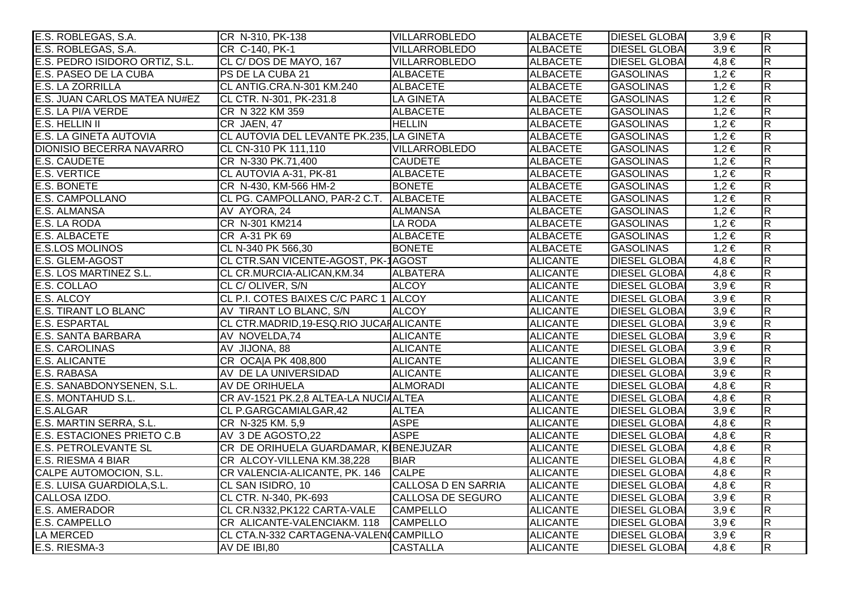| E.S. ROBLEGAS, S.A.               | CR N-310, PK-138                         | <b>VILLARROBLEDO</b>       | <b>ALBACETE</b> | <b>DIESEL GLOBAI</b> | $3,9 \in$ | $\overline{R}$          |
|-----------------------------------|------------------------------------------|----------------------------|-----------------|----------------------|-----------|-------------------------|
| E.S. ROBLEGAS, S.A.               | CR C-140, PK-1                           | <b>VILLARROBLEDO</b>       | <b>ALBACETE</b> | <b>DIESEL GLOBA</b>  | $3,9 \in$ | $\overline{\mathsf{R}}$ |
| E.S. PEDRO ISIDORO ORTIZ, S.L.    | CL C/DOS DE MAYO, 167                    | <b>VILLARROBLEDO</b>       | ALBACETE        | <b>DIESEL GLOBA</b>  | $4,8 \in$ | $\overline{R}$          |
| E.S. PASEO DE LA CUBA             | PS DE LA CUBA 21                         | <b>ALBACETE</b>            | <b>ALBACETE</b> | GASOLINAS            | $1,2 \in$ | $\overline{\mathsf{R}}$ |
| <b>E.S. LA ZORRILLA</b>           | CL ANTIG.CRA.N-301 KM.240                | <b>ALBACETE</b>            | <b>ALBACETE</b> | GASOLINAS            | $1,2 \in$ | $\overline{\mathsf{R}}$ |
| E.S. JUAN CARLOS MATEA NU#EZ      | CL CTR. N-301, PK-231.8                  | LA GINETA                  | <b>ALBACETE</b> | GASOLINAS            | $1,2 \in$ | $\overline{\mathsf{R}}$ |
| E.S. LA PI/A VERDE                | CR N 322 KM 359                          | <b>ALBACETE</b>            | <b>ALBACETE</b> | <b>GASOLINAS</b>     | $1,2 \in$ | $\overline{\mathsf{R}}$ |
| E.S. HELLIN II                    | CR JAEN, 47                              | <b>HELLIN</b>              | <b>ALBACETE</b> | <b>GASOLINAS</b>     | $1,2 \in$ | $\overline{R}$          |
| <b>E.S. LA GINETA AUTOVIA</b>     | CL AUTOVIA DEL LEVANTE PK.235, LA GINETA |                            | <b>ALBACETE</b> | <b>GASOLINAS</b>     | $1,2 \in$ | $\overline{\mathsf{R}}$ |
| <b>DIONISIO BECERRA NAVARRO</b>   | CL CN-310 PK 111,110                     | <b>VILLARROBLEDO</b>       | <b>ALBACETE</b> | GASOLINAS            | $1,2 \in$ | $\overline{R}$          |
| <b>E.S. CAUDETE</b>               | CR N-330 PK.71,400                       | <b>CAUDETE</b>             | <b>ALBACETE</b> | <b>GASOLINAS</b>     | $1,2 \in$ | $\overline{\mathsf{R}}$ |
| <b>E.S. VERTICE</b>               | CL AUTOVIA A-31, PK-81                   | <b>ALBACETE</b>            | <b>ALBACETE</b> | <b>GASOLINAS</b>     | $1,2 \in$ | $\overline{R}$          |
| <b>E.S. BONETE</b>                | CR N-430, KM-566 HM-2                    | <b>BONETE</b>              | <b>ALBACETE</b> | <b>GASOLINAS</b>     | $1,2 \in$ | $\overline{\mathsf{R}}$ |
| <b>E.S. CAMPOLLANO</b>            | CL PG. CAMPOLLANO, PAR-2 C.T. ALBACETE   |                            | <b>ALBACETE</b> | GASOLINAS            | $1,2 \in$ | $\overline{\mathsf{R}}$ |
| E.S. ALMANSA                      | AV AYORA, 24                             | <b>ALMANSA</b>             | <b>ALBACETE</b> | <b>GASOLINAS</b>     | $1,2 \in$ | $\overline{R}$          |
| E.S. LA RODA                      | CR N-301 KM214                           | <b>LA RODA</b>             | <b>ALBACETE</b> | <b>GASOLINAS</b>     | $1,2 \in$ | $\overline{R}$          |
| <b>E.S. ALBACETE</b>              | CR A-31 PK 69                            | <b>ALBACETE</b>            | <b>ALBACETE</b> | <b>GASOLINAS</b>     | $1,2 \in$ | $\overline{\mathsf{R}}$ |
| <b>E.S.LOS MOLINOS</b>            | CL N-340 PK 566,30                       | <b>BONETE</b>              | <b>ALBACETE</b> | <b>GASOLINAS</b>     | $1,2 \in$ | $\overline{\mathsf{R}}$ |
| E.S. GLEM-AGOST                   | CL CTR.SAN VICENTE-AGOST, PK-1AGOST      |                            | <b>ALICANTE</b> | <b>DIESEL GLOBAI</b> | $4,8 \in$ | $\overline{R}$          |
| E.S. LOS MARTINEZ S.L.            | CL CR.MURCIA-ALICAN, KM.34               | <b>ALBATERA</b>            | <b>ALICANTE</b> | <b>DIESEL GLOBA</b>  | $4,8 \in$ | $\overline{\mathsf{R}}$ |
| E.S. COLLAO                       | CL C/OLIVER, S/N                         | <b>ALCOY</b>               | <b>ALICANTE</b> | <b>DIESEL GLOBAI</b> | $3,9 \in$ | $\overline{R}$          |
| E.S. ALCOY                        | CL P.I. COTES BAIXES C/C PARC 1 ALCOY    |                            | <b>ALICANTE</b> | <b>DIESEL GLOBA</b>  | $3,9 \in$ | $\overline{\mathsf{R}}$ |
| <b>E.S. TIRANT LO BLANC</b>       | AV TIRANT LO BLANC, S/N                  | <b>ALCOY</b>               | <b>ALICANTE</b> | <b>DIESEL GLOBAI</b> | $3,9 \in$ | $\overline{R}$          |
| <b>E.S. ESPARTAL</b>              | CL CTR.MADRID, 19-ESQ.RIO JUCAHALICANTE  |                            | <b>ALICANTE</b> | <b>DIESEL GLOBA</b>  | $3,9 \in$ | $\overline{R}$          |
| <b>E.S. SANTA BARBARA</b>         | AV NOVELDA, 74                           | <b>ALICANTE</b>            | <b>ALICANTE</b> | <b>DIESEL GLOBAI</b> | $3,9 \in$ | $\overline{\mathsf{R}}$ |
| <b>E.S. CAROLINAS</b>             | AV JIJONA, 88                            | <b>ALICANTE</b>            | <b>ALICANTE</b> | <b>DIESEL GLOBAI</b> | $3,9 \in$ | $\overline{\mathsf{R}}$ |
| <b>E.S. ALICANTE</b>              | CR OCA A PK 408,800                      | <b>ALICANTE</b>            | <b>ALICANTE</b> | <b>DIESEL GLOBAI</b> | $3,9 \in$ | $\overline{\mathsf{R}}$ |
| E.S. RABASA                       | AV DE LA UNIVERSIDAD                     | <b>ALICANTE</b>            | <b>ALICANTE</b> | <b>DIESEL GLOBA</b>  | $3,9 \in$ | $\overline{R}$          |
| E.S. SANABDONYSENEN, S.L.         | AV DE ORIHUELA                           | <b>ALMORADI</b>            | <b>ALICANTE</b> | <b>DIESEL GLOBA</b>  | $4,8 \in$ | $\overline{\mathsf{R}}$ |
| E.S. MONTAHUD S.L.                | CR AV-1521 PK.2,8 ALTEA-LA NUCIAALTEA    |                            | <b>ALICANTE</b> | <b>DIESEL GLOBAI</b> | $4,8 \in$ | $\overline{R}$          |
| E.S.ALGAR                         | CL P.GARGCAMIALGAR,42                    | <b>ALTEA</b>               | <b>ALICANTE</b> | <b>DIESEL GLOBA</b>  | $3,9 \in$ | $\overline{\mathsf{R}}$ |
| E.S. MARTIN SERRA, S.L.           | CR N-325 KM. 5,9                         | <b>ASPE</b>                | <b>ALICANTE</b> | <b>DIESEL GLOBA</b>  | $4,8 \in$ | $\overline{\mathsf{R}}$ |
| <b>E.S. ESTACIONES PRIETO C.B</b> | AV 3 DE AGOSTO,22                        | <b>ASPE</b>                | <b>ALICANTE</b> | <b>DIESEL GLOBA</b>  | $4,8 \in$ | $\overline{\mathsf{R}}$ |
| <b>E.S. PETROLEVANTE SL</b>       | CR DE ORIHUELA GUARDAMAR, KIBENEJUZAR    |                            | <b>ALICANTE</b> | <b>DIESEL GLOBAI</b> | $4,8 \in$ | $\overline{\mathsf{R}}$ |
| E.S. RIESMA 4 BIAR                | CR ALCOY-VILLENA KM.38,228               | <b>IBIAR</b>               | <b>ALICANTE</b> | <b>DIESEL GLOBA</b>  | $4,8 \in$ | $\overline{\mathsf{R}}$ |
| CALPE AUTOMOCION, S.L.            | CR VALENCIA-ALICANTE, PK. 146 CALPE      |                            | <b>ALICANTE</b> | <b>DIESEL GLOBAI</b> | $4,8 \in$ | $\overline{\mathsf{R}}$ |
| E.S. LUISA GUARDIOLA, S.L.        | CL SAN ISIDRO, 10                        | <b>CALLOSA D EN SARRIA</b> | <b>ALICANTE</b> | <b>DIESEL GLOBA</b>  | $4,8 \in$ | $\overline{\mathsf{R}}$ |
| CALLOSA IZDO.                     | CL CTR. N-340, PK-693                    | <b>CALLOSA DE SEGURO</b>   | <b>ALICANTE</b> | <b>DIESEL GLOBA</b>  | $3,9 \in$ | $\overline{\mathsf{R}}$ |
| <b>E.S. AMERADOR</b>              | CL CR.N332, PK122 CARTA-VALE             | <b>CAMPELLO</b>            | <b>ALICANTE</b> | <b>DIESEL GLOBAI</b> | $3.9 \in$ | $\overline{\mathsf{R}}$ |
| E.S. CAMPELLO                     | CR ALICANTE-VALENCIAKM. 118              | <b>CAMPELLO</b>            | <b>ALICANTE</b> | <b>DIESEL GLOBAI</b> | $3,9 \in$ | $\overline{\mathsf{R}}$ |
| <b>LA MERCED</b>                  | CL CTA.N-332 CARTAGENA-VALEN(CAMPILLO    |                            | <b>ALICANTE</b> | <b>DIESEL GLOBA</b>  | $3,9 \in$ | $\overline{R}$          |
| E.S. RIESMA-3                     | $\overline{AV}$ DE IBI,80                | <b>CASTALLA</b>            | <b>ALICANTE</b> | <b>DIESEL GLOBAI</b> | $4,8 \in$ | $\overline{\mathsf{R}}$ |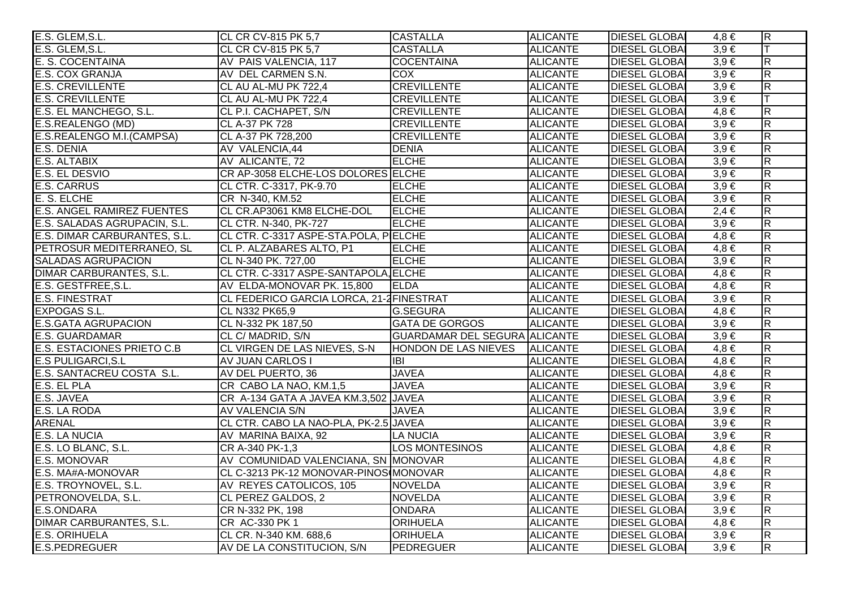| E.S. GLEM, S.L.                   | CL CR CV-815 PK 5,7                      | <b>CASTALLA</b>                      | <b>ALICANTE</b> | <b>DIESEL GLOBAL</b> | $4,8 \in$ | $\overline{R}$          |
|-----------------------------------|------------------------------------------|--------------------------------------|-----------------|----------------------|-----------|-------------------------|
| E.S. GLEM, S.L.                   | CL CR CV-815 PK 5,7                      | <b>CASTALLA</b>                      | <b>ALICANTE</b> | <b>DIESEL GLOBA</b>  | $3,9 \in$ | $\top$                  |
| E. S. COCENTAINA                  | AV PAIS VALENCIA, 117                    | <b>COCENTAINA</b>                    | <b>ALICANTE</b> | <b>DIESEL GLOBA</b>  | $3,9 \in$ | $\overline{\mathsf{R}}$ |
| <b>E.S. COX GRANJA</b>            | AV DEL CARMEN S.N.                       | <b>COX</b>                           | <b>ALICANTE</b> | <b>DIESEL GLOBA</b>  | $3,9 \in$ | $\mathsf R$             |
| <b>E.S. CREVILLENTE</b>           | CL AU AL-MU PK 722,4                     | <b>CREVILLENTE</b>                   | <b>ALICANTE</b> | <b>DIESEL GLOBAI</b> | $3,9 \in$ | $\overline{R}$          |
| <b>E.S. CREVILLENTE</b>           | CL AU AL-MU PK 722,4                     | <b>CREVILLENTE</b>                   | <b>ALICANTE</b> | <b>DIESEL GLOBAI</b> | $3,9 \in$ | $\overline{\mathsf{T}}$ |
| E.S. EL MANCHEGO, S.L.            | CL P.I. CACHAPET, S/N                    | <b>CREVILLENTE</b>                   | <b>ALICANTE</b> | <b>DIESEL GLOBA</b>  | $4,8 \in$ | R.                      |
| E.S.REALENGO (MD)                 | <b>CL A-37 PK 728</b>                    | <b>CREVILLENTE</b>                   | <b>ALICANTE</b> | <b>DIESEL GLOBAI</b> | $3,9 \in$ | $\overline{\mathsf{R}}$ |
| E.S.REALENGO M.I.(CAMPSA)         | CL A-37 PK 728,200                       | <b>CREVILLENTE</b>                   | <b>ALICANTE</b> | <b>DIESEL GLOBA</b>  | $3,9 \in$ | $\overline{\mathsf{R}}$ |
| E.S. DENIA                        | AV VALENCIA,44                           | <b>DENIA</b>                         | <b>ALICANTE</b> | <b>DIESEL GLOBAI</b> | $3,9 \in$ | $\overline{\mathsf{R}}$ |
| E.S. ALTABIX                      | AV ALICANTE, 72                          | <b>ELCHE</b>                         | <b>ALICANTE</b> | <b>DIESEL GLOBAI</b> | $3,9 \in$ | $\overline{R}$          |
| E.S. EL DESVIO                    | CR AP-3058 ELCHE-LOS DOLORES ELCHE       |                                      | <b>ALICANTE</b> | <b>DIESEL GLOBAI</b> | $3,9 \in$ | $\overline{\mathsf{R}}$ |
| <b>E.S. CARRUS</b>                | CL CTR. C-3317, PK-9.70                  | <b>ELCHE</b>                         | <b>ALICANTE</b> | <b>DIESEL GLOBA</b>  | $3,9 \in$ | R                       |
| E. S. ELCHE                       | CR N-340, KM.52                          | <b>ELCHE</b>                         | <b>ALICANTE</b> | <b>DIESEL GLOBAI</b> | $3,9 \in$ | $\overline{R}$          |
| <b>E.S. ANGEL RAMIREZ FUENTES</b> | CL CR.AP3061 KM8 ELCHE-DOL               | <b>ELCHE</b>                         | <b>ALICANTE</b> | <b>DIESEL GLOBAI</b> | $2,4 \in$ | $\overline{\mathsf{R}}$ |
| E.S. SALADAS AGRUPACIN, S.L.      | CL CTR. N-340, PK-727                    | <b>ELCHE</b>                         | <b>ALICANTE</b> | <b>DIESEL GLOBAI</b> | $3,9 \in$ | R                       |
| E.S. DIMAR CARBURANTES, S.L.      | CL CTR. C-3317 ASPE-STA.POLA, PIELCHE    |                                      | <b>ALICANTE</b> | <b>DIESEL GLOBA</b>  | $4,8 \in$ | $\overline{\mathsf{R}}$ |
| PETROSUR MEDITERRANEO, SL         | CL P. ALZABARES ALTO, P1                 | <b>ELCHE</b>                         | <b>ALICANTE</b> | <b>DIESEL GLOBA</b>  | $4,8 \in$ | R                       |
| <b>SALADAS AGRUPACION</b>         | CL N-340 PK. 727,00                      | <b>ELCHE</b>                         | <b>ALICANTE</b> | <b>DIESEL GLOBA</b>  | $3,9 \in$ | $\overline{\mathsf{R}}$ |
| <b>DIMAR CARBURANTES, S.L.</b>    | CL CTR. C-3317 ASPE-SANTAPOLA, ELCHE     |                                      | <b>ALICANTE</b> | <b>DIESEL GLOBAI</b> | $4,8 \in$ | $\overline{R}$          |
| E.S. GESTFREE, S.L.               | AV ELDA-MONOVAR PK. 15,800               | <b>ELDA</b>                          | <b>ALICANTE</b> | <b>DIESEL GLOBAI</b> | $4,8 \in$ | $\overline{\mathsf{R}}$ |
| <b>E.S. FINESTRAT</b>             | CL FEDERICO GARCIA LORCA, 21-2 FINESTRAT |                                      | <b>ALICANTE</b> | <b>DIESEL GLOBA</b>  | $3,9 \in$ | $\mathsf R$             |
| <b>EXPOGAS S.L.</b>               | CL N332 PK65,9                           | G.SEGURA                             | <b>ALICANTE</b> | <b>DIESEL GLOBAL</b> | $4,8 \in$ | $\overline{\mathsf{R}}$ |
| <b>E.S.GATA AGRUPACION</b>        | CL N-332 PK 187,50                       | <b>GATA DE GORGOS</b>                | <b>ALICANTE</b> | <b>DIESEL GLOBAI</b> | $3,9 \in$ | $\overline{\mathsf{R}}$ |
| <b>E.S. GUARDAMAR</b>             | CL C/ MADRID, S/N                        | <b>GUARDAMAR DEL SEGURA ALICANTE</b> |                 | <b>DIESEL GLOBA</b>  | $3,9 \in$ | $\overline{\mathsf{R}}$ |
| <b>E.S. ESTACIONES PRIETO C.B</b> | CL VIRGEN DE LAS NIEVES, S-N             | HONDON DE LAS NIEVES                 | <b>ALICANTE</b> | <b>DIESEL GLOBA</b>  | $4,8 \in$ | $\overline{\mathsf{R}}$ |
| <b>E.S PULIGARCI, S.L</b>         | AV JUAN CARLOS I                         | <b>IBI</b>                           | <b>ALICANTE</b> | <b>DIESEL GLOBA</b>  | $4,8 \in$ | $\overline{\mathsf{R}}$ |
| E.S. SANTACREU COSTA S.L.         | AV DEL PUERTO, 36                        | <b>JAVEA</b>                         | <b>ALICANTE</b> | <b>DIESEL GLOBA</b>  | $4,8 \in$ | $\overline{\mathsf{R}}$ |
| E.S. EL PLA                       | CR CABO LA NAO, KM.1,5                   | <b>JAVEA</b>                         | <b>ALICANTE</b> | <b>DIESEL GLOBAI</b> | $3,9 \in$ | $\overline{R}$          |
| E.S. JAVEA                        | CR A-134 GATA A JAVEA KM.3,502 JAVEA     |                                      | <b>ALICANTE</b> | <b>DIESEL GLOBAI</b> | $3,9 \in$ | $\overline{\mathsf{R}}$ |
| E.S. LA RODA                      | AV VALENCIA S/N                          | <b>JAVEA</b>                         | <b>ALICANTE</b> | <b>DIESEL GLOBAI</b> | $3,9 \in$ | $\overline{R}$          |
| <b>ARENAL</b>                     | CL CTR. CABO LA NAO-PLA, PK-2.5 JAVEA    |                                      | <b>ALICANTE</b> | <b>DIESEL GLOBAI</b> | $3,9 \in$ | $\overline{\mathsf{R}}$ |
| <b>E.S. LA NUCIA</b>              | AV MARINA BAIXA, 92                      | <b>LA NUCIA</b>                      | <b>ALICANTE</b> | <b>DIESEL GLOBAI</b> | $3,9 \in$ | $\overline{\mathsf{R}}$ |
| E.S. LO BLANC, S.L.               | CR A-340 PK-1,3                          | <b>LOS MONTESINOS</b>                | <b>ALICANTE</b> | <b>DIESEL GLOBA</b>  | $4,8 \in$ | $\overline{\mathsf{R}}$ |
| <b>E.S. MONOVAR</b>               | AV COMUNIDAD VALENCIANA, SN MONOVAR      |                                      | <b>ALICANTE</b> | <b>DIESEL GLOBAI</b> | $4,8 \in$ | $\overline{\mathsf{R}}$ |
| E.S. MA#A-MONOVAR                 | CL C-3213 PK-12 MONOVAR-PINOS MONOVAR    |                                      | <b>ALICANTE</b> | <b>DIESEL GLOBAI</b> | $4,8 \in$ | $\overline{\mathsf{R}}$ |
| E.S. TROYNOVEL, S.L.              | AV REYES CATOLICOS, 105                  | <b>NOVELDA</b>                       | <b>ALICANTE</b> | <b>DIESEL GLOBAI</b> | $3.9 \in$ | $\overline{\mathsf{R}}$ |
| PETRONOVELDA, S.L.                | CL PEREZ GALDOS, 2                       | <b>NOVELDA</b>                       | <b>ALICANTE</b> | <b>DIESEL GLOBAI</b> | $3,9 \in$ | $\overline{R}$          |
| E.S.ONDARA                        | CR N-332 PK, 198                         | <b>ONDARA</b>                        | <b>ALICANTE</b> | <b>DIESEL GLOBAI</b> | $3,9 \in$ | $\overline{\mathsf{R}}$ |
| <b>DIMAR CARBURANTES, S.L.</b>    | CR AC-330 PK 1                           | <b>ORIHUELA</b>                      | <b>ALICANTE</b> | <b>DIESEL GLOBAI</b> | $4,8 \in$ | $\overline{R}$          |
| <b>E.S. ORIHUELA</b>              | CL CR. N-340 KM. 688,6                   | <b>ORIHUELA</b>                      | <b>ALICANTE</b> | <b>DIESEL GLOBA</b>  | $3,9 \in$ | $\overline{R}$          |
| E.S.PEDREGUER                     | AV DE LA CONSTITUCION, S/N               | PEDREGUER                            | <b>ALICANTE</b> | <b>DIESEL GLOBA</b>  | $3,9 \in$ | $\overline{R}$          |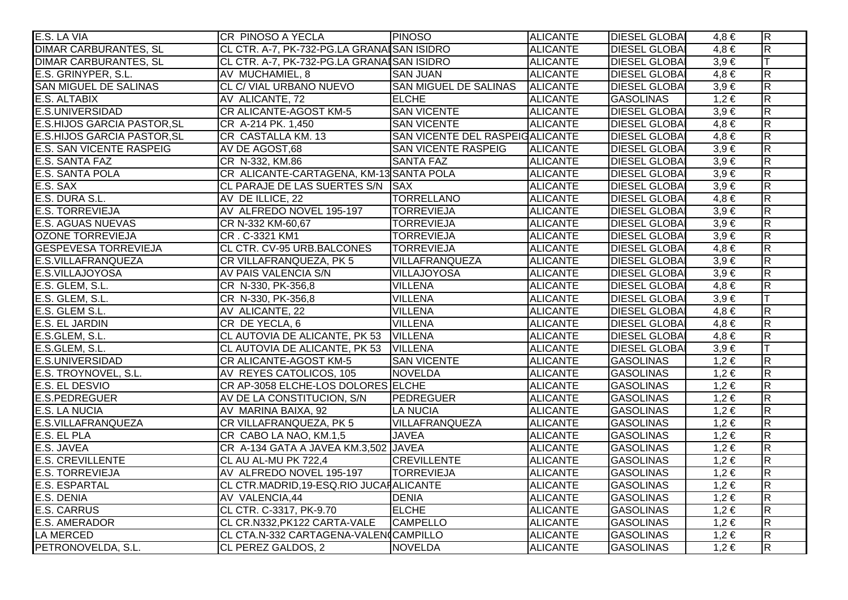| E.S. LA VIA                        | <b>CR PINOSO A YECLA</b>                   | <b>PINOSO</b>                   | <b>ALICANTE</b> | <b>DIESEL GLOBAL</b> | $4,8 \in$ | $\overline{\mathsf{R}}$ |
|------------------------------------|--------------------------------------------|---------------------------------|-----------------|----------------------|-----------|-------------------------|
| <b>DIMAR CARBURANTES, SL</b>       | CL CTR. A-7, PK-732-PG.LA GRANAISAN ISIDRO |                                 | <b>ALICANTE</b> | <b>DIESEL GLOBAI</b> | $4,8 \in$ | $\overline{\mathsf{R}}$ |
| <b>DIMAR CARBURANTES, SL</b>       | CL CTR. A-7, PK-732-PG.LA GRANAISAN ISIDRO |                                 | <b>ALICANTE</b> | <b>DIESEL GLOBA</b>  | $3,9 \in$ | lΤ                      |
| E.S. GRINYPER, S.L.                | AV MUCHAMIEL, 8                            | <b>SAN JUAN</b>                 | <b>ALICANTE</b> | <b>DIESEL GLOBAI</b> | $4,8 \in$ | $\overline{\mathsf{R}}$ |
| <b>SAN MIGUEL DE SALINAS</b>       | CL C/ VIAL URBANO NUEVO                    | <b>SAN MIGUEL DE SALINAS</b>    | <b>ALICANTE</b> | <b>DIESEL GLOBAI</b> | $3,9 \in$ | $\overline{\mathsf{R}}$ |
| E.S. ALTABIX                       | AV ALICANTE, 72                            | <b>ELCHE</b>                    | <b>ALICANTE</b> | <b>GASOLINAS</b>     | $1,2 \in$ | $\overline{R}$          |
| E.S.UNIVERSIDAD                    | <b>CR ALICANTE-AGOST KM-5</b>              | <b>SAN VICENTE</b>              | <b>ALICANTE</b> | <b>DIESEL GLOBAI</b> | $3,9 \in$ | $\overline{\mathsf{R}}$ |
| <b>E.S.HIJOS GARCIA PASTOR, SL</b> | CR A-214 PK. 1,450                         | <b>SAN VICENTE</b>              | <b>ALICANTE</b> | <b>DIESEL GLOBAI</b> | $4,8 \in$ | $\overline{\mathsf{R}}$ |
| <b>E.S.HIJOS GARCIA PASTOR, SL</b> | CR CASTALLA KM. 13                         | SAN VICENTE DEL RASPEIGALICANTE |                 | <b>DIESEL GLOBAI</b> | $4,8 \in$ | $\overline{\mathsf{R}}$ |
| <b>E.S. SAN VICENTE RASPEIG</b>    | AV DE AGOST,68                             | <b>SAN VICENTE RASPEIG</b>      | <b>ALICANTE</b> | <b>DIESEL GLOBAI</b> | $3,9 \in$ | $\overline{R}$          |
| E.S. SANTA FAZ                     | CR N-332, KM.86                            | <b>SANTA FAZ</b>                | <b>ALICANTE</b> | <b>DIESEL GLOBAI</b> | $3,9 \in$ | $\overline{\mathsf{R}}$ |
| <b>E.S. SANTA POLA</b>             | CR ALICANTE-CARTAGENA, KM-13 SANTA POLA    |                                 | <b>ALICANTE</b> | <b>DIESEL GLOBA</b>  | $3,9 \in$ | $\overline{\mathsf{R}}$ |
| E.S. SAX                           | CL PARAJE DE LAS SUERTES S/N SAX           |                                 | <b>ALICANTE</b> | <b>DIESEL GLOBAI</b> | $3,9 \in$ | $\overline{\mathsf{R}}$ |
| E.S. DURA S.L.                     | AV DE ILLICE, 22                           | <b>TORRELLANO</b>               | <b>ALICANTE</b> | <b>DIESEL GLOBA</b>  | $4,8 \in$ | $\overline{\mathsf{R}}$ |
| <b>E.S. TORREVIEJA</b>             | AV ALFREDO NOVEL 195-197                   | <b>TORREVIEJA</b>               | <b>ALICANTE</b> | <b>DIESEL GLOBAI</b> | $3,9 \in$ | $\overline{R}$          |
| <b>E.S. AGUAS NUEVAS</b>           | CR N-332 KM-60,67                          | <b>TORREVIEJA</b>               | <b>ALICANTE</b> | <b>DIESEL GLOBAI</b> | $3,9 \in$ | $\overline{\mathsf{R}}$ |
| <b>OZONE TORREVIEJA</b>            | CR. C-3321 KM1                             | <b>TORREVIEJA</b>               | <b>ALICANTE</b> | <b>DIESEL GLOBAI</b> | $3,9 \in$ | $\overline{R}$          |
| <b>GESPEVESA TORREVIEJA</b>        | CL CTR. CV-95 URB.BALCONES                 | <b>TORREVIEJA</b>               | <b>ALICANTE</b> | <b>DIESEL GLOBAI</b> | $4,8 \in$ | $\overline{R}$          |
| E.S.VILLAFRANQUEZA                 | CR VILLAFRANQUEZA, PK 5                    | VILLAFRANQUEZA                  | <b>ALICANTE</b> | <b>DIESEL GLOBAI</b> | $3,9 \in$ | $\overline{\mathsf{R}}$ |
| E.S.VILLAJOYOSA                    | AV PAIS VALENCIA S/N                       | <b>VILLAJOYOSA</b>              | <b>ALICANTE</b> | <b>DIESEL GLOBAI</b> | $3,9 \in$ | $\overline{R}$          |
| E.S. GLEM, S.L.                    | CR N-330, PK-356,8                         | <b>VILLENA</b>                  | <b>ALICANTE</b> | <b>DIESEL GLOBAI</b> | $4,8 \in$ | $\overline{\mathsf{R}}$ |
| E.S. GLEM, S.L.                    | CR N-330, PK-356,8                         | <b>VILLENA</b>                  | <b>ALICANTE</b> | <b>DIESEL GLOBA</b>  | $3,9 \in$ | lΤ                      |
| E.S. GLEM S.L.                     | AV ALICANTE, 22                            | <b>VILLENA</b>                  | <b>ALICANTE</b> | <b>DIESEL GLOBAI</b> | $4,8 \in$ | $\overline{\mathsf{R}}$ |
| E.S. EL JARDIN                     | CR DE YECLA, 6                             | <b>VILLENA</b>                  | <b>ALICANTE</b> | <b>DIESEL GLOBAI</b> | $4,8 \in$ | $\overline{\mathsf{R}}$ |
| E.S.GLEM, S.L.                     | CL AUTOVIA DE ALICANTE, PK 53 VILLENA      |                                 | <b>ALICANTE</b> | <b>DIESEL GLOBAI</b> | $4,8 \in$ | $\overline{\mathsf{R}}$ |
| E.S.GLEM, S.L.                     | CL AUTOVIA DE ALICANTE, PK 53 VILLENA      |                                 | <b>ALICANTE</b> | <b>DIESEL GLOBAI</b> | $3,9 \in$ | lT.                     |
| <b>E.S.UNIVERSIDAD</b>             | CR ALICANTE-AGOST KM-5                     | <b>SAN VICENTE</b>              | <b>ALICANTE</b> | <b>GASOLINAS</b>     | $1,2 \in$ | $\overline{R}$          |
| E.S. TROYNOVEL, S.L.               | AV REYES CATOLICOS, 105                    | <b>NOVELDA</b>                  | <b>ALICANTE</b> | <b>GASOLINAS</b>     | $1,2 \in$ | $\overline{\mathsf{R}}$ |
| E.S. EL DESVIO                     | CR AP-3058 ELCHE-LOS DOLORES ELCHE         |                                 | <b>ALICANTE</b> | <b>GASOLINAS</b>     | $1,2 \in$ | $\overline{R}$          |
| <b>E.S.PEDREGUER</b>               | AV DE LA CONSTITUCION, S/N                 | PEDREGUER                       | <b>ALICANTE</b> | <b>GASOLINAS</b>     | $1,2 \in$ | $\overline{\mathsf{R}}$ |
| <b>E.S. LA NUCIA</b>               | AV MARINA BAIXA, 92                        | <b>LA NUCIA</b>                 | <b>ALICANTE</b> | <b>GASOLINAS</b>     | $1,2 \in$ | $\overline{R}$          |
| E.S.VILLAFRANQUEZA                 | CR VILLAFRANQUEZA, PK 5                    | VILLAFRANQUEZA                  | <b>ALICANTE</b> | <b>GASOLINAS</b>     | $1,2 \in$ | $\overline{\mathsf{R}}$ |
| E.S. EL PLA                        | CR CABO LA NAO, KM.1,5                     | <b>JAVEA</b>                    | <b>ALICANTE</b> | <b>GASOLINAS</b>     | $1,2 \in$ | $\overline{\mathsf{R}}$ |
| E.S. JAVEA                         | CR A-134 GATA A JAVEA KM.3,502 JAVEA       |                                 | <b>ALICANTE</b> | <b>GASOLINAS</b>     | $1,2 \in$ | $\overline{\mathsf{R}}$ |
| <b>E.S. CREVILLENTE</b>            | CL AU AL-MU PK 722,4                       | <b>CREVILLENTE</b>              | <b>ALICANTE</b> | <b>GASOLINAS</b>     | $1,2 \in$ | $\overline{\mathsf{R}}$ |
| <b>E.S. TORREVIEJA</b>             | AV ALFREDO NOVEL 195-197                   | <b>TORREVIEJA</b>               | <b>ALICANTE</b> | <b>GASOLINAS</b>     | $1,2 \in$ | $\overline{\mathsf{R}}$ |
| <b>E.S. ESPARTAL</b>               | CL CTR.MADRID, 19-ESQ.RIO JUCAHALICANTE    |                                 | <b>ALICANTE</b> | <b>GASOLINAS</b>     | $1,2 \in$ | $\overline{\mathsf{R}}$ |
| E.S. DENIA                         | AV VALENCIA,44                             | <b>DENIA</b>                    | <b>ALICANTE</b> | <b>GASOLINAS</b>     | $1,2 \in$ | $\overline{\mathsf{R}}$ |
| <b>E.S. CARRUS</b>                 | CL CTR. C-3317, PK-9.70                    | <b>ELCHE</b>                    | <b>ALICANTE</b> | <b>GASOLINAS</b>     | $1,2 \in$ | $\overline{\mathsf{R}}$ |
| <b>E.S. AMERADOR</b>               | CL CR.N332, PK122 CARTA-VALE               | <b>CAMPELLO</b>                 | <b>ALICANTE</b> | <b>GASOLINAS</b>     | $1,2 \in$ | $\overline{\mathsf{R}}$ |
| <b>LA MERCED</b>                   | CL CTA.N-332 CARTAGENA-VALENCAMPILLO       |                                 | <b>ALICANTE</b> | <b>GASOLINAS</b>     | $1,2 \in$ | $\overline{\mathsf{R}}$ |
| PETRONOVELDA, S.L.                 | CL PEREZ GALDOS, 2                         | <b>NOVELDA</b>                  | <b>ALICANTE</b> | <b>GASOLINAS</b>     | $1,2 \in$ | $\overline{\mathsf{R}}$ |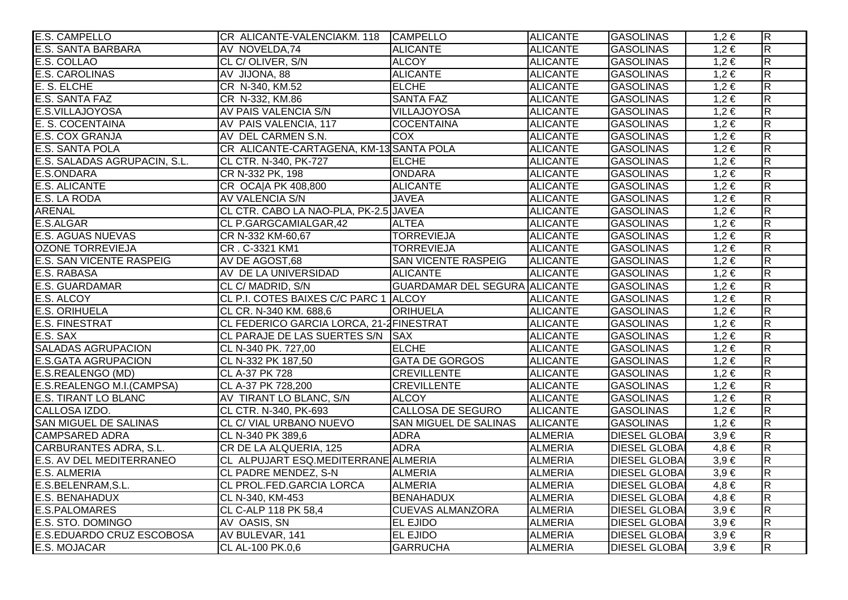| <b>E.S. CAMPELLO</b>            | CR ALICANTE-VALENCIAKM. 118 CAMPELLO     |                                      | <b>ALICANTE</b> | <b>GASOLINAS</b>     | $1,2 \in$ | $\overline{\mathsf{R}}$ |
|---------------------------------|------------------------------------------|--------------------------------------|-----------------|----------------------|-----------|-------------------------|
| <b>E.S. SANTA BARBARA</b>       | AV NOVELDA,74                            | <b>ALICANTE</b>                      | <b>ALICANTE</b> | <b>GASOLINAS</b>     | $1,2 \in$ | $\overline{\mathsf{R}}$ |
| E.S. COLLAO                     | CL C/OLIVER, S/N                         | <b>ALCOY</b>                         | <b>ALICANTE</b> | <b>GASOLINAS</b>     | $1,2 \in$ | $\overline{R}$          |
| <b>E.S. CAROLINAS</b>           | AV JIJONA, 88                            | <b>ALICANTE</b>                      | <b>ALICANTE</b> | <b>GASOLINAS</b>     | $1,2 \in$ | $\overline{\mathsf{R}}$ |
| E. S. ELCHE                     | CR N-340, KM.52                          | <b>ELCHE</b>                         | <b>ALICANTE</b> | <b>GASOLINAS</b>     | $1,2 \in$ | $\overline{\mathsf{R}}$ |
| E.S. SANTA FAZ                  | CR N-332, KM.86                          | <b>SANTA FAZ</b>                     | <b>ALICANTE</b> | <b>GASOLINAS</b>     | $1,2 \in$ | $\overline{R}$          |
| E.S.VILLAJOYOSA                 | AV PAIS VALENCIA S/N                     | <b>VILLAJOYOSA</b>                   | <b>ALICANTE</b> | <b>GASOLINAS</b>     | $1,2 \in$ | $\overline{R}$          |
| E. S. COCENTAINA                | AV PAIS VALENCIA, 117                    | <b>COCENTAINA</b>                    | <b>ALICANTE</b> | <b>GASOLINAS</b>     | $1,2 \in$ | $\overline{R}$          |
| E.S. COX GRANJA                 | AV DEL CARMEN S.N.                       | <b>COX</b>                           | <b>ALICANTE</b> | <b>GASOLINAS</b>     | $1,2 \in$ | $\overline{\mathsf{R}}$ |
| <b>E.S. SANTA POLA</b>          | CR ALICANTE-CARTAGENA, KM-13 SANTA POLA  |                                      | <b>ALICANTE</b> | <b>GASOLINAS</b>     | $1,2 \in$ | $\overline{R}$          |
| E.S. SALADAS AGRUPACIN, S.L.    | CL CTR. N-340, PK-727                    | <b>ELCHE</b>                         | <b>ALICANTE</b> | <b>GASOLINAS</b>     | $1,2 \in$ | $\overline{R}$          |
| E.S.ONDARA                      | CR N-332 PK, 198                         | <b>ONDARA</b>                        | <b>ALICANTE</b> | <b>GASOLINAS</b>     | $1,2 \in$ | $\overline{\mathsf{R}}$ |
| <b>E.S. ALICANTE</b>            | CR OCA A PK 408,800                      | <b>ALICANTE</b>                      | <b>ALICANTE</b> | <b>GASOLINAS</b>     | $1,2 \in$ | $\overline{\mathsf{R}}$ |
| E.S. LA RODA                    | AV VALENCIA S/N                          | <b>JAVEA</b>                         | <b>ALICANTE</b> | <b>GASOLINAS</b>     | $1,2 \in$ | $\overline{R}$          |
| <b>ARENAL</b>                   | CL CTR. CABO LA NAO-PLA, PK-2.5 JAVEA    |                                      | <b>ALICANTE</b> | <b>GASOLINAS</b>     | $1,2 \in$ | $\overline{R}$          |
| E.S.ALGAR                       | CL P.GARGCAMIALGAR,42                    | <b>ALTEA</b>                         | <b>ALICANTE</b> | <b>GASOLINAS</b>     | $1,2 \in$ | $\overline{R}$          |
| <b>E.S. AGUAS NUEVAS</b>        | CR N-332 KM-60,67                        | <b>TORREVIEJA</b>                    | <b>ALICANTE</b> | <b>GASOLINAS</b>     | $1,2 \in$ | $\overline{R}$          |
| <b>OZONE TORREVIEJA</b>         | CR. C-3321 KM1                           | <b>TORREVIEJA</b>                    | <b>ALICANTE</b> | <b>GASOLINAS</b>     | $1,2 \in$ | $\overline{\mathsf{R}}$ |
| <b>E.S. SAN VICENTE RASPEIG</b> | AV DE AGOST,68                           | <b>SAN VICENTE RASPEIG</b>           | <b>ALICANTE</b> | <b>GASOLINAS</b>     | $1,2 \in$ | $\overline{\mathsf{R}}$ |
| <b>E.S. RABASA</b>              | AV DE LA UNIVERSIDAD                     | <b>ALICANTE</b>                      | <b>ALICANTE</b> | <b>GASOLINAS</b>     | $1,2 \in$ | $\overline{R}$          |
| <b>E.S. GUARDAMAR</b>           | CL C/ MADRID, S/N                        | <b>GUARDAMAR DEL SEGURA ALICANTE</b> |                 | <b>GASOLINAS</b>     | $1,2 \in$ | $\overline{\mathsf{R}}$ |
| E.S. ALCOY                      | CL P.I. COTES BAIXES C/C PARC 1 ALCOY    |                                      | <b>ALICANTE</b> | <b>GASOLINAS</b>     | $1,2 \in$ | $\overline{R}$          |
| <b>E.S. ORIHUELA</b>            | CL CR. N-340 KM. 688,6                   | <b>ORIHUELA</b>                      | <b>ALICANTE</b> | <b>GASOLINAS</b>     | $1,2 \in$ | $\overline{R}$          |
| <b>E.S. FINESTRAT</b>           | CL FEDERICO GARCIA LORCA, 21-2 FINESTRAT |                                      | <b>ALICANTE</b> | <b>GASOLINAS</b>     | $1,2 \in$ | $\overline{R}$          |
| E.S. SAX                        | CL PARAJE DE LAS SUERTES S/N SAX         |                                      | <b>ALICANTE</b> | <b>GASOLINAS</b>     | $1,2 \in$ | $\overline{R}$          |
| <b>SALADAS AGRUPACION</b>       | CL N-340 PK. 727,00                      | <b>ELCHE</b>                         | <b>ALICANTE</b> | <b>GASOLINAS</b>     | $1,2 \in$ | $\overline{\mathsf{R}}$ |
| <b>E.S.GATA AGRUPACION</b>      | CL N-332 PK 187,50                       | <b>GATA DE GORGOS</b>                | <b>ALICANTE</b> | <b>GASOLINAS</b>     | $1,2 \in$ | $\overline{\mathsf{R}}$ |
| E.S.REALENGO (MD)               | CL A-37 PK 728                           | <b>CREVILLENTE</b>                   | <b>ALICANTE</b> | <b>GASOLINAS</b>     | $1,2 \in$ | $\overline{\mathsf{R}}$ |
| E.S.REALENGO M.I.(CAMPSA)       | CL A-37 PK 728,200                       | <b>CREVILLENTE</b>                   | <b>ALICANTE</b> | <b>GASOLINAS</b>     | $1,2 \in$ | $\overline{R}$          |
| <b>E.S. TIRANT LO BLANC</b>     | AV TIRANT LO BLANC, S/N                  | <b>ALCOY</b>                         | <b>ALICANTE</b> | <b>GASOLINAS</b>     | $1,2 \in$ | $\overline{\mathsf{R}}$ |
| CALLOSA IZDO.                   | CL CTR. N-340, PK-693                    | CALLOSA DE SEGURO                    | <b>ALICANTE</b> | <b>GASOLINAS</b>     | $1,2 \in$ | $\overline{R}$          |
| <b>SAN MIGUEL DE SALINAS</b>    | CL C/ VIAL URBANO NUEVO                  | SAN MIGUEL DE SALINAS                | <b>ALICANTE</b> | <b>GASOLINAS</b>     | $1,2 \in$ | $\overline{\mathsf{R}}$ |
| <b>CAMPSARED ADRA</b>           | CL N-340 PK 389,6                        | <b>ADRA</b>                          | <b>ALMERIA</b>  | <b>DIESEL GLOBAI</b> | $3,9 \in$ | $\overline{\mathsf{R}}$ |
| <b>CARBURANTES ADRA, S.L.</b>   | CR DE LA ALQUERIA, 125                   | <b>ADRA</b>                          | <b>ALMERIA</b>  | <b>DIESEL GLOBAI</b> | $4,8 \in$ | $\overline{\mathsf{R}}$ |
| <b>E.S. AV DEL MEDITERRANEO</b> | CL ALPUJART ESQ.MEDITERRANE ALMERIA      |                                      | <b>ALMERIA</b>  | <b>DIESEL GLOBAI</b> | $3,9 \in$ | $\overline{\mathsf{R}}$ |
| <b>E.S. ALMERIA</b>             | CL PADRE MENDEZ, S-N                     | <b>ALMERIA</b>                       | <b>ALMERIA</b>  | <b>DIESEL GLOBAI</b> | $3,9 \in$ | $\overline{\mathsf{R}}$ |
| E.S.BELENRAM, S.L.              | CL PROL.FED.GARCIA LORCA                 | <b>ALMERIA</b>                       | <b>ALMERIA</b>  | <b>DIESEL GLOBA</b>  | $4,8 \in$ | $\overline{\mathsf{R}}$ |
| <b>E.S. BENAHADUX</b>           | CL N-340, KM-453                         | <b>BENAHADUX</b>                     | <b>ALMERIA</b>  | <b>DIESEL GLOBAI</b> | $4,8 \in$ | $\overline{\mathsf{R}}$ |
| <b>E.S.PALOMARES</b>            | <b>CL C-ALP 118 PK 58,4</b>              | <b>CUEVAS ALMANZORA</b>              | <b>ALMERIA</b>  | <b>DIESEL GLOBAI</b> | $3.9 \in$ | $\overline{\mathsf{R}}$ |
| E.S. STO. DOMINGO               | AV OASIS, SN                             | <b>EL EJIDO</b>                      | <b>ALMERIA</b>  | <b>DIESEL GLOBAI</b> | $3,9 \in$ | $\overline{\mathsf{R}}$ |
| E.S.EDUARDO CRUZ ESCOBOSA       | AV BULEVAR, 141                          | <b>EL EJIDO</b>                      | <b>ALMERIA</b>  | <b>DIESEL GLOBAI</b> | $3,9 \in$ | $\overline{\mathsf{R}}$ |
| E.S. MOJACAR                    | <b>CL AL-100 PK.0,6</b>                  | <b>GARRUCHA</b>                      | <b>ALMERIA</b>  | <b>DIESEL GLOBA</b>  | $3,9 \in$ | $\overline{\mathsf{R}}$ |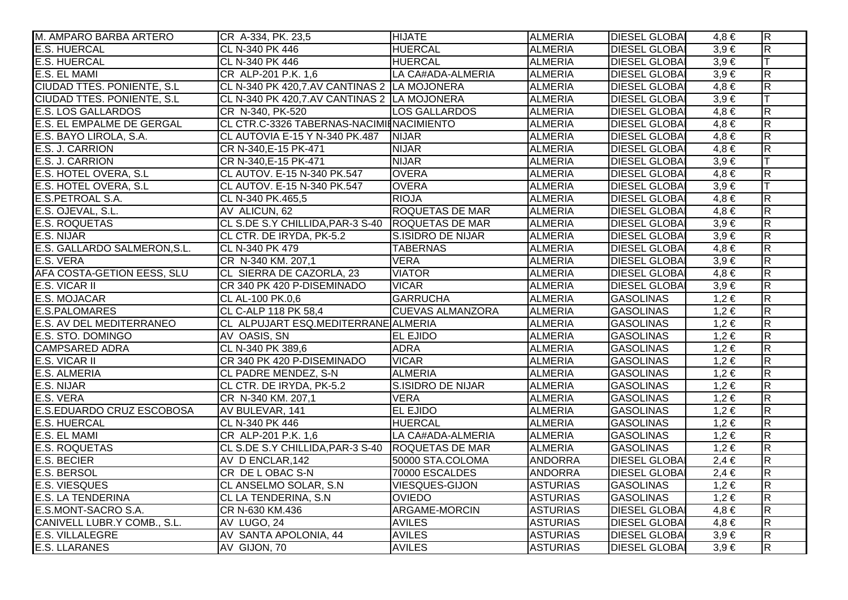| M. AMPARO BARBA ARTERO            | CR A-334, PK. 23,5                                 | <b>HIJATE</b>            | <b>ALMERIA</b>  | <b>DIESEL GLOBAI</b> | $4,8 \in$ | $\overline{R}$          |
|-----------------------------------|----------------------------------------------------|--------------------------|-----------------|----------------------|-----------|-------------------------|
| <b>E.S. HUERCAL</b>               | CL N-340 PK 446                                    | <b>HUERCAL</b>           | <b>ALMERIA</b>  | <b>DIESEL GLOBAI</b> | $3.9 \in$ | $\overline{\mathsf{R}}$ |
| <b>E.S. HUERCAL</b>               | CL N-340 PK 446                                    | <b>HUERCAL</b>           | <b>ALMERIA</b>  | <b>DIESEL GLOBAI</b> | $3,9 \in$ |                         |
| E.S. EL MAMI                      | CR ALP-201 P.K. 1.6                                | LA CA#ADA-ALMERIA        | <b>ALMERIA</b>  | <b>DIESEL GLOBAI</b> | $3,9 \in$ | R.                      |
| CIUDAD TTES. PONIENTE, S.L.       | CL N-340 PK 420,7.AV CANTINAS 2 LA MOJONERA        |                          | <b>ALMERIA</b>  | <b>DIESEL GLOBAI</b> | $4,8 \in$ | $\overline{R}$          |
| <b>CIUDAD TTES. PONIENTE, S.L</b> | CL N-340 PK 420,7.AV CANTINAS 2 LA MOJONERA        |                          | <b>ALMERIA</b>  | <b>DIESEL GLOBAI</b> | $3,9 \in$ | ΙT                      |
| <b>E.S. LOS GALLARDOS</b>         | CR N-340, PK-520                                   | <b>LOS GALLARDOS</b>     | <b>ALMERIA</b>  | <b>DIESEL GLOBAI</b> | $4,8 \in$ | $\overline{R}$          |
| E.S. EL EMPALME DE GERGAL         | CL CTR.C-3326 TABERNAS-NACIMIENACIMIENTO           |                          | <b>ALMERIA</b>  | <b>DIESEL GLOBAI</b> | $4,8 \in$ | $\overline{\mathsf{R}}$ |
| E.S. BAYO LIROLA, S.A.            | CL AUTOVIA E-15 Y N-340 PK.487                     | <b>NIJAR</b>             | <b>ALMERIA</b>  | <b>DIESEL GLOBA</b>  | $4,8 \in$ | $\overline{\mathsf{R}}$ |
| E.S. J. CARRION                   | CR N-340, E-15 PK-471                              | <b>NIJAR</b>             | <b>ALMERIA</b>  | <b>DIESEL GLOBAI</b> | $4,8 \in$ | $\overline{R}$          |
| E.S. J. CARRION                   | CR N-340, E-15 PK-471                              | <b>NIJAR</b>             | <b>ALMERIA</b>  | <b>DIESEL GLOBAI</b> | $3,9 \in$ | lΤ                      |
| E.S. HOTEL OVERA, S.L             | CL AUTOV. E-15 N-340 PK.547                        | <b>OVERA</b>             | <b>ALMERIA</b>  | <b>DIESEL GLOBAI</b> | $4,8 \in$ | $\overline{\mathsf{R}}$ |
| E.S. HOTEL OVERA, S.L             | CL AUTOV. E-15 N-340 PK.547                        | <b>OVERA</b>             | <b>ALMERIA</b>  | <b>DIESEL GLOBAI</b> | $3,9 \in$ |                         |
| E.S.PETROAL S.A.                  | CL N-340 PK.465,5                                  | <b>RIOJA</b>             | <b>ALMERIA</b>  | <b>DIESEL GLOBAI</b> | $4,8 \in$ | $\overline{\mathsf{R}}$ |
| E.S. OJEVAL, S.L.                 | AV ALICUN, 62                                      | <b>ROQUETAS DE MAR</b>   | <b>ALMERIA</b>  | <b>DIESEL GLOBAI</b> | $4,8 \in$ | $\overline{R}$          |
| <b>E.S. ROQUETAS</b>              | CL S.DE S.Y CHILLIDA, PAR-3 S-40 ROQUETAS DE MAR   |                          | <b>ALMERIA</b>  | <b>DIESEL GLOBAI</b> | $3,9 \in$ | $\overline{\mathsf{R}}$ |
| E.S. NIJAR                        | CL CTR. DE IRYDA, PK-5.2                           | S.ISIDRO DE NIJAR        | <b>ALMERIA</b>  | <b>DIESEL GLOBA</b>  | $3,9 \in$ | $\overline{R}$          |
| E.S. GALLARDO SALMERON, S.L.      | CL N-340 PK 479                                    | <b>TABERNAS</b>          | <b>ALMERIA</b>  | <b>DIESEL GLOBAI</b> | $4,8 \in$ | $\overline{\mathsf{R}}$ |
| E.S. VERA                         | CR N-340 KM. 207,1                                 | <b>VERA</b>              | <b>ALMERIA</b>  | <b>DIESEL GLOBAI</b> | $3,9 \in$ | $\overline{R}$          |
| AFA COSTA-GETION EESS, SLU        | CL SIERRA DE CAZORLA, 23                           | <b>VIATOR</b>            | <b>ALMERIA</b>  | <b>DIESEL GLOBAI</b> | $4,8 \in$ | $\overline{\mathsf{R}}$ |
| <b>E.S. VICAR II</b>              | CR 340 PK 420 P-DISEMINADO                         | <b>VICAR</b>             | <b>ALMERIA</b>  | <b>DIESEL GLOBAI</b> | $3,9 \in$ | $\overline{\mathsf{R}}$ |
| <b>E.S. MOJACAR</b>               | CL AL-100 PK.0,6                                   | <b>GARRUCHA</b>          | <b>ALMERIA</b>  | <b>GASOLINAS</b>     | $1,2 \in$ | $\overline{R}$          |
| <b>E.S.PALOMARES</b>              | CL C-ALP 118 PK 58,4                               | <b>CUEVAS ALMANZORA</b>  | <b>ALMERIA</b>  | <b>GASOLINAS</b>     | $1,2 \in$ | $\overline{\mathsf{R}}$ |
| E.S. AV DEL MEDITERRANEO          | CL ALPUJART ESQ.MEDITERRANE ALMERIA                |                          | <b>ALMERIA</b>  | <b>GASOLINAS</b>     | $1,2 \in$ | $\overline{R}$          |
| E.S. STO. DOMINGO                 | AV OASIS, SN                                       | <b>EL EJIDO</b>          | <b>ALMERIA</b>  | <b>GASOLINAS</b>     | $1,2 \in$ | $\overline{R}$          |
| <b>CAMPSARED ADRA</b>             | CL N-340 PK 389,6                                  | <b>ADRA</b>              | <b>ALMERIA</b>  | <b>GASOLINAS</b>     | $1,2 \in$ | $\overline{R}$          |
| E.S. VICAR II                     | CR 340 PK 420 P-DISEMINADO                         | <b>VICAR</b>             | <b>ALMERIA</b>  | <b>GASOLINAS</b>     | $1,2 \in$ | $\overline{R}$          |
| E.S. ALMERIA                      | CL PADRE MENDEZ, S-N                               | <b>ALMERIA</b>           | <b>ALMERIA</b>  | <b>GASOLINAS</b>     | $1,2 \in$ | $\overline{\mathsf{R}}$ |
| E.S. NIJAR                        | CL CTR. DE IRYDA, PK-5.2                           | <b>S.ISIDRO DE NIJAR</b> | <b>ALMERIA</b>  | <b>GASOLINAS</b>     | $1,2 \in$ | $\overline{R}$          |
| E.S. VERA                         | CR N-340 KM. 207,1                                 | <b>VERA</b>              | <b>ALMERIA</b>  | <b>GASOLINAS</b>     | $1.2 \in$ | $\overline{\mathsf{R}}$ |
| E.S.EDUARDO CRUZ ESCOBOSA         | AV BULEVAR, 141                                    | <b>EL EJIDO</b>          | <b>ALMERIA</b>  | <b>GASOLINAS</b>     | $1,2 \in$ | R.                      |
| <b>E.S. HUERCAL</b>               | CL N-340 PK 446                                    | <b>HUERCAL</b>           | <b>ALMERIA</b>  | <b>GASOLINAS</b>     | $1,2 \in$ | $\overline{\mathsf{R}}$ |
| E.S. EL MAMI                      | CR ALP-201 P.K. 1,6                                | LA CA#ADA-ALMERIA        | <b>ALMERIA</b>  | <b>GASOLINAS</b>     | $1,2 \in$ | $\overline{R}$          |
| <b>E.S. ROQUETAS</b>              | CL S.DE S.Y CHILLIDA, PAR-3 S-40   ROQUETAS DE MAR |                          | <b>ALMERIA</b>  | <b>GASOLINAS</b>     | $1,2 \in$ | $\overline{\mathsf{R}}$ |
| <b>E.S. BECIER</b>                | AV D ENCLAR, 142                                   | 50000 STA.COLOMA         | <b>ANDORRA</b>  | <b>DIESEL GLOBA</b>  | $2,4 \in$ | $\overline{\mathsf{R}}$ |
| <b>E.S. BERSOL</b>                | CR DE LOBAC S-N                                    | 70000 ESCALDES           | <b>ANDORRA</b>  | <b>DIESEL GLOBAI</b> | $2,4 \in$ | $\overline{\mathsf{R}}$ |
| <b>E.S. VIESQUES</b>              | CL ANSELMO SOLAR, S.N.                             | <b>VIESQUES-GIJON</b>    | <b>ASTURIAS</b> | <b>GASOLINAS</b>     | $1,2 \in$ | $\overline{\mathsf{R}}$ |
| <b>E.S. LA TENDERINA</b>          | <b>CL LA TENDERINA, S.N.</b>                       | <b>OVIEDO</b>            | <b>ASTURIAS</b> | <b>GASOLINAS</b>     | $1,2 \in$ | $\overline{\mathsf{R}}$ |
| E.S.MONT-SACRO S.A.               | CR N-630 KM.436                                    | <b>ARGAME-MORCIN</b>     | <b>ASTURIAS</b> | <b>DIESEL GLOBAI</b> | $4,8 \in$ | $\overline{\mathsf{R}}$ |
| CANIVELL LUBR.Y COMB., S.L.       | AV LUGO, 24                                        | <b>AVILES</b>            | <b>ASTURIAS</b> | <b>DIESEL GLOBAI</b> | $4,8 \in$ | $\overline{\mathsf{R}}$ |
| <b>E.S. VILLALEGRE</b>            | AV SANTA APOLONIA, 44                              | <b>AVILES</b>            | <b>ASTURIAS</b> | <b>DIESEL GLOBAI</b> | $3,9 \in$ | $\overline{\mathsf{R}}$ |
| <b>E.S. LLARANES</b>              | AV GIJON, 70                                       | <b>AVILES</b>            | <b>ASTURIAS</b> | <b>DIESEL GLOBAI</b> | $3,9 \in$ | R.                      |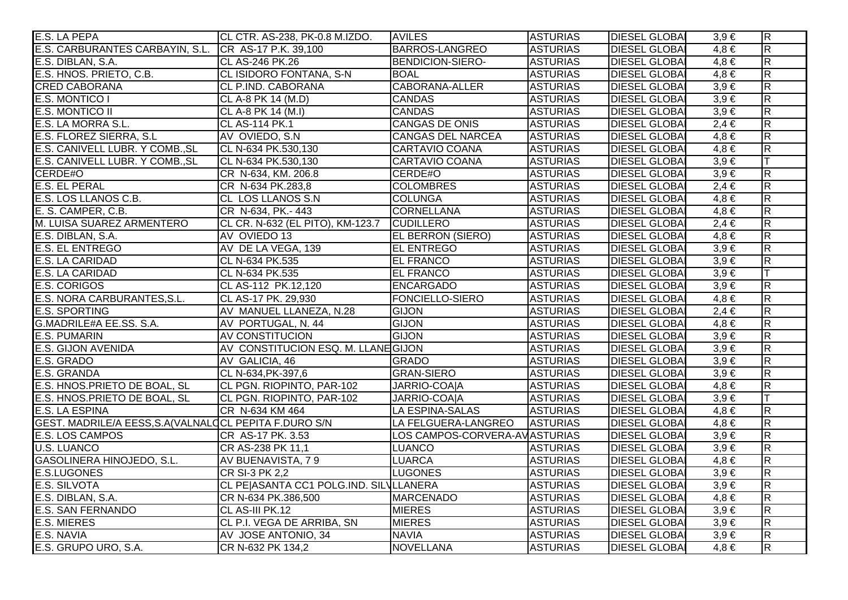| E.S. LA PEPA                                           | CL CTR. AS-238, PK-0.8 M.IZDO.             | <b>AVILES</b>                 | <b>ASTURIAS</b> | <b>DIESEL GLOBA</b>  | $3,9 \in$ | $\overline{\mathsf{R}}$ |
|--------------------------------------------------------|--------------------------------------------|-------------------------------|-----------------|----------------------|-----------|-------------------------|
| E.S. CARBURANTES CARBAYIN, S.L.                        | CR AS-17 P.K. 39,100                       | <b>BARROS-LANGREO</b>         | <b>ASTURIAS</b> | <b>DIESEL GLOBAI</b> | $4,8 \in$ | $\overline{\mathsf{R}}$ |
| E.S. DIBLAN, S.A.                                      | <b>CL AS-246 PK.26</b>                     | BENDICION-SIERO-              | <b>ASTURIAS</b> | <b>DIESEL GLOBA</b>  | $4,8 \in$ | $\overline{R}$          |
| E.S. HNOS. PRIETO, C.B.                                | CL ISIDORO FONTANA, S-N                    | <b>BOAL</b>                   | <b>ASTURIAS</b> | <b>DIESEL GLOBAI</b> | $4,8 \in$ | $\overline{R}$          |
| <b>CRED CABORANA</b>                                   | CL P.IND. CABORANA                         | CABORANA-ALLER                | <b>ASTURIAS</b> | <b>DIESEL GLOBAI</b> | $3,9 \in$ | $\overline{\mathbf{z}}$ |
| E.S. MONTICO I                                         | CL A-8 PK 14 (M.D)                         | <b>CANDAS</b>                 | <b>ASTURIAS</b> | <b>DIESEL GLOBAI</b> | $3,9 \in$ | $\overline{\mathsf{R}}$ |
| <b>E.S. MONTICO II</b>                                 | CL A-8 PK 14 (M.I)                         | <b>CANDAS</b>                 | <b>ASTURIAS</b> | <b>DIESEL GLOBAI</b> | $3,9 \in$ | $\overline{\mathsf{R}}$ |
| E.S. LA MORRA S.L.                                     | <b>CL AS-114 PK.1</b>                      | <b>CANGAS DE ONIS</b>         | <b>ASTURIAS</b> | <b>DIESEL GLOBA</b>  | $2,4 \in$ | $\overline{\mathbf{z}}$ |
| E.S. FLOREZ SIERRA, S.L.                               | AV OVIEDO, S.N                             | <b>CANGAS DEL NARCEA</b>      | <b>ASTURIAS</b> | <b>DIESEL GLOBA</b>  | $4,8 \in$ | $\overline{R}$          |
| E.S. CANIVELL LUBR. Y COMB., SL                        | CL N-634 PK.530,130                        | CARTAVIO COANA                | <b>ASTURIAS</b> | <b>DIESEL GLOBAI</b> | $4,8 \in$ | $\overline{\mathbf{z}}$ |
| E.S. CANIVELL LUBR. Y COMB., SL                        | CL N-634 PK.530,130                        | <b>CARTAVIO COANA</b>         | <b>ASTURIAS</b> | <b>DIESEL GLOBAI</b> | $3,9 \in$ |                         |
| CERDE#O                                                | CR N-634, KM. 206.8                        | CERDE#O                       | <b>ASTURIAS</b> | <b>DIESEL GLOBAI</b> | $3,9 \in$ | $\overline{R}$          |
| <b>E.S. EL PERAL</b>                                   | CR N-634 PK.283,8                          | <b>COLOMBRES</b>              | <b>ASTURIAS</b> | <b>DIESEL GLOBAI</b> | $2,4 \in$ | $\overline{\mathbf{z}}$ |
| E.S. LOS LLANOS C.B.                                   | CL LOS LLANOS S.N                          | <b>COLUNGA</b>                | <b>ASTURIAS</b> | <b>DIESEL GLOBAI</b> | $4,8 \in$ | $\overline{R}$          |
| E. S. CAMPER, C.B.                                     | CR N-634, PK.- 443                         | <b>CORNELLANA</b>             | <b>ASTURIAS</b> | <b>DIESEL GLOBAI</b> | $4,8 \in$ | $\overline{R}$          |
| M. LUISA SUAREZ ARMENTERO                              | CL CR. N-632 (EL PITO), KM-123.7 CUDILLERO |                               | <b>ASTURIAS</b> | <b>DIESEL GLOBAI</b> | $2,4 \in$ | $\overline{R}$          |
| E.S. DIBLAN, S.A.                                      | AV OVIEDO 13                               | <b>EL BERRON (SIERO)</b>      | <b>ASTURIAS</b> | <b>DIESEL GLOBA</b>  | $4.8 \in$ | $\overline{R}$          |
| <b>E.S. EL ENTREGO</b>                                 | AV DE LA VEGA, 139                         | <b>EL ENTREGO</b>             | <b>ASTURIAS</b> | <b>DIESEL GLOBA</b>  | $3,9 \in$ | $\overline{\mathbf{z}}$ |
| E.S. LA CARIDAD                                        | CL N-634 PK.535                            | <b>EL FRANCO</b>              | <b>ASTURIAS</b> | <b>DIESEL GLOBAI</b> | $3,9 \in$ | $\overline{\mathbf{R}}$ |
| <b>E.S. LA CARIDAD</b>                                 | CL N-634 PK.535                            | <b>EL FRANCO</b>              | <b>ASTURIAS</b> | <b>DIESEL GLOBAI</b> | $3,9 \in$ |                         |
| <b>E.S. CORIGOS</b>                                    | CL AS-112 PK.12,120                        | <b>ENCARGADO</b>              | <b>ASTURIAS</b> | <b>DIESEL GLOBAI</b> | $3,9 \in$ | $\overline{R}$          |
| E.S. NORA CARBURANTES, S.L.                            | CL AS-17 PK. 29,930                        | <b>FONCIELLO-SIERO</b>        | <b>ASTURIAS</b> | <b>DIESEL GLOBA</b>  | $4,8 \in$ | $\overline{R}$          |
| <b>E.S. SPORTING</b>                                   | AV MANUEL LLANEZA, N.28                    | <b>GIJON</b>                  | <b>ASTURIAS</b> | <b>DIESEL GLOBAI</b> | $2,4 \in$ | $\overline{R}$          |
| G.MADRILE#A EE.SS. S.A.                                | AV PORTUGAL, N. 44                         | <b>GIJON</b>                  | <b>ASTURIAS</b> | <b>DIESEL GLOBAI</b> | $4,8 \in$ | $\overline{R}$          |
| <b>E.S. PUMARIN</b>                                    | <b>AV CONSTITUCION</b>                     | <b>GIJON</b>                  | <b>ASTURIAS</b> | <b>DIESEL GLOBAI</b> | $3,9 \in$ | $\overline{\mathbf{z}}$ |
| <b>E.S. GIJON AVENIDA</b>                              | AV CONSTITUCION ESQ. M. LLANE GIJON        |                               | <b>ASTURIAS</b> | <b>DIESEL GLOBA</b>  | $3,9 \in$ | $\overline{\mathsf{R}}$ |
| E.S. GRADO                                             | AV GALICIA, 46                             | <b>GRADO</b>                  | <b>ASTURIAS</b> | <b>DIESEL GLOBA</b>  | $3,9 \in$ | $\overline{\mathbf{z}}$ |
| E.S. GRANDA                                            | CL N-634, PK-397, 6                        | <b>GRAN-SIERO</b>             | <b>ASTURIAS</b> | <b>DIESEL GLOBAI</b> | $3,9 \in$ | $\overline{\mathbf{z}}$ |
| E.S. HNOS.PRIETO DE BOAL, SL                           | CL PGN. RIOPINTO, PAR-102                  | JARRIO-COAIA                  | <b>ASTURIAS</b> | <b>DIESEL GLOBAI</b> | $4,8 \in$ | $\overline{R}$          |
| E.S. HNOS.PRIETO DE BOAL, SL                           | CL PGN. RIOPINTO, PAR-102                  | JARRIO-COA A                  | <b>ASTURIAS</b> | <b>DIESEL GLOBA</b>  | $3,9 \in$ |                         |
| <b>E.S. LA ESPINA</b>                                  | CR N-634 KM 464                            | LA ESPINA-SALAS               | <b>ASTURIAS</b> | <b>DIESEL GLOBAI</b> | $4,8 \in$ | $\overline{R}$          |
| GEST. MADRILE/A EESS, S.A (VALNALQCL PEPITA F.DURO S/N |                                            | LA FELGUERA-LANGREO           | <b>ASTURIAS</b> | <b>DIESEL GLOBA</b>  | $4,8 \in$ | $\overline{\mathsf{R}}$ |
| E.S. LOS CAMPOS                                        | CR AS-17 PK. 3.53                          | LOS CAMPOS-CORVERA-AVASTURIAS |                 | <b>DIESEL GLOBAI</b> | $3,9 \in$ | $\overline{\mathsf{R}}$ |
| <b>U.S. LUANCO</b>                                     | CR AS-238 PK 11,1                          | <b>LUANCO</b>                 | <b>ASTURIAS</b> | <b>DIESEL GLOBAI</b> | $3,9 \in$ | $\overline{\mathsf{R}}$ |
| <b>GASOLINERA HINOJEDO, S.L.</b>                       | AV BUENAVISTA, 79                          | <b>LUARCA</b>                 | <b>ASTURIAS</b> | <b>DIESEL GLOBAI</b> | $4,8 \in$ | $\overline{\mathsf{R}}$ |
| <b>E.S.LUGONES</b>                                     | CR SI-3 PK 2,2                             | <b>LUGONES</b>                | <b>ASTURIAS</b> | <b>DIESEL GLOBAI</b> | $3,9 \in$ | $\overline{\mathsf{R}}$ |
| E.S. SILVOTA                                           | CL PE ASANTA CC1 POLG.IND. SILVLLANERA     |                               | <b>ASTURIAS</b> | <b>DIESEL GLOBAI</b> | $3,9 \in$ | $\overline{\mathsf{R}}$ |
| E.S. DIBLAN, S.A.                                      | CR N-634 PK.386,500                        | <b>MARCENADO</b>              | <b>ASTURIAS</b> | <b>DIESEL GLOBAI</b> | $4,8 \in$ | $\overline{\mathsf{R}}$ |
| <b>E.S. SAN FERNANDO</b>                               | CL AS-III PK.12                            | <b>MIERES</b>                 | <b>ASTURIAS</b> | <b>DIESEL GLOBAI</b> | $3,9 \in$ | $\overline{\mathsf{R}}$ |
| <b>E.S. MIERES</b>                                     | CL P.I. VEGA DE ARRIBA, SN                 | <b>MIERES</b>                 | <b>ASTURIAS</b> | <b>DIESEL GLOBAI</b> | $3,9 \in$ | $\overline{\mathbf{z}}$ |
| E.S. NAVIA                                             | AV JOSE ANTONIO, 34                        | <b>NAVIA</b>                  | <b>ASTURIAS</b> | <b>DIESEL GLOBAI</b> | $3,9 \in$ | $\overline{\mathsf{R}}$ |
| E.S. GRUPO URO, S.A.                                   | CR N-632 PK 134,2                          | <b>NOVELLANA</b>              | <b>ASTURIAS</b> | <b>DIESEL GLOBA</b>  | $4,8 \in$ | $\overline{\mathbf{z}}$ |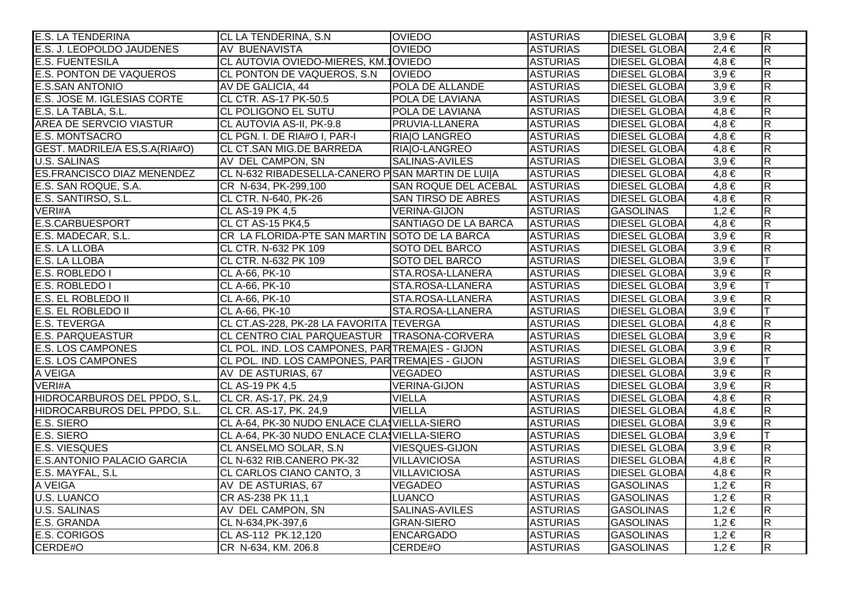| <b>E.S. LA TENDERINA</b>          | CL LA TENDERINA, S.N                             | <b>OVIEDO</b>               | <b>ASTURIAS</b> | <b>DIESEL GLOBAI</b> | $3,9 \in$ | $\overline{R}$          |
|-----------------------------------|--------------------------------------------------|-----------------------------|-----------------|----------------------|-----------|-------------------------|
| E.S. J. LEOPOLDO JAUDENES         | <b>AV BUENAVISTA</b>                             | <b>OVIEDO</b>               | <b>ASTURIAS</b> | <b>DIESEL GLOBA</b>  | $2,4 \in$ | $\overline{\mathsf{R}}$ |
| <b>E.S. FUENTESILA</b>            | CL AUTOVIA OVIEDO-MIERES, KM.10VIEDO             |                             | <b>ASTURIAS</b> | <b>DIESEL GLOBA</b>  | $4,8 \in$ | $\overline{R}$          |
| E.S. PONTON DE VAQUEROS           | CL PONTON DE VAQUEROS, S.N.                      | <b>IOVIEDO</b>              | <b>ASTURIAS</b> | <b>DIESEL GLOBA</b>  | $3,9 \in$ | $\overline{\mathsf{R}}$ |
| <b>E.S.SAN ANTONIO</b>            | AV DE GALICIA, 44                                | POLA DE ALLANDE             | <b>ASTURIAS</b> | <b>DIESEL GLOBA</b>  | $3,9 \in$ | $\overline{R}$          |
| E.S. JOSE M. IGLESIAS CORTE       | <b>CL CTR. AS-17 PK-50.5</b>                     | POLA DE LAVIANA             | <b>ASTURIAS</b> | <b>DIESEL GLOBAI</b> | $3,9 \in$ | $\overline{\mathsf{R}}$ |
| E.S. LA TABLA, S.L.               | CL POLIGONO EL SUTU                              | POLA DE LAVIANA             | <b>ASTURIAS</b> | <b>DIESEL GLOBAI</b> | $4,8 \in$ | $\overline{\mathsf{R}}$ |
| <b>AREA DE SERVCIO VIASTUR</b>    | CL AUTOVIA AS-II, PK-9.8                         | PRUVIA-LLANERA              | <b>ASTURIAS</b> | <b>DIESEL GLOBA</b>  | $4,8 \in$ | $\overline{\mathsf{R}}$ |
| E.S. MONTSACRO                    | CL PGN. I. DE RIA#O I, PAR-I                     | RIAIO LANGREO               | <b>ASTURIAS</b> | <b>DIESEL GLOBA</b>  | $4,8 \in$ | $\overline{\mathsf{R}}$ |
| GEST. MADRILE/A ES, S.A (RIA#O)   | CL CT.SAN MIG.DE BARREDA                         | RIAO-LANGREO                | <b>ASTURIAS</b> | <b>DIESEL GLOBA</b>  | $4,8 \in$ | $\overline{R}$          |
| <b>U.S. SALINAS</b>               | AV DEL CAMPON, SN                                | SALINAS-AVILES              | <b>ASTURIAS</b> | <b>DIESEL GLOBAI</b> | $3,9 \in$ | $\overline{\mathsf{R}}$ |
| <b>ES.FRANCISCO DIAZ MENENDEZ</b> | CL N-632 RIBADESELLA-CANERO PSAN MARTIN DE LUI A |                             | <b>ASTURIAS</b> | <b>DIESEL GLOBA</b>  | $4,8 \in$ | $\overline{\mathsf{R}}$ |
| E.S. SAN ROQUE, S.A.              | CR N-634, PK-299,100                             | <b>SAN ROQUE DEL ACEBAL</b> | <b>ASTURIAS</b> | <b>DIESEL GLOBA</b>  | $4,8 \in$ | $\overline{\mathsf{R}}$ |
| E.S. SANTIRSO, S.L.               | CL CTR. N-640, PK-26                             | SAN TIRSO DE ABRES          | <b>ASTURIAS</b> | <b>DIESEL GLOBAI</b> | $4,8 \in$ | $\overline{R}$          |
| VERI#A                            | CL AS-19 PK 4,5                                  | <b>VERINA-GIJON</b>         | <b>ASTURIAS</b> | <b>GASOLINAS</b>     | $1,2 \in$ | $\overline{R}$          |
| E.S.CARBUESPORT                   | CL CT AS-15 PK4,5                                | SANTIAGO DE LA BARCA        | <b>ASTURIAS</b> | <b>DIESEL GLOBAI</b> | $4,8 \in$ | $\overline{R}$          |
| E.S. MADECAR, S.L.                | CR LA FLORIDA-PTE SAN MARTIN SOTO DE LA BARCA    |                             | <b>ASTURIAS</b> | <b>DIESEL GLOBA</b>  | $3,9 \in$ | $\overline{\mathsf{R}}$ |
| <b>E.S. LA LLOBA</b>              | CL CTR. N-632 PK 109                             | <b>SOTO DEL BARCO</b>       | <b>ASTURIAS</b> | <b>DIESEL GLOBA</b>  | $3,9 \in$ | $\overline{\mathsf{R}}$ |
| E.S. LA LLOBA                     | CL CTR. N-632 PK 109                             | <b>SOTO DEL BARCO</b>       | <b>ASTURIAS</b> | <b>DIESEL GLOBA</b>  | $3,9 \in$ |                         |
| E.S. ROBLEDO I                    | CL A-66, PK-10                                   | STA.ROSA-LLANERA            | <b>ASTURIAS</b> | <b>DIESEL GLOBA</b>  | $3,9 \in$ | $\overline{R}$          |
| E.S. ROBLEDO I                    | CL A-66, PK-10                                   | STA.ROSA-LLANERA            | <b>ASTURIAS</b> | <b>DIESEL GLOBA</b>  | $3,9 \in$ | $\top$                  |
| E.S. EL ROBLEDO II                | CL A-66, PK-10                                   | STA.ROSA-LLANERA            | <b>ASTURIAS</b> | <b>DIESEL GLOBA</b>  | $3,9 \in$ | $\overline{R}$          |
| E.S. EL ROBLEDO II                | CL A-66, PK-10                                   | STA.ROSA-LLANERA            | <b>ASTURIAS</b> | <b>DIESEL GLOBAI</b> | $3,9 \in$ |                         |
| <b>E.S. TEVERGA</b>               | CL CT.AS-228, PK-28 LA FAVORITA TEVERGA          |                             | <b>ASTURIAS</b> | <b>DIESEL GLOBA</b>  | $4,8 \in$ | $\overline{R}$          |
| <b>E.S. PARQUEASTUR</b>           | CL CENTRO CIAL PARQUEASTUR TRASONA-CORVERA       |                             | <b>ASTURIAS</b> | <b>DIESEL GLOBAI</b> | $3,9 \in$ | $\overline{\mathsf{R}}$ |
| <b>E.S. LOS CAMPONES</b>          | CL POL. IND. LOS CAMPONES, PAR TREMAIES - GIJON  |                             | <b>ASTURIAS</b> | <b>DIESEL GLOBA</b>  | $3,9 \in$ | $\overline{\mathsf{R}}$ |
| <b>E.S. LOS CAMPONES</b>          | CL POL. IND. LOS CAMPONES, PAR TREMAIES - GIJON  |                             | <b>ASTURIAS</b> | <b>DIESEL GLOBA</b>  | $3,9 \in$ | lΤ                      |
| A VEIGA                           | AV DE ASTURIAS, 67                               | VEGADEO                     | <b>ASTURIAS</b> | <b>DIESEL GLOBA</b>  | $3,9 \in$ | $\overline{R}$          |
| VERI#A                            | <b>CL AS-19 PK 4,5</b>                           | <b>VERINA-GIJON</b>         | <b>ASTURIAS</b> | <b>DIESEL GLOBA</b>  | $3,9 \in$ | $\overline{\mathsf{R}}$ |
| HIDROCARBUROS DEL PPDO, S.L.      | CL CR. AS-17, PK. 24,9                           | <b>VIELLA</b>               | <b>ASTURIAS</b> | <b>DIESEL GLOBA</b>  | $4,8 \in$ | $\overline{\mathsf{R}}$ |
| HIDROCARBUROS DEL PPDO, S.L.      | CL CR. AS-17, PK. 24,9                           | <b>VIELLA</b>               | <b>ASTURIAS</b> | <b>DIESEL GLOBA</b>  | $4,8 \in$ | $\overline{R}$          |
| E.S. SIERO                        | CL A-64, PK-30 NUDO ENLACE CLASVIELLA-SIERO      |                             | <b>ASTURIAS</b> | <b>DIESEL GLOBAI</b> | $3,9 \in$ | $\overline{\mathsf{R}}$ |
| E.S. SIERO                        | CL A-64, PK-30 NUDO ENLACE CLA VIELLA-SIERO      |                             | <b>ASTURIAS</b> | <b>DIESEL GLOBA</b>  | $3,9 \in$ | T                       |
| <b>E.S. VIESQUES</b>              | CL ANSELMO SOLAR, S.N.                           | <b>VIESQUES-GIJON</b>       | <b>ASTURIAS</b> | <b>DIESEL GLOBA</b>  | $3,9 \in$ | $\overline{\mathsf{R}}$ |
| E.S.ANTONIO PALACIO GARCIA        | CL N-632 RIB.CANERO PK-32                        | <b>VILLAVICIOSA</b>         | <b>ASTURIAS</b> | <b>DIESEL GLOBA</b>  | $4,8 \in$ | $\overline{\mathsf{R}}$ |
| E.S. MAYFAL, S.L                  | CL CARLOS CIANO CANTO, 3                         | <b>VILLAVICIOSA</b>         | <b>ASTURIAS</b> | <b>DIESEL GLOBAI</b> | $4,8 \in$ | $\overline{R}$          |
| A VEIGA                           | AV DE ASTURIAS, 67                               | <b>VEGADEO</b>              | <b>ASTURIAS</b> | <b>GASOLINAS</b>     | $1,2 \in$ | $\overline{\mathsf{R}}$ |
| <b>U.S. LUANCO</b>                | CR AS-238 PK 11,1                                | <b>LUANCO</b>               | <b>ASTURIAS</b> | <b>GASOLINAS</b>     | $1,2 \in$ | $\overline{\mathsf{R}}$ |
| <b>U.S. SALINAS</b>               | AV DEL CAMPON, SN                                | <b>SALINAS-AVILES</b>       | <b>ASTURIAS</b> | <b>GASOLINAS</b>     | $1,2 \in$ | $\overline{\mathsf{R}}$ |
| E.S. GRANDA                       | CL N-634, PK-397, 6                              | <b>GRAN-SIERO</b>           | <b>ASTURIAS</b> | <b>GASOLINAS</b>     | $1,2 \in$ | $\overline{\mathsf{R}}$ |
| E.S. CORIGOS                      | CL AS-112 PK.12,120                              | <b>ENCARGADO</b>            | <b>ASTURIAS</b> | <b>GASOLINAS</b>     | $1,2 \in$ | $\overline{\mathsf{R}}$ |
| CERDE#O                           | CR N-634, KM. 206.8                              | CERDE#O                     | <b>ASTURIAS</b> | <b>GASOLINAS</b>     | $1,2 \in$ | $\overline{\mathsf{R}}$ |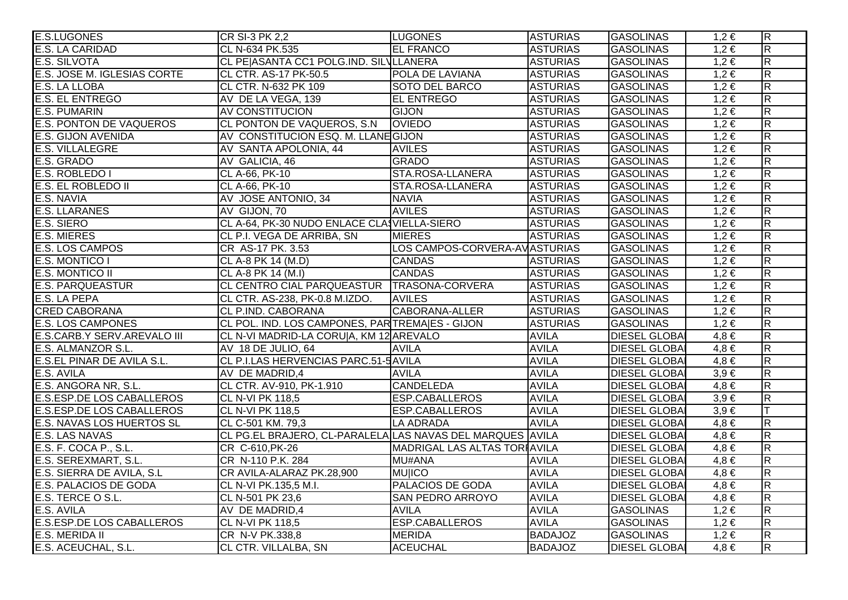| <b>E.S.LUGONES</b>               | CR SI-3 PK 2,2                                            | <b>LUGONES</b>                | <b>ASTURIAS</b> | <b>GASOLINAS</b>     | $1,2 \in$ | $\overline{R}$          |
|----------------------------------|-----------------------------------------------------------|-------------------------------|-----------------|----------------------|-----------|-------------------------|
| E.S. LA CARIDAD                  | CL N-634 PK.535                                           | <b>EL FRANCO</b>              | <b>ASTURIAS</b> | <b>GASOLINAS</b>     | $1,2 \in$ | $\overline{\mathsf{R}}$ |
| <b>E.S. SILVOTA</b>              | CL PE ASANTA CC1 POLG.IND. SILVLLANERA                    |                               | <b>ASTURIAS</b> | <b>GASOLINAS</b>     | $1,2 \in$ | $\overline{\mathsf{R}}$ |
| E.S. JOSE M. IGLESIAS CORTE      | CL CTR. AS-17 PK-50.5                                     | POLA DE LAVIANA               | <b>ASTURIAS</b> | GASOLINAS            | $1,2 \in$ | $\overline{\mathsf{R}}$ |
| E.S. LA LLOBA                    | CL CTR. N-632 PK 109                                      | SOTO DEL BARCO                | <b>ASTURIAS</b> | GASOLINAS            | $1,2 \in$ | $\overline{R}$          |
| <b>E.S. EL ENTREGO</b>           | AV DE LA VEGA, 139                                        | <b>EL ENTREGO</b>             | <b>ASTURIAS</b> | <b>GASOLINAS</b>     | $1,2 \in$ | $\overline{\mathsf{R}}$ |
| <b>E.S. PUMARIN</b>              | AV CONSTITUCION                                           | <b>GIJON</b>                  | <b>ASTURIAS</b> | <b>GASOLINAS</b>     | $1,2 \in$ | $\overline{R}$          |
| <b>E.S. PONTON DE VAQUEROS</b>   | CL PONTON DE VAQUEROS, S.N.                               | <b>OVIEDO</b>                 | <b>ASTURIAS</b> | <b>GASOLINAS</b>     | $1,2 \in$ | $\overline{\mathsf{R}}$ |
| <b>E.S. GIJON AVENIDA</b>        | AV CONSTITUCION ESQ. M. LLANE GIJON                       |                               | <b>ASTURIAS</b> | <b>GASOLINAS</b>     | $1,2 \in$ | $\overline{\mathsf{R}}$ |
| E.S. VILLALEGRE                  | AV SANTA APOLONIA, 44                                     | <b>AVILES</b>                 | <b>ASTURIAS</b> | <b>GASOLINAS</b>     | $1,2 \in$ | $\overline{R}$          |
| E.S. GRADO                       | AV GALICIA, 46                                            | <b>GRADO</b>                  | <b>ASTURIAS</b> | <b>GASOLINAS</b>     | $1,2 \in$ | $\overline{\mathsf{R}}$ |
| E.S. ROBLEDO I                   | CL A-66, PK-10                                            | STA.ROSA-LLANERA              | <b>ASTURIAS</b> | <b>GASOLINAS</b>     | $1,2 \in$ | $\overline{\mathsf{R}}$ |
| <b>E.S. EL ROBLEDO II</b>        | CL A-66, PK-10                                            | STA.ROSA-LLANERA              | <b>ASTURIAS</b> | <b>GASOLINAS</b>     | $1,2 \in$ | $\overline{\mathsf{R}}$ |
| E.S. NAVIA                       | AV JOSE ANTONIO, 34                                       | <b>NAVIA</b>                  | <b>ASTURIAS</b> | <b>GASOLINAS</b>     | $1,2 \in$ | $\overline{R}$          |
| <b>E.S. LLARANES</b>             | AV GIJON, 70                                              | <b>AVILES</b>                 | <b>ASTURIAS</b> | <b>GASOLINAS</b>     | $1,2 \in$ | $\overline{R}$          |
| E.S. SIERO                       | CL A-64, PK-30 NUDO ENLACE CLASVIELLA-SIERO               |                               | <b>ASTURIAS</b> | <b>GASOLINAS</b>     | $1,2 \in$ | $\overline{R}$          |
| <b>E.S. MIERES</b>               | CL P.I. VEGA DE ARRIBA, SN                                | <b>MIERES</b>                 | <b>ASTURIAS</b> | <b>GASOLINAS</b>     | $1,2 \in$ | $\overline{\mathsf{R}}$ |
| <b>E.S. LOS CAMPOS</b>           | CR AS-17 PK. 3.53                                         | LOS CAMPOS-CORVERA-AVASTURIAS |                 | <b>GASOLINAS</b>     | $1,2 \in$ | $\overline{\mathsf{R}}$ |
| E.S. MONTICO I                   | CL A-8 PK 14 (M.D)                                        | <b>CANDAS</b>                 | <b>ASTURIAS</b> | <b>GASOLINAS</b>     | $1,2 \in$ | $\overline{R}$          |
| <b>E.S. MONTICO II</b>           | CL A-8 PK 14 (M.I)                                        | <b>CANDAS</b>                 | <b>ASTURIAS</b> | <b>GASOLINAS</b>     | $1,2 \in$ | $\overline{\mathsf{R}}$ |
| <b>E.S. PARQUEASTUR</b>          | CL CENTRO CIAL PARQUEASTUR   TRASONA-CORVERA              |                               | <b>ASTURIAS</b> | <b>GASOLINAS</b>     | $1,2 \in$ | $\overline{\mathsf{R}}$ |
| <b>E.S. LA PEPA</b>              | CL CTR. AS-238, PK-0.8 M.IZDO.                            | <b>AVILES</b>                 | <b>ASTURIAS</b> | <b>GASOLINAS</b>     | $1,2 \in$ | $\overline{\mathsf{R}}$ |
| <b>CRED CABORANA</b>             | CL P.IND. CABORANA                                        | CABORANA-ALLER                | <b>ASTURIAS</b> | <b>GASOLINAS</b>     | $1,2 \in$ | $\overline{R}$          |
| <b>E.S. LOS CAMPONES</b>         | CL POL. IND. LOS CAMPONES, PARTREMAIES - GIJON            |                               | <b>ASTURIAS</b> | <b>GASOLINAS</b>     | $1,2 \in$ | $\overline{R}$          |
| E.S.CARB.Y SERV.AREVALO III      | CL N-VI MADRID-LA CORU A, KM 12 AREVALO                   |                               | <b>AVILA</b>    | <b>DIESEL GLOBAI</b> | $4,8 \in$ | $\overline{R}$          |
| E.S. ALMANZOR S.L.               | AV 18 DE JULIO, 64                                        | <b>AVILA</b>                  | <b>AVILA</b>    | <b>DIESEL GLOBAI</b> | $4,8 \in$ | $\overline{\mathsf{R}}$ |
| E.S.EL PINAR DE AVILA S.L.       | CL P.I.LAS HERVENCIAS PARC.51-5 AVILA                     |                               | <b>AVILA</b>    | <b>DIESEL GLOBAI</b> | $4,8 \in$ | $\overline{\mathsf{R}}$ |
| E.S. AVILA                       | AV DE MADRID,4                                            | <b>AVILA</b>                  | <b>AVILA</b>    | <b>DIESEL GLOBAI</b> | $3,9 \in$ | $\overline{R}$          |
| E.S. ANGORA NR, S.L.             | CL CTR. AV-910, PK-1.910                                  | <b>CANDELEDA</b>              | <b>AVILA</b>    | <b>DIESEL GLOBA</b>  | $4,8 \in$ | $\overline{\mathsf{R}}$ |
| <b>E.S.ESP.DE LOS CABALLEROS</b> | <b>CL N-VI PK 118,5</b>                                   | <b>ESP.CABALLEROS</b>         | <b>AVILA</b>    | <b>DIESEL GLOBAI</b> | $3,9 \in$ | $\overline{\mathsf{R}}$ |
| <b>E.S.ESP.DE LOS CABALLEROS</b> | <b>CL N-VI PK 118,5</b>                                   | <b>ESP.CABALLEROS</b>         | <b>AVILA</b>    | <b>DIESEL GLOBA</b>  | $3,9 \in$ | lΤ                      |
| <b>E.S. NAVAS LOS HUERTOS SL</b> | CL C-501 KM. 79,3                                         | <b>LA ADRADA</b>              | <b>AVILA</b>    | <b>DIESEL GLOBA</b>  | $4,8 \in$ | $\overline{\mathsf{R}}$ |
| <b>E.S. LAS NAVAS</b>            | CL PG.EL BRAJERO, CL-PARALELA LAS NAVAS DEL MARQUES AVILA |                               |                 | <b>DIESEL GLOBA</b>  | $4,8 \in$ | $\overline{R}$          |
| E.S. F. COCA P., S.L.            | CR C-610, PK-26                                           | MADRIGAL LAS ALTAS TORIAVILA  |                 | <b>DIESEL GLOBA</b>  | $4,8 \in$ | $\overline{\mathsf{R}}$ |
| E.S. SEREXMART, S.L.             | CR N-110 P.K. 284                                         | <b>MU#ANA</b>                 | <b>AVILA</b>    | <b>DIESEL GLOBAI</b> | $4,8 \in$ | $\overline{\mathsf{R}}$ |
| E.S. SIERRA DE AVILA, S.L        | CR AVILA-ALARAZ PK.28,900                                 | <b>MU ICO</b>                 | <b>AVILA</b>    | <b>DIESEL GLOBA</b>  | $4,8 \in$ | $\overline{R}$          |
| <b>E.S. PALACIOS DE GODA</b>     | CL N-VI PK.135,5 M.I.                                     | <b>PALACIOS DE GODA</b>       | <b>AVILA</b>    | <b>DIESEL GLOBA</b>  | $4,8 \in$ | $\overline{\mathsf{R}}$ |
| E.S. TERCE O S.L.                | CL N-501 PK 23,6                                          | <b>SAN PEDRO ARROYO</b>       | <b>AVILA</b>    | <b>DIESEL GLOBAI</b> | $4,8 \in$ | $\overline{\mathsf{R}}$ |
| E.S. AVILA                       | AV DE MADRID, 4                                           | <b>AVILA</b>                  | <b>AVILA</b>    | <b>GASOLINAS</b>     | $1,2 \in$ | $\overline{\mathsf{R}}$ |
| <b>E.S.ESP.DE LOS CABALLEROS</b> | <b>CL N-VI PK 118,5</b>                                   | <b>ESP.CABALLEROS</b>         | <b>AVILA</b>    | <b>GASOLINAS</b>     | $1,2 \in$ | $\overline{\mathsf{R}}$ |
| E.S. MERIDA II                   | CR N-V PK.338,8                                           | <b>MERIDA</b>                 | <b>BADAJOZ</b>  | <b>GASOLINAS</b>     | $1,2 \in$ | $\overline{\mathsf{R}}$ |
| E.S. ACEUCHAL, S.L.              | CL CTR. VILLALBA, SN                                      | <b>ACEUCHAL</b>               | <b>BADAJOZ</b>  | <b>DIESEL GLOBA</b>  | $4,8 \in$ | $\overline{\mathsf{R}}$ |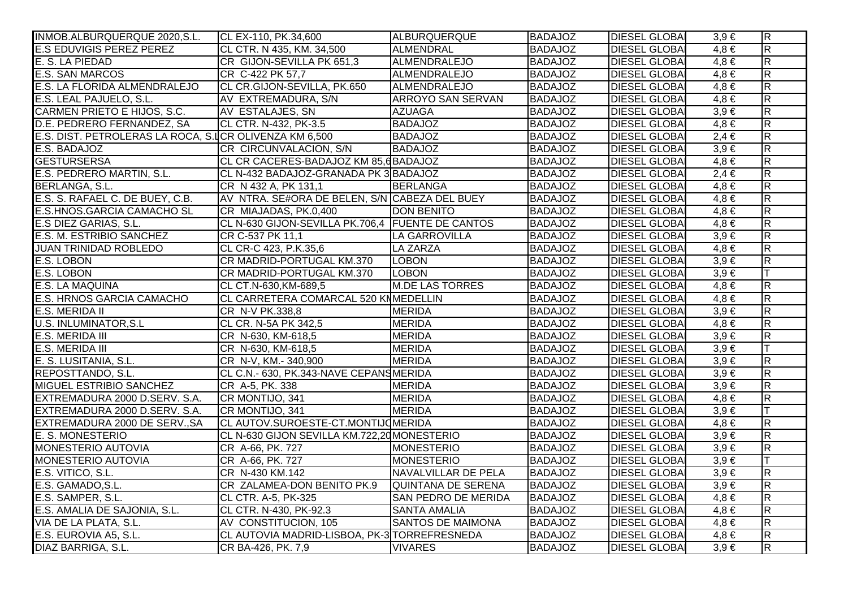| INMOB.ALBURQUERQUE 2020, S.L.                          | CL EX-110, PK.34,600                             | ALBURQUERQUE               | <b>BADAJOZ</b> | <b>DIESEL GLOBAI</b> | $3,9 \in$ | $\overline{\mathsf{R}}$ |
|--------------------------------------------------------|--------------------------------------------------|----------------------------|----------------|----------------------|-----------|-------------------------|
| <b>E.S EDUVIGIS PEREZ PEREZ</b>                        | CL CTR. N 435, KM. 34,500                        | ALMENDRAL                  | <b>BADAJOZ</b> | <b>DIESEL GLOBAI</b> | $4.8 \in$ | $\overline{\mathbf{z}}$ |
| E. S. LA PIEDAD                                        | CR GIJON-SEVILLA PK 651,3                        | ALMENDRALEJO               | <b>BADAJOZ</b> | <b>DIESEL GLOBAI</b> | $4,8 \in$ | $\overline{\mathsf{R}}$ |
| <b>E.S. SAN MARCOS</b>                                 | CR C-422 PK 57,7                                 | ALMENDRALEJO               | <b>BADAJOZ</b> | <b>DIESEL GLOBAI</b> | $4,8 \in$ | $\overline{\mathsf{R}}$ |
| E.S. LA FLORIDA ALMENDRALEJO                           | CL CR.GIJON-SEVILLA, PK.650                      | ALMENDRALEJO               | <b>BADAJOZ</b> | <b>DIESEL GLOBAI</b> | $4,8 \in$ | $\overline{R}$          |
| E.S. LEAL PAJUELO, S.L.                                | AV EXTREMADURA, S/N                              | <b>ARROYO SAN SERVAN</b>   | <b>BADAJOZ</b> | <b>DIESEL GLOBAI</b> | $4,8 \in$ | $\overline{R}$          |
| CARMEN PRIETO E HIJOS, S.C.                            | AV ESTALAJES, SN                                 | <b>AZUAGA</b>              | <b>BADAJOZ</b> | <b>DIESEL GLOBAI</b> | $3,9 \in$ | $\overline{\mathbf{z}}$ |
| D.E. PEDRERO FERNANDEZ, SA                             | CL CTR. N-432, PK-3.5                            | <b>BADAJOZ</b>             | <b>BADAJOZ</b> | <b>DIESEL GLOBA</b>  | $4,8 \in$ | $\overline{\mathsf{R}}$ |
| E.S. DIST. PETROLERAS LA ROCA, S.ICR OLIVENZA KM 6,500 |                                                  | <b>BADAJOZ</b>             | <b>BADAJOZ</b> | <b>DIESEL GLOBA</b>  | $2,4 \in$ | $\overline{\mathsf{R}}$ |
| E.S. BADAJOZ                                           | CR CIRCUNVALACION, S/N                           | <b>BADAJOZ</b>             | <b>BADAJOZ</b> | <b>DIESEL GLOBAI</b> | $3,9 \in$ | $\overline{R}$          |
| <b>GESTURSERSA</b>                                     | CL CR CACERES-BADAJOZ KM 85,6 BADAJOZ            |                            | <b>BADAJOZ</b> | <b>DIESEL GLOBA</b>  | $4,8 \in$ | $\overline{R}$          |
| E.S. PEDRERO MARTIN, S.L.                              | CL N-432 BADAJOZ-GRANADA PK 3 BADAJOZ            |                            | <b>BADAJOZ</b> | <b>DIESEL GLOBAI</b> | $2,4 \in$ | $\overline{\mathbf{z}}$ |
| BERLANGA, S.L.                                         | CR N 432 A, PK 131,1                             | <b>BERLANGA</b>            | <b>BADAJOZ</b> | <b>DIESEL GLOBA</b>  | $4,8 \in$ | $\overline{R}$          |
| E.S. S. RAFAEL C. DE BUEY, C.B.                        | AV NTRA. SE#ORA DE BELEN, S/N CABEZA DEL BUEY    |                            | <b>BADAJOZ</b> | <b>DIESEL GLOBA</b>  | $4,8 \in$ | $\overline{\mathsf{R}}$ |
| E.S.HNOS.GARCIA CAMACHO SL                             | CR MIAJADAS, PK.0,400                            | <b>DON BENITO</b>          | <b>BADAJOZ</b> | <b>DIESEL GLOBAI</b> | $4,8 \in$ | $\overline{\mathsf{R}}$ |
| E.S DIEZ GARIAS, S.L.                                  | CL N-630 GIJON-SEVILLA PK.706,4 FUENTE DE CANTOS |                            | <b>BADAJOZ</b> | <b>DIESEL GLOBA</b>  | $4,8 \in$ | $\overline{\mathbf{z}}$ |
| E.S. M. ESTRIBIO SANCHEZ                               | CR C-537 PK 11,1                                 | LA GARROVILLA              | <b>BADAJOZ</b> | <b>DIESEL GLOBA</b>  | $3,9 \in$ | $\overline{\mathsf{R}}$ |
| <b>JUAN TRINIDAD ROBLEDO</b>                           | CL CR-C 423, P.K.35,6                            | <b>LA ZARZA</b>            | <b>BADAJOZ</b> | <b>DIESEL GLOBA</b>  | $4,8 \in$ | $\overline{\mathsf{R}}$ |
| E.S. LOBON                                             | CR MADRID-PORTUGAL KM.370                        | <b>LOBON</b>               | <b>BADAJOZ</b> | <b>DIESEL GLOBA</b>  | $3,9 \in$ | $\overline{\mathsf{R}}$ |
| E.S. LOBON                                             | CR MADRID-PORTUGAL KM.370                        | <b>LOBON</b>               | <b>BADAJOZ</b> | <b>DIESEL GLOBAI</b> | $3,9 \in$ |                         |
| <b>E.S. LA MAQUINA</b>                                 | CL CT.N-630, KM-689, 5                           | <b>M.DE LAS TORRES</b>     | <b>BADAJOZ</b> | <b>DIESEL GLOBAI</b> | $4,8 \in$ | $\overline{\mathbf{z}}$ |
| <b>E.S. HRNOS GARCIA CAMACHO</b>                       | CL CARRETERA COMARCAL 520 KNMEDELLIN             |                            | <b>BADAJOZ</b> | <b>DIESEL GLOBA</b>  | $4,8 \in$ | $\overline{R}$          |
| <b>E.S. MERIDA II</b>                                  | CR N-V PK.338,8                                  | <b>MERIDA</b>              | <b>BADAJOZ</b> | <b>DIESEL GLOBA</b>  | $3,9 \in$ | $\overline{R}$          |
| <b>U.S. INLUMINATOR, S.L.</b>                          | CL CR. N-5A PK 342,5                             | <b>MERIDA</b>              | <b>BADAJOZ</b> | <b>DIESEL GLOBAI</b> | $4,8 \in$ | $\overline{R}$          |
| <b>E.S. MERIDA III</b>                                 | CR N-630, KM-618,5                               | <b>MERIDA</b>              | <b>BADAJOZ</b> | <b>DIESEL GLOBAI</b> | $3,9 \in$ | $\overline{R}$          |
| E.S. MERIDA III                                        | CR N-630, KM-618,5                               | <b>MERIDA</b>              | <b>BADAJOZ</b> | <b>DIESEL GLOBA</b>  | $3,9 \in$ | lΤ                      |
| E. S. LUSITANIA, S.L.                                  | CR N-V, KM .- 340,900                            | <b>MERIDA</b>              | <b>BADAJOZ</b> | <b>DIESEL GLOBAI</b> | $3,9 \in$ | $\overline{\mathsf{R}}$ |
| REPOSTTANDO, S.L.                                      | CL C.N.- 630, PK.343-NAVE CEPANSMERIDA           |                            | <b>BADAJOZ</b> | <b>DIESEL GLOBA</b>  | $3,9 \in$ | $\overline{R}$          |
| <b>MIGUEL ESTRIBIO SANCHEZ</b>                         | CR A-5, PK. 338                                  | <b>MERIDA</b>              | <b>BADAJOZ</b> | <b>DIESEL GLOBA</b>  | $3,9 \in$ | $\overline{R}$          |
| EXTREMADURA 2000 D.SERV. S.A.                          | CR MONTIJO, 341                                  | <b>MERIDA</b>              | <b>BADAJOZ</b> | <b>DIESEL GLOBAI</b> | $4,8 \in$ | $\overline{\mathbf{z}}$ |
| EXTREMADURA 2000 D.SERV. S.A.                          | CR MONTIJO, 341                                  | <b>MERIDA</b>              | <b>BADAJOZ</b> | <b>DIESEL GLOBA</b>  | $3,9 \in$ |                         |
| EXTREMADURA 2000 DE SERV., SA                          | CL AUTOV.SUROESTE-CT.MONTIJOMERIDA               |                            | <b>BADAJOZ</b> | <b>DIESEL GLOBA</b>  | $4,8 \in$ | $\overline{\mathsf{R}}$ |
| <b>E. S. MONESTERIO</b>                                | CL N-630 GIJON SEVILLA KM.722,20 MONESTERIO      |                            | <b>BADAJOZ</b> | <b>DIESEL GLOBA</b>  | $3,9 \in$ | $\overline{\mathsf{R}}$ |
| <b>MONESTERIO AUTOVIA</b>                              | CR A-66, PK. 727                                 | MONESTERIO                 | <b>BADAJOZ</b> | <b>DIESEL GLOBA</b>  | $3,9 \in$ | $\overline{\mathsf{R}}$ |
| <b>MONESTERIO AUTOVIA</b>                              | CR A-66, PK. 727                                 | <b>MONESTERIO</b>          | <b>BADAJOZ</b> | <b>DIESEL GLOBA</b>  | $3,9 \in$ |                         |
| E.S. VITICO, S.L.                                      | CR N-430 KM.142                                  | NAVALVILLAR DE PELA        | <b>BADAJOZ</b> | <b>DIESEL GLOBA</b>  | $3,9 \in$ | $\overline{\mathsf{R}}$ |
| E.S. GAMADO, S.L.                                      | CR ZALAMEA-DON BENITO PK.9                       | QUINTANA DE SERENA         | <b>BADAJOZ</b> | <b>DIESEL GLOBA</b>  | $3,9 \in$ | $\overline{\mathsf{R}}$ |
| E.S. SAMPER, S.L.                                      | CL CTR. A-5, PK-325                              | <b>SAN PEDRO DE MERIDA</b> | <b>BADAJOZ</b> | <b>DIESEL GLOBAI</b> | $4,8 \in$ | $\overline{\mathsf{R}}$ |
| E.S. AMALIA DE SAJONIA, S.L.                           | CL CTR. N-430, PK-92.3                           | <b>SANTA AMALIA</b>        | <b>BADAJOZ</b> | <b>DIESEL GLOBA</b>  | $4,8 \in$ | $\overline{\mathsf{R}}$ |
| VIA DE LA PLATA, S.L.                                  | AV CONSTITUCION, 105                             | <b>SANTOS DE MAIMONA</b>   | <b>BADAJOZ</b> | <b>DIESEL GLOBA</b>  | $4,8 \in$ | $\overline{\mathbf{z}}$ |
| E.S. EUROVIA A5, S.L.                                  | CL AUTOVIA MADRID-LISBOA, PK-3 TORREFRESNEDA     |                            | <b>BADAJOZ</b> | <b>DIESEL GLOBAI</b> | $4,8 \in$ | $\overline{\mathsf{R}}$ |
| DIAZ BARRIGA, S.L.                                     | CR BA-426, PK. 7,9                               | <b>VIVARES</b>             | <b>BADAJOZ</b> | <b>DIESEL GLOBAI</b> | $3,9 \in$ | $\overline{\mathbf{z}}$ |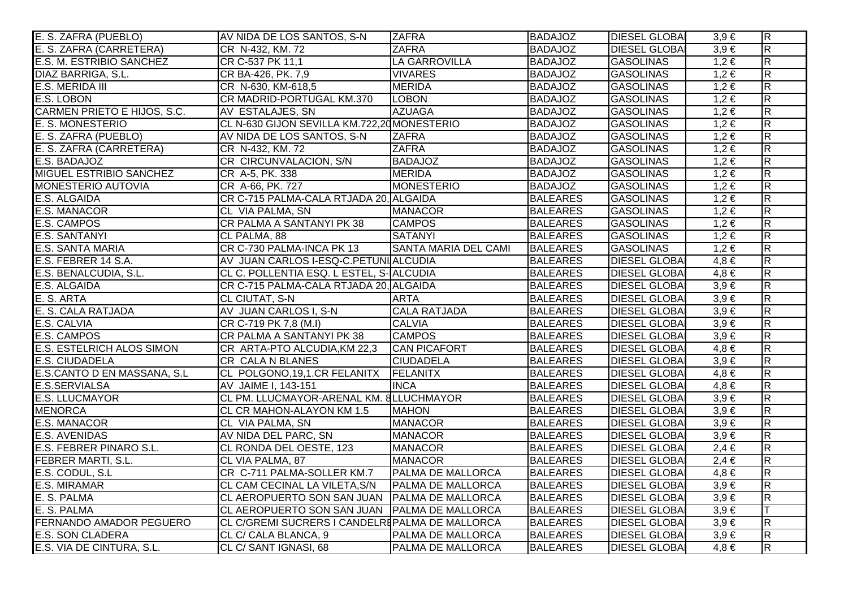| E. S. ZAFRA (PUEBLO)               | AV NIDA DE LOS SANTOS, S-N                        | <b>ZAFRA</b>                | <b>BADAJOZ</b>  | <b>DIESEL GLOBAL</b> | $3,9 \in$ | $\overline{R}$          |
|------------------------------------|---------------------------------------------------|-----------------------------|-----------------|----------------------|-----------|-------------------------|
| E. S. ZAFRA (CARRETERA)            | CR N-432, KM. 72                                  | <b>ZAFRA</b>                | <b>BADAJOZ</b>  | <b>DIESEL GLOBA</b>  | $3,9 \in$ | $\overline{\mathsf{R}}$ |
| E.S. M. ESTRIBIO SANCHEZ           | CR C-537 PK 11,1                                  | <b>LA GARROVILLA</b>        | <b>BADAJOZ</b>  | <b>GASOLINAS</b>     | $1,2 \in$ | $\overline{\mathsf{R}}$ |
| DIAZ BARRIGA, S.L.                 | CR BA-426, PK. 7,9                                | <b>VIVARES</b>              | <b>BADAJOZ</b>  | GASOLINAS            | $1,2 \in$ | $\overline{\mathsf{R}}$ |
| E.S. MERIDA III                    | CR N-630, KM-618,5                                | <b>MERIDA</b>               | <b>BADAJOZ</b>  | GASOLINAS            | $1,2 \in$ | $\overline{\mathsf{R}}$ |
| E.S. LOBON                         | CR MADRID-PORTUGAL KM.370                         | <b>LOBON</b>                | <b>BADAJOZ</b>  | <b>GASOLINAS</b>     | $1,2 \in$ | $\overline{R}$          |
| <b>CARMEN PRIETO E HIJOS, S.C.</b> | AV ESTALAJES, SN                                  | <b>AZUAGA</b>               | <b>BADAJOZ</b>  | <b>GASOLINAS</b>     | $1,2 \in$ | $\overline{R}$          |
| E. S. MONESTERIO                   | CL N-630 GIJON SEVILLA KM.722,20 MONESTERIO       |                             | <b>BADAJOZ</b>  | <b>GASOLINAS</b>     | $1,2 \in$ | $\overline{R}$          |
| E. S. ZAFRA (PUEBLO)               | AV NIDA DE LOS SANTOS, S-N                        | <b>ZAFRA</b>                | <b>BADAJOZ</b>  | GASOLINAS            | $1,2 \in$ | $\overline{\mathsf{R}}$ |
| E. S. ZAFRA (CARRETERA)            | CR N-432, KM. 72                                  | <b>ZAFRA</b>                | <b>BADAJOZ</b>  | <b>GASOLINAS</b>     | $1,2 \in$ | $\overline{R}$          |
| E.S. BADAJOZ                       | CR CIRCUNVALACION, S/N                            | <b>BADAJOZ</b>              | <b>BADAJOZ</b>  | <b>GASOLINAS</b>     | $1,2 \in$ | $\overline{R}$          |
| MIGUEL ESTRIBIO SANCHEZ            | CR A-5, PK. 338                                   | <b>MERIDA</b>               | <b>BADAJOZ</b>  | <b>GASOLINAS</b>     | $1,2 \in$ | $\overline{R}$          |
| MONESTERIO AUTOVIA                 | CR A-66, PK. 727                                  | MONESTERIO                  | <b>BADAJOZ</b>  | GASOLINAS            | $1,2 \in$ | $\overline{\mathsf{R}}$ |
| E.S. ALGAIDA                       | CR C-715 PALMA-CALA RTJADA 20, ALGAIDA            |                             | <b>BALEARES</b> | <b>GASOLINAS</b>     | $1,2 \in$ | $\overline{\mathsf{R}}$ |
| E.S. MANACOR                       | CL VIA PALMA, SN                                  | <b>MANACOR</b>              | <b>BALEARES</b> | GASOLINAS            | $1,2 \in$ | $\overline{\mathsf{R}}$ |
| E.S. CAMPOS                        | CR PALMA A SANTANYI PK 38                         | <b>CAMPOS</b>               | <b>BALEARES</b> | <b>GASOLINAS</b>     | $1,2 \in$ | $\overline{R}$          |
| <b>E.S. SANTANYI</b>               | CL PALMA, 88                                      | <b>SATANYI</b>              | <b>BALEARES</b> | <b>GASOLINAS</b>     | $1,2 \in$ | $\overline{R}$          |
| E.S. SANTA MARIA                   | CR C-730 PALMA-INCA PK 13                         | <b>SANTA MARIA DEL CAMI</b> | <b>BALEARES</b> | <b>GASOLINAS</b>     | $1,2 \in$ | $\overline{R}$          |
| E.S. FEBRER 14 S.A.                | AV JUAN CARLOS I-ESQ-C.PETUNI ALCUDIA             |                             | <b>BALEARES</b> | <b>DIESEL GLOBA</b>  | $4,8 \in$ | $\overline{\mathsf{R}}$ |
| E.S. BENALCUDIA, S.L.              | CL C. POLLENTIA ESQ. L ESTEL, S- ALCUDIA          |                             | <b>BALEARES</b> | <b>DIESEL GLOBA</b>  | $4,8 \in$ | $\overline{R}$          |
| E.S. ALGAIDA                       | CR C-715 PALMA-CALA RTJADA 20, ALGAIDA            |                             | <b>BALEARES</b> | <b>DIESEL GLOBA</b>  | $3,9 \in$ | $\overline{\mathsf{R}}$ |
| E. S. ARTA                         | <b>CL CIUTAT, S-N</b>                             | <b>ARTA</b>                 | <b>BALEARES</b> | <b>DIESEL GLOBA</b>  | $3,9 \in$ | $\overline{R}$          |
| E. S. CALA RATJADA                 | AV JUAN CARLOS I, S-N                             | <b>CALA RATJADA</b>         | <b>BALEARES</b> | <b>DIESEL GLOBA</b>  | $3,9 \in$ | $\overline{R}$          |
| E.S. CALVIA                        | CR C-719 PK 7,8 (M.I)                             | <b>CALVIA</b>               | <b>BALEARES</b> | <b>DIESEL GLOBAI</b> | $3,9 \in$ | $\overline{\mathsf{R}}$ |
| E.S. CAMPOS                        | CR PALMA A SANTANYI PK 38                         | <b>CAMPOS</b>               | <b>BALEARES</b> | <b>DIESEL GLOBAI</b> | $3,9 \in$ | $\overline{\mathsf{R}}$ |
| <b>E.S. ESTELRICH ALOS SIMON</b>   | CR ARTA-PTO ALCUDIA, KM 22,3                      | <b>CAN PICAFORT</b>         | <b>BALEARES</b> | <b>DIESEL GLOBA</b>  | $4,8 \in$ | $\overline{\mathsf{R}}$ |
| E.S. CIUDADELA                     | <b>CR CALA N BLANES</b>                           | <b>CIUDADELA</b>            | <b>BALEARES</b> | <b>DIESEL GLOBA</b>  | $3,9 \in$ | $\overline{R}$          |
| E.S.CANTO D EN MASSANA, S.L        | CL POLGONO, 19, 1.CR FELANITX FELANITX            |                             | <b>BALEARES</b> | <b>DIESEL GLOBA</b>  | $4,8 \in$ | $\overline{\mathsf{R}}$ |
| E.S.SERVIALSA                      | AV JAIME I, 143-151                               | <b>INCA</b>                 | <b>BALEARES</b> | <b>DIESEL GLOBA</b>  | $4,8 \in$ | $\overline{\mathsf{R}}$ |
| <b>E.S. LLUCMAYOR</b>              | CL PM. LLUCMAYOR-ARENAL KM. 8LLUCHMAYOR           |                             | <b>BALEARES</b> | <b>DIESEL GLOBA</b>  | $3,9 \in$ | $\overline{\mathsf{R}}$ |
| <b>MENORCA</b>                     | CL CR MAHON-ALAYON KM 1.5                         | <b>MAHON</b>                | <b>BALEARES</b> | <b>DIESEL GLOBA</b>  | $3,9 \in$ | $\overline{R}$          |
| E.S. MANACOR                       | CL VIA PALMA, SN                                  | <b>MANACOR</b>              | <b>BALEARES</b> | <b>DIESEL GLOBA</b>  | $3,9 \in$ | $\overline{\mathsf{R}}$ |
| E.S. AVENIDAS                      | AV NIDA DEL PARC, SN                              | <b>MANACOR</b>              | <b>BALEARES</b> | <b>DIESEL GLOBA</b>  | $3,9 \in$ | R                       |
| E.S. FEBRER PINARO S.L.            | <b>CL RONDA DEL OESTE, 123</b>                    | <b>MANACOR</b>              | <b>BALEARES</b> | <b>DIESEL GLOBAI</b> | $2,4 \in$ | $\overline{R}$          |
| <b>FEBRER MARTI, S.L.</b>          | CL VIA PALMA, 87                                  | <b>MANACOR</b>              | <b>BALEARES</b> | <b>DIESEL GLOBA</b>  | $2,4 \in$ | $\overline{\mathsf{R}}$ |
| E.S. CODUL, S.L                    | CR C-711 PALMA-SOLLER KM.7   PALMA DE MALLORCA    |                             | <b>BALEARES</b> | <b>DIESEL GLOBA</b>  | $4,8 \in$ | $\overline{\mathsf{R}}$ |
| E.S. MIRAMAR                       | CL CAM CECINAL LA VILETA, S/N   PALMA DE MALLORCA |                             | <b>BALEARES</b> | <b>DIESEL GLOBA</b>  | $3,9 \in$ | $\overline{\mathsf{R}}$ |
| E. S. PALMA                        | CL AEROPUERTO SON SAN JUAN   PALMA DE MALLORCA    |                             | <b>BALEARES</b> | <b>DIESEL GLOBA</b>  | $3,9 \in$ | $\overline{R}$          |
| E. S. PALMA                        | CL AEROPUERTO SON SAN JUAN PALMA DE MALLORCA      |                             | <b>BALEARES</b> | <b>DIESEL GLOBA</b>  | $3,9 \in$ |                         |
| <b>FERNANDO AMADOR PEGUERO</b>     | CL C/GREMI SUCRERS I CANDELREPALMA DE MALLORCA    |                             | <b>BALEARES</b> | <b>DIESEL GLOBA</b>  | $3,9 \in$ | $\overline{\mathsf{R}}$ |
| <b>E.S. SON CLADERA</b>            | CL C/ CALA BLANCA, 9                              | PALMA DE MALLORCA           | <b>BALEARES</b> | <b>DIESEL GLOBAI</b> | $3,9 \in$ | $\overline{\mathsf{R}}$ |
| E.S. VIA DE CINTURA, S.L.          | CL C/ SANT IGNASI, 68                             | PALMA DE MALLORCA           | <b>BALEARES</b> | <b>DIESEL GLOBAI</b> | $4,8 \in$ | $\overline{\mathsf{R}}$ |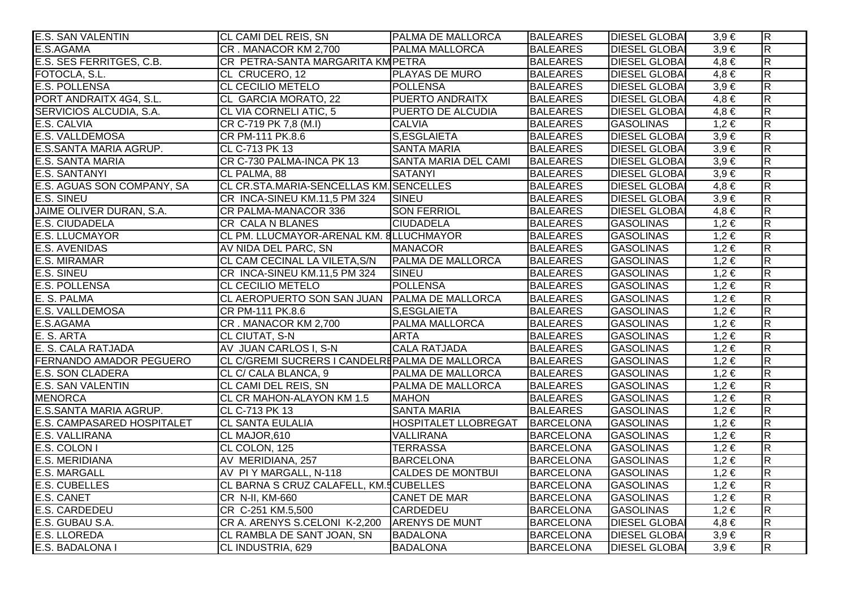| <b>E.S. SAN VALENTIN</b>   | CL CAMI DEL REIS, SN                              | PALMA DE MALLORCA           | <b>BALEARES</b>  | <b>DIESEL GLOBAL</b> | $3,9 \in$ | $\overline{\mathsf{R}}$ |
|----------------------------|---------------------------------------------------|-----------------------------|------------------|----------------------|-----------|-------------------------|
| E.S.AGAMA                  | CR. MANACOR KM 2,700                              | <b>PALMA MALLORCA</b>       | <b>BALEARES</b>  | <b>DIESEL GLOBA</b>  | $3,9 \in$ | $\overline{\mathsf{R}}$ |
| E.S. SES FERRITGES, C.B.   | CR PETRA-SANTA MARGARITA KM PETRA                 |                             | <b>BALEARES</b>  | <b>DIESEL GLOBA</b>  | $4,8 \in$ | $\overline{\mathsf{R}}$ |
| FOTOCLA, S.L.              | CL CRUCERO, 12                                    | PLAYAS DE MURO              | <b>BALEARES</b>  | <b>DIESEL GLOBA</b>  | $4,8 \in$ | $\overline{\mathsf{R}}$ |
| E.S. POLLENSA              | <b>CL CECILIO METELO</b>                          | <b>POLLENSA</b>             | <b>BALEARES</b>  | <b>DIESEL GLOBA</b>  | $3,9 \in$ | $\overline{\mathsf{R}}$ |
| PORT ANDRAITX 4G4, S.L.    | CL GARCIA MORATO, 22                              | <b>PUERTO ANDRAITX</b>      | <b>BALEARES</b>  | <b>DIESEL GLOBA</b>  | $4,8 \in$ | $\overline{R}$          |
| SERVICIOS ALCUDIA, S.A.    | CL VIA CORNELI ATIC, 5                            | <b>PUERTO DE ALCUDIA</b>    | <b>BALEARES</b>  | <b>DIESEL GLOBA</b>  | $4,8 \in$ | $\overline{\mathsf{R}}$ |
| E.S. CALVIA                | CR C-719 PK 7,8 (M.I)                             | <b>CALVIA</b>               | <b>BALEARES</b>  | <b>GASOLINAS</b>     | $1,2 \in$ | $\overline{R}$          |
| E.S. VALLDEMOSA            | CR PM-111 PK.8.6                                  | S,ESGLAIETA                 | <b>BALEARES</b>  | <b>DIESEL GLOBA</b>  | $3,9 \in$ | $\overline{\mathsf{R}}$ |
| E.S.SANTA MARIA AGRUP.     | CL C-713 PK 13                                    | <b>SANTA MARIA</b>          | <b>BALEARES</b>  | <b>DIESEL GLOBA</b>  | $3,9 \in$ | $\overline{R}$          |
| E.S. SANTA MARIA           | CR C-730 PALMA-INCA PK 13                         | <b>SANTA MARIA DEL CAMI</b> | <b>BALEARES</b>  | <b>DIESEL GLOBA</b>  | $3,9 \in$ | $\overline{\mathsf{R}}$ |
| <b>E.S. SANTANYI</b>       | CL PALMA, 88                                      | <b>SATANYI</b>              | <b>BALEARES</b>  | <b>DIESEL GLOBA</b>  | $3,9 \in$ | $\overline{R}$          |
| E.S. AGUAS SON COMPANY, SA | CL CR.STA.MARIA-SENCELLAS KM. SENCELLES           |                             | <b>BALEARES</b>  | <b>DIESEL GLOBA</b>  | $4,8 \in$ | $\overline{\mathsf{R}}$ |
| <b>E.S. SINEU</b>          | CR INCA-SINEU KM.11,5 PM 324                      | <b>TSINEU</b>               | <b>BALEARES</b>  | <b>DIESEL GLOBA</b>  | $3,9 \in$ | $\overline{\mathsf{R}}$ |
| JAIME OLIVER DURAN, S.A.   | CR PALMA-MANACOR 336                              | <b>SON FERRIOL</b>          | <b>BALEARES</b>  | <b>DIESEL GLOBA</b>  | $4,8 \in$ | $\overline{R}$          |
| E.S. CIUDADELA             | <b>CR CALA N BLANES</b>                           | <b>CIUDADELA</b>            | <b>BALEARES</b>  | <b>GASOLINAS</b>     | $1,2 \in$ | $\overline{R}$          |
| <b>E.S. LLUCMAYOR</b>      | CL PM. LLUCMAYOR-ARENAL KM. 8LLUCHMAYOR           |                             | <b>BALEARES</b>  | <b>GASOLINAS</b>     | $1,2 \in$ | $\overline{R}$          |
| <b>E.S. AVENIDAS</b>       | AV NIDA DEL PARC, SN                              | <b>MANACOR</b>              | <b>BALEARES</b>  | <b>GASOLINAS</b>     | $1,2 \in$ | $\overline{\mathsf{R}}$ |
| E.S. MIRAMAR               | CL CAM CECINAL LA VILETA, S/N   PALMA DE MALLORCA |                             | <b>BALEARES</b>  | <b>GASOLINAS</b>     | $1,2 \in$ | $\overline{R}$          |
| <b>E.S. SINEU</b>          | CR INCA-SINEU KM.11,5 PM 324                      | SINEU                       | <b>BALEARES</b>  | <b>GASOLINAS</b>     | $1,2 \in$ | $\overline{\mathsf{R}}$ |
| <b>E.S. POLLENSA</b>       | <b>CL CECILIO METELO</b>                          | <b>POLLENSA</b>             | <b>BALEARES</b>  | <b>GASOLINAS</b>     | $1,2 \in$ | $\overline{R}$          |
| E. S. PALMA                | CL AEROPUERTO SON SAN JUAN PALMA DE MALLORCA      |                             | <b>BALEARES</b>  | <b>GASOLINAS</b>     | $1,2 \in$ | $\overline{\mathsf{R}}$ |
| E.S. VALLDEMOSA            | CR PM-111 PK.8.6                                  | S, ESGLAIETA                | <b>BALEARES</b>  | <b>GASOLINAS</b>     | $1,2 \in$ | $\overline{\mathsf{R}}$ |
| E.S.AGAMA                  | CR. MANACOR KM 2,700                              | <b>PALMA MALLORCA</b>       | <b>BALEARES</b>  | <b>GASOLINAS</b>     | $1,2 \in$ | $\overline{R}$          |
| E. S. ARTA                 | <b>CL CIUTAT, S-N</b>                             | <b>ARTA</b>                 | <b>BALEARES</b>  | <b>GASOLINAS</b>     | $1,2 \in$ | $\overline{R}$          |
| E. S. CALA RATJADA         | AV JUAN CARLOS I, S-N                             | <b>CALA RATJADA</b>         | <b>BALEARES</b>  | <b>GASOLINAS</b>     | $1,2 \in$ | $\overline{R}$          |
| FERNANDO AMADOR PEGUERO    | CL C/GREMI SUCRERS I CANDELREPALMA DE MALLORCA    |                             | <b>BALEARES</b>  | <b>GASOLINAS</b>     | $1,2 \in$ | $\overline{\mathsf{R}}$ |
| <b>E.S. SON CLADERA</b>    | CL C/ CALA BLANCA, 9                              | <b>PALMA DE MALLORCA</b>    | <b>BALEARES</b>  | <b>GASOLINAS</b>     | $1,2 \in$ | $\overline{R}$          |
| E.S. SAN VALENTIN          | CL CAMI DEL REIS, SN                              | PALMA DE MALLORCA           | <b>BALEARES</b>  | <b>GASOLINAS</b>     | $1,2 \in$ | $\overline{\mathsf{R}}$ |
| <b>MENORCA</b>             | CL CR MAHON-ALAYON KM 1.5                         | <b>MAHON</b>                | <b>BALEARES</b>  | <b>GASOLINAS</b>     | $1,2 \in$ | $\overline{R}$          |
| E.S.SANTA MARIA AGRUP.     | CL C-713 PK 13                                    | <b>SANTA MARIA</b>          | <b>BALEARES</b>  | <b>GASOLINAS</b>     | $1,2 \in$ | $\overline{R}$          |
| E.S. CAMPASARED HOSPITALET | <b>CL SANTA EULALIA</b>                           | <b>HOSPITALET LLOBREGAT</b> | BARCELONA        | <b>GASOLINAS</b>     | $1,2 \in$ | $\overline{\mathsf{R}}$ |
| E.S. VALLIRANA             | CL MAJOR, 610                                     | VALLIRANA                   | <b>BARCELONA</b> | <b>GASOLINAS</b>     | $1,2 \in$ | $\overline{\mathsf{R}}$ |
| E.S. COLON I               | CL COLON, 125                                     | <b>TERRASSA</b>             | <b>BARCELONA</b> | <b>GASOLINAS</b>     | $1,2 \in$ | R                       |
| E.S. MERIDIANA             | AV MERIDIANA, 257                                 | <b>BARCELONA</b>            | <b>BARCELONA</b> | <b>GASOLINAS</b>     | $1,2 \in$ | $\overline{\mathsf{R}}$ |
| <b>E.S. MARGALL</b>        | AV PI Y MARGALL, N-118                            | <b>CALDES DE MONTBUI</b>    | <b>BARCELONA</b> | <b>GASOLINAS</b>     | $1,2 \in$ | $\overline{R}$          |
| <b>E.S. CUBELLES</b>       | CL BARNA S CRUZ CALAFELL, KM.5 CUBELLES           |                             | <b>BARCELONA</b> | <b>GASOLINAS</b>     | $1,2 \in$ | R                       |
| <b>E.S. CANET</b>          | CR N-II, KM-660                                   | <b>CANET DE MAR</b>         | <b>BARCELONA</b> | <b>GASOLINAS</b>     | $1,2 \in$ | $\overline{\mathsf{R}}$ |
| <b>E.S. CARDEDEU</b>       | CR C-251 KM.5,500                                 | <b>CARDEDEU</b>             | <b>BARCELONA</b> | <b>GASOLINAS</b>     | $1,2 \in$ | $\overline{\mathsf{R}}$ |
| E.S. GUBAU S.A.            | CR A. ARENYS S.CELONI K-2,200 ARENYS DE MUNT      |                             | <b>BARCELONA</b> | <b>DIESEL GLOBA</b>  | $4,8 \in$ | $\overline{\mathsf{R}}$ |
| <b>E.S. LLOREDA</b>        | CL RAMBLA DE SANT JOAN, SN                        | <b>BADALONA</b>             | <b>BARCELONA</b> | <b>DIESEL GLOBA</b>  | $3,9 \in$ | $\overline{\mathsf{R}}$ |
| E.S. BADALONA I            | CL INDUSTRIA, 629                                 | <b>BADALONA</b>             | <b>BARCELONA</b> | <b>DIESEL GLOBA</b>  | $3,9 \in$ | $\overline{R}$          |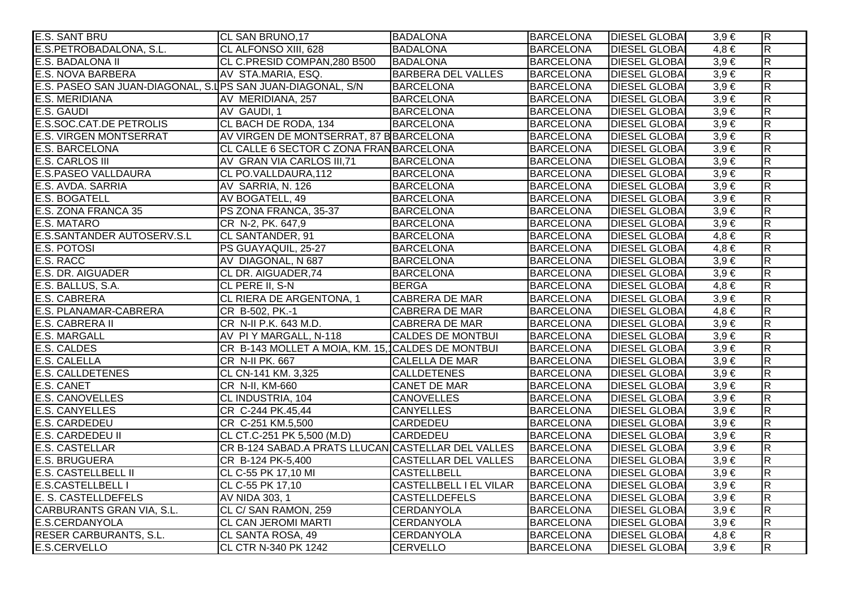| <b>E.S. SANT BRU</b>                                        | CL SAN BRUNO,17                                    | <b>BADALONA</b>               | <b>BARCELONA</b> | <b>DIESEL GLOBAL</b> | $3,9 \in$ | $\overline{R}$          |
|-------------------------------------------------------------|----------------------------------------------------|-------------------------------|------------------|----------------------|-----------|-------------------------|
| E.S.PETROBADALONA, S.L.                                     | CL ALFONSO XIII, 628                               | <b>BADALONA</b>               | <b>BARCELONA</b> | <b>DIESEL GLOBA</b>  | $4,8 \in$ | $\overline{\mathsf{R}}$ |
| E.S. BADALONA II                                            | CL C.PRESID COMPAN,280 B500                        | <b>BADALONA</b>               | <b>BARCELONA</b> | <b>DIESEL GLOBA</b>  | $3,9 \in$ | $\overline{R}$          |
| <b>E.S. NOVA BARBERA</b>                                    | AV STA.MARIA, ESQ.                                 | <b>BARBERA DEL VALLES</b>     | <b>BARCELONA</b> | <b>DIESEL GLOBA</b>  | $3,9 \in$ | $\overline{\mathbf{z}}$ |
| E.S. PASEO SAN JUAN-DIAGONAL, S.I PS SAN JUAN-DIAGONAL, S/N |                                                    | <b>BARCELONA</b>              | <b>BARCELONA</b> | <b>DIESEL GLOBA</b>  | $3,9 \in$ | $\overline{R}$          |
| <b>E.S. MERIDIANA</b>                                       | AV MERIDIANA, 257                                  | <b>BARCELONA</b>              | <b>BARCELONA</b> | <b>DIESEL GLOBA</b>  | $3,9 \in$ | $\overline{\mathsf{R}}$ |
| E.S. GAUDI                                                  | AV GAUDI, 1                                        | <b>BARCELONA</b>              | <b>BARCELONA</b> | <b>DIESEL GLOBAI</b> | $3,9 \in$ | $\overline{\mathsf{R}}$ |
| <b>E.S.SOC.CAT.DE PETROLIS</b>                              | CL BACH DE RODA, 134                               | <b>BARCELONA</b>              | <b>BARCELONA</b> | <b>DIESEL GLOBA</b>  | $3,9 \in$ | $\overline{\mathsf{R}}$ |
| <b>E.S. VIRGEN MONTSERRAT</b>                               | AV VIRGEN DE MONTSERRAT, 87 B BARCELONA            |                               | <b>BARCELONA</b> | <b>DIESEL GLOBA</b>  | $3,9 \in$ | $\overline{\mathsf{R}}$ |
| <b>E.S. BARCELONA</b>                                       | CL CALLE 6 SECTOR C ZONA FRANBARCELONA             |                               | <b>BARCELONA</b> | <b>DIESEL GLOBA</b>  | $3,9 \in$ | $\overline{R}$          |
| <b>E.S. CARLOS III</b>                                      | AV GRAN VIA CARLOS III,71                          | <b>BARCELONA</b>              | <b>BARCELONA</b> | <b>DIESEL GLOBA</b>  | $3,9 \in$ | $\overline{\mathbf{z}}$ |
| <b>E.S.PASEO VALLDAURA</b>                                  | CL PO.VALLDAURA, 112                               | <b>BARCELONA</b>              | <b>BARCELONA</b> | <b>DIESEL GLOBAI</b> | $3,9 \in$ | $\overline{R}$          |
| E.S. AVDA. SARRIA                                           | AV SARRIA, N. 126                                  | <b>BARCELONA</b>              | <b>BARCELONA</b> | <b>DIESEL GLOBA</b>  | $3,9 \in$ | $\overline{\mathbf{z}}$ |
| <b>E.S. BOGATELL</b>                                        | AV BOGATELL, 49                                    | <b>BARCELONA</b>              | <b>BARCELONA</b> | <b>DIESEL GLOBA</b>  | $3,9 \in$ | $\overline{R}$          |
| E.S. ZONA FRANCA 35                                         | PS ZONA FRANCA, 35-37                              | <b>BARCELONA</b>              | <b>BARCELONA</b> | <b>DIESEL GLOBA</b>  | $3,9 \in$ | $\overline{\mathsf{R}}$ |
| <b>E.S. MATARO</b>                                          | CR N-2, PK. 647,9                                  | <b>BARCELONA</b>              | <b>BARCELONA</b> | <b>DIESEL GLOBA</b>  | $3,9 \in$ | $\overline{R}$          |
| E.S.SANTANDER AUTOSERV.S.L                                  | CL SANTANDER, 91                                   | <b>BARCELONA</b>              | <b>BARCELONA</b> | <b>DIESEL GLOBA</b>  | $4,8 \in$ | $\overline{\mathsf{R}}$ |
| <b>E.S. POTOSI</b>                                          | PS GUAYAQUIL, 25-27                                | <b>BARCELONA</b>              | <b>BARCELONA</b> | <b>DIESEL GLOBA</b>  | $4,8 \in$ | $\overline{\mathsf{R}}$ |
| E.S. RACC                                                   | AV DIAGONAL, N 687                                 | <b>BARCELONA</b>              | <b>BARCELONA</b> | <b>DIESEL GLOBA</b>  | $3,9 \in$ | $\overline{R}$          |
| E.S. DR. AIGUADER                                           | CL DR. AIGUADER, 74                                | <b>BARCELONA</b>              | <b>BARCELONA</b> | <b>DIESEL GLOBA</b>  | $3,9 \in$ | $\overline{R}$          |
| E.S. BALLUS, S.A.                                           | CL PERE II, S-N                                    | <b>BERGA</b>                  | <b>BARCELONA</b> | <b>DIESEL GLOBA</b>  | $4,8 \in$ | $\overline{R}$          |
| <b>E.S. CABRERA</b>                                         | CL RIERA DE ARGENTONA, 1                           | CABRERA DE MAR                | <b>BARCELONA</b> | <b>DIESEL GLOBA</b>  | $3,9 \in$ | $\overline{R}$          |
| <b>E.S. PLANAMAR-CABRERA</b>                                | CR B-502, PK.-1                                    | CABRERA DE MAR                | <b>BARCELONA</b> | <b>DIESEL GLOBA</b>  | $4,8 \in$ | $\overline{\mathsf{R}}$ |
| E.S. CABRERA II                                             | CR N-II P.K. 643 M.D.                              | CABRERA DE MAR                | <b>BARCELONA</b> | <b>DIESEL GLOBAI</b> | $3,9 \in$ | $\overline{\mathsf{R}}$ |
| <b>E.S. MARGALL</b>                                         | AV PI Y MARGALL, N-118                             | <b>CALDES DE MONTBUI</b>      | <b>BARCELONA</b> | <b>DIESEL GLOBAI</b> | $3,9 \in$ | $\overline{R}$          |
| <b>E.S. CALDES</b>                                          | CR B-143 MOLLET A MOIA, KM. 15, CALDES DE MONTBUI  |                               | <b>BARCELONA</b> | <b>DIESEL GLOBA</b>  | $3,9 \in$ | $\overline{\mathsf{R}}$ |
| <b>E.S. CALELLA</b>                                         | CR N-II PK. 667                                    | CALELLA DE MAR                | <b>BARCELONA</b> | <b>DIESEL GLOBAL</b> | $3,9 \in$ | $\overline{\mathsf{R}}$ |
| <b>E.S. CALLDETENES</b>                                     | CL CN-141 KM. 3,325                                | <b>CALLDETENES</b>            | <b>BARCELONA</b> | <b>DIESEL GLOBA</b>  | $3,9 \in$ | $\overline{R}$          |
| <b>E.S. CANET</b>                                           | CR N-II, KM-660                                    | <b>CANET DE MAR</b>           | <b>BARCELONA</b> | <b>DIESEL GLOBA</b>  | $3,9 \in$ | $\overline{R}$          |
| <b>E.S. CANOVELLES</b>                                      | CL INDUSTRIA, 104                                  | <b>CANOVELLES</b>             | <b>BARCELONA</b> | <b>DIESEL GLOBA</b>  | $3,9 \in$ | $\overline{\mathbf{z}}$ |
| <b>E.S. CANYELLES</b>                                       | CR C-244 PK.45,44                                  | <b>CANYELLES</b>              | <b>BARCELONA</b> | <b>DIESEL GLOBA</b>  | $3,9 \in$ | $\overline{R}$          |
| <b>E.S. CARDEDEU</b>                                        | CR C-251 KM.5,500                                  | <b>CARDEDEU</b>               | <b>BARCELONA</b> | <b>DIESEL GLOBAI</b> | $3,9 \in$ | $\overline{\mathsf{R}}$ |
| <b>E.S. CARDEDEU II</b>                                     | CL CT.C-251 PK 5,500 (M.D)                         | CARDEDEU                      | <b>BARCELONA</b> | <b>DIESEL GLOBAI</b> | $3,9 \in$ | $\overline{\mathsf{R}}$ |
| <b>E.S. CASTELLAR</b>                                       | CR B-124 SABAD.A PRATS LLUCAN CASTELLAR DEL VALLES |                               | <b>BARCELONA</b> | <b>DIESEL GLOBAI</b> | $3,9 \in$ | $\overline{\mathsf{R}}$ |
| <b>E.S. BRUGUERA</b>                                        | CR B-124 PK-5,400                                  | <b>CASTELLAR DEL VALLES</b>   | <b>BARCELONA</b> | <b>DIESEL GLOBA</b>  | $3,9 \in$ | $\overline{\mathsf{R}}$ |
| <b>E.S. CASTELLBELL II</b>                                  | CL C-55 PK 17,10 MI                                | <b>CASTELLBELL</b>            | <b>BARCELONA</b> | <b>DIESEL GLOBA</b>  | $3,9 \in$ | $\overline{\mathsf{R}}$ |
| <b>E.S.CASTELLBELL I</b>                                    | CL C-55 PK 17,10                                   | <b>CASTELLBELL I EL VILAR</b> | <b>BARCELONA</b> | <b>DIESEL GLOBA</b>  | $3,9 \in$ | $\overline{\mathsf{R}}$ |
| E. S. CASTELLDEFELS                                         | AV NIDA 303, 1                                     | <b>CASTELLDEFELS</b>          | <b>BARCELONA</b> | <b>DIESEL GLOBA</b>  | $3,9 \in$ | $\overline{\mathsf{R}}$ |
| CARBURANTS GRAN VIA, S.L.                                   | CL C/ SAN RAMON, 259                               | <b>CERDANYOLA</b>             | <b>BARCELONA</b> | <b>DIESEL GLOBA</b>  | $3,9 \in$ | $\overline{\mathsf{R}}$ |
| <b>E.S.CERDANYOLA</b>                                       | <b>CL CAN JEROMI MARTI</b>                         | <b>CERDANYOLA</b>             | <b>BARCELONA</b> | <b>DIESEL GLOBA</b>  | $3,9 \in$ | $\overline{\mathsf{R}}$ |
| <b>RESER CARBURANTS, S.L.</b>                               | CL SANTA ROSA, 49                                  | <b>CERDANYOLA</b>             | <b>BARCELONA</b> | <b>DIESEL GLOBAI</b> | $4,8 \in$ | $\overline{\mathsf{R}}$ |
| E.S.CERVELLO                                                | <b>CL CTR N-340 PK 1242</b>                        | <b>CERVELLO</b>               | <b>BARCELONA</b> | <b>DIESEL GLOBAL</b> | $3,9 \in$ | $\overline{R}$          |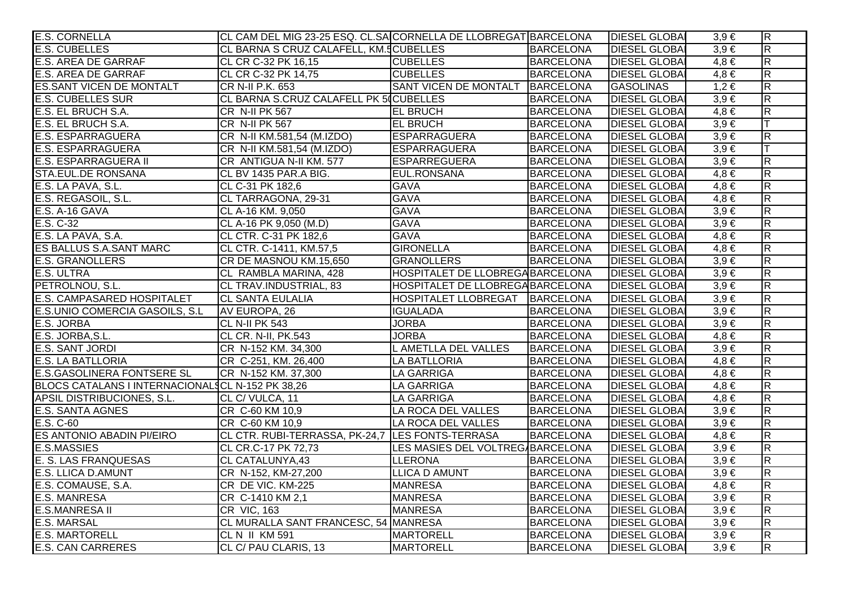| <b>E.S. CORNELLA</b>                             | CL CAM DEL MIG 23-25 ESQ. CL.SA CORNELLA DE LLOBREGAT BARCELONA |                                  |                  | <b>DIESEL GLOBA</b>  | $3,9 \in$ | $\overline{R}$          |
|--------------------------------------------------|-----------------------------------------------------------------|----------------------------------|------------------|----------------------|-----------|-------------------------|
| <b>E.S. CUBELLES</b>                             | CL BARNA S CRUZ CALAFELL, KM.5 CUBELLES                         |                                  | <b>BARCELONA</b> | <b>DIESEL GLOBAI</b> | $3,9 \in$ | $\overline{\mathsf{R}}$ |
| <b>E.S. AREA DE GARRAF</b>                       | CL CR C-32 PK 16,15                                             | <b>CUBELLES</b>                  | <b>BARCELONA</b> | <b>DIESEL GLOBAI</b> | $4,8 \in$ | $\overline{\mathsf{R}}$ |
| <b>E.S. AREA DE GARRAF</b>                       | CL CR C-32 PK 14,75                                             | <b>CUBELLES</b>                  | <b>BARCELONA</b> | <b>DIESEL GLOBAI</b> | $4,8 \in$ | $\overline{\mathsf{R}}$ |
| <b>ES.SANT VICEN DE MONTALT</b>                  | CR N-II P.K. 653                                                | <b>SANT VICEN DE MONTALT</b>     | <b>BARCELONA</b> | <b>GASOLINAS</b>     | $1,2 \in$ | $\overline{R}$          |
| <b>E.S. CUBELLES SUR</b>                         | CL BARNA S.CRUZ CALAFELL PK 5 CUBELLES                          |                                  | <b>BARCELONA</b> | <b>DIESEL GLOBAI</b> | $3,9 \in$ | $\overline{R}$          |
| E.S. EL BRUCH S.A.                               | CR N-II PK 567                                                  | <b>EL BRUCH</b>                  | <b>BARCELONA</b> | <b>DIESEL GLOBAI</b> | $4,8 \in$ | R                       |
| E.S. EL BRUCH S.A.                               | <b>CR N-II PK 567</b>                                           | <b>EL BRUCH</b>                  | <b>BARCELONA</b> | <b>DIESEL GLOBAI</b> | $3,9 \in$ | lΤ                      |
| <b>E.S. ESPARRAGUERA</b>                         | CR N-II KM.581,54 (M.IZDO)                                      | ESPARRAGUERA                     | <b>BARCELONA</b> | <b>DIESEL GLOBAI</b> | $3,9 \in$ | $\overline{R}$          |
| <b>E.S. ESPARRAGUERA</b>                         | CR N-II KM.581,54 (M.IZDO)                                      | ESPARRAGUERA                     | <b>BARCELONA</b> | <b>DIESEL GLOBAI</b> | $3,9 \in$ |                         |
| E.S. ESPARRAGUERA II                             | CR ANTIGUA N-II KM. 577                                         | <b>ESPARREGUERA</b>              | <b>BARCELONA</b> | <b>DIESEL GLOBAI</b> | $3,9 \in$ | R                       |
| STA.EUL.DE RONSANA                               | CL BV 1435 PAR.A BIG.                                           | EUL.RONSANA                      | <b>BARCELONA</b> | <b>DIESEL GLOBAI</b> | $4,8 \in$ | $\overline{\mathsf{R}}$ |
| E.S. LA PAVA, S.L.                               | CL C-31 PK 182,6                                                | <b>GAVA</b>                      | <b>BARCELONA</b> | <b>DIESEL GLOBA</b>  | $4,8 \in$ | $\overline{R}$          |
| E.S. REGASOIL, S.L.                              | CL TARRAGONA, 29-31                                             | <b>GAVA</b>                      | <b>BARCELONA</b> | <b>DIESEL GLOBA</b>  | $4,8 \in$ | $\overline{R}$          |
| E.S. A-16 GAVA                                   | CL A-16 KM. 9,050                                               | <b>GAVA</b>                      | <b>BARCELONA</b> | <b>DIESEL GLOBAI</b> | $3,9 \in$ | $\overline{R}$          |
| $E.S. C-32$                                      | CL A-16 PK 9,050 (M.D)                                          | <b>GAVA</b>                      | <b>BARCELONA</b> | <b>DIESEL GLOBAI</b> | $3,9 \in$ | $\overline{R}$          |
| E.S. LA PAVA, S.A.                               | CL CTR. C-31 PK 182,6                                           | <b>GAVA</b>                      | <b>BARCELONA</b> | <b>DIESEL GLOBA</b>  | $4,8 \in$ | $\overline{R}$          |
| ES BALLUS S.A.SANT MARC                          | CL CTR. C-1411, KM.57,5                                         | <b>GIRONELLA</b>                 | <b>BARCELONA</b> | <b>DIESEL GLOBAI</b> | $4,8 \in$ | $\overline{\mathsf{R}}$ |
| <b>E.S. GRANOLLERS</b>                           | CR DE MASNOU KM.15,650                                          | <b>GRANOLLERS</b>                | <b>BARCELONA</b> | <b>DIESEL GLOBAI</b> | $3,9 \in$ | $\overline{R}$          |
| <b>E.S. ULTRA</b>                                | CL RAMBLA MARINA, 428                                           | HOSPITALET DE LLOBREGA BARCELONA |                  | <b>DIESEL GLOBAI</b> | $3,9 \in$ | $\overline{R}$          |
| PETROLNOU, S.L.                                  | CL TRAV.INDUSTRIAL, 83                                          | HOSPITALET DE LLOBREGA BARCELONA |                  | <b>DIESEL GLOBAI</b> | $3,9 \in$ | $\overline{R}$          |
| E.S. CAMPASARED HOSPITALET                       | <b>CL SANTA EULALIA</b>                                         | HOSPITALET LLOBREGAT   BARCELONA |                  | <b>DIESEL GLOBA</b>  | $3,9 \in$ | $\overline{R}$          |
| E.S.UNIO COMERCIA GASOILS, S.L.                  | AV EUROPA, 26                                                   | <b>IGUALADA</b>                  | <b>BARCELONA</b> | <b>DIESEL GLOBAI</b> | $3,9 \in$ | $\overline{R}$          |
| E.S. JORBA                                       | CL N-II PK 543                                                  | <b>JORBA</b>                     | <b>BARCELONA</b> | <b>DIESEL GLOBAI</b> | $3,9 \in$ | $\overline{R}$          |
| E.S. JORBA, S.L.                                 | CL CR. N-II, PK.543                                             | <b>JORBA</b>                     | <b>BARCELONA</b> | <b>DIESEL GLOBAI</b> | $4,8 \in$ | $\overline{R}$          |
| E.S. SANT JORDI                                  | CR N-152 KM. 34,300                                             | L AMETLLA DEL VALLES             | <b>BARCELONA</b> | <b>DIESEL GLOBAI</b> | $3.9 \in$ | $\overline{\mathsf{R}}$ |
| <b>E.S. LA BATLLORIA</b>                         | CR C-251, KM. 26,400                                            | LA BATLLORIA                     | <b>BARCELONA</b> | <b>DIESEL GLOBA</b>  | $4,8 \in$ | $\overline{R}$          |
| <b>E.S.GASOLINERA FONTSERE SL</b>                | CR N-152 KM. 37,300                                             | <b>LA GARRIGA</b>                | <b>BARCELONA</b> | <b>DIESEL GLOBAI</b> | $4,8 \in$ | $\overline{\mathsf{R}}$ |
| BLOCS CATALANS I INTERNACIONALSCL N-152 PK 38,26 |                                                                 | <b>LA GARRIGA</b>                | <b>BARCELONA</b> | <b>DIESEL GLOBAI</b> | $4,8 \in$ | $\overline{R}$          |
| APSIL DISTRIBUCIONES, S.L.                       | CL C/VULCA, 11                                                  | <b>LA GARRIGA</b>                | <b>BARCELONA</b> | <b>DIESEL GLOBAI</b> | $4,8 \in$ | $\overline{\mathsf{R}}$ |
| E.S. SANTA AGNES                                 | CR C-60 KM 10,9                                                 | LA ROCA DEL VALLES               | <b>BARCELONA</b> | <b>DIESEL GLOBAI</b> | $3,9 \in$ | $\overline{\mathsf{R}}$ |
| E.S. C-60                                        | CR C-60 KM 10,9                                                 | LA ROCA DEL VALLES               | <b>BARCELONA</b> | <b>DIESEL GLOBAI</b> | $3,9 \in$ | $\overline{\mathsf{R}}$ |
| <b>ES ANTONIO ABADIN PI/EIRO</b>                 | CL CTR. RUBI-TERRASSA, PK-24,7 LES FONTS-TERRASA                |                                  | <b>BARCELONA</b> | <b>DIESEL GLOBAI</b> | $4,8 \in$ | $\overline{\mathsf{R}}$ |
| <b>E.S.MASSIES</b>                               | CL CR.C-17 PK 72,73                                             | LES MASIES DEL VOLTREG/BARCELONA |                  | <b>DIESEL GLOBAI</b> | $3,9 \in$ | $\overline{\mathsf{R}}$ |
| E. S. LAS FRANQUESAS                             | <b>CL CATALUNYA,43</b>                                          | <b>LLERONA</b>                   | <b>BARCELONA</b> | <b>DIESEL GLOBA</b>  | $3,9 \in$ | $\overline{\mathsf{R}}$ |
| <b>E.S. LLICA D.AMUNT</b>                        | CR N-152, KM-27,200                                             | <b>LLICA D AMUNT</b>             | <b>BARCELONA</b> | <b>DIESEL GLOBAI</b> | $3,9 \in$ | $\overline{\mathsf{R}}$ |
| E.S. COMAUSE, S.A.                               | CR DE VIC. KM-225                                               | <b>MANRESA</b>                   | <b>BARCELONA</b> | <b>DIESEL GLOBA</b>  | $4,8 \in$ | $\overline{\mathsf{R}}$ |
| <b>E.S. MANRESA</b>                              | CR C-1410 KM 2,1                                                | <b>MANRESA</b>                   | <b>BARCELONA</b> | <b>DIESEL GLOBA</b>  | $3,9 \in$ | $\overline{\mathsf{R}}$ |
| <b>E.S.MANRESA II</b>                            | CR VIC, 163                                                     | <b>MANRESA</b>                   | <b>BARCELONA</b> | <b>DIESEL GLOBA</b>  | $3,9 \in$ | $\overline{\mathsf{R}}$ |
| <b>E.S. MARSAL</b>                               | CL MURALLA SANT FRANCESC, 54 MANRESA                            |                                  | <b>BARCELONA</b> | <b>DIESEL GLOBAI</b> | $3,9 \in$ | $\overline{\mathsf{R}}$ |
| <b>E.S. MARTORELL</b>                            | <b>CL N II KM 591</b>                                           | <b>MARTORELL</b>                 | <b>BARCELONA</b> | <b>DIESEL GLOBAI</b> | $3,9 \in$ | $\overline{R}$          |
| <b>E.S. CAN CARRERES</b>                         | CL C/ PAU CLARIS, 13                                            | <b>MARTORELL</b>                 | <b>BARCELONA</b> | <b>DIESEL GLOBA</b>  | $3.9 \in$ | $\overline{\mathsf{R}}$ |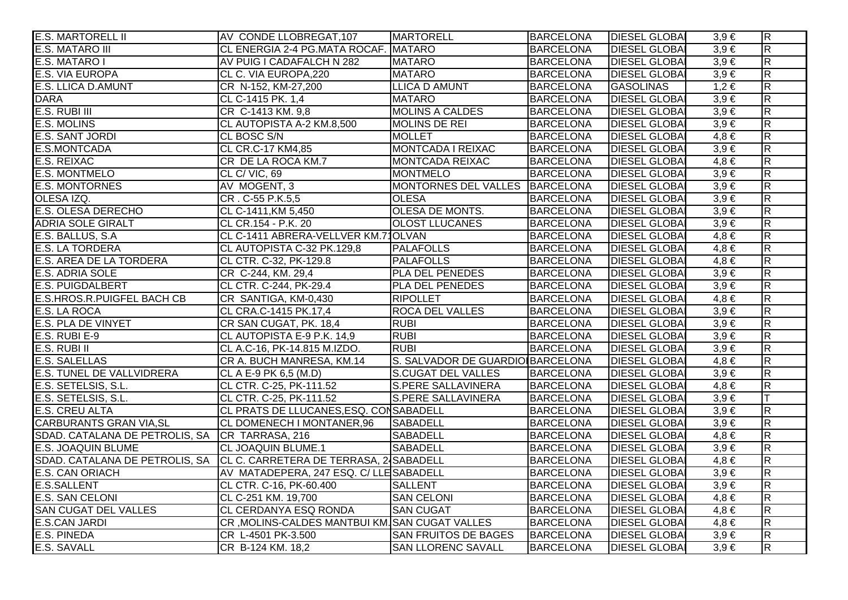| <b>E.S. MARTORELL II</b>                                              | AV CONDE LLOBREGAT, 107                        | <b>MARTORELL</b>                 | <b>BARCELONA</b> | <b>DIESEL GLOBAI</b> | $3,9 \in$ | $\overline{R}$          |
|-----------------------------------------------------------------------|------------------------------------------------|----------------------------------|------------------|----------------------|-----------|-------------------------|
| <b>E.S. MATARO III</b>                                                | CL ENERGIA 2-4 PG.MATA ROCAF. MATARO           |                                  | <b>BARCELONA</b> | <b>DIESEL GLOBAL</b> | $3,9 \in$ | $\overline{\mathsf{R}}$ |
| E.S. MATARO I                                                         | AV PUIG I CADAFALCH N 282                      | <b>MATARO</b>                    | <b>BARCELONA</b> | <b>DIESEL GLOBA</b>  | $3,9 \in$ | $\overline{\mathsf{R}}$ |
| E.S. VIA EUROPA                                                       | CL C. VIA EUROPA, 220                          | <b>MATARO</b>                    | <b>BARCELONA</b> | <b>DIESEL GLOBA</b>  | $3,9 \in$ | $\overline{\mathbf{z}}$ |
| <b>E.S. LLICA D.AMUNT</b>                                             | CR N-152, KM-27,200                            | <b>LLICA D AMUNT</b>             | <b>BARCELONA</b> | <b>GASOLINAS</b>     | $1,2 \in$ | $\overline{\mathbf{z}}$ |
| <b>DARA</b>                                                           | CL C-1415 PK. 1,4                              | <b>MATARO</b>                    | <b>BARCELONA</b> | <b>DIESEL GLOBAI</b> | $3,9 \in$ | $\overline{\mathsf{R}}$ |
| E.S. RUBI III                                                         | CR C-1413 KM. 9,8                              | <b>MOLINS A CALDES</b>           | <b>BARCELONA</b> | <b>DIESEL GLOBA</b>  | $3,9 \in$ | $\overline{R}$          |
| <b>E.S. MOLINS</b>                                                    | CL AUTOPISTA A-2 KM.8,500                      | <b>MOLINS DE REI</b>             | <b>BARCELONA</b> | <b>DIESEL GLOBA</b>  | $3,9 \in$ | $\overline{\mathsf{R}}$ |
| E.S. SANT JORDI                                                       | CL BOSC S/N                                    | <b>MOLLET</b>                    | <b>BARCELONA</b> | <b>DIESEL GLOBA</b>  | $4,8 \in$ | $\overline{R}$          |
| E.S.MONTCADA                                                          | CL CR.C-17 KM4,85                              | MONTCADA I REIXAC                | <b>BARCELONA</b> | <b>DIESEL GLOBAL</b> | $3,9 \in$ | $\overline{\mathsf{R}}$ |
| E.S. REIXAC                                                           | CR DE LA ROCA KM.7                             | <b>MONTCADA REIXAC</b>           | <b>BARCELONA</b> | <b>DIESEL GLOBAI</b> | $4,8 \in$ | $\overline{\mathbf{z}}$ |
| <b>E.S. MONTMELO</b>                                                  | CL C/VIC, 69                                   | <b>MONTMELO</b>                  | <b>BARCELONA</b> | <b>DIESEL GLOBAI</b> | $3,9 \in$ | $\overline{R}$          |
| <b>E.S. MONTORNES</b>                                                 | AV MOGENT, 3                                   | MONTORNES DEL VALLES BARCELONA   |                  | <b>DIESEL GLOBA</b>  | $3,9 \in$ | $\overline{\mathbf{z}}$ |
| OLESA IZQ.                                                            | CR. C-55 P.K.5,5                               | <b>OLESA</b>                     | <b>BARCELONA</b> | <b>DIESEL GLOBA</b>  | $3,9 \in$ | $\overline{R}$          |
| E.S. OLESA DERECHO                                                    | CL C-1411, KM 5,450                            | <b>OLESA DE MONTS.</b>           | <b>BARCELONA</b> | <b>DIESEL GLOBAI</b> | $3,9 \in$ | $\overline{R}$          |
| <b>ADRIA SOLE GIRALT</b>                                              | CL CR. 154 - P.K. 20                           | <b>OLOST LLUCANES</b>            | <b>BARCELONA</b> | <b>DIESEL GLOBAI</b> | $3,9 \in$ | $\overline{\mathsf{R}}$ |
| E.S. BALLUS, S.A.                                                     | CL C-1411 ABRERA-VELLVER KM.71OLVAN            |                                  | <b>BARCELONA</b> | <b>DIESEL GLOBA</b>  | $4,8 \in$ | $\overline{\mathsf{R}}$ |
| E.S. LA TORDERA                                                       | CL AUTOPISTA C-32 PK.129,8                     | <b>PALAFOLLS</b>                 | <b>BARCELONA</b> | <b>DIESEL GLOBA</b>  | $4,8 \in$ | $\overline{R}$          |
| E.S. AREA DE LA TORDERA                                               | CL CTR. C-32, PK-129.8                         | <b>PALAFOLLS</b>                 | <b>BARCELONA</b> | <b>DIESEL GLOBA</b>  | $4,8 \in$ | $\overline{\mathsf{R}}$ |
| E.S. ADRIA SOLE                                                       | CR C-244, KM. 29,4                             | PLA DEL PENEDES                  | <b>BARCELONA</b> | <b>DIESEL GLOBAI</b> | $3,9 \in$ | $\overline{\mathbf{z}}$ |
| <b>E.S. PUIGDALBERT</b>                                               | CL CTR. C-244, PK-29.4                         | PLA DEL PENEDES                  | <b>BARCELONA</b> | <b>DIESEL GLOBA</b>  | $3,9 \in$ | $\overline{R}$          |
| E.S.HROS.R.PUIGFEL BACH CB                                            | CR SANTIGA, KM-0,430                           | <b>RIPOLLET</b>                  | <b>BARCELONA</b> | <b>DIESEL GLOBA</b>  | $4,8 \in$ | $\overline{\mathbf{z}}$ |
| E.S. LA ROCA                                                          | CL CRA.C-1415 PK.17,4                          | <b>ROCA DEL VALLES</b>           | <b>BARCELONA</b> | <b>DIESEL GLOBA</b>  | $3,9 \in$ | $\overline{R}$          |
| E.S. PLA DE VINYET                                                    | CR SAN CUGAT, PK. 18,4                         | <b>RUBI</b>                      | <b>BARCELONA</b> | <b>DIESEL GLOBAI</b> | $3,9 \in$ | $\overline{R}$          |
| E.S. RUBI E-9                                                         | CL AUTOPISTA E-9 P.K. 14,9                     | <b>RUBI</b>                      | <b>BARCELONA</b> | <b>DIESEL GLOBAI</b> | $3,9 \in$ | $\overline{\mathsf{R}}$ |
| E.S. RUBI II                                                          | CL A.C-16, PK-14.815 M.IZDO.                   | <b>RUBI</b>                      | <b>BARCELONA</b> | <b>DIESEL GLOBA</b>  | $3,9 \in$ | $\overline{\mathsf{R}}$ |
| E.S. SALELLAS                                                         | CR A. BUCH MANRESA, KM.14                      | S. SALVADOR DE GUARDIO BARCELONA |                  | <b>DIESEL GLOBA</b>  | $4,8 \in$ | $\overline{R}$          |
| E.S. TUNEL DE VALLVIDRERA                                             | CL A E-9 PK 6,5 (M.D)                          | <b>S.CUGAT DEL VALLES</b>        | <b>BARCELONA</b> | <b>DIESEL GLOBA</b>  | $3,9 \in$ | $\overline{\mathsf{R}}$ |
| E.S. SETELSIS, S.L.                                                   | CL CTR. C-25, PK-111.52                        | <b>S.PERE SALLAVINERA</b>        | <b>BARCELONA</b> | <b>DIESEL GLOBAI</b> | $4,8 \in$ | $\overline{\mathbf{z}}$ |
| E.S. SETELSIS, S.L.                                                   | CL CTR. C-25, PK-111.52                        | <b>S.PERE SALLAVINERA</b>        | <b>BARCELONA</b> | <b>DIESEL GLOBAI</b> | $3,9 \in$ |                         |
| <b>E.S. CREU ALTA</b>                                                 | CL PRATS DE LLUCANES, ESQ. CONSABADELL         |                                  | <b>BARCELONA</b> | <b>DIESEL GLOBA</b>  | $3,9 \in$ | $\overline{\mathsf{R}}$ |
| <b>CARBURANTS GRAN VIA, SL</b>                                        | CL DOMENECH I MONTANER,96                      | <b>SABADELL</b>                  | <b>BARCELONA</b> | <b>DIESEL GLOBA</b>  | $3,9 \in$ | $\overline{\mathsf{R}}$ |
| SDAD. CATALANA DE PETROLIS, SA CR TARRASA, 216                        |                                                | <b>SABADELL</b>                  | <b>BARCELONA</b> | <b>DIESEL GLOBA</b>  | $4,8 \in$ | $\overline{\mathsf{R}}$ |
| <b>E.S. JOAQUIN BLUME</b>                                             | <b>CL JOAQUIN BLUME.1</b>                      | <b>SABADELL</b>                  | <b>BARCELONA</b> | <b>DIESEL GLOBA</b>  | $3,9 \in$ | $\overline{\mathsf{R}}$ |
| SDAD. CATALANA DE PETROLIS, SA CL C. CARRETERA DE TERRASA, 24SABADELL |                                                |                                  | <b>BARCELONA</b> | <b>DIESEL GLOBA</b>  | $4,8 \in$ | $\overline{\mathsf{R}}$ |
| E.S. CAN ORIACH                                                       | AV MATADEPERA, 247 ESQ. C/ LLE SABADELL        |                                  | <b>BARCELONA</b> | <b>DIESEL GLOBAI</b> | $3,9 \in$ | $\overline{\mathsf{R}}$ |
| <b>E.S.SALLENT</b>                                                    | CL CTR. C-16, PK-60.400                        | <b>SALLENT</b>                   | <b>BARCELONA</b> | <b>DIESEL GLOBA</b>  | $3,9 \in$ | $\overline{\mathsf{R}}$ |
| <b>E.S. SAN CELONI</b>                                                | CL C-251 KM. 19,700                            | <b>SAN CELONI</b>                | <b>BARCELONA</b> | <b>DIESEL GLOBAI</b> | $4,8 \in$ | $\overline{\mathsf{R}}$ |
| <b>SAN CUGAT DEL VALLES</b>                                           | CL CERDANYA ESQ RONDA                          | <b>SAN CUGAT</b>                 | <b>BARCELONA</b> | <b>DIESEL GLOBAI</b> | $4,8 \in$ | $\overline{\mathsf{R}}$ |
| <b>E.S.CAN JARDI</b>                                                  | CR, MOLINS-CALDES MANTBUI KM. SAN CUGAT VALLES |                                  | <b>BARCELONA</b> | <b>DIESEL GLOBA</b>  | $4,8 \in$ | R                       |
| E.S. PINEDA                                                           | CR L-4501 PK-3.500                             | SAN FRUITOS DE BAGES             | <b>BARCELONA</b> | <b>DIESEL GLOBAI</b> | $3,9 \in$ | $\overline{\mathsf{R}}$ |
| E.S. SAVALL                                                           | CR B-124 KM. 18,2                              | <b>SAN LLORENC SAVALL</b>        | <b>BARCELONA</b> | <b>DIESEL GLOBA</b>  | $3,9 \in$ | $\overline{\mathbf{z}}$ |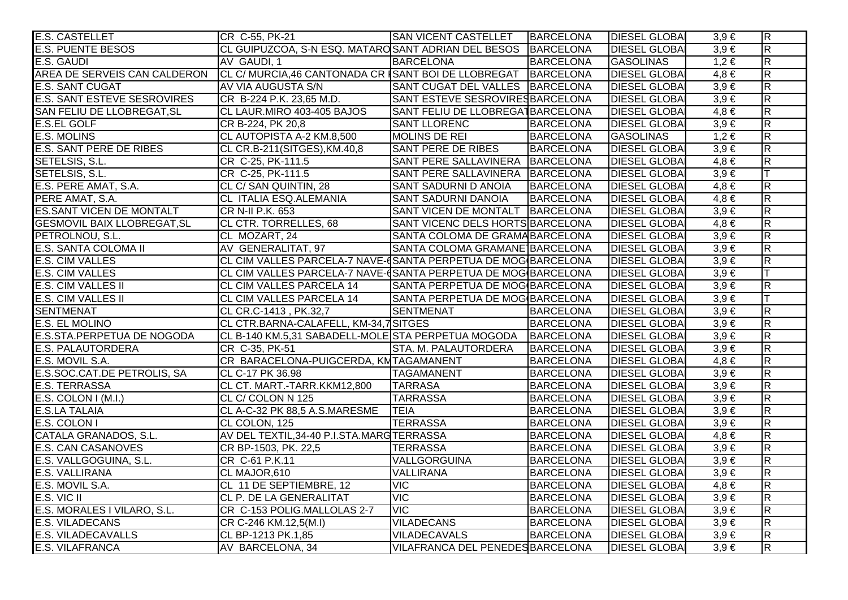| <b>E.S. CASTELLET</b>              | CR C-55, PK-21                                                | SAN VICENT CASTELLET   BARCELONA |                  | <b>DIESEL GLOBAL</b> | $3,9 \in$ | $\overline{\mathsf{R}}$ |
|------------------------------------|---------------------------------------------------------------|----------------------------------|------------------|----------------------|-----------|-------------------------|
| <b>E.S. PUENTE BESOS</b>           | CL GUIPUZCOA, S-N ESQ. MATAROSANT ADRIAN DEL BESOS BARCELONA  |                                  |                  | <b>DIESEL GLOBA</b>  | $3,9 \in$ | $\overline{\mathsf{R}}$ |
| E.S. GAUDI                         | AV GAUDI, 1                                                   | <b>BARCELONA</b>                 | <b>BARCELONA</b> | <b>GASOLINAS</b>     | $1,2 \in$ | $\overline{R}$          |
| AREA DE SERVEIS CAN CALDERON       | CL C/ MURCIA,46 CANTONADA CR SANT BOI DE LLOBREGAT BARCELONA  |                                  |                  | <b>DIESEL GLOBAI</b> | $4,8 \in$ | $\overline{\mathsf{R}}$ |
| <b>E.S. SANT CUGAT</b>             | AV VIA AUGUSTA S/N                                            | SANT CUGAT DEL VALLES BARCELONA  |                  | <b>DIESEL GLOBA</b>  | $3,9 \in$ | $\overline{R}$          |
| <b>E.S. SANT ESTEVE SESROVIRES</b> | CR B-224 P.K. 23,65 M.D.                                      | SANT ESTEVE SESROVIRES BARCELONA |                  | <b>DIESEL GLOBAI</b> | $3,9 \in$ | $\overline{\mathsf{R}}$ |
| SAN FELIU DE LLOBREGAT, SL         | CL LAUR.MIRO 403-405 BAJOS                                    | SANT FELIU DE LLOBREGATBARCELONA |                  | <b>DIESEL GLOBAI</b> | $4,8 \in$ | $\overline{\mathsf{R}}$ |
| <b>E.S.EL GOLF</b>                 | CR B-224, PK 20,8                                             | <b>SANT LLORENC</b>              | <b>BARCELONA</b> | <b>DIESEL GLOBA</b>  | $3,9 \in$ | $\overline{\mathsf{R}}$ |
| <b>E.S. MOLINS</b>                 | CL AUTOPISTA A-2 KM.8,500                                     | MOLINS DE REI                    | <b>BARCELONA</b> | <b>GASOLINAS</b>     | $1,2 \in$ | $\overline{R}$          |
| <b>E.S. SANT PERE DE RIBES</b>     | CL CR.B-211(SITGES), KM.40,8                                  | <b>SANT PERE DE RIBES</b>        | BARCELONA        | <b>DIESEL GLOBAI</b> | $3,9 \in$ | $\overline{\mathsf{R}}$ |
| SETELSIS, S.L.                     | CR C-25, PK-111.5                                             | SANT PERE SALLAVINERA BARCELONA  |                  | <b>DIESEL GLOBAI</b> | $4,8 \in$ | $\overline{R}$          |
| SETELSIS, S.L.                     | CR C-25, PK-111.5                                             | SANT PERE SALLAVINERA BARCELONA  |                  | <b>DIESEL GLOBA</b>  | $3,9 \in$ | ΙT                      |
| E.S. PERE AMAT, S.A.               | CL C/ SAN QUINTIN, 28                                         | SANT SADURNI D ANOIA             | BARCELONA        | <b>DIESEL GLOBAI</b> | $4,8 \in$ | $\overline{R}$          |
| PERE AMAT, S.A.                    | CL ITALIA ESQ.ALEMANIA                                        | <b>SANT SADURNI DANOIA</b>       | <b>BARCELONA</b> | <b>DIESEL GLOBA</b>  | $4,8 \in$ | $\overline{R}$          |
| <b>ES.SANT VICEN DE MONTALT</b>    | CR N-II P.K. 653                                              | SANT VICEN DE MONTALT BARCELONA  |                  | <b>DIESEL GLOBA</b>  | $3,9 \in$ | $\overline{R}$          |
| <b>GESMOVIL BAIX LLOBREGAT, SL</b> | CL CTR. TORRELLES, 68                                         | SANT VICENC DELS HORTS BARCELONA |                  | <b>DIESEL GLOBAI</b> | $4,8 \in$ | $\overline{R}$          |
| PETROLNOU, S.L.                    | CL MOZART, 24                                                 | SANTA COLOMA DE GRAMA BARCELONA  |                  | <b>DIESEL GLOBAI</b> | $3,9 \in$ | $\overline{\mathsf{R}}$ |
| <b>E.S. SANTA COLOMA II</b>        | AV GENERALITAT, 97                                            | SANTA COLOMA GRAMANE BARCELONA   |                  | <b>DIESEL GLOBAI</b> | $3,9 \in$ | $\overline{R}$          |
| <b>E.S. CIM VALLES</b>             | CL CIM VALLES PARCELA-7 NAVE-CSANTA PERPETUA DE MOG BARCELONA |                                  |                  | <b>DIESEL GLOBAI</b> | $3,9 \in$ | $\overline{\mathsf{R}}$ |
| <b>E.S. CIM VALLES</b>             | CL CIM VALLES PARCELA-7 NAVE-CSANTA PERPETUA DE MOG BARCELONA |                                  |                  | <b>DIESEL GLOBAI</b> | $3,9 \in$ |                         |
| <b>E.S. CIM VALLES II</b>          | <b>CL CIM VALLES PARCELA 14</b>                               | SANTA PERPETUA DE MOG BARCELONA  |                  | <b>DIESEL GLOBA</b>  | $3,9 \in$ | $\overline{R}$          |
| <b>E.S. CIM VALLES II</b>          | CL CIM VALLES PARCELA 14                                      | SANTA PERPETUA DE MOG BARCELONA  |                  | <b>DIESEL GLOBA</b>  | $3,9 \in$ | $\top$                  |
| <b>SENTMENAT</b>                   | CL CR.C-1413, PK.32,7                                         | <b>SENTMENAT</b>                 | <b>BARCELONA</b> | <b>DIESEL GLOBA</b>  | $3,9 \in$ | $\overline{R}$          |
| <b>E.S. EL MOLINO</b>              | CL CTR.BARNA-CALAFELL, KM-34,7SITGES                          |                                  | BARCELONA        | <b>DIESEL GLOBAI</b> | $3,9 \in$ | $\overline{\mathsf{R}}$ |
| E.S.STA.PERPETUA DE NOGODA         | CL B-140 KM.5,31 SABADELL-MOLE STA PERPETUA MOGODA BARCELONA  |                                  |                  | <b>DIESEL GLOBAI</b> | $3,9 \in$ | $\overline{R}$          |
| <b>E.S. PALAUTORDERA</b>           | CR C-35, PK-51                                                | STA. M. PALAUTORDERA             | <b>BARCELONA</b> | <b>DIESEL GLOBAI</b> | $3,9 \in$ | $\overline{\mathsf{R}}$ |
| E.S. MOVIL S.A.                    | CR BARACELONA-PUIGCERDA, KMTAGAMANENT                         |                                  | <b>BARCELONA</b> | <b>DIESEL GLOBAI</b> | $4,8 \in$ | $\overline{R}$          |
| E.S.SOC.CAT.DE PETROLIS, SA        | CL C-17 PK 36.98                                              | <b>TAGAMANENT</b>                | <b>BARCELONA</b> | <b>DIESEL GLOBA</b>  | $3,9 \in$ | $\overline{R}$          |
| <b>E.S. TERRASSA</b>               | CL CT. MART.-TARR.KKM12,800                                   | <b>TARRASA</b>                   | <b>BARCELONA</b> | <b>DIESEL GLOBA</b>  | $3,9 \in$ | $\overline{R}$          |
| $E.S.$ COLON I (M.I.)              | CL C/ COLON N 125                                             | <b>TARRASSA</b>                  | <b>BARCELONA</b> | <b>DIESEL GLOBAI</b> | $3,9 \in$ | $\overline{R}$          |
| <b>E.S.LA TALAIA</b>               | CL A-C-32 PK 88,5 A.S.MARESME                                 | <b>TEIA</b>                      | <b>BARCELONA</b> | <b>DIESEL GLOBA</b>  | $3,9 \in$ | $\overline{\mathsf{R}}$ |
| E.S. COLON I                       | CL COLON, 125                                                 | <b>TERRASSA</b>                  | <b>BARCELONA</b> | <b>DIESEL GLOBAI</b> | $3,9 \in$ | $\overline{\mathsf{R}}$ |
| CATALA GRANADOS, S.L.              | AV DEL TEXTIL, 34-40 P.I.STA.MARGTERRASSA                     |                                  | <b>BARCELONA</b> | <b>DIESEL GLOBA</b>  | $4,8 \in$ | $\overline{\mathsf{R}}$ |
| <b>E.S. CAN CASANOVES</b>          | CR BP-1503, PK. 22,5                                          | <b>TERRASSA</b>                  | <b>BARCELONA</b> | <b>DIESEL GLOBA</b>  | $3,9 \in$ | $\overline{\mathsf{R}}$ |
| E.S. VALLGOGUINA, S.L.             | CR C-61 P.K.11                                                | VALLGORGUINA                     | <b>BARCELONA</b> | <b>DIESEL GLOBA</b>  | $3,9 \in$ | $\overline{R}$          |
| E.S. VALLIRANA                     | CL MAJOR, 610                                                 | <b>VALLIRANA</b>                 | <b>BARCELONA</b> | <b>DIESEL GLOBAI</b> | $3,9 \in$ | $\overline{R}$          |
| E.S. MOVIL S.A.                    | CL 11 DE SEPTIEMBRE, 12                                       | <b>VIC</b>                       | <b>BARCELONA</b> | <b>DIESEL GLOBAI</b> | $4,8 \in$ | $\overline{\mathsf{R}}$ |
| E.S. VIC II                        | CL P. DE LA GENERALITAT                                       | <b>VIC</b>                       | <b>BARCELONA</b> | <b>DIESEL GLOBAI</b> | $3,9 \in$ | $\overline{\mathsf{R}}$ |
| E.S. MORALES I VILARO, S.L.        | CR C-153 POLIG.MALLOLAS 2-7                                   | <b>VIC</b>                       | <b>BARCELONA</b> | <b>DIESEL GLOBAI</b> | $3,9 \in$ | R                       |
| <b>E.S. VILADECANS</b>             | CR C-246 KM.12,5(M.I)                                         | <b>VILADECANS</b>                | <b>BARCELONA</b> | <b>DIESEL GLOBA</b>  | $3,9 \in$ | $\overline{R}$          |
| <b>E.S. VILADECAVALLS</b>          | CL BP-1213 PK.1,85                                            | VILADECAVALS                     | <b>BARCELONA</b> | <b>DIESEL GLOBAI</b> | $3,9 \in$ | $\overline{R}$          |
| <b>E.S. VILAFRANCA</b>             | AV BARCELONA, 34                                              | VILAFRANCA DEL PENEDES BARCELONA |                  | <b>DIESEL GLOBA</b>  | $3,9 \in$ | $\overline{R}$          |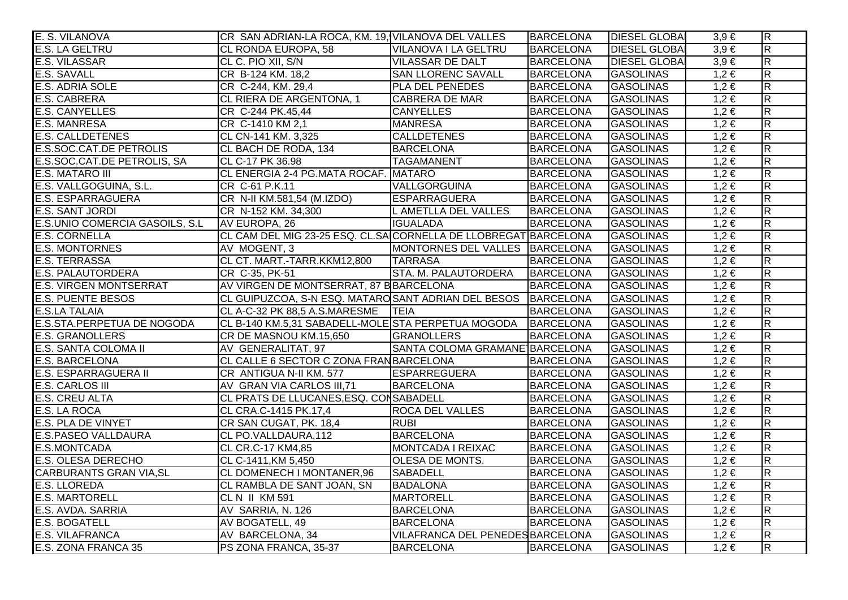| E. S. VILANOVA                  | CR SAN ADRIAN-LA ROCA, KM. 19, VILANOVA DEL VALLES              |                                  | <b>BARCELONA</b> | <b>DIESEL GLOBAI</b> | $3,9 \in$ | $\overline{R}$          |
|---------------------------------|-----------------------------------------------------------------|----------------------------------|------------------|----------------------|-----------|-------------------------|
| E.S. LA GELTRU                  | CL RONDA EUROPA, 58                                             | <b>VILANOVA I LA GELTRU</b>      | <b>BARCELONA</b> | <b>DIESEL GLOBA</b>  | $3,9 \in$ | $\overline{\mathsf{R}}$ |
| <b>E.S. VILASSAR</b>            | CL C. PIO XII, S/N                                              | <b>VILASSAR DE DALT</b>          | <b>BARCELONA</b> | <b>DIESEL GLOBA</b>  | $3,9 \in$ | $\overline{R}$          |
| E.S. SAVALL                     | CR B-124 KM. 18,2                                               | <b>SAN LLORENC SAVALL</b>        | <b>BARCELONA</b> | <b>GASOLINAS</b>     | $1,2 \in$ | $\overline{\mathsf{R}}$ |
| E.S. ADRIA SOLE                 | CR C-244, KM. 29,4                                              | PLA DEL PENEDES                  | <b>BARCELONA</b> | <b>GASOLINAS</b>     | $1,2 \in$ | $\overline{\mathsf{R}}$ |
| E.S. CABRERA                    | CL RIERA DE ARGENTONA, 1                                        | CABRERA DE MAR                   | <b>BARCELONA</b> | <b>GASOLINAS</b>     | $1,2 \in$ | $\overline{\mathsf{R}}$ |
| <b>E.S. CANYELLES</b>           | CR C-244 PK.45,44                                               | <b>CANYELLES</b>                 | <b>BARCELONA</b> | <b>GASOLINAS</b>     | $1,2 \in$ | $\overline{R}$          |
| <b>E.S. MANRESA</b>             | CR C-1410 KM 2,1                                                | <b>MANRESA</b>                   | <b>BARCELONA</b> | <b>GASOLINAS</b>     | $1,2 \in$ | $\overline{R}$          |
| E.S. CALLDETENES                | CL CN-141 KM. 3,325                                             | <b>CALLDETENES</b>               | <b>BARCELONA</b> | <b>GASOLINAS</b>     | $1,2 \in$ | $\overline{\mathsf{R}}$ |
| E.S.SOC.CAT.DE PETROLIS         | CL BACH DE RODA, 134                                            | <b>BARCELONA</b>                 | <b>BARCELONA</b> | GASOLINAS            | $1,2 \in$ | $\overline{R}$          |
| E.S.SOC.CAT.DE PETROLIS, SA     | CL C-17 PK 36.98                                                | <b>TAGAMANENT</b>                | <b>BARCELONA</b> | <b>GASOLINAS</b>     | $1,2 \in$ | $\overline{\mathsf{R}}$ |
| <b>E.S. MATARO III</b>          | CL ENERGIA 2-4 PG.MATA ROCAF. MATARO                            |                                  | <b>BARCELONA</b> | <b>GASOLINAS</b>     | $1,2 \in$ | $\overline{R}$          |
| E.S. VALLGOGUINA, S.L.          | CR C-61 P.K.11                                                  | <b>VALLGORGUINA</b>              | <b>BARCELONA</b> | <b>GASOLINAS</b>     | $1,2 \in$ | $\overline{\mathsf{R}}$ |
| <b>E.S. ESPARRAGUERA</b>        | CR N-II KM.581,54 (M.IZDO)                                      | ESPARRAGUERA                     | <b>BARCELONA</b> | <b>GASOLINAS</b>     | $1,2 \in$ | $\overline{\mathsf{R}}$ |
| E.S. SANT JORDI                 | CR N-152 KM. 34,300                                             | L AMETLLA DEL VALLES             | <b>BARCELONA</b> | <b>GASOLINAS</b>     | $1,2 \in$ | $\overline{R}$          |
| E.S.UNIO COMERCIA GASOILS, S.L. | AV EUROPA, 26                                                   | <b>IGUALADA</b>                  | <b>BARCELONA</b> | <b>GASOLINAS</b>     | $1,2 \in$ | $\overline{R}$          |
| <b>E.S. CORNELLA</b>            | CL CAM DEL MIG 23-25 ESQ. CL.SA CORNELLA DE LLOBREGAT BARCELONA |                                  |                  | <b>GASOLINAS</b>     | $1,2 \in$ | $\overline{R}$          |
| E.S. MONTORNES                  | AV MOGENT, 3                                                    | MONTORNES DEL VALLES BARCELONA   |                  | <b>GASOLINAS</b>     | $1,2 \in$ | $\overline{\mathsf{R}}$ |
| <b>E.S. TERRASSA</b>            | CL CT. MART.-TARR.KKM12,800                                     | <b>TARRASA</b>                   | <b>BARCELONA</b> | <b>GASOLINAS</b>     | $1,2 \in$ | $\overline{R}$          |
| <b>E.S. PALAUTORDERA</b>        | CR C-35, PK-51                                                  | STA. M. PALAUTORDERA             | <b>BARCELONA</b> | <b>GASOLINAS</b>     | $1,2 \in$ | $\overline{\mathsf{R}}$ |
| <b>E.S. VIRGEN MONTSERRAT</b>   | AV VIRGEN DE MONTSERRAT, 87 BBARCELONA                          |                                  | <b>BARCELONA</b> | <b>GASOLINAS</b>     | $1,2 \in$ | $\overline{R}$          |
| <b>E.S. PUENTE BESOS</b>        | CL GUIPUZCOA, S-N ESQ. MATAROSANT ADRIAN DEL BESOS BARCELONA    |                                  |                  | <b>GASOLINAS</b>     | $1,2 \in$ | $\overline{R}$          |
| <b>E.S.LA TALAIA</b>            | CL A-C-32 PK 88,5 A.S.MARESME TEIA                              |                                  | <b>BARCELONA</b> | <b>GASOLINAS</b>     | $1,2 \in$ | $\overline{\mathsf{R}}$ |
| E.S.STA.PERPETUA DE NOGODA      | CL B-140 KM.5,31 SABADELL-MOLE STA PERPETUA MOGODA              |                                  | BARCELONA        | <b>GASOLINAS</b>     | $1,2 \in$ | $\overline{R}$          |
| <b>E.S. GRANOLLERS</b>          | CR DE MASNOU KM.15,650                                          | <b>GRANOLLERS</b>                | <b>BARCELONA</b> | <b>GASOLINAS</b>     | $1,2 \in$ | $\overline{R}$          |
| E.S. SANTA COLOMA II            | AV GENERALITAT, 97                                              | SANTA COLOMA GRAMANE BARCELONA   |                  | <b>GASOLINAS</b>     | $1,2 \in$ | $\overline{R}$          |
| E.S. BARCELONA                  | CL CALLE 6 SECTOR C ZONA FRANBARCELONA                          |                                  | <b>BARCELONA</b> | <b>GASOLINAS</b>     | $1,2 \in$ | $\overline{\mathsf{R}}$ |
| E.S. ESPARRAGUERA II            | CR ANTIGUA N-II KM. 577                                         | <b>ESPARREGUERA</b>              | <b>BARCELONA</b> | <b>GASOLINAS</b>     | $1,2 \in$ | $\overline{R}$          |
| E.S. CARLOS III                 | AV GRAN VIA CARLOS III,71                                       | <b>BARCELONA</b>                 | <b>BARCELONA</b> | <b>GASOLINAS</b>     | $1,2 \in$ | $\overline{\mathsf{R}}$ |
| <b>E.S. CREU ALTA</b>           | CL PRATS DE LLUCANES, ESQ. CONSABADELL                          |                                  | <b>BARCELONA</b> | <b>GASOLINAS</b>     | $1,2 \in$ | $\overline{R}$          |
| E.S. LA ROCA                    | CL CRA.C-1415 PK.17,4                                           | <b>ROCA DEL VALLES</b>           | <b>BARCELONA</b> | <b>GASOLINAS</b>     | $1,2 \in$ | $\overline{R}$          |
| E.S. PLA DE VINYET              | CR SAN CUGAT, PK. 18,4                                          | <b>RUBI</b>                      | <b>BARCELONA</b> | <b>GASOLINAS</b>     | $1,2 \in$ | $\overline{\mathsf{R}}$ |
| <b>E.S.PASEO VALLDAURA</b>      | CL PO.VALLDAURA, 112                                            | <b>BARCELONA</b>                 | <b>BARCELONA</b> | <b>GASOLINAS</b>     | $1,2 \in$ | $\overline{\mathsf{R}}$ |
| E.S.MONTCADA                    | CL CR.C-17 KM4,85                                               | MONTCADA I REIXAC                | <b>BARCELONA</b> | <b>GASOLINAS</b>     | $1,2 \in$ | $\overline{\mathsf{R}}$ |
| <b>E.S. OLESA DERECHO</b>       | CL C-1411, KM 5,450                                             | <b>OLESA DE MONTS.</b>           | <b>BARCELONA</b> | <b>GASOLINAS</b>     | $1,2 \in$ | $\overline{\mathsf{R}}$ |
| <b>CARBURANTS GRAN VIA, SL</b>  | CL DOMENECH I MONTANER, 96                                      | <b>SABADELL</b>                  | <b>BARCELONA</b> | <b>GASOLINAS</b>     | $1,2 \in$ | $\overline{R}$          |
| <b>E.S. LLOREDA</b>             | CL RAMBLA DE SANT JOAN, SN                                      | <b>BADALONA</b>                  | <b>BARCELONA</b> | <b>GASOLINAS</b>     | $1,2 \in$ | R                       |
| <b>E.S. MARTORELL</b>           | CLN II KM 591                                                   | <b>MARTORELL</b>                 | <b>BARCELONA</b> | <b>GASOLINAS</b>     | $1,2 \in$ | $\overline{\mathsf{R}}$ |
| E.S. AVDA. SARRIA               | AV SARRIA, N. 126                                               | <b>BARCELONA</b>                 | <b>BARCELONA</b> | <b>GASOLINAS</b>     | $1,2 \in$ | $\overline{\mathsf{R}}$ |
| <b>E.S. BOGATELL</b>            | AV BOGATELL, 49                                                 | <b>BARCELONA</b>                 | <b>BARCELONA</b> | <b>GASOLINAS</b>     | $1,2 \in$ | $\overline{\mathsf{R}}$ |
| E.S. VILAFRANCA                 | AV BARCELONA, 34                                                | VILAFRANCA DEL PENEDES BARCELONA |                  | <b>GASOLINAS</b>     | $1,2 \in$ | $\overline{R}$          |
| E.S. ZONA FRANCA 35             | PS ZONA FRANCA, 35-37                                           | <b>BARCELONA</b>                 | <b>BARCELONA</b> | <b>GASOLINAS</b>     | $1,2 \in$ | $\overline{\mathsf{R}}$ |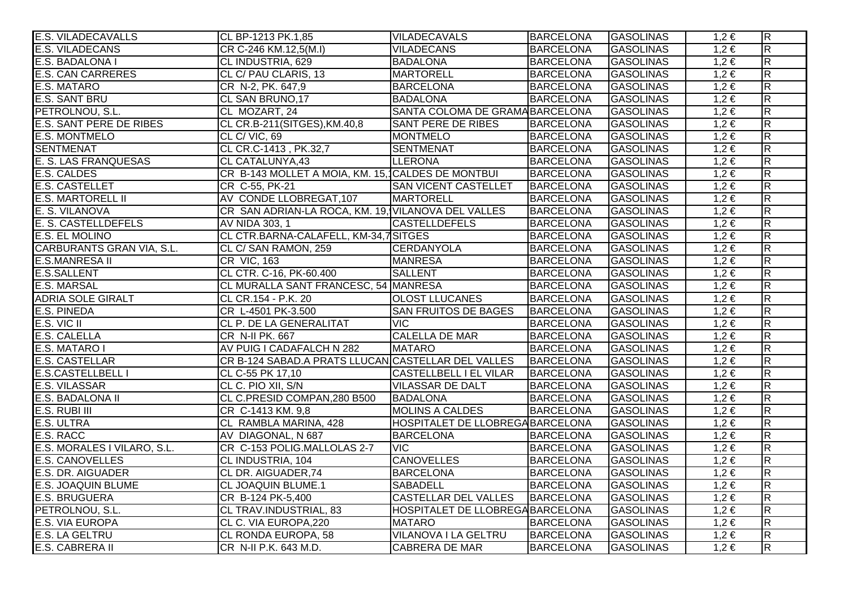| <b>E.S. VILADECAVALLS</b>      | CL BP-1213 PK.1,85                                 | <b>VILADECAVALS</b>              | <b>BARCELONA</b> | <b>GASOLINAS</b> | $1,2 \in$ | $\overline{R}$          |
|--------------------------------|----------------------------------------------------|----------------------------------|------------------|------------------|-----------|-------------------------|
| <b>E.S. VILADECANS</b>         | CR C-246 KM.12,5(M.I)                              | <b>VILADECANS</b>                | <b>BARCELONA</b> | <b>GASOLINAS</b> | $1,2 \in$ | $\overline{\mathsf{R}}$ |
| E.S. BADALONA I                | CL INDUSTRIA, 629                                  | <b>BADALONA</b>                  | <b>BARCELONA</b> | <b>GASOLINAS</b> | $1,2 \in$ | $\overline{\mathsf{R}}$ |
| <b>E.S. CAN CARRERES</b>       | CL C/ PAU CLARIS, 13                               | MARTORELL                        | <b>BARCELONA</b> | <b>GASOLINAS</b> | $1,2 \in$ | $\overline{\mathsf{R}}$ |
| <b>E.S. MATARO</b>             | CR N-2, PK. 647,9                                  | <b>BARCELONA</b>                 | <b>BARCELONA</b> | <b>GASOLINAS</b> | $1,2 \in$ | $\overline{R}$          |
| <b>E.S. SANT BRU</b>           | CL SAN BRUNO, 17                                   | <b>BADALONA</b>                  | <b>BARCELONA</b> | <b>GASOLINAS</b> | $1,2 \in$ | $\overline{\mathsf{R}}$ |
| PETROLNOU, S.L.                | CL MOZART, 24                                      | SANTA COLOMA DE GRAMA BARCELONA  |                  | <b>GASOLINAS</b> | $1,2 \in$ | $\overline{\mathsf{R}}$ |
| <b>E.S. SANT PERE DE RIBES</b> | CL CR.B-211(SITGES), KM.40,8                       | <b>SANT PERE DE RIBES</b>        | <b>BARCELONA</b> | <b>GASOLINAS</b> | $1,2 \in$ | $\overline{R}$          |
| <b>E.S. MONTMELO</b>           | CL C/VIC, 69                                       | <b>MONTMELO</b>                  | <b>BARCELONA</b> | <b>GASOLINAS</b> | $1,2 \in$ | $\overline{\mathsf{R}}$ |
| <b>SENTMENAT</b>               | CL CR.C-1413, PK.32,7                              | <b>SENTMENAT</b>                 | <b>BARCELONA</b> | <b>GASOLINAS</b> | $1,2 \in$ | $\overline{\mathsf{R}}$ |
| <b>E. S. LAS FRANQUESAS</b>    | CL CATALUNYA, 43                                   | <b>LLERONA</b>                   | <b>BARCELONA</b> | <b>GASOLINAS</b> | $1,2 \in$ | $\overline{\mathsf{R}}$ |
| <b>E.S. CALDES</b>             | CR B-143 MOLLET A MOIA, KM. 15, CALDES DE MONTBUI  |                                  | <b>BARCELONA</b> | <b>GASOLINAS</b> | $1,2 \in$ | $\overline{R}$          |
| <b>E.S. CASTELLET</b>          | CR C-55, PK-21                                     | <b>SAN VICENT CASTELLET</b>      | <b>BARCELONA</b> | <b>GASOLINAS</b> | $1,2 \in$ | $\overline{\mathsf{R}}$ |
| <b>E.S. MARTORELL II</b>       | AV CONDE LLOBREGAT, 107                            | <b>MARTORELL</b>                 | <b>BARCELONA</b> | <b>GASOLINAS</b> | $1,2 \in$ | $\overline{\mathsf{R}}$ |
| E. S. VILANOVA                 | CR SAN ADRIAN-LA ROCA, KM. 19, VILANOVA DEL VALLES |                                  | <b>BARCELONA</b> | <b>GASOLINAS</b> | $1,2 \in$ | $\overline{\mathsf{R}}$ |
| E. S. CASTELLDEFELS            | AV NIDA 303, 1                                     | <b>CASTELLDEFELS</b>             | <b>BARCELONA</b> | <b>GASOLINAS</b> | $1,2 \in$ | $\overline{R}$          |
| E.S. EL MOLINO                 | CL CTR.BARNA-CALAFELL, KM-34,7SITGES               |                                  | <b>BARCELONA</b> | <b>GASOLINAS</b> | $1,2 \in$ | $\overline{R}$          |
| CARBURANTS GRAN VIA, S.L.      | CL C/ SAN RAMON, 259                               | CERDANYOLA                       | <b>BARCELONA</b> | <b>GASOLINAS</b> | $1,2 \in$ | $\overline{\mathsf{R}}$ |
| <b>E.S.MANRESA II</b>          | CR VIC, 163                                        | <b>MANRESA</b>                   | <b>BARCELONA</b> | <b>GASOLINAS</b> | $1,2 \in$ | $\overline{R}$          |
| <b>E.S.SALLENT</b>             | CL CTR. C-16, PK-60.400                            | <b>SALLENT</b>                   | <b>BARCELONA</b> | <b>GASOLINAS</b> | $1,2 \in$ | $\overline{R}$          |
| <b>E.S. MARSAL</b>             | CL MURALLA SANT FRANCESC, 54 MANRESA               |                                  | <b>BARCELONA</b> | <b>GASOLINAS</b> | $1,2 \in$ | $\overline{\mathsf{R}}$ |
| <b>ADRIA SOLE GIRALT</b>       | CL CR.154 - P.K. 20                                | <b>OLOST LLUCANES</b>            | <b>BARCELONA</b> | <b>GASOLINAS</b> | $1,2 \in$ | $\overline{R}$          |
| <b>E.S. PINEDA</b>             | CR L-4501 PK-3.500                                 | <b>SAN FRUITOS DE BAGES</b>      | <b>BARCELONA</b> | <b>GASOLINAS</b> | $1,2 \in$ | $\overline{\mathsf{R}}$ |
| $E.S.$ VIC II                  | CL P. DE LA GENERALITAT                            | <b>VIC</b>                       | <b>BARCELONA</b> | <b>GASOLINAS</b> | $1,2 \in$ | $\overline{R}$          |
| E.S. CALELLA                   | CR N-II PK. 667                                    | <b>CALELLA DE MAR</b>            | <b>BARCELONA</b> | <b>GASOLINAS</b> | $1,2 \in$ | $\overline{\mathsf{R}}$ |
| E.S. MATARO I                  | AV PUIG I CADAFALCH N 282                          | <b>MATARO</b>                    | <b>BARCELONA</b> | <b>GASOLINAS</b> | $1,2 \in$ | $\overline{R}$          |
| <b>E.S. CASTELLAR</b>          | CR B-124 SABAD.A PRATS LLUCAN CASTELLAR DEL VALLES |                                  | <b>BARCELONA</b> | <b>GASOLINAS</b> | $1,2 \in$ | $\overline{\mathsf{R}}$ |
| <b>E.S.CASTELLBELL I</b>       | CL C-55 PK 17,10                                   | <b>CASTELLBELL I EL VILAR</b>    | BARCELONA        | <b>GASOLINAS</b> | $1,2 \in$ | $\overline{R}$          |
| <b>E.S. VILASSAR</b>           | CL C. PIO XII, S/N                                 | <b>VILASSAR DE DALT</b>          | <b>BARCELONA</b> | <b>GASOLINAS</b> | $1,2 \in$ | $\overline{R}$          |
| <b>E.S. BADALONA II</b>        | CL C.PRESID COMPAN, 280 B500                       | <b>BADALONA</b>                  | <b>BARCELONA</b> | <b>GASOLINAS</b> | $1,2 \in$ | $\overline{R}$          |
| E.S. RUBI III                  | CR C-1413 KM. 9,8                                  | MOLINS A CALDES                  | <b>BARCELONA</b> | <b>GASOLINAS</b> | $1,2 \in$ | R                       |
| E.S. ULTRA                     | CL RAMBLA MARINA, 428                              | HOSPITALET DE LLOBREGA BARCELONA |                  | <b>GASOLINAS</b> | $1,2 \in$ | $\overline{\mathsf{R}}$ |
| E.S. RACC                      | AV DIAGONAL, N 687                                 | <b>BARCELONA</b>                 | <b>BARCELONA</b> | <b>GASOLINAS</b> | $1,2 \in$ | $\overline{R}$          |
| E.S. MORALES I VILARO, S.L.    | CR C-153 POLIG.MALLOLAS 2-7                        | <b>VIC</b>                       | <b>BARCELONA</b> | <b>GASOLINAS</b> | $1,2 \in$ | $\overline{\mathsf{R}}$ |
| <b>E.S. CANOVELLES</b>         | CL INDUSTRIA, 104                                  | <b>CANOVELLES</b>                | <b>BARCELONA</b> | <b>GASOLINAS</b> | $1,2 \in$ | $\overline{R}$          |
| E.S. DR. AIGUADER              | CL DR. AIGUADER, 74                                | <b>BARCELONA</b>                 | <b>BARCELONA</b> | <b>GASOLINAS</b> | $1,2 \in$ | $\overline{\mathsf{R}}$ |
| <b>E.S. JOAQUIN BLUME</b>      | <b>CL JOAQUIN BLUME.1</b>                          | <b>SABADELL</b>                  | <b>BARCELONA</b> | <b>GASOLINAS</b> | $1,2 \in$ | $\overline{\mathsf{R}}$ |
| <b>E.S. BRUGUERA</b>           | CR B-124 PK-5,400                                  | <b>CASTELLAR DEL VALLES</b>      | <b>BARCELONA</b> | <b>GASOLINAS</b> | $1,2 \in$ | $\overline{\mathsf{R}}$ |
| PETROLNOU, S.L.                | CL TRAV.INDUSTRIAL, 83                             | HOSPITALET DE LLOBREGA BARCELONA |                  | <b>GASOLINAS</b> | $1,2 \in$ | $\overline{\mathsf{R}}$ |
| <b>E.S. VIA EUROPA</b>         | CL C. VIA EUROPA,220                               | <b>MATARO</b>                    | <b>BARCELONA</b> | <b>GASOLINAS</b> | $1,2 \in$ | $\overline{\mathsf{R}}$ |
| E.S. LA GELTRU                 | CL RONDA EUROPA, 58                                | VILANOVA I LA GELTRU             | <b>BARCELONA</b> | <b>GASOLINAS</b> | $1,2 \in$ | $\overline{\mathsf{R}}$ |
| E.S. CABRERA II                | CR N-II P.K. 643 M.D.                              | CABRERA DE MAR                   | <b>BARCELONA</b> | <b>GASOLINAS</b> | $1,2 \in$ | $\overline{\mathsf{R}}$ |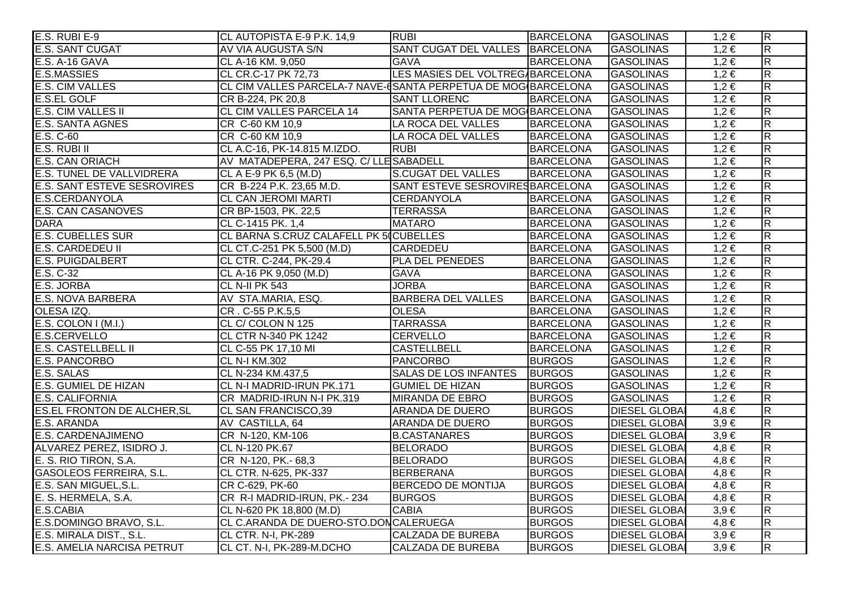| E.S. RUBI E-9                      | CL AUTOPISTA E-9 P.K. 14,9                                    | RUBI                             | <b>BARCELONA</b> | <b>GASOLINAS</b>     | $1,2 \in$ | $ \mathsf{R} $          |
|------------------------------------|---------------------------------------------------------------|----------------------------------|------------------|----------------------|-----------|-------------------------|
| E.S. SANT CUGAT                    | AV VIA AUGUSTA S/N                                            | SANT CUGAT DEL VALLES BARCELONA  |                  | <b>GASOLINAS</b>     | $1,2 \in$ | $\overline{R}$          |
| E.S. A-16 GAVA                     | CL A-16 KM. 9,050                                             | <b>GAVA</b>                      | <b>BARCELONA</b> | <b>GASOLINAS</b>     | $1,2 \in$ | $\overline{\mathsf{R}}$ |
| <b>E.S.MASSIES</b>                 | CL CR.C-17 PK 72,73                                           | LES MASIES DEL VOLTREG/BARCELONA |                  | <b>GASOLINAS</b>     | $1,2 \in$ | R.                      |
| E.S. CIM VALLES                    | CL CIM VALLES PARCELA-7 NAVE-CSANTA PERPETUA DE MOG BARCELONA |                                  |                  | <b>GASOLINAS</b>     | $1,2 \in$ | $\overline{\mathsf{R}}$ |
| <b>E.S.EL GOLF</b>                 | CR B-224, PK 20,8                                             | <b>SANT LLORENC</b>              | <b>BARCELONA</b> | <b>GASOLINAS</b>     | $1,2 \in$ | $\overline{\mathsf{R}}$ |
| <b>E.S. CIM VALLES II</b>          | <b>CL CIM VALLES PARCELA 14</b>                               | SANTA PERPETUA DE MOG BARCELONA  |                  | <b>GASOLINAS</b>     | $1,2 \in$ | $\overline{\mathsf{R}}$ |
| <b>E.S. SANTA AGNES</b>            | CR C-60 KM 10,9                                               | LA ROCA DEL VALLES               | <b>BARCELONA</b> | <b>GASOLINAS</b>     | $1,2 \in$ | $\overline{R}$          |
| E.S. C-60                          | CR C-60 KM 10,9                                               | LA ROCA DEL VALLES               | <b>BARCELONA</b> | <b>GASOLINAS</b>     | $1,2 \in$ | $\overline{\mathsf{R}}$ |
| E.S. RUBI II                       | CL A.C-16, PK-14.815 M.IZDO.                                  | <b>RUBI</b>                      | <b>BARCELONA</b> | <b>GASOLINAS</b>     | $1,2 \in$ | $\overline{\mathsf{R}}$ |
| <b>E.S. CAN ORIACH</b>             | AV MATADEPERA, 247 ESQ. C/LLESABADELL                         |                                  | <b>BARCELONA</b> | <b>GASOLINAS</b>     | $1,2 \in$ | $\overline{\mathbf{z}}$ |
| <b>E.S. TUNEL DE VALLVIDRERA</b>   | CL A E-9 PK 6,5 (M.D)                                         | <b>S.CUGAT DEL VALLES</b>        | <b>BARCELONA</b> | <b>GASOLINAS</b>     | $1,2 \in$ | $\overline{R}$          |
| <b>E.S. SANT ESTEVE SESROVIRES</b> | CR B-224 P.K. 23,65 M.D.                                      | SANT ESTEVE SESROVIRES BARCELONA |                  | <b>GASOLINAS</b>     | $1,2 \in$ | R.                      |
| E.S.CERDANYOLA                     | CL CAN JEROMI MARTI                                           | CERDANYOLA                       | <b>BARCELONA</b> | <b>GASOLINAS</b>     | $1,2 \in$ | $\overline{\mathsf{R}}$ |
| <b>E.S. CAN CASANOVES</b>          | CR BP-1503, PK. 22,5                                          | <b>TERRASSA</b>                  | <b>BARCELONA</b> | <b>GASOLINAS</b>     | $1,2 \in$ | $\overline{\mathsf{R}}$ |
| <b>DARA</b>                        | CL C-1415 PK. 1,4                                             | <b>MATARO</b>                    | <b>BARCELONA</b> | <b>GASOLINAS</b>     | $1,2 \in$ | $\overline{\mathsf{R}}$ |
| <b>E.S. CUBELLES SUR</b>           | CL BARNA S.CRUZ CALAFELL PK 50 CUBELLES                       |                                  | <b>BARCELONA</b> | <b>GASOLINAS</b>     | $1,2 \in$ | $\overline{\mathsf{R}}$ |
| E.S. CARDEDEU II                   | CL CT.C-251 PK 5,500 (M.D)                                    | <b>CARDEDEU</b>                  | <b>BARCELONA</b> | <b>GASOLINAS</b>     | $1,2 \in$ | $\overline{\mathsf{R}}$ |
| <b>E.S. PUIGDALBERT</b>            | CL CTR. C-244, PK-29.4                                        | PLA DEL PENEDES                  | <b>BARCELONA</b> | <b>GASOLINAS</b>     | $1,2 \in$ | $\overline{\mathsf{R}}$ |
| E.S. C-32                          | CL A-16 PK 9,050 (M.D)                                        | <b>GAVA</b>                      | <b>BARCELONA</b> | <b>GASOLINAS</b>     | $1,2 \in$ | $\overline{\mathbf{z}}$ |
| E.S. JORBA                         | CL N-II PK 543                                                | <b>JORBA</b>                     | <b>BARCELONA</b> | <b>GASOLINAS</b>     | $1,2 \in$ | R.                      |
| <b>E.S. NOVA BARBERA</b>           | AV STA.MARIA, ESQ.                                            | <b>BARBERA DEL VALLES</b>        | <b>BARCELONA</b> | <b>GASOLINAS</b>     | $1,2 \in$ | R.                      |
| OLESA IZQ.                         | CR. C-55 P.K.5,5                                              | <b>OLESA</b>                     | <b>BARCELONA</b> | <b>GASOLINAS</b>     | $1,2 \in$ | $\overline{\mathsf{R}}$ |
| $E.S.$ COLON I (M.I.)              | CL C/ COLON N 125                                             | <b>TARRASSA</b>                  | <b>BARCELONA</b> | <b>GASOLINAS</b>     | $1,2 \in$ | $\overline{\mathsf{R}}$ |
| E.S.CERVELLO                       | CL CTR N-340 PK 1242                                          | <b>CERVELLO</b>                  | <b>BARCELONA</b> | <b>GASOLINAS</b>     | $1,2 \in$ | $\overline{\mathsf{R}}$ |
| E.S. CASTELLBELL II                | CL C-55 PK 17,10 MI                                           | <b>CASTELLBELL</b>               | <b>BARCELONA</b> | <b>GASOLINAS</b>     | $1,2 \in$ | $\overline{\mathsf{R}}$ |
| <b>E.S. PANCORBO</b>               | <b>CL N-I KM.302</b>                                          | PANCORBO                         | <b>BURGOS</b>    | <b>GASOLINAS</b>     | $1,2 \in$ | $\overline{\mathsf{R}}$ |
| E.S. SALAS                         | CL N-234 KM.437,5                                             | <b>SALAS DE LOS INFANTES</b>     | <b>BURGOS</b>    | <b>GASOLINAS</b>     | $1,2 \in$ | $\overline{\mathsf{R}}$ |
| <b>E.S. GUMIEL DE HIZAN</b>        | CL N-I MADRID-IRUN PK.171                                     | <b>GUMIEL DE HIZAN</b>           | <b>BURGOS</b>    | <b>GASOLINAS</b>     | $1,2 \in$ | $\overline{\mathbf{z}}$ |
| <b>E.S. CALIFORNIA</b>             | CR MADRID-IRUN N-I PK.319                                     | <b>MIRANDA DE EBRO</b>           | <b>BURGOS</b>    | <b>GASOLINAS</b>     | $1,2 \in$ | $\overline{\mathsf{R}}$ |
| <b>ES.EL FRONTON DE ALCHER, SL</b> | CL SAN FRANCISCO,39                                           | ARANDA DE DUERO                  | <b>BURGOS</b>    | <b>DIESEL GLOBA</b>  | $4,8 \in$ | R.                      |
| E.S. ARANDA                        | AV CASTILLA, 64                                               | ARANDA DE DUERO                  | <b>BURGOS</b>    | <b>DIESEL GLOBAI</b> | $3,9 \in$ | $\overline{\mathsf{R}}$ |
| E.S. CARDENAJIMENO                 | CR N-120, KM-106                                              | <b>B.CASTANARES</b>              | <b>BURGOS</b>    | <b>DIESEL GLOBA</b>  | $3,9 \in$ | $\overline{\mathsf{R}}$ |
| ALVAREZ PEREZ, ISIDRO J.           | CL N-120 PK.67                                                | <b>BELORADO</b>                  | <b>BURGOS</b>    | <b>DIESEL GLOBA</b>  | $4,8 \in$ | $\overline{\mathsf{R}}$ |
| E. S. RIO TIRON, S.A.              | CR N-120, PK.- 68,3                                           | <b>BELORADO</b>                  | <b>BURGOS</b>    | <b>DIESEL GLOBA</b>  | $4,8 \in$ | $\overline{\mathsf{R}}$ |
| <b>GASOLEOS FERREIRA, S.L.</b>     | CL CTR. N-625, PK-337                                         | <b>BERBERANA</b>                 | <b>BURGOS</b>    | <b>DIESEL GLOBA</b>  | $4,8 \in$ | $\overline{\mathsf{R}}$ |
| E.S. SAN MIGUEL, S.L.              | CR C-629, PK-60                                               | <b>BERCEDO DE MONTIJA</b>        | <b>BURGOS</b>    | <b>DIESEL GLOBA</b>  | $4,8 \in$ | $\overline{\mathsf{R}}$ |
| E. S. HERMELA, S.A.                | CR R-I MADRID-IRUN, PK.- 234                                  | <b>BURGOS</b>                    | <b>BURGOS</b>    | <b>DIESEL GLOBA</b>  | $4,8 \in$ | $\overline{\mathsf{R}}$ |
| E.S.CABIA                          | CL N-620 PK 18,800 (M.D)                                      | <b>CABIA</b>                     | <b>BURGOS</b>    | <b>DIESEL GLOBAI</b> | $3,9 \in$ | $\overline{\mathsf{R}}$ |
| E.S.DOMINGO BRAVO, S.L.            | CL C.ARANDA DE DUERO-STO.DONCALERUEGA                         |                                  | <b>BURGOS</b>    | <b>DIESEL GLOBAI</b> | $4,8 \in$ | $\overline{\mathsf{R}}$ |
| E.S. MIRALA DIST., S.L.            | CL CTR. N-I, PK-289                                           | <b>CALZADA DE BUREBA</b>         | <b>BURGOS</b>    | <b>DIESEL GLOBAI</b> | $3,9 \in$ | $\overline{\mathsf{R}}$ |
| E.S. AMELIA NARCISA PETRUT         | CL CT. N-I, PK-289-M.DCHO                                     | <b>CALZADA DE BUREBA</b>         | <b>BURGOS</b>    | <b>DIESEL GLOBA</b>  | $3,9 \in$ | $\overline{\mathsf{R}}$ |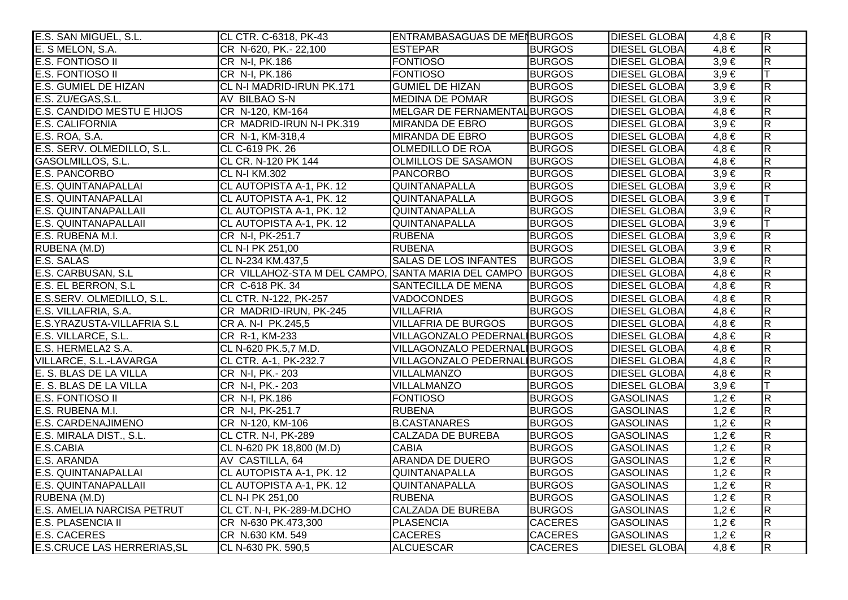| E.S. SAN MIGUEL, S.L.              | CL CTR. C-6318, PK-43                                     | <b>ENTRAMBASAGUAS DE MENBURGOS</b> |                | <b>DIESEL GLOBAI</b> | 4.8 €     | $\overline{\mathsf{R}}$ |
|------------------------------------|-----------------------------------------------------------|------------------------------------|----------------|----------------------|-----------|-------------------------|
| E. S MELON, S.A.                   | CR N-620, PK.- 22,100                                     | <b>ESTEPAR</b>                     | <b>BURGOS</b>  | <b>DIESEL GLOBA</b>  | $4,8 \in$ | $\overline{\mathsf{R}}$ |
| <b>E.S. FONTIOSO II</b>            | CR N-I, PK.186                                            | <b>FONTIOSO</b>                    | <b>BURGOS</b>  | <b>DIESEL GLOBA</b>  | $3,9 \in$ | $\overline{R}$          |
| <b>E.S. FONTIOSO II</b>            | CR N-I, PK.186                                            | <b>FONTIOSO</b>                    | <b>BURGOS</b>  | <b>DIESEL GLOBA</b>  | $3,9 \in$ |                         |
| <b>E.S. GUMIEL DE HIZAN</b>        | CL N-I MADRID-IRUN PK.171                                 | <b>GUMIEL DE HIZAN</b>             | <b>BURGOS</b>  | <b>DIESEL GLOBAI</b> | $3,9 \in$ | $\overline{\mathbf{z}}$ |
| E.S. ZU/EGAS, S.L.                 | AV BILBAO S-N                                             | <b>MEDINA DE POMAR</b>             | <b>BURGOS</b>  | <b>DIESEL GLOBA</b>  | $3,9 \in$ | $\overline{\mathbf{z}}$ |
| E.S. CANDIDO MESTU E HIJOS         | CR N-120, KM-164                                          | MELGAR DE FERNAMENTAL BURGOS       |                | <b>DIESEL GLOBA</b>  | $4,8 \in$ | $\overline{R}$          |
| <b>E.S. CALIFORNIA</b>             | CR MADRID-IRUN N-I PK.319                                 | <b>MIRANDA DE EBRO</b>             | <b>BURGOS</b>  | <b>DIESEL GLOBA</b>  | $3,9 \in$ | $\overline{R}$          |
| E.S. ROA, S.A.                     | CR N-1, KM-318,4                                          | MIRANDA DE EBRO                    | <b>BURGOS</b>  | <b>DIESEL GLOBA</b>  | $4,8 \in$ | $\overline{\mathsf{R}}$ |
| E.S. SERV. OLMEDILLO, S.L.         | CL C-619 PK. 26                                           | <b>OLMEDILLO DE ROA</b>            | <b>BURGOS</b>  | <b>DIESEL GLOBAI</b> | $4,8 \in$ | $\overline{R}$          |
| GASOLMILLOS, S.L.                  | CL CR. N-120 PK 144                                       | <b>OLMILLOS DE SASAMON</b>         | <b>BURGOS</b>  | <b>DIESEL GLOBAI</b> | $4,8 \in$ | $\overline{\mathsf{R}}$ |
| <b>E.S. PANCORBO</b>               | <b>CL N-I KM.302</b>                                      | <b>PANCORBO</b>                    | <b>BURGOS</b>  | <b>DIESEL GLOBA</b>  | $3,9 \in$ | $\overline{R}$          |
| <b>E.S. QUINTANAPALLAI</b>         | CL AUTOPISTA A-1, PK. 12                                  | QUINTANAPALLA                      | <b>BURGOS</b>  | <b>DIESEL GLOBA</b>  | $3,9 \in$ | R.                      |
| <b>E.S. QUINTANAPALLAI</b>         | CL AUTOPISTA A-1, PK. 12                                  | QUINTANAPALLA                      | <b>BURGOS</b>  | <b>DIESEL GLOBA</b>  | $3,9 \in$ |                         |
| <b>E.S. QUINTANAPALLAII</b>        | CL AUTOPISTA A-1, PK. 12                                  | <b>QUINTANAPALLA</b>               | <b>BURGOS</b>  | <b>DIESEL GLOBA</b>  | $3,9 \in$ | $\overline{\mathbf{z}}$ |
| <b>E.S. QUINTANAPALLAII</b>        | CL AUTOPISTA A-1, PK. 12                                  | QUINTANAPALLA                      | <b>BURGOS</b>  | <b>DIESEL GLOBA</b>  | $3,9 \in$ | T                       |
| E.S. RUBENA M.I.                   | CR N-I, PK-251.7                                          | <b>RUBENA</b>                      | <b>BURGOS</b>  | <b>DIESEL GLOBA</b>  | $3,9 \in$ | $\overline{\mathbf{z}}$ |
| RUBENA (M.D)                       | CL N-I PK 251,00                                          | <b>RUBENA</b>                      | <b>BURGOS</b>  | <b>DIESEL GLOBA</b>  | $3,9 \in$ | $\overline{R}$          |
| <b>E.S. SALAS</b>                  | CL N-234 KM.437,5                                         | <b>SALAS DE LOS INFANTES</b>       | <b>BURGOS</b>  | <b>DIESEL GLOBAI</b> | $3,9 \in$ | $\overline{R}$          |
| E.S. CARBUSAN, S.L                 | CR VILLAHOZ-STA M DEL CAMPO, SANTA MARIA DEL CAMPO BURGOS |                                    |                | <b>DIESEL GLOBA</b>  | $4,8 \in$ | $\overline{\mathsf{R}}$ |
| E.S. EL BERRON, S.L                | CR C-618 PK. 34                                           | SANTECILLA DE MENA                 | <b>BURGOS</b>  | <b>DIESEL GLOBA</b>  | $4,8 \in$ | $\overline{\mathbf{z}}$ |
| E.S.SERV. OLMEDILLO, S.L.          | CL CTR. N-122, PK-257                                     | <b>VADOCONDES</b>                  | <b>BURGOS</b>  | <b>DIESEL GLOBA</b>  | $4,8 \in$ | $\overline{\mathbf{z}}$ |
| E.S. VILLAFRIA, S.A.               | CR MADRID-IRUN, PK-245                                    | <b>VILLAFRIA</b>                   | <b>BURGOS</b>  | <b>DIESEL GLOBAI</b> | $4,8 \in$ | $\overline{\mathbf{z}}$ |
| E.S.YRAZUSTA-VILLAFRIA S.L         | CR A. N-I PK.245,5                                        | <b>VILLAFRIA DE BURGOS</b>         | <b>BURGOS</b>  | <b>DIESEL GLOBA</b>  | $4,8 \in$ | $\overline{R}$          |
| E.S. VILLARCE, S.L.                | CR R-1, KM-233                                            | VILLAGONZALO PEDERNALIBURGOS       |                | <b>DIESEL GLOBA</b>  | $4.8 \in$ | $\overline{R}$          |
| E.S. HERMELA2 S.A.                 | CL N-620 PK.5,7 M.D.                                      | VILLAGONZALO PEDERNALIBURGOS       |                | <b>DIESEL GLOBA</b>  | $4,8 \in$ | $\overline{R}$          |
| VILLARCE, S.L.-LAVARGA             | CL CTR. A-1, PK-232.7                                     | VILLAGONZALO PEDERNALIBURGOS       |                | <b>DIESEL GLOBA</b>  | $4,8 \in$ | $\overline{\mathbf{z}}$ |
| E. S. BLAS DE LA VILLA             | CR N-I, PK.-203                                           | VILLALMANZO                        | <b>BURGOS</b>  | <b>DIESEL GLOBA</b>  | $4,8 \in$ | $\overline{\mathsf{R}}$ |
| E. S. BLAS DE LA VILLA             | CR N-I, PK.- 203                                          | <b>VILLALMANZO</b>                 | <b>BURGOS</b>  | <b>DIESEL GLOBA</b>  | $3,9 \in$ |                         |
| <b>E.S. FONTIOSO II</b>            | CR N-I, PK.186                                            | <b>FONTIOSO</b>                    | <b>BURGOS</b>  | <b>GASOLINAS</b>     | $1,2 \in$ | $\overline{\mathbf{z}}$ |
| E.S. RUBENA M.I.                   | CR N-I, PK-251.7                                          | <b>RUBENA</b>                      | <b>BURGOS</b>  | <b>GASOLINAS</b>     | $1,2 \in$ | $\overline{\mathbf{z}}$ |
| <b>E.S. CARDENAJIMENO</b>          | CR N-120, KM-106                                          | <b>B.CASTANARES</b>                | <b>BURGOS</b>  | <b>GASOLINAS</b>     | $1,2 \in$ | R                       |
| E.S. MIRALA DIST., S.L.            | <b>CL CTR. N-I, PK-289</b>                                | <b>CALZADA DE BUREBA</b>           | <b>BURGOS</b>  | <b>GASOLINAS</b>     | $1,2 \in$ | $\overline{\mathsf{R}}$ |
| E.S.CABIA                          | CL N-620 PK 18,800 (M.D)                                  | <b>CABIA</b>                       | <b>BURGOS</b>  | <b>GASOLINAS</b>     | $1,2 \in$ | $\overline{\mathsf{R}}$ |
| E.S. ARANDA                        | AV CASTILLA, 64                                           | <b>ARANDA DE DUERO</b>             | <b>BURGOS</b>  | <b>GASOLINAS</b>     | $1,2 \in$ | $\overline{\mathsf{R}}$ |
| E.S. QUINTANAPALLAI                | CL AUTOPISTA A-1, PK. 12                                  | QUINTANAPALLA                      | <b>BURGOS</b>  | <b>GASOLINAS</b>     | $1,2 \in$ | $\overline{\mathsf{R}}$ |
| <b>E.S. QUINTANAPALLAII</b>        | CL AUTOPISTA A-1, PK. 12                                  | QUINTANAPALLA                      | <b>BURGOS</b>  | <b>GASOLINAS</b>     | $1,2 \in$ | $\overline{\mathsf{R}}$ |
| RUBENA (M.D)                       | CL N-I PK 251,00                                          | <b>RUBENA</b>                      | <b>BURGOS</b>  | <b>GASOLINAS</b>     | $1,2 \in$ | $\overline{\mathsf{R}}$ |
| <b>E.S. AMELIA NARCISA PETRUT</b>  | CL CT. N-I, PK-289-M.DCHO                                 | <b>CALZADA DE BUREBA</b>           | <b>BURGOS</b>  | <b>GASOLINAS</b>     | $1,2 \in$ | $\overline{\mathsf{R}}$ |
| <b>E.S. PLASENCIA II</b>           | CR N-630 PK.473,300                                       | <b>PLASENCIA</b>                   | <b>CACERES</b> | <b>GASOLINAS</b>     | $1,2 \in$ | R                       |
| <b>E.S. CACERES</b>                | CR N.630 KM. 549                                          | <b>CACERES</b>                     | <b>CACERES</b> | <b>GASOLINAS</b>     | $1,2 \in$ | $\overline{\mathsf{R}}$ |
| <b>E.S.CRUCE LAS HERRERIAS, SL</b> | CL N-630 PK. 590,5                                        | <b>ALCUESCAR</b>                   | <b>CACERES</b> | <b>DIESEL GLOBA</b>  | $4,8 \in$ | $\overline{\mathbf{z}}$ |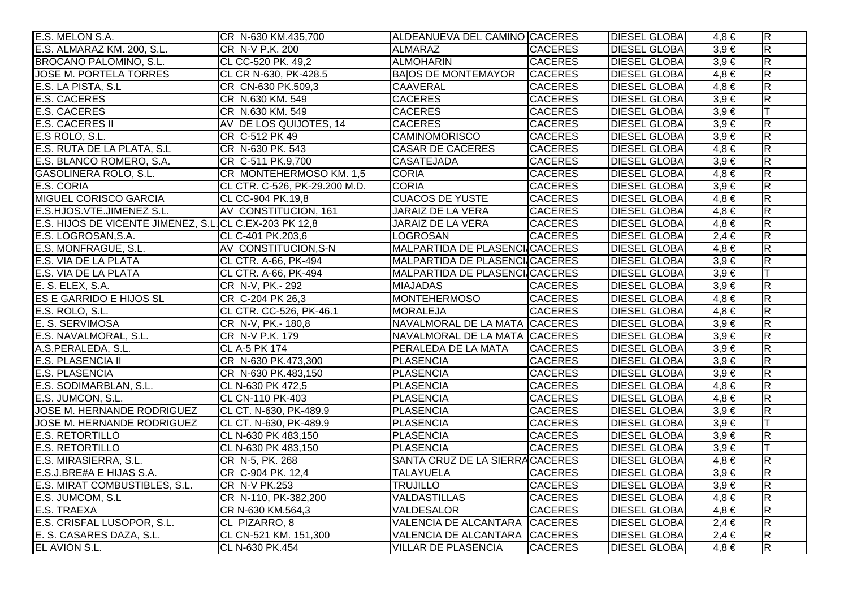| E.S. MELON S.A.                                         | CR N-630 KM.435,700           | ALDEANUEVA DEL CAMINO CACERES  |                | <b>DIESEL GLOBAL</b> | $4,8 \in$ | $\overline{\mathsf{R}}$ |
|---------------------------------------------------------|-------------------------------|--------------------------------|----------------|----------------------|-----------|-------------------------|
| E.S. ALMARAZ KM. 200, S.L.                              | CR N-V P.K. 200               | ALMARAZ                        | <b>CACERES</b> | <b>DIESEL GLOBAI</b> | $3,9 \in$ | $\overline{\mathsf{R}}$ |
| BROCANO PALOMINO, S.L.                                  | CL CC-520 PK. 49,2            | <b>ALMOHARIN</b>               | <b>CACERES</b> | <b>DIESEL GLOBAI</b> | $3,9 \in$ | $\overline{\mathsf{R}}$ |
| <b>JOSE M. PORTELA TORRES</b>                           | CL CR N-630, PK-428.5         | <b>BAIOS DE MONTEMAYOR</b>     | <b>CACERES</b> | <b>DIESEL GLOBAI</b> | $4,8 \in$ | $\overline{\mathsf{R}}$ |
| E.S. LA PISTA, S.L                                      | CR CN-630 PK.509,3            | <b>CAAVERAL</b>                | <b>CACERES</b> | <b>DIESEL GLOBA</b>  | $4,8 \in$ | $\overline{R}$          |
| <b>E.S. CACERES</b>                                     | CR N.630 KM. 549              | <b>CACERES</b>                 | <b>CACERES</b> | <b>DIESEL GLOBAI</b> | $3,9 \in$ | $\overline{R}$          |
| <b>E.S. CACERES</b>                                     | CR N.630 KM. 549              | <b>CACERES</b>                 | <b>CACERES</b> | <b>DIESEL GLOBAI</b> | $3,9 \in$ |                         |
| <b>E.S. CACERES II</b>                                  | AV DE LOS QUIJOTES, 14        | <b>CACERES</b>                 | <b>CACERES</b> | <b>DIESEL GLOBAI</b> | $3,9 \in$ | $\overline{\mathsf{R}}$ |
| E.S ROLO, S.L.                                          | CR C-512 PK 49                | <b>CAMINOMORISCO</b>           | <b>CACERES</b> | <b>DIESEL GLOBAI</b> | $3,9 \in$ | $\overline{R}$          |
| E.S. RUTA DE LA PLATA, S.L.                             | CR N-630 PK. 543              | <b>CASAR DE CACERES</b>        | <b>CACERES</b> | <b>DIESEL GLOBA</b>  | $4,8 \in$ | $\overline{R}$          |
| E.S. BLANCO ROMERO, S.A.                                | CR C-511 PK.9,700             | <b>CASATEJADA</b>              | <b>CACERES</b> | <b>DIESEL GLOBAI</b> | $3,9 \in$ | $\overline{R}$          |
| GASOLINERA ROLO, S.L.                                   | CR MONTEHERMOSO KM. 1,5       | <b>CORIA</b>                   | <b>CACERES</b> | <b>DIESEL GLOBAI</b> | $4,8 \in$ | $\overline{\mathsf{R}}$ |
| E.S. CORIA                                              | CL CTR. C-526, PK-29.200 M.D. | <b>CORIA</b>                   | <b>CACERES</b> | <b>DIESEL GLOBAI</b> | $3,9 \in$ | $\overline{R}$          |
| MIGUEL CORISCO GARCIA                                   | CL CC-904 PK.19,8             | <b>CUACOS DE YUSTE</b>         | <b>CACERES</b> | <b>DIESEL GLOBAI</b> | $4,8 \in$ | $\overline{R}$          |
| E.S.HJOS.VTE.JIMENEZ S.L.                               | AV CONSTITUCION, 161          | <b>JARAIZ DE LA VERA</b>       | <b>CACERES</b> | <b>DIESEL GLOBAI</b> | $4,8 \in$ | $\overline{\mathsf{R}}$ |
| E.S. HIJOS DE VICENTE JIMENEZ, S.L. CL C.EX-203 PK 12,8 |                               | JARAIZ DE LA VERA              | <b>CACERES</b> | <b>DIESEL GLOBAI</b> | $4,8 \in$ | $\overline{\mathsf{R}}$ |
| E.S. LOGROSAN, S.A.                                     | CL C-401 PK.203,6             | <b>LOGROSAN</b>                | <b>CACERES</b> | <b>DIESEL GLOBAI</b> | $2,4 \in$ | $\overline{R}$          |
| E.S. MONFRAGUE, S.L.                                    | AV CONSTITUCION, S-N          | MALPARTIDA DE PLASENCI/CACERES |                | <b>DIESEL GLOBAI</b> | $4,8 \in$ | $\overline{\mathsf{R}}$ |
| E.S. VIA DE LA PLATA                                    | CL CTR. A-66, PK-494          | MALPARTIDA DE PLASENCI/CACERES |                | <b>DIESEL GLOBAI</b> | $3,9 \in$ | $\overline{R}$          |
| E.S. VIA DE LA PLATA                                    | CL CTR. A-66, PK-494          | MALPARTIDA DE PLASENCI/CACERES |                | <b>DIESEL GLOBAI</b> | $3,9 \in$ | lΤ                      |
| E. S. ELEX, S.A.                                        | CR N-V, PK .- 292             | <b>MIAJADAS</b>                | <b>CACERES</b> | <b>DIESEL GLOBAI</b> | $3,9 \in$ | $\overline{\mathsf{R}}$ |
| ES E GARRIDO E HIJOS SL                                 | CR C-204 PK 26,3              | <b>MONTEHERMOSO</b>            | <b>CACERES</b> | <b>DIESEL GLOBAI</b> | $4,8 \in$ | $\overline{R}$          |
| E.S. ROLO, S.L.                                         | CL CTR. CC-526, PK-46.1       | MORALEJA                       | <b>CACERES</b> | <b>DIESEL GLOBAI</b> | $4,8 \in$ | $\overline{\mathsf{R}}$ |
| E. S. SERVIMOSA                                         | CR N-V, PK .- 180,8           | NAVALMORAL DE LA MATA CACERES  |                | <b>DIESEL GLOBAI</b> | $3,9 \in$ | $\overline{R}$          |
| E.S. NAVALMORAL, S.L.                                   | CR N-V P.K. 179               | NAVALMORAL DE LA MATA CACERES  |                | <b>DIESEL GLOBAI</b> | $3,9 \in$ | $\overline{\mathsf{R}}$ |
| A.S.PERALEDA, S.L.                                      | <b>CL A-5 PK 174</b>          | PERALEDA DE LA MATA            | <b>CACERES</b> | <b>DIESEL GLOBAI</b> | $3,9 \in$ | $\overline{R}$          |
| <b>E.S. PLASENCIA II</b>                                | CR N-630 PK.473,300           | <b>PLASENCIA</b>               | <b>CACERES</b> | <b>DIESEL GLOBAI</b> | $3,9 \in$ | $\overline{\mathsf{R}}$ |
| <b>E.S. PLASENCIA</b>                                   | CR N-630 PK.483,150           | <b>PLASENCIA</b>               | <b>CACERES</b> | <b>DIESEL GLOBAI</b> | $3,9 \in$ | $\overline{\mathsf{R}}$ |
| E.S. SODIMARBLAN, S.L.                                  | CL N-630 PK 472,5             | PLASENCIA                      | <b>CACERES</b> | <b>DIESEL GLOBAI</b> | $4,8 \in$ | $\overline{\mathsf{R}}$ |
| E.S. JUMCON, S.L.                                       | <b>CL CN-110 PK-403</b>       | <b>PLASENCIA</b>               | <b>CACERES</b> | <b>DIESEL GLOBAI</b> | $4,8 \in$ | $\overline{\mathsf{R}}$ |
| JOSE M. HERNANDE RODRIGUEZ                              | CL CT. N-630, PK-489.9        | <b>PLASENCIA</b>               | <b>CACERES</b> | <b>DIESEL GLOBA</b>  | $3,9 \in$ | $\overline{\mathsf{R}}$ |
| JOSE M. HERNANDE RODRIGUEZ                              | CL CT. N-630, PK-489.9        | <b>PLASENCIA</b>               | <b>CACERES</b> | <b>DIESEL GLOBA</b>  | $3,9 \in$ |                         |
| <b>E.S. RETORTILLO</b>                                  | CL N-630 PK 483,150           | <b>PLASENCIA</b>               | <b>CACERES</b> | <b>DIESEL GLOBAI</b> | $3,9 \in$ | $\overline{R}$          |
| <b>E.S. RETORTILLO</b>                                  | CL N-630 PK 483,150           | <b>PLASENCIA</b>               | <b>CACERES</b> | <b>DIESEL GLOBAI</b> | $3,9 \in$ |                         |
| E.S. MIRASIERRA, S.L.                                   | CR N-5, PK. 268               | SANTA CRUZ DE LA SIERRACACERES |                | <b>DIESEL GLOBAI</b> | $4,8 \in$ | $\overline{\mathsf{R}}$ |
| E.S.J.BRE#A E HIJAS S.A.                                | CR C-904 PK. 12,4             | <b>TALAYUELA</b>               | <b>CACERES</b> | <b>DIESEL GLOBAI</b> | $3,9 \in$ | $\overline{\mathsf{R}}$ |
| E.S. MIRAT COMBUSTIBLES, S.L.                           | <b>CR N-V PK.253</b>          | <b>TRUJILLO</b>                | <b>CACERES</b> | <b>DIESEL GLOBAI</b> | $3,9 \in$ | $\overline{\mathsf{R}}$ |
| E.S. JUMCOM, S.L                                        | CR N-110, PK-382,200          | <b>VALDASTILLAS</b>            | <b>CACERES</b> | <b>DIESEL GLOBAI</b> | $4,8 \in$ | $\overline{\mathsf{R}}$ |
| <b>E.S. TRAEXA</b>                                      | CR N-630 KM.564,3             | VALDESALOR                     | <b>CACERES</b> | <b>DIESEL GLOBAI</b> | $4,8 \in$ | $\overline{\mathsf{R}}$ |
| E.S. CRISFAL LUSOPOR, S.L.                              | CL PIZARRO, 8                 | VALENCIA DE ALCANTARA CACERES  |                | <b>DIESEL GLOBAI</b> | $2,4 \in$ | $\overline{\mathsf{R}}$ |
| E. S. CASARES DAZA, S.L.                                | CL CN-521 KM. 151,300         | VALENCIA DE ALCANTARA CACERES  |                | <b>DIESEL GLOBAI</b> | $2,4 \in$ | $\overline{\mathsf{R}}$ |
| <b>EL AVION S.L.</b>                                    | CL N-630 PK.454               | <b>VILLAR DE PLASENCIA</b>     | <b>CACERES</b> | <b>DIESEL GLOBAI</b> | $4,8 \in$ | $\overline{\mathsf{R}}$ |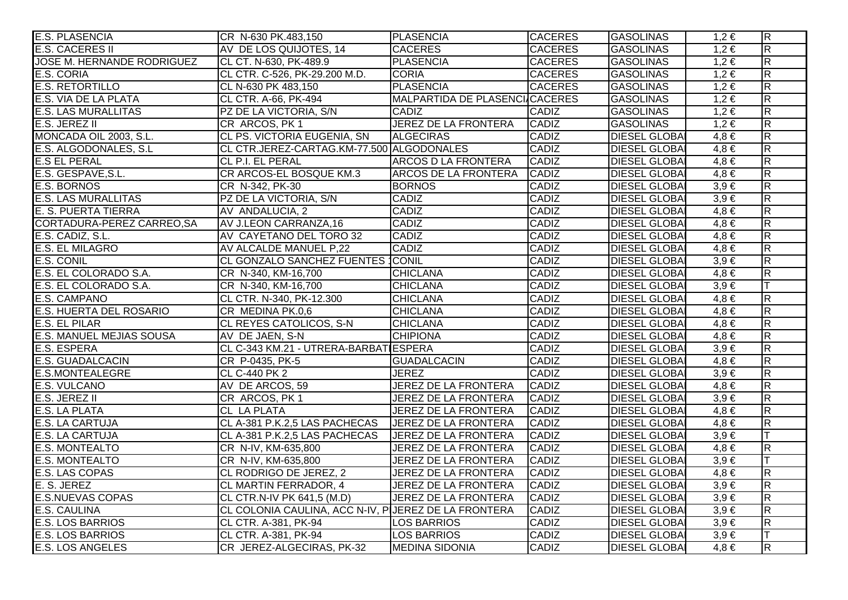| <b>E.S. PLASENCIA</b>      | CR N-630 PK.483,150                                  | <b>PLASENCIA</b>               | <b>CACERES</b> | <b>GASOLINAS</b>     | $1,2 \in$ | $\overline{R}$          |
|----------------------------|------------------------------------------------------|--------------------------------|----------------|----------------------|-----------|-------------------------|
| <b>E.S. CACERES II</b>     | AV DE LOS QUIJOTES, 14                               | <b>CACERES</b>                 | <b>CACERES</b> | <b>GASOLINAS</b>     | $1,2 \in$ | $\overline{\mathsf{R}}$ |
| JOSE M. HERNANDE RODRIGUEZ | CL CT. N-630, PK-489.9                               | PLASENCIA                      | <b>CACERES</b> | <b>GASOLINAS</b>     | $1,2 \in$ | $\overline{\mathsf{R}}$ |
| E.S. CORIA                 | CL CTR. C-526, PK-29.200 M.D.                        | <b>CORIA</b>                   | <b>CACERES</b> | <b>GASOLINAS</b>     | $1,2 \in$ | $\overline{R}$          |
| <b>E.S. RETORTILLO</b>     | CL N-630 PK 483,150                                  | PLASENCIA                      | <b>CACERES</b> | <b>GASOLINAS</b>     | $1,2 \in$ | $\overline{R}$          |
| E.S. VIA DE LA PLATA       | CL CTR. A-66, PK-494                                 | MALPARTIDA DE PLASENCI/CACERES |                | <b>GASOLINAS</b>     | $1,2 \in$ | $\overline{\mathsf{R}}$ |
| <b>E.S. LAS MURALLITAS</b> | PZ DE LA VICTORIA, S/N                               | <b>CADIZ</b>                   | <b>CADIZ</b>   | <b>GASOLINAS</b>     | $1,2 \in$ | $\overline{R}$          |
| E.S. JEREZ II              | CR ARCOS, PK 1                                       | <b>JEREZ DE LA FRONTERA</b>    | <b>CADIZ</b>   | <b>GASOLINAS</b>     | $1,2 \in$ | $\overline{\mathsf{R}}$ |
| MONCADA OIL 2003, S.L.     | CL PS. VICTORIA EUGENIA, SN                          | <b>ALGECIRAS</b>               | CADIZ          | <b>DIESEL GLOBAI</b> | $4,8 \in$ | $\overline{\mathsf{R}}$ |
| E.S. ALGODONALES, S.L.     | CL CTR.JEREZ-CARTAG.KM-77.500 ALGODONALES            |                                | <b>CADIZ</b>   | <b>DIESEL GLOBAI</b> | $4,8 \in$ | $\overline{R}$          |
| <b>E.S EL PERAL</b>        | CL P.I. EL PERAL                                     | <b>ARCOS D LA FRONTERA</b>     | CADIZ          | <b>DIESEL GLOBAI</b> | $4,8 \in$ | $\overline{\mathsf{R}}$ |
| E.S. GESPAVE, S.L.         | CR ARCOS-EL BOSQUE KM.3                              | ARCOS DE LA FRONTERA           | <b>CADIZ</b>   | <b>DIESEL GLOBAI</b> | $4,8 \in$ | $\overline{\mathsf{R}}$ |
| <b>E.S. BORNOS</b>         | CR N-342, PK-30                                      | <b>BORNOS</b>                  | <b>CADIZ</b>   | <b>DIESEL GLOBAI</b> | $3,9 \in$ | $\overline{\mathsf{R}}$ |
| <b>E.S. LAS MURALLITAS</b> | PZ DE LA VICTORIA, S/N                               | <b>CADIZ</b>                   | <b>CADIZ</b>   | <b>DIESEL GLOBAL</b> | $3,9 \in$ | $\overline{R}$          |
| E. S. PUERTA TIERRA        | AV ANDALUCIA, 2                                      | <b>CADIZ</b>                   | <b>CADIZ</b>   | <b>DIESEL GLOBA</b>  | $4,8 \in$ | $\overline{R}$          |
| CORTADURA-PEREZ CARREO, SA | AV J.LEON CARRANZA, 16                               | <b>CADIZ</b>                   | <b>CADIZ</b>   | <b>DIESEL GLOBAI</b> | $4,8 \in$ | $\overline{R}$          |
| E.S. CADIZ, S.L.           | AV CAYETANO DEL TORO 32                              | <b>CADIZ</b>                   | <b>CADIZ</b>   | <b>DIESEL GLOBAI</b> | $4,8 \in$ | $\overline{\mathsf{R}}$ |
| <b>E.S. EL MILAGRO</b>     | AV ALCALDE MANUEL P,22                               | <b>CADIZ</b>                   | CADIZ          | <b>DIESEL GLOBAI</b> | $4,8 \in$ | $\overline{\mathsf{R}}$ |
| E.S. CONIL                 | CL GONZALO SANCHEZ FUENTES CONIL                     |                                | <b>CADIZ</b>   | <b>DIESEL GLOBAL</b> | $3,9 \in$ | $\overline{\mathsf{R}}$ |
| E.S. EL COLORADO S.A.      | CR N-340, KM-16,700                                  | <b>CHICLANA</b>                | CADIZ          | <b>DIESEL GLOBAI</b> | $4,8 \in$ | $\overline{\mathsf{R}}$ |
| E.S. EL COLORADO S.A.      | CR N-340, KM-16,700                                  | <b>CHICLANA</b>                | <b>CADIZ</b>   | <b>DIESEL GLOBAI</b> | $3,9 \in$ | lΤ                      |
| E.S. CAMPANO               | CL CTR. N-340, PK-12.300                             | <b>CHICLANA</b>                | <b>CADIZ</b>   | <b>DIESEL GLOBAI</b> | $4,8 \in$ | $\overline{R}$          |
| E.S. HUERTA DEL ROSARIO    | CR MEDINA PK.0,6                                     | <b>CHICLANA</b>                | <b>CADIZ</b>   | <b>DIESEL GLOBAL</b> | $4,8 \in$ | $\overline{R}$          |
| E.S. EL PILAR              | <b>CL REYES CATOLICOS, S-N</b>                       | <b>CHICLANA</b>                | <b>CADIZ</b>   | <b>DIESEL GLOBA</b>  | $4,8 \in$ | $\overline{R}$          |
| E.S. MANUEL MEJIAS SOUSA   | AV DE JAEN, S-N                                      | <b>CHIPIONA</b>                | <b>CADIZ</b>   | <b>DIESEL GLOBAI</b> | $4,8 \in$ | $\overline{R}$          |
| <b>E.S. ESPERA</b>         | CL C-343 KM.21 - UTRERA-BARBATIESPERA                |                                | <b>CADIZ</b>   | <b>DIESEL GLOBAI</b> | $3,9 \in$ | $\overline{\mathsf{R}}$ |
| <b>E.S. GUADALCACIN</b>    | CR P-0435, PK-5                                      | <b>GUADALCACIN</b>             | <b>CADIZ</b>   | <b>DIESEL GLOBAI</b> | $4,8 \in$ | $\overline{R}$          |
| <b>E.S.MONTEALEGRE</b>     | <b>CL C-440 PK 2</b>                                 | <b>JEREZ</b>                   | <b>CADIZ</b>   | <b>DIESEL GLOBA</b>  | $3,9 \in$ | $\overline{R}$          |
| E.S. VULCANO               | AV DE ARCOS, 59                                      | <b>JEREZ DE LA FRONTERA</b>    | <b>CADIZ</b>   | <b>DIESEL GLOBAI</b> | $4,8 \in$ | $\overline{\mathsf{R}}$ |
| E.S. JEREZ II              | CR ARCOS, PK 1                                       | <b>JEREZ DE LA FRONTERA</b>    | <b>CADIZ</b>   | <b>DIESEL GLOBAI</b> | $3,9 \in$ | $\overline{\mathsf{R}}$ |
| E.S. LA PLATA              | <b>CL LA PLATA</b>                                   | JEREZ DE LA FRONTERA           | <b>CADIZ</b>   | <b>DIESEL GLOBAI</b> | $4,8 \in$ | R                       |
| <b>E.S. LA CARTUJA</b>     | CL A-381 P.K.2,5 LAS PACHECAS   JEREZ DE LA FRONTERA |                                | <b>CADIZ</b>   | <b>DIESEL GLOBAI</b> | $4,8 \in$ | $\overline{\mathsf{R}}$ |
| <b>E.S. LA CARTUJA</b>     | CL A-381 P.K.2,5 LAS PACHECAS                        | <b>JEREZ DE LA FRONTERA</b>    | <b>CADIZ</b>   | <b>DIESEL GLOBA</b>  | $3,9 \in$ | $\top$                  |
| <b>E.S. MONTEALTO</b>      | CR N-IV, KM-635,800                                  | <b>JEREZ DE LA FRONTERA</b>    | <b>CADIZ</b>   | <b>DIESEL GLOBA</b>  | $4,8 \in$ | $\overline{\mathsf{R}}$ |
| <b>E.S. MONTEALTO</b>      | CR N-IV, KM-635,800                                  | <b>JEREZ DE LA FRONTERA</b>    | <b>CADIZ</b>   | <b>DIESEL GLOBAI</b> | $3,9 \in$ |                         |
| E.S. LAS COPAS             | CL RODRIGO DE JEREZ, 2                               | <b>JEREZ DE LA FRONTERA</b>    | <b>CADIZ</b>   | <b>DIESEL GLOBAI</b> | $4,8 \in$ | $\overline{R}$          |
| E. S. JEREZ                | CL MARTIN FERRADOR, 4                                | <b>JEREZ DE LA FRONTERA</b>    | <b>CADIZ</b>   | <b>DIESEL GLOBAI</b> | $3,9 \in$ | $\overline{\mathsf{R}}$ |
| <b>E.S.NUEVAS COPAS</b>    | CL CTR.N-IV PK 641,5 (M.D)                           | <b>JEREZ DE LA FRONTERA</b>    | <b>CADIZ</b>   | <b>DIESEL GLOBAI</b> | $3,9 \in$ | $\overline{\mathsf{R}}$ |
| <b>E.S. CAULINA</b>        | CL COLONIA CAULINA, ACC N-IV, PUEREZ DE LA FRONTERA  |                                | <b>CADIZ</b>   | <b>DIESEL GLOBAI</b> | $3.9 \in$ | $\overline{\mathsf{R}}$ |
| <b>E.S. LOS BARRIOS</b>    | CL CTR. A-381, PK-94                                 | <b>LOS BARRIOS</b>             | <b>CADIZ</b>   | <b>DIESEL GLOBAI</b> | $3,9 \in$ | $\overline{\mathsf{R}}$ |
| <b>E.S. LOS BARRIOS</b>    | CL CTR. A-381, PK-94                                 | <b>LOS BARRIOS</b>             | <b>CADIZ</b>   | <b>DIESEL GLOBAI</b> | $3,9 \in$ |                         |
| <b>E.S. LOS ANGELES</b>    | CR JEREZ-ALGECIRAS, PK-32                            | <b>MEDINA SIDONIA</b>          | <b>CADIZ</b>   | <b>DIESEL GLOBAI</b> | $4,8 \in$ | $\overline{R}$          |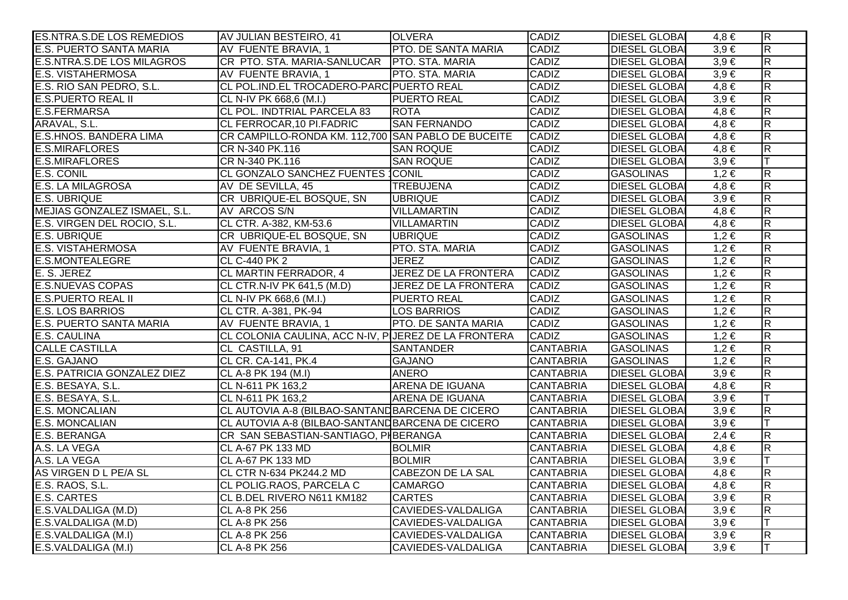| <b>ES.NTRA.S.DE LOS REMEDIOS</b>   | AV JULIAN BESTEIRO, 41                              | <b>OLVERA</b>               | <b>CADIZ</b>     | <b>DIESEL GLOBAL</b> | $4,8 \in$ | $\overline{\mathsf{R}}$ |
|------------------------------------|-----------------------------------------------------|-----------------------------|------------------|----------------------|-----------|-------------------------|
| E.S. PUERTO SANTA MARIA            | AV FUENTE BRAVIA, 1                                 | PTO. DE SANTA MARIA         | CADIZ            | <b>DIESEL GLOBAI</b> | $3.9 \in$ | $\overline{\mathsf{R}}$ |
| E.S.NTRA.S.DE LOS MILAGROS         | CR PTO. STA. MARIA-SANLUCAR PTO. STA. MARIA         |                             | <b>CADIZ</b>     | <b>DIESEL GLOBA</b>  | $3,9 \in$ | $\overline{\mathsf{R}}$ |
| <b>E.S. VISTAHERMOSA</b>           | AV FUENTE BRAVIA, 1                                 | PTO. STA. MARIA             | <b>CADIZ</b>     | <b>DIESEL GLOBA</b>  | $3,9 \in$ | $\overline{\mathsf{R}}$ |
| E.S. RIO SAN PEDRO, S.L.           | CL POL. IND.EL TROCADERO-PARC PUERTO REAL           |                             | <b>CADIZ</b>     | <b>DIESEL GLOBA</b>  | $4,8 \in$ | $\overline{\mathsf{R}}$ |
| <b>E.S.PUERTO REAL II</b>          | CL N-IV PK 668,6 (M.I.)                             | <b>PUERTO REAL</b>          | CADIZ            | <b>DIESEL GLOBAI</b> | $3,9 \in$ | $\overline{\mathsf{R}}$ |
| E.S.FERMARSA                       | <b>CL POL. INDTRIAL PARCELA 83</b>                  | <b>ROTA</b>                 | <b>CADIZ</b>     | <b>DIESEL GLOBAI</b> | $4,8 \in$ | $\overline{\mathsf{R}}$ |
| ARAVAL, S.L.                       | CL FERROCAR,10 PI.FADRIC                            | <b>SAN FERNANDO</b>         | CADIZ            | <b>DIESEL GLOBA</b>  | $4,8 \in$ | $\overline{R}$          |
| <b>E.S.HNOS. BANDERA LIMA</b>      | CR CAMPILLO-RONDA KM. 112,700 SAN PABLO DE BUCEITE  |                             | <b>CADIZ</b>     | <b>DIESEL GLOBAI</b> | $4,8 \in$ | $\overline{\mathsf{R}}$ |
| <b>E.S.MIRAFLORES</b>              | CR N-340 PK.116                                     | <b>SAN ROQUE</b>            | <b>CADIZ</b>     | <b>DIESEL GLOBAI</b> | $4,8 \in$ | $\overline{R}$          |
| <b>E.S.MIRAFLORES</b>              | CR N-340 PK.116                                     | <b>SAN ROQUE</b>            | <b>CADIZ</b>     | <b>DIESEL GLOBAI</b> | $3,9 \in$ |                         |
| E.S. CONIL                         | CL GONZALO SANCHEZ FUENTES CONIL                    |                             | <b>CADIZ</b>     | <b>GASOLINAS</b>     | $1,2 \in$ | $\overline{\mathsf{R}}$ |
| <b>E.S. LA MILAGROSA</b>           | AV DE SEVILLA, 45                                   | <b>TREBUJENA</b>            | <b>CADIZ</b>     | <b>DIESEL GLOBAI</b> | $4,8 \in$ | $\overline{\mathsf{R}}$ |
| <b>E.S. UBRIQUE</b>                | CR UBRIQUE-EL BOSQUE, SN                            | <b>UBRIQUE</b>              | <b>CADIZ</b>     | <b>DIESEL GLOBA</b>  | $3,9 \in$ | $\overline{R}$          |
| MEJIAS GONZALEZ ISMAEL, S.L.       | AV ARCOS S/N                                        | VILLAMARTIN                 | <b>CADIZ</b>     | <b>DIESEL GLOBA</b>  | $4,8 \in$ | $\overline{R}$          |
| E.S. VIRGEN DEL ROCIO, S.L.        | CL CTR. A-382, KM-53.6                              | VILLAMARTIN                 | <b>CADIZ</b>     | <b>DIESEL GLOBA</b>  | $4,8 \in$ | $\overline{R}$          |
| <b>E.S. UBRIQUE</b>                | CR UBRIQUE-EL BOSQUE, SN                            | <b>UBRIQUE</b>              | <b>CADIZ</b>     | <b>GASOLINAS</b>     | $1,2 \in$ | $\overline{R}$          |
| <b>E.S. VISTAHERMOSA</b>           | AV FUENTE BRAVIA, 1                                 | PTO. STA. MARIA             | <b>CADIZ</b>     | <b>GASOLINAS</b>     | $1,2 \in$ | $\overline{\mathsf{R}}$ |
| <b>E.S.MONTEALEGRE</b>             | CL C-440 PK 2                                       | <b>JEREZ</b>                | <b>CADIZ</b>     | <b>GASOLINAS</b>     | $1,2 \in$ | $\overline{\mathsf{R}}$ |
| E. S. JEREZ                        | CL MARTIN FERRADOR, 4                               | JEREZ DE LA FRONTERA        | CADIZ            | <b>GASOLINAS</b>     | $1,2 \in$ | $\overline{R}$          |
| <b>E.S.NUEVAS COPAS</b>            | CL CTR.N-IV PK 641,5 (M.D)                          | <b>JEREZ DE LA FRONTERA</b> | <b>CADIZ</b>     | <b>GASOLINAS</b>     | $1,2 \in$ | $\overline{\mathsf{R}}$ |
| <b>E.S.PUERTO REAL II</b>          | CL N-IV PK 668,6 (M.I.)                             | <b>PUERTO REAL</b>          | CADIZ            | <b>GASOLINAS</b>     | $1,2 \in$ | $\overline{R}$          |
| <b>E.S. LOS BARRIOS</b>            | CL CTR. A-381, PK-94                                | LOS BARRIOS                 | <b>CADIZ</b>     | GASOLINAS            | $1,2 \in$ | $\overline{R}$          |
| E.S. PUERTO SANTA MARIA            | AV FUENTE BRAVIA, 1                                 | PTO. DE SANTA MARIA         | <b>CADIZ</b>     | GASOLINAS            | $1,2 \in$ | $\overline{R}$          |
| E.S. CAULINA                       | CL COLONIA CAULINA, ACC N-IV, PUEREZ DE LA FRONTERA |                             | <b>CADIZ</b>     | <b>GASOLINAS</b>     | $1,2 \in$ | $\overline{R}$          |
| <b>CALLE CASTILLA</b>              | CL CASTILLA, 91                                     | <b>SANTANDER</b>            | <b>CANTABRIA</b> | <b>GASOLINAS</b>     | $1,2 \in$ | $\overline{\mathsf{R}}$ |
| E.S. GAJANO                        | CL CR. CA-141, PK.4                                 | <b>GAJANO</b>               | <b>CANTABRIA</b> | <b>GASOLINAS</b>     | $1,2 \in$ | $\overline{\mathsf{R}}$ |
| <b>E.S. PATRICIA GONZALEZ DIEZ</b> | CL A-8 PK 194 (M.I)                                 | <b>ANERO</b>                | <b>CANTABRIA</b> | <b>DIESEL GLOBA</b>  | $3,9 \in$ | $\overline{\mathsf{R}}$ |
| E.S. BESAYA, S.L.                  | CL N-611 PK 163,2                                   | <b>ARENA DE IGUANA</b>      | <b>CANTABRIA</b> | <b>DIESEL GLOBA</b>  | $4,8 \in$ | $\overline{\mathsf{R}}$ |
| E.S. BESAYA, S.L.                  | CL N-611 PK 163,2                                   | ARENA DE IGUANA             | <b>CANTABRIA</b> | <b>DIESEL GLOBA</b>  | $3.9 \in$ | IТ                      |
| <b>E.S. MONCALIAN</b>              | CL AUTOVIA A-8 (BILBAO-SANTANDBARCENA DE CICERO     |                             | <b>CANTABRIA</b> | <b>DIESEL GLOBA</b>  | $3,9 \in$ | $\overline{R}$          |
| <b>E.S. MONCALIAN</b>              | CL AUTOVIA A-8 (BILBAO-SANTANDBARCENA DE CICERO     |                             | <b>CANTABRIA</b> | <b>DIESEL GLOBAI</b> | $3,9 \in$ | lΤ                      |
| <b>E.S. BERANGA</b>                | CR SAN SEBASTIAN-SANTIAGO, PIBERANGA                |                             | <b>CANTABRIA</b> | <b>DIESEL GLOBA</b>  | $2,4 \in$ | $\overline{\mathsf{R}}$ |
| A.S. LA VEGA                       | <b>CL A-67 PK 133 MD</b>                            | <b>BOLMIR</b>               | <b>CANTABRIA</b> | <b>DIESEL GLOBAI</b> | $4,8 \in$ | $\overline{\mathsf{R}}$ |
| A.S. LA VEGA                       | CL A-67 PK 133 MD                                   | <b>BOLMIR</b>               | <b>CANTABRIA</b> | <b>DIESEL GLOBA</b>  | $3,9 \in$ |                         |
| AS VIRGEN D L PE/A SL              | CL CTR N-634 PK244.2 MD                             | <b>CABEZON DE LA SAL</b>    | <b>CANTABRIA</b> | <b>DIESEL GLOBAI</b> | $4,8 \in$ | $\overline{\mathsf{R}}$ |
| E.S. RAOS, S.L.                    | CL POLIG.RAOS, PARCELA C                            | <b>CAMARGO</b>              | <b>CANTABRIA</b> | <b>DIESEL GLOBA</b>  | $4,8 \in$ | $\overline{\mathsf{R}}$ |
| <b>E.S. CARTES</b>                 | CL B.DEL RIVERO N611 KM182                          | <b>CARTES</b>               | <b>CANTABRIA</b> | <b>DIESEL GLOBA</b>  | $3,9 \in$ | $\overline{\mathsf{R}}$ |
| E.S.VALDALIGA (M.D)                | <b>CL A-8 PK 256</b>                                | <b>CAVIEDES-VALDALIGA</b>   | <b>CANTABRIA</b> | <b>DIESEL GLOBAI</b> | $3.9 \in$ | $\overline{\mathsf{R}}$ |
| E.S.VALDALIGA (M.D)                | <b>CL A-8 PK 256</b>                                | <b>CAVIEDES-VALDALIGA</b>   | <b>CANTABRIA</b> | <b>DIESEL GLOBA</b>  | $3,9 \in$ |                         |
| E.S.VALDALIGA (M.I)                | CL A-8 PK 256                                       | CAVIEDES-VALDALIGA          | <b>CANTABRIA</b> | <b>DIESEL GLOBAI</b> | $3,9 \in$ | $\overline{\mathsf{R}}$ |
| E.S.VALDALIGA (M.I)                | <b>CL A-8 PK 256</b>                                | CAVIEDES-VALDALIGA          | <b>CANTABRIA</b> | <b>DIESEL GLOBA</b>  | $3,9 \in$ | lΤ                      |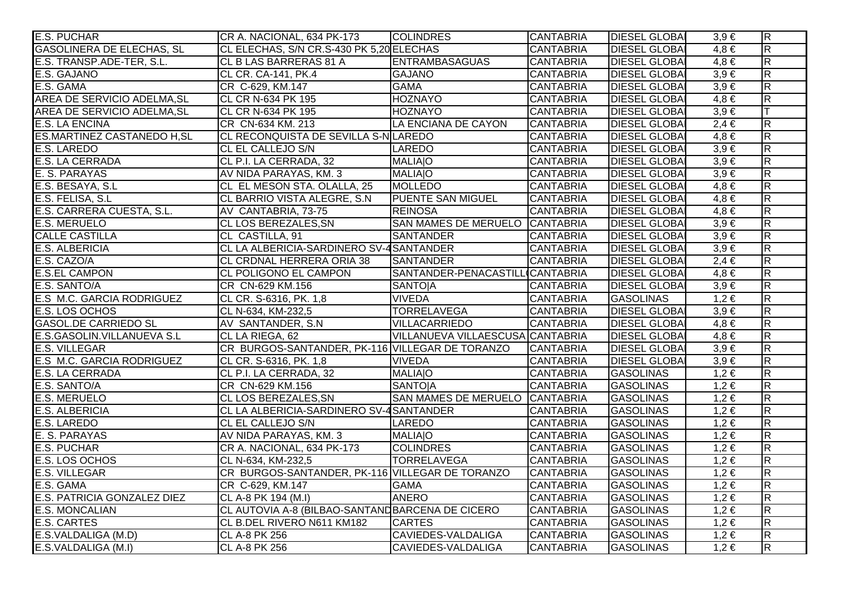| E.S. PUCHAR                        | CR A. NACIONAL, 634 PK-173                      | <b>COLINDRES</b>                 | <b>CANTABRIA</b> | <b>DIESEL GLOBAL</b> | $3,9 \in$ | $\overline{\mathsf{R}}$ |
|------------------------------------|-------------------------------------------------|----------------------------------|------------------|----------------------|-----------|-------------------------|
| <b>GASOLINERA DE ELECHAS, SL</b>   | CL ELECHAS, S/N CR.S-430 PK 5,20 ELECHAS        |                                  | <b>CANTABRIA</b> | <b>DIESEL GLOBA</b>  | $4,8 \in$ | $\overline{R}$          |
| E.S. TRANSP.ADE-TER, S.L.          | CL B LAS BARRERAS 81 A                          | <b>ENTRAMBASAGUAS</b>            | <b>CANTABRIA</b> | <b>DIESEL GLOBA</b>  | $4,8 \in$ | $\overline{\mathsf{R}}$ |
| E.S. GAJANO                        | CL CR. CA-141, PK.4                             | <b>GAJANO</b>                    | <b>CANTABRIA</b> | <b>DIESEL GLOBAI</b> | $3,9 \in$ | $\overline{R}$          |
| E.S. GAMA                          | CR C-629, KM.147                                | <b>GAMA</b>                      | <b>CANTABRIA</b> | <b>DIESEL GLOBAI</b> | $3,9 \in$ | $\overline{R}$          |
| <b>AREA DE SERVICIO ADELMA, SL</b> | <b>CL CR N-634 PK 195</b>                       | <b>HOZNAYO</b>                   | <b>CANTABRIA</b> | <b>DIESEL GLOBAI</b> | $4,8 \in$ | $\overline{R}$          |
| AREA DE SERVICIO ADELMA, SL        | <b>CL CR N-634 PK 195</b>                       | <b>HOZNAYO</b>                   | <b>CANTABRIA</b> | <b>DIESEL GLOBAI</b> | $3,9 \in$ | lΤ                      |
| <b>E.S. LA ENCINA</b>              | CR CN-634 KM. 213                               | LA ENCIANA DE CAYON              | <b>CANTABRIA</b> | <b>DIESEL GLOBA</b>  | $2,4 \in$ | $\overline{R}$          |
| <b>ES.MARTINEZ CASTANEDO H, SL</b> | CL RECONQUISTA DE SEVILLA S-N LAREDO            |                                  | <b>CANTABRIA</b> | <b>DIESEL GLOBAI</b> | $4,8 \in$ | $\overline{R}$          |
| <b>E.S. LAREDO</b>                 | CL EL CALLEJO S/N                               | LAREDO                           | <b>CANTABRIA</b> | <b>DIESEL GLOBA</b>  | $3,9 \in$ | $\overline{\mathsf{R}}$ |
| E.S. LA CERRADA                    | CL P.I. LA CERRADA, 32                          | <b>MALIAO</b>                    | <b>CANTABRIA</b> | <b>DIESEL GLOBAI</b> | $3,9 \in$ | $\overline{R}$          |
| E. S. PARAYAS                      | AV NIDA PARAYAS, KM. 3                          | <b>MALIAO</b>                    | <b>CANTABRIA</b> | <b>DIESEL GLOBA</b>  | $3,9 \in$ | $\overline{R}$          |
| E.S. BESAYA, S.L                   | CL EL MESON STA. OLALLA, 25                     | MOLLEDO                          | <b>CANTABRIA</b> | <b>DIESEL GLOBA</b>  | $4,8 \in$ | $\overline{R}$          |
| E.S. FELISA, S.L.                  | CL BARRIO VISTA ALEGRE, S.N                     | <b>PUENTE SAN MIGUEL</b>         | <b>CANTABRIA</b> | <b>DIESEL GLOBAI</b> | $4,8 \in$ | $\overline{R}$          |
| E.S. CARRERA CUESTA, S.L.          | AV CANTABRIA, 73-75                             | <b>REINOSA</b>                   | <b>CANTABRIA</b> | <b>DIESEL GLOBAI</b> | $4,8 \in$ | $\overline{\mathsf{R}}$ |
| <b>E.S. MERUELO</b>                | <b>CL LOS BEREZALES, SN</b>                     | SAN MAMES DE MERUELO CANTABRIA   |                  | <b>DIESEL GLOBAI</b> | $3,9 \in$ | $\overline{R}$          |
| <b>CALLE CASTILLA</b>              | <b>CL CASTILLA, 91</b>                          | <b>SANTANDER</b>                 | <b>CANTABRIA</b> | <b>DIESEL GLOBAI</b> | $3,9 \in$ | $\overline{\mathsf{R}}$ |
| <b>E.S. ALBERICIA</b>              | CL LA ALBERICIA-SARDINERO SV-4 SANTANDER        |                                  | <b>CANTABRIA</b> | <b>DIESEL GLOBAI</b> | $3,9 \in$ | $\overline{R}$          |
| E.S. CAZO/A                        | CL CRDNAL HERRERA ORIA 38                       | SANTANDER                        | <b>CANTABRIA</b> | <b>DIESEL GLOBA</b>  | $2,4 \in$ | $\overline{\mathsf{R}}$ |
| <b>E.S.EL CAMPON</b>               | <b>CL POLIGONO EL CAMPON</b>                    | SANTANDER-PENACASTILL CANTABRIA  |                  | <b>DIESEL GLOBAI</b> | $4,8 \in$ | $\overline{R}$          |
| E.S. SANTO/A                       | CR CN-629 KM.156                                | <b>SANTOJA</b>                   | <b>CANTABRIA</b> | <b>DIESEL GLOBAI</b> | $3,9 \in$ | $\overline{R}$          |
| E.S M.C. GARCIA RODRIGUEZ          | CL CR. S-6316, PK. 1,8                          | <b>VIVEDA</b>                    | <b>CANTABRIA</b> | <b>GASOLINAS</b>     | $1,2 \in$ | $\overline{R}$          |
| E.S. LOS OCHOS                     | CL N-634, KM-232,5                              | <b>TORRELAVEGA</b>               | <b>CANTABRIA</b> | <b>DIESEL GLOBAI</b> | $3,9 \in$ | $\overline{R}$          |
| <b>GASOL.DE CARRIEDO SL</b>        | AV SANTANDER, S.N.                              | VILLACARRIEDO                    | <b>CANTABRIA</b> | <b>DIESEL GLOBAI</b> | $4,8 \in$ | $\overline{\mathsf{R}}$ |
| E.S.GASOLIN. VILLANUEVA S.L        | CL LA RIEGA, 62                                 | VILLANUEVA VILLAESCUSA CANTABRIA |                  | <b>DIESEL GLOBAI</b> | $4,8 \in$ | $\overline{R}$          |
| <b>E.S. VILLEGAR</b>               | CR BURGOS-SANTANDER, PK-116 VILLEGAR DE TORANZO |                                  | <b>CANTABRIA</b> | <b>DIESEL GLOBA</b>  | $3,9 \in$ | $\overline{R}$          |
| E.S M.C. GARCIA RODRIGUEZ          | CL CR. S-6316, PK. 1,8                          | <b>VIVEDA</b>                    | <b>CANTABRIA</b> | <b>DIESEL GLOBA</b>  | $3,9 \in$ | $\overline{R}$          |
| E.S. LA CERRADA                    | CL P.I. LA CERRADA, 32                          | <b>MALIAO</b>                    | <b>CANTABRIA</b> | <b>GASOLINAS</b>     | $1,2 \in$ | $\overline{\mathsf{R}}$ |
| E.S. SANTO/A                       | CR CN-629 KM.156                                | <b>SANTOJA</b>                   | <b>CANTABRIA</b> | <b>GASOLINAS</b>     | $1,2 \in$ | $\overline{R}$          |
| <b>E.S. MERUELO</b>                | <b>CL LOS BEREZALES, SN</b>                     | SAN MAMES DE MERUELO CANTABRIA   |                  | <b>GASOLINAS</b>     | $1,2 \in$ | $\overline{R}$          |
| <b>E.S. ALBERICIA</b>              | CL LA ALBERICIA-SARDINERO SV-4 SANTANDER        |                                  | <b>CANTABRIA</b> | <b>GASOLINAS</b>     | $1,2 \in$ | $\overline{\mathsf{R}}$ |
| <b>E.S. LAREDO</b>                 | <b>CL EL CALLEJO S/N</b>                        | LAREDO                           | <b>CANTABRIA</b> | <b>GASOLINAS</b>     | $1,2 \in$ | $\overline{\mathsf{R}}$ |
| E. S. PARAYAS                      | AV NIDA PARAYAS, KM. 3                          | <b>MALIAIO</b>                   | <b>CANTABRIA</b> | <b>GASOLINAS</b>     | $1,2 \in$ | $\overline{\mathsf{R}}$ |
| <b>E.S. PUCHAR</b>                 | CR A. NACIONAL, 634 PK-173                      | <b>COLINDRES</b>                 | <b>CANTABRIA</b> | <b>GASOLINAS</b>     | $1,2 \in$ | $\overline{R}$          |
| E.S. LOS OCHOS                     | CL N-634, KM-232,5                              | <b>TORRELAVEGA</b>               | <b>CANTABRIA</b> | <b>GASOLINAS</b>     | $1,2 \in$ | $\overline{\mathsf{R}}$ |
| <b>E.S. VILLEGAR</b>               | CR BURGOS-SANTANDER, PK-116 VILLEGAR DE TORANZO |                                  | <b>CANTABRIA</b> | <b>GASOLINAS</b>     | $1,2 \in$ | $\overline{\mathsf{R}}$ |
| E.S. GAMA                          | CR C-629, KM.147                                | <b>GAMA</b>                      | <b>CANTABRIA</b> | <b>GASOLINAS</b>     | $1,2 \in$ | $\overline{\mathsf{R}}$ |
| E.S. PATRICIA GONZALEZ DIEZ        | CL A-8 PK 194 (M.I)                             | <b>ANERO</b>                     | <b>CANTABRIA</b> | <b>GASOLINAS</b>     | $1,2 \in$ | $\overline{R}$          |
| <b>E.S. MONCALIAN</b>              | CL AUTOVIA A-8 (BILBAO-SANTANDBARCENA DE CICERO |                                  | <b>CANTABRIA</b> | <b>GASOLINAS</b>     | $1,2 \in$ | $\overline{\mathsf{R}}$ |
| <b>E.S. CARTES</b>                 | CL B.DEL RIVERO N611 KM182                      | <b>CARTES</b>                    | <b>CANTABRIA</b> | <b>GASOLINAS</b>     | $1,2 \in$ | $\overline{\mathsf{R}}$ |
| E.S.VALDALIGA (M.D)                | CL A-8 PK 256                                   | <b>CAVIEDES-VALDALIGA</b>        | <b>CANTABRIA</b> | <b>GASOLINAS</b>     | $1,2 \in$ | $\overline{R}$          |
| E.S.VALDALIGA (M.I)                | <b>CL A-8 PK 256</b>                            | <b>CAVIEDES-VALDALIGA</b>        | <b>CANTABRIA</b> | <b>GASOLINAS</b>     | $1,2 \in$ | $\overline{\mathsf{R}}$ |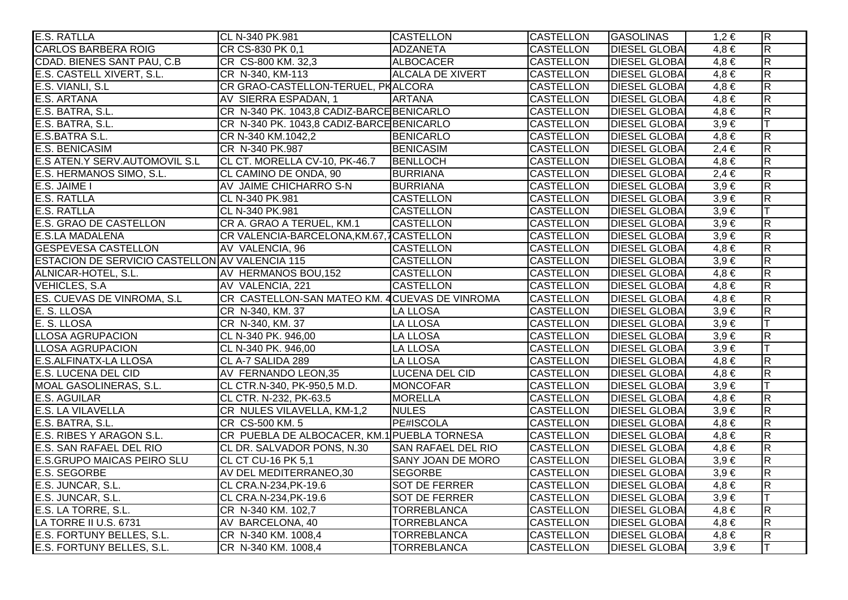| <b>E.S. RATLLA</b>                             | CL N-340 PK.981                               | <b>CASTELLON</b>          | <b>CASTELLON</b> | <b>GASOLINAS</b>     | $1,2 \in$ | $\overline{\mathsf{R}}$ |
|------------------------------------------------|-----------------------------------------------|---------------------------|------------------|----------------------|-----------|-------------------------|
| <b>CARLOS BARBERA ROIG</b>                     | CR CS-830 PK 0.1                              | <b>ADZANETA</b>           | <b>CASTELLON</b> | <b>DIESEL GLOBAI</b> | $4,8 \in$ | $\overline{\mathbf{z}}$ |
| CDAD. BIENES SANT PAU, C.B.                    | CR CS-800 KM. 32,3                            | ALBOCACER                 | <b>CASTELLON</b> | <b>DIESEL GLOBAI</b> | $4,8 \in$ | $\overline{\mathsf{R}}$ |
| E.S. CASTELL XIVERT, S.L.                      | CR N-340, KM-113                              | <b>ALCALA DE XIVERT</b>   | <b>CASTELLON</b> | <b>DIESEL GLOBA</b>  | $4,8 \in$ | $\overline{\mathsf{R}}$ |
| E.S. VIANLI, S.L.                              | CR GRAO-CASTELLON-TERUEL, PKALCORA            |                           | <b>CASTELLON</b> | <b>DIESEL GLOBAI</b> | $4,8 \in$ | $\overline{\mathsf{R}}$ |
| E.S. ARTANA                                    | AV SIERRA ESPADAN, 1                          | <b>ARTANA</b>             | <b>CASTELLON</b> | <b>DIESEL GLOBA</b>  | $4,8 \in$ | $\overline{R}$          |
| E.S. BATRA, S.L.                               | CR N-340 PK. 1043,8 CADIZ-BARCE BENICARLO     |                           | <b>CASTELLON</b> | <b>DIESEL GLOBA</b>  | $4,8 \in$ | $\overline{\mathsf{R}}$ |
| E.S. BATRA, S.L.                               | CR N-340 PK. 1043,8 CADIZ-BARCE BENICARLO     |                           | <b>CASTELLON</b> | <b>DIESEL GLOBA</b>  | $3,9 \in$ |                         |
| E.S.BATRA S.L.                                 | CR N-340 KM.1042,2                            | <b>BENICARLO</b>          | <b>CASTELLON</b> | <b>DIESEL GLOBA</b>  | $4,8 \in$ | $\overline{\mathsf{R}}$ |
| <b>E.S. BENICASIM</b>                          | CR N-340 PK.987                               | <b>BENICASIM</b>          | <b>CASTELLON</b> | <b>DIESEL GLOBA</b>  | $2,4 \in$ | $\overline{\mathbf{z}}$ |
| E.S ATEN.Y SERV.AUTOMOVIL S.L                  | CL CT. MORELLA CV-10, PK-46.7                 | BENLLOCH                  | <b>CASTELLON</b> | <b>DIESEL GLOBA</b>  | $4,8 \in$ | $\overline{\mathsf{R}}$ |
| E.S. HERMANOS SIMO, S.L.                       | <b>ICL CAMINO DE ONDA, 90</b>                 | <b>BURRIANA</b>           | <b>CASTELLON</b> | <b>DIESEL GLOBA</b>  | $2,4 \in$ | $\overline{R}$          |
| E.S. JAIME I                                   | AV JAIME CHICHARRO S-N                        | <b>BURRIANA</b>           | <b>CASTELLON</b> | <b>DIESEL GLOBA</b>  | $3,9 \in$ | $\overline{\mathbf{z}}$ |
| <b>E.S. RATLLA</b>                             | CL N-340 PK.981                               | <b>CASTELLON</b>          | <b>CASTELLON</b> | <b>DIESEL GLOBA</b>  | $3,9 \in$ | R.                      |
| <b>E.S. RATLLA</b>                             | CL N-340 PK.981                               | <b>CASTELLON</b>          | <b>CASTELLON</b> | <b>DIESEL GLOBA</b>  | $3,9 \in$ |                         |
| <b>E.S. GRAO DE CASTELLON</b>                  | CR A. GRAO A TERUEL, KM.1                     | <b>CASTELLON</b>          | <b>CASTELLON</b> | <b>DIESEL GLOBA</b>  | $3,9 \in$ | $\overline{\mathbf{z}}$ |
| <b>E.S.LA MADALENA</b>                         | CR VALENCIA-BARCELONA, KM.67, 7CASTELLON      |                           | <b>CASTELLON</b> | <b>DIESEL GLOBA</b>  | $3,9 \in$ | $\overline{\mathbf{z}}$ |
| <b>GESPEVESA CASTELLON</b>                     | AV VALENCIA, 96                               | <b>CASTELLON</b>          | <b>CASTELLON</b> | <b>DIESEL GLOBA</b>  | $4,8 \in$ | $\overline{\mathbf{z}}$ |
| ESTACION DE SERVICIO CASTELLON AV VALENCIA 115 |                                               | <b>CASTELLON</b>          | <b>CASTELLON</b> | <b>DIESEL GLOBA</b>  | $3,9 \in$ | $\overline{\mathbf{z}}$ |
| ALNICAR-HOTEL, S.L.                            | AV HERMANOS BOU, 152                          | <b>CASTELLON</b>          | <b>CASTELLON</b> | <b>DIESEL GLOBA</b>  | $4,8 \in$ | $\overline{\mathsf{R}}$ |
| <b>VEHICLES, S.A.</b>                          | AV VALENCIA, 221                              | <b>CASTELLON</b>          | <b>CASTELLON</b> | <b>DIESEL GLOBAI</b> | $4,8 \in$ | $\overline{\mathsf{R}}$ |
| ES. CUEVAS DE VINROMA, S.L.                    | CR CASTELLON-SAN MATEO KM. 4CUEVAS DE VINROMA |                           | <b>CASTELLON</b> | <b>DIESEL GLOBA</b>  | $4,8 \in$ | $\overline{\mathsf{R}}$ |
| E. S. LLOSA                                    | CR N-340, KM. 37                              | <b>LA LLOSA</b>           | <b>CASTELLON</b> | <b>DIESEL GLOBA</b>  | $3,9 \in$ | $\overline{R}$          |
| E. S. LLOSA                                    | CR N-340, KM. 37                              | <b>LA LLOSA</b>           | <b>CASTELLON</b> | <b>DIESEL GLOBA</b>  | $3,9 \in$ |                         |
| <b>LLOSA AGRUPACION</b>                        | CL N-340 PK. 946,00                           | <b>LA LLOSA</b>           | <b>CASTELLON</b> | <b>DIESEL GLOBA</b>  | $3,9 \in$ | $\overline{\mathbf{z}}$ |
| <b>LLOSA AGRUPACION</b>                        | CL N-340 PK. 946,00                           | <b>LA LLOSA</b>           | <b>CASTELLON</b> | <b>DIESEL GLOBA</b>  | $3,9 \in$ |                         |
| <b>E.S.ALFINATX-LA LLOSA</b>                   | CL A-7 SALIDA 289                             | LA LLOSA                  | <b>CASTELLON</b> | <b>DIESEL GLOBA</b>  | $4,8 \in$ | $\overline{\mathbf{z}}$ |
| <b>E.S. LUCENA DEL CID</b>                     | AV FERNANDO LEON,35                           | LUCENA DEL CID            | <b>CASTELLON</b> | <b>DIESEL GLOBA</b>  | $4,8 \in$ | $\overline{R}$          |
| <b>MOAL GASOLINERAS, S.L.</b>                  | CL CTR.N-340, PK-950,5 M.D.                   | <b>MONCOFAR</b>           | <b>CASTELLON</b> | <b>DIESEL GLOBA</b>  | $3,9 \in$ |                         |
| <b>E.S. AGUILAR</b>                            | CL CTR. N-232, PK-63.5                        | <b>MORELLA</b>            | <b>CASTELLON</b> | <b>DIESEL GLOBA</b>  | $4,8 \in$ | $\overline{\mathbf{z}}$ |
| <b>E.S. LA VILAVELLA</b>                       | CR NULES VILAVELLA, KM-1,2                    | <b>NULES</b>              | <b>CASTELLON</b> | <b>DIESEL GLOBA</b>  | $3,9 \in$ | $\overline{\mathbf{z}}$ |
| E.S. BATRA, S.L.                               | CR CS-500 KM. 5                               | <b>PE#ISCOLA</b>          | <b>CASTELLON</b> | <b>DIESEL GLOBA</b>  | $4,8 \in$ | $\overline{\mathsf{R}}$ |
| E.S. RIBES Y ARAGON S.L.                       | CR PUEBLA DE ALBOCACER, KM.1 PUEBLA TORNESA   |                           | <b>CASTELLON</b> | <b>DIESEL GLOBA</b>  | $4,8 \in$ | $\overline{\mathsf{R}}$ |
| E.S. SAN RAFAEL DEL RIO                        | CL DR. SALVADOR PONS, N.30                    | <b>SAN RAFAEL DEL RIO</b> | <b>CASTELLON</b> | <b>DIESEL GLOBA</b>  | $4,8 \in$ | $\overline{\mathsf{R}}$ |
| <b>E.S.GRUPO MAICAS PEIRO SLU</b>              | CL CT CU-16 PK 5,1                            | <b>SANY JOAN DE MORO</b>  | <b>CASTELLON</b> | <b>DIESEL GLOBA</b>  | $3,9 \in$ | $\overline{\mathsf{R}}$ |
| <b>E.S. SEGORBE</b>                            | AV DEL MEDITERRANEO,30                        | <b>SEGORBE</b>            | <b>CASTELLON</b> | <b>DIESEL GLOBA</b>  | $3,9 \in$ | $\overline{\mathsf{R}}$ |
| E.S. JUNCAR, S.L.                              | CL CRA.N-234, PK-19.6                         | <b>SOT DE FERRER</b>      | <b>CASTELLON</b> | <b>DIESEL GLOBA</b>  | $4,8 \in$ | $\overline{\mathsf{R}}$ |
| E.S. JUNCAR, S.L.                              | CL CRA.N-234, PK-19.6                         | <b>SOT DE FERRER</b>      | <b>CASTELLON</b> | <b>DIESEL GLOBA</b>  | $3,9 \in$ |                         |
| E.S. LA TORRE, S.L.                            | CR N-340 KM. 102,7                            | <b>TORREBLANCA</b>        | <b>CASTELLON</b> | <b>DIESEL GLOBAI</b> | $4,8 \in$ | $\overline{\mathsf{R}}$ |
| <b>LA TORRE II U.S. 6731</b>                   | AV BARCELONA, 40                              | <b>TORREBLANCA</b>        | <b>CASTELLON</b> | <b>DIESEL GLOBAI</b> | $4,8 \in$ | $\overline{\mathsf{R}}$ |
| E.S. FORTUNY BELLES, S.L.                      | CR N-340 KM. 1008,4                           | <b>TORREBLANCA</b>        | <b>CASTELLON</b> | <b>DIESEL GLOBA</b>  | $4,8 \in$ | $\overline{R}$          |
| E.S. FORTUNY BELLES, S.L.                      | CR N-340 KM. 1008,4                           | <b>TORREBLANCA</b>        | <b>CASTELLON</b> | <b>DIESEL GLOBAL</b> | $3,9 \in$ |                         |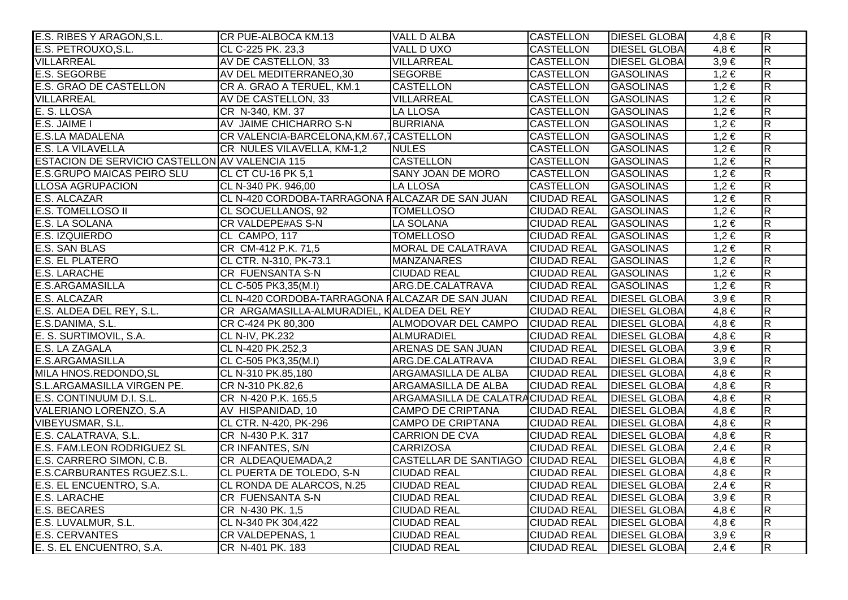| E.S. RIBES Y ARAGON, S.L.                      | CR PUE-ALBOCA KM.13                             | <b>VALL D ALBA</b>                | <b>CASTELLON</b>                  | <b>DIESEL GLOBAI</b> | 4.8 €     | $\overline{R}$          |
|------------------------------------------------|-------------------------------------------------|-----------------------------------|-----------------------------------|----------------------|-----------|-------------------------|
| E.S. PETROUXO, S.L.                            | CL C-225 PK. 23,3                               | VALL DUXO                         | <b>CASTELLON</b>                  | <b>DIESEL GLOBA</b>  | $4,8 \in$ | $\overline{R}$          |
| <b>VILLARREAL</b>                              | AV DE CASTELLON, 33                             | VILLARREAL                        | <b>CASTELLON</b>                  | <b>DIESEL GLOBA</b>  | $3,9 \in$ | $\overline{R}$          |
| <b>E.S. SEGORBE</b>                            | AV DEL MEDITERRANEO,30                          | <b>SEGORBE</b>                    | <b>CASTELLON</b>                  | <b>GASOLINAS</b>     | $1,2 \in$ | R.                      |
| E.S. GRAO DE CASTELLON                         | CR A. GRAO A TERUEL, KM.1                       | <b>CASTELLON</b>                  | <b>CASTELLON</b>                  | <b>GASOLINAS</b>     | $1,2 \in$ | $\overline{\mathsf{R}}$ |
| <b>VILLARREAL</b>                              | AV DE CASTELLON, 33                             | VILLARREAL                        | <b>CASTELLON</b>                  | <b>GASOLINAS</b>     | $1,2 \in$ | $\overline{R}$          |
| E. S. LLOSA                                    | CR N-340, KM. 37                                | <b>LA LLOSA</b>                   | <b>CASTELLON</b>                  | <b>GASOLINAS</b>     | $1,2 \in$ | $\overline{R}$          |
| E.S. JAIME I                                   | AV JAIME CHICHARRO S-N                          | <b>BURRIANA</b>                   | <b>CASTELLON</b>                  | <b>GASOLINAS</b>     | $1,2 \in$ | $\overline{R}$          |
| <b>E.S.LA MADALENA</b>                         | CR VALENCIA-BARCELONA, KM.67, 7CASTELLON        |                                   | <b>CASTELLON</b>                  | <b>GASOLINAS</b>     | $1,2 \in$ | $\overline{R}$          |
| E.S. LA VILAVELLA                              | CR NULES VILAVELLA, KM-1,2                      | <b>NULES</b>                      | CASTELLON                         | <b>GASOLINAS</b>     | $1,2 \in$ | $\overline{\mathsf{R}}$ |
| ESTACION DE SERVICIO CASTELLON AV VALENCIA 115 |                                                 | <b>CASTELLON</b>                  | <b>CASTELLON</b>                  | <b>GASOLINAS</b>     | $1,2 \in$ | $\overline{\mathsf{R}}$ |
| <b>E.S.GRUPO MAICAS PEIRO SLU</b>              | CL CT CU-16 PK 5,1                              | <b>SANY JOAN DE MORO</b>          | <b>CASTELLON</b>                  | <b>GASOLINAS</b>     | $1,2 \in$ | $\overline{\mathsf{R}}$ |
| <b>LLOSA AGRUPACION</b>                        | CL N-340 PK. 946,00                             | LA LLOSA                          | <b>CASTELLON</b>                  | <b>GASOLINAS</b>     | $1,2 \in$ | $\overline{\mathbf{z}}$ |
| E.S. ALCAZAR                                   | CL N-420 CORDOBA-TARRAGONA FALCAZAR DE SAN JUAN |                                   | <b>CIUDAD REAL</b>                | GASOLINAS            | $1,2 \in$ | $\overline{R}$          |
| E.S. TOMELLOSO II                              | <b>CL SOCUELLANOS, 92</b>                       | <b>TOMELLOSO</b>                  | <b>CIUDAD REAL</b>                | <b>GASOLINAS</b>     | $1,2 \in$ | $\overline{\mathsf{R}}$ |
| <b>E.S. LA SOLANA</b>                          | <b>CR VALDEPE#AS S-N</b>                        | <b>LA SOLANA</b>                  | <b>CIUDAD REAL</b>                | <b>GASOLINAS</b>     | $1,2 \in$ | $\overline{R}$          |
| E.S. IZQUIERDO                                 | CL CAMPO, 117                                   | <b>TOMELLOSO</b>                  | <b>CIUDAD REAL</b>                | <b>GASOLINAS</b>     | $1,2 \in$ | $\overline{\mathsf{R}}$ |
| <b>E.S. SAN BLAS</b>                           | CR CM-412 P.K. 71,5                             | MORAL DE CALATRAVA                | <b>CIUDAD REAL</b>                | <b>GASOLINAS</b>     | $1,2 \in$ | $\overline{R}$          |
| <b>E.S. EL PLATERO</b>                         | CL CTR. N-310, PK-73.1                          | <b>MANZANARES</b>                 | <b>CIUDAD REAL</b>                | <b>GASOLINAS</b>     | $1,2 \in$ | $\overline{\mathsf{R}}$ |
| <b>E.S. LARACHE</b>                            | <b>CR FUENSANTA S-N</b>                         | <b>CIUDAD REAL</b>                | <b>CIUDAD REAL</b>                | <b>GASOLINAS</b>     | $1,2 \in$ | $\overline{\mathsf{R}}$ |
| E.S.ARGAMASILLA                                | CL C-505 PK3,35(M.I)                            | ARG.DE.CALATRAVA                  | <b>CIUDAD REAL</b>                | <b>GASOLINAS</b>     | $1,2 \in$ | $\overline{R}$          |
| <b>E.S. ALCAZAR</b>                            | CL N-420 CORDOBA-TARRAGONA FALCAZAR DE SAN JUAN |                                   | <b>CIUDAD REAL</b>                | <b>DIESEL GLOBA</b>  | $3,9 \in$ | $\overline{\mathbf{z}}$ |
| E.S. ALDEA DEL REY, S.L.                       | CR ARGAMASILLA-ALMURADIEL, KALDEA DEL REY       |                                   | <b>CIUDAD REAL</b>                | <b>DIESEL GLOBA</b>  | $4,8 \in$ | $\overline{\mathsf{R}}$ |
| E.S.DANIMA, S.L.                               | CR C-424 PK 80,300                              | ALMODOVAR DEL CAMPO               | CIUDAD REAL   DIESEL GLOBA        |                      | $4,8 \in$ | $\overline{\mathsf{R}}$ |
| E. S. SURTIMOVIL, S.A.                         | CL N-IV, PK.232                                 | ALMURADIEL                        | <b>CIUDAD REAL</b>                | <b>DIESEL GLOBAI</b> | $4,8 \in$ | $\overline{\mathsf{R}}$ |
| E.S. LA ZAGALA                                 | CL N-420 PK.252,3                               | ARENAS DE SAN JUAN                | <b>CIUDAD REAL</b>                | <b>DIESEL GLOBA</b>  | $3,9 \in$ | $\overline{\mathsf{R}}$ |
| <b>E.S.ARGAMASILLA</b>                         | CL C-505 PK3,35(M.I)                            | ARG.DE.CALATRAVA                  | <b>CIUDAD REAL</b>                | <b>DIESEL GLOBA</b>  | $3,9 \in$ | $\overline{\mathsf{R}}$ |
| MILA HNOS.REDONDO, SL                          | CL N-310 PK.85,180                              | ARGAMASILLA DE ALBA               | <b>CIUDAD REAL</b>                | <b>DIESEL GLOBA</b>  | $4,8 \in$ | $\overline{R}$          |
| S.L.ARGAMASILLA VIRGEN PE.                     | CR N-310 PK.82,6                                | ARGAMASILLA DE ALBA               | <b>CIUDAD REAL</b>                | <b>DIESEL GLOBA</b>  | $4,8 \in$ | $\overline{R}$          |
| E.S. CONTINUUM D.I. S.L.                       | CR N-420 P.K. 165,5                             | ARGAMASILLA DE CALATRACIUDAD REAL |                                   | <b>DIESEL GLOBA</b>  | $4,8 \in$ | $\overline{\mathsf{R}}$ |
| VALERIANO LORENZO, S.A.                        | AV HISPANIDAD, 10                               | <b>CAMPO DE CRIPTANA</b>          | <b>CIUDAD REAL</b>                | <b>DIESEL GLOBA</b>  | $4,8 \in$ | $\overline{\mathbf{z}}$ |
| VIBEYUSMAR, S.L.                               | CL CTR. N-420, PK-296                           | <b>CAMPO DE CRIPTANA</b>          | <b>CIUDAD REAL</b>                | <b>DIESEL GLOBA</b>  | $4,8 \in$ | $\overline{\mathsf{R}}$ |
| E.S. CALATRAVA, S.L.                           | CR N-430 P.K. 317                               | <b>CARRION DE CVA</b>             | <b>CIUDAD REAL   DIESEL GLOBA</b> |                      | $4,8 \in$ | $\overline{\mathsf{R}}$ |
| E.S. FAM.LEON RODRIGUEZ SL                     | <b>CR INFANTES, S/N</b>                         | <b>CARRIZOSA</b>                  | <b>CIUDAD REAL</b>                | <b>DIESEL GLOBAI</b> | $2,4 \in$ | $\overline{\mathsf{R}}$ |
| E.S. CARRERO SIMON, C.B.                       | CR ALDEAQUEMADA,2                               | CASTELLAR DE SANTIAGO CIUDAD REAL |                                   | <b>DIESEL GLOBA</b>  | $4,8 \in$ | $\overline{\mathsf{R}}$ |
| E.S.CARBURANTES RGUEZ.S.L.                     | CL PUERTA DE TOLEDO, S-N                        | <b>CIUDAD REAL</b>                | <b>CIUDAD REAL</b>                | <b>DIESEL GLOBA</b>  | $4,8 \in$ | $\overline{\mathsf{R}}$ |
| E.S. EL ENCUENTRO, S.A.                        | CL RONDA DE ALARCOS, N.25                       | <b>CIUDAD REAL</b>                | <b>CIUDAD REAL</b>                | <b>DIESEL GLOBA</b>  | $2,4 \in$ | $\overline{\mathsf{R}}$ |
| <b>E.S. LARACHE</b>                            | <b>CR FUENSANTA S-N</b>                         | <b>CIUDAD REAL</b>                | <b>CIUDAD REAL</b>                | <b>DIESEL GLOBAI</b> | $3,9 \in$ | $\overline{\mathsf{R}}$ |
| <b>E.S. BECARES</b>                            | CR N-430 PK. 1,5                                | <b>CIUDAD REAL</b>                | <b>CIUDAD REAL</b>                | <b>DIESEL GLOBA</b>  | $4,8 \in$ | $\overline{\mathsf{R}}$ |
| E.S. LUVALMUR, S.L.                            | CL N-340 PK 304,422                             | <b>CIUDAD REAL</b>                | <b>CIUDAD REAL</b>                | <b>DIESEL GLOBA</b>  | $4,8 \in$ | $\overline{\mathsf{R}}$ |
| <b>E.S. CERVANTES</b>                          | CR VALDEPENAS, 1                                | <b>CIUDAD REAL</b>                | <b>CIUDAD REAL</b>                | <b>DIESEL GLOBA</b>  | $3,9 \in$ | $\overline{\mathsf{R}}$ |
| E. S. EL ENCUENTRO, S.A.                       | CR N-401 PK. 183                                | <b>CIUDAD REAL</b>                | CIUDAD REAL   DIESEL GLOBA        |                      | $2,4 \in$ | $\overline{R}$          |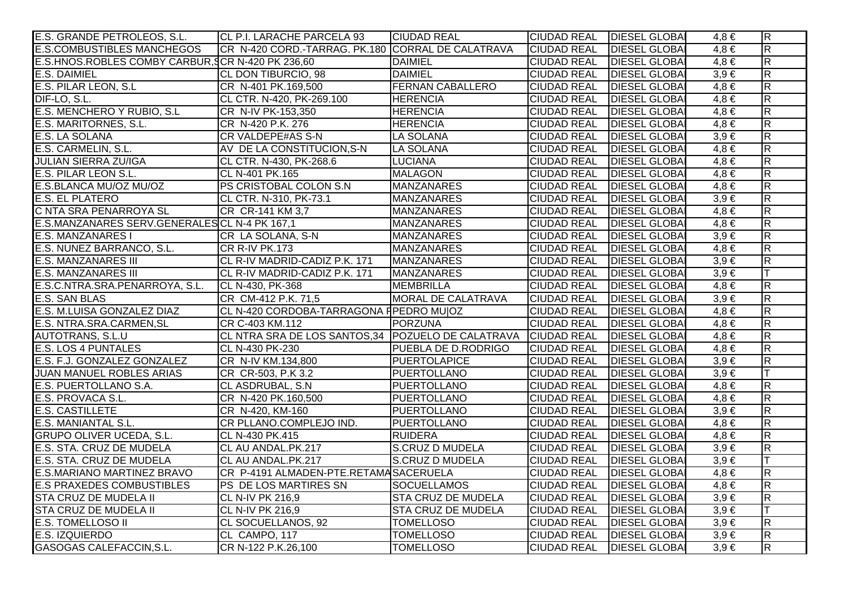| E.S. GRANDE PETROLEOS, S.L.                      | CL P.I. LARACHE PARCELA 93                        | <b>CIUDAD REAL</b>        | CIUDAD REAL   DIESEL GLOBA |                      | $4,8 \in$ | $\overline{\mathsf{R}}$ |
|--------------------------------------------------|---------------------------------------------------|---------------------------|----------------------------|----------------------|-----------|-------------------------|
| <b>E.S.COMBUSTIBLES MANCHEGOS</b>                | CR N-420 CORD.-TARRAG. PK.180 CORRAL DE CALATRAVA |                           | <b>CIUDAD REAL</b>         | <b>DIESEL GLOBAI</b> | $4.8 \in$ | $\overline{R}$          |
| E.S.HNOS.ROBLES COMBY CARBUR, CR N-420 PK 236,60 |                                                   | <b>DAIMIEL</b>            | <b>CIUDAD REAL</b>         | <b>DIESEL GLOBAI</b> | $4,8 \in$ | $\overline{\mathsf{R}}$ |
| E.S. DAIMIEL                                     | CL DON TIBURCIO, 98                               | <b>DAIMIEL</b>            | <b>CIUDAD REAL</b>         | <b>DIESEL GLOBAI</b> | $3,9 \in$ | $\mathsf R$             |
| E.S. PILAR LEON, S.L                             | CR N-401 PK.169,500                               | <b>FERNAN CABALLERO</b>   | <b>CIUDAD REAL</b>         | <b>DIESEL GLOBA</b>  | $4,8 \in$ | $\overline{R}$          |
| DIF-LO, S.L.                                     | CL CTR. N-420, PK-269.100                         | <b>HERENCIA</b>           | <b>CIUDAD REAL</b>         | <b>DIESEL GLOBAI</b> | $4,8 \in$ | $\overline{\mathsf{R}}$ |
| E.S. MENCHERO Y RUBIO, S.L.                      | CR N-IV PK-153,350                                | <b>HERENCIA</b>           | <b>CIUDAD REAL</b>         | <b>DIESEL GLOBAI</b> | $4,8 \in$ | $\mathsf R$             |
| E.S. MARITORNES, S.L.                            | CR N-420 P.K. 276                                 | <b>HERENCIA</b>           | <b>CIUDAD REAL</b>         | <b>DIESEL GLOBAI</b> | $4,8 \in$ | $\overline{R}$          |
| E.S. LA SOLANA                                   | <b>CR VALDEPE#AS S-N</b>                          | LA SOLANA                 | <b>CIUDAD REAL</b>         | <b>DIESEL GLOBAI</b> | $3,9 \in$ | $\overline{R}$          |
| E.S. CARMELIN, S.L.                              | AV DE LA CONSTITUCION, S-N                        | LA SOLANA                 | <b>CIUDAD REAL</b>         | <b>DIESEL GLOBAI</b> | $4.8 \in$ | $\overline{\mathsf{R}}$ |
| <b>JULIAN SIERRA ZU/IGA</b>                      | CL CTR. N-430, PK-268.6                           | <b>LUCIANA</b>            | <b>CIUDAD REAL</b>         | <b>DIESEL GLOBAI</b> | $4,8 \in$ | $\overline{R}$          |
| E.S. PILAR LEON S.L.                             | CL N-401 PK.165                                   | <b>MALAGON</b>            | <b>CIUDAD REAL</b>         | <b>DIESEL GLOBAI</b> | $4,8 \in$ | $\overline{\mathsf{R}}$ |
| E.S.BLANCA MU/OZ MU/OZ                           | PS CRISTOBAL COLON S.N                            | <b>MANZANARES</b>         | <b>CIUDAD REAL</b>         | <b>DIESEL GLOBA</b>  | $4,8 \in$ | $\mathsf R$             |
| <b>E.S. EL PLATERO</b>                           | CL CTR. N-310, PK-73.1                            | <b>MANZANARES</b>         | <b>CIUDAD REAL</b>         | <b>DIESEL GLOBA</b>  | $3,9 \in$ | $\overline{R}$          |
| C NTA SRA PENARROYA SL                           | CR CR-141 KM 3,7                                  | <b>MANZANARES</b>         | <b>CIUDAD REAL</b>         | <b>DIESEL GLOBAI</b> | $4,8 \in$ | $\overline{R}$          |
| E.S.MANZANARES SERV.GENERALES CL N-4 PK 167,1    |                                                   | <b>MANZANARES</b>         | <b>CIUDAD REAL</b>         | <b>DIESEL GLOBAI</b> | $4,8 \in$ | $\overline{R}$          |
| <b>E.S. MANZANARES I</b>                         | CR LA SOLANA, S-N                                 | <b>MANZANARES</b>         | <b>CIUDAD REAL</b>         | <b>DIESEL GLOBAI</b> | $3,9 \in$ | $\overline{R}$          |
| E.S. NUNEZ BARRANCO, S.L.                        | <b>CR R-IV PK.173</b>                             | <b>MANZANARES</b>         | <b>CIUDAD REAL</b>         | <b>DIESEL GLOBAI</b> | $4,8 \in$ | $\overline{R}$          |
| <b>E.S. MANZANARES III</b>                       | CL R-IV MADRID-CADIZ P.K. 171                     | <b>MANZANARES</b>         | <b>CIUDAD REAL</b>         | <b>DIESEL GLOBAI</b> | $3,9 \in$ | $\overline{R}$          |
| <b>E.S. MANZANARES III</b>                       | CL R-IV MADRID-CADIZ P.K. 171                     | <b>MANZANARES</b>         | <b>CIUDAD REAL</b>         | <b>DIESEL GLOBAI</b> | $3,9 \in$ |                         |
| E.S.C.NTRA.SRA.PENARROYA, S.L.                   | CL N-430, PK-368                                  | <b>MEMBRILLA</b>          | <b>CIUDAD REAL</b>         | <b>DIESEL GLOBAI</b> | $4,8 \in$ | $\overline{R}$          |
| <b>E.S. SAN BLAS</b>                             | CR CM-412 P.K. 71,5                               | MORAL DE CALATRAVA        | <b>CIUDAD REAL</b>         | <b>DIESEL GLOBAI</b> | $3,9 \in$ | $\overline{R}$          |
| E.S. M.LUISA GONZALEZ DIAZ                       | CL N-420 CORDOBA-TARRAGONA F PEDRO MUJOZ          |                           | <b>CIUDAD REAL</b>         | <b>DIESEL GLOBAI</b> | $4,8 \in$ | $\overline{\mathsf{R}}$ |
| E.S. NTRA.SRA.CARMEN, SL                         | CR C-403 KM.112                                   | PORZUNA                   | <b>CIUDAD REAL</b>         | <b>DIESEL GLOBAI</b> | $4,8 \in$ | $\overline{\mathsf{R}}$ |
| <b>AUTOTRANS, S.L.U</b>                          | CL NTRA SRA DE LOS SANTOS,34 POZUELO DE CALATRAVA |                           | <b>CIUDAD REAL</b>         | <b>DIESEL GLOBAI</b> | $4,8 \in$ | $\overline{R}$          |
| <b>E.S. LOS 4 PUNTALES</b>                       | CL N-430 PK-230                                   | PUEBLA DE D.RODRIGO       | <b>CIUDAD REAL</b>         | <b>DIESEL GLOBAI</b> | $4,8 \in$ | $\overline{\mathsf{R}}$ |
| E.S. F.J. GONZALEZ GONZALEZ                      | CR N-IV KM.134,800                                | <b>PUERTOLAPICE</b>       | <b>CIUDAD REAL</b>         | <b>DIESEL GLOBA</b>  | $3,9 \in$ | $\overline{R}$          |
| <b>JUAN MANUEL ROBLES ARIAS</b>                  | CR CR-503, P.K 3.2                                | <b>PUERTOLLANO</b>        | <b>CIUDAD REAL</b>         | <b>DIESEL GLOBAI</b> | $3,9 \in$ | T                       |
| E.S. PUERTOLLANO S.A.                            | CL ASDRUBAL, S.N.                                 | <b>PUERTOLLANO</b>        | <b>CIUDAD REAL</b>         | <b>DIESEL GLOBAI</b> | $4,8 \in$ | $\overline{R}$          |
| E.S. PROVACA S.L.                                | CR N-420 PK.160,500                               | <b>PUERTOLLANO</b>        | <b>CIUDAD REAL</b>         | <b>DIESEL GLOBAI</b> | $4,8 \in$ | $\overline{R}$          |
| <b>E.S. CASTILLETE</b>                           | CR N-420, KM-160                                  | <b>PUERTOLLANO</b>        | <b>CIUDAD REAL</b>         | <b>DIESEL GLOBA</b>  | $3,9 \in$ | $\overline{R}$          |
| E.S. MANIANTAL S.L.                              | CR PLLANO.COMPLEJO IND.                           | <b>PUERTOLLANO</b>        | <b>CIUDAD REAL</b>         | <b>DIESEL GLOBAI</b> | $4,8 \in$ | $\overline{\mathsf{R}}$ |
| <b>GRUPO OLIVER UCEDA, S.L.</b>                  | CL N-430 PK.415                                   | <b>RUIDERA</b>            | <b>CIUDAD REAL</b>         | <b>DIESEL GLOBAI</b> | $4,8 \in$ | $\overline{\mathsf{R}}$ |
| E.S. STA. CRUZ DE MUDELA                         | CL AU ANDAL.PK.217                                | <b>S.CRUZ D MUDELA</b>    | <b>CIUDAD REAL</b>         | <b>DIESEL GLOBAI</b> | $3,9 \in$ | $\overline{R}$          |
| E.S. STA. CRUZ DE MUDELA                         | CL AU ANDAL.PK.217                                | <b>S.CRUZ D MUDELA</b>    | <b>CIUDAD REAL</b>         | <b>DIESEL GLOBAI</b> | $3,9 \in$ | T                       |
| E.S.MARIANO MARTINEZ BRAVO                       | CR P-4191 ALMADEN-PTE.RETAMASACERUELA             |                           | <b>CIUDAD REAL</b>         | <b>DIESEL GLOBAI</b> | $4,8 \in$ | $\overline{R}$          |
| <b>E.S PRAXEDES COMBUSTIBLES</b>                 | PS DE LOS MARTIRES SN                             | <b>SOCUELLAMOS</b>        | <b>CIUDAD REAL</b>         | <b>DIESEL GLOBAI</b> | $4,8 \in$ | $\overline{\mathsf{R}}$ |
| <b>STA CRUZ DE MUDELA II</b>                     | <b>CL N-IV PK 216,9</b>                           | <b>STA CRUZ DE MUDELA</b> | <b>CIUDAD REAL</b>         | <b>DIESEL GLOBAI</b> | $3,9 \in$ | $\overline{R}$          |
| <b>STA CRUZ DE MUDELA II</b>                     | <b>CL N-IV PK 216,9</b>                           | <b>STA CRUZ DE MUDELA</b> | <b>CIUDAD REAL</b>         | <b>DIESEL GLOBAI</b> | $3,9 \in$ |                         |
| E.S. TOMELLOSO II                                | <b>CL SOCUELLANOS, 92</b>                         | <b>TOMELLOSO</b>          | <b>CIUDAD REAL</b>         | <b>DIESEL GLOBAI</b> | $3,9 \in$ | $\overline{R}$          |
| E.S. IZQUIERDO                                   | CL CAMPO, 117                                     | <b>TOMELLOSO</b>          | <b>CIUDAD REAL</b>         | <b>DIESEL GLOBA</b>  | $3,9 \in$ | $\overline{\mathsf{R}}$ |
| GASOGAS CALEFACCIN, S.L.                         | CR N-122 P.K.26,100                               | <b>TOMELLOSO</b>          | <b>CIUDAD REAL</b>         | <b>DIESEL GLOBAL</b> | $3,9 \in$ | $\overline{\mathsf{R}}$ |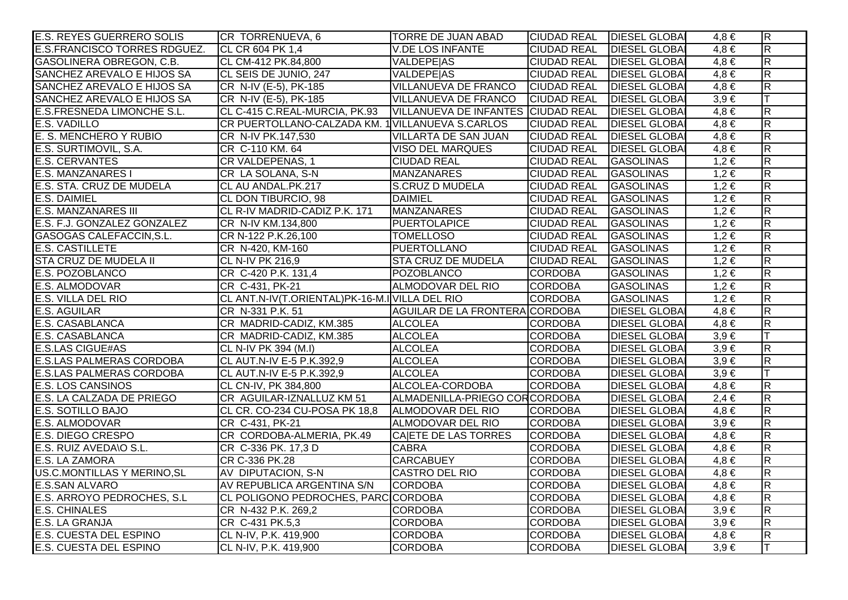| <b>E.S. REYES GUERRERO SOLIS</b>   | CR TORRENUEVA, 6                                 | TORRE DE JUAN ABAD                 | <b>CIUDAD REAL DIESEL GLOBA</b> |                      | $4.8 \in$ | $\overline{R}$          |
|------------------------------------|--------------------------------------------------|------------------------------------|---------------------------------|----------------------|-----------|-------------------------|
| E.S.FRANCISCO TORRES RDGUEZ.       | CL CR 604 PK 1,4                                 | <b>V.DE LOS INFANTE</b>            | <b>CIUDAD REAL</b>              | <b>DIESEL GLOBA</b>  | $4,8 \in$ | $\overline{R}$          |
| <b>GASOLINERA OBREGON, C.B.</b>    | CL CM-412 PK.84,800                              | <b>VALDEPE AS</b>                  | <b>CIUDAD REAL</b>              | <b>DIESEL GLOBAI</b> | $4,8 \in$ | $\overline{\mathsf{R}}$ |
| SANCHEZ AREVALO E HIJOS SA         | CL SEIS DE JUNIO, 247                            | <b>VALDEPE AS</b>                  | <b>CIUDAD REAL</b>              | <b>DIESEL GLOBA</b>  | $4,8 \in$ | $\overline{\mathbf{z}}$ |
| SANCHEZ AREVALO E HIJOS SA         | CR N-IV (E-5), PK-185                            | VILLANUEVA DE FRANCO               | <b>CIUDAD REAL</b>              | <b>DIESEL GLOBAI</b> | $4,8 \in$ | $\overline{R}$          |
| SANCHEZ AREVALO E HIJOS SA         | CR N-IV (E-5), PK-185                            | VILLANUEVA DE FRANCO               | <b>CIUDAD REAL</b>              | <b>DIESEL GLOBA</b>  | $3,9 \in$ |                         |
| <b>E.S.FRESNEDA LIMONCHE S.L.</b>  | CL C-415 C.REAL-MURCIA, PK.93                    | VILLANUEVA DE INFANTES CIUDAD REAL |                                 | <b>DIESEL GLOBAI</b> | $4,8 \in$ | $\overline{R}$          |
| <b>E.S. VADILLO</b>                | CR PUERTOLLANO-CALZADA KM. 1 VILLANUEVA S.CARLOS |                                    | <b>CIUDAD REAL</b>              | <b>DIESEL GLOBA</b>  | $4,8 \in$ | $\overline{R}$          |
| E. S. MENCHERO Y RUBIO             | CR N-IV PK.147,530                               | VILLARTA DE SAN JUAN               | <b>CIUDAD REAL</b>              | <b>DIESEL GLOBAI</b> | $4,8 \in$ | $\overline{\mathbf{z}}$ |
| E.S. SURTIMOVIL, S.A.              | CR C-110 KM. 64                                  | <b>VISO DEL MARQUES</b>            | <b>CIUDAD REAL</b>              | <b>DIESEL GLOBAI</b> | $4,8 \in$ | $\overline{\mathsf{R}}$ |
| E.S. CERVANTES                     | CR VALDEPENAS, 1                                 | <b>CIUDAD REAL</b>                 | <b>CIUDAD REAL</b>              | <b>GASOLINAS</b>     | $1,2 \in$ | $\overline{R}$          |
| <b>E.S. MANZANARES I</b>           | CR LA SOLANA, S-N                                | <b>MANZANARES</b>                  | <b>CIUDAD REAL</b>              | <b>GASOLINAS</b>     | $1,2 \in$ | $\overline{\mathsf{R}}$ |
| <b>E.S. STA. CRUZ DE MUDELA</b>    | CL AU ANDAL.PK.217                               | S.CRUZ D MUDELA                    | <b>CIUDAD REAL</b>              | <b>GASOLINAS</b>     | $1,2 \in$ | $\overline{\mathbf{z}}$ |
| <b>E.S. DAIMIEL</b>                | CL DON TIBURCIO, 98                              | <b>DAIMIEL</b>                     | <b>CIUDAD REAL</b>              | <b>GASOLINAS</b>     | $1,2 \in$ | $\overline{R}$          |
| <b>E.S. MANZANARES III</b>         | CL R-IV MADRID-CADIZ P.K. 171                    | <b>MANZANARES</b>                  | <b>CIUDAD REAL</b>              | <b>GASOLINAS</b>     | $1,2 \in$ | $\overline{R}$          |
| E.S. F.J. GONZALEZ GONZALEZ        | CR N-IV KM.134,800                               | <b>PUERTOLAPICE</b>                | <b>CIUDAD REAL</b>              | <b>GASOLINAS</b>     | $1,2 \in$ | $\overline{\mathbf{z}}$ |
| GASOGAS CALEFACCIN, S.L.           | CR N-122 P.K.26,100                              | <b>TOMELLOSO</b>                   | <b>CIUDAD REAL</b>              | <b>GASOLINAS</b>     | $1,2 \in$ | $\overline{\mathsf{R}}$ |
| <b>E.S. CASTILLETE</b>             | CR N-420, KM-160                                 | <b>PUERTOLLANO</b>                 | <b>CIUDAD REAL</b>              | <b>GASOLINAS</b>     | $1,2 \in$ | $\overline{R}$          |
| STA CRUZ DE MUDELA II              | <b>CL N-IV PK 216,9</b>                          | <b>STA CRUZ DE MUDELA</b>          | <b>CIUDAD REAL</b>              | <b>GASOLINAS</b>     | $1,2 \in$ | $\overline{\mathbf{z}}$ |
| E.S. POZOBLANCO                    | CR C-420 P.K. 131,4                              | <b>POZOBLANCO</b>                  | <b>CORDOBA</b>                  | <b>GASOLINAS</b>     | $1,2 \in$ | $\overline{R}$          |
| E.S. ALMODOVAR                     | CR C-431, PK-21                                  | ALMODOVAR DEL RIO                  | <b>CORDOBA</b>                  | <b>GASOLINAS</b>     | $1,2 \in$ | $\overline{\mathbf{z}}$ |
| <b>E.S. VILLA DEL RIO</b>          | CL ANT.N-IV(T.ORIENTAL)PK-16-M.IVILLA DEL RIO    |                                    | <b>CORDOBA</b>                  | <b>GASOLINAS</b>     | $1,2 \in$ | $\overline{R}$          |
| <b>E.S. AGUILAR</b>                | CR N-331 P.K. 51                                 | AGUILAR DE LA FRONTERA CORDOBA     |                                 | <b>DIESEL GLOBAI</b> | $4,8 \in$ | $\overline{\mathsf{R}}$ |
| E.S. CASABLANCA                    | CR MADRID-CADIZ, KM.385                          | <b>ALCOLEA</b>                     | <b>CORDOBA</b>                  | <b>DIESEL GLOBAI</b> | $4,8 \in$ | $\overline{R}$          |
| E.S. CASABLANCA                    | CR MADRID-CADIZ, KM.385                          | <b>ALCOLEA</b>                     | <b>CORDOBA</b>                  | <b>DIESEL GLOBAI</b> | $3,9 \in$ | IТ                      |
| <b>E.S.LAS CIGUE#AS</b>            | CL N-IV PK 394 (M.I)                             | <b>ALCOLEA</b>                     | <b>CORDOBA</b>                  | <b>DIESEL GLOBA</b>  | $3,9 \in$ | $\overline{\mathsf{R}}$ |
| <b>E.S.LAS PALMERAS CORDOBA</b>    | CL AUT.N-IV E-5 P.K.392,9                        | <b>ALCOLEA</b>                     | <b>CORDOBA</b>                  | <b>DIESEL GLOBAI</b> | $3,9 \in$ | $\overline{R}$          |
| <b>E.S.LAS PALMERAS CORDOBA</b>    | CL AUT.N-IV E-5 P.K.392,9                        | <b>ALCOLEA</b>                     | <b>CORDOBA</b>                  | <b>DIESEL GLOBAI</b> | $3,9 \in$ |                         |
| <b>E.S. LOS CANSINOS</b>           | CL CN-IV, PK 384,800                             | ALCOLEA-CORDOBA                    | <b>CORDOBA</b>                  | <b>DIESEL GLOBAI</b> | $4,8 \in$ | $\overline{R}$          |
| E.S. LA CALZADA DE PRIEGO          | CR AGUILAR-IZNALLUZ KM 51                        | ALMADENILLA-PRIEGO CORCORDOBA      |                                 | <b>DIESEL GLOBAI</b> | $2,4 \in$ | $\overline{\mathbf{z}}$ |
| <b>E.S. SOTILLO BAJO</b>           | CL CR. CO-234 CU-POSA PK 18,8                    | ALMODOVAR DEL RIO                  | <b>CORDOBA</b>                  | <b>DIESEL GLOBAI</b> | $4,8 \in$ | $\overline{R}$          |
| E.S. ALMODOVAR                     | CR C-431, PK-21                                  | ALMODOVAR DEL RIO                  | <b>CORDOBA</b>                  | <b>DIESEL GLOBAI</b> | $3,9 \in$ | $\overline{\mathsf{R}}$ |
| <b>E.S. DIEGO CRESPO</b>           | CR CORDOBA-ALMERIA, PK.49                        | <b>CAIETE DE LAS TORRES</b>        | <b>CORDOBA</b>                  | <b>DIESEL GLOBAI</b> | $4,8 \in$ | $\overline{\mathsf{R}}$ |
| E.S. RUIZ AVEDA\O S.L.             | CR C-336 PK. 17,3 D                              | <b>CABRA</b>                       | <b>CORDOBA</b>                  | <b>DIESEL GLOBAI</b> | $4,8 \in$ | $\overline{\mathsf{R}}$ |
| E.S. LA ZAMORA                     | CR C-336 PK.28                                   | <b>CARCABUEY</b>                   | <b>CORDOBA</b>                  | <b>DIESEL GLOBA</b>  | $4,8 \in$ | $\overline{\mathsf{R}}$ |
| <b>US.C.MONTILLAS Y MERINO, SL</b> | AV DIPUTACION, S-N                               | <b>CASTRO DEL RIO</b>              | <b>CORDOBA</b>                  | <b>DIESEL GLOBA</b>  | $4,8 \in$ | $\overline{\mathsf{R}}$ |
| E.S.SAN ALVARO                     | AV REPUBLICA ARGENTINA S/N                       | <b>CORDOBA</b>                     | <b>CORDOBA</b>                  | <b>DIESEL GLOBA</b>  | $4,8 \in$ | $\overline{\mathsf{R}}$ |
| E.S. ARROYO PEDROCHES, S.L.        | CL POLIGONO PEDROCHES, PARC CORDOBA              |                                    | <b>CORDOBA</b>                  | <b>DIESEL GLOBAI</b> | $4,8 \in$ | $\overline{R}$          |
| <b>E.S. CHINALES</b>               | CR N-432 P.K. 269,2                              | <b>CORDOBA</b>                     | <b>CORDOBA</b>                  | <b>DIESEL GLOBAI</b> | $3,9 \in$ | $\overline{\mathsf{R}}$ |
| E.S. LA GRANJA                     | CR C-431 PK.5,3                                  | <b>CORDOBA</b>                     | <b>CORDOBA</b>                  | <b>DIESEL GLOBA</b>  | $3,9 \in$ | $\overline{\mathsf{R}}$ |
| E.S. CUESTA DEL ESPINO             | CL N-IV, P.K. 419,900                            | <b>CORDOBA</b>                     | <b>CORDOBA</b>                  | <b>DIESEL GLOBA</b>  | $4,8 \in$ | $\overline{R}$          |
| E.S. CUESTA DEL ESPINO             | CL N-IV, P.K. 419,900                            | <b>CORDOBA</b>                     | <b>CORDOBA</b>                  | <b>DIESEL GLOBAL</b> | $3,9 \in$ | T                       |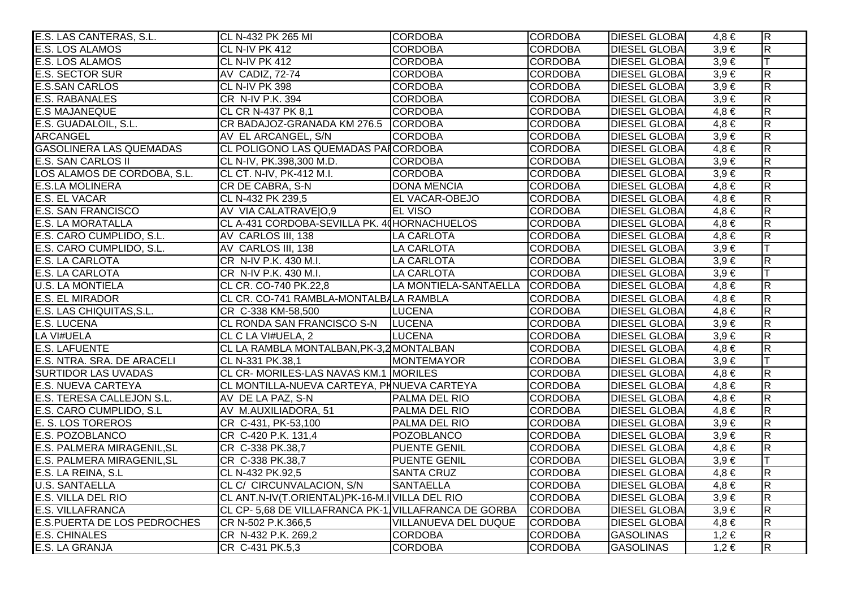| E.S. LAS CANTERAS, S.L.            | CL N-432 PK 265 MI                                  | <b>CORDOBA</b>        | <b>CORDOBA</b> | <b>DIESEL GLOBAI</b> | 4.8 €     | $\overline{R}$          |
|------------------------------------|-----------------------------------------------------|-----------------------|----------------|----------------------|-----------|-------------------------|
| <b>E.S. LOS ALAMOS</b>             | CL N-IV PK 412                                      | <b>CORDOBA</b>        | <b>CORDOBA</b> | <b>DIESEL GLOBAI</b> | $3,9 \in$ | $\overline{\mathsf{R}}$ |
| E.S. LOS ALAMOS                    | CL N-IV PK 412                                      | <b>CORDOBA</b>        | <b>CORDOBA</b> | <b>DIESEL GLOBAI</b> | $3,9 \in$ | IT.                     |
| <b>E.S. SECTOR SUR</b>             | AV CADIZ, 72-74                                     | <b>CORDOBA</b>        | <b>CORDOBA</b> | <b>DIESEL GLOBAI</b> | $3,9 \in$ | $\overline{\mathsf{R}}$ |
| <b>E.S.SAN CARLOS</b>              | CL N-IV PK 398                                      | <b>CORDOBA</b>        | <b>CORDOBA</b> | <b>DIESEL GLOBAI</b> | $3,9 \in$ | $\overline{\mathsf{R}}$ |
| <b>E.S. RABANALES</b>              | CR N-IV P.K. 394                                    | <b>CORDOBA</b>        | <b>CORDOBA</b> | <b>DIESEL GLOBAI</b> | $3,9 \in$ | $\overline{\mathsf{R}}$ |
| <b>E.S MAJANEQUE</b>               | CL CR N-437 PK 8,1                                  | <b>CORDOBA</b>        | <b>CORDOBA</b> | <b>DIESEL GLOBAI</b> | $4,8 \in$ | $\overline{R}$          |
| E.S. GUADALOIL, S.L.               | CR BADAJOZ-GRANADA KM 276.5 CORDOBA                 |                       | <b>CORDOBA</b> | <b>DIESEL GLOBA</b>  | $4,8 \in$ | $\overline{\mathsf{R}}$ |
| <b>ARCANGEL</b>                    | AV EL ARCANGEL, S/N                                 | <b>CORDOBA</b>        | <b>CORDOBA</b> | <b>DIESEL GLOBAI</b> | $3,9 \in$ | $\overline{R}$          |
| <b>GASOLINERA LAS QUEMADAS</b>     | CL POLIGONO LAS QUEMADAS PAICORDOBA                 |                       | <b>CORDOBA</b> | <b>DIESEL GLOBAI</b> | $4,8 \in$ | $\overline{\mathsf{R}}$ |
| <b>E.S. SAN CARLOS II</b>          | CL N-IV, PK.398,300 M.D.                            | <b>CORDOBA</b>        | <b>CORDOBA</b> | <b>DIESEL GLOBAI</b> | $3,9 \in$ | $\overline{\mathsf{R}}$ |
| LOS ALAMOS DE CORDOBA, S.L.        | CL CT. N-IV, PK-412 M.I.                            | <b>CORDOBA</b>        | <b>CORDOBA</b> | <b>DIESEL GLOBAI</b> | $3,9 \in$ | $\overline{\mathsf{R}}$ |
| <b>E.S.LA MOLINERA</b>             | CR DE CABRA, S-N                                    | <b>DONA MENCIA</b>    | <b>CORDOBA</b> | <b>DIESEL GLOBAI</b> | $4,8 \in$ | $\overline{\mathsf{R}}$ |
| E.S. EL VACAR                      | CL N-432 PK 239,5                                   | <b>EL VACAR-OBEJO</b> | <b>CORDOBA</b> | <b>DIESEL GLOBAI</b> | $4,8 \in$ | $\overline{\mathsf{R}}$ |
| <b>E.S. SAN FRANCISCO</b>          | AV VIA CALATRAVEIO,9                                | <b>EL VISO</b>        | <b>CORDOBA</b> | <b>DIESEL GLOBAI</b> | $4,8 \in$ | $\overline{\mathsf{R}}$ |
| <b>E.S. LA MORATALLA</b>           | CL A-431 CORDOBA-SEVILLA PK. 40HORNACHUELOS         |                       | <b>CORDOBA</b> | <b>DIESEL GLOBAI</b> | $4,8 \in$ | $\overline{R}$          |
| E.S. CARO CUMPLIDO, S.L.           | AV CARLOS III, 138                                  | LA CARLOTA            | <b>CORDOBA</b> | <b>DIESEL GLOBA</b>  | $4,8 \in$ | $\overline{\mathsf{R}}$ |
| E.S. CARO CUMPLIDO, S.L.           | AV CARLOS III, 138                                  | LA CARLOTA            | <b>CORDOBA</b> | <b>DIESEL GLOBAI</b> | $3,9 \in$ | lΤ                      |
| E.S. LA CARLOTA                    | CR N-IV P.K. 430 M.I.                               | LA CARLOTA            | <b>CORDOBA</b> | <b>DIESEL GLOBAI</b> | $3.9 \in$ | $\overline{R}$          |
| <b>E.S. LA CARLOTA</b>             | CR N-IV P.K. 430 M.I.                               | <b>LA CARLOTA</b>     | <b>CORDOBA</b> | <b>DIESEL GLOBAI</b> | $3,9 \in$ | lΤ                      |
| <b>U.S. LA MONTIELA</b>            | CL CR. CO-740 PK.22,8                               | LA MONTIELA-SANTAELLA | <b>CORDOBA</b> | <b>DIESEL GLOBAI</b> | $4,8 \in$ | $\overline{\mathsf{R}}$ |
| <b>E.S. EL MIRADOR</b>             | CL CR. CO-741 RAMBLA-MONTALBALA RAMBLA              |                       | <b>CORDOBA</b> | <b>DIESEL GLOBAI</b> | $4,8 \in$ | $\overline{R}$          |
| E.S. LAS CHIQUITAS, S.L.           | CR C-338 KM-58,500                                  | <b>LUCENA</b>         | <b>CORDOBA</b> | <b>DIESEL GLOBAI</b> | $4,8 \in$ | $\overline{\mathsf{R}}$ |
| <b>E.S. LUCENA</b>                 | CL RONDA SAN FRANCISCO S-N   LUCENA                 |                       | <b>CORDOBA</b> | <b>DIESEL GLOBAI</b> | $3,9 \in$ | $\overline{R}$          |
| LA VI#UELA                         | <b>CL C LA VI#UELA, 2</b>                           | <b>LUCENA</b>         | <b>CORDOBA</b> | <b>DIESEL GLOBAI</b> | $3,9 \in$ | $\overline{R}$          |
| <b>E.S. LAFUENTE</b>               | CL LA RAMBLA MONTALBAN, PK-3,2 MONTALBAN            |                       | <b>CORDOBA</b> | <b>DIESEL GLOBA</b>  | $4,8 \in$ | $\overline{\mathsf{R}}$ |
| E.S. NTRA. SRA. DE ARACELI         | CL N-331 PK.38,1                                    | MONTEMAYOR            | <b>CORDOBA</b> | <b>DIESEL GLOBAI</b> | $3,9 \in$ | IТ                      |
| <b>SURTIDOR LAS UVADAS</b>         | CL CR-MORILES-LAS NAVAS KM.1 MORILES                |                       | <b>CORDOBA</b> | <b>DIESEL GLOBAI</b> | $4,8 \in$ | $\overline{R}$          |
| <b>E.S. NUEVA CARTEYA</b>          | CL MONTILLA-NUEVA CARTEYA, PHNUEVA CARTEYA          |                       | <b>CORDOBA</b> | <b>DIESEL GLOBAI</b> | $4,8 \in$ | $\overline{R}$          |
| E.S. TERESA CALLEJON S.L.          | AV DE LA PAZ, S-N                                   | PALMA DEL RIO         | <b>CORDOBA</b> | <b>DIESEL GLOBAI</b> | $4,8 \in$ | $\overline{\mathsf{R}}$ |
| E.S. CARO CUMPLIDO, S.L            | AV M.AUXILIADORA, 51                                | <b>PALMA DEL RIO</b>  | <b>CORDOBA</b> | <b>DIESEL GLOBAI</b> | $4,8 \in$ | $\overline{R}$          |
| E. S. LOS TOREROS                  | CR C-431, PK-53,100                                 | PALMA DEL RIO         | <b>CORDOBA</b> | <b>DIESEL GLOBAI</b> | $3.9 \in$ | $\overline{\mathsf{R}}$ |
| E.S. POZOBLANCO                    | CR C-420 P.K. 131,4                                 | <b>POZOBLANCO</b>     | <b>CORDOBA</b> | <b>DIESEL GLOBAI</b> | $3,9 \in$ | $\overline{R}$          |
| E.S. PALMERA MIRAGENIL, SL         | CR C-338 PK.38,7                                    | <b>PUENTE GENIL</b>   | <b>CORDOBA</b> | <b>DIESEL GLOBAI</b> | $4,8 \in$ | $\overline{\mathsf{R}}$ |
| E.S. PALMERA MIRAGENIL, SL         | CR C-338 PK.38,7                                    | <b>PUENTE GENIL</b>   | <b>CORDOBA</b> | <b>DIESEL GLOBA</b>  | $3,9 \in$ | lΤ                      |
| E.S. LA REINA, S.L                 | CL N-432 PK.92,5                                    | <b>SANTA CRUZ</b>     | <b>CORDOBA</b> | <b>DIESEL GLOBAI</b> | $4,8 \in$ | $\overline{\mathsf{R}}$ |
| <b>U.S. SANTAELLA</b>              | CL C/ CIRCUNVALACION, S/N                           | <b>SANTAELLA</b>      | <b>CORDOBA</b> | <b>DIESEL GLOBAI</b> | $4,8 \in$ | $\overline{\mathsf{R}}$ |
| E.S. VILLA DEL RIO                 | CL ANT.N-IV(T.ORIENTAL)PK-16-M.IVILLA DEL RIO       |                       | <b>CORDOBA</b> | <b>DIESEL GLOBAI</b> | $3,9 \in$ | $\overline{R}$          |
| <b>E.S. VILLAFRANCA</b>            | CL CP-5,68 DE VILLAFRANCA PK-1 VILLAFRANCA DE GORBA |                       | <b>CORDOBA</b> | <b>DIESEL GLOBAI</b> | $3,9 \in$ | $\overline{\mathsf{R}}$ |
| <b>E.S.PUERTA DE LOS PEDROCHES</b> | CR N-502 P.K.366,5                                  | VILLANUEVA DEL DUQUE  | <b>CORDOBA</b> | <b>DIESEL GLOBAI</b> | $4,8 \in$ | $\overline{\mathsf{R}}$ |
| <b>E.S. CHINALES</b>               | CR N-432 P.K. 269,2                                 | <b>CORDOBA</b>        | <b>CORDOBA</b> | <b>GASOLINAS</b>     | $1,2 \in$ | $\overline{\mathsf{R}}$ |
| E.S. LA GRANJA                     | CR C-431 PK.5,3                                     | <b>CORDOBA</b>        | <b>CORDOBA</b> | <b>GASOLINAS</b>     | $1,2 \in$ | R.                      |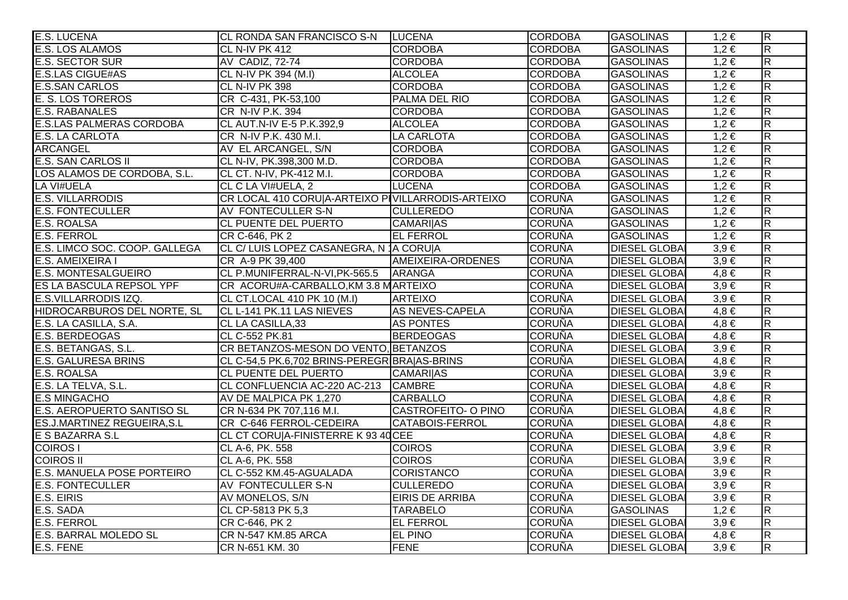| <b>E.S. LUCENA</b>                 | CL RONDA SAN FRANCISCO S-N                        | <b>LUCENA</b>          | <b>CORDOBA</b> | <b>GASOLINAS</b>     | $1,2 \in$ | $\overline{\mathsf{R}}$ |
|------------------------------------|---------------------------------------------------|------------------------|----------------|----------------------|-----------|-------------------------|
| E.S. LOS ALAMOS                    | CL N-IV PK 412                                    | <b>CORDOBA</b>         | <b>CORDOBA</b> | <b>GASOLINAS</b>     | $1,2 \in$ | $\overline{\mathsf{R}}$ |
| <b>E.S. SECTOR SUR</b>             | AV CADIZ, 72-74                                   | <b>CORDOBA</b>         | <b>CORDOBA</b> | <b>GASOLINAS</b>     | $1,2 \in$ | $\overline{R}$          |
| <b>E.S.LAS CIGUE#AS</b>            | CL N-IV PK 394 (M.I)                              | <b>ALCOLEA</b>         | <b>CORDOBA</b> | <b>GASOLINAS</b>     | $1,2 \in$ | $\overline{\mathsf{R}}$ |
| <b>E.S.SAN CARLOS</b>              | CL N-IV PK 398                                    | <b>CORDOBA</b>         | <b>CORDOBA</b> | <b>GASOLINAS</b>     | $1,2 \in$ | $\overline{\mathsf{R}}$ |
| <b>E. S. LOS TOREROS</b>           | CR C-431, PK-53,100                               | PALMA DEL RIO          | <b>CORDOBA</b> | <b>GASOLINAS</b>     | $1,2 \in$ | $\overline{\mathsf{R}}$ |
| <b>E.S. RABANALES</b>              | CR N-IV P.K. 394                                  | <b>CORDOBA</b>         | <b>CORDOBA</b> | <b>GASOLINAS</b>     | $1,2 \in$ | $\overline{R}$          |
| <b>E.S.LAS PALMERAS CORDOBA</b>    | CL AUT.N-IV E-5 P.K.392,9                         | <b>ALCOLEA</b>         | <b>CORDOBA</b> | <b>GASOLINAS</b>     | $1,2 \in$ | $\overline{R}$          |
| <b>E.S. LA CARLOTA</b>             | CR N-IV P.K. 430 M.I.                             | <b>LA CARLOTA</b>      | <b>CORDOBA</b> | <b>GASOLINAS</b>     | $1,2 \in$ | $\overline{\mathsf{R}}$ |
| <b>ARCANGEL</b>                    | AV EL ARCANGEL, S/N                               | <b>CORDOBA</b>         | <b>CORDOBA</b> | <b>GASOLINAS</b>     | $1,2 \in$ | $\overline{R}$          |
| <b>E.S. SAN CARLOS II</b>          | CL N-IV, PK.398,300 M.D.                          | <b>CORDOBA</b>         | <b>CORDOBA</b> | <b>GASOLINAS</b>     | $1,2 \in$ | $\overline{R}$          |
| LOS ALAMOS DE CORDOBA, S.L.        | CL CT. N-IV, PK-412 M.I.                          | <b>CORDOBA</b>         | <b>CORDOBA</b> | <b>GASOLINAS</b>     | $1,2 \in$ | $\overline{\mathsf{R}}$ |
| <b>LA VI#UELA</b>                  | CL C LA VI#UELA, 2                                | <b>LUCENA</b>          | <b>CORDOBA</b> | <b>GASOLINAS</b>     | $1,2 \in$ | $\overline{\mathsf{R}}$ |
| <b>E.S. VILLARRODIS</b>            | CR LOCAL 410 CORU A-ARTEIXO PIVILLARRODIS-ARTEIXO |                        | <b>CORUÑA</b>  | <b>GASOLINAS</b>     | $1,2 \in$ | $\overline{\mathsf{R}}$ |
| <b>E.S. FONTECULLER</b>            | AV FONTECULLER S-N                                | <b>CULLEREDO</b>       | <b>CORUÑA</b>  | <b>GASOLINAS</b>     | $1,2 \in$ | $\overline{R}$          |
| <b>E.S. ROALSA</b>                 | <b>CL PUENTE DEL PUERTO</b>                       | <b>CAMARI AS</b>       | <b>CORUÑA</b>  | <b>GASOLINAS</b>     | $1,2 \in$ | $\overline{R}$          |
| <b>E.S. FERROL</b>                 | CR C-646, PK 2                                    | <b>EL FERROL</b>       | <b>CORUÑA</b>  | <b>GASOLINAS</b>     | $1,2 \in$ | $\overline{R}$          |
| E.S. LIMCO SOC. COOP. GALLEGA      | CL C/ LUIS LOPEZ CASANEGRA, N 1A CORU A           |                        | <b>CORUÑA</b>  | <b>DIESEL GLOBAI</b> | $3,9 \in$ | $\overline{\mathsf{R}}$ |
| <b>E.S. AMEIXEIRA I</b>            | CR A-9 PK 39,400                                  | AMEIXEIRA-ORDENES      | <b>CORUÑA</b>  | <b>DIESEL GLOBAI</b> | $3,9 \in$ | $\overline{\mathsf{R}}$ |
| <b>E.S. MONTESALGUEIRO</b>         | CL P.MUNIFERRAL-N-VI, PK-565.5                    | ARANGA                 | <b>CORUÑA</b>  | <b>DIESEL GLOBAI</b> | $4,8 \in$ | $\overline{\mathsf{R}}$ |
| <b>ES LA BASCULA REPSOL YPF</b>    | CR ACORU#A-CARBALLO, KM 3.8 MARTEIXO              |                        | <b>CORUÑA</b>  | <b>DIESEL GLOBAI</b> | $3,9 \in$ | $\overline{\mathsf{R}}$ |
| E.S.VILLARRODIS IZQ.               | CL CT.LOCAL 410 PK 10 (M.I)                       | <b>ARTEIXO</b>         | <b>CORUÑA</b>  | <b>DIESEL GLOBAI</b> | $3,9 \in$ | $\overline{R}$          |
| HIDROCARBUROS DEL NORTE, SL        | CL L-141 PK.11 LAS NIEVES                         | <b>AS NEVES-CAPELA</b> | <b>CORUÑA</b>  | <b>DIESEL GLOBAI</b> | $4,8 \in$ | $\overline{R}$          |
| E.S. LA CASILLA, S.A.              | CL LA CASILLA,33                                  | <b>AS PONTES</b>       | <b>CORUÑA</b>  | <b>DIESEL GLOBAI</b> | $4,8 \in$ | $\overline{R}$          |
| <b>E.S. BERDEOGAS</b>              | CL C-552 PK.81                                    | <b>BERDEOGAS</b>       | <b>CORUÑA</b>  | <b>DIESEL GLOBAI</b> | $4,8 \in$ | $\overline{\mathsf{R}}$ |
| E.S. BETANGAS, S.L.                | CR BETANZOS-MESON DO VENTO, BETANZOS              |                        | <b>CORUÑA</b>  | <b>DIESEL GLOBAI</b> | $3,9 \in$ | $\overline{\mathsf{R}}$ |
| <b>E.S. GALURESA BRINS</b>         | CL C-54,5 PK.6,702 BRINS-PEREGR BRAJAS-BRINS      |                        | <b>CORUÑA</b>  | <b>DIESEL GLOBAI</b> | $4,8 \in$ | $\overline{R}$          |
| <b>E.S. ROALSA</b>                 | CL PUENTE DEL PUERTO                              | <b>CAMARIIAS</b>       | <b>CORUÑA</b>  | <b>DIESEL GLOBA</b>  | $3,9 \in$ | $\overline{\mathsf{R}}$ |
| E.S. LA TELVA, S.L.                | CL CONFLUENCIA AC-220 AC-213 CAMBRE               |                        | <b>CORUÑA</b>  | <b>DIESEL GLOBAI</b> | $4,8 \in$ | R.                      |
| <b>E.S MINGACHO</b>                | AV DE MALPICA PK 1,270                            | <b>CARBALLO</b>        | <b>CORUÑA</b>  | <b>DIESEL GLOBAI</b> | $4,8 \in$ | $\overline{\mathsf{R}}$ |
| <b>E.S. AEROPUERTO SANTISO SL</b>  | CR N-634 PK 707,116 M.I.                          | CASTROFEITO- O PINO    | <b>CORUÑA</b>  | <b>DIESEL GLOBAI</b> | $4,8 \in$ | $\overline{R}$          |
| <b>ES.J.MARTINEZ REGUEIRA, S.L</b> | CR C-646 FERROL-CEDEIRA                           | <b>CATABOIS-FERROL</b> | <b>CORUÑA</b>  | <b>DIESEL GLOBAI</b> | $4,8 \in$ | $\overline{\mathsf{R}}$ |
| E S BAZARRA S.L                    | CL CT CORU A-FINISTERRE K 93 40 CEE               |                        | <b>CORUÑA</b>  | <b>DIESEL GLOBA</b>  | $4,8 \in$ | $\overline{\mathsf{R}}$ |
| <b>COIROS</b>                      | CL A-6, PK. 558                                   | <b>COIROS</b>          | <b>CORUÑA</b>  | <b>DIESEL GLOBAI</b> | $3,9 \in$ | $\overline{\mathsf{R}}$ |
| <b>COIROS II</b>                   | CL A-6, PK. 558                                   | <b>COIROS</b>          | <b>CORUÑA</b>  | <b>DIESEL GLOBAI</b> | $3,9 \in$ | $\overline{\mathsf{R}}$ |
| <b>E.S. MANUELA POSE PORTEIRO</b>  | CL C-552 KM.45-AGUALADA                           | <b>CORISTANCO</b>      | <b>CORUÑA</b>  | <b>DIESEL GLOBAI</b> | $3,9 \in$ | $\overline{R}$          |
| <b>E.S. FONTECULLER</b>            | AV FONTECULLER S-N                                | <b>CULLEREDO</b>       | <b>CORUÑA</b>  | <b>DIESEL GLOBAI</b> | $3,9 \in$ | $\overline{\mathsf{R}}$ |
| E.S. EIRIS                         | AV MONELOS, S/N                                   | <b>EIRIS DE ARRIBA</b> | <b>CORUÑA</b>  | <b>DIESEL GLOBAI</b> | $3,9 \in$ | $\overline{\mathsf{R}}$ |
| E.S. SADA                          | CL CP-5813 PK 5,3                                 | <b>TARABELO</b>        | <b>CORUÑA</b>  | <b>GASOLINAS</b>     | $1,2 \in$ | $\overline{\mathsf{R}}$ |
| <b>E.S. FERROL</b>                 | CR C-646, PK 2                                    | <b>EL FERROL</b>       | <b>CORUÑA</b>  | <b>DIESEL GLOBAI</b> | $3,9 \in$ | $\overline{R}$          |
| <b>E.S. BARRAL MOLEDO SL</b>       | <b>CR N-547 KM.85 ARCA</b>                        | EL PINO                | <b>CORUÑA</b>  | <b>DIESEL GLOBAI</b> | $4,8 \in$ | $\overline{\mathsf{R}}$ |
| E.S. FENE                          | CR N-651 KM. 30                                   | <b>FENE</b>            | <b>CORUÑA</b>  | <b>DIESEL GLOBAI</b> | $3,9 \in$ | $\overline{\mathsf{R}}$ |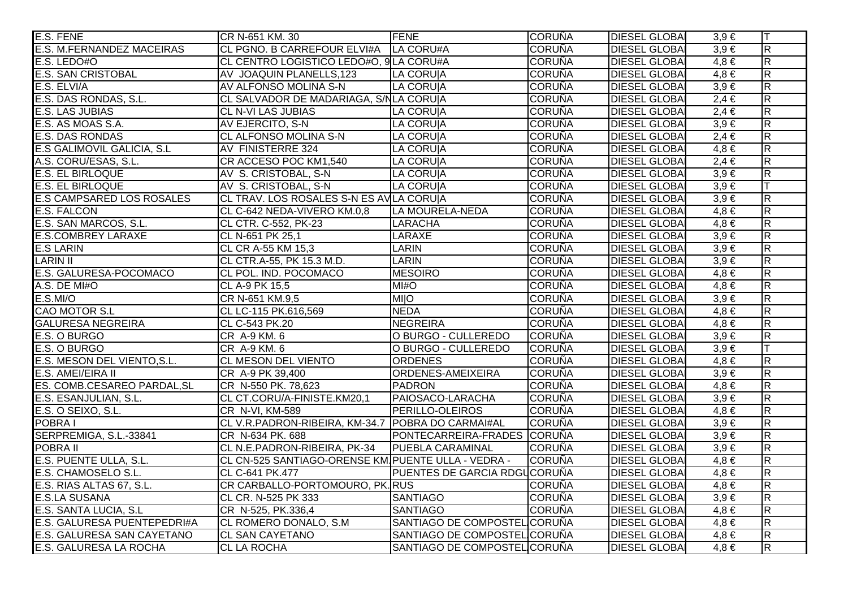| E.S. FENE                        | CR N-651 KM. 30                                    | <b>FENE</b>                         | <b>CORUÑA</b> | <b>DIESEL GLOBAI</b> | $3,9 \in$ | lΤ                      |
|----------------------------------|----------------------------------------------------|-------------------------------------|---------------|----------------------|-----------|-------------------------|
| <b>E.S. M.FERNANDEZ MACEIRAS</b> | CL PGNO. B CARREFOUR ELVI#A   LA CORU#A            |                                     | <b>CORUÑA</b> | <b>DIESEL GLOBA</b>  | $3,9 \in$ | $\overline{R}$          |
| E.S. LEDO#O                      | CL CENTRO LOGISTICO LEDO#O, 9 LA CORU#A            |                                     | <b>CORUÑA</b> | <b>DIESEL GLOBAI</b> | $4,8 \in$ | $\overline{R}$          |
| <b>E.S. SAN CRISTOBAL</b>        | AV JOAQUIN PLANELLS, 123                           | LA CORUIA                           | <b>CORUÑA</b> | <b>DIESEL GLOBAI</b> | $4,8 \in$ | $\mathsf R$             |
| E.S. ELVI/A                      | AV ALFONSO MOLINA S-N                              | LA CORUIA                           | <b>CORUÑA</b> | <b>DIESEL GLOBAI</b> | $3,9 \in$ | R                       |
| E.S. DAS RONDAS, S.L.            | CL SALVADOR DE MADARIAGA, S/NLA CORU A             |                                     | <b>CORUÑA</b> | <b>DIESEL GLOBAI</b> | $2,4 \in$ | $\overline{R}$          |
| <b>E.S. LAS JUBIAS</b>           | <b>CL N-VI LAS JUBIAS</b>                          | LA CORUIA                           | <b>CORUÑA</b> | <b>DIESEL GLOBAI</b> | $2,4 \in$ | $\overline{R}$          |
| E.S. AS MOAS S.A.                | AV EJERCITO, S-N                                   | <b>LA CORU A</b>                    | <b>CORUÑA</b> | <b>DIESEL GLOBAI</b> | $3,9 \in$ | $\overline{R}$          |
| <b>E.S. DAS RONDAS</b>           | <b>CL ALFONSO MOLINA S-N</b>                       | <b>LA CORUIA</b>                    | <b>CORUÑA</b> | <b>DIESEL GLOBAI</b> | $2,4 \in$ | $\overline{R}$          |
| E.S GALIMOVIL GALICIA, S.L       | AV FINISTERRE 324                                  | LA CORU A                           | <b>CORUÑA</b> | <b>DIESEL GLOBAI</b> | $4,8 \in$ | $\overline{R}$          |
| A.S. CORU/ESAS, S.L.             | CR ACCESO POC KM1,540                              | <b>LA CORUIA</b>                    | <b>CORUÑA</b> | <b>DIESEL GLOBAI</b> | $2,4 \in$ | $\overline{R}$          |
| <b>E.S. EL BIRLOQUE</b>          | AV S. CRISTOBAL, S-N                               | <b>LA CORU A</b>                    | <b>CORUÑA</b> | <b>DIESEL GLOBA</b>  | $3,9 \in$ | $\overline{\mathsf{R}}$ |
| <b>E.S. EL BIRLOQUE</b>          | AV S. CRISTOBAL, S-N                               | LA CORUIA                           | <b>CORUÑA</b> | <b>DIESEL GLOBA</b>  | $3,9 \in$ | T                       |
| E.S CAMPSARED LOS ROSALES        | CL TRAV. LOS ROSALES S-N ES AVILA CORUJA           |                                     | <b>CORUÑA</b> | <b>DIESEL GLOBAI</b> | $3,9 \in$ | R                       |
| <b>E.S. FALCON</b>               | CL C-642 NEDA-VIVERO KM.0,8                        | LA MOURELA-NEDA                     | <b>CORUÑA</b> | <b>DIESEL GLOBAI</b> | $4,8 \in$ | $\overline{R}$          |
| E.S. SAN MARCOS, S.L.            | CL CTR. C-552, PK-23                               | <b>LARACHA</b>                      | <b>CORUÑA</b> | <b>DIESEL GLOBAI</b> | $4,8 \in$ | $\mathsf R$             |
| <b>E.S.COMBREY LARAXE</b>        | CL N-651 PK 25,1                                   | LARAXE                              | <b>CORUÑA</b> | <b>DIESEL GLOBA</b>  | $3.9 \in$ | $\overline{\mathsf{R}}$ |
| <b>E.S LARIN</b>                 | CL CR A-55 KM 15,3                                 | <b>LARIN</b>                        | <b>CORUÑA</b> | <b>DIESEL GLOBAI</b> | $3,9 \in$ | $\mathsf{R}$            |
| <b>LARIN II</b>                  | CL CTR.A-55, PK 15.3 M.D.                          | <b>LARIN</b>                        | <b>CORUÑA</b> | <b>DIESEL GLOBAI</b> | $3,9 \in$ | $\overline{R}$          |
| E.S. GALURESA-POCOMACO           | CL POL. IND. POCOMACO                              | <b>MESOIRO</b>                      | <b>CORUÑA</b> | <b>DIESEL GLOBAI</b> | $4,8 \in$ | $\overline{R}$          |
| A.S. DE MI#O                     | CL A-9 PK 15,5                                     | M <sub>H</sub>                      | <b>CORUÑA</b> | <b>DIESEL GLOBAI</b> | $4,8 \in$ | $\overline{R}$          |
| <b>E.S.MI/O</b>                  | CR N-651 KM.9,5                                    | <b>MIO</b>                          | <b>CORUÑA</b> | <b>DIESEL GLOBA</b>  | $3,9 \in$ | $\overline{R}$          |
| <b>CAO MOTOR S.L</b>             | CL LC-115 PK.616,569                               | <b>NEDA</b>                         | <b>CORUÑA</b> | <b>DIESEL GLOBAI</b> | $4,8 \in$ | $\overline{R}$          |
| <b>GALURESA NEGREIRA</b>         | CL C-543 PK.20                                     | NEGREIRA                            | <b>CORUÑA</b> | <b>DIESEL GLOBAI</b> | $4,8 \in$ | $\overline{R}$          |
| E.S. O BURGO                     | CR A-9 KM. 6                                       | O BURGO - CULLEREDO                 | <b>CORUÑA</b> | <b>DIESEL GLOBAI</b> | $3,9 \in$ | $\overline{R}$          |
| E.S. O BURGO                     | CR A-9 KM. 6                                       | O BURGO - CULLEREDO                 | <b>CORUÑA</b> | <b>DIESEL GLOBAI</b> | $3,9 \in$ | T                       |
| E.S. MESON DEL VIENTO, S.L.      | <b>CL MESON DEL VIENTO</b>                         | <b>ORDENES</b>                      | <b>CORUÑA</b> | <b>DIESEL GLOBA</b>  | $4,8 \in$ | $\overline{R}$          |
| E.S. AMEI/EIRA II                | CR A-9 PK 39,400                                   | ORDENES-AMEIXEIRA                   | <b>CORUÑA</b> | <b>DIESEL GLOBAI</b> | $3,9 \in$ | $\mathsf R$             |
| ES. COMB.CESAREO PARDAL, SL      | CR N-550 PK. 78,623                                | <b>PADRON</b>                       | <b>CORUÑA</b> | <b>DIESEL GLOBAI</b> | $4,8 \in$ | $\overline{R}$          |
| E.S. ESANJULIAN, S.L.            | CL CT.CORU/A-FINISTE.KM20,1                        | PAIOSACO-LARACHA                    | <b>CORUÑA</b> | <b>DIESEL GLOBAI</b> | $3,9 \in$ | $\overline{R}$          |
| E.S. O SEIXO, S.L.               | CR N-VI, KM-589                                    | PERILLO-OLEIROS                     | <b>CORUÑA</b> | <b>DIESEL GLOBA</b>  | $4,8 \in$ | R                       |
| POBRA I                          | CL V.R.PADRON-RIBEIRA, KM-34.7 POBRA DO CARMAI#AL  |                                     | <b>CORUÑA</b> | <b>DIESEL GLOBA</b>  | $3,9 \in$ | $\overline{\mathsf{R}}$ |
| SERPREMIGA, S.L.-33841           | CR N-634 PK. 688                                   | PONTECARREIRA-FRADES CORUÑA         |               | <b>DIESEL GLOBAI</b> | $3,9 \in$ | $\overline{\mathsf{R}}$ |
| <b>POBRA II</b>                  | CL N.E.PADRON-RIBEIRA, PK-34                       | <b>PUEBLA CARAMINAL</b>             | <b>CORUÑA</b> | <b>DIESEL GLOBAI</b> | $3,9 \in$ | $\overline{R}$          |
| E.S. PUENTE ULLA, S.L.           | CL CN-525 SANTIAGO-ORENSE KM PUENTE ULLA - VEDRA - |                                     | <b>CORUÑA</b> | <b>DIESEL GLOBAI</b> | $4,8 \in$ | $\overline{R}$          |
| E.S. CHAMOSELO S.L.              | CL C-641 PK.477                                    | <b>PUENTES DE GARCIA RDGUCORUÑA</b> |               | <b>DIESEL GLOBAI</b> | $4,8 \in$ | $\overline{R}$          |
| E.S. RIAS ALTAS 67, S.L.         | CR CARBALLO-PORTOMOURO, PK. RUS                    |                                     | <b>CORUÑA</b> | <b>DIESEL GLOBAI</b> | $4,8 \in$ | $\overline{\mathsf{R}}$ |
| <b>E.S.LA SUSANA</b>             | CL CR. N-525 PK 333                                | <b>SANTIAGO</b>                     | <b>CORUÑA</b> | <b>DIESEL GLOBAI</b> | $3,9 \in$ | $\overline{R}$          |
| E.S. SANTA LUCIA, S.L.           | CR N-525, PK.336,4                                 | <b>SANTIAGO</b>                     | <b>CORUÑA</b> | <b>DIESEL GLOBAI</b> | $4,8 \in$ | $\overline{\mathsf{R}}$ |
| E.S. GALURESA PUENTEPEDRI#A      | CL ROMERO DONALO, S.M.                             | SANTIAGO DE COMPOSTEL CORUÑA        |               | <b>DIESEL GLOBAI</b> | $4,8 \in$ | $\overline{R}$          |
| E.S. GALURESA SAN CAYETANO       | <b>CL SAN CAYETANO</b>                             | SANTIAGO DE COMPOSTEL CORUÑA        |               | <b>DIESEL GLOBAI</b> | $4,8 \in$ | $\overline{R}$          |
| E.S. GALURESA LA ROCHA           | <b>CL LA ROCHA</b>                                 | SANTIAGO DE COMPOSTEL CORUÑA        |               | <b>DIESEL GLOBA</b>  | $4,8 \in$ | $\overline{R}$          |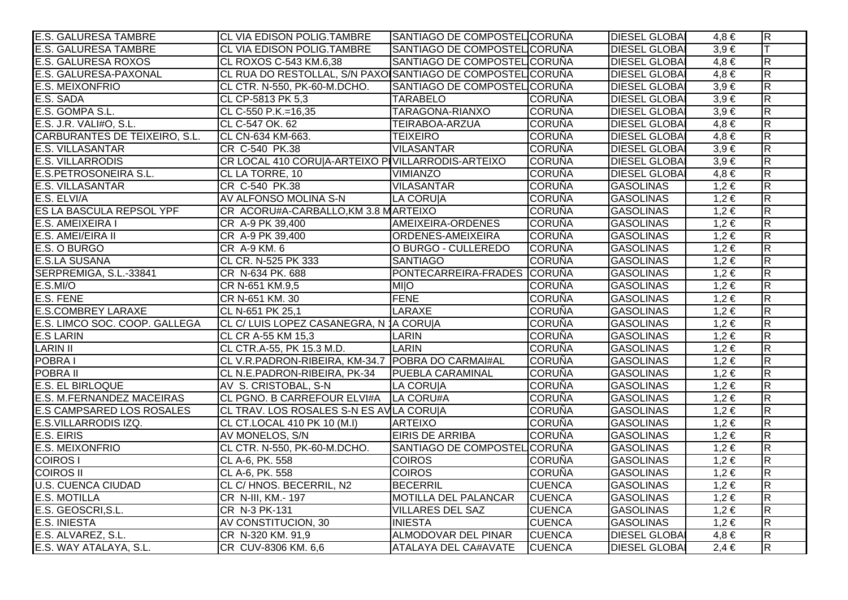| <b>E.S. GALURESA TAMBRE</b>      | CL VIA EDISON POLIG.TAMBRE                                 | SANTIAGO DE COMPOSTEL CORUÑA |               | <b>DIESEL GLOBA</b>  | 4.8 €     | $\overline{R}$          |
|----------------------------------|------------------------------------------------------------|------------------------------|---------------|----------------------|-----------|-------------------------|
| <b>E.S. GALURESA TAMBRE</b>      | CL VIA EDISON POLIG.TAMBRE                                 | SANTIAGO DE COMPOSTEL CORUÑA |               | <b>DIESEL GLOBAI</b> | $3,9 \in$ | lΤ                      |
| <b>E.S. GALURESA ROXOS</b>       | CL ROXOS C-543 KM.6,38                                     | SANTIAGO DE COMPOSTEL CORUÑA |               | <b>DIESEL GLOBAI</b> | $4,8 \in$ | $\overline{\mathsf{R}}$ |
| E.S. GALURESA-PAXONAL            | CL RUA DO RESTOLLAL, S/N PAXOISANTIAGO DE COMPOSTEL CORUÑA |                              |               | <b>DIESEL GLOBAI</b> | $4,8 \in$ | R.                      |
| E.S. MEIXONFRIO                  | CL CTR. N-550, PK-60-M.DCHO.                               | SANTIAGO DE COMPOSTEL CORUÑA |               | <b>DIESEL GLOBAI</b> | $3,9 \in$ | $\overline{R}$          |
| E.S. SADA                        | CL CP-5813 PK 5,3                                          | <b>TARABELO</b>              | <b>CORUÑA</b> | <b>DIESEL GLOBAI</b> | $3,9 \in$ | $\overline{R}$          |
| E.S. GOMPA S.L.                  | CL C-550 P.K.=16,35                                        | TARAGONA-RIANXO              | <b>CORUÑA</b> | <b>DIESEL GLOBAI</b> | $3,9 \in$ | $\overline{R}$          |
| E.S. J.R. VALI#O, S.L.           | CL C-547 OK. 62                                            | TEIRABOA-ARZUA               | <b>CORUÑA</b> | <b>DIESEL GLOBAI</b> | $4,8 \in$ | $\overline{\mathsf{R}}$ |
| CARBURANTES DE TEIXEIRO, S.L.    | CL CN-634 KM-663.                                          | <b>TEIXEIRO</b>              | <b>CORUÑA</b> | <b>DIESEL GLOBAI</b> | $4,8 \in$ | R                       |
| <b>E.S. VILLASANTAR</b>          | CR C-540 PK.38                                             | <b>VILASANTAR</b>            | <b>CORUÑA</b> | <b>DIESEL GLOBAI</b> | $3,9 \in$ | $\overline{R}$          |
| <b>E.S. VILLARRODIS</b>          | CR LOCAL 410 CORU A-ARTEIXO PIVILLARRODIS-ARTEIXO          |                              | <b>CORUÑA</b> | <b>DIESEL GLOBAI</b> | $3,9 \in$ | $\overline{\mathsf{R}}$ |
| <b>E.S.PETROSONEIRA S.L.</b>     | CL LA TORRE, 10                                            | <b>VIMIANZO</b>              | <b>CORUÑA</b> | <b>DIESEL GLOBAI</b> | $4,8 \in$ | $\overline{\mathsf{R}}$ |
| <b>E.S. VILLASANTAR</b>          | CR C-540 PK.38                                             | <b>VILASANTAR</b>            | <b>CORUÑA</b> | <b>GASOLINAS</b>     | $1,2 \in$ | $\overline{R}$          |
| E.S. ELVI/A                      | AV ALFONSO MOLINA S-N                                      | LA CORU A                    | <b>CORUÑA</b> | <b>GASOLINAS</b>     | $1,2 \in$ | $\overline{\mathsf{R}}$ |
| <b>ES LA BASCULA REPSOL YPF</b>  | CR ACORU#A-CARBALLO, KM 3.8 MARTEIXO                       |                              | <b>CORUÑA</b> | <b>GASOLINAS</b>     | $1,2 \in$ | $\overline{R}$          |
| E.S. AMEIXEIRA I                 | CR A-9 PK 39,400                                           | AMEIXEIRA-ORDENES            | <b>CORUÑA</b> | <b>GASOLINAS</b>     | $1,2 \in$ | $\overline{R}$          |
| E.S. AMEI/EIRA II                | CR A-9 PK 39,400                                           | ORDENES-AMEIXEIRA            | <b>CORUÑA</b> | <b>GASOLINAS</b>     | $1,2 \in$ | $\overline{R}$          |
| E.S. O BURGO                     | CR A-9 KM. 6                                               | O BURGO - CULLEREDO          | <b>CORUÑA</b> | <b>GASOLINAS</b>     | $1,2 \in$ | R                       |
| <b>E.S.LA SUSANA</b>             | CL CR. N-525 PK 333                                        | <b>SANTIAGO</b>              | <b>CORUÑA</b> | <b>GASOLINAS</b>     | $1,2 \in$ | $\overline{R}$          |
| SERPREMIGA, S.L.-33841           | CR N-634 PK. 688                                           | PONTECARREIRA-FRADES CORUÑA  |               | <b>GASOLINAS</b>     | 1,2€      | $\overline{R}$          |
| E.S.MI/O                         | CR N-651 KM.9,5                                            | <b>O</b>                     | <b>CORUÑA</b> | <b>GASOLINAS</b>     | $1,2 \in$ | $\overline{R}$          |
| E.S. FENE                        | CR N-651 KM. 30                                            | <b>FENE</b>                  | <b>CORUÑA</b> | <b>GASOLINAS</b>     | $1,2 \in$ | $\overline{R}$          |
| <b>E.S.COMBREY LARAXE</b>        | CL N-651 PK 25,1                                           | <b>LARAXE</b>                | <b>CORUÑA</b> | <b>GASOLINAS</b>     | $1,2 \in$ | $\overline{R}$          |
| E.S. LIMCO SOC. COOP. GALLEGA    | CL C/ LUIS LOPEZ CASANEGRA, N 1A CORUIA                    |                              | <b>CORUÑA</b> | <b>GASOLINAS</b>     | $1,2 \in$ | $\overline{R}$          |
| <b>E.S LARIN</b>                 | CL CR A-55 KM 15,3                                         | LARIN                        | <b>CORUÑA</b> | <b>GASOLINAS</b>     | $1,2 \in$ | $\overline{R}$          |
| <b>LARIN II</b>                  | CL CTR.A-55, PK 15.3 M.D.                                  | <b>LARIN</b>                 | <b>CORUÑA</b> | <b>GASOLINAS</b>     | $1,2 \in$ | $\overline{R}$          |
| POBRA I                          | CL V.R.PADRON-RIBEIRA, KM-34.7   POBRA DO CARMAI#AL        |                              | <b>CORUÑA</b> | <b>GASOLINAS</b>     | $1,2 \in$ | R.                      |
| POBRA II                         | CL N.E.PADRON-RIBEIRA, PK-34                               | <b>PUEBLA CARAMINAL</b>      | <b>CORUÑA</b> | <b>GASOLINAS</b>     | $1,2 \in$ | $\overline{R}$          |
| <b>E.S. EL BIRLOQUE</b>          | AV S. CRISTOBAL, S-N                                       | LA CORUIA                    | <b>CORUÑA</b> | <b>GASOLINAS</b>     | $1,2 \in$ | $\overline{R}$          |
| E.S. M.FERNANDEZ MACEIRAS        | CL PGNO. B CARREFOUR ELVI#A   LA CORU#A                    |                              | <b>CORUÑA</b> | <b>GASOLINAS</b>     | $1,2 \in$ | $\overline{\mathsf{R}}$ |
| <b>E.S CAMPSARED LOS ROSALES</b> | CL TRAV. LOS ROSALES S-N ES AVILA CORUIA                   |                              | <b>CORUÑA</b> | <b>GASOLINAS</b>     | $1,2 \in$ | $\overline{R}$          |
| E.S.VILLARRODIS IZQ.             | CL CT.LOCAL 410 PK 10 (M.I)                                | <b>ARTEIXO</b>               | <b>CORUÑA</b> | <b>GASOLINAS</b>     | $1,2 \in$ | $\overline{\mathsf{R}}$ |
| E.S. EIRIS                       | AV MONELOS, S/N                                            | <b>EIRIS DE ARRIBA</b>       | <b>CORUÑA</b> | <b>GASOLINAS</b>     | $1,2 \in$ | $\overline{R}$          |
| <b>E.S. MEIXONFRIO</b>           | CL CTR. N-550, PK-60-M.DCHO.                               | SANTIAGO DE COMPOSTEL CORUÑA |               | <b>GASOLINAS</b>     | $1,2 \in$ | $\overline{R}$          |
| <b>COIROS I</b>                  | CL A-6, PK. 558                                            | <b>COIROS</b>                | <b>CORUÑA</b> | <b>GASOLINAS</b>     | $1,2 \in$ | $\overline{\mathsf{R}}$ |
| <b>COIROS II</b>                 | CL A-6, PK. 558                                            | <b>COIROS</b>                | <b>CORUÑA</b> | <b>GASOLINAS</b>     | $1,2 \in$ | $\overline{\mathsf{R}}$ |
| <b>U.S. CUENCA CIUDAD</b>        | CL C/ HNOS. BECERRIL, N2                                   | <b>BECERRIL</b>              | <b>CUENCA</b> | <b>GASOLINAS</b>     | $1,2 \in$ | $\overline{R}$          |
| <b>E.S. MOTILLA</b>              | CR N-III, KM.- 197                                         | <b>MOTILLA DEL PALANCAR</b>  | <b>CUENCA</b> | <b>GASOLINAS</b>     | $1,2 \in$ | $\overline{R}$          |
| E.S. GEOSCRI, S.L.               | CR N-3 PK-131                                              | <b>VILLARES DEL SAZ</b>      | <b>CUENCA</b> | <b>GASOLINAS</b>     | $1,2 \in$ | $\overline{\mathsf{R}}$ |
| <b>E.S. INIESTA</b>              | AV CONSTITUCION, 30                                        | <b>INIESTA</b>               | <b>CUENCA</b> | <b>GASOLINAS</b>     | $1,2 \in$ | $\overline{\mathsf{R}}$ |
| E.S. ALVAREZ, S.L.               | CR N-320 KM. 91,9                                          | ALMODOVAR DEL PINAR          | <b>CUENCA</b> | <b>DIESEL GLOBAI</b> | $4,8 \in$ | $\overline{\mathsf{R}}$ |
| E.S. WAY ATALAYA, S.L.           | CR CUV-8306 KM. 6,6                                        | ATALAYA DEL CA#AVATE         | <b>CUENCA</b> | <b>DIESEL GLOBAI</b> | $2,4 \in$ | R.                      |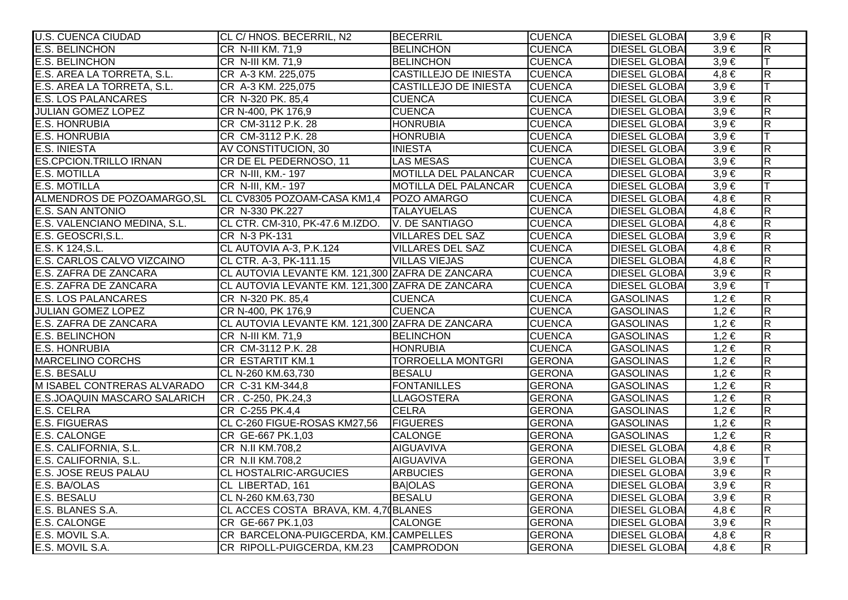| <b>U.S. CUENCA CIUDAD</b>     | CL C/HNOS. BECERRIL, N2                         | <b>BECERRIL</b>              | <b>CUENCA</b> | <b>DIESEL GLOBAI</b> | $3,9 \in$ | $\overline{R}$          |
|-------------------------------|-------------------------------------------------|------------------------------|---------------|----------------------|-----------|-------------------------|
| <b>E.S. BELINCHON</b>         | CR N-III KM. 71,9                               | <b>BELINCHON</b>             | <b>CUENCA</b> | <b>DIESEL GLOBA</b>  | $3,9 \in$ | $\overline{\mathbf{z}}$ |
| <b>E.S. BELINCHON</b>         | CR N-III KM. 71,9                               | <b>BELINCHON</b>             | <b>CUENCA</b> | <b>DIESEL GLOBA</b>  | $3,9 \in$ |                         |
| E.S. AREA LA TORRETA, S.L.    | CR A-3 KM. 225,075                              | <b>CASTILLEJO DE INIESTA</b> | <b>CUENCA</b> | <b>DIESEL GLOBA</b>  | $4,8 \in$ | $\overline{R}$          |
| E.S. AREA LA TORRETA, S.L.    | CR A-3 KM. 225,075                              | <b>CASTILLEJO DE INIESTA</b> | <b>CUENCA</b> | <b>DIESEL GLOBA</b>  | $3,9 \in$ |                         |
| <b>E.S. LOS PALANCARES</b>    | CR N-320 PK. 85,4                               | <b>CUENCA</b>                | <b>CUENCA</b> | <b>DIESEL GLOBAI</b> | $3,9 \in$ | $\overline{R}$          |
| <b>JULIAN GOMEZ LOPEZ</b>     | CR N-400, PK 176,9                              | <b>CUENCA</b>                | <b>CUENCA</b> | <b>DIESEL GLOBAI</b> | $3,9 \in$ | $\overline{\mathbf{z}}$ |
| <b>E.S. HONRUBIA</b>          | CR CM-3112 P.K. 28                              | <b>HONRUBIA</b>              | <b>CUENCA</b> | <b>DIESEL GLOBA</b>  | $3,9 \in$ | $\overline{R}$          |
| <b>E.S. HONRUBIA</b>          | CR CM-3112 P.K. 28                              | <b>HONRUBIA</b>              | <b>CUENCA</b> | <b>DIESEL GLOBA</b>  | $3,9 \in$ | lΤ                      |
| <b>E.S. INIESTA</b>           | AV CONSTITUCION, 30                             | <b>INIESTA</b>               | <b>CUENCA</b> | <b>DIESEL GLOBAI</b> | $3,9 \in$ | $\overline{\mathsf{R}}$ |
| <b>ES.CPCION.TRILLO IRNAN</b> | CR DE EL PEDERNOSO, 11                          | <b>LAS MESAS</b>             | <b>CUENCA</b> | <b>DIESEL GLOBA</b>  | $3,9 \in$ | $\overline{\mathbf{z}}$ |
| <b>E.S. MOTILLA</b>           | CR N-III, KM.- 197                              | <b>MOTILLA DEL PALANCAR</b>  | <b>CUENCA</b> | <b>DIESEL GLOBAI</b> | $3,9 \in$ | $\overline{\mathsf{R}}$ |
| <b>E.S. MOTILLA</b>           | CR N-III, KM.- 197                              | MOTILLA DEL PALANCAR         | <b>CUENCA</b> | <b>DIESEL GLOBA</b>  | $3,9 \in$ |                         |
| ALMENDROS DE POZOAMARGO, SL   | CL CV8305 POZOAM-CASA KM1,4 POZO AMARGO         |                              | <b>CUENCA</b> | <b>DIESEL GLOBAI</b> | $4,8 \in$ | $\overline{R}$          |
| <b>E.S. SAN ANTONIO</b>       | CR N-330 PK.227                                 | <b>TALAYUELAS</b>            | <b>CUENCA</b> | <b>DIESEL GLOBA</b>  | $4,8 \in$ | $\overline{R}$          |
| E.S. VALENCIANO MEDINA, S.L.  | CL CTR. CM-310, PK-47.6 M.IZDO. V. DE SANTIAGO  |                              | <b>CUENCA</b> | <b>DIESEL GLOBAI</b> | $4,8 \in$ | $\overline{\mathbf{z}}$ |
| E.S. GEOSCRI, S.L.            | CR N-3 PK-131                                   | <b>VILLARES DEL SAZ</b>      | <b>CUENCA</b> | <b>DIESEL GLOBA</b>  | $3,9 \in$ | $\overline{\mathsf{R}}$ |
| E.S. K 124, S.L.              | CL AUTOVIA A-3, P.K.124                         | <b>VILLARES DEL SAZ</b>      | <b>CUENCA</b> | <b>DIESEL GLOBA</b>  | $4,8 \in$ | $\overline{R}$          |
| E.S. CARLOS CALVO VIZCAINO    | CL CTR. A-3, PK-111.15                          | <b>VILLAS VIEJAS</b>         | <b>CUENCA</b> | <b>DIESEL GLOBAI</b> | $4,8 \in$ | $\overline{\mathsf{R}}$ |
| E.S. ZAFRA DE ZANCARA         | CL AUTOVIA LEVANTE KM. 121,300 ZAFRA DE ZANCARA |                              | <b>CUENCA</b> | <b>DIESEL GLOBA</b>  | $3,9 \in$ | $\overline{\mathbf{z}}$ |
| E.S. ZAFRA DE ZANCARA         | CL AUTOVIA LEVANTE KM. 121,300 ZAFRA DE ZANCARA |                              | <b>CUENCA</b> | <b>DIESEL GLOBAI</b> | $3,9 \in$ |                         |
| <b>E.S. LOS PALANCARES</b>    | CR N-320 PK. 85,4                               | <b>CUENCA</b>                | <b>CUENCA</b> | <b>GASOLINAS</b>     | $1,2 \in$ | $\overline{R}$          |
| JULIAN GOMEZ LOPEZ            | CR N-400, PK 176,9                              | <b>CUENCA</b>                | <b>CUENCA</b> | <b>GASOLINAS</b>     | $1,2 \in$ | $\overline{R}$          |
| E.S. ZAFRA DE ZANCARA         | CL AUTOVIA LEVANTE KM. 121,300 ZAFRA DE ZANCARA |                              | <b>CUENCA</b> | <b>GASOLINAS</b>     | $1,2 \in$ | $\overline{R}$          |
| <b>E.S. BELINCHON</b>         | CR N-III KM. 71,9                               | <b>BELINCHON</b>             | <b>CUENCA</b> | <b>GASOLINAS</b>     | $1,2 \in$ | $\overline{\mathbf{z}}$ |
| <b>E.S. HONRUBIA</b>          | CR CM-3112 P.K. 28                              | <b>HONRUBIA</b>              | <b>CUENCA</b> | <b>GASOLINAS</b>     | $1,2 \in$ | $\overline{\mathbf{z}}$ |
| <b>MARCELINO CORCHS</b>       | CR ESTARTIT KM.1                                | <b>TORROELLA MONTGRI</b>     | <b>GERONA</b> | <b>GASOLINAS</b>     | $1,2 \in$ | $\overline{R}$          |
| E.S. BESALU                   | CL N-260 KM.63,730                              | <b>BESALU</b>                | <b>GERONA</b> | <b>GASOLINAS</b>     | $1,2 \in$ | $\overline{\mathsf{R}}$ |
| M ISABEL CONTRERAS ALVARADO   | CR C-31 KM-344,8                                | <b>FONTANILLES</b>           | <b>GERONA</b> | <b>GASOLINAS</b>     | $1,2 \in$ | $\overline{\mathbf{z}}$ |
| E.S.JOAQUIN MASCARO SALARICH  | CR. C-250, PK.24,3                              | <b>LLAGOSTERA</b>            | <b>GERONA</b> | <b>GASOLINAS</b>     | $1,2 \in$ | $\overline{\mathbf{z}}$ |
| <b>E.S. CELRA</b>             | CR C-255 PK.4,4                                 | <b>CELRA</b>                 | <b>GERONA</b> | <b>GASOLINAS</b>     | $1,2 \in$ | $\overline{\mathbf{K}}$ |
| <b>E.S. FIGUERAS</b>          | CL C-260 FIGUE-ROSAS KM27,56                    | <b>FIGUERES</b>              | <b>GERONA</b> | <b>GASOLINAS</b>     | $1,2 \in$ | $\overline{R}$          |
| <b>E.S. CALONGE</b>           | CR GE-667 PK.1,03                               | <b>CALONGE</b>               | <b>GERONA</b> | <b>GASOLINAS</b>     | $1,2 \in$ | $\overline{\mathsf{R}}$ |
| E.S. CALIFORNIA, S.L.         | CR N.II KM.708,2                                | <b>AIGUAVIVA</b>             | <b>GERONA</b> | <b>DIESEL GLOBAI</b> | $4,8 \in$ | $\overline{\mathsf{R}}$ |
| E.S. CALIFORNIA, S.L.         | CR N.II KM.708,2                                | <b>AIGUAVIVA</b>             | <b>GERONA</b> | <b>DIESEL GLOBA</b>  | $3,9 \in$ |                         |
| <b>E.S. JOSE REUS PALAU</b>   | <b>CL HOSTALRIC-ARGUCIES</b>                    | <b>ARBUCIES</b>              | <b>GERONA</b> | <b>DIESEL GLOBA</b>  | $3,9 \in$ | R                       |
| E.S. BA/OLAS                  | CL LIBERTAD, 161                                | <b>BAJOLAS</b>               | <b>GERONA</b> | <b>DIESEL GLOBA</b>  | $3,9 \in$ | $\overline{\mathsf{R}}$ |
| E.S. BESALU                   | CL N-260 KM.63,730                              | <b>BESALU</b>                | <b>GERONA</b> | <b>DIESEL GLOBA</b>  | $3,9 \in$ | $\overline{\mathsf{R}}$ |
| E.S. BLANES S.A.              | CL ACCES COSTA BRAVA, KM. 4,7 (BLANES           |                              | <b>GERONA</b> | <b>DIESEL GLOBA</b>  | $4,8 \in$ | $\overline{\mathsf{R}}$ |
| <b>E.S. CALONGE</b>           | CR GE-667 PK.1,03                               | <b>CALONGE</b>               | <b>GERONA</b> | <b>DIESEL GLOBA</b>  | $3,9 \in$ | R                       |
| E.S. MOVIL S.A.               | CR BARCELONA-PUIGCERDA, KM. CAMPELLES           |                              | <b>GERONA</b> | <b>DIESEL GLOBAI</b> | $4,8 \in$ | $\overline{R}$          |
| E.S. MOVIL S.A.               | CR RIPOLL-PUIGCERDA, KM.23 CAMPRODON            |                              | <b>GERONA</b> | <b>DIESEL GLOBA</b>  | $4,8 \in$ | $\overline{\mathbf{z}}$ |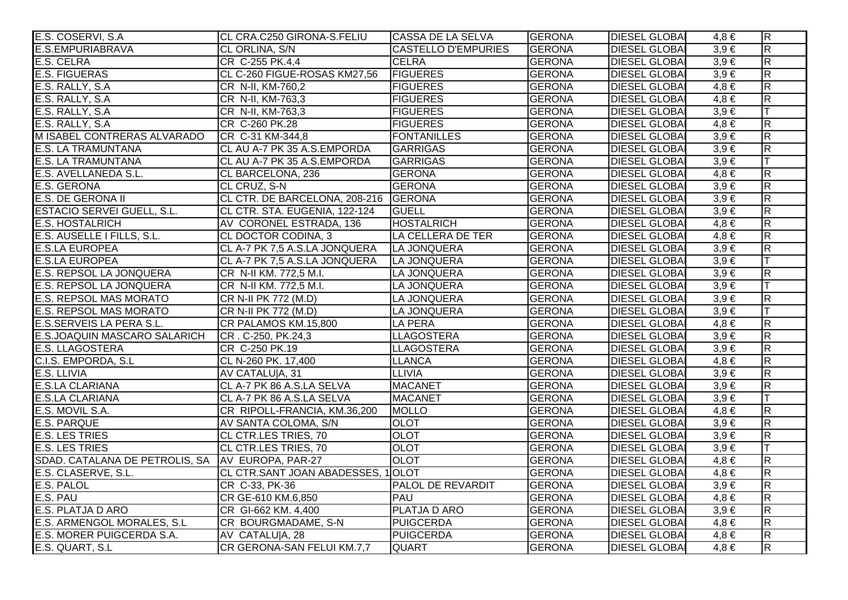| E.S. COSERVI, S.A.                               | CL CRA.C250 GIRONA-S.FELIU           | CASSA DE LA SELVA          | <b>GERONA</b> | <b>DIESEL GLOBAL</b> | 4.8 €     | $\overline{R}$          |
|--------------------------------------------------|--------------------------------------|----------------------------|---------------|----------------------|-----------|-------------------------|
| E.S.EMPURIABRAVA                                 | CL ORLINA, S/N                       | <b>CASTELLO D'EMPURIES</b> | <b>GERONA</b> | <b>DIESEL GLOBAI</b> | $3,9 \in$ | $\overline{R}$          |
| E.S. CELRA                                       | CR C-255 PK.4,4                      | <b>CELRA</b>               | <b>GERONA</b> | <b>DIESEL GLOBAI</b> | $3,9 \in$ | $\overline{\mathsf{R}}$ |
| <b>E.S. FIGUERAS</b>                             | CL C-260 FIGUE-ROSAS KM27,56         | <b>FIGUERES</b>            | <b>GERONA</b> | <b>DIESEL GLOBAI</b> | $3,9 \in$ | $\overline{\mathsf{R}}$ |
| E.S. RALLY, S.A.                                 | CR N-II, KM-760,2                    | <b>FIGUERES</b>            | <b>GERONA</b> | <b>DIESEL GLOBAI</b> | $4,8 \in$ | $\overline{\mathsf{R}}$ |
| E.S. RALLY, S.A.                                 | CR N-II, KM-763,3                    | <b>FIGUERES</b>            | <b>GERONA</b> | <b>DIESEL GLOBAI</b> | $4,8 \in$ | $\overline{\mathsf{R}}$ |
| E.S. RALLY, S.A.                                 | CR N-II, KM-763,3                    | <b>FIGUERES</b>            | <b>GERONA</b> | <b>DIESEL GLOBAI</b> | $3,9 \in$ | Iт                      |
| E.S. RALLY, S.A.                                 | CR C-260 PK.28                       | <b>FIGUERES</b>            | <b>GERONA</b> | <b>DIESEL GLOBA</b>  | $4,8 \in$ | $\overline{\mathsf{R}}$ |
| M ISABEL CONTRERAS ALVARADO                      | CR C-31 KM-344,8                     | <b>FONTANILLES</b>         | <b>GERONA</b> | <b>DIESEL GLOBAI</b> | $3,9 \in$ | $\overline{\mathsf{R}}$ |
| <b>E.S. LA TRAMUNTANA</b>                        | CL AU A-7 PK 35 A.S.EMPORDA          | GARRIGAS                   | <b>GERONA</b> | <b>DIESEL GLOBAI</b> | $3,9 \in$ | $\overline{\mathsf{R}}$ |
| <b>E.S. LA TRAMUNTANA</b>                        | CL AU A-7 PK 35 A.S.EMPORDA          | GARRIGAS                   | <b>GERONA</b> | <b>DIESEL GLOBAI</b> | $3,9 \in$ | lΤ                      |
| E.S. AVELLANEDA S.L.                             | CL BARCELONA, 236                    | <b>GERONA</b>              | <b>GERONA</b> | <b>DIESEL GLOBAI</b> | $4,8 \in$ | $\overline{\mathsf{R}}$ |
| <b>E.S. GERONA</b>                               | CL CRUZ, S-N                         | <b>GERONA</b>              | <b>GERONA</b> | <b>DIESEL GLOBAI</b> | $3,9 \in$ | R.                      |
| E.S. DE GERONA II                                | CL CTR. DE BARCELONA, 208-216 GERONA |                            | <b>GERONA</b> | <b>DIESEL GLOBAI</b> | $3.9 \in$ | $\overline{\mathsf{R}}$ |
| <b>ESTACIO SERVEI GUELL, S.L.</b>                | CL CTR. STA. EUGENIA, 122-124        | <b>GUELL</b>               | <b>GERONA</b> | <b>DIESEL GLOBAI</b> | $3,9 \in$ | $\overline{R}$          |
| <b>E.S. HOSTALRICH</b>                           | AV CORONEL ESTRADA, 136              | <b>HOSTALRICH</b>          | <b>GERONA</b> | <b>DIESEL GLOBA</b>  | $4,8 \in$ | $\overline{R}$          |
| E.S. AUSELLE I FILLS, S.L.                       | CL DOCTOR CODINA, 3                  | LA CELLERA DE TER          | <b>GERONA</b> | <b>DIESEL GLOBA</b>  | $4,8 \in$ | $\overline{\mathsf{R}}$ |
| <b>E.S.LA EUROPEA</b>                            | CL A-7 PK 7,5 A.S.LA JONQUERA        | LA JONQUERA                | <b>GERONA</b> | <b>DIESEL GLOBAI</b> | $3,9 \in$ | $\overline{R}$          |
| <b>E.S.LA EUROPEA</b>                            | CL A-7 PK 7,5 A.S.LA JONQUERA        | LA JONQUERA                | <b>GERONA</b> | <b>DIESEL GLOBAI</b> | $3,9 \in$ | $\top$                  |
| E.S. REPSOL LA JONQUERA                          | CR N-II KM. 772,5 M.I.               | LA JONQUERA                | <b>GERONA</b> | <b>DIESEL GLOBAI</b> | $3,9 \in$ | $\overline{\mathsf{R}}$ |
| E.S. REPSOL LA JONQUERA                          | CR N-II KM. 772,5 M.I.               | LA JONQUERA                | <b>GERONA</b> | <b>DIESEL GLOBAI</b> | $3,9 \in$ |                         |
| <b>E.S. REPSOL MAS MORATO</b>                    | CR N-II PK 772 (M.D)                 | LA JONQUERA                | <b>GERONA</b> | <b>DIESEL GLOBAI</b> | $3,9 \in$ | R                       |
| <b>E.S. REPSOL MAS MORATO</b>                    | CR N-II PK 772 (M.D)                 | LA JONQUERA                | <b>GERONA</b> | <b>DIESEL GLOBAI</b> | $3,9 \in$ | IТ                      |
| E.S.SERVEIS LA PERA S.L.                         | CR PALAMOS KM.15,800                 | <b>LA PERA</b>             | <b>GERONA</b> | <b>DIESEL GLOBAI</b> | $4,8 \in$ | $\overline{R}$          |
| E.S.JOAQUIN MASCARO SALARICH                     | CR. C-250, PK.24,3                   | <b>LLAGOSTERA</b>          | <b>GERONA</b> | <b>DIESEL GLOBA</b>  | $3,9 \in$ | $\overline{\mathsf{R}}$ |
| <b>E.S. LLAGOSTERA</b>                           | CR C-250 PK.19                       | <b>LLAGOSTERA</b>          | <b>GERONA</b> | <b>DIESEL GLOBAI</b> | $3,9 \in$ | $\overline{\mathsf{R}}$ |
| C.I.S. EMPORDA, S.L                              | CL N-260 PK. 17,400                  | <b>LLANCA</b>              | <b>GERONA</b> | <b>DIESEL GLOBAI</b> | $4,8 \in$ | R.                      |
| E.S. LLIVIA                                      | AV CATALU A, 31                      | <b>LLIVIA</b>              | <b>GERONA</b> | <b>DIESEL GLOBAI</b> | $3,9 \in$ | $\overline{R}$          |
| <b>E.S.LA CLARIANA</b>                           | CL A-7 PK 86 A.S.LA SELVA            | <b>MACANET</b>             | <b>GERONA</b> | <b>DIESEL GLOBAI</b> | $3,9 \in$ | $\overline{\mathsf{R}}$ |
| <b>E.S.LA CLARIANA</b>                           | CL A-7 PK 86 A.S.LA SELVA            | <b>MACANET</b>             | <b>GERONA</b> | <b>DIESEL GLOBAI</b> | $3,9 \in$ |                         |
| E.S. MOVIL S.A.                                  | CR RIPOLL-FRANCIA, KM.36,200         | <b>MOLLO</b>               | <b>GERONA</b> | <b>DIESEL GLOBAI</b> | $4,8 \in$ | R.                      |
| <b>E.S. PARQUE</b>                               | AV SANTA COLOMA, S/N                 | <b>OLOT</b>                | <b>GERONA</b> | <b>DIESEL GLOBA</b>  | $3,9 \in$ | $\overline{\mathsf{R}}$ |
| <b>E.S. LES TRIES</b>                            | <b>CL CTR.LES TRIES, 70</b>          | <b>OLOT</b>                | <b>GERONA</b> | <b>DIESEL GLOBA</b>  | $3,9 \in$ | $\overline{\mathsf{R}}$ |
| <b>E.S. LES TRIES</b>                            | <b>CL CTR.LES TRIES, 70</b>          | <b>OLOT</b>                | <b>GERONA</b> | <b>DIESEL GLOBA</b>  | $3.9 \in$ | T                       |
| SDAD. CATALANA DE PETROLIS, SA AV EUROPA, PAR-27 |                                      | <b>OLOT</b>                | <b>GERONA</b> | <b>DIESEL GLOBA</b>  | $4,8 \in$ | $\overline{\mathsf{R}}$ |
| E.S. CLASERVE, S.L.                              | CL CTR.SANT JOAN ABADESSES, 1OLOT    |                            | <b>GERONA</b> | <b>DIESEL GLOBA</b>  | $4,8 \in$ | $\overline{R}$          |
| E.S. PALOL                                       | CR C-33, PK-36                       | <b>PALOL DE REVARDIT</b>   | <b>GERONA</b> | <b>DIESEL GLOBAI</b> | $3,9 \in$ | $\overline{\mathsf{R}}$ |
| E.S. PAU                                         | CR GE-610 KM.6,850                   | <b>PAU</b>                 | <b>GERONA</b> | <b>DIESEL GLOBAI</b> | $4,8 \in$ | $\overline{\mathsf{R}}$ |
| E.S. PLATJA D ARO                                | CR GI-662 KM. 4,400                  | <b>PLATJA D ARO</b>        | <b>GERONA</b> | <b>DIESEL GLOBAI</b> | $3,9 \in$ | $\overline{\mathsf{R}}$ |
| E.S. ARMENGOL MORALES, S.L.                      | CR BOURGMADAME, S-N                  | <b>PUIGCERDA</b>           | <b>GERONA</b> | <b>DIESEL GLOBAI</b> | $4,8 \in$ | $\overline{R}$          |
| E.S. MORER PUIGCERDA S.A.                        | AV CATALU A, 28                      | <b>PUIGCERDA</b>           | <b>GERONA</b> | <b>DIESEL GLOBAI</b> | $4,8 \in$ | $\overline{\mathsf{R}}$ |
| E.S. QUART, S.L.                                 | CR GERONA-SAN FELUI KM.7,7           | <b>QUART</b>               | <b>GERONA</b> | <b>DIESEL GLOBAI</b> | $4,8 \in$ | $\overline{\mathsf{R}}$ |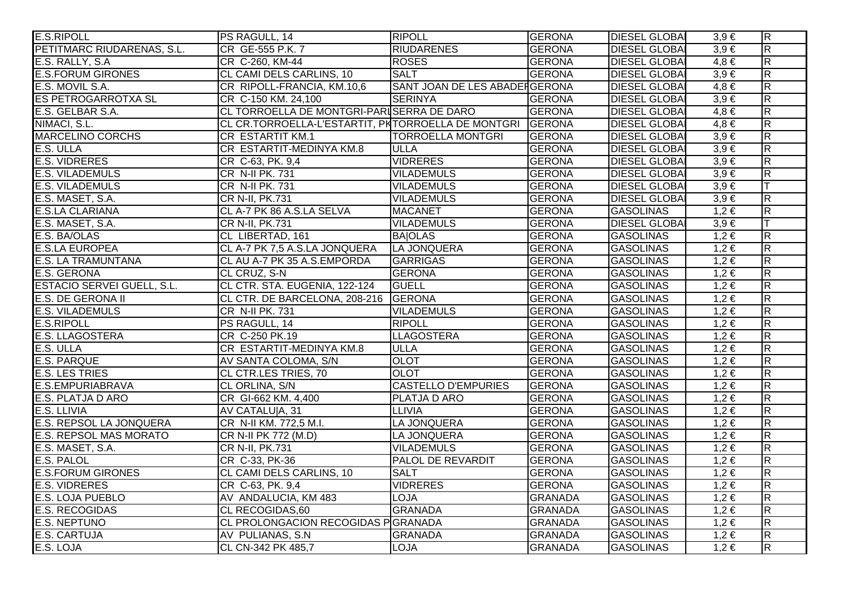| <b>E.S.RIPOLL</b>                 | PS RAGULL, 14                                              | <b>RIPOLL</b>                 | <b>GERONA</b>  | <b>DIESEL GLOBAL</b> | $3,9 \in$ | $\overline{\mathsf{R}}$ |
|-----------------------------------|------------------------------------------------------------|-------------------------------|----------------|----------------------|-----------|-------------------------|
| PETITMARC RIUDARENAS, S.L.        | CR GE-555 P.K. 7                                           | <b>RIUDARENES</b>             | <b>GERONA</b>  | <b>DIESEL GLOBAI</b> | $3.9 \in$ | $\overline{\mathsf{R}}$ |
| E.S. RALLY, S.A.                  | CR C-260, KM-44                                            | <b>ROSES</b>                  | <b>GERONA</b>  | <b>DIESEL GLOBAI</b> | $4,8 \in$ | $\overline{\mathsf{R}}$ |
| <b>E.S.FORUM GIRONES</b>          | CL CAMI DELS CARLINS, 10                                   | <b>SALT</b>                   | <b>GERONA</b>  | <b>DIESEL GLOBAI</b> | $3,9 \in$ | $\overline{\mathsf{R}}$ |
| E.S. MOVIL S.A.                   | CR RIPOLL-FRANCIA, KM.10,6                                 | SANT JOAN DE LES ABADERGERONA |                | <b>DIESEL GLOBAI</b> | $4,8 \in$ | $\overline{\mathsf{R}}$ |
| <b>ES PETROGARROTXA SL</b>        | CR C-150 KM. 24,100                                        | <b>SERINYA</b>                | <b>GERONA</b>  | <b>DIESEL GLOBAI</b> | $3,9 \in$ | $\overline{\mathsf{R}}$ |
| E.S. GELBAR S.A.                  | CL TORROELLA DE MONTGRI-PARISERRA DE DARO                  |                               | <b>GERONA</b>  | <b>DIESEL GLOBAI</b> | $4,8 \in$ | $\overline{R}$          |
| NIMACI, S.L.                      | CL CR.TORROELLA-L'ESTARTIT, PKTORROELLA DE MONTGRI  GERONA |                               |                | <b>DIESEL GLOBA</b>  | $4,8 \in$ | $\overline{R}$          |
| <b>MARCELINO CORCHS</b>           | <b>CR ESTARTIT KM.1</b>                                    | <b>TORROELLA MONTGRI</b>      | <b>GERONA</b>  | <b>DIESEL GLOBAI</b> | $3,9 \in$ | $\overline{\mathsf{R}}$ |
| E.S. ULLA                         | CR ESTARTIT-MEDINYA KM.8                                   | <b>ULLA</b>                   | <b>GERONA</b>  | <b>DIESEL GLOBAI</b> | $3,9 \in$ | $\overline{R}$          |
| <b>E.S. VIDRERES</b>              | CR C-63, PK. 9,4                                           | <b>VIDRERES</b>               | <b>GERONA</b>  | <b>DIESEL GLOBAI</b> | $3,9 \in$ | $\overline{\mathsf{R}}$ |
| <b>E.S. VILADEMULS</b>            | CR N-II PK. 731                                            | <b>VILADEMULS</b>             | <b>GERONA</b>  | <b>DIESEL GLOBAI</b> | $3,9 \in$ | $\overline{\mathsf{R}}$ |
| <b>E.S. VILADEMULS</b>            | <b>CR N-II PK. 731</b>                                     | <b>VILADEMULS</b>             | <b>GERONA</b>  | <b>DIESEL GLOBAI</b> | $3,9 \in$ | lΤ                      |
| E.S. MASET, S.A.                  | CR N-II, PK.731                                            | <b>VILADEMULS</b>             | <b>GERONA</b>  | <b>DIESEL GLOBAI</b> | $3,9 \in$ | $\overline{\mathsf{R}}$ |
| <b>E.S.LA CLARIANA</b>            | CL A-7 PK 86 A.S.LA SELVA                                  | <b>MACANET</b>                | <b>GERONA</b>  | <b>GASOLINAS</b>     | $1,2 \in$ | $\overline{R}$          |
| E.S. MASET, S.A.                  | CR N-II, PK.731                                            | <b>VILADEMULS</b>             | <b>GERONA</b>  | <b>DIESEL GLOBAI</b> | $3,9 \in$ | IТ                      |
| E.S. BA/OLAS                      | CL LIBERTAD, 161                                           | <b>BAIOLAS</b>                | <b>GERONA</b>  | <b>GASOLINAS</b>     | $1,2 \in$ | $\overline{R}$          |
| <b>E.S.LA EUROPEA</b>             | CL A-7 PK 7,5 A.S.LA JONQUERA                              | LA JONQUERA                   | <b>GERONA</b>  | <b>GASOLINAS</b>     | $1,2 \in$ | $\overline{\mathsf{R}}$ |
| <b>E.S. LA TRAMUNTANA</b>         | CL AU A-7 PK 35 A.S.EMPORDA                                | GARRIGAS                      | <b>GERONA</b>  | <b>GASOLINAS</b>     | $1,2 \in$ | $\overline{\mathsf{R}}$ |
| <b>E.S. GERONA</b>                | CL CRUZ, S-N                                               | <b>GERONA</b>                 | <b>GERONA</b>  | <b>GASOLINAS</b>     | $1,2 \in$ | $\overline{R}$          |
| <b>ESTACIO SERVEI GUELL, S.L.</b> | CL CTR. STA. EUGENIA, 122-124                              | <b>GUELL</b>                  | <b>GERONA</b>  | <b>GASOLINAS</b>     | $1,2 \in$ | $\overline{\mathsf{R}}$ |
| <b>E.S. DE GERONA II</b>          | CL CTR. DE BARCELONA, 208-216                              | <b>GERONA</b>                 | <b>GERONA</b>  | <b>GASOLINAS</b>     | $1,2 \in$ | $\overline{R}$          |
| <b>E.S. VILADEMULS</b>            | CR N-II PK. 731                                            | <b>VILADEMULS</b>             | <b>GERONA</b>  | <b>GASOLINAS</b>     | $1,2 \in$ | $\overline{R}$          |
| <b>E.S.RIPOLL</b>                 | PS RAGULL, 14                                              | <b>RIPOLL</b>                 | <b>GERONA</b>  | <b>GASOLINAS</b>     | $1,2 \in$ | $\overline{R}$          |
| <b>E.S. LLAGOSTERA</b>            | CR C-250 PK.19                                             | LLAGOSTERA                    | <b>GERONA</b>  | <b>GASOLINAS</b>     | $1,2 \in$ | $\overline{R}$          |
| E.S. ULLA                         | CR ESTARTIT-MEDINYA KM.8                                   | <b>ULLA</b>                   | <b>GERONA</b>  | <b>GASOLINAS</b>     | $1,2 \in$ | $\overline{\mathsf{R}}$ |
| <b>E.S. PARQUE</b>                | AV SANTA COLOMA, S/N                                       | <b>OLOT</b>                   | <b>GERONA</b>  | <b>GASOLINAS</b>     | $1,2 \in$ | $\overline{\mathsf{R}}$ |
| <b>E.S. LES TRIES</b>             | CL CTR.LES TRIES, 70                                       | <b>OLOT</b>                   | <b>GERONA</b>  | <b>GASOLINAS</b>     | $1,2 \in$ | $\overline{\mathsf{R}}$ |
| E.S.EMPURIABRAVA                  | CL ORLINA, S/N                                             | <b>CASTELLO D'EMPURIES</b>    | <b>GERONA</b>  | <b>GASOLINAS</b>     | $1,2 \in$ | R.                      |
| E.S. PLATJA D ARO                 | CR GI-662 KM. 4,400                                        | PLATJA D ARO                  | <b>GERONA</b>  | <b>GASOLINAS</b>     | $1,2 \in$ | $\overline{\mathsf{R}}$ |
| E.S. LLIVIA                       | AV CATALU A, 31                                            | <b>LLIVIA</b>                 | <b>GERONA</b>  | <b>GASOLINAS</b>     | $1,2 \in$ | $\overline{R}$          |
| <b>E.S. REPSOL LA JONQUERA</b>    | CR N-II KM. 772,5 M.I.                                     | LA JONQUERA                   | <b>GERONA</b>  | <b>GASOLINAS</b>     | $1,2 \in$ | $\overline{R}$          |
| <b>E.S. REPSOL MAS MORATO</b>     | CR N-II PK 772 (M.D)                                       | LA JONQUERA                   | <b>GERONA</b>  | <b>GASOLINAS</b>     | $1,2 \in$ | $\overline{\mathsf{R}}$ |
| E.S. MASET, S.A.                  | CR N-II, PK.731                                            | <b>VILADEMULS</b>             | <b>GERONA</b>  | <b>GASOLINAS</b>     | $1,2 \in$ | $\overline{\mathsf{R}}$ |
| E.S. PALOL                        | CR C-33, PK-36                                             | <b>PALOL DE REVARDIT</b>      | <b>GERONA</b>  | <b>GASOLINAS</b>     | $1,2 \in$ | $\overline{\mathsf{R}}$ |
| <b>E.S.FORUM GIRONES</b>          | CL CAMI DELS CARLINS, 10                                   | <b>SALT</b>                   | <b>GERONA</b>  | <b>GASOLINAS</b>     | $1,2 \in$ | $\overline{\mathsf{R}}$ |
| <b>E.S. VIDRERES</b>              | CR C-63, PK. 9,4                                           | <b>VIDRERES</b>               | <b>GERONA</b>  | <b>GASOLINAS</b>     | $1,2 \in$ | $\overline{\mathsf{R}}$ |
| <b>E.S. LOJA PUEBLO</b>           | AV ANDALUCIA, KM 483                                       | <b>LOJA</b>                   | <b>GRANADA</b> | <b>GASOLINAS</b>     | $1,2 \in$ | $\overline{\mathsf{R}}$ |
| <b>E.S. RECOGIDAS</b>             | <b>CL RECOGIDAS,60</b>                                     | <b>GRANADA</b>                | <b>GRANADA</b> | <b>GASOLINAS</b>     | $1,2 \in$ | $\overline{\mathsf{R}}$ |
| <b>E.S. NEPTUNO</b>               | CL PROLONGACION RECOGIDAS P GRANADA                        |                               | <b>GRANADA</b> | <b>GASOLINAS</b>     | $1,2 \in$ | $\overline{\mathsf{R}}$ |
| <b>E.S. CARTUJA</b>               | AV PULIANAS, S.N.                                          | <b>GRANADA</b>                | <b>GRANADA</b> | <b>GASOLINAS</b>     | $1,2 \in$ | $\overline{R}$          |
| E.S. LOJA                         | CL CN-342 PK 485,7                                         | <b>LOJA</b>                   | <b>GRANADA</b> | <b>GASOLINAS</b>     | $1,2 \in$ | $\overline{\mathsf{R}}$ |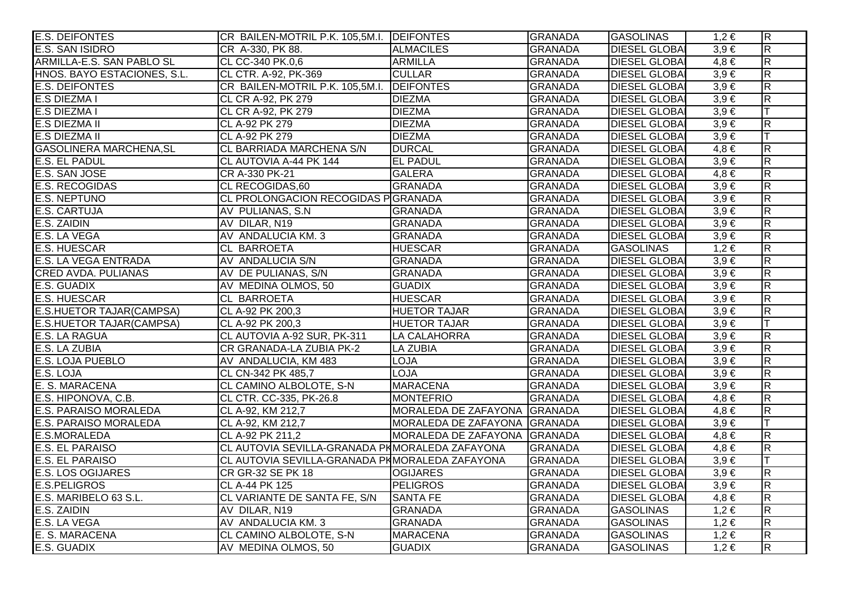| <b>E.S. DEIFONTES</b>           | CR BAILEN-MOTRIL P.K. 105,5M.I. DEIFONTES      |                              | <b>GRANADA</b> | <b>GASOLINAS</b>     | $1,2 \in$ | $\overline{\mathsf{R}}$ |
|---------------------------------|------------------------------------------------|------------------------------|----------------|----------------------|-----------|-------------------------|
| <b>E.S. SAN ISIDRO</b>          | CR A-330, PK 88.                               | <b>ALMACILES</b>             | <b>GRANADA</b> | <b>DIESEL GLOBAI</b> | $3,9 \in$ | $\overline{\mathsf{R}}$ |
| ARMILLA-E.S. SAN PABLO SL       | CL CC-340 PK.0,6                               | <b>ARMILLA</b>               | <b>GRANADA</b> | <b>DIESEL GLOBAI</b> | $4,8 \in$ | $\overline{R}$          |
| HNOS. BAYO ESTACIONES, S.L.     | CL CTR. A-92, PK-369                           | <b>CULLAR</b>                | <b>GRANADA</b> | <b>DIESEL GLOBAI</b> | $3,9 \in$ | $\overline{\mathsf{R}}$ |
| <b>E.S. DEIFONTES</b>           | CR BAILEN-MOTRIL P.K. 105,5M.I. DEIFONTES      |                              | <b>GRANADA</b> | <b>DIESEL GLOBAI</b> | $3,9 \in$ | $\overline{\mathsf{R}}$ |
| <b>E.S DIEZMA I</b>             | CL CR A-92, PK 279                             | <b>DIEZMA</b>                | <b>GRANADA</b> | <b>DIESEL GLOBAI</b> | $3,9 \in$ | $\overline{R}$          |
| <b>E.S DIEZMA I</b>             | CL CR A-92, PK 279                             | <b>DIEZMA</b>                | <b>GRANADA</b> | <b>DIESEL GLOBAI</b> | $3,9 \in$ | IТ                      |
| <b>E.S DIEZMA II</b>            | CL A-92 PK 279                                 | <b>DIEZMA</b>                | <b>GRANADA</b> | <b>DIESEL GLOBA</b>  | $3,9 \in$ | $\overline{R}$          |
| <b>E.S DIEZMA II</b>            | CL A-92 PK 279                                 | <b>DIEZMA</b>                | <b>GRANADA</b> | <b>DIESEL GLOBAI</b> | $3,9 \in$ | lΤ                      |
| <b>GASOLINERA MARCHENA, SL</b>  | CL BARRIADA MARCHENA S/N                       | <b>DURCAL</b>                | <b>GRANADA</b> | <b>DIESEL GLOBAI</b> | $4,8 \in$ | $\overline{R}$          |
| <b>E.S. EL PADUL</b>            | CL AUTOVIA A-44 PK 144                         | <b>EL PADUL</b>              | <b>GRANADA</b> | <b>DIESEL GLOBAI</b> | $3,9 \in$ | $\overline{R}$          |
| E.S. SAN JOSE                   | CR A-330 PK-21                                 | <b>GALERA</b>                | <b>GRANADA</b> | <b>DIESEL GLOBA</b>  | $4,8 \in$ | $\overline{\mathsf{R}}$ |
| <b>E.S. RECOGIDAS</b>           | CL RECOGIDAS, 60                               | <b>GRANADA</b>               | <b>GRANADA</b> | <b>DIESEL GLOBAI</b> | $3,9 \in$ | $\overline{\mathsf{R}}$ |
| <b>E.S. NEPTUNO</b>             | CL PROLONGACION RECOGIDAS PGRANADA             |                              | <b>GRANADA</b> | <b>DIESEL GLOBA</b>  | $3,9 \in$ | $\overline{R}$          |
| <b>E.S. CARTUJA</b>             | AV PULIANAS, S.N.                              | <b>GRANADA</b>               | <b>GRANADA</b> | <b>DIESEL GLOBAI</b> | $3,9 \in$ | $\overline{R}$          |
| E.S. ZAIDIN                     | AV DILAR, N19                                  | <b>GRANADA</b>               | <b>GRANADA</b> | <b>DIESEL GLOBAI</b> | $3,9 \in$ | $\overline{R}$          |
| E.S. LA VEGA                    | AV ANDALUCIA KM. 3                             | <b>GRANADA</b>               | <b>GRANADA</b> | <b>DIESEL GLOBAI</b> | $3,9 \in$ | $\overline{R}$          |
| <b>E.S. HUESCAR</b>             | <b>CL BARROETA</b>                             | <b>HUESCAR</b>               | <b>GRANADA</b> | <b>GASOLINAS</b>     | $1,2 \in$ | $\overline{\mathsf{R}}$ |
| E.S. LA VEGA ENTRADA            | AV ANDALUCIA S/N                               | <b>GRANADA</b>               | <b>GRANADA</b> | <b>DIESEL GLOBAI</b> | $3,9 \in$ | $\overline{\mathsf{R}}$ |
| <b>CRED AVDA. PULIANAS</b>      | AV DE PULIANAS, S/N                            | <b>GRANADA</b>               | <b>GRANADA</b> | <b>DIESEL GLOBAI</b> | $3,9 \in$ | $\overline{R}$          |
| E.S. GUADIX                     | AV MEDINA OLMOS, 50                            | <b>GUADIX</b>                | <b>GRANADA</b> | <b>DIESEL GLOBA</b>  | $3,9 \in$ | $\overline{\mathsf{R}}$ |
| <b>E.S. HUESCAR</b>             | CL BARROETA                                    | <b>HUESCAR</b>               | <b>GRANADA</b> | <b>DIESEL GLOBA</b>  | $3,9 \in$ | $\overline{R}$          |
| E.S.HUETOR TAJAR(CAMPSA)        | CL A-92 PK 200,3                               | <b>HUETOR TAJAR</b>          | <b>GRANADA</b> | <b>DIESEL GLOBAI</b> | $3,9 \in$ | $\overline{R}$          |
| <b>E.S.HUETOR TAJAR(CAMPSA)</b> | CL A-92 PK 200,3                               | <b>HUETOR TAJAR</b>          | <b>GRANADA</b> | <b>DIESEL GLOBAI</b> | $3,9 \in$ |                         |
| E.S. LA RAGUA                   | CL AUTOVIA A-92 SUR, PK-311                    | <b>LA CALAHORRA</b>          | <b>GRANADA</b> | <b>DIESEL GLOBAI</b> | $3,9 \in$ | $\overline{R}$          |
| E.S. LA ZUBIA                   | CR GRANADA-LA ZUBIA PK-2                       | <b>LA ZUBIA</b>              | <b>GRANADA</b> | <b>DIESEL GLOBA</b>  | $3,9 \in$ | $\overline{\mathsf{R}}$ |
| <b>E.S. LOJA PUEBLO</b>         | AV ANDALUCIA, KM 483                           | <b>LOJA</b>                  | <b>GRANADA</b> | <b>DIESEL GLOBA</b>  | $3,9 \in$ | $\overline{R}$          |
| E.S. LOJA                       | CL CN-342 PK 485,7                             | <b>LOJA</b>                  | <b>GRANADA</b> | <b>DIESEL GLOBA</b>  | $3,9 \in$ | $\overline{\mathsf{R}}$ |
| E. S. MARACENA                  | CL CAMINO ALBOLOTE, S-N                        | <b>MARACENA</b>              | <b>GRANADA</b> | <b>DIESEL GLOBAI</b> | $3,9 \in$ | $\overline{R}$          |
| E.S. HIPONOVA, C.B.             | CL CTR. CC-335, PK-26.8                        | MONTEFRIO                    | <b>GRANADA</b> | <b>DIESEL GLOBA</b>  | $4,8 \in$ | $\overline{\mathsf{R}}$ |
| <b>E.S. PARAISO MORALEDA</b>    | CL A-92, KM 212,7                              | MORALEDA DE ZAFAYONA GRANADA |                | <b>DIESEL GLOBA</b>  | $4,8 \in$ | $\overline{R}$          |
| <b>E.S. PARAISO MORALEDA</b>    | CL A-92, KM 212,7                              | MORALEDA DE ZAFAYONA GRANADA |                | <b>DIESEL GLOBAI</b> | $3,9 \in$ | IТ                      |
| E.S.MORALEDA                    | CL A-92 PK 211,2                               | MORALEDA DE ZAFAYONA GRANADA |                | <b>DIESEL GLOBA</b>  | $4,8 \in$ | $\overline{\mathsf{R}}$ |
| <b>E.S. EL PARAISO</b>          | CL AUTOVIA SEVILLA-GRANADA PMMORALEDA ZAFAYONA |                              | <b>GRANADA</b> | <b>DIESEL GLOBAI</b> | $4,8 \in$ | $\overline{\mathsf{R}}$ |
| <b>E.S. EL PARAISO</b>          | CL AUTOVIA SEVILLA-GRANADA PHMORALEDA ZAFAYONA |                              | <b>GRANADA</b> | <b>DIESEL GLOBAI</b> | $3,9 \in$ |                         |
| <b>E.S. LOS OGIJARES</b>        | <b>CR GR-32 SE PK 18</b>                       | <b>OGIJARES</b>              | <b>GRANADA</b> | <b>DIESEL GLOBA</b>  | $3,9 \in$ | $\overline{R}$          |
| <b>E.S.PELIGROS</b>             | CL A-44 PK 125                                 | <b>PELIGROS</b>              | <b>GRANADA</b> | <b>DIESEL GLOBA</b>  | $3,9 \in$ | $\overline{\mathsf{R}}$ |
| E.S. MARIBELO 63 S.L.           | CL VARIANTE DE SANTA FE, S/N                   | <b>SANTA FE</b>              | <b>GRANADA</b> | <b>DIESEL GLOBAI</b> | $4,8 \in$ | $\overline{\mathsf{R}}$ |
| E.S. ZAIDIN                     | AV DILAR, N19                                  | <b>GRANADA</b>               | <b>GRANADA</b> | <b>GASOLINAS</b>     | $1,2 \in$ | $\overline{\mathsf{R}}$ |
| E.S. LA VEGA                    | AV ANDALUCIA KM. 3                             | <b>GRANADA</b>               | <b>GRANADA</b> | <b>GASOLINAS</b>     | $1,2 \in$ | $\overline{R}$          |
| E. S. MARACENA                  | CL CAMINO ALBOLOTE, S-N                        | <b>MARACENA</b>              | <b>GRANADA</b> | <b>GASOLINAS</b>     | $1,2 \in$ | $\overline{\mathsf{R}}$ |
| E.S. GUADIX                     | AV MEDINA OLMOS, 50                            | <b>GUADIX</b>                | <b>GRANADA</b> | <b>GASOLINAS</b>     | $1,2 \in$ | $\overline{\mathsf{R}}$ |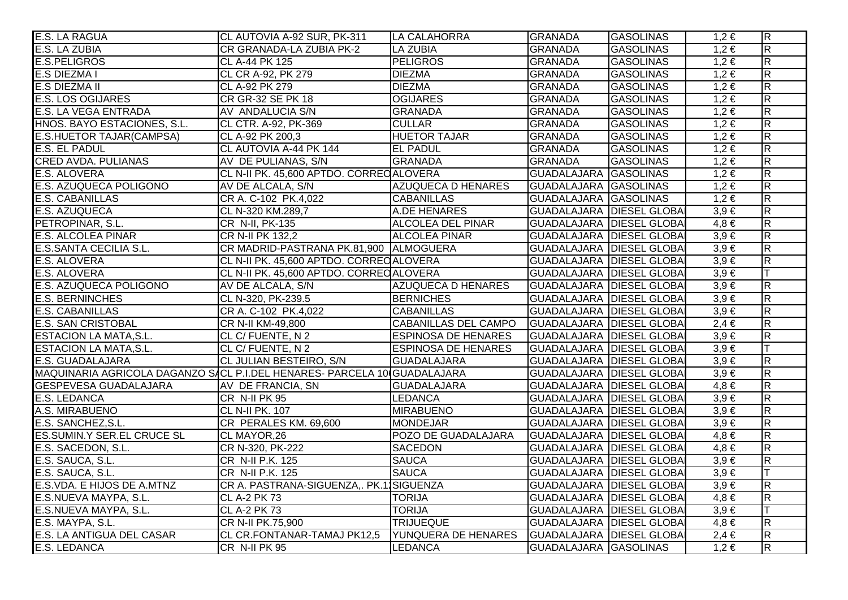| E.S. LA RAGUA                                                            | CL AUTOVIA A-92 SUR, PK-311             | LA CALAHORRA                | <b>GRANADA</b>                   | <b>GASOLINAS</b> | $1,2 \in$ | $\overline{R}$          |
|--------------------------------------------------------------------------|-----------------------------------------|-----------------------------|----------------------------------|------------------|-----------|-------------------------|
| E.S. LA ZUBIA                                                            | CR GRANADA-LA ZUBIA PK-2                | <b>LA ZUBIA</b>             | <b>GRANADA</b>                   | <b>GASOLINAS</b> | $1,2 \in$ | $\overline{\mathsf{R}}$ |
| <b>E.S.PELIGROS</b>                                                      | CL A-44 PK 125                          | <b>PELIGROS</b>             | <b>GRANADA</b>                   | <b>GASOLINAS</b> | $1,2 \in$ | $\overline{\mathsf{R}}$ |
| <b>E.S DIEZMA I</b>                                                      | CL CR A-92, PK 279                      | <b>DIEZMA</b>               | <b>GRANADA</b>                   | <b>GASOLINAS</b> | $1,2 \in$ | $\overline{\mathbf{z}}$ |
| E.S DIEZMA II                                                            | CL A-92 PK 279                          | <b>DIEZMA</b>               | <b>GRANADA</b>                   | <b>GASOLINAS</b> | $1,2 \in$ | $\overline{R}$          |
| <b>E.S. LOS OGIJARES</b>                                                 | <b>CR GR-32 SE PK 18</b>                | <b>OGIJARES</b>             | <b>GRANADA</b>                   | <b>GASOLINAS</b> | $1,2 \in$ | $\overline{\mathsf{R}}$ |
| <b>E.S. LA VEGA ENTRADA</b>                                              | AV ANDALUCIA S/N                        | <b>GRANADA</b>              | <b>GRANADA</b>                   | <b>GASOLINAS</b> | $1,2 \in$ | $\overline{\mathsf{R}}$ |
| HNOS. BAYO ESTACIONES, S.L.                                              | CL CTR. A-92, PK-369                    | <b>CULLAR</b>               | <b>GRANADA</b>                   | <b>GASOLINAS</b> | $1,2 \in$ | $\overline{\mathsf{R}}$ |
| E.S.HUETOR TAJAR(CAMPSA)                                                 | CL A-92 PK 200,3                        | <b>HUETOR TAJAR</b>         | <b>GRANADA</b>                   | <b>GASOLINAS</b> | $1,2 \in$ | $\overline{\mathsf{R}}$ |
| E.S. EL PADUL                                                            | CL AUTOVIA A-44 PK 144                  | <b>EL PADUL</b>             | <b>GRANADA</b>                   | <b>GASOLINAS</b> | $1,2 \in$ | $\overline{R}$          |
| <b>CRED AVDA. PULIANAS</b>                                               | AV DE PULIANAS, S/N                     | <b>GRANADA</b>              | <b>GRANADA</b>                   | <b>GASOLINAS</b> | $1,2 \in$ | $\overline{\mathbf{z}}$ |
| <b>E.S. ALOVERA</b>                                                      | CL N-II PK. 45,600 APTDO. CORRECALOVERA |                             | GUADALAJARA GASOLINAS            |                  | $1,2 \in$ | $\overline{\mathbf{R}}$ |
| E.S. AZUQUECA POLIGONO                                                   | AV DE ALCALA, S/N                       | AZUQUECA D HENARES          | GUADALAJARA GASOLINAS            |                  | $1,2 \in$ | $\overline{\mathbf{z}}$ |
| <b>E.S. CABANILLAS</b>                                                   | CR A. C-102 PK.4,022                    | <b>CABANILLAS</b>           | GUADALAJARA GASOLINAS            |                  | $1,2 \in$ | $\overline{R}$          |
| E.S. AZUQUECA                                                            | CL N-320 KM.289,7                       | A.DE HENARES                | <b>GUADALAJARA DIESEL GLOBAI</b> |                  | $3,9 \in$ | $\overline{\mathsf{R}}$ |
| PETROPINAR, S.L.                                                         | CR N-II, PK-135                         | <b>ALCOLEA DEL PINAR</b>    | <b>GUADALAJARA DIESEL GLOBAI</b> |                  | $4,8 \in$ | $\overline{\mathsf{R}}$ |
| <b>E.S. ALCOLEA PINAR</b>                                                | CR N-II PK 132,2                        | <b>ALCOLEA PINAR</b>        | <b>GUADALAJARA DIESEL GLOBA</b>  |                  | $3,9 \in$ | $\overline{\mathsf{R}}$ |
| E.S.SANTA CECILIA S.L.                                                   | CR MADRID-PASTRANA PK.81,900 ALMOGUERA  |                             | <b>GUADALAJARA DIESEL GLOBA</b>  |                  | $3,9 \in$ | $\overline{\mathsf{R}}$ |
| E.S. ALOVERA                                                             | CL N-II PK. 45,600 APTDO. CORRECALOVERA |                             | GUADALAJARA DIESEL GLOBAI        |                  | $3,9 \in$ | $\overline{\mathsf{R}}$ |
| E.S. ALOVERA                                                             | CL N-II PK. 45,600 APTDO. CORRECALOVERA |                             | GUADALAJARA DIESEL GLOBAI        |                  | $3,9 \in$ |                         |
| E.S. AZUQUECA POLIGONO                                                   | AV DE ALCALA, S/N                       | <b>AZUQUECA D HENARES</b>   | GUADALAJARA DIESEL GLOBAI        |                  | $3,9 \in$ | $\overline{\mathbf{z}}$ |
| <b>E.S. BERNINCHES</b>                                                   | CL N-320, PK-239.5                      | <b>BERNICHES</b>            | GUADALAJARA DIESEL GLOBAI        |                  | $3,9 \in$ | $\overline{R}$          |
| E.S. CABANILLAS                                                          | CR A. C-102 PK.4,022                    | <b>CABANILLAS</b>           | GUADALAJARA   DIESEL GLOBAI      |                  | $3,9 \in$ | $\overline{R}$          |
| E.S. SAN CRISTOBAL                                                       | CR N-II KM-49,800                       | <b>CABANILLAS DEL CAMPO</b> | <b>GUADALAJARA DIESEL GLOBAI</b> |                  | $2,4 \in$ | $\overline{\mathsf{R}}$ |
| <b>ESTACION LA MATA, S.L.</b>                                            | CL C/ FUENTE, N 2                       | <b>ESPINOSA DE HENARES</b>  | <b>GUADALAJARA DIESEL GLOBAI</b> |                  | $3,9 \in$ | $\overline{\mathbf{z}}$ |
| <b>ESTACION LA MATA, S.L.</b>                                            | CL C/ FUENTE, N 2                       | <b>ESPINOSA DE HENARES</b>  | GUADALAJARA DIESEL GLOBAI        |                  | $3,9 \in$ | IТ                      |
| E.S. GUADALAJARA                                                         | CL JULIAN BESTEIRO, S/N                 | <b>GUADALAJARA</b>          | <b>GUADALAJARA DIESEL GLOBA</b>  |                  | $3,9 \in$ | $\overline{\mathbf{z}}$ |
| MAQUINARIA AGRICOLA DAGANZO SACL P.I.DEL HENARES- PARCELA 10 GUADALAJARA |                                         |                             | <b>GUADALAJARA DIESEL GLOBAI</b> |                  | $3,9 \in$ | $\overline{\mathsf{R}}$ |
| <b>GESPEVESA GUADALAJARA</b>                                             | AV DE FRANCIA, SN                       | <b>GUADALAJARA</b>          | <b>GUADALAJARA DIESEL GLOBAI</b> |                  | $4.8 \in$ | $\overline{R}$          |
| <b>E.S. LEDANCA</b>                                                      | CR N-II PK 95                           | <b>LEDANCA</b>              | GUADALAJARA DIESEL GLOBAI        |                  | $3,9 \in$ | $\overline{\mathbf{z}}$ |
| A.S. MIRABUENO                                                           | <b>CL N-II PK. 107</b>                  | <b>MIRABUENO</b>            | <b>GUADALAJARA DIESEL GLOBA</b>  |                  | $3,9 \in$ | $\overline{R}$          |
| E.S. SANCHEZ, S.L.                                                       | CR PERALES KM. 69,600                   | <b>MONDEJAR</b>             | GUADALAJARA DIESEL GLOBAI        |                  | $3,9 \in$ | $\overline{\mathsf{R}}$ |
| <b>ES.SUMIN.Y SER.EL CRUCE SL</b>                                        | CL MAYOR, 26                            | POZO DE GUADALAJARA         | <b>GUADALAJARA DIESEL GLOBAI</b> |                  | $4,8 \in$ | $\overline{\mathsf{R}}$ |
| E.S. SACEDON, S.L.                                                       | CR N-320, PK-222                        | <b>SACEDON</b>              | <b>GUADALAJARA DIESEL GLOBAI</b> |                  | $4,8 \in$ | $\overline{\mathsf{R}}$ |
| E.S. SAUCA, S.L.                                                         | CR N-II P.K. 125                        | <b>SAUCA</b>                | <b>GUADALAJARA DIESEL GLOBA</b>  |                  | $3,9 \in$ | $\overline{\mathsf{R}}$ |
| E.S. SAUCA, S.L.                                                         | CR N-II P.K. 125                        | <b>SAUCA</b>                | <b>GUADALAJARA DIESEL GLOBAI</b> |                  | $3,9 \in$ |                         |
| E.S.VDA. E HIJOS DE A.MTNZ                                               | CR A. PASTRANA-SIGUENZA,. PK.11SIGUENZA |                             | GUADALAJARA   DIESEL GLOBAI      |                  | $3,9 \in$ | $\overline{\mathsf{R}}$ |
| E.S.NUEVA MAYPA, S.L.                                                    | <b>CL A-2 PK 73</b>                     | <b>TORIJA</b>               | <b>GUADALAJARA DIESEL GLOBAI</b> |                  | $4,8 \in$ | $\overline{\mathsf{R}}$ |
| E.S.NUEVA MAYPA, S.L.                                                    | <b>CL A-2 PK 73</b>                     | <b>TORIJA</b>               | <b>GUADALAJARA DIESEL GLOBA</b>  |                  | $3,9 \in$ |                         |
| E.S. MAYPA, S.L.                                                         | CR N-II PK.75,900                       | <b>TRIJUEQUE</b>            | <b>GUADALAJARA DIESEL GLOBAI</b> |                  | $4,8 \in$ | $\overline{\mathsf{R}}$ |
| E.S. LA ANTIGUA DEL CASAR                                                | CL CR.FONTANAR-TAMAJ PK12,5             | YUNQUERA DE HENARES         | <b>GUADALAJARA DIESEL GLOBA</b>  |                  | $2,4 \in$ | $\overline{\mathsf{R}}$ |
| E.S. LEDANCA                                                             | CR N-II PK 95                           | <b>LEDANCA</b>              | GUADALAJARA GASOLINAS            |                  | $1,2 \in$ | $\overline{R}$          |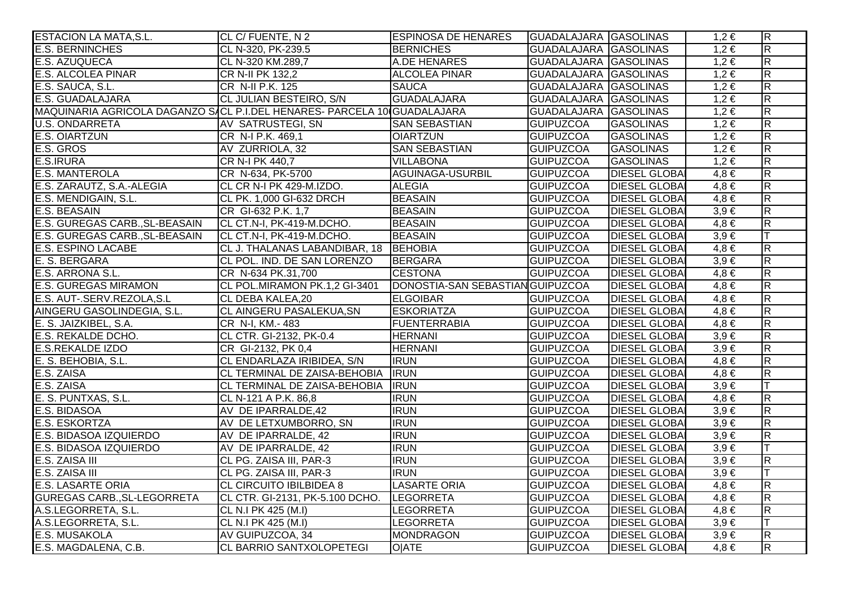| <b>ESTACION LA MATA, S.L.</b>                                            | CL C/ FUENTE, N 2                       | <b>ESPINOSA DE HENARES</b>       | <b>GUADALAJARA GASOLINAS</b> |                      | $1,2 \in$ | $\overline{R}$          |
|--------------------------------------------------------------------------|-----------------------------------------|----------------------------------|------------------------------|----------------------|-----------|-------------------------|
| <b>E.S. BERNINCHES</b>                                                   | CL N-320, PK-239.5                      | <b>BERNICHES</b>                 | GUADALAJARA GASOLINAS        |                      | $1,2 \in$ | $\overline{\mathsf{R}}$ |
| <b>E.S. AZUQUECA</b>                                                     | CL N-320 KM.289,7                       | A.DE HENARES                     | GUADALAJARA GASOLINAS        |                      | $1,2 \in$ | $\overline{R}$          |
| <b>E.S. ALCOLEA PINAR</b>                                                | CR N-II PK 132,2                        | <b>ALCOLEA PINAR</b>             | <b>GUADALAJARA GASOLINAS</b> |                      | $1,2 \in$ | $\overline{\mathbf{z}}$ |
| E.S. SAUCA, S.L.                                                         | CR N-II P.K. 125                        | <b>SAUCA</b>                     | GUADALAJARA GASOLINAS        |                      | $1,2 \in$ | $\overline{R}$          |
| <b>E.S. GUADALAJARA</b>                                                  | CL JULIAN BESTEIRO, S/N                 | <b>GUADALAJARA</b>               | GUADALAJARA GASOLINAS        |                      | $1,2 \in$ | $\overline{R}$          |
| MAQUINARIA AGRICOLA DAGANZO SACL P.I.DEL HENARES- PARCELA 10 GUADALAJARA |                                         |                                  | GUADALAJARA GASOLINAS        |                      | $1,2 \in$ | $\overline{\mathbf{z}}$ |
| <b>U.S. ONDARRETA</b>                                                    | AV SATRUSTEGI, SN                       | <b>SAN SEBASTIAN</b>             | <b>GUIPUZCOA</b>             | <b>GASOLINAS</b>     | $1,2 \in$ | $\overline{R}$          |
| <b>E.S. OIARTZUN</b>                                                     | CR N-I P.K. 469,1                       | <b>OIARTZUN</b>                  | <b>GUIPUZCOA</b>             | <b>GASOLINAS</b>     | $1,2 \in$ | $\overline{\mathbf{z}}$ |
| E.S. GROS                                                                | AV ZURRIOLA, 32                         | <b>SAN SEBASTIAN</b>             | <b>GUIPUZCOA</b>             | <b>GASOLINAS</b>     | $1,2 \in$ | $\overline{R}$          |
| <b>E.S.IRURA</b>                                                         | CR N-I PK 440,7                         | <b>VILLABONA</b>                 | <b>GUIPUZCOA</b>             | <b>GASOLINAS</b>     | $1,2 \in$ | $\overline{\mathbf{z}}$ |
| <b>E.S. MANTEROLA</b>                                                    | CR N-634, PK-5700                       | AGUINAGA-USURBIL                 | <b>GUIPUZCOA</b>             | <b>DIESEL GLOBA</b>  | $4,8 \in$ | $\overline{\mathsf{R}}$ |
| E.S. ZARAUTZ, S.A.-ALEGIA                                                | CL CR N-I PK 429-M.IZDO.                | <b>ALEGIA</b>                    | <b>GUIPUZCOA</b>             | <b>DIESEL GLOBAI</b> | $4.8 \in$ | $\overline{R}$          |
| E.S. MENDIGAIN, S.L.                                                     | CL PK. 1,000 GI-632 DRCH                | <b>BEASAIN</b>                   | <b>GUIPUZCOA</b>             | <b>DIESEL GLOBA</b>  | $4,8 \in$ | $\overline{\mathbf{z}}$ |
| E.S. BEASAIN                                                             | CR GI-632 P.K. 1,7                      | <b>BEASAIN</b>                   | <b>GUIPUZCOA</b>             | <b>DIESEL GLOBA</b>  | $3,9 \in$ | $\overline{R}$          |
| E.S. GUREGAS CARB., SL-BEASAIN                                           | CL CT.N-I, PK-419-M.DCHO.               | <b>BEASAIN</b>                   | <b>GUIPUZCOA</b>             | <b>DIESEL GLOBA</b>  | $4,8 \in$ | $\overline{\mathbf{z}}$ |
| E.S. GUREGAS CARB., SL-BEASAIN                                           | CL CT.N-I, PK-419-M.DCHO.               | <b>BEASAIN</b>                   | <b>GUIPUZCOA</b>             | <b>DIESEL GLOBAL</b> | $3,9 \in$ | T                       |
| <b>E.S. ESPINO LACABE</b>                                                | CL J. THALANAS LABANDIBAR, 18   BEHOBIA |                                  | <b>GUIPUZCOA</b>             | <b>DIESEL GLOBAI</b> | $4,8 \in$ | $\overline{\mathbf{z}}$ |
| E. S. BERGARA                                                            | CL POL. IND. DE SAN LORENZO             | <b>BERGARA</b>                   | <b>GUIPUZCOA</b>             | <b>DIESEL GLOBA</b>  | $3,9 \in$ | $\overline{R}$          |
| E.S. ARRONA S.L.                                                         | CR N-634 PK.31,700                      | <b>CESTONA</b>                   | <b>GUIPUZCOA</b>             | <b>DIESEL GLOBAI</b> | $4,8 \in$ | $\overline{\mathbf{z}}$ |
| <b>E.S. GUREGAS MIRAMON</b>                                              | CL POL.MIRAMON PK.1,2 GI-3401           | DONOSTIA-SAN SEBASTIAN GUIPUZCOA |                              | <b>DIESEL GLOBA</b>  | $4,8 \in$ | $\overline{\mathsf{R}}$ |
| E.S. AUT-.SERV.REZOLA,S.L                                                | CL DEBA KALEA,20                        | <b>ELGOIBAR</b>                  | <b>GUIPUZCOA</b>             | <b>DIESEL GLOBA</b>  | $4,8 \in$ | $\overline{\mathsf{R}}$ |
| AINGERU GASOLINDEGIA, S.L.                                               | CL AINGERU PASALEKUA, SN                | <b>ESKORIATZA</b>                | <b>GUIPUZCOA</b>             | <b>DIESEL GLOBA</b>  | $4,8 \in$ | $\overline{R}$          |
| E. S. JAIZKIBEL, S.A.                                                    | CR N-I, KM .- 483                       | <b>FUENTERRABIA</b>              | <b>GUIPUZCOA</b>             | <b>DIESEL GLOBA</b>  | $4,8 \in$ | $\overline{R}$          |
| E.S. REKALDE DCHO.                                                       | CL CTR. GI-2132, PK-0.4                 | <b>HERNANI</b>                   | <b>GUIPUZCOA</b>             | <b>DIESEL GLOBA</b>  | $3,9 \in$ | $\overline{\mathbf{z}}$ |
| <b>E.S.REKALDE IZDO</b>                                                  | CR GI-2132, PK 0,4                      | <b>HERNANI</b>                   | <b>GUIPUZCOA</b>             | <b>DIESEL GLOBA</b>  | $3,9 \in$ | $\overline{R}$          |
| E. S. BEHOBIA, S.L.                                                      | CL ENDARLAZA IRIBIDEA, S/N              | <b>IRUN</b>                      | <b>GUIPUZCOA</b>             | <b>DIESEL GLOBA</b>  | $4,8 \in$ | $\overline{\mathsf{R}}$ |
| E.S. ZAISA                                                               | CL TERMINAL DE ZAISA-BEHOBIA  IRUN      |                                  | <b>GUIPUZCOA</b>             | <b>DIESEL GLOBA</b>  | $4,8 \in$ | $\overline{\mathsf{R}}$ |
| E.S. ZAISA                                                               | CL TERMINAL DE ZAISA-BEHOBIA            | <b>IRUN</b>                      | <b>GUIPUZCOA</b>             | <b>DIESEL GLOBA</b>  | $3,9 \in$ |                         |
| E. S. PUNTXAS, S.L.                                                      | CL N-121 A P.K. 86,8                    | <b>IRUN</b>                      | <b>GUIPUZCOA</b>             | <b>DIESEL GLOBA</b>  | $4,8 \in$ | $\overline{R}$          |
| E.S. BIDASOA                                                             | AV DE IPARRALDE, 42                     | <b>IRUN</b>                      | <b>GUIPUZCOA</b>             | <b>DIESEL GLOBAL</b> | $3,9 \in$ | $\overline{\mathsf{R}}$ |
| <b>E.S. ESKORTZA</b>                                                     | AV DE LETXUMBORRO, SN                   | <b>IRUN</b>                      | <b>GUIPUZCOA</b>             | <b>DIESEL GLOBA</b>  | $3,9 \in$ | $\overline{\mathsf{R}}$ |
| E.S. BIDASOA IZQUIERDO                                                   | AV DE IPARRALDE, 42                     | <b>IRUN</b>                      | <b>GUIPUZCOA</b>             | <b>DIESEL GLOBA</b>  | $3,9 \in$ | $\overline{\mathsf{R}}$ |
| E.S. BIDASOA IZQUIERDO                                                   | AV DE IPARRALDE, 42                     | <b>IRUN</b>                      | <b>GUIPUZCOA</b>             | <b>DIESEL GLOBA</b>  | $3,9 \in$ |                         |
| E.S. ZAISA III                                                           | CL PG. ZAISA III, PAR-3                 | <b>IRUN</b>                      | <b>GUIPUZCOA</b>             | <b>DIESEL GLOBAI</b> | $3,9 \in$ | R                       |
| E.S. ZAISA III                                                           | CL PG. ZAISA III, PAR-3                 | <b>IRUN</b>                      | <b>GUIPUZCOA</b>             | <b>DIESEL GLOBAI</b> | $3,9 \in$ |                         |
| <b>E.S. LASARTE ORIA</b>                                                 | <b>CL CIRCUITO IBILBIDEA 8</b>          | <b>LASARTE ORIA</b>              | <b>GUIPUZCOA</b>             | <b>DIESEL GLOBA</b>  | $4,8 \in$ | $\overline{\mathsf{R}}$ |
| <b>GUREGAS CARB., SL-LEGORRETA</b>                                       | CL CTR. GI-2131, PK-5.100 DCHO.         | <b>LEGORRETA</b>                 | <b>GUIPUZCOA</b>             | <b>DIESEL GLOBA</b>  | $4,8 \in$ | $\overline{\mathsf{R}}$ |
| A.S.LEGORRETA, S.L.                                                      | CL N.I PK 425 (M.I)                     | <b>LEGORRETA</b>                 | <b>GUIPUZCOA</b>             | <b>DIESEL GLOBA</b>  | $4,8 \in$ | $\overline{\mathsf{R}}$ |
| A.S.LEGORRETA, S.L.                                                      | CL N.I PK 425 (M.I)                     | <b>LEGORRETA</b>                 | <b>GUIPUZCOA</b>             | <b>DIESEL GLOBA</b>  | $3,9 \in$ | lΤ                      |
| <b>E.S. MUSAKOLA</b>                                                     | AV GUIPUZCOA, 34                        | MONDRAGON                        | <b>GUIPUZCOA</b>             | <b>DIESEL GLOBA</b>  | $3,9 \in$ | $\overline{R}$          |
| E.S. MAGDALENA, C.B.                                                     | CL BARRIO SANTXOLOPETEGI                | <b>OIATE</b>                     | <b>GUIPUZCOA</b>             | <b>DIESEL GLOBA</b>  | $4,8 \in$ | $\overline{\mathbf{z}}$ |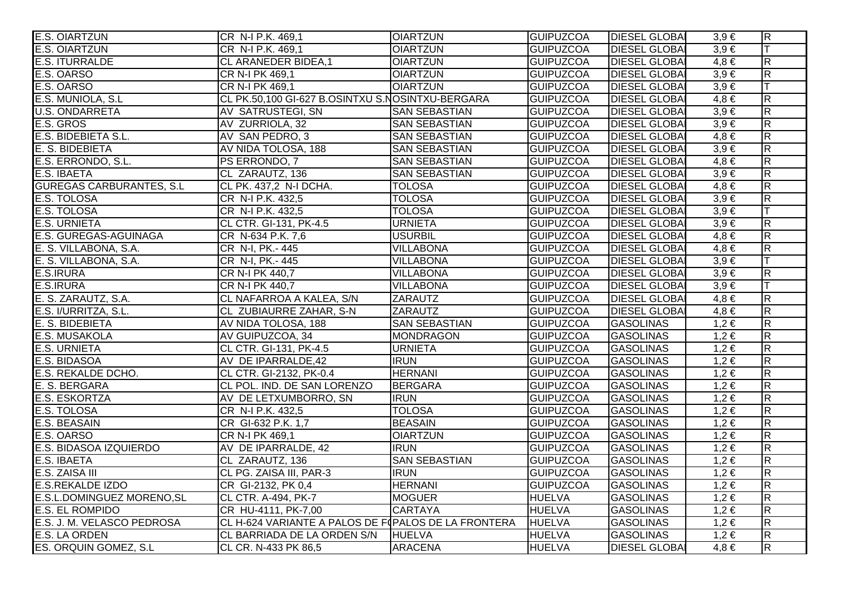| <b>E.S. OIARTZUN</b>                           | CR N-I P.K. 469,1                                   | <b>OIARTZUN</b>      | <b>GUIPUZCOA</b> | <b>DIESEL GLOBAI</b> | $3,9 \in$ | $\overline{R}$          |
|------------------------------------------------|-----------------------------------------------------|----------------------|------------------|----------------------|-----------|-------------------------|
| <b>E.S. OIARTZUN</b>                           | CR N-I P.K. 469,1                                   | <b>OIARTZUN</b>      | <b>GUIPUZCOA</b> | <b>DIESEL GLOBA</b>  | $3,9 \in$ | lΤ                      |
| <b>E.S. ITURRALDE</b>                          | CL ARANEDER BIDEA,1                                 | <b>OIARTZUN</b>      | <b>GUIPUZCOA</b> | <b>DIESEL GLOBA</b>  | $4,8 \in$ | $\overline{\mathsf{R}}$ |
| E.S. OARSO                                     | CR N-I PK 469.1                                     | <b>OIARTZUN</b>      | <b>GUIPUZCOA</b> | <b>DIESEL GLOBAL</b> | $3,9 \in$ | $\overline{\mathsf{R}}$ |
| E.S. OARSO                                     | CR N-I PK 469,1                                     | <b>OIARTZUN</b>      | <b>GUIPUZCOA</b> | <b>DIESEL GLOBA</b>  | $3,9 \in$ | lΤ                      |
| E.S. MUNIOLA, S.L.                             | CL PK.50,100 GI-627 B.OSINTXU S.NOSINTXU-BERGARA    |                      | <b>GUIPUZCOA</b> | <b>DIESEL GLOBAI</b> | $4,8 \in$ | $\overline{\mathsf{R}}$ |
| <b>U.S. ONDARRETA</b>                          | AV SATRUSTEGI, SN                                   | <b>SAN SEBASTIAN</b> | <b>GUIPUZCOA</b> | <b>DIESEL GLOBAI</b> | $3,9 \in$ | $\overline{\mathsf{R}}$ |
| E.S. GROS                                      | AV ZURRIOLA, 32                                     | <b>SAN SEBASTIAN</b> | <b>GUIPUZCOA</b> | <b>DIESEL GLOBA</b>  | $3,9 \in$ | $\overline{R}$          |
|                                                | AV SAN PEDRO, 3                                     | <b>SAN SEBASTIAN</b> | <b>GUIPUZCOA</b> | <b>DIESEL GLOBA</b>  | $4,8 \in$ | $\overline{\mathsf{R}}$ |
| E.S. BIDEBIETA S.L.<br>E. S. BIDEBIETA         | AV NIDA TOLOSA, 188                                 | <b>SAN SEBASTIAN</b> | <b>GUIPUZCOA</b> | <b>DIESEL GLOBA</b>  | $3,9 \in$ | $\overline{R}$          |
| E.S. ERRONDO, S.L.                             | PS ERRONDO, 7                                       | <b>SAN SEBASTIAN</b> | <b>GUIPUZCOA</b> | <b>DIESEL GLOBAI</b> | $4,8 \in$ | $\overline{\mathsf{R}}$ |
| E.S. IBAETA                                    | CL ZARAUTZ, 136                                     | <b>SAN SEBASTIAN</b> | <b>GUIPUZCOA</b> | <b>DIESEL GLOBA</b>  | $3,9 \in$ | $\overline{R}$          |
| <b>GUREGAS CARBURANTES, S.L.</b>               | CL PK. 437,2 N-I DCHA.                              | <b>TOLOSA</b>        | <b>GUIPUZCOA</b> | <b>DIESEL GLOBA</b>  | $4,8 \in$ | $\overline{\mathsf{R}}$ |
| E.S. TOLOSA                                    | CR N-I P.K. 432,5                                   | <b>TOLOSA</b>        | <b>GUIPUZCOA</b> | <b>DIESEL GLOBA</b>  | $3,9 \in$ | $\overline{\mathsf{R}}$ |
| E.S. TOLOSA                                    | CR N-I P.K. 432,5                                   | <b>TOLOSA</b>        | <b>GUIPUZCOA</b> | <b>DIESEL GLOBA</b>  | $3,9 \in$ | ΙT                      |
| <b>E.S. URNIETA</b>                            | CL CTR. GI-131, PK-4.5                              | <b>URNIETA</b>       | <b>GUIPUZCOA</b> | <b>DIESEL GLOBA</b>  | $3,9 \in$ | $\overline{R}$          |
| E.S. GUREGAS-AGUINAGA                          | CR N-634 P.K. 7,6                                   | <b>USURBIL</b>       | <b>GUIPUZCOA</b> | <b>DIESEL GLOBA</b>  | $4,8 \in$ | $\overline{R}$          |
|                                                | CR N-I, PK.- 445                                    | <b>VILLABONA</b>     | <b>GUIPUZCOA</b> | <b>DIESEL GLOBA</b>  | $4,8 \in$ | $\overline{\mathsf{R}}$ |
| E. S. VILLABONA, S.A.<br>E. S. VILLABONA, S.A. | CR N-I, PK.- 445                                    | <b>VILLABONA</b>     | <b>GUIPUZCOA</b> | <b>DIESEL GLOBA</b>  | $3,9 \in$ |                         |
| E.S.IRURA                                      | CR N-I PK 440,7                                     | <b>VILLABONA</b>     | <b>GUIPUZCOA</b> | <b>DIESEL GLOBA</b>  | $3,9 \in$ | $\overline{\mathsf{R}}$ |
| E.S.IRURA                                      | CR N-I PK 440,7                                     | <b>VILLABONA</b>     | <b>GUIPUZCOA</b> | <b>DIESEL GLOBA</b>  | $3,9 \in$ |                         |
| E. S. ZARAUTZ, S.A.                            | CL NAFARROA A KALEA, S/N                            | ZARAUTZ              | <b>GUIPUZCOA</b> | <b>DIESEL GLOBA</b>  | $4,8 \in$ | $\overline{R}$          |
| E.S. I/URRITZA, S.L.<br>E. S. BIDEBIETA        | CL ZUBIAURRE ZAHAR, S-N                             | ZARAUTZ              | <b>GUIPUZCOA</b> | <b>DIESEL GLOBA</b>  | $4,8 \in$ | $\overline{\mathsf{R}}$ |
|                                                | AV NIDA TOLOSA, 188                                 | <b>SAN SEBASTIAN</b> | <b>GUIPUZCOA</b> | <b>GASOLINAS</b>     | $1,2 \in$ | $\overline{\mathsf{R}}$ |
| E.S. MUSAKOLA                                  | AV GUIPUZCOA, 34                                    | <b>MONDRAGON</b>     | <b>GUIPUZCOA</b> | <b>GASOLINAS</b>     | $1,2 \in$ | $\overline{\mathsf{R}}$ |
| <b>E.S. URNIETA</b>                            | CL CTR. GI-131, PK-4.5                              | <b>URNIETA</b>       | <b>GUIPUZCOA</b> | <b>GASOLINAS</b>     | $1,2 \in$ | $\overline{R}$          |
| E.S. BIDASOA                                   | AV DE IPARRALDE, 42                                 | <b>IRUN</b>          | <b>GUIPUZCOA</b> | <b>GASOLINAS</b>     | $1,2 \in$ | $\overline{R}$          |
| E.S. REKALDE DCHO.                             | CL CTR. GI-2132, PK-0.4                             | <b>HERNANI</b>       | <b>GUIPUZCOA</b> | <b>GASOLINAS</b>     | $1,2 \in$ | $\overline{\mathsf{R}}$ |
| E. S. BERGARA                                  | CL POL. IND. DE SAN LORENZO                         | <b>BERGARA</b>       | <b>GUIPUZCOA</b> | <b>GASOLINAS</b>     | $1,2 \in$ | $\overline{R}$          |
| <b>E.S. ESKORTZA</b>                           | AV DE LETXUMBORRO, SN                               | <b>IRUN</b>          | <b>GUIPUZCOA</b> | <b>GASOLINAS</b>     | $1,2 \in$ | $\overline{\mathsf{R}}$ |
| E.S. TOLOSA                                    | CR N-I P.K. 432,5                                   | <b>TOLOSA</b>        | <b>GUIPUZCOA</b> | <b>GASOLINAS</b>     | $1,2 \in$ | R.                      |
| E.S. BEASAIN                                   | CR GI-632 P.K. 1,7                                  | <b>BEASAIN</b>       | <b>GUIPUZCOA</b> | <b>GASOLINAS</b>     | $1,2 \in$ | $\overline{\mathsf{R}}$ |
| E.S. OARSO                                     | CR N-I PK 469,1                                     | <b>OIARTZUN</b>      | <b>GUIPUZCOA</b> | <b>GASOLINAS</b>     | $1,2 \in$ | $\overline{R}$          |
| E.S. BIDASOA IZQUIERDO                         | AV DE IPARRALDE, 42                                 | <b>IRUN</b>          | <b>GUIPUZCOA</b> | <b>GASOLINAS</b>     | $1,2 \in$ | $\overline{\mathsf{R}}$ |
| E.S. IBAETA                                    | CL ZARAUTZ, 136                                     | <b>SAN SEBASTIAN</b> | <b>GUIPUZCOA</b> | <b>GASOLINAS</b>     | $1,2 \in$ | $\overline{\mathsf{R}}$ |
| E.S. ZAISA III                                 | CL PG. ZAISA III, PAR-3                             | <b>IRUN</b>          | <b>GUIPUZCOA</b> | <b>GASOLINAS</b>     | $1,2 \in$ | $\overline{\mathsf{R}}$ |
| <b>E.S.REKALDE IZDO</b>                        | CR GI-2132, PK 0,4                                  | <b>HERNANI</b>       | <b>GUIPUZCOA</b> | <b>GASOLINAS</b>     | $1,2 \in$ | $\overline{\mathsf{R}}$ |
| <b>E.S.L.DOMINGUEZ MORENO, SL</b>              | <b>CL CTR. A-494, PK-7</b>                          | <b>MOGUER</b>        | <b>HUELVA</b>    | <b>GASOLINAS</b>     | $1,2 \in$ | $\overline{\mathsf{R}}$ |
| <b>E.S. EL ROMPIDO</b>                         | CR HU-4111, PK-7,00                                 | <b>CARTAYA</b>       | <b>HUELVA</b>    | <b>GASOLINAS</b>     | $1,2 \in$ | $\overline{\mathsf{R}}$ |
| E.S. J. M. VELASCO PEDROSA                     | CL H-624 VARIANTE A PALOS DE F(PALOS DE LA FRONTERA |                      | <b>HUELVA</b>    | <b>GASOLINAS</b>     | $1,2 \in$ | $\overline{\mathsf{R}}$ |
| E.S. LA ORDEN                                  | CL BARRIADA DE LA ORDEN S/N                         | <b>HUELVA</b>        | <b>HUELVA</b>    | <b>GASOLINAS</b>     | $1,2 \in$ | $\overline{\mathsf{R}}$ |
| ES. ORQUIN GOMEZ, S.L                          | CL CR. N-433 PK 86,5                                | <b>ARACENA</b>       | <b>HUELVA</b>    | <b>DIESEL GLOBAI</b> | $4,8 \in$ | R.                      |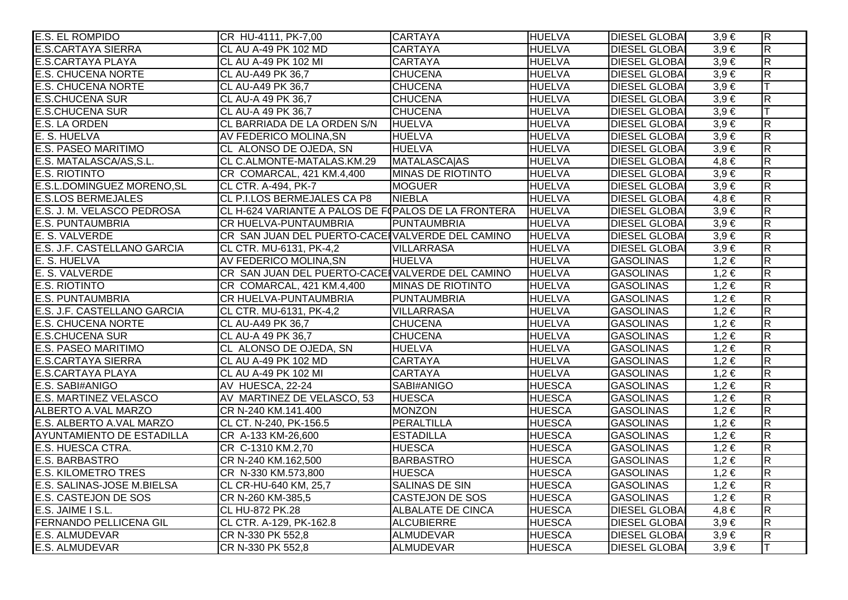| E.S. EL ROMPIDO                  | CR HU-4111, PK-7,00                                 | <b>CARTAYA</b>           | <b>HUELVA</b> | <b>DIESEL GLOBAL</b> | $3,9 \in$ | $\overline{R}$          |
|----------------------------------|-----------------------------------------------------|--------------------------|---------------|----------------------|-----------|-------------------------|
| <b>E.S.CARTAYA SIERRA</b>        | CL AU A-49 PK 102 MD                                | <b>CARTAYA</b>           | <b>HUELVA</b> | <b>DIESEL GLOBAI</b> | $3,9 \in$ | $\overline{\mathsf{R}}$ |
| <b>E.S.CARTAYA PLAYA</b>         | CL AU A-49 PK 102 MI                                | <b>CARTAYA</b>           | <b>HUELVA</b> | <b>DIESEL GLOBAI</b> | $3,9 \in$ | $\overline{R}$          |
| <b>E.S. CHUCENA NORTE</b>        | CL AU-A49 PK 36,7                                   | <b>CHUCENA</b>           | <b>HUELVA</b> | <b>DIESEL GLOBAI</b> | $3,9 \in$ | $\overline{R}$          |
| <b>E.S. CHUCENA NORTE</b>        | CL AU-A49 PK 36,7                                   | <b>CHUCENA</b>           | <b>HUELVA</b> | <b>DIESEL GLOBAL</b> | $3,9 \in$ | lΤ                      |
| <b>E.S.CHUCENA SUR</b>           | CL AU-A 49 PK 36,7                                  | <b>CHUCENA</b>           | <b>HUELVA</b> | <b>DIESEL GLOBAI</b> | $3,9 \in$ | $\overline{\mathsf{R}}$ |
| <b>E.S.CHUCENA SUR</b>           | CL AU-A 49 PK 36,7                                  | <b>CHUCENA</b>           | <b>HUELVA</b> | <b>DIESEL GLOBAI</b> | $3,9 \in$ | IТ                      |
| E.S. LA ORDEN                    | CL BARRIADA DE LA ORDEN S/N                         | <b>HUELVA</b>            | <b>HUELVA</b> | <b>DIESEL GLOBAI</b> | $3,9 \in$ | $\overline{\mathsf{R}}$ |
| E. S. HUELVA                     | AV FEDERICO MOLINA, SN                              | <b>HUELVA</b>            | <b>HUELVA</b> | <b>DIESEL GLOBAI</b> | $3,9 \in$ | $\overline{\mathsf{R}}$ |
| <b>E.S. PASEO MARITIMO</b>       | CL ALONSO DE OJEDA, SN                              | <b>HUELVA</b>            | <b>HUELVA</b> | <b>DIESEL GLOBAI</b> | $3,9 \in$ | $\overline{\mathsf{R}}$ |
| E.S. MATALASCA/AS, S.L.          | CL C.ALMONTE-MATALAS.KM.29                          | <b>MATALASCAIAS</b>      | <b>HUELVA</b> | <b>DIESEL GLOBAI</b> | $4,8 \in$ | $\overline{\mathsf{R}}$ |
| <b>E.S. RIOTINTO</b>             | CR COMARCAL, 421 KM.4,400                           | MINAS DE RIOTINTO        | <b>HUELVA</b> | <b>DIESEL GLOBAI</b> | $3,9 \in$ | $\overline{\mathsf{R}}$ |
| E.S.L.DOMINGUEZ MORENO, SL       | <b>CL CTR. A-494, PK-7</b>                          | <b>MOGUER</b>            | <b>HUELVA</b> | <b>DIESEL GLOBAI</b> | $3,9 \in$ | $\overline{R}$          |
| <b>E.S.LOS BERMEJALES</b>        | CL P.I.LOS BERMEJALES CA P8                         | <b>NIEBLA</b>            | <b>HUELVA</b> | <b>DIESEL GLOBA</b>  | $4,8 \in$ | $\overline{R}$          |
| E.S. J. M. VELASCO PEDROSA       | CL H-624 VARIANTE A PALOS DE F(PALOS DE LA FRONTERA |                          | <b>HUELVA</b> | <b>DIESEL GLOBAI</b> | $3,9 \in$ | $\overline{R}$          |
| <b>E.S. PUNTAUMBRIA</b>          | CR HUELVA-PUNTAUMBRIA                               | <b>PUNTAUMBRIA</b>       | <b>HUELVA</b> | <b>DIESEL GLOBAI</b> | $3,9 \in$ | $\overline{R}$          |
| E. S. VALVERDE                   | CR SAN JUAN DEL PUERTO-CACEIVALVERDE DEL CAMINO     |                          | <b>HUELVA</b> | <b>DIESEL GLOBAI</b> | $3,9 \in$ | $\overline{\mathsf{R}}$ |
| E.S. J.F. CASTELLANO GARCIA      | CL CTR. MU-6131, PK-4,2                             | VILLARRASA               | <b>HUELVA</b> | <b>DIESEL GLOBAI</b> | $3,9 \in$ | $\overline{\mathsf{R}}$ |
| E. S. HUELVA                     | AV FEDERICO MOLINA, SN                              | <b>HUELVA</b>            | <b>HUELVA</b> | <b>GASOLINAS</b>     | $1,2 \in$ | $\overline{\mathsf{R}}$ |
| E. S. VALVERDE                   | CR SAN JUAN DEL PUERTO-CACE VALVERDE DEL CAMINO     |                          | <b>HUELVA</b> | <b>GASOLINAS</b>     | $1,2 \in$ | $\overline{\mathsf{R}}$ |
| <b>E.S. RIOTINTO</b>             | CR COMARCAL, 421 KM.4,400                           | MINAS DE RIOTINTO        | <b>HUELVA</b> | <b>GASOLINAS</b>     | $1,2 \in$ | $\overline{\mathsf{R}}$ |
| <b>E.S. PUNTAUMBRIA</b>          | CR HUELVA-PUNTAUMBRIA                               | PUNTAUMBRIA              | <b>HUELVA</b> | <b>GASOLINAS</b>     | $1,2 \in$ | $\overline{R}$          |
| E.S. J.F. CASTELLANO GARCIA      | CL CTR. MU-6131, PK-4,2                             | <b>VILLARRASA</b>        | <b>HUELVA</b> | <b>GASOLINAS</b>     | $1,2 \in$ | $\overline{R}$          |
| <b>E.S. CHUCENA NORTE</b>        | <b>CL AU-A49 PK 36,7</b>                            | <b>CHUCENA</b>           | <b>HUELVA</b> | <b>GASOLINAS</b>     | $1,2 \in$ | $\overline{R}$          |
| <b>E.S.CHUCENA SUR</b>           | CL AU-A 49 PK 36,7                                  | <b>CHUCENA</b>           | <b>HUELVA</b> | <b>GASOLINAS</b>     | $1,2 \in$ | $\overline{R}$          |
| <b>E.S. PASEO MARITIMO</b>       | CL ALONSO DE OJEDA, SN                              | <b>HUELVA</b>            | <b>HUELVA</b> | <b>GASOLINAS</b>     | $1,2 \in$ | $\overline{\mathsf{R}}$ |
| <b>E.S.CARTAYA SIERRA</b>        | <b>CL AU A-49 PK 102 MD</b>                         | <b>CARTAYA</b>           | <b>HUELVA</b> | <b>GASOLINAS</b>     | $1,2 \in$ | $\overline{\mathsf{R}}$ |
| <b>E.S.CARTAYA PLAYA</b>         | CL AU A-49 PK 102 MI                                | <b>CARTAYA</b>           | <b>HUELVA</b> | <b>GASOLINAS</b>     | $1,2 \in$ | $\overline{R}$          |
| E.S. SABI#ANIGO                  | AV HUESCA, 22-24                                    | SABI#ANIGO               | <b>HUESCA</b> | <b>GASOLINAS</b>     | $1,2 \in$ | $\overline{\mathsf{R}}$ |
| <b>E.S. MARTINEZ VELASCO</b>     | AV MARTINEZ DE VELASCO, 53                          | <b>HUESCA</b>            | <b>HUESCA</b> | <b>GASOLINAS</b>     | $1,2 \in$ | $\overline{\mathsf{R}}$ |
| ALBERTO A.VAL MARZO              | CR N-240 KM.141.400                                 | <b>MONZON</b>            | <b>HUESCA</b> | <b>GASOLINAS</b>     | $1,2 \in$ | R                       |
| E.S. ALBERTO A.VAL MARZO         | CL CT. N-240, PK-156.5                              | PERALTILLA               | <b>HUESCA</b> | <b>GASOLINAS</b>     | $1,2 \in$ | $\overline{R}$          |
| <b>AYUNTAMIENTO DE ESTADILLA</b> | CR A-133 KM-26,600                                  | <b>ESTADILLA</b>         | <b>HUESCA</b> | <b>GASOLINAS</b>     | $1,2 \in$ | $\overline{\mathsf{R}}$ |
| E.S. HUESCA CTRA.                | CR C-1310 KM.2,70                                   | <b>HUESCA</b>            | <b>HUESCA</b> | <b>GASOLINAS</b>     | $1,2 \in$ | $\overline{\mathsf{R}}$ |
| <b>E.S. BARBASTRO</b>            | CR N-240 KM.162,500                                 | <b>BARBASTRO</b>         | <b>HUESCA</b> | <b>GASOLINAS</b>     | $1,2 \in$ | $\overline{\mathsf{R}}$ |
| <b>E.S. KILOMETRO TRES</b>       | CR N-330 KM.573,800                                 | <b>HUESCA</b>            | <b>HUESCA</b> | <b>GASOLINAS</b>     | $1,2 \in$ | $\overline{R}$          |
| E.S. SALINAS-JOSE M.BIELSA       | CL CR-HU-640 KM, 25,7                               | <b>SALINAS DE SIN</b>    | <b>HUESCA</b> | <b>GASOLINAS</b>     | $1,2 \in$ | $\overline{\mathsf{R}}$ |
| <b>E.S. CASTEJON DE SOS</b>      | CR N-260 KM-385,5                                   | <b>CASTEJON DE SOS</b>   | <b>HUESCA</b> | <b>GASOLINAS</b>     | $1,2 \in$ | $\overline{\mathsf{R}}$ |
| E.S. JAIME I S.L.                | <b>CL HU-872 PK.28</b>                              | <b>ALBALATE DE CINCA</b> | <b>HUESCA</b> | <b>DIESEL GLOBAI</b> | $4,8 \in$ | $\overline{\mathsf{R}}$ |
| <b>FERNANDO PELLICENA GIL</b>    | CL CTR. A-129, PK-162.8                             | <b>ALCUBIERRE</b>        | <b>HUESCA</b> | <b>DIESEL GLOBAI</b> | $3,9 \in$ | $\overline{\mathsf{R}}$ |
| <b>E.S. ALMUDEVAR</b>            | CR N-330 PK 552,8                                   | <b>ALMUDEVAR</b>         | <b>HUESCA</b> | <b>DIESEL GLOBAI</b> | $3,9 \in$ | $\overline{\mathsf{R}}$ |
| <b>E.S. ALMUDEVAR</b>            | CR N-330 PK 552,8                                   | <b>ALMUDEVAR</b>         | <b>HUESCA</b> | <b>DIESEL GLOBAI</b> | $3,9 \in$ | lΤ                      |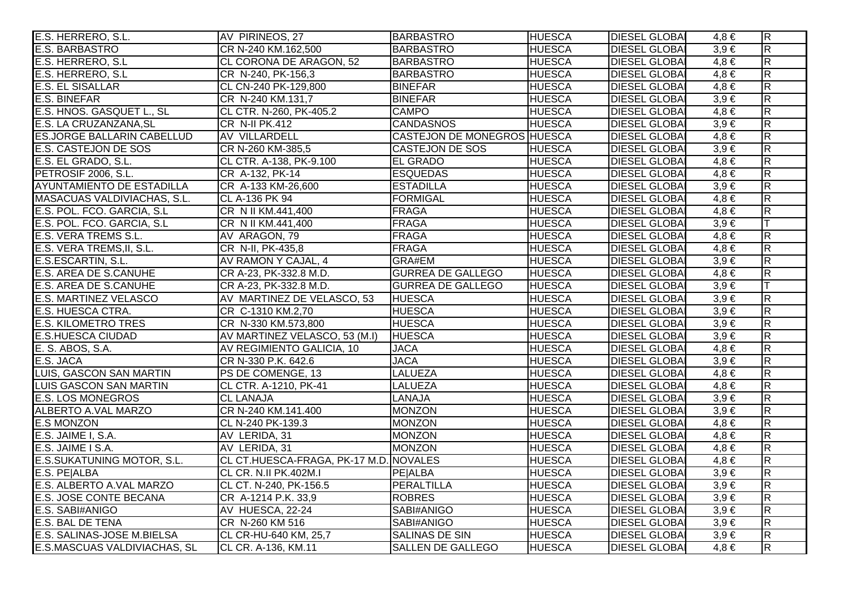| E.S. HERRERO, S.L.                | AV PIRINEOS, 27                        | <b>BARBASTRO</b>            | <b>HUESCA</b> | <b>DIESEL GLOBAI</b> | $4,8 \in$ | $ \mathsf{R} $          |
|-----------------------------------|----------------------------------------|-----------------------------|---------------|----------------------|-----------|-------------------------|
| E.S. BARBASTRO                    | CR N-240 KM.162,500                    | <b>BARBASTRO</b>            | <b>HUESCA</b> | <b>DIESEL GLOBA</b>  | $3,9 \in$ | $\overline{\mathsf{R}}$ |
| E.S. HERRERO, S.L.                | CL CORONA DE ARAGON, 52                | <b>BARBASTRO</b>            | <b>HUESCA</b> | <b>DIESEL GLOBA</b>  | $4,8 \in$ | $\overline{\mathsf{R}}$ |
| E.S. HERRERO, S.L                 | CR N-240, PK-156,3                     | <b>BARBASTRO</b>            | <b>HUESCA</b> | <b>DIESEL GLOBA</b>  | $4,8 \in$ | $\overline{\mathbf{z}}$ |
| <b>E.S. EL SISALLAR</b>           | CL CN-240 PK-129,800                   | <b>BINEFAR</b>              | <b>HUESCA</b> | <b>DIESEL GLOBAI</b> | $4,8 \in$ | $\overline{R}$          |
| <b>E.S. BINEFAR</b>               | CR N-240 KM.131,7                      | <b>BINEFAR</b>              | <b>HUESCA</b> | <b>DIESEL GLOBA</b>  | $3,9 \in$ | $\overline{R}$          |
| E.S. HNOS. GASQUET L., SL         | CL CTR. N-260, PK-405.2                | <b>CAMPO</b>                | <b>HUESCA</b> | <b>DIESEL GLOBA</b>  | $4,8 \in$ | $\overline{\mathbf{z}}$ |
| E.S. LA CRUZANZANA, SL            | CR N-II PK.412                         | <b>CANDASNOS</b>            | <b>HUESCA</b> | <b>DIESEL GLOBA</b>  | $3,9 \in$ | $\overline{R}$          |
| <b>ES.JORGE BALLARIN CABELLUD</b> | AV VILLARDELL                          | CASTEJON DE MONEGROS HUESCA |               | <b>DIESEL GLOBA</b>  | $4,8 \in$ | $\overline{\mathsf{R}}$ |
| <b>E.S. CASTEJON DE SOS</b>       | CR N-260 KM-385,5                      | <b>CASTEJON DE SOS</b>      | <b>HUESCA</b> | <b>DIESEL GLOBA</b>  | $3,9 \in$ | $\overline{R}$          |
| E.S. EL GRADO, S.L.               | CL CTR. A-138, PK-9.100                | <b>EL GRADO</b>             | <b>HUESCA</b> | <b>DIESEL GLOBA</b>  | $4,8 \in$ | $\overline{\mathbf{z}}$ |
| PETROSIF 2006, S.L.               | CR A-132, PK-14                        | <b>ESQUEDAS</b>             | <b>HUESCA</b> | <b>DIESEL GLOBA</b>  | $4.8 \in$ | $\overline{\mathbf{z}}$ |
| <b>AYUNTAMIENTO DE ESTADILLA</b>  | CR A-133 KM-26,600                     | <b>ESTADILLA</b>            | <b>HUESCA</b> | <b>DIESEL GLOBA</b>  | $3,9 \in$ | $\overline{\mathbf{z}}$ |
| MASACUAS VALDIVIACHAS, S.L.       | CL A-136 PK 94                         | <b>FORMIGAL</b>             | <b>HUESCA</b> | <b>DIESEL GLOBAI</b> | $4,8 \in$ | $\overline{\mathsf{R}}$ |
| E.S. POL. FCO. GARCIA, S.L.       | CR N II KM.441,400                     | <b>FRAGA</b>                | <b>HUESCA</b> | <b>DIESEL GLOBA</b>  | $4,8 \in$ | $\overline{\mathsf{R}}$ |
| E.S. POL. FCO. GARCIA, S.L        | CR N II KM.441,400                     | <b>FRAGA</b>                | <b>HUESCA</b> | <b>DIESEL GLOBA</b>  | $3,9 \in$ |                         |
| <b>E.S. VERA TREMS S.L.</b>       | AV ARAGON, 79                          | <b>FRAGA</b>                | <b>HUESCA</b> | <b>DIESEL GLOBAI</b> | $4,8 \in$ | $\overline{R}$          |
| E.S. VERA TREMS, II, S.L.         | CR N-II, PK-435,8                      | <b>FRAGA</b>                | <b>HUESCA</b> | <b>DIESEL GLOBAI</b> | $4,8 \in$ | $\overline{\mathsf{R}}$ |
| E.S.ESCARTIN, S.L.                | AV RAMON Y CAJAL, 4                    | GRA#EM                      | <b>HUESCA</b> | <b>DIESEL GLOBA</b>  | $3,9 \in$ | $\overline{\mathsf{R}}$ |
| E.S. AREA DE S.CANUHE             | CR A-23, PK-332.8 M.D.                 | <b>GURREA DE GALLEGO</b>    | <b>HUESCA</b> | <b>DIESEL GLOBA</b>  | $4,8 \in$ | $\overline{R}$          |
| E.S. AREA DE S.CANUHE             | CR A-23, PK-332.8 M.D.                 | <b>GURREA DE GALLEGO</b>    | <b>HUESCA</b> | <b>DIESEL GLOBA</b>  | $3,9 \in$ |                         |
| <b>E.S. MARTINEZ VELASCO</b>      | AV MARTINEZ DE VELASCO, 53             | <b>HUESCA</b>               | <b>HUESCA</b> | <b>DIESEL GLOBAI</b> | $3,9 \in$ | $\overline{R}$          |
| E.S. HUESCA CTRA.                 | CR C-1310 KM.2,70                      | <b>HUESCA</b>               | <b>HUESCA</b> | <b>DIESEL GLOBA</b>  | $3,9 \in$ | $\overline{\mathbf{z}}$ |
| <b>E.S. KILOMETRO TRES</b>        | CR N-330 KM.573,800                    | <b>HUESCA</b>               | <b>HUESCA</b> | <b>DIESEL GLOBA</b>  | $3,9 \in$ | $\overline{\mathbf{z}}$ |
| <b>E.S.HUESCA CIUDAD</b>          | AV MARTINEZ VELASCO, 53 (M.I)          | <b>HUESCA</b>               | <b>HUESCA</b> | <b>DIESEL GLOBA</b>  | $3,9 \in$ | $\overline{\mathbf{z}}$ |
| E. S. ABOS, S.A.                  | AV REGIMIENTO GALICIA, 10              | <b>JACA</b>                 | <b>HUESCA</b> | <b>DIESEL GLOBAI</b> | $4,8 \in$ | $\overline{\mathsf{R}}$ |
| E.S. JACA                         | CR N-330 P.K. 642.6                    | <b>JACA</b>                 | <b>HUESCA</b> | <b>DIESEL GLOBAI</b> | $3,9 \in$ | $\overline{\mathsf{R}}$ |
| <b>LUIS, GASCON SAN MARTIN</b>    | PS DE COMENGE, 13                      | <b>LALUEZA</b>              | <b>HUESCA</b> | <b>DIESEL GLOBA</b>  | $4,8 \in$ | $\overline{\mathbf{z}}$ |
| <b>LUIS GASCON SAN MARTIN</b>     | CL CTR. A-1210, PK-41                  | <b>LALUEZA</b>              | <b>HUESCA</b> | <b>DIESEL GLOBA</b>  | $4.8 \in$ | $\overline{\mathbf{z}}$ |
| <b>E.S. LOS MONEGROS</b>          | <b>CL LANAJA</b>                       | LANAJA                      | <b>HUESCA</b> | <b>DIESEL GLOBA</b>  | $3,9 \in$ | $\overline{\mathbf{z}}$ |
| ALBERTO A.VAL MARZO               | CR N-240 KM.141.400                    | <b>MONZON</b>               | <b>HUESCA</b> | <b>DIESEL GLOBAI</b> | $3,9 \in$ | $\overline{R}$          |
| <b>E.S MONZON</b>                 | CL N-240 PK-139.3                      | <b>MONZON</b>               | <b>HUESCA</b> | <b>DIESEL GLOBA</b>  | $4,8 \in$ | $\overline{\mathsf{R}}$ |
| E.S. JAIME I, S.A.                | AV LERIDA, 31                          | <b>MONZON</b>               | <b>HUESCA</b> | <b>DIESEL GLOBA</b>  | $4,8 \in$ | $\overline{\mathsf{R}}$ |
| E.S. JAIME I S.A.                 | AV LERIDA, 31                          | <b>MONZON</b>               | <b>HUESCA</b> | <b>DIESEL GLOBA</b>  | $4,8 \in$ | $\overline{\mathsf{R}}$ |
| E.S.SUKATUNING MOTOR, S.L.        | CL CT.HUESCA-FRAGA, PK-17 M.D. NOVALES |                             | <b>HUESCA</b> | <b>DIESEL GLOBAI</b> | $4,8 \in$ | $\overline{\mathsf{R}}$ |
| E.S. PE ALBA                      | CL CR. N.II PK.402M.I                  | <b>PE</b> ALBA              | <b>HUESCA</b> | <b>DIESEL GLOBA</b>  | $3,9 \in$ | $\overline{\mathsf{R}}$ |
| E.S. ALBERTO A.VAL MARZO          | CL CT. N-240, PK-156.5                 | PERALTILLA                  | <b>HUESCA</b> | <b>DIESEL GLOBA</b>  | $3,9 \in$ | $\overline{\mathsf{R}}$ |
| <b>E.S. JOSE CONTE BECANA</b>     | CR A-1214 P.K. 33,9                    | <b>ROBRES</b>               | <b>HUESCA</b> | <b>DIESEL GLOBA</b>  | $3,9 \in$ | $\overline{\mathsf{R}}$ |
| E.S. SABI#ANIGO                   | AV HUESCA, 22-24                       | SABI#ANIGO                  | <b>HUESCA</b> | <b>DIESEL GLOBA</b>  | $3,9 \in$ | R                       |
| <b>E.S. BAL DE TENA</b>           | CR N-260 KM 516                        | SABI#ANIGO                  | <b>HUESCA</b> | <b>DIESEL GLOBA</b>  | $3,9 \in$ | $\overline{\mathsf{R}}$ |
| E.S. SALINAS-JOSE M.BIELSA        | CL CR-HU-640 KM, 25,7                  | SALINAS DE SIN              | <b>HUESCA</b> | <b>DIESEL GLOBAI</b> | $3,9 \in$ | $\overline{R}$          |
| E.S.MASCUAS VALDIVIACHAS, SL      | CL CR. A-136, KM.11                    | <b>SALLEN DE GALLEGO</b>    | <b>HUESCA</b> | <b>DIESEL GLOBAI</b> | $4,8 \in$ | $\overline{R}$          |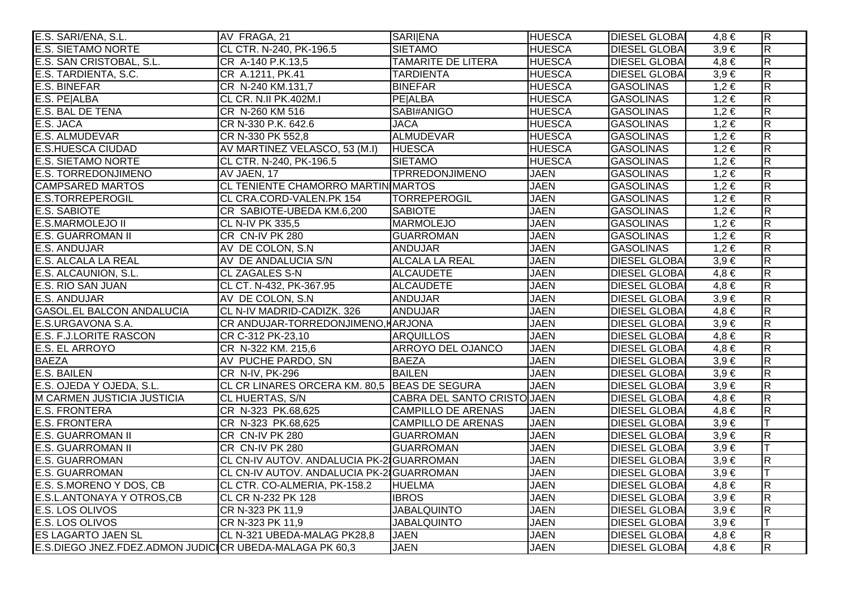| E.S. SARI/ENA, S.L.                                     | AV FRAGA, 21                                 | <b>SARIENA</b>              | <b>HUESCA</b> | <b>DIESEL GLOBAL</b> | $4,8 \in$ | $\overline{R}$          |
|---------------------------------------------------------|----------------------------------------------|-----------------------------|---------------|----------------------|-----------|-------------------------|
| <b>E.S. SIETAMO NORTE</b>                               | CL CTR. N-240, PK-196.5                      | <b>SIETAMO</b>              | <b>HUESCA</b> | <b>DIESEL GLOBAI</b> | $3,9 \in$ | $\overline{\mathsf{R}}$ |
| E.S. SAN CRISTOBAL, S.L.                                | CR A-140 P.K.13,5                            | <b>TAMARITE DE LITERA</b>   | <b>HUESCA</b> | <b>DIESEL GLOBAI</b> | $4,8 \in$ | $\overline{\mathsf{R}}$ |
| E.S. TARDIENTA, S.C.                                    | CR A.1211, PK.41                             | <b>TARDIENTA</b>            | <b>HUESCA</b> | <b>DIESEL GLOBAI</b> | $3,9 \in$ | $\overline{R}$          |
| <b>E.S. BINEFAR</b>                                     | CR N-240 KM.131,7                            | <b>BINEFAR</b>              | <b>HUESCA</b> | <b>GASOLINAS</b>     | $1,2 \in$ | $\overline{R}$          |
| E.S. PE ALBA                                            | CL CR. N.II PK.402M.I                        | <b>PE</b> ALBA              | <b>HUESCA</b> | <b>GASOLINAS</b>     | $1,2 \in$ | $\overline{R}$          |
| <b>E.S. BAL DE TENA</b>                                 | CR N-260 KM 516                              | SABI#ANIGO                  | <b>HUESCA</b> | <b>GASOLINAS</b>     | $1,2 \in$ | R.                      |
| E.S. JACA                                               | CR N-330 P.K. 642.6                          | <b>JACA</b>                 | <b>HUESCA</b> | <b>GASOLINAS</b>     | $1,2 \in$ | $\overline{\mathsf{R}}$ |
| E.S. ALMUDEVAR                                          | CR N-330 PK 552,8                            | <b>ALMUDEVAR</b>            | <b>HUESCA</b> | <b>GASOLINAS</b>     | $1,2 \in$ | $\overline{R}$          |
| <b>E.S.HUESCA CIUDAD</b>                                | AV MARTINEZ VELASCO, 53 (M.I)                | <b>HUESCA</b>               | <b>HUESCA</b> | <b>GASOLINAS</b>     | $1,2 \in$ | $\overline{\mathsf{R}}$ |
| <b>E.S. SIETAMO NORTE</b>                               | CL CTR. N-240, PK-196.5                      | <b>SIETAMO</b>              | <b>HUESCA</b> | <b>GASOLINAS</b>     | $1,2 \in$ | R.                      |
| <b>E.S. TORREDONJIMENO</b>                              | AV JAEN, 17                                  | <b>TPRREDONJIMENO</b>       | <b>JAEN</b>   | <b>GASOLINAS</b>     | $1,2 \in$ | $\overline{\mathsf{R}}$ |
| <b>CAMPSARED MARTOS</b>                                 | CL TENIENTE CHAMORRO MARTIN MARTOS           |                             | <b>JAEN</b>   | <b>GASOLINAS</b>     | $1,2 \in$ | $\overline{R}$          |
| <b>E.S.TORREPEROGIL</b>                                 | CL CRA.CORD-VALEN.PK 154                     | <b>TORREPEROGIL</b>         | <b>JAEN</b>   | <b>GASOLINAS</b>     | $1,2 \in$ | $\overline{R}$          |
| <b>E.S. SABIOTE</b>                                     | CR SABIOTE-UBEDA KM.6,200                    | <b>SABIOTE</b>              | <b>JAEN</b>   | <b>GASOLINAS</b>     | $1,2 \in$ | $\overline{R}$          |
| <b>E.S.MARMOLEJO II</b>                                 | <b>CL N-IV PK 335,5</b>                      | <b>MARMOLEJO</b>            | <b>JAEN</b>   | <b>GASOLINAS</b>     | $1,2 \in$ | $\overline{R}$          |
| <b>E.S. GUARROMAN II</b>                                | CR CN-IV PK 280                              | <b>GUARROMAN</b>            | <b>JAEN</b>   | <b>GASOLINAS</b>     | $1,2 \in$ | $\overline{\mathsf{R}}$ |
| <b>E.S. ANDUJAR</b>                                     | AV DE COLON, S.N.                            | <b>ANDUJAR</b>              | <b>JAEN</b>   | <b>GASOLINAS</b>     | $1,2 \in$ | $\overline{\mathsf{R}}$ |
| <b>E.S. ALCALA LA REAL</b>                              | AV DE ANDALUCIA S/N                          | <b>ALCALA LA REAL</b>       | <b>JAEN</b>   | <b>DIESEL GLOBAI</b> | $3,9 \in$ | $\overline{\mathsf{R}}$ |
| E.S. ALCAUNION, S.L.                                    | <b>CL ZAGALES S-N</b>                        | <b>ALCAUDETE</b>            | <b>JAEN</b>   | <b>DIESEL GLOBAI</b> | $4,8 \in$ | R                       |
| E.S. RIO SAN JUAN                                       | CL CT. N-432, PK-367.95                      | <b>ALCAUDETE</b>            | <b>JAEN</b>   | <b>DIESEL GLOBAI</b> | $4,8 \in$ | $\overline{\mathsf{R}}$ |
| <b>E.S. ANDUJAR</b>                                     | AV DE COLON, S.N.                            | <b>ANDUJAR</b>              | <b>JAEN</b>   | <b>DIESEL GLOBAI</b> | $3,9 \in$ | $\overline{R}$          |
| <b>GASOL.EL BALCON ANDALUCIA</b>                        | CL N-IV MADRID-CADIZK. 326                   | <b>ANDUJAR</b>              | <b>JAEN</b>   | <b>DIESEL GLOBAI</b> | $4,8 \in$ | $\overline{\mathsf{R}}$ |
| E.S.URGAVONA S.A.                                       | CR ANDUJAR-TORREDONJIMENO, HARJONA           |                             | <b>JAEN</b>   | <b>DIESEL GLOBAI</b> | $3,9 \in$ | $\overline{R}$          |
| E.S. F.J.LORITE RASCON                                  | CR C-312 PK-23,10                            | <b>ARQUILLOS</b>            | <b>JAEN</b>   | <b>DIESEL GLOBAI</b> | $4,8 \in$ | $\overline{R}$          |
| E.S. EL ARROYO                                          | CR N-322 KM. 215,6                           | ARROYO DEL OJANCO           | <b>JAEN</b>   | <b>DIESEL GLOBAI</b> | $4,8 \in$ | $\overline{R}$          |
| <b>BAEZA</b>                                            | AV PUCHE PARDO, SN                           | <b>BAEZA</b>                | <b>JAEN</b>   | <b>DIESEL GLOBAI</b> | $3,9 \in$ | $\overline{\mathsf{R}}$ |
| <b>E.S. BAILEN</b>                                      | CR N-IV, PK-296                              | <b>BAILEN</b>               | <b>JAEN</b>   | <b>DIESEL GLOBAI</b> | $3,9 \in$ | $\overline{\mathsf{R}}$ |
| E.S. OJEDA Y OJEDA, S.L.                                | CL CR LINARES ORCERA KM. 80,5 BEAS DE SEGURA |                             | <b>JAEN</b>   | <b>DIESEL GLOBAI</b> | $3,9 \in$ | $\overline{R}$          |
| M CARMEN JUSTICIA JUSTICIA                              | <b>CL HUERTAS, S/N</b>                       | CABRA DEL SANTO CRISTO JAEN |               | <b>DIESEL GLOBAI</b> | $4,8 \in$ | $\overline{\mathsf{R}}$ |
| <b>E.S. FRONTERA</b>                                    | CR N-323 PK.68,625                           | <b>CAMPILLO DE ARENAS</b>   | <b>JAEN</b>   | <b>DIESEL GLOBAI</b> | $4,8 \in$ | $\overline{R}$          |
| <b>E.S. FRONTERA</b>                                    | CR N-323 PK.68,625                           | <b>CAMPILLO DE ARENAS</b>   | <b>JAEN</b>   | <b>DIESEL GLOBAI</b> | $3,9 \in$ | IТ                      |
| <b>E.S. GUARROMAN II</b>                                | CR CN-IV PK 280                              | <b>GUARROMAN</b>            | <b>JAEN</b>   | <b>DIESEL GLOBAI</b> | $3,9 \in$ | $\overline{\mathsf{R}}$ |
| <b>E.S. GUARROMAN II</b>                                | CR CN-IV PK 280                              | <b>GUARROMAN</b>            | <b>JAEN</b>   | <b>DIESEL GLOBAI</b> | $3,9 \in$ |                         |
| <b>E.S. GUARROMAN</b>                                   | CL CN-IV AUTOV. ANDALUCIA PK-2 GUARROMAN     |                             | <b>JAEN</b>   | <b>DIESEL GLOBAI</b> | $3,9 \in$ | $\overline{\mathsf{R}}$ |
| <b>E.S. GUARROMAN</b>                                   | CL CN-IV AUTOV. ANDALUCIA PK-21GUARROMAN     |                             | <b>JAEN</b>   | <b>DIESEL GLOBAI</b> | $3,9 \in$ | lΤ                      |
| E.S. S.MORENO Y DOS, CB                                 | CL CTR. CO-ALMERIA, PK-158.2                 | <b>HUELMA</b>               | <b>JAEN</b>   | <b>DIESEL GLOBAI</b> | $4,8 \in$ | $\overline{\mathsf{R}}$ |
| E.S.L.ANTONAYA Y OTROS,CB                               | CL CR N-232 PK 128                           | <b>IBROS</b>                | <b>JAEN</b>   | <b>DIESEL GLOBAI</b> | $3,9 \in$ | $\overline{R}$          |
| E.S. LOS OLIVOS                                         | CR N-323 PK 11,9                             | <b>JABALQUINTO</b>          | <b>JAEN</b>   | <b>DIESEL GLOBAI</b> | $3,9 \in$ | $\overline{\mathsf{R}}$ |
| E.S. LOS OLIVOS                                         | CR N-323 PK 11,9                             | <b>JABALQUINTO</b>          | <b>JAEN</b>   | <b>DIESEL GLOBAI</b> | $3,9 \in$ | lΤ                      |
| <b>ES LAGARTO JAEN SL</b>                               | CL N-321 UBEDA-MALAG PK28,8                  | <b>JAEN</b>                 | <b>JAEN</b>   | <b>DIESEL GLOBAI</b> | $4,8 \in$ | $\overline{\mathsf{R}}$ |
| E.S.DIEGO JNEZ.FDEZ.ADMON JUDICICR UBEDA-MALAGA PK 60,3 |                                              | <b>JAEN</b>                 | <b>JAEN</b>   | <b>DIESEL GLOBAI</b> | $4,8 \in$ | $\overline{R}$          |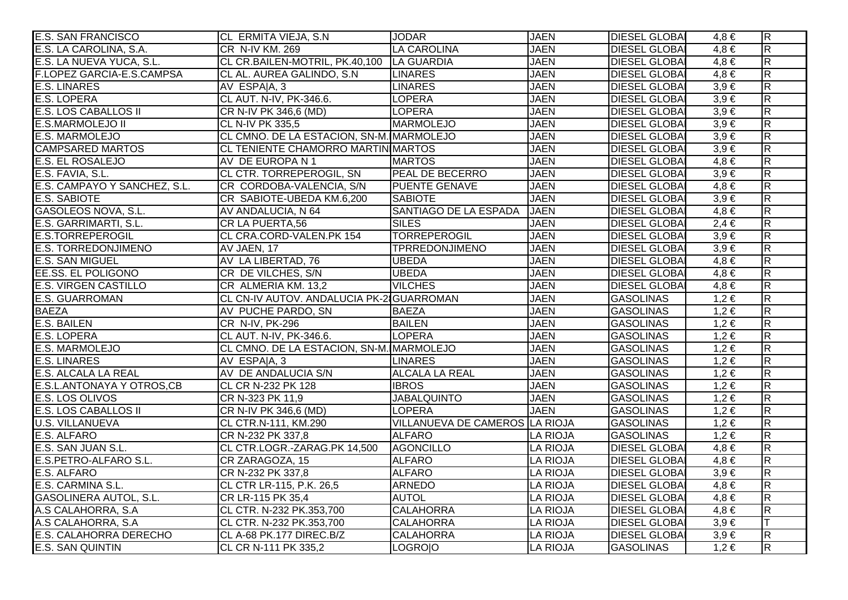| <b>E.S. SAN FRANCISCO</b>     | CL ERMITA VIEJA, S.N                      | <b>JODAR</b>                   | <b>JAEN</b>     | <b>DIESEL GLOBAI</b> | $4,8 \in$ | $\overline{R}$          |
|-------------------------------|-------------------------------------------|--------------------------------|-----------------|----------------------|-----------|-------------------------|
| E.S. LA CAROLINA, S.A.        | CR N-IV KM. 269                           | <b>LA CAROLINA</b>             | <b>JAEN</b>     | <b>DIESEL GLOBAI</b> | $4.8 \in$ | $\overline{\mathbf{z}}$ |
| E.S. LA NUEVA YUCA, S.L.      | CL CR.BAILEN-MOTRIL, PK.40,100 LA GUARDIA |                                | <b>JAEN</b>     | <b>DIESEL GLOBAI</b> | $4,8 \in$ | $\overline{\mathsf{R}}$ |
| F.LOPEZ GARCIA-E.S.CAMPSA     | CL AL. AUREA GALINDO, S.N.                | <b>LINARES</b>                 | <b>JAEN</b>     | <b>DIESEL GLOBAI</b> | $4,8 \in$ | $\overline{\mathbf{z}}$ |
| <b>E.S. LINARES</b>           | AV ESPA A, 3                              | <b>LINARES</b>                 | <b>JAEN</b>     | <b>DIESEL GLOBAI</b> | $3,9 \in$ | $\overline{\mathbf{z}}$ |
| <b>E.S. LOPERA</b>            | CL AUT. N-IV, PK-346.6.                   | <b>LOPERA</b>                  | <b>JAEN</b>     | <b>DIESEL GLOBAI</b> | $3,9 \in$ | $\overline{R}$          |
| E.S. LOS CABALLOS II          | CR N-IV PK 346,6 (MD)                     | <b>LOPERA</b>                  | <b>JAEN</b>     | <b>DIESEL GLOBAI</b> | $3,9 \in$ | $\overline{\mathbf{z}}$ |
| <b>E.S.MARMOLEJO II</b>       | <b>CL N-IV PK 335,5</b>                   | <b>MARMOLEJO</b>               | <b>JAEN</b>     | <b>DIESEL GLOBA</b>  | $3,9 \in$ | $\overline{\mathsf{R}}$ |
| <b>E.S. MARMOLEJO</b>         | CL CMNO. DE LA ESTACION, SN-M. MARMOLEJO  |                                | <b>JAEN</b>     | <b>DIESEL GLOBA</b>  | $3,9 \in$ | $\overline{R}$          |
| <b>CAMPSARED MARTOS</b>       | CL TENIENTE CHAMORRO MARTIN MARTOS        |                                | <b>JAEN</b>     | <b>DIESEL GLOBAI</b> | $3,9 \in$ | $\overline{\mathsf{R}}$ |
| E.S. EL ROSALEJO              | AV DE EUROPA N 1                          | <b>MARTOS</b>                  | <b>JAEN</b>     | <b>DIESEL GLOBAI</b> | $4,8 \in$ | $\overline{\mathbf{z}}$ |
| E.S. FAVIA, S.L.              | CL CTR. TORREPEROGIL, SN                  | <b>PEAL DE BECERRO</b>         | <b>JAEN</b>     | <b>DIESEL GLOBAI</b> | $3,9 \in$ | $\overline{R}$          |
| E.S. CAMPAYO Y SANCHEZ, S.L.  | CR CORDOBA-VALENCIA, S/N                  | <b>PUENTE GENAVE</b>           | <b>JAEN</b>     | <b>DIESEL GLOBAI</b> | $4,8 \in$ | $\overline{\mathbf{z}}$ |
| <b>E.S. SABIOTE</b>           | CR SABIOTE-UBEDA KM.6,200                 | <b>SABIOTE</b>                 | <b>JAEN</b>     | <b>DIESEL GLOBAI</b> | $3,9 \in$ | $\overline{\mathbf{z}}$ |
| GASOLEOS NOVA, S.L.           | AV ANDALUCIA, N 64                        | SANTIAGO DE LA ESPADA          | <b>JAEN</b>     | <b>DIESEL GLOBAI</b> | $4,8 \in$ | $\overline{R}$          |
| E.S. GARRIMARTI, S.L.         | CR LA PUERTA,56                           | <b>SILES</b>                   | <b>JAEN</b>     | <b>DIESEL GLOBA</b>  | $2,4 \in$ | $\overline{\mathbf{z}}$ |
| <b>E.S.TORREPEROGIL</b>       | CL CRA.CORD-VALEN.PK 154                  | <b>TORREPEROGIL</b>            | <b>JAEN</b>     | <b>DIESEL GLOBA</b>  | $3,9 \in$ | $\overline{R}$          |
| <b>E.S. TORREDONJIMENO</b>    | AV JAEN, 17                               | TPRREDONJIMENO                 | <b>JAEN</b>     | <b>DIESEL GLOBAI</b> | $3,9 \in$ | $\overline{\mathsf{R}}$ |
| <b>E.S. SAN MIGUEL</b>        | AV LA LIBERTAD, 76                        | <b>UBEDA</b>                   | <b>JAEN</b>     | <b>DIESEL GLOBAI</b> | $4,8 \in$ | $\overline{\mathsf{R}}$ |
| EE.SS. EL POLIGONO            | CR DE VILCHES, S/N                        | <b>UBEDA</b>                   | <b>JAEN</b>     | <b>DIESEL GLOBAI</b> | $4,8 \in$ | $\overline{R}$          |
| <b>E.S. VIRGEN CASTILLO</b>   | CR ALMERIA KM. 13,2                       | <b>VILCHES</b>                 | <b>JAEN</b>     | <b>DIESEL GLOBAI</b> | $4,8 \in$ | $\overline{\mathbf{z}}$ |
| <b>E.S. GUARROMAN</b>         | CL CN-IV AUTOV. ANDALUCIA PK-2 GUARROMAN  |                                | <b>JAEN</b>     | <b>GASOLINAS</b>     | $1,2 \in$ | $\overline{\mathbf{K}}$ |
| <b>BAEZA</b>                  | AV PUCHE PARDO, SN                        | <b>BAEZA</b>                   | <b>JAEN</b>     | <b>GASOLINAS</b>     | $1,2 \in$ | $\overline{\mathbf{z}}$ |
| <b>E.S. BAILEN</b>            | CR N-IV, PK-296                           | <b>BAILEN</b>                  | <b>JAEN</b>     | <b>GASOLINAS</b>     | $1,2 \in$ | $\overline{R}$          |
| <b>E.S. LOPERA</b>            | CL AUT. N-IV, PK-346.6.                   | <b>LOPERA</b>                  | <b>JAEN</b>     | <b>GASOLINAS</b>     | $1,2 \in$ | $\overline{\mathbf{z}}$ |
| E.S. MARMOLEJO                | CL CMNO. DE LA ESTACION, SN-M. MARMOLEJO  |                                | <b>JAEN</b>     | <b>GASOLINAS</b>     | $1,2 \in$ | $\overline{\mathbf{z}}$ |
| <b>E.S. LINARES</b>           | AV ESPA A, 3                              | <b>LINARES</b>                 | <b>JAEN</b>     | <b>GASOLINAS</b>     | $1,2 \in$ | $\overline{\mathbf{z}}$ |
| E.S. ALCALA LA REAL           | AV DE ANDALUCIA S/N                       | <b>ALCALA LA REAL</b>          | <b>JAEN</b>     | <b>GASOLINAS</b>     | $1,2 \in$ | $\overline{\mathsf{R}}$ |
| E.S.L. ANTONAYA Y OTROS, CB   | CL CR N-232 PK 128                        | <b>IBROS</b>                   | <b>JAEN</b>     | <b>GASOLINAS</b>     | $1,2 \in$ | $\overline{\mathsf{R}}$ |
| <b>E.S. LOS OLIVOS</b>        | CR N-323 PK 11,9                          | <b>JABALQUINTO</b>             | <b>JAEN</b>     | <b>GASOLINAS</b>     | $1,2 \in$ | $\overline{\mathbf{z}}$ |
| <b>E.S. LOS CABALLOS II</b>   | CR N-IV PK 346,6 (MD)                     | <b>LOPERA</b>                  | <b>JAEN</b>     | <b>GASOLINAS</b>     | $1,2 \in$ | R.                      |
| <b>U.S. VILLANUEVA</b>        | CL CTR.N-111, KM.290                      | VILLANUEVA DE CAMEROS LA RIOJA |                 | <b>GASOLINAS</b>     | $1,2 \in$ | $\overline{\mathsf{R}}$ |
| E.S. ALFARO                   | CR N-232 PK 337,8                         | <b>ALFARO</b>                  | <b>LA RIOJA</b> | <b>GASOLINAS</b>     | $1,2 \in$ | $\overline{\mathbf{z}}$ |
| E.S. SAN JUAN S.L.            | CL CTR.LOGR.-ZARAG.PK 14,500              | <b>AGONCILLO</b>               | <b>LA RIOJA</b> | <b>DIESEL GLOBAI</b> | $4.8 \in$ | $\overline{\mathsf{R}}$ |
| E.S.PETRO-ALFARO S.L.         | CR ZARAGOZA, 15                           | <b>ALFARO</b>                  | <b>LA RIOJA</b> | <b>DIESEL GLOBA</b>  | $4,8 \in$ | $\overline{\mathsf{R}}$ |
| E.S. ALFARO                   | CR N-232 PK 337,8                         | <b>ALFARO</b>                  | <b>LA RIOJA</b> | <b>DIESEL GLOBAI</b> | $3,9 \in$ | $\overline{\mathsf{R}}$ |
| E.S. CARMINA S.L.             | CL CTR LR-115, P.K. 26,5                  | <b>ARNEDO</b>                  | <b>LA RIOJA</b> | <b>DIESEL GLOBAI</b> | $4,8 \in$ | $\overline{\mathsf{R}}$ |
| <b>GASOLINERA AUTOL, S.L.</b> | CR LR-115 PK 35,4                         | <b>AUTOL</b>                   | <b>LA RIOJA</b> | <b>DIESEL GLOBAI</b> | $4,8 \in$ | $\overline{\mathsf{R}}$ |
| A.S CALAHORRA, S.A            | CL CTR. N-232 PK.353,700                  | <b>CALAHORRA</b>               | <b>LA RIOJA</b> | <b>DIESEL GLOBA</b>  | $4,8 \in$ | $\overline{\mathsf{R}}$ |
| A.S CALAHORRA, S.A            | CL CTR. N-232 PK.353,700                  | <b>CALAHORRA</b>               | <b>LA RIOJA</b> | <b>DIESEL GLOBAI</b> | $3,9 \in$ |                         |
| <b>E.S. CALAHORRA DERECHO</b> | CL A-68 PK.177 DIREC.B/Z                  | <b>CALAHORRA</b>               | LA RIOJA        | <b>DIESEL GLOBAI</b> | $3,9 \in$ | $\overline{\mathsf{R}}$ |
| E.S. SAN QUINTIN              | CL CR N-111 PK 335,2                      | LOGROIO                        | <b>LA RIOJA</b> | <b>GASOLINAS</b>     | $1,2 \in$ | $\overline{\mathbf{z}}$ |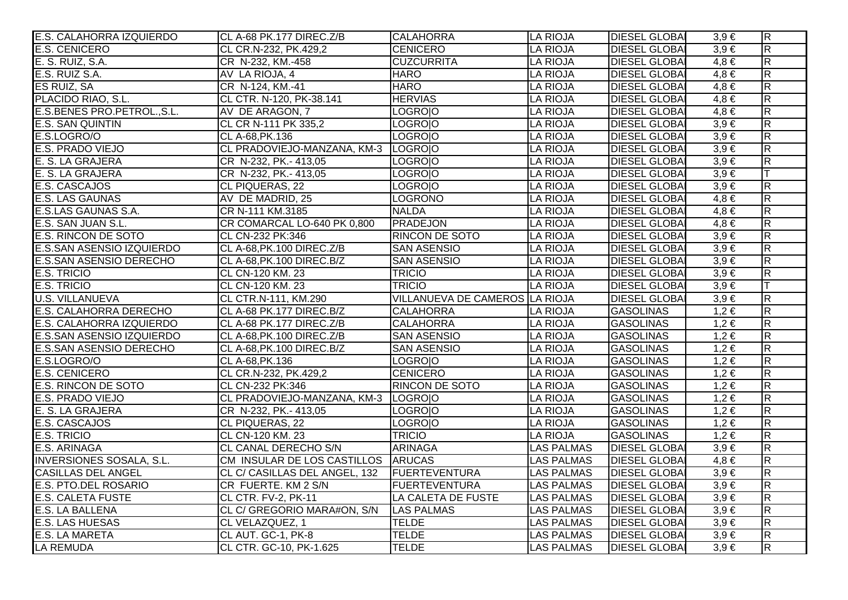| E.S. CALAHORRA IZQUIERDO         | CL A-68 PK.177 DIREC.Z/B            | <b>CALAHORRA</b>               | <b>LA RIOJA</b>   | <b>DIESEL GLOBAL</b> | $3,9 \in$ | $\overline{R}$          |
|----------------------------------|-------------------------------------|--------------------------------|-------------------|----------------------|-----------|-------------------------|
| <b>E.S. CENICERO</b>             | CL CR.N-232, PK.429,2               | <b>CENICERO</b>                | <b>LA RIOJA</b>   | <b>DIESEL GLOBAI</b> | $3,9 \in$ | $\overline{\mathsf{R}}$ |
| E. S. RUIZ, S.A.                 | CR N-232, KM.-458                   | <b>CUZCURRITA</b>              | <b>LA RIOJA</b>   | <b>DIESEL GLOBAI</b> | $4,8 \in$ | $\overline{R}$          |
| E.S. RUIZ S.A.                   | AV LA RIOJA, 4                      | <b>HARO</b>                    | <b>LA RIOJA</b>   | <b>DIESEL GLOBAI</b> | $4,8 \in$ | $\overline{R}$          |
| ES RUIZ, SA                      | CR N-124, KM.-41                    | <b>HARO</b>                    | <b>LA RIOJA</b>   | <b>DIESEL GLOBAI</b> | $4,8 \in$ | $\overline{\mathsf{R}}$ |
| PLACIDO RIAO, S.L.               | CL CTR. N-120, PK-38.141            | <b>HERVIAS</b>                 | <b>LA RIOJA</b>   | <b>DIESEL GLOBAI</b> | $4,8 \in$ | $\overline{R}$          |
| E.S.BENES PRO.PETROL., S.L.      | AV DE ARAGON, 7                     | LOGROIO                        | <b>LA RIOJA</b>   | <b>DIESEL GLOBAI</b> | $4,8 \in$ | $\overline{\mathsf{R}}$ |
| <b>E.S. SAN QUINTIN</b>          | CL CR N-111 PK 335,2                | LOGROIO                        | <b>LA RIOJA</b>   | <b>DIESEL GLOBAI</b> | $3,9 \in$ | $\overline{R}$          |
| E.S.LOGRO/O                      | CL A-68, PK. 136                    | LOGROIO                        | <b>LA RIOJA</b>   | <b>DIESEL GLOBAI</b> | $3,9 \in$ | $\overline{\mathsf{R}}$ |
| E.S. PRADO VIEJO                 | CL PRADOVIEJO-MANZANA, KM-3 LOGROJO |                                | <b>LA RIOJA</b>   | <b>DIESEL GLOBAI</b> | $3,9 \in$ | $\overline{\mathsf{R}}$ |
| E. S. LA GRAJERA                 | CR N-232, PK.- 413,05               | LOGROIO                        | <b>LA RIOJA</b>   | <b>DIESEL GLOBAI</b> | $3,9 \in$ | $\overline{\mathsf{R}}$ |
| E. S. LA GRAJERA                 | CR N-232, PK.- 413,05               | LOGROIO                        | <b>LA RIOJA</b>   | <b>DIESEL GLOBAI</b> | $3,9 \in$ |                         |
| <b>E.S. CASCAJOS</b>             | CL PIQUERAS, 22                     | LOGROIO                        | <b>LA RIOJA</b>   | <b>DIESEL GLOBAI</b> | $3,9 \in$ | R                       |
| E.S. LAS GAUNAS                  | AV DE MADRID, 25                    | <b>LOGRONO</b>                 | <b>LA RIOJA</b>   | <b>DIESEL GLOBAI</b> | $4,8 \in$ | $\overline{\mathsf{R}}$ |
| E.S.LAS GAUNAS S.A.              | CR N-111 KM.3185                    | <b>NALDA</b>                   | <b>LA RIOJA</b>   | <b>DIESEL GLOBAI</b> | $4,8 \in$ | $\overline{R}$          |
| E.S. SAN JUAN S.L.               | CR COMARCAL LO-640 PK 0,800         | PRADEJON                       | <b>LA RIOJA</b>   | <b>DIESEL GLOBAI</b> | $4,8 \in$ | $\overline{R}$          |
| <b>E.S. RINCON DE SOTO</b>       | CL CN-232 PK:346                    | <b>RINCON DE SOTO</b>          | <b>LA RIOJA</b>   | <b>DIESEL GLOBA</b>  | $3,9 \in$ | $\overline{\mathsf{R}}$ |
| <b>E.S.SAN ASENSIO IZQUIERDO</b> | CL A-68, PK. 100 DIREC. Z/B         | <b>SAN ASENSIO</b>             | <b>LA RIOJA</b>   | <b>DIESEL GLOBAI</b> | $3,9 \in$ | $\overline{\mathsf{R}}$ |
| <b>E.S.SAN ASENSIO DERECHO</b>   | CL A-68, PK. 100 DIREC. B/Z         | <b>SAN ASENSIO</b>             | <b>LA RIOJA</b>   | <b>DIESEL GLOBAI</b> | $3,9 \in$ | $\overline{\mathsf{R}}$ |
| <b>E.S. TRICIO</b>               | CL CN-120 KM. 23                    | <b>TRICIO</b>                  | <b>LA RIOJA</b>   | <b>DIESEL GLOBAI</b> | $3,9 \in$ | $\overline{R}$          |
| <b>E.S. TRICIO</b>               | CL CN-120 KM. 23                    | <b>TRICIO</b>                  | <b>LA RIOJA</b>   | <b>DIESEL GLOBAI</b> | $3,9 \in$ |                         |
| <b>U.S. VILLANUEVA</b>           | CL CTR.N-111, KM.290                | VILLANUEVA DE CAMEROS LA RIOJA |                   | <b>DIESEL GLOBAI</b> | $3,9 \in$ | R.                      |
| <b>E.S. CALAHORRA DERECHO</b>    | CL A-68 PK.177 DIREC.B/Z            | <b>CALAHORRA</b>               | <b>LA RIOJA</b>   | <b>GASOLINAS</b>     | $1,2 \in$ | $\overline{R}$          |
| E.S. CALAHORRA IZQUIERDO         | CL A-68 PK.177 DIREC.Z/B            | <b>CALAHORRA</b>               | <b>LA RIOJA</b>   | <b>GASOLINAS</b>     | $1,2 \in$ | $\overline{R}$          |
| E.S.SAN ASENSIO IZQUIERDO        | CL A-68, PK. 100 DIREC. Z/B         | <b>SAN ASENSIO</b>             | <b>LA RIOJA</b>   | <b>GASOLINAS</b>     | $1,2 \in$ | $\overline{R}$          |
| <b>E.S.SAN ASENSIO DERECHO</b>   | CL A-68, PK. 100 DIREC. B/Z         | <b>SAN ASENSIO</b>             | <b>LA RIOJA</b>   | <b>GASOLINAS</b>     | $1,2 \in$ | $\overline{\mathsf{R}}$ |
| E.S.LOGRO/O                      | CL A-68, PK. 136                    | LOGROIO                        | <b>LA RIOJA</b>   | <b>GASOLINAS</b>     | $1,2 \in$ | $\overline{\mathsf{R}}$ |
| <b>E.S. CENICERO</b>             | CL CR.N-232, PK.429,2               | <b>CENICERO</b>                | <b>LA RIOJA</b>   | <b>GASOLINAS</b>     | $1,2 \in$ | $\overline{R}$          |
| E.S. RINCON DE SOTO              | CL CN-232 PK:346                    | <b>RINCON DE SOTO</b>          | <b>LA RIOJA</b>   | <b>GASOLINAS</b>     | $1,2 \in$ | $\overline{\mathsf{R}}$ |
| E.S. PRADO VIEJO                 | CL PRADOVIEJO-MANZANA, KM-3         | LOGROIO                        | <b>LA RIOJA</b>   | <b>GASOLINAS</b>     | $1,2 \in$ | $\overline{R}$          |
| E. S. LA GRAJERA                 | CR N-232, PK.- 413,05               | LOGROIO                        | <b>LA RIOJA</b>   | <b>GASOLINAS</b>     | $1,2 \in$ | $\overline{\mathsf{R}}$ |
| E.S. CASCAJOS                    | CL PIQUERAS, 22                     | LOGROIO                        | <b>LA RIOJA</b>   | <b>GASOLINAS</b>     | $1,2 \in$ | $\overline{\mathsf{R}}$ |
| <b>E.S. TRICIO</b>               | CL CN-120 KM. 23                    | <b>TRICIO</b>                  | <b>LA RIOJA</b>   | <b>GASOLINAS</b>     | $1,2 \in$ | $\overline{\mathsf{R}}$ |
| E.S. ARINAGA                     | <b>CL CANAL DERECHO S/N</b>         | <b>ARINAGA</b>                 | <b>LAS PALMAS</b> | <b>DIESEL GLOBAI</b> | $3,9 \in$ | $\overline{\mathsf{R}}$ |
| <b>INVERSIONES SOSALA, S.L.</b>  | CM INSULAR DE LOS CASTILLOS ARUCAS  |                                | <b>LAS PALMAS</b> | <b>DIESEL GLOBAI</b> | $4,8 \in$ | $\overline{\mathsf{R}}$ |
| <b>CASILLAS DEL ANGEL</b>        | CL C/ CASILLAS DEL ANGEL, 132       | <b>FUERTEVENTURA</b>           | <b>LAS PALMAS</b> | <b>DIESEL GLOBA</b>  | $3,9 \in$ | $\overline{\mathsf{R}}$ |
| E.S. PTO.DEL ROSARIO             | CR FUERTE. KM 2 S/N                 | <b>FUERTEVENTURA</b>           | <b>LAS PALMAS</b> | <b>DIESEL GLOBAI</b> | $3,9 \in$ | $\overline{\mathsf{R}}$ |
| <b>E.S. CALETA FUSTE</b>         | CL CTR. FV-2, PK-11                 | LA CALETA DE FUSTE             | <b>LAS PALMAS</b> | <b>DIESEL GLOBAI</b> | $3,9 \in$ | $\overline{\mathsf{R}}$ |
| E.S. LA BALLENA                  | CL C/ GREGORIO MARA#ON, S/N         | <b>LAS PALMAS</b>              | <b>LAS PALMAS</b> | <b>DIESEL GLOBAI</b> | $3,9 \in$ | $\overline{\mathsf{R}}$ |
| <b>E.S. LAS HUESAS</b>           | CL VELAZQUEZ, 1                     | <b>TELDE</b>                   | <b>LAS PALMAS</b> | <b>DIESEL GLOBAI</b> | $3,9 \in$ | $\overline{\mathsf{R}}$ |
| <b>E.S. LA MARETA</b>            | CL AUT. GC-1, PK-8                  | <b>TELDE</b>                   | <b>LAS PALMAS</b> | <b>DIESEL GLOBAI</b> | $3,9 \in$ | $\overline{\mathsf{R}}$ |
| LA REMUDA                        | CL CTR. GC-10, PK-1.625             | <b>TELDE</b>                   | <b>LAS PALMAS</b> | <b>DIESEL GLOBAI</b> | $3,9 \in$ | $\overline{\mathsf{R}}$ |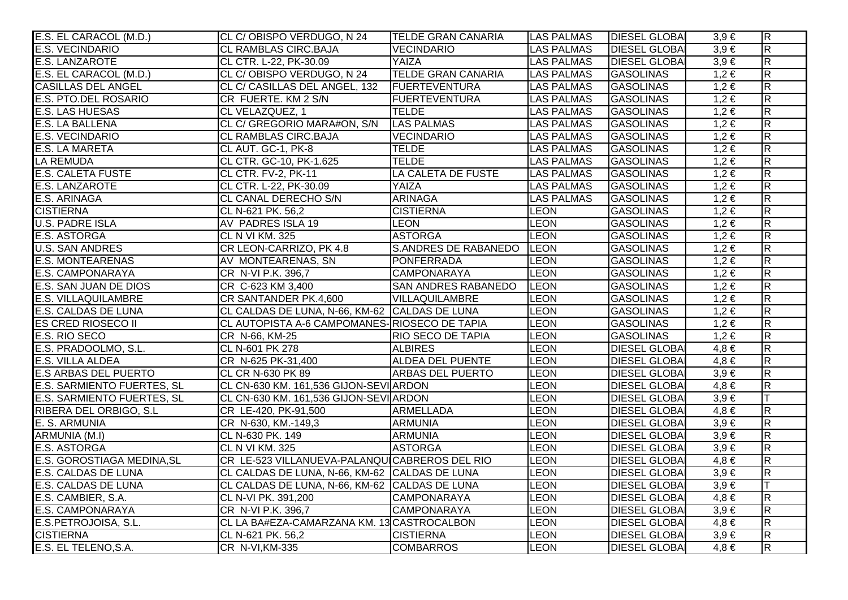| E.S. EL CARACOL (M.D.)      | CL C/OBISPO VERDUGO, N 24                     | <b>TELDE GRAN CANARIA</b>   | <b>LAS PALMAS</b> | <b>DIESEL GLOBAI</b> | $3,9 \in$ | $\overline{R}$          |
|-----------------------------|-----------------------------------------------|-----------------------------|-------------------|----------------------|-----------|-------------------------|
| <b>E.S. VECINDARIO</b>      | <b>CL RAMBLAS CIRC.BAJA</b>                   | <b>VECINDARIO</b>           | <b>LAS PALMAS</b> | <b>DIESEL GLOBA</b>  | $3,9 \in$ | $\overline{\mathsf{R}}$ |
| <b>E.S. LANZAROTE</b>       | CL CTR. L-22, PK-30.09                        | YAIZA                       | <b>LAS PALMAS</b> | <b>DIESEL GLOBAI</b> | $3,9 \in$ | $\overline{\mathsf{R}}$ |
| E.S. EL CARACOL (M.D.)      | CL C/OBISPO VERDUGO, N 24                     | <b>TELDE GRAN CANARIA</b>   | <b>LAS PALMAS</b> | <b>GASOLINAS</b>     | $1,2 \in$ | $\overline{\mathbf{z}}$ |
| <b>CASILLAS DEL ANGEL</b>   | CL C/ CASILLAS DEL ANGEL, 132                 | <b>FUERTEVENTURA</b>        | LAS PALMAS        | <b>GASOLINAS</b>     | $1,2 \in$ | $\overline{R}$          |
| E.S. PTO.DEL ROSARIO        | CR FUERTE. KM 2 S/N                           | <b>FUERTEVENTURA</b>        | <b>LAS PALMAS</b> | <b>GASOLINAS</b>     | $1,2 \in$ | $\overline{R}$          |
| <b>E.S. LAS HUESAS</b>      | CL VELAZQUEZ, 1                               | <b>TELDE</b>                | <b>LAS PALMAS</b> | <b>GASOLINAS</b>     | $1,2 \in$ | $\overline{\mathbf{z}}$ |
| <b>E.S. LA BALLENA</b>      | CL C/ GREGORIO MARA#ON, S/N                   | <b>LAS PALMAS</b>           | <b>LAS PALMAS</b> | <b>GASOLINAS</b>     | $1,2 \in$ | $\overline{R}$          |
| <b>E.S. VECINDARIO</b>      | <b>CL RAMBLAS CIRC.BAJA</b>                   | <b>VECINDARIO</b>           | <b>LAS PALMAS</b> | <b>GASOLINAS</b>     | $1,2 \in$ | $\overline{\mathsf{R}}$ |
| <b>E.S. LA MARETA</b>       | CL AUT. GC-1, PK-8                            | <b>TELDE</b>                | <b>LAS PALMAS</b> | <b>GASOLINAS</b>     | $1,2 \in$ | $\overline{R}$          |
| <b>LA REMUDA</b>            | CL CTR. GC-10, PK-1.625                       | <b>TELDE</b>                | <b>LAS PALMAS</b> | <b>GASOLINAS</b>     | $1,2 \in$ | $\overline{\mathbf{z}}$ |
| <b>E.S. CALETA FUSTE</b>    | CL CTR. FV-2, PK-11                           | LA CALETA DE FUSTE          | <b>LAS PALMAS</b> | <b>GASOLINAS</b>     | $1,2 \in$ | $\overline{\mathbf{R}}$ |
| <b>E.S. LANZAROTE</b>       | CL CTR. L-22, PK-30.09                        | YAIZA                       | <b>LAS PALMAS</b> | <b>GASOLINAS</b>     | $1,2 \in$ | $\overline{\mathbf{z}}$ |
| E.S. ARINAGA                | CL CANAL DERECHO S/N                          | <b>ARINAGA</b>              | <b>LAS PALMAS</b> | <b>GASOLINAS</b>     | $1,2 \in$ | $\overline{R}$          |
| <b>CISTIERNA</b>            | CL N-621 PK. 56,2                             | <b>CISTIERNA</b>            | <b>LEON</b>       | <b>GASOLINAS</b>     | $1,2 \in$ | $\overline{R}$          |
| <b>U.S. PADRE ISLA</b>      | <b>AV PADRES ISLA 19</b>                      | <b>LEON</b>                 | <b>LEON</b>       | <b>GASOLINAS</b>     | $1,2 \in$ | $\overline{\mathbf{z}}$ |
| <b>E.S. ASTORGA</b>         | <b>CL N VI KM. 325</b>                        | <b>ASTORGA</b>              | <b>LEON</b>       | <b>GASOLINAS</b>     | $1,2 \in$ | $\overline{R}$          |
| <b>U.S. SAN ANDRES</b>      | CR LEON-CARRIZO, PK 4.8                       | <b>S.ANDRES DE RABANEDO</b> | <b>LEON</b>       | <b>GASOLINAS</b>     | $1,2 \in$ | $\overline{\mathsf{R}}$ |
| <b>E.S. MONTEARENAS</b>     | AV MONTEARENAS, SN                            | <b>PONFERRADA</b>           | <b>LEON</b>       | <b>GASOLINAS</b>     | $1,2 \in$ | $\overline{R}$          |
| E.S. CAMPONARAYA            | CR N-VI P.K. 396,7                            | <b>CAMPONARAYA</b>          | <b>LEON</b>       | <b>GASOLINAS</b>     | $1,2 \in$ | $\overline{R}$          |
| E.S. SAN JUAN DE DIOS       | CR C-623 KM 3,400                             | <b>SAN ANDRES RABANEDO</b>  | <b>LEON</b>       | <b>GASOLINAS</b>     | $1,2 \in$ | $\overline{\mathbf{z}}$ |
| <b>E.S. VILLAQUILAMBRE</b>  | CR SANTANDER PK.4,600                         | VILLAQUILAMBRE              | <b>LEON</b>       | <b>GASOLINAS</b>     | $1,2 \in$ | $\overline{R}$          |
| E.S. CALDAS DE LUNA         | CL CALDAS DE LUNA, N-66, KM-62 CALDAS DE LUNA |                             | <b>LEON</b>       | <b>GASOLINAS</b>     | $1,2 \in$ | $\overline{\mathsf{R}}$ |
| <b>ES CRED RIOSECO II</b>   | CL AUTOPISTA A-6 CAMPOMANES-RIOSECO DE TAPIA  |                             | <b>LEON</b>       | <b>GASOLINAS</b>     | $1,2 \in$ | $\overline{\mathsf{R}}$ |
| <b>E.S. RIO SECO</b>        | CR N-66, KM-25                                | <b>RIO SECO DE TAPIA</b>    | <b>LEON</b>       | <b>GASOLINAS</b>     | $1,2 \in$ | $\overline{\mathbf{z}}$ |
| E.S. PRADOOLMO, S.L.        | CL N-601 PK 278                               | <b>ALBIRES</b>              | <b>LEON</b>       | <b>DIESEL GLOBA</b>  | $4,8 \in$ | $\overline{\mathsf{R}}$ |
| <b>E.S. VILLA ALDEA</b>     | CR N-625 PK-31,400                            | <b>ALDEA DEL PUENTE</b>     | LEON              | <b>DIESEL GLOBA</b>  | $4,8 \in$ | $\overline{\mathsf{R}}$ |
| <b>E.S ARBAS DEL PUERTO</b> | CL CR N-630 PK 89                             | <b>ARBAS DEL PUERTO</b>     | <b>LEON</b>       | <b>DIESEL GLOBAI</b> | $3,9 \in$ | $\overline{\mathsf{R}}$ |
| E.S. SARMIENTO FUERTES, SL  | CL CN-630 KM. 161,536 GIJON-SEVI ARDON        |                             | LEON              | <b>DIESEL GLOBAI</b> | $4.8 \in$ | $\overline{\mathbf{z}}$ |
| E.S. SARMIENTO FUERTES, SL  | CL CN-630 KM. 161,536 GIJON-SEVI ARDON        |                             | <b>LEON</b>       | <b>DIESEL GLOBA</b>  | $3,9 \in$ |                         |
| RIBERA DEL ORBIGO, S.L      | CR LE-420, PK-91,500                          | ARMELLADA                   | LEON              | <b>DIESEL GLOBAI</b> | $4,8 \in$ | $\overline{\mathbf{z}}$ |
| E. S. ARMUNIA               | CR N-630, KM.-149,3                           | <b>ARMUNIA</b>              | LEON              | <b>DIESEL GLOBAI</b> | $3,9 \in$ | $\overline{\mathsf{R}}$ |
| ARMUNIA (M.I)               | CL N-630 PK. 149                              | <b>ARMUNIA</b>              | LEON              | <b>DIESEL GLOBAI</b> | $3,9 \in$ | $\overline{\mathsf{R}}$ |
| <b>E.S. ASTORGA</b>         | <b>CL N VI KM. 325</b>                        | <b>ASTORGA</b>              | <b>LEON</b>       | <b>DIESEL GLOBAI</b> | $3,9 \in$ | $\overline{\mathsf{R}}$ |
| E.S. GOROSTIAGA MEDINA, SL  | CR LE-523 VILLANUEVA-PALANQUICABREROS DEL RIO |                             | LEON              | <b>DIESEL GLOBAI</b> | $4,8 \in$ | $\overline{\mathsf{R}}$ |
| <b>E.S. CALDAS DE LUNA</b>  | CL CALDAS DE LUNA, N-66, KM-62 CALDAS DE LUNA |                             | LEON              | <b>DIESEL GLOBA</b>  | $3,9 \in$ | $\overline{\mathsf{R}}$ |
| <b>E.S. CALDAS DE LUNA</b>  | CL CALDAS DE LUNA, N-66, KM-62 CALDAS DE LUNA |                             | LEON              | <b>DIESEL GLOBA</b>  | $3,9 \in$ |                         |
| E.S. CAMBIER, S.A.          | CL N-VI PK. 391,200                           | <b>CAMPONARAYA</b>          | LEON              | <b>DIESEL GLOBAI</b> | $4,8 \in$ | $\overline{\mathbf{z}}$ |
| E.S. CAMPONARAYA            | CR N-VI P.K. 396,7                            | <b>CAMPONARAYA</b>          | LEON              | <b>DIESEL GLOBAI</b> | $3,9 \in$ | $\overline{\mathsf{R}}$ |
| E.S.PETROJOISA, S.L.        | CL LA BA#EZA-CAMARZANA KM. 13 CASTROCALBON    |                             | LEON              | <b>DIESEL GLOBA</b>  | $4,8 \in$ | $\overline{\mathsf{R}}$ |
| <b>CISTIERNA</b>            | CL N-621 PK. 56,2                             | <b>CISTIERNA</b>            | LEON              | <b>DIESEL GLOBAI</b> | $3,9 \in$ | $\overline{\mathsf{R}}$ |
| E.S. EL TELENO, S.A.        | <b>CR N-VI, KM-335</b>                        | <b>COMBARROS</b>            | <b>LEON</b>       | <b>DIESEL GLOBAL</b> | $4.8 \in$ | $\overline{R}$          |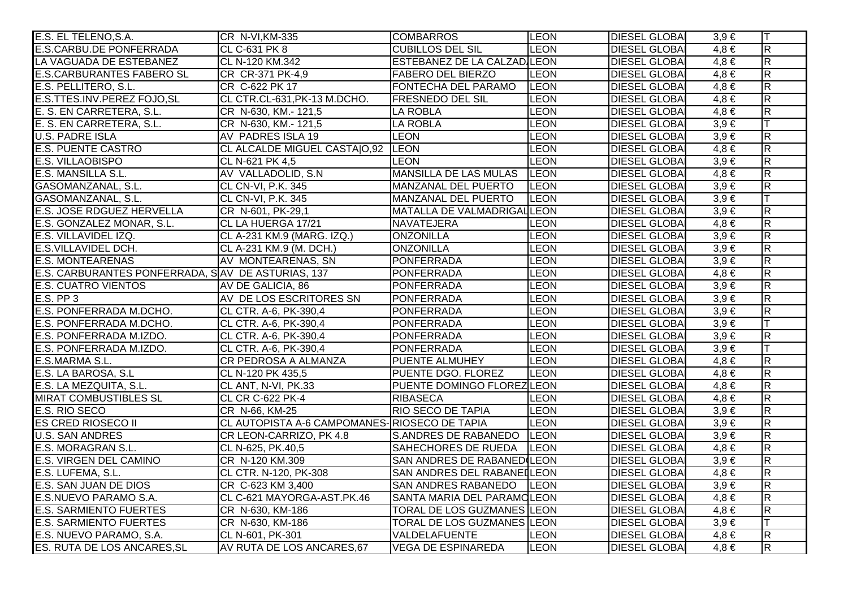| E.S. EL TELENO, S.A.                              | CR N-VI, KM-335                               | <b>COMBARROS</b>                   | <b>LEON</b>  | <b>DIESEL GLOBA</b>  | $3,9 \in$ | T                       |
|---------------------------------------------------|-----------------------------------------------|------------------------------------|--------------|----------------------|-----------|-------------------------|
| <b>E.S.CARBU.DE PONFERRADA</b>                    | <b>CL C-631 PK 8</b>                          | <b>CUBILLOS DEL SIL</b>            | <b>LEON</b>  | <b>DIESEL GLOBAI</b> | $4,8 \in$ | $\mathsf R$             |
| LA VAGUADA DE ESTEBANEZ                           | CL N-120 KM.342                               | <b>ESTEBANEZ DE LA CALZAD LEON</b> |              | <b>DIESEL GLOBAI</b> | $4,8 \in$ | $\overline{R}$          |
| <b>E.S.CARBURANTES FABERO SL</b>                  | CR CR-371 PK-4,9                              | <b>FABERO DEL BIERZO</b>           | <b>LEON</b>  | <b>DIESEL GLOBAI</b> | $4,8 \in$ | $\overline{\mathsf{R}}$ |
| E.S. PELLITERO, S.L.                              | CR C-622 PK 17                                | FONTECHA DEL PARAMO                | <b>LEON</b>  | <b>DIESEL GLOBAI</b> | $4,8 \in$ | $\overline{R}$          |
| E.S.TTES.INV.PEREZ FOJO, SL                       | CL CTR.CL-631, PK-13 M.DCHO.                  | <b>FRESNEDO DEL SIL</b>            | <b>LEON</b>  | <b>DIESEL GLOBAI</b> | $4,8 \in$ | $\overline{R}$          |
| E. S. EN CARRETERA, S.L.                          | CR N-630, KM .- 121,5                         | <b>LA ROBLA</b>                    | <b>LEON</b>  | <b>DIESEL GLOBAI</b> | $4,8 \in$ | R                       |
| E. S. EN CARRETERA, S.L.                          | CR N-630, KM .- 121,5                         | <b>LA ROBLA</b>                    | <b>LEON</b>  | <b>DIESEL GLOBAI</b> | $3,9 \in$ | T                       |
| <b>U.S. PADRE ISLA</b>                            | AV PADRES ISLA 19                             | <b>LEON</b>                        | LEON         | <b>DIESEL GLOBAI</b> | $3,9 \in$ | R                       |
| <b>E.S. PUENTE CASTRO</b>                         | CL ALCALDE MIGUEL CASTA O,92 LEON             |                                    | LEON         | <b>DIESEL GLOBAI</b> | $4,8 \in$ | $\mathsf{R}$            |
| <b>E.S. VILLAOBISPO</b>                           | CL N-621 PK 4,5                               | <b>LEON</b>                        | <b>LEON</b>  | <b>DIESEL GLOBAI</b> | $3,9 \in$ | $\overline{R}$          |
| E.S. MANSILLA S.L.                                | AV VALLADOLID, S.N.                           | MANSILLA DE LAS MULAS              | <b>LEON</b>  | <b>DIESEL GLOBAI</b> | $4,8 \in$ | $\overline{R}$          |
| GASOMANZANAL, S.L.                                | CL CN-VI, P.K. 345                            | MANZANAL DEL PUERTO                | <b>LEON</b>  | <b>DIESEL GLOBAI</b> | $3,9 \in$ | $\overline{\mathsf{R}}$ |
| GASOMANZANAL, S.L.                                | CL CN-VI, P.K. 345                            | MANZANAL DEL PUERTO                | <b>LEON</b>  | <b>DIESEL GLOBAI</b> | $3,9 \in$ | T                       |
| E.S. JOSE RDGUEZ HERVELLA                         | CR N-601, PK-29,1                             | MATALLA DE VALMADRIGALLEON         |              | <b>DIESEL GLOBAI</b> | $3.9 \in$ | $\overline{R}$          |
| E.S. GONZALEZ MONAR, S.L.                         | CL LA HUERGA 17/21                            | <b>NAVATEJERA</b>                  | <b>LEON</b>  | <b>DIESEL GLOBAI</b> | $4,8 \in$ | $\overline{R}$          |
| E.S. VILLAVIDEL IZQ.                              | CL A-231 KM.9 (MARG. IZQ.)                    | <b>ONZONILLA</b>                   | <b>LEON</b>  | <b>DIESEL GLOBAI</b> | $3,9 \in$ | $\overline{\mathsf{R}}$ |
| E.S.VILLAVIDEL DCH.                               | CL A-231 KM.9 (M. DCH.)                       | <b>ONZONILLA</b>                   | LEON         | <b>DIESEL GLOBAI</b> | $3,9 \in$ | R.                      |
| <b>E.S. MONTEARENAS</b>                           | AV MONTEARENAS, SN                            | <b>PONFERRADA</b>                  | LEON         | <b>DIESEL GLOBAI</b> | $3,9 \in$ | R                       |
| E.S. CARBURANTES PONFERRADA, SAV DE ASTURIAS, 137 |                                               | <b>PONFERRADA</b>                  | <b>LEON</b>  | <b>DIESEL GLOBAI</b> | $4,8 \in$ | $\overline{R}$          |
| <b>E.S. CUATRO VIENTOS</b>                        | AV DE GALICIA, 86                             | <b>PONFERRADA</b>                  | <b>LEON</b>  | <b>DIESEL GLOBAI</b> | $3,9 \in$ | $\overline{R}$          |
| $E.S.$ PP $3$                                     | AV DE LOS ESCRITORES SN                       | <b>PONFERRADA</b>                  | LEON         | <b>DIESEL GLOBAI</b> | $3,9 \in$ | $\overline{\mathsf{R}}$ |
| E.S. PONFERRADA M.DCHO.                           | CL CTR. A-6, PK-390,4                         | <b>PONFERRADA</b>                  | <b>LEON</b>  | <b>DIESEL GLOBAI</b> | $3,9 \in$ | R.                      |
| E.S. PONFERRADA M.DCHO.                           | CL CTR. A-6, PK-390,4                         | <b>PONFERRADA</b>                  | <b>LEON</b>  | <b>DIESEL GLOBAI</b> | $3.9 \in$ |                         |
| E.S. PONFERRADA M.IZDO.                           | CL CTR. A-6, PK-390,4                         | PONFERRADA                         | <b>LEON</b>  | <b>DIESEL GLOBAI</b> | $3,9 \in$ | R                       |
| E.S. PONFERRADA M.IZDO.                           | CL CTR. A-6, PK-390,4                         | <b>PONFERRADA</b>                  | <b>LEON</b>  | <b>DIESEL GLOBAI</b> | $3,9 \in$ | T                       |
| E.S.MARMA S.L.                                    | CR PEDROSA A ALMANZA                          | PUENTE ALMUHEY                     | <b>LEON</b>  | <b>DIESEL GLOBAI</b> | $4,8 \in$ | R                       |
| E.S. LA BAROSA, S.L                               | CL N-120 PK 435,5                             | PUENTE DGO. FLOREZ                 | <b>LEON</b>  | <b>DIESEL GLOBAI</b> | $4,8 \in$ | $\overline{R}$          |
| E.S. LA MEZQUITA, S.L.                            | CL ANT, N-VI, PK.33                           | PUENTE DOMINGO FLOREZ LEON         |              | <b>DIESEL GLOBAI</b> | $4,8 \in$ | $\overline{R}$          |
| <b>MIRAT COMBUSTIBLES SL</b>                      | <b>CL CR C-622 PK-4</b>                       | <b>RIBASECA</b>                    | <b>LEON</b>  | <b>DIESEL GLOBAI</b> | $4,8 \in$ | $\overline{R}$          |
| E.S. RIO SECO                                     | CR N-66, KM-25                                | <b>RIO SECO DE TAPIA</b>           | <b>LEON</b>  | <b>DIESEL GLOBAI</b> | $3,9 \in$ | $\overline{\mathsf{R}}$ |
| <b>ES CRED RIOSECO II</b>                         | CL AUTOPISTA A-6 CAMPOMANES- RIOSECO DE TAPIA |                                    | <b>LEON</b>  | <b>DIESEL GLOBAI</b> | $3,9 \in$ | $\overline{R}$          |
| <b>U.S. SAN ANDRES</b>                            | CR LEON-CARRIZO, PK 4.8                       | <b>S.ANDRES DE RABANEDO</b>        | <b>ILEON</b> | <b>DIESEL GLOBAI</b> | $3,9 \in$ | $\overline{R}$          |
| E.S. MORAGRAN S.L.                                | CL N-625, PK.40,5                             | SAHECHORES DE RUEDA                | <b>LEON</b>  | <b>DIESEL GLOBAI</b> | $4,8 \in$ | $\overline{R}$          |
| <b>E.S. VIRGEN DEL CAMINO</b>                     | CR N-120 KM.309                               | SAN ANDRES DE RABANED (LEON        |              | <b>DIESEL GLOBAI</b> | $3,9 \in$ | $\overline{\mathsf{R}}$ |
| E.S. LUFEMA, S.L.                                 | CL CTR. N-120, PK-308                         | SAN ANDRES DEL RABANELLEON         |              | <b>DIESEL GLOBAI</b> | $4,8 \in$ | $\overline{R}$          |
| E.S. SAN JUAN DE DIOS                             | CR C-623 KM 3,400                             | SAN ANDRES RABANEDO                | <b>LEON</b>  | <b>DIESEL GLOBAI</b> | $3,9 \in$ | $\overline{R}$          |
| E.S.NUEVO PARAMO S.A.                             | CL C-621 MAYORGA-AST.PK.46                    | SANTA MARIA DEL PARAMOLEON         |              | <b>DIESEL GLOBAI</b> | $4,8 \in$ | $\overline{R}$          |
| <b>E.S. SARMIENTO FUERTES</b>                     | CR N-630, KM-186                              | <b>TORAL DE LOS GUZMANES LEON</b>  |              | <b>DIESEL GLOBAI</b> | $4,8 \in$ | $\overline{\mathsf{R}}$ |
| <b>E.S. SARMIENTO FUERTES</b>                     | CR N-630, KM-186                              | <b>TORAL DE LOS GUZMANES LEON</b>  |              | <b>DIESEL GLOBAI</b> | $3,9 \in$ | T                       |
| E.S. NUEVO PARAMO, S.A.                           | CL N-601, PK-301                              | VALDELAFUENTE                      | <b>LEON</b>  | <b>DIESEL GLOBAI</b> | $4,8 \in$ | R                       |
| ES. RUTA DE LOS ANCARES, SL                       | AV RUTA DE LOS ANCARES.67                     | <b>VEGA DE ESPINAREDA</b>          | <b>LEON</b>  | <b>DIESEL GLOBAI</b> | $4.8 \in$ | $\overline{\mathsf{R}}$ |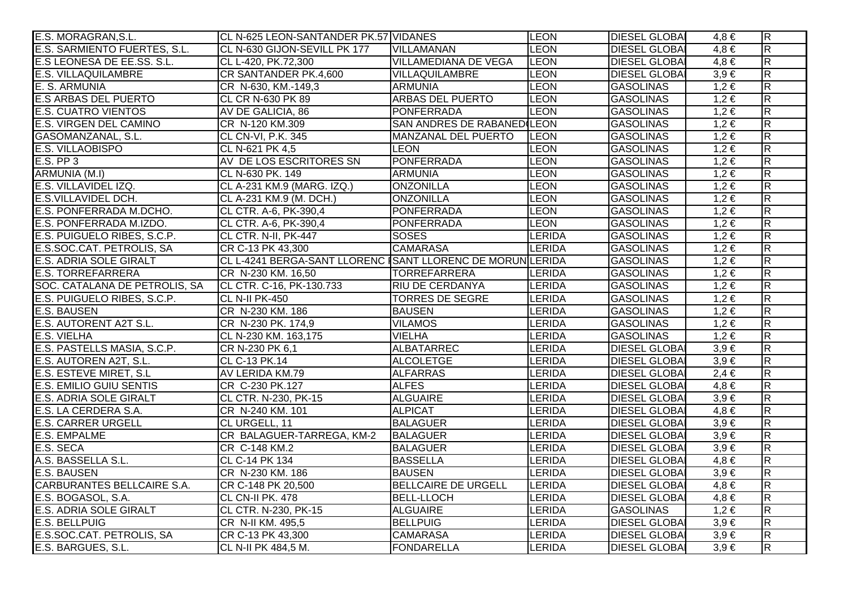| E.S. MORAGRAN, S.L.            | CL N-625 LEON-SANTANDER PK.57 VIDANES                      |                            | <b>LEON</b>   | <b>DIESEL GLOBAI</b> | $4,8 \in$ | $\overline{R}$          |
|--------------------------------|------------------------------------------------------------|----------------------------|---------------|----------------------|-----------|-------------------------|
| E.S. SARMIENTO FUERTES, S.L.   | CL N-630 GIJON-SEVILL PK 177                               | <b>VILLAMANAN</b>          | <b>LEON</b>   | <b>DIESEL GLOBAI</b> | $4,8 \in$ | $\overline{\mathsf{R}}$ |
| E.S LEONESA DE EE.SS. S.L.     | CL L-420, PK.72,300                                        | VILLAMEDIANA DE VEGA       | <b>LEON</b>   | <b>DIESEL GLOBAI</b> | $4,8 \in$ | $\overline{\mathsf{R}}$ |
| <b>E.S. VILLAQUILAMBRE</b>     | CR SANTANDER PK.4,600                                      | VILLAQUILAMBRE             | <b>LEON</b>   | <b>DIESEL GLOBAI</b> | $3,9 \in$ | $\overline{\mathsf{R}}$ |
| E. S. ARMUNIA                  | CR N-630, KM.-149,3                                        | <b>ARMUNIA</b>             | <b>LEON</b>   | <b>GASOLINAS</b>     | $1,2 \in$ | $\overline{R}$          |
| <b>E.S ARBAS DEL PUERTO</b>    | CL CR N-630 PK 89                                          | <b>ARBAS DEL PUERTO</b>    | <b>LEON</b>   | <b>GASOLINAS</b>     | $1,2 \in$ | $\overline{R}$          |
| <b>E.S. CUATRO VIENTOS</b>     | AV DE GALICIA, 86                                          | <b>PONFERRADA</b>          | <b>LEON</b>   | <b>GASOLINAS</b>     | $1,2 \in$ | $\overline{R}$          |
| E.S. VIRGEN DEL CAMINO         | CR N-120 KM.309                                            | SAN ANDRES DE RABANED LEON |               | <b>GASOLINAS</b>     | $1,2 \in$ | $\overline{\mathsf{R}}$ |
| GASOMANZANAL, S.L.             | CL CN-VI, P.K. 345                                         | MANZANAL DEL PUERTO        | <b>LEON</b>   | <b>GASOLINAS</b>     | $1,2 \in$ | $\overline{R}$          |
| <b>E.S. VILLAOBISPO</b>        | CL N-621 PK 4.5                                            | <b>LEON</b>                | <b>LEON</b>   | <b>GASOLINAS</b>     | $1,2 \in$ | $\overline{\mathsf{R}}$ |
| $E.S.$ PP $3$                  | AV DE LOS ESCRITORES SN                                    | <b>PONFERRADA</b>          | <b>LEON</b>   | <b>GASOLINAS</b>     | $1,2 \in$ | R.                      |
| ARMUNIA (M.I)                  | CL N-630 PK. 149                                           | <b>ARMUNIA</b>             | LEON          | <b>GASOLINAS</b>     | $1,2 \in$ | $\overline{\mathsf{R}}$ |
| E.S. VILLAVIDEL IZQ.           | CL A-231 KM.9 (MARG. IZQ.)                                 | <b>ONZONILLA</b>           | <b>LEON</b>   | <b>GASOLINAS</b>     | $1,2 \in$ | $\overline{R}$          |
| E.S.VILLAVIDEL DCH.            | CL A-231 KM.9 (M. DCH.)                                    | <b>ONZONILLA</b>           | LEON          | <b>GASOLINAS</b>     | $1,2 \in$ | $\overline{R}$          |
| E.S. PONFERRADA M.DCHO.        | CL CTR. A-6, PK-390,4                                      | <b>PONFERRADA</b>          | <b>LEON</b>   | <b>GASOLINAS</b>     | $1,2 \in$ | $\overline{\mathsf{R}}$ |
| E.S. PONFERRADA M.IZDO.        | CL CTR. A-6, PK-390,4                                      | <b>PONFERRADA</b>          | <b>LEON</b>   | <b>GASOLINAS</b>     | $1,2 \in$ | $\overline{R}$          |
| E.S. PUIGUELO RIBES, S.C.P.    | CL CTR. N-II, PK-447                                       | <b>SOSES</b>               | <b>LERIDA</b> | <b>GASOLINAS</b>     | $1,2 \in$ | $\overline{\mathsf{R}}$ |
| E.S.SOC.CAT. PETROLIS, SA      | CR C-13 PK 43,300                                          | <b>CAMARASA</b>            | <b>LERIDA</b> | <b>GASOLINAS</b>     | $1,2 \in$ | $\overline{\mathsf{R}}$ |
| <b>E.S. ADRIA SOLE GIRALT</b>  | CL L-4241 BERGA-SANT LLORENC ISANT LLORENC DE MORUN LERIDA |                            |               | <b>GASOLINAS</b>     | $1,2 \in$ | $\overline{\mathsf{R}}$ |
| <b>E.S. TORREFARRERA</b>       | CR N-230 KM. 16,50                                         | <b>TORREFARRERA</b>        | LERIDA        | <b>GASOLINAS</b>     | $1,2 \in$ | R.                      |
| SOC. CATALANA DE PETROLIS, SA  | CL CTR. C-16, PK-130.733                                   | <b>RIU DE CERDANYA</b>     | <b>LERIDA</b> | <b>GASOLINAS</b>     | $1,2 \in$ | $\overline{\mathsf{R}}$ |
| E.S. PUIGUELO RIBES, S.C.P.    | CL N-II PK-450                                             | <b>TORRES DE SEGRE</b>     | <b>LERIDA</b> | <b>GASOLINAS</b>     | $1,2 \in$ | $\overline{R}$          |
| <b>E.S. BAUSEN</b>             | CR N-230 KM. 186                                           | <b>BAUSEN</b>              | <b>LERIDA</b> | <b>GASOLINAS</b>     | $1,2 \in$ | $\overline{R}$          |
| E.S. AUTORENT A2T S.L.         | CR N-230 PK. 174,9                                         | <b>VILAMOS</b>             | <b>LERIDA</b> | <b>GASOLINAS</b>     | $1,2 \in$ | $\overline{R}$          |
| E.S. VIELHA                    | CL N-230 KM. 163,175                                       | <b>VIELHA</b>              | <b>LERIDA</b> | <b>GASOLINAS</b>     | $1,2 \in$ | $\overline{R}$          |
| E.S. PASTELLS MASIA, S.C.P.    | CR N-230 PK 6,1                                            | ALBATARREC                 | <b>LERIDA</b> | <b>DIESEL GLOBAI</b> | $3,9 \in$ | $\overline{R}$          |
| E.S. AUTOREN A2T, S.L.         | CL C-13 PK.14                                              | <b>ALCOLETGE</b>           | LERIDA        | <b>DIESEL GLOBA</b>  | $3,9 \in$ | $\overline{\mathsf{R}}$ |
| E.S. ESTEVE MIRET, S.L.        | AV LERIDA KM.79                                            | <b>ALFARRAS</b>            | LERIDA        | <b>DIESEL GLOBA</b>  | $2,4 \in$ | $\overline{\mathsf{R}}$ |
| <b>E.S. EMILIO GUIU SENTIS</b> | CR C-230 PK.127                                            | <b>ALFES</b>               | <b>LERIDA</b> | <b>DIESEL GLOBAI</b> | $4,8 \in$ | $\overline{\mathsf{R}}$ |
| <b>E.S. ADRIA SOLE GIRALT</b>  | CL CTR. N-230, PK-15                                       | <b>ALGUAIRE</b>            | <b>LERIDA</b> | <b>DIESEL GLOBAI</b> | $3,9 \in$ | $\overline{\mathsf{R}}$ |
| E.S. LA CERDERA S.A.           | CR N-240 KM. 101                                           | <b>ALPICAT</b>             | LERIDA        | <b>DIESEL GLOBAI</b> | $4,8 \in$ | $\overline{R}$          |
| <b>E.S. CARRER URGELL</b>      | CL URGELL, 11                                              | <b>BALAGUER</b>            | <b>LERIDA</b> | <b>DIESEL GLOBA</b>  | $3,9 \in$ | $\overline{\mathsf{R}}$ |
| <b>E.S. EMPALME</b>            | CR BALAGUER-TARREGA, KM-2                                  | BALAGUER                   | <b>LERIDA</b> | <b>DIESEL GLOBAI</b> | $3,9 \in$ | $\overline{\mathsf{R}}$ |
| E.S. SECA                      | CR C-148 KM.2                                              | <b>BALAGUER</b>            | <b>LERIDA</b> | <b>DIESEL GLOBAI</b> | $3,9 \in$ | $\overline{\mathsf{R}}$ |
| A.S. BASSELLA S.L.             | CL C-14 PK 134                                             | <b>BASSELLA</b>            | <b>LERIDA</b> | <b>DIESEL GLOBAI</b> | $4,8 \in$ | $\overline{\mathsf{R}}$ |
| <b>E.S. BAUSEN</b>             | CR N-230 KM. 186                                           | <b>BAUSEN</b>              | <b>LERIDA</b> | <b>DIESEL GLOBAI</b> | $3,9 \in$ | $\overline{\mathsf{R}}$ |
| CARBURANTES BELLCAIRE S.A.     | CR C-148 PK 20,500                                         | <b>BELLCAIRE DE URGELL</b> | <b>LERIDA</b> | <b>DIESEL GLOBAI</b> | $4,8 \in$ | $\overline{\mathsf{R}}$ |
| E.S. BOGASOL, S.A.             | CL CN-II PK. 478                                           | <b>BELL-LLOCH</b>          | <b>LERIDA</b> | <b>DIESEL GLOBAI</b> | $4,8 \in$ | $\overline{R}$          |
| E.S. ADRIA SOLE GIRALT         | CL CTR. N-230, PK-15                                       | <b>ALGUAIRE</b>            | <b>LERIDA</b> | <b>GASOLINAS</b>     | $1,2 \in$ | $\overline{\mathsf{R}}$ |
| <b>E.S. BELLPUIG</b>           | CR N-II KM. 495,5                                          | <b>BELLPUIG</b>            | <b>LERIDA</b> | <b>DIESEL GLOBAI</b> | $3,9 \in$ | $\overline{\mathsf{R}}$ |
| E.S.SOC.CAT. PETROLIS, SA      | CR C-13 PK 43,300                                          | <b>CAMARASA</b>            | LERIDA        | <b>DIESEL GLOBAI</b> | $3,9 \in$ | $\overline{\mathsf{R}}$ |
| E.S. BARGUES, S.L.             | CL N-II PK 484,5 M.                                        | <b>FONDARELLA</b>          | <b>LERIDA</b> | <b>DIESEL GLOBA</b>  | $3,9 \in$ | $\overline{\mathsf{R}}$ |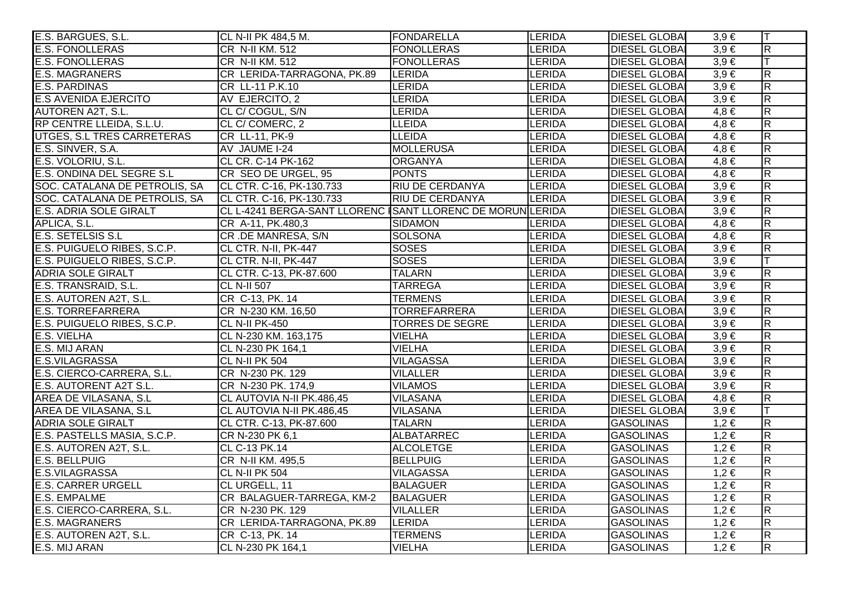| E.S. BARGUES, S.L.            | CL N-II PK 484,5 M.                                        | <b>FONDARELLA</b>      | <b>LERIDA</b> | <b>DIESEL GLOBAI</b> | $3,9 \in$ | IТ                      |
|-------------------------------|------------------------------------------------------------|------------------------|---------------|----------------------|-----------|-------------------------|
| <b>E.S. FONOLLERAS</b>        | CR N-II KM. 512                                            | <b>FONOLLERAS</b>      | <b>LERIDA</b> | <b>DIESEL GLOBA</b>  | $3,9 \in$ | R.                      |
| <b>E.S. FONOLLERAS</b>        | CR N-II KM. 512                                            | <b>FONOLLERAS</b>      | LERIDA        | <b>DIESEL GLOBAI</b> | $3,9 \in$ |                         |
| <b>E.S. MAGRANERS</b>         | CR LERIDA-TARRAGONA, PK.89                                 | LERIDA                 | <b>LERIDA</b> | <b>DIESEL GLOBAI</b> | $3,9 \in$ | $\overline{R}$          |
| <b>E.S. PARDINAS</b>          | CR LL-11 P.K.10                                            | <b>LERIDA</b>          | LERIDA        | <b>DIESEL GLOBAI</b> | $3,9 \in$ | $\overline{\mathbf{z}}$ |
| <b>E.S AVENIDA EJERCITO</b>   | AV EJERCITO, 2                                             | <b>LERIDA</b>          | <b>LERIDA</b> | <b>DIESEL GLOBAI</b> | $3,9 \in$ | $\overline{R}$          |
| <b>AUTOREN A2T, S.L.</b>      | CL C/ COGUL, S/N                                           | <b>LERIDA</b>          | <b>LERIDA</b> | <b>DIESEL GLOBAI</b> | $4,8 \in$ | $\overline{\mathbf{z}}$ |
| RP CENTRE LLEIDA, S.L.U.      | CL C/ COMERC, 2                                            | <b>LLEIDA</b>          | LERIDA        | <b>DIESEL GLOBA</b>  | $4,8 \in$ | $\overline{R}$          |
| UTGES, S.L TRES CARRETERAS    | CR LL-11, PK-9                                             | <b>LLEIDA</b>          | LERIDA        | <b>DIESEL GLOBA</b>  | $4,8 \in$ | $\overline{R}$          |
| E.S. SINVER, S.A.             | AV JAUME I-24                                              | <b>MOLLERUSA</b>       | LERIDA        | <b>DIESEL GLOBAI</b> | $4,8 \in$ | $\overline{\mathsf{R}}$ |
| E.S. VOLORIU, S.L.            | CL CR. C-14 PK-162                                         | <b>ORGANYA</b>         | <b>LERIDA</b> | <b>DIESEL GLOBAI</b> | $4,8 \in$ | $\overline{\mathbf{z}}$ |
| E.S. ONDINA DEL SEGRE S.L     | CR SEO DE URGEL, 95                                        | <b>PONTS</b>           | <b>LERIDA</b> | <b>DIESEL GLOBAI</b> | $4,8 \in$ | R.                      |
| SOC. CATALANA DE PETROLIS, SA | CL CTR. C-16, PK-130.733                                   | <b>RIU DE CERDANYA</b> | <b>LERIDA</b> | <b>DIESEL GLOBAI</b> | $3,9 \in$ | R.                      |
| SOC. CATALANA DE PETROLIS, SA | CL CTR. C-16, PK-130.733                                   | <b>RIU DE CERDANYA</b> | <b>LERIDA</b> | <b>DIESEL GLOBAI</b> | $3,9 \in$ | $\overline{R}$          |
| <b>E.S. ADRIA SOLE GIRALT</b> | CL L-4241 BERGA-SANT LLORENC ISANT LLORENC DE MORUN LERIDA |                        |               | <b>DIESEL GLOBA</b>  | $3,9 \in$ | $\overline{R}$          |
| APLICA, S.L.                  | CR A-11, PK.480,3                                          | <b>SIDAMON</b>         | <b>LERIDA</b> | <b>DIESEL GLOBAI</b> | $4,8 \in$ | $\overline{\mathbf{z}}$ |
| <b>E.S. SETELSIS S.L</b>      | CR.DE MANRESA, S/N                                         | <b>SOLSONA</b>         | <b>LERIDA</b> | <b>DIESEL GLOBA</b>  | $4,8 \in$ | $\overline{\mathsf{R}}$ |
| E.S. PUIGUELO RIBES, S.C.P.   | CL CTR. N-II, PK-447                                       | <b>SOSES</b>           | LERIDA        | <b>DIESEL GLOBA</b>  | $3,9 \in$ | $\overline{R}$          |
| E.S. PUIGUELO RIBES, S.C.P.   | CL CTR. N-II, PK-447                                       | <b>SOSES</b>           | <b>LERIDA</b> | <b>DIESEL GLOBA</b>  | $3,9 \in$ |                         |
| <b>ADRIA SOLE GIRALT</b>      | CL CTR. C-13, PK-87.600                                    | <b>TALARN</b>          | <b>LERIDA</b> | <b>DIESEL GLOBA</b>  | $3,9 \in$ | $\overline{\mathbf{z}}$ |
| E.S. TRANSRAID, S.L.          | <b>CL N-II 507</b>                                         | <b>TARREGA</b>         | <b>LERIDA</b> | <b>DIESEL GLOBAI</b> | $3,9 \in$ | $\overline{\mathsf{R}}$ |
| E.S. AUTOREN A2T, S.L.        | CR C-13, PK. 14                                            | TERMENS                | <b>LERIDA</b> | <b>DIESEL GLOBAI</b> | $3,9 \in$ | R.                      |
| <b>E.S. TORREFARRERA</b>      | CR N-230 KM. 16,50                                         | <b>TORREFARRERA</b>    | LERIDA        | <b>DIESEL GLOBAI</b> | $3,9 \in$ | $\overline{R}$          |
| E.S. PUIGUELO RIBES, S.C.P.   | CL N-II PK-450                                             | <b>TORRES DE SEGRE</b> | <b>LERIDA</b> | <b>DIESEL GLOBA</b>  | $3,9 \in$ | $\overline{R}$          |
| E.S. VIELHA                   | CL N-230 KM. 163,175                                       | <b>VIELHA</b>          | <b>LERIDA</b> | <b>DIESEL GLOBAI</b> | $3,9 \in$ | $\overline{\mathsf{R}}$ |
| E.S. MIJ ARAN                 | CL N-230 PK 164,1                                          | <b>VIELHA</b>          | <b>LERIDA</b> | <b>DIESEL GLOBA</b>  | $3,9 \in$ | $\overline{\mathsf{R}}$ |
| E.S.VILAGRASSA                | <b>CL N-II PK 504</b>                                      | <b>VILAGASSA</b>       | LERIDA        | <b>DIESEL GLOBA</b>  | $3,9 \in$ | $\overline{R}$          |
| E.S. CIERCO-CARRERA, S.L.     | CR N-230 PK. 129                                           | <b>VILALLER</b>        | LERIDA        | <b>DIESEL GLOBA</b>  | $3,9 \in$ | $\overline{\mathsf{R}}$ |
| E.S. AUTORENT A2T S.L.        | CR N-230 PK. 174,9                                         | <b>VILAMOS</b>         | LERIDA        | <b>DIESEL GLOBA</b>  | $3,9 \in$ | $\overline{\mathbf{z}}$ |
| <b>AREA DE VILASANA, S.L.</b> | CL AUTOVIA N-II PK.486,45                                  | <b>VILASANA</b>        | <b>LERIDA</b> | <b>DIESEL GLOBAI</b> | $4,8 \in$ | $\overline{\mathbf{R}}$ |
| AREA DE VILASANA, S.L         | CL AUTOVIA N-II PK.486,45                                  | <b>VILASANA</b>        | LERIDA        | <b>DIESEL GLOBAI</b> | $3,9 \in$ |                         |
| <b>ADRIA SOLE GIRALT</b>      | CL CTR. C-13, PK-87.600                                    | <b>TALARN</b>          | LERIDA        | <b>GASOLINAS</b>     | $1,2 \in$ | $\overline{\mathsf{R}}$ |
| E.S. PASTELLS MASIA, S.C.P.   | CR N-230 PK 6,1                                            | ALBATARREC             | <b>LERIDA</b> | <b>GASOLINAS</b>     | $1,2 \in$ | $\overline{\mathsf{R}}$ |
| E.S. AUTOREN A2T, S.L.        | CL C-13 PK.14                                              | <b>ALCOLETGE</b>       | <b>LERIDA</b> | <b>GASOLINAS</b>     | $1,2 \in$ | R                       |
| <b>E.S. BELLPUIG</b>          | CR N-II KM. 495,5                                          | <b>BELLPUIG</b>        | LERIDA        | <b>GASOLINAS</b>     | $1,2 \in$ | R                       |
| E.S.VILAGRASSA                | <b>CL N-II PK 504</b>                                      | <b>VILAGASSA</b>       | LERIDA        | <b>GASOLINAS</b>     | $1,2 \in$ | R                       |
| <b>E.S. CARRER URGELL</b>     | CL URGELL, 11                                              | <b>BALAGUER</b>        | LERIDA        | <b>GASOLINAS</b>     | $1,2 \in$ | $\overline{\mathsf{R}}$ |
| <b>E.S. EMPALME</b>           | CR BALAGUER-TARREGA, KM-2                                  | <b>BALAGUER</b>        | LERIDA        | <b>GASOLINAS</b>     | $1,2 \in$ | $\overline{\mathsf{R}}$ |
| E.S. CIERCO-CARRERA, S.L.     | CR N-230 PK. 129                                           | <b>VILALLER</b>        | LERIDA        | <b>GASOLINAS</b>     | $1,2 \in$ | $\overline{\mathsf{R}}$ |
| <b>E.S. MAGRANERS</b>         | CR LERIDA-TARRAGONA, PK.89                                 | <b>LERIDA</b>          | LERIDA        | <b>GASOLINAS</b>     | $1,2 \in$ | R                       |
| E.S. AUTOREN A2T, S.L.        | CR C-13, PK. 14                                            | <b>TERMENS</b>         | LERIDA        | <b>GASOLINAS</b>     | $1,2 \in$ | $\overline{R}$          |
| E.S. MIJ ARAN                 | CL N-230 PK 164,1                                          | <b>VIELHA</b>          | <b>LERIDA</b> | <b>GASOLINAS</b>     | $1,2 \in$ | $\overline{\mathbf{z}}$ |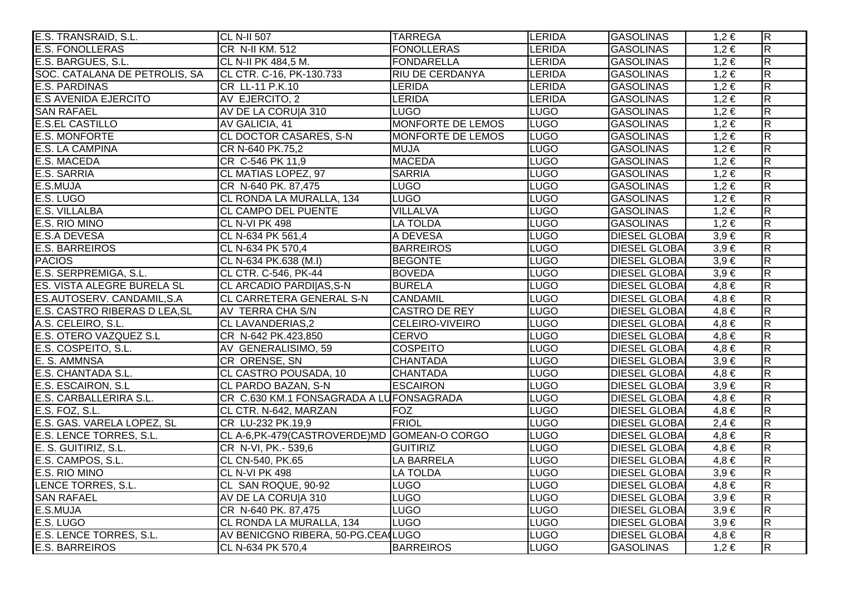| E.S. TRANSRAID, S.L.              | <b>CL N-II 507</b>                             | <b>TARREGA</b>         | <b>LERIDA</b> | <b>GASOLINAS</b>     | $1,2 \in$ | $\overline{R}$          |
|-----------------------------------|------------------------------------------------|------------------------|---------------|----------------------|-----------|-------------------------|
| <b>E.S. FONOLLERAS</b>            | CR N-II KM. 512                                | <b>FONOLLERAS</b>      | <b>LERIDA</b> | <b>GASOLINAS</b>     | $1,2 \in$ | $\overline{\mathsf{R}}$ |
| E.S. BARGUES, S.L.                | CL N-II PK 484,5 M.                            | <b>FONDARELLA</b>      | <b>LERIDA</b> | <b>GASOLINAS</b>     | $1,2 \in$ | $\overline{\mathsf{R}}$ |
| SOC. CATALANA DE PETROLIS, SA     | CL CTR. C-16, PK-130.733                       | <b>RIU DE CERDANYA</b> | <b>LERIDA</b> | <b>GASOLINAS</b>     | $1,2 \in$ | R.                      |
| <b>E.S. PARDINAS</b>              | CR LL-11 P.K.10                                | <b>LERIDA</b>          | <b>LERIDA</b> | <b>GASOLINAS</b>     | $1,2 \in$ | $\overline{\mathbf{z}}$ |
| <b>E.S AVENIDA EJERCITO</b>       | AV EJERCITO, 2                                 | <b>LERIDA</b>          | <b>LERIDA</b> | <b>GASOLINAS</b>     | $1,2 \in$ | $\overline{R}$          |
| <b>SAN RAFAEL</b>                 | AV DE LA CORUJA 310                            | <b>LUGO</b>            | <b>LUGO</b>   | <b>GASOLINAS</b>     | $1,2 \in$ | $\overline{\mathsf{R}}$ |
| <b>E.S.EL CASTILLO</b>            | AV GALICIA, 41                                 | MONFORTE DE LEMOS      | <b>LUGO</b>   | <b>GASOLINAS</b>     | $1,2 \in$ | $\overline{R}$          |
| <b>E.S. MONFORTE</b>              | CL DOCTOR CASARES, S-N                         | MONFORTE DE LEMOS      | <b>LUGO</b>   | <b>GASOLINAS</b>     | $1,2 \in$ | $\overline{R}$          |
| E.S. LA CAMPINA                   | CR N-640 PK.75,2                               | <b>MUJA</b>            | <b>LUGO</b>   | <b>GASOLINAS</b>     | $1,2 \in$ | $\overline{\mathsf{R}}$ |
| E.S. MACEDA                       | CR C-546 PK 11,9                               | <b>MACEDA</b>          | <b>LUGO</b>   | <b>GASOLINAS</b>     | $1,2 \in$ | $\overline{\mathbf{z}}$ |
| E.S. SARRIA                       | CL MATIAS LOPEZ, 97                            | <b>SARRIA</b>          | <b>LUGO</b>   | <b>GASOLINAS</b>     | $1,2 \in$ | R.                      |
| E.S.MUJA                          | CR N-640 PK. 87,475                            | LUGO                   | <b>LUGO</b>   | <b>GASOLINAS</b>     | $1,2 \in$ | $\overline{\mathbf{z}}$ |
| E.S. LUGO                         | CL RONDA LA MURALLA, 134                       | <b>LUGO</b>            | <b>LUGO</b>   | <b>GASOLINAS</b>     | $1,2 \in$ | $\overline{R}$          |
| E.S. VILLALBA                     | CL CAMPO DEL PUENTE                            | <b>VILLALVA</b>        | <b>LUGO</b>   | <b>GASOLINAS</b>     | $1,2 \in$ | $\overline{R}$          |
| E.S. RIO MINO                     | CL N-VI PK 498                                 | <b>LA TOLDA</b>        | <b>LUGO</b>   | <b>GASOLINAS</b>     | $1,2 \in$ | $\overline{\mathbf{z}}$ |
| <b>E.S.A DEVESA</b>               | CL N-634 PK 561,4                              | A DEVESA               | <b>LUGO</b>   | <b>DIESEL GLOBAI</b> | $3,9 \in$ | $\overline{\mathsf{R}}$ |
| <b>E.S. BARREIROS</b>             | CL N-634 PK 570,4                              | <b>BARREIROS</b>       | <b>LUGO</b>   | <b>DIESEL GLOBA</b>  | $3,9 \in$ | $\overline{R}$          |
| <b>PACIOS</b>                     | CL N-634 PK.638 (M.I)                          | <b>BEGONTE</b>         | <b>LUGO</b>   | <b>DIESEL GLOBA</b>  | $3,9 \in$ | $\overline{\mathsf{R}}$ |
| E.S. SERPREMIGA, S.L.             | CL CTR. C-546, PK-44                           | <b>BOVEDA</b>          | <b>LUGO</b>   | <b>DIESEL GLOBAI</b> | $3,9 \in$ | $\overline{\mathbf{z}}$ |
| <b>ES. VISTA ALEGRE BURELA SL</b> | CL ARCADIO PARDI AS, S-N                       | <b>BURELA</b>          | <b>LUGO</b>   | <b>DIESEL GLOBAI</b> | $4,8 \in$ | $\overline{\mathsf{R}}$ |
| ES.AUTOSERV. CANDAMIL, S.A.       | CL CARRETERA GENERAL S-N                       | <b>CANDAMIL</b>        | <b>LUGO</b>   | <b>DIESEL GLOBA</b>  | $4,8 \in$ | $\overline{\mathbf{z}}$ |
| E.S. CASTRO RIBERAS D LEA, SL     | AV TERRA CHA S/N                               | <b>CASTRO DE REY</b>   | <b>LUGO</b>   | <b>DIESEL GLOBAI</b> | $4,8 \in$ | $\overline{R}$          |
| A.S. CELEIRO, S.L.                | <b>CL LAVANDERIAS,2</b>                        | <b>CELEIRO-VIVEIRO</b> | <b>LUGO</b>   | <b>DIESEL GLOBAI</b> | $4,8 \in$ | $\overline{R}$          |
| E.S. OTERO VAZQUEZ S.L            | CR N-642 PK.423,850                            | <b>CERVO</b>           | <b>LUGO</b>   | <b>DIESEL GLOBA</b>  | $4,8 \in$ | $\overline{\mathsf{R}}$ |
| E.S. COSPEITO, S.L.               | AV GENERALISIMO, 59                            | <b>COSPEITO</b>        | <b>LUGO</b>   | <b>DIESEL GLOBA</b>  | $4,8 \in$ | $\overline{\mathsf{R}}$ |
| E. S. AMMNSA                      | CR ORENSE, SN                                  | <b>CHANTADA</b>        | <b>LUGO</b>   | <b>DIESEL GLOBA</b>  | $3,9 \in$ | $\overline{R}$          |
| E.S. CHANTADA S.L.                | CL CASTRO POUSADA, 10                          | <b>CHANTADA</b>        | <b>LUGO</b>   | <b>DIESEL GLOBA</b>  | $4,8 \in$ | $\overline{\mathsf{R}}$ |
| E.S. ESCAIRON, S.L.               | <b>CL PARDO BAZAN, S-N</b>                     | <b>ESCAIRON</b>        | <b>LUGO</b>   | <b>DIESEL GLOBA</b>  | $3,9 \in$ | $\overline{\mathbf{z}}$ |
| E.S. CARBALLERIRA S.L.            | CR C.630 KM.1 FONSAGRADA A LUFONSAGRADA        |                        | <b>LUGO</b>   | <b>DIESEL GLOBA</b>  | $4,8 \in$ | $\overline{\mathbf{z}}$ |
| E.S. FOZ, S.L.                    | CL CTR. N-642, MARZAN                          | <b>FOZ</b>             | <b>LUGO</b>   | <b>DIESEL GLOBA</b>  | $4,8 \in$ | $\overline{R}$          |
| E.S. GAS. VARELA LOPEZ, SL        | CR LU-232 PK.19,9                              | <b>FRIOL</b>           | <b>LUGO</b>   | <b>DIESEL GLOBAI</b> | $2,4 \in$ | $\overline{\mathsf{R}}$ |
| E.S. LENCE TORRES, S.L.           | CL A-6, PK-479 (CASTROVERDE) MD GOMEAN-O CORGO |                        | <b>LUGO</b>   | <b>DIESEL GLOBA</b>  | $4,8 \in$ | $\overline{\mathsf{R}}$ |
| E. S. GUITIRIZ, S.L.              | CR N-VI, PK.- 539,6                            | <b>GUITIRIZ</b>        | <b>LUGO</b>   | <b>DIESEL GLOBAI</b> | $4,8 \in$ | $\overline{\mathsf{R}}$ |
| E.S. CAMPOS, S.L.                 | CL CN-540, PK.65                               | LA BARRELA             | <b>LUGO</b>   | <b>DIESEL GLOBAI</b> | $4,8 \in$ | R                       |
| E.S. RIO MINO                     | CL N-VI PK 498                                 | <b>LA TOLDA</b>        | <b>LUGO</b>   | <b>DIESEL GLOBAI</b> | $3,9 \in$ | $\overline{\mathsf{R}}$ |
| LENCE TORRES, S.L.                | CL SAN ROQUE, 90-92                            | <b>LUGO</b>            | <b>LUGO</b>   | <b>DIESEL GLOBAI</b> | $4,8 \in$ | $\overline{\mathsf{R}}$ |
| <b>SAN RAFAEL</b>                 | AV DE LA CORUJA 310                            | <b>LUGO</b>            | <b>LUGO</b>   | <b>DIESEL GLOBAI</b> | $3,9 \in$ | $\overline{\mathsf{R}}$ |
| E.S.MUJA                          | CR N-640 PK. 87,475                            | <b>LUGO</b>            | <b>LUGO</b>   | <b>DIESEL GLOBA</b>  | $3,9 \in$ | $\overline{\mathsf{R}}$ |
| E.S. LUGO                         | CL RONDA LA MURALLA, 134                       | <b>LUGO</b>            | <b>LUGO</b>   | <b>DIESEL GLOBA</b>  | $3,9 \in$ | R                       |
| E.S. LENCE TORRES, S.L.           | AV BENICGNO RIBERA, 50-PG.CEA(LUGO             |                        | <b>LUGO</b>   | <b>DIESEL GLOBAI</b> | $4,8 \in$ | $\overline{R}$          |
| E.S. BARREIROS                    | CL N-634 PK 570,4                              | <b>BARREIROS</b>       | <b>LUGO</b>   | <b>GASOLINAS</b>     | $1,2 \in$ | $\overline{\mathbf{z}}$ |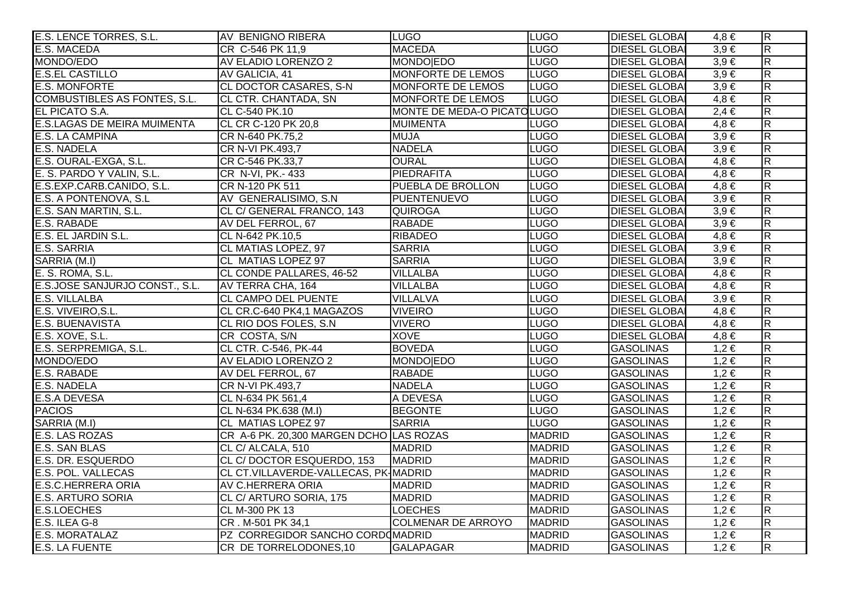| E.S. LENCE TORRES, S.L.             | AV BENIGNO RIBERA                       | <b>LUGO</b>                | <b>LUGO</b>   | <b>DIESEL GLOBAI</b> | 4.8 €     | $\overline{\mathsf{R}}$ |
|-------------------------------------|-----------------------------------------|----------------------------|---------------|----------------------|-----------|-------------------------|
| <b>E.S. MACEDA</b>                  | CR C-546 PK 11,9                        | <b>MACEDA</b>              | <b>LUGO</b>   | <b>DIESEL GLOBAI</b> | $3,9 \in$ | $\overline{R}$          |
| MONDO/EDO                           | AV ELADIO LORENZO 2                     | <b>MONDO EDO</b>           | <b>LUGO</b>   | <b>DIESEL GLOBA</b>  | $3,9 \in$ | $\overline{R}$          |
| <b>E.S.EL CASTILLO</b>              | AV GALICIA, 41                          | MONFORTE DE LEMOS          | <b>LUGO</b>   | <b>DIESEL GLOBA</b>  | $3,9 \in$ | R.                      |
| <b>E.S. MONFORTE</b>                | <b>CL DOCTOR CASARES, S-N</b>           | MONFORTE DE LEMOS          | <b>LUGO</b>   | <b>DIESEL GLOBAI</b> | $3,9 \in$ | $\overline{\mathsf{R}}$ |
| <b>COMBUSTIBLES AS FONTES, S.L.</b> | CL CTR. CHANTADA, SN                    | MONFORTE DE LEMOS          | <b>LUGO</b>   | <b>DIESEL GLOBAI</b> | $4,8 \in$ | $\overline{\mathbf{z}}$ |
| EL PICATO S.A.                      | CL C-540 PK.10                          | MONTE DE MEDA-O PICATOLUGO |               | <b>DIESEL GLOBAI</b> | $2,4 \in$ | $\overline{R}$          |
| <b>E.S.LAGAS DE MEIRA MUIMENTA</b>  | CL CR C-120 PK 20,8                     | <b>MUIMENTA</b>            | <b>LUGO</b>   | <b>DIESEL GLOBA</b>  | $4,8 \in$ | $\overline{\mathbf{z}}$ |
| <b>E.S. LA CAMPINA</b>              | CR N-640 PK.75,2                        | <b>MUJA</b>                | <b>LUGO</b>   | <b>DIESEL GLOBA</b>  | $3,9 \in$ | $\overline{R}$          |
| E.S. NADELA                         | CR N-VI PK.493,7                        | <b>NADELA</b>              | <b>LUGO</b>   | <b>DIESEL GLOBAI</b> | $3,9 \in$ | $\overline{R}$          |
| E.S. OURAL-EXGA, S.L.               | CR C-546 PK.33,7                        | <b>OURAL</b>               | <b>LUGO</b>   | <b>DIESEL GLOBAI</b> | $4,8 \in$ | $\overline{\mathsf{R}}$ |
| E. S. PARDO Y VALIN, S.L.           | CR N-VI, PK.- 433                       | PIEDRAFITA                 | <b>LUGO</b>   | <b>DIESEL GLOBA</b>  | $4,8 \in$ | $\overline{\mathsf{R}}$ |
| E.S.EXP.CARB.CANIDO, S.L.           | CR N-120 PK 511                         | PUEBLA DE BROLLON          | <b>LUGO</b>   | <b>DIESEL GLOBA</b>  | $4,8 \in$ | $\overline{R}$          |
| E.S. A PONTENOVA, S.L               | AV GENERALISIMO, S.N.                   | <b>PUENTENUEVO</b>         | <b>LUGO</b>   | <b>DIESEL GLOBAL</b> | $3,9 \in$ | $\overline{\mathbf{z}}$ |
| E.S. SAN MARTIN, S.L.               | CL C/ GENERAL FRANCO, 143               | <b>QUIROGA</b>             | <b>LUGO</b>   | <b>DIESEL GLOBAI</b> | $3,9 \in$ | $\overline{\mathbf{z}}$ |
| E.S. RABADE                         | AV DEL FERROL, 67                       | <b>RABADE</b>              | <b>LUGO</b>   | <b>DIESEL GLOBAI</b> | $3,9 \in$ | $\overline{\mathsf{R}}$ |
| E.S. EL JARDIN S.L.                 | CL N-642 PK.10,5                        | <b>RIBADEO</b>             | <b>LUGO</b>   | <b>DIESEL GLOBA</b>  | $4,8 \in$ | $\overline{R}$          |
| E.S. SARRIA                         | CL MATIAS LOPEZ, 97                     | <b>SARRIA</b>              | <b>LUGO</b>   | <b>DIESEL GLOBA</b>  | $3,9 \in$ | $\overline{R}$          |
| SARRIA (M.I)                        | CL MATIAS LOPEZ 97                      | <b>SARRIA</b>              | <b>LUGO</b>   | <b>DIESEL GLOBAI</b> | $3,9 \in$ | $\overline{\mathsf{R}}$ |
| E. S. ROMA, S.L.                    | CL CONDE PALLARES, 46-52                | <b>VILLALBA</b>            | <b>LUGO</b>   | <b>DIESEL GLOBAI</b> | $4,8 \in$ | $\overline{\mathsf{R}}$ |
| E.S.JOSE SANJURJO CONST., S.L.      | AV TERRA CHA, 164                       | <b>VILLALBA</b>            | <b>LUGO</b>   | <b>DIESEL GLOBAI</b> | $4.8 \in$ | $\overline{\mathsf{R}}$ |
| E.S. VILLALBA                       | <b>CL CAMPO DEL PUENTE</b>              | <b>VILLALVA</b>            | <b>LUGO</b>   | <b>DIESEL GLOBAI</b> | $3,9 \in$ | $\overline{\mathbf{z}}$ |
| E.S. VIVEIRO, S.L.                  | CL CR.C-640 PK4,1 MAGAZOS               | <b>VIVEIRO</b>             | <b>LUGO</b>   | <b>DIESEL GLOBAI</b> | $4,8 \in$ | $\overline{\mathbf{z}}$ |
| E.S. BUENAVISTA                     | CL RIO DOS FOLES, S.N.                  | <b>VIVERO</b>              | <b>LUGO</b>   | <b>DIESEL GLOBAI</b> | $4,8 \in$ | $\overline{R}$          |
| E.S. XOVE, S.L.                     | CR COSTA, S/N                           | <b>XOVE</b>                | <b>LUGO</b>   | <b>DIESEL GLOBAI</b> | $4.8 \in$ | $\overline{\mathbf{z}}$ |
| E.S. SERPREMIGA, S.L.               | CL CTR. C-546, PK-44                    | <b>BOVEDA</b>              | <b>LUGO</b>   | <b>GASOLINAS</b>     | $1,2 \in$ | $\overline{\mathsf{R}}$ |
| MONDO/EDO                           | AV ELADIO LORENZO 2                     | MONDO EDO                  | <b>LUGO</b>   | <b>GASOLINAS</b>     | $1,2 \in$ | $\overline{\mathsf{R}}$ |
| E.S. RABADE                         | AV DEL FERROL, 67                       | <b>RABADE</b>              | <b>LUGO</b>   | <b>GASOLINAS</b>     | $1,2 \in$ | $\overline{\mathsf{R}}$ |
| <b>E.S. NADELA</b>                  | CR N-VI PK.493,7                        | <b>NADELA</b>              | <b>LUGO</b>   | <b>GASOLINAS</b>     | $1,2 \in$ | $\overline{\mathbf{z}}$ |
| <b>E.S.A DEVESA</b>                 | CL N-634 PK 561,4                       | A DEVESA                   | <b>LUGO</b>   | <b>GASOLINAS</b>     | $1,2 \in$ | R.                      |
| <b>PACIOS</b>                       | CL N-634 PK.638 (M.I)                   | <b>BEGONTE</b>             | <b>LUGO</b>   | <b>GASOLINAS</b>     | $1,2 \in$ | $\overline{\mathbf{z}}$ |
| SARRIA (M.I)                        | CL MATIAS LOPEZ 97                      | <b>SARRIA</b>              | <b>LUGO</b>   | <b>GASOLINAS</b>     | $1,2 \in$ | R                       |
| E.S. LAS ROZAS                      | CR A-6 PK. 20,300 MARGEN DCHO LAS ROZAS |                            | <b>MADRID</b> | <b>GASOLINAS</b>     | $1,2 \in$ | $\overline{\mathsf{R}}$ |
| <b>E.S. SAN BLAS</b>                | CL C/ ALCALA, 510                       | <b>MADRID</b>              | <b>MADRID</b> | <b>GASOLINAS</b>     | $1,2 \in$ | $\overline{\mathsf{R}}$ |
| E.S. DR. ESQUERDO                   | CL C/DOCTOR ESQUERDO, 153               | <b>MADRID</b>              | <b>MADRID</b> | <b>GASOLINAS</b>     | $1,2 \in$ | $\overline{\mathsf{R}}$ |
| E.S. POL. VALLECAS                  | CL CT.VILLAVERDE-VALLECAS, PK-MADRID    |                            | <b>MADRID</b> | <b>GASOLINAS</b>     | $1,2 \in$ | R                       |
| <b>E.S.C.HERRERA ORIA</b>           | AV C.HERRERA ORIA                       | <b>MADRID</b>              | <b>MADRID</b> | <b>GASOLINAS</b>     | $1,2 \in$ | $\overline{\mathsf{R}}$ |
| <b>E.S. ARTURO SORIA</b>            | CL C/ ARTURO SORIA, 175                 | <b>MADRID</b>              | <b>MADRID</b> | <b>GASOLINAS</b>     | $1,2 \in$ | $\overline{\mathsf{R}}$ |
| <b>E.S.LOECHES</b>                  | CL M-300 PK 13                          | <b>LOECHES</b>             | <b>MADRID</b> | <b>GASOLINAS</b>     | $1,2 \in$ | $\overline{\mathsf{R}}$ |
| E.S. ILEA G-8                       | CR. M-501 PK 34,1                       | <b>COLMENAR DE ARROYO</b>  | <b>MADRID</b> | <b>GASOLINAS</b>     | $1,2 \in$ | R                       |
| E.S. MORATALAZ                      | PZ CORREGIDOR SANCHO CORDOMADRID        |                            | <b>MADRID</b> | <b>GASOLINAS</b>     | $1,2 \in$ | $\overline{\mathsf{R}}$ |
| E.S. LA FUENTE                      | CR DE TORRELODONES, 10                  | <b>GALAPAGAR</b>           | <b>MADRID</b> | <b>GASOLINAS</b>     | $1,2 \in$ | $\overline{\mathbf{z}}$ |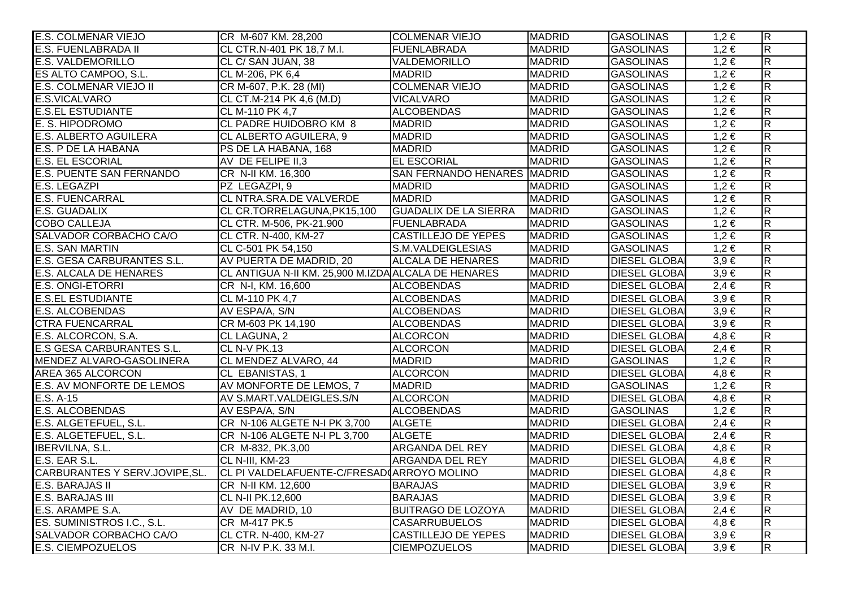| <b>E.S. COLMENAR VIEJO</b>       | CR M-607 KM. 28,200                                 | <b>COLMENAR VIEJO</b>              | <b>MADRID</b> | <b>GASOLINAS</b>     | $1,2 \in$ | $\overline{R}$          |
|----------------------------------|-----------------------------------------------------|------------------------------------|---------------|----------------------|-----------|-------------------------|
| <b>E.S. FUENLABRADA II</b>       | CL CTR.N-401 PK 18,7 M.I.                           | FUENLABRADA                        | <b>MADRID</b> | <b>GASOLINAS</b>     | $1,2 \in$ | $\overline{\mathbf{z}}$ |
| <b>E.S. VALDEMORILLO</b>         | CL C/ SAN JUAN, 38                                  | VALDEMORILLO                       | <b>MADRID</b> | <b>GASOLINAS</b>     | $1,2 \in$ | $\overline{\mathsf{R}}$ |
| ES ALTO CAMPOO, S.L.             | CL M-206, PK 6,4                                    | <b>MADRID</b>                      | <b>MADRID</b> | <b>GASOLINAS</b>     | $1,2 \in$ | $\overline{\mathbf{z}}$ |
| <b>E.S. COLMENAR VIEJO II</b>    | CR M-607, P.K. 28 (MI)                              | <b>COLMENAR VIEJO</b>              | <b>MADRID</b> | <b>GASOLINAS</b>     | $1,2 \in$ | $\overline{R}$          |
| E.S.VICALVARO                    | CL CT.M-214 PK 4,6 (M.D)                            | <b>VICALVARO</b>                   | <b>MADRID</b> | <b>GASOLINAS</b>     | $1,2 \in$ | $\overline{R}$          |
| <b>E.S.EL ESTUDIANTE</b>         | CL M-110 PK 4,7                                     | <b>ALCOBENDAS</b>                  | <b>MADRID</b> | <b>GASOLINAS</b>     | $1,2 \in$ | $\overline{\mathbf{z}}$ |
| E. S. HIPODROMO                  | CL PADRE HUIDOBRO KM 8                              | <b>MADRID</b>                      | <b>MADRID</b> | <b>GASOLINAS</b>     | $1,2 \in$ | $\overline{\mathsf{R}}$ |
| <b>E.S. ALBERTO AGUILERA</b>     | CL ALBERTO AGUILERA, 9                              | <b>MADRID</b>                      | <b>MADRID</b> | <b>GASOLINAS</b>     | $1,2 \in$ | $\overline{\mathsf{R}}$ |
| E.S. P DE LA HABANA              | PS DE LA HABANA, 168                                | <b>MADRID</b>                      | <b>MADRID</b> | <b>GASOLINAS</b>     | $1,2 \in$ | $\overline{R}$          |
| <b>E.S. EL ESCORIAL</b>          | AV DE FELIPE II,3                                   | <b>EL ESCORIAL</b>                 | <b>MADRID</b> | <b>GASOLINAS</b>     | $1,2 \in$ | $\overline{\mathbf{z}}$ |
| <b>E.S. PUENTE SAN FERNANDO</b>  | CR N-II KM. 16,300                                  | <b>SAN FERNANDO HENARES MADRID</b> |               | <b>GASOLINAS</b>     | $1,2 \in$ | $\overline{\mathbf{R}}$ |
| <b>E.S. LEGAZPI</b>              | PZ LEGAZPI, 9                                       | <b>MADRID</b>                      | <b>MADRID</b> | <b>GASOLINAS</b>     | $1,2 \in$ | $\overline{\mathbf{z}}$ |
| <b>E.S. FUENCARRAL</b>           | CL NTRA.SRA.DE VALVERDE                             | <b>MADRID</b>                      | <b>MADRID</b> | <b>GASOLINAS</b>     | $1,2 \in$ | $\overline{R}$          |
| <b>E.S. GUADALIX</b>             | CL CR.TORRELAGUNA, PK15,100                         | <b>GUADALIX DE LA SIERRA</b>       | <b>MADRID</b> | <b>GASOLINAS</b>     | $1,2 \in$ | $\overline{R}$          |
| <b>COBO CALLEJA</b>              | CL CTR. M-506, PK-21.900                            | FUENLABRADA                        | <b>MADRID</b> | <b>GASOLINAS</b>     | $1,2 \in$ | $\overline{\mathbf{z}}$ |
| SALVADOR CORBACHO CA/O           | CL CTR. N-400, KM-27                                | <b>CASTILLEJO DE YEPES</b>         | <b>MADRID</b> | <b>GASOLINAS</b>     | $1,2 \in$ | $\overline{\mathsf{R}}$ |
| <b>E.S. SAN MARTIN</b>           | CL C-501 PK 54,150                                  | S.M.VALDEIGLESIAS                  | <b>MADRID</b> | <b>GASOLINAS</b>     | $1,2 \in$ | $\overline{\mathsf{R}}$ |
| E.S. GESA CARBURANTES S.L.       | AV PUERTA DE MADRID, 20                             | <b>ALCALA DE HENARES</b>           | <b>MADRID</b> | <b>DIESEL GLOBA</b>  | $3,9 \in$ | $\overline{R}$          |
| <b>E.S. ALCALA DE HENARES</b>    | CL ANTIGUA N-II KM. 25,900 M.IZDA ALCALA DE HENARES |                                    | <b>MADRID</b> | <b>DIESEL GLOBA</b>  | $3,9 \in$ | $\overline{R}$          |
| <b>E.S. ONGI-ETORRI</b>          | CR N-I, KM. 16,600                                  | <b>ALCOBENDAS</b>                  | <b>MADRID</b> | <b>DIESEL GLOBA</b>  | $2,4 \in$ | $\overline{\mathbf{z}}$ |
| <b>E.S.EL ESTUDIANTE</b>         | CL M-110 PK 4,7                                     | <b>ALCOBENDAS</b>                  | <b>MADRID</b> | <b>DIESEL GLOBAI</b> | $3,9 \in$ | $\overline{R}$          |
| <b>E.S. ALCOBENDAS</b>           | AV ESPA/A, S/N                                      | <b>ALCOBENDAS</b>                  | <b>MADRID</b> | <b>DIESEL GLOBA</b>  | $3,9 \in$ | $\overline{\mathsf{R}}$ |
| <b>CTRA FUENCARRAL</b>           | CR M-603 PK 14,190                                  | <b>ALCOBENDAS</b>                  | <b>MADRID</b> | <b>DIESEL GLOBAI</b> | $3,9 \in$ | $\overline{\mathsf{R}}$ |
| E.S. ALCORCON, S.A.              | CL LAGUNA, 2                                        | <b>ALCORCON</b>                    | <b>MADRID</b> | <b>DIESEL GLOBAI</b> | $4,8 \in$ | $\overline{\mathbf{z}}$ |
| <b>E.S GESA CARBURANTES S.L.</b> | CL N-V PK.13                                        | <b>ALCORCON</b>                    | <b>MADRID</b> | <b>DIESEL GLOBA</b>  | $2,4 \in$ | $\overline{\mathsf{R}}$ |
| MENDEZ ALVARO-GASOLINERA         | CL MENDEZ ALVARO, 44                                | <b>MADRID</b>                      | <b>MADRID</b> | <b>GASOLINAS</b>     | $1,2 \in$ | $\overline{\mathsf{R}}$ |
| AREA 365 ALCORCON                | CL EBANISTAS, 1                                     | <b>ALCORCON</b>                    | <b>MADRID</b> | <b>DIESEL GLOBAI</b> | $4,8 \in$ | $\overline{\mathsf{R}}$ |
| <b>E.S. AV MONFORTE DE LEMOS</b> | AV MONFORTE DE LEMOS, 7                             | <b>MADRID</b>                      | <b>MADRID</b> | <b>GASOLINAS</b>     | $1,2 \in$ | $\overline{R}$          |
| $E.S. A-15$                      | AV S.MART.VALDEIGLES.S/N                            | ALCORCON                           | <b>MADRID</b> | <b>DIESEL GLOBAI</b> | $4,8 \in$ | $\overline{\mathbf{z}}$ |
| <b>E.S. ALCOBENDAS</b>           | AV ESPA/A, S/N                                      | <b>ALCOBENDAS</b>                  | <b>MADRID</b> | <b>GASOLINAS</b>     | $1,2 \in$ | $\overline{R}$          |
| E.S. ALGETEFUEL, S.L.            | CR N-106 ALGETE N-I PK 3,700                        | <b>ALGETE</b>                      | <b>MADRID</b> | <b>DIESEL GLOBAI</b> | $2,4 \in$ | $\overline{\mathsf{R}}$ |
| E.S. ALGETEFUEL, S.L.            | CR N-106 ALGETE N-I PL 3,700                        | <b>ALGETE</b>                      | <b>MADRID</b> | <b>DIESEL GLOBAI</b> | $2,4 \in$ | $\overline{\mathsf{R}}$ |
| <b>IBERVILNA, S.L.</b>           | CR M-832, PK.3,00                                   | <b>ARGANDA DEL REY</b>             | <b>MADRID</b> | <b>DIESEL GLOBAI</b> | $4,8 \in$ | $\overline{\mathsf{R}}$ |
| E.S. EAR S.L.                    | CL N-III, KM-23                                     | ARGANDA DEL REY                    | <b>MADRID</b> | <b>DIESEL GLOBAI</b> | $4,8 \in$ | $\overline{\mathsf{R}}$ |
| CARBURANTES Y SERV.JOVIPE, SL.   | CL PI VALDELAFUENTE-C/FRESAD ARROYO MOLINO          |                                    | <b>MADRID</b> | <b>DIESEL GLOBA</b>  | $4,8 \in$ | $\overline{\mathsf{R}}$ |
| <b>E.S. BARAJAS II</b>           | CR N-II KM. 12,600                                  | <b>BARAJAS</b>                     | <b>MADRID</b> | <b>DIESEL GLOBAI</b> | $3,9 \in$ | $\overline{\mathsf{R}}$ |
| <b>E.S. BARAJAS III</b>          | CL N-II PK.12,600                                   | <b>BARAJAS</b>                     | <b>MADRID</b> | <b>DIESEL GLOBAI</b> | $3,9 \in$ | $\overline{\mathsf{R}}$ |
| E.S. ARAMPE S.A.                 | AV DE MADRID, 10                                    | <b>BUITRAGO DE LOZOYA</b>          | <b>MADRID</b> | <b>DIESEL GLOBA</b>  | $2,4 \in$ | R                       |
| ES. SUMINISTROS I.C., S.L.       | CR M-417 PK.5                                       | <b>CASARRUBUELOS</b>               | <b>MADRID</b> | <b>DIESEL GLOBA</b>  | $4,8 \in$ | $\overline{\mathsf{R}}$ |
| SALVADOR CORBACHO CA/O           | CL CTR. N-400, KM-27                                | <b>CASTILLEJO DE YEPES</b>         | <b>MADRID</b> | <b>DIESEL GLOBAI</b> | $3,9 \in$ | $\overline{\mathsf{R}}$ |
| <b>E.S. CIEMPOZUELOS</b>         | CR N-IV P.K. 33 M.I.                                | <b>CIEMPOZUELOS</b>                | <b>MADRID</b> | <b>DIESEL GLOBAI</b> | $3,9 \in$ | $\overline{R}$          |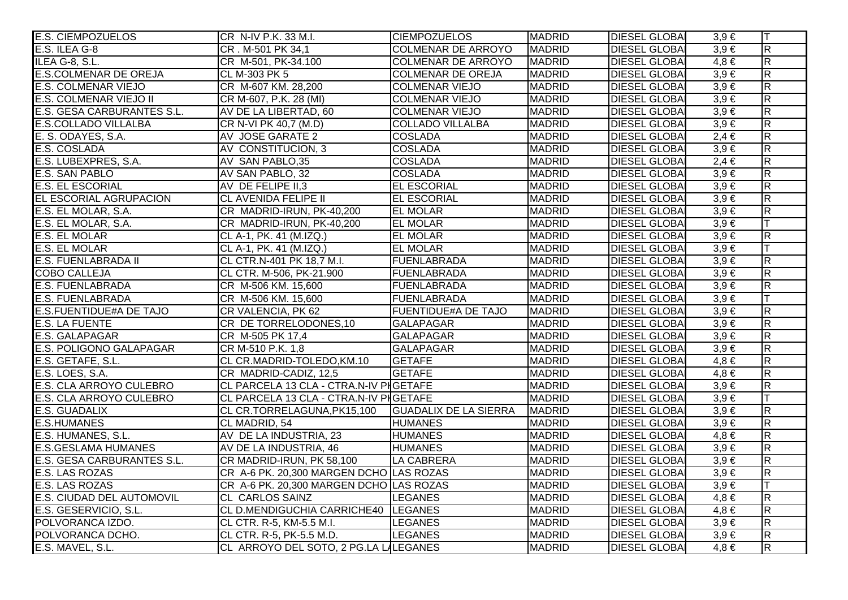| <b>E.S. CIEMPOZUELOS</b>          | CR N-IV P.K. 33 M.I.                    | <b>CIEMPOZUELOS</b>          | <b>MADRID</b> | <b>DIESEL GLOBAI</b> | $3.9 \in$ | IТ                      |
|-----------------------------------|-----------------------------------------|------------------------------|---------------|----------------------|-----------|-------------------------|
| E.S. ILEA G-8                     | CR. M-501 PK 34,1                       | <b>COLMENAR DE ARROYO</b>    | <b>MADRID</b> | <b>DIESEL GLOBA</b>  | $3,9 \in$ | $\overline{\mathbf{z}}$ |
| ILEA G-8, S.L.                    | CR M-501, PK-34.100                     | <b>COLMENAR DE ARROYO</b>    | <b>MADRID</b> | <b>DIESEL GLOBA</b>  | $4,8 \in$ | $\overline{\mathsf{R}}$ |
| <b>E.S.COLMENAR DE OREJA</b>      | CL M-303 PK 5                           | <b>COLMENAR DE OREJA</b>     | <b>MADRID</b> | <b>DIESEL GLOBA</b>  | $3,9 \in$ | $\overline{\mathbf{z}}$ |
| <b>E.S. COLMENAR VIEJO</b>        | CR M-607 KM. 28,200                     | <b>COLMENAR VIEJO</b>        | <b>MADRID</b> | <b>DIESEL GLOBA</b>  | $3,9 \in$ | $\overline{\mathbf{z}}$ |
| E.S. COLMENAR VIEJO II            | CR M-607, P.K. 28 (MI)                  | <b>COLMENAR VIEJO</b>        | <b>MADRID</b> | <b>DIESEL GLOBA</b>  | $3,9 \in$ | $\overline{R}$          |
| <b>E.S. GESA CARBURANTES S.L.</b> | AV DE LA LIBERTAD, 60                   | <b>COLMENAR VIEJO</b>        | <b>MADRID</b> | <b>DIESEL GLOBA</b>  | $3,9 \in$ | $\overline{\mathbf{z}}$ |
| <b>E.S.COLLADO VILLALBA</b>       | CR N-VI PK 40,7 (M.D)                   | <b>COLLADO VILLALBA</b>      | <b>MADRID</b> | <b>DIESEL GLOBAL</b> | $3,9 \in$ | $\overline{\mathsf{R}}$ |
| E. S. ODAYES, S.A.                | AV JOSE GARATE 2                        | <b>COSLADA</b>               | <b>MADRID</b> | <b>DIESEL GLOBAL</b> | $2,4 \in$ | $\overline{R}$          |
| E.S. COSLADA                      | AV CONSTITUCION, 3                      | <b>COSLADA</b>               | <b>MADRID</b> | <b>DIESEL GLOBA</b>  | $3,9 \in$ | $\overline{\mathsf{R}}$ |
| E.S. LUBEXPRES, S.A.              | AV SAN PABLO, 35                        | <b>COSLADA</b>               | <b>MADRID</b> | <b>DIESEL GLOBA</b>  | $2,4 \in$ | $\overline{\mathbf{z}}$ |
| <b>E.S. SAN PABLO</b>             | AV SAN PABLO, 32                        | <b>COSLADA</b>               | <b>MADRID</b> | <b>DIESEL GLOBA</b>  | $3,9 \in$ | $\overline{R}$          |
| <b>E.S. EL ESCORIAL</b>           | AV DE FELIPE II,3                       | <b>EL ESCORIAL</b>           | <b>MADRID</b> | <b>DIESEL GLOBA</b>  | $3,9 \in$ | $\overline{\mathbf{z}}$ |
| <b>EL ESCORIAL AGRUPACION</b>     | <b>CL AVENIDA FELIPE II</b>             | <b>EL ESCORIAL</b>           | <b>MADRID</b> | <b>DIESEL GLOBAI</b> | $3,9 \in$ | $\overline{\mathsf{R}}$ |
| E.S. EL MOLAR, S.A.               | CR MADRID-IRUN, PK-40,200               | <b>EL MOLAR</b>              | <b>MADRID</b> | <b>DIESEL GLOBAI</b> | $3,9 \in$ | $\overline{R}$          |
| E.S. EL MOLAR, S.A.               | CR MADRID-IRUN, PK-40,200               | <b>EL MOLAR</b>              | <b>MADRID</b> | <b>DIESEL GLOBA</b>  | $3,9 \in$ |                         |
| E.S. EL MOLAR                     | CL A-1, PK. 41 (M.IZQ.)                 | <b>EL MOLAR</b>              | <b>MADRID</b> | <b>DIESEL GLOBAI</b> | $3,9 \in$ | $\overline{\mathbf{z}}$ |
| <b>E.S. EL MOLAR</b>              | CL A-1, PK. 41 (M.IZQ.)                 | <b>EL MOLAR</b>              | <b>MADRID</b> | <b>DIESEL GLOBA</b>  | $3,9 \in$ | lΤ                      |
| <b>E.S. FUENLABRADA II</b>        | CL CTR.N-401 PK 18,7 M.I.               | <b>FUENLABRADA</b>           | <b>MADRID</b> | <b>DIESEL GLOBA</b>  | $3,9 \in$ | $\overline{\mathsf{R}}$ |
| <b>COBO CALLEJA</b>               | CL CTR. M-506, PK-21.900                | FUENLABRADA                  | <b>MADRID</b> | <b>DIESEL GLOBA</b>  | $3,9 \in$ | $\overline{\mathsf{R}}$ |
| <b>E.S. FUENLABRADA</b>           | CR M-506 KM. 15,600                     | FUENLABRADA                  | <b>MADRID</b> | <b>DIESEL GLOBA</b>  | $3,9 \in$ | R.                      |
| <b>E.S. FUENLABRADA</b>           | CR M-506 KM. 15,600                     | FUENLABRADA                  | <b>MADRID</b> | <b>DIESEL GLOBA</b>  | $3,9 \in$ |                         |
| E.S.FUENTIDUE#A DE TAJO           | CR VALENCIA, PK 62                      | <b>FUENTIDUE#A DE TAJO</b>   | <b>MADRID</b> | <b>DIESEL GLOBAI</b> | $3,9 \in$ | $\overline{R}$          |
| <b>E.S. LA FUENTE</b>             | CR DE TORRELODONES, 10                  | <b>GALAPAGAR</b>             | <b>MADRID</b> | <b>DIESEL GLOBA</b>  | $3,9 \in$ | $\overline{\mathsf{R}}$ |
| <b>E.S. GALAPAGAR</b>             | CR M-505 PK 17,4                        | <b>GALAPAGAR</b>             | <b>MADRID</b> | <b>DIESEL GLOBA</b>  | $3,9 \in$ | $\overline{\mathsf{R}}$ |
| <b>E.S. POLIGONO GALAPAGAR</b>    | CR M-510 P.K. 1.8                       | <b>GALAPAGAR</b>             | <b>MADRID</b> | <b>DIESEL GLOBA</b>  | $3,9 \in$ | $\overline{R}$          |
| E.S. GETAFE, S.L.                 | CL CR.MADRID-TOLEDO, KM.10              | <b>GETAFE</b>                | <b>MADRID</b> | <b>DIESEL GLOBA</b>  | $4,8 \in$ | $\overline{R}$          |
| E.S. LOES, S.A.                   | CR MADRID-CADIZ, 12,5                   | <b>GETAFE</b>                | <b>MADRID</b> | <b>DIESEL GLOBA</b>  | $4,8 \in$ | $\overline{\mathsf{R}}$ |
| <b>E.S. CLA ARROYO CULEBRO</b>    | CL PARCELA 13 CLA - CTRA.N-IV PIGETAFE  |                              | <b>MADRID</b> | <b>DIESEL GLOBA</b>  | $3,9 \in$ | $\overline{\mathbf{z}}$ |
| E.S. CLA ARROYO CULEBRO           | CL PARCELA 13 CLA - CTRA.N-IV PIGETAFE  |                              | <b>MADRID</b> | <b>DIESEL GLOBA</b>  | $3,9 \in$ |                         |
| E.S. GUADALIX                     | CL CR.TORRELAGUNA, PK15,100             | <b>GUADALIX DE LA SIERRA</b> | <b>MADRID</b> | <b>DIESEL GLOBA</b>  | $3,9 \in$ | $\overline{R}$          |
| <b>E.S.HUMANES</b>                | CL MADRID, 54                           | <b>HUMANES</b>               | <b>MADRID</b> | <b>DIESEL GLOBAI</b> | $3,9 \in$ | $\overline{\mathsf{R}}$ |
| E.S. HUMANES, S.L.                | AV DE LA INDUSTRIA, 23                  | <b>HUMANES</b>               | <b>MADRID</b> | <b>DIESEL GLOBAI</b> | $4,8 \in$ | $\overline{\mathsf{R}}$ |
| <b>E.S.GESLAMA HUMANES</b>        | AV DE LA INDUSTRIA, 46                  | <b>HUMANES</b>               | <b>MADRID</b> | <b>DIESEL GLOBA</b>  | $3,9 \in$ | $\overline{\mathsf{R}}$ |
| E.S. GESA CARBURANTES S.L.        | CR MADRID-IRUN, PK 58,100               | LA CABRERA                   | <b>MADRID</b> | <b>DIESEL GLOBA</b>  | $3,9 \in$ | $\overline{\mathbf{z}}$ |
| E.S. LAS ROZAS                    | CR A-6 PK. 20,300 MARGEN DCHO LAS ROZAS |                              | <b>MADRID</b> | <b>DIESEL GLOBAI</b> | $3,9 \in$ | $\overline{\mathsf{R}}$ |
| E.S. LAS ROZAS                    | CR A-6 PK. 20,300 MARGEN DCHO LAS ROZAS |                              | <b>MADRID</b> | <b>DIESEL GLOBA</b>  | $3,9 \in$ |                         |
| <b>E.S. CIUDAD DEL AUTOMOVIL</b>  | <b>CL CARLOS SAINZ</b>                  | <b>LEGANES</b>               | <b>MADRID</b> | <b>DIESEL GLOBA</b>  | $4,8 \in$ | $\overline{\mathsf{R}}$ |
| E.S. GESERVICIO, S.L.             | CL D.MENDIGUCHIA CARRICHE40 LEGANES     |                              | <b>MADRID</b> | <b>DIESEL GLOBA</b>  | $4.8 \in$ | $\overline{\mathsf{R}}$ |
| POLVORANCA IZDO.                  | CL CTR. R-5, KM-5.5 M.I.                | <b>LEGANES</b>               | <b>MADRID</b> | <b>DIESEL GLOBAI</b> | $3,9 \in$ | $\overline{\mathbf{z}}$ |
| POLVORANCA DCHO.                  | CL CTR. R-5, PK-5.5 M.D.                | <b>LEGANES</b>               | <b>MADRID</b> | <b>DIESEL GLOBA</b>  | $3,9 \in$ | $\overline{R}$          |
| E.S. MAVEL, S.L.                  | CL ARROYO DEL SOTO, 2 PG.LA LALEGANES   |                              | <b>MADRID</b> | <b>DIESEL GLOBAI</b> | $4,8 \in$ | $\overline{\mathbf{z}}$ |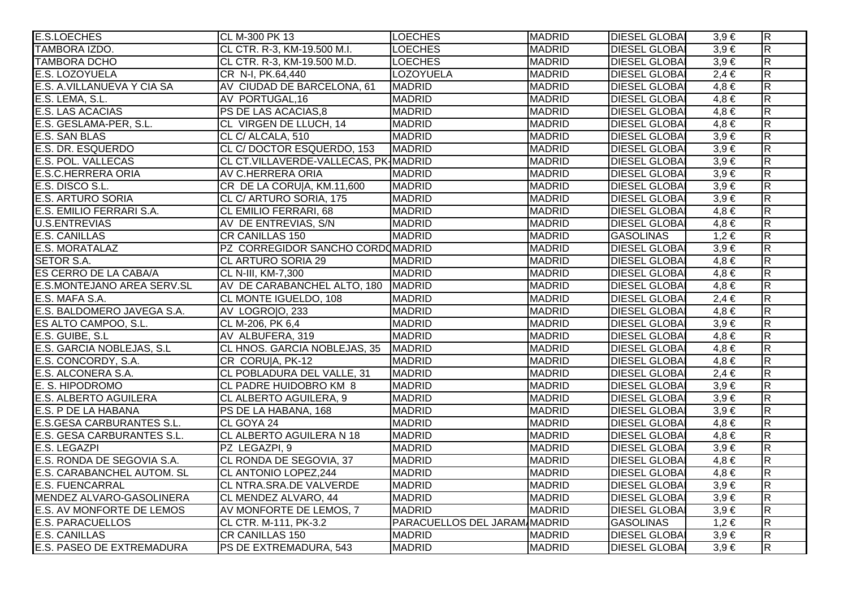| <b>E.S.LOECHES</b>                | CL M-300 PK 13                       | <b>LOECHES</b>                      | <b>MADRID</b> | <b>DIESEL GLOBAI</b> | $3,9 \in$ | $ \mathsf{R} $          |
|-----------------------------------|--------------------------------------|-------------------------------------|---------------|----------------------|-----------|-------------------------|
| TAMBORA IZDO.                     | CL CTR. R-3, KM-19.500 M.I.          | <b>LOECHES</b>                      | <b>MADRID</b> | <b>DIESEL GLOBAI</b> | $3,9 \in$ | $\overline{\mathsf{R}}$ |
| <b>TAMBORA DCHO</b>               | CL CTR. R-3, KM-19.500 M.D.          | <b>LOECHES</b>                      | <b>MADRID</b> | <b>DIESEL GLOBAI</b> | $3,9 \in$ | $\overline{\mathsf{R}}$ |
| E.S. LOZOYUELA                    | CR N-I, PK.64,440                    | LOZOYUELA                           | <b>MADRID</b> | <b>DIESEL GLOBA</b>  | $2,4 \in$ | $\overline{R}$          |
| E.S. A.VILLANUEVA Y CIA SA        | AV CIUDAD DE BARCELONA, 61           | <b>MADRID</b>                       | <b>MADRID</b> | <b>DIESEL GLOBAI</b> | $4,8 \in$ | $\overline{R}$          |
| E.S. LEMA, S.L.                   | AV PORTUGAL, 16                      | <b>MADRID</b>                       | <b>MADRID</b> | <b>DIESEL GLOBAI</b> | $4,8 \in$ | $\overline{R}$          |
| <b>E.S. LAS ACACIAS</b>           | PS DE LAS ACACIAS,8                  | <b>MADRID</b>                       | <b>MADRID</b> | <b>DIESEL GLOBA</b>  | $4,8 \in$ | $\overline{R}$          |
| E.S. GESLAMA-PER, S.L.            | CL VIRGEN DE LLUCH, 14               | <b>MADRID</b>                       | <b>MADRID</b> | <b>DIESEL GLOBAI</b> | $4,8 \in$ | $\overline{\mathsf{R}}$ |
| E.S. SAN BLAS                     | CL C/ ALCALA, 510                    | <b>MADRID</b>                       | <b>MADRID</b> | <b>DIESEL GLOBAI</b> | $3,9 \in$ | $\overline{R}$          |
| <b>E.S. DR. ESQUERDO</b>          | CL C/DOCTOR ESQUERDO, 153            | <b>MADRID</b>                       | <b>MADRID</b> | <b>DIESEL GLOBA</b>  | $3.9 \in$ | $\overline{R}$          |
| <b>E.S. POL. VALLECAS</b>         | CL CT.VILLAVERDE-VALLECAS, PK-MADRID |                                     | <b>MADRID</b> | <b>DIESEL GLOBAI</b> | $3,9 \in$ | R                       |
| <b>E.S.C.HERRERA ORIA</b>         | AV C.HERRERA ORIA                    | <b>MADRID</b>                       | <b>MADRID</b> | <b>DIESEL GLOBAI</b> | $3,9 \in$ | $\overline{\mathsf{R}}$ |
| E.S. DISCO S.L.                   | CR DE LA CORU A, KM.11,600           | <b>MADRID</b>                       | <b>MADRID</b> | <b>DIESEL GLOBAI</b> | $3,9 \in$ | $\overline{R}$          |
| <b>E.S. ARTURO SORIA</b>          | CL C/ ARTURO SORIA, 175              | <b>MADRID</b>                       | <b>MADRID</b> | <b>DIESEL GLOBAI</b> | $3,9 \in$ | $\overline{R}$          |
| E.S. EMILIO FERRARI S.A.          | <b>CL EMILIO FERRARI, 68</b>         | <b>MADRID</b>                       | <b>MADRID</b> | <b>DIESEL GLOBAI</b> | $4,8 \in$ | $\overline{\mathsf{R}}$ |
| <b>U.S.ENTREVIAS</b>              | AV DE ENTREVIAS, S/N                 | <b>MADRID</b>                       | <b>MADRID</b> | <b>DIESEL GLOBAI</b> | $4,8 \in$ | $\overline{R}$          |
| <b>E.S. CANILLAS</b>              | <b>CR CANILLAS 150</b>               | <b>MADRID</b>                       | <b>MADRID</b> | <b>GASOLINAS</b>     | $1,2 \in$ | $\overline{\mathsf{R}}$ |
| <b>E.S. MORATALAZ</b>             | PZ CORREGIDOR SANCHO CORDOMADRID     |                                     | <b>MADRID</b> | <b>DIESEL GLOBAI</b> | $3,9 \in$ | $\overline{\mathsf{R}}$ |
| <b>SETOR S.A.</b>                 | <b>CL ARTURO SORIA 29</b>            | <b>MADRID</b>                       | <b>MADRID</b> | <b>DIESEL GLOBAI</b> | $4,8 \in$ | $\overline{\mathsf{R}}$ |
| ES CERRO DE LA CABA/A             | CL N-III, KM-7,300                   | <b>MADRID</b>                       | <b>MADRID</b> | <b>DIESEL GLOBAI</b> | $4,8 \in$ | $\overline{\mathsf{R}}$ |
| <b>E.S.MONTEJANO AREA SERV.SL</b> | AV DE CARABANCHEL ALTO, 180 MADRID   |                                     | <b>MADRID</b> | <b>DIESEL GLOBAI</b> | $4,8 \in$ | $\overline{\mathsf{R}}$ |
| E.S. MAFA S.A.                    | CL MONTE IGUELDO, 108                | <b>MADRID</b>                       | <b>MADRID</b> | <b>DIESEL GLOBAI</b> | $2,4 \in$ | $\overline{\mathsf{R}}$ |
| E.S. BALDOMERO JAVEGA S.A.        | AV LOGRO O, 233                      | <b>MADRID</b>                       | <b>MADRID</b> | <b>DIESEL GLOBAI</b> | $4,8 \in$ | $\overline{R}$          |
| ES ALTO CAMPOO, S.L.              | CL M-206, PK 6,4                     | <b>MADRID</b>                       | <b>MADRID</b> | <b>DIESEL GLOBA</b>  | $3,9 \in$ | $\overline{R}$          |
| E.S. GUIBE, S.L.                  | AV ALBUFERA, 319                     | <b>MADRID</b>                       | <b>MADRID</b> | <b>DIESEL GLOBAI</b> | $4,8 \in$ | $\overline{R}$          |
| E.S. GARCIA NOBLEJAS, S.L.        | CL HNOS. GARCIA NOBLEJAS, 35 MADRID  |                                     | <b>MADRID</b> | <b>DIESEL GLOBAL</b> | $4,8 \in$ | $\overline{R}$          |
| E.S. CONCORDY, S.A.               | CR CORU A, PK-12                     | <b>MADRID</b>                       | <b>MADRID</b> | <b>DIESEL GLOBAI</b> | $4,8 \in$ | $\overline{\mathsf{R}}$ |
| E.S. ALCONERA S.A.                | CL POBLADURA DEL VALLE, 31           | <b>MADRID</b>                       | <b>MADRID</b> | <b>DIESEL GLOBAI</b> | $2,4 \in$ | $\overline{\mathsf{R}}$ |
| E. S. HIPODROMO                   | CL PADRE HUIDOBRO KM 8               | <b>MADRID</b>                       | <b>MADRID</b> | <b>DIESEL GLOBAI</b> | $3,9 \in$ | $\overline{R}$          |
| <b>E.S. ALBERTO AGUILERA</b>      | CL ALBERTO AGUILERA, 9               | <b>MADRID</b>                       | <b>MADRID</b> | <b>DIESEL GLOBAI</b> | $3,9 \in$ | $\overline{\mathsf{R}}$ |
| E.S. P DE LA HABANA               | PS DE LA HABANA, 168                 | <b>MADRID</b>                       | <b>MADRID</b> | <b>DIESEL GLOBAI</b> | $3,9 \in$ | $\overline{\mathsf{R}}$ |
| <b>E.S.GESA CARBURANTES S.L.</b>  | CL GOYA 24                           | <b>MADRID</b>                       | <b>MADRID</b> | <b>DIESEL GLOBAI</b> | $4,8 \in$ | $\overline{\mathsf{R}}$ |
| E.S. GESA CARBURANTES S.L.        | CL ALBERTO AGUILERA N 18             | <b>MADRID</b>                       | <b>MADRID</b> | <b>DIESEL GLOBAI</b> | $4,8 \in$ | $\overline{\mathsf{R}}$ |
| E.S. LEGAZPI                      | PZ LEGAZPI, 9                        | <b>MADRID</b>                       | <b>MADRID</b> | <b>DIESEL GLOBA</b>  | $3,9 \in$ | $\overline{\mathsf{R}}$ |
| E.S. RONDA DE SEGOVIA S.A.        | CL RONDA DE SEGOVIA, 37              | <b>MADRID</b>                       | <b>MADRID</b> | <b>DIESEL GLOBAL</b> | $4,8 \in$ | $\overline{\mathsf{R}}$ |
| E.S. CARABANCHEL AUTOM. SL        | CL ANTONIO LOPEZ, 244                | <b>MADRID</b>                       | <b>MADRID</b> | <b>DIESEL GLOBAI</b> | $4,8 \in$ | $\overline{\mathsf{R}}$ |
| <b>E.S. FUENCARRAL</b>            | CL NTRA.SRA.DE VALVERDE              | <b>MADRID</b>                       | <b>MADRID</b> | <b>DIESEL GLOBA</b>  | $3,9 \in$ | $\overline{\mathsf{R}}$ |
| MENDEZ ALVARO-GASOLINERA          | CL MENDEZ ALVARO, 44                 | <b>MADRID</b>                       | <b>MADRID</b> | <b>DIESEL GLOBAI</b> | $3,9 \in$ | $\overline{R}$          |
| <b>E.S. AV MONFORTE DE LEMOS</b>  | AV MONFORTE DE LEMOS, 7              | <b>MADRID</b>                       | <b>MADRID</b> | <b>DIESEL GLOBAI</b> | $3,9 \in$ | $\overline{\mathsf{R}}$ |
| <b>E.S. PARACUELLOS</b>           | CL CTR. M-111, PK-3.2                | <b>PARACUELLOS DEL JARAM/MADRID</b> |               | <b>GASOLINAS</b>     | $1,2 \in$ | $\overline{\mathsf{R}}$ |
| E.S. CANILLAS                     | CR CANILLAS 150                      | <b>MADRID</b>                       | <b>MADRID</b> | <b>DIESEL GLOBAI</b> | $3,9 \in$ | $\overline{\mathsf{R}}$ |
| <b>E.S. PASEO DE EXTREMADURA</b>  | PS DE EXTREMADURA, 543               | <b>MADRID</b>                       | <b>MADRID</b> | <b>DIESEL GLOBAI</b> | $3,9 \in$ | $\overline{\mathsf{R}}$ |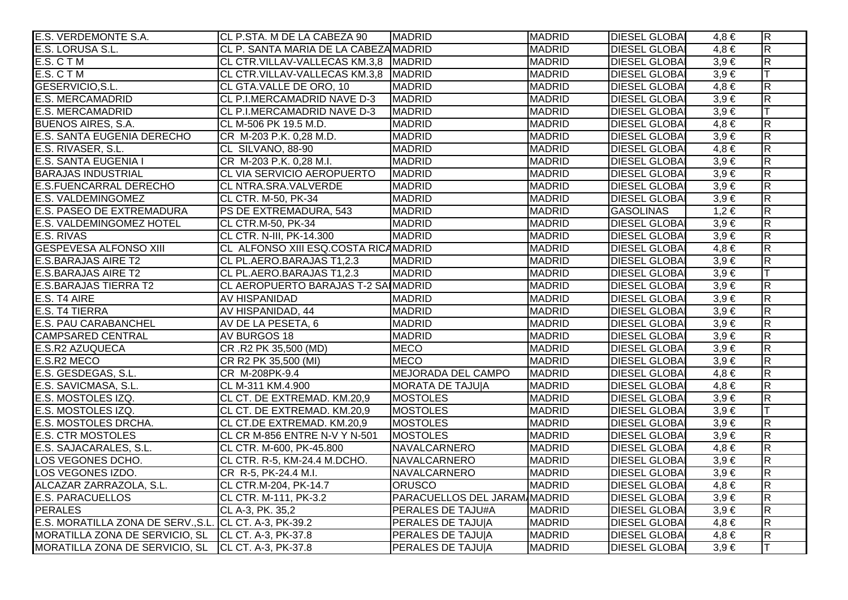| E.S. VERDEMONTE S.A.                                   | CL P.STA. M DE LA CABEZA 90           | <b>MADRID</b>                | <b>MADRID</b> | <b>DIESEL GLOBAI</b> | $4,8 \in$ | $\overline{R}$          |
|--------------------------------------------------------|---------------------------------------|------------------------------|---------------|----------------------|-----------|-------------------------|
| E.S. LORUSA S.L.                                       | CL P. SANTA MARIA DE LA CABEZA MADRID |                              | <b>MADRID</b> | <b>DIESEL GLOBAI</b> | $4,8 \in$ | $\overline{\mathsf{R}}$ |
| E.S. C T M                                             | CL CTR.VILLAV-VALLECAS KM.3,8 MADRID  |                              | <b>MADRID</b> | <b>DIESEL GLOBAI</b> | $3,9 \in$ | $\overline{\mathsf{R}}$ |
| E.S. CTM                                               | CL CTR.VILLAV-VALLECAS KM.3,8 MADRID  |                              | <b>MADRID</b> | <b>DIESEL GLOBAI</b> | $3,9 \in$ | lΤ                      |
| GESERVICIO, S.L.                                       | CL GTA.VALLE DE ORO, 10               | <b>MADRID</b>                | <b>MADRID</b> | <b>DIESEL GLOBAI</b> | $4,8 \in$ | $\overline{\mathsf{R}}$ |
| <b>E.S. MERCAMADRID</b>                                | CL P.I.MERCAMADRID NAVE D-3           | <b>MADRID</b>                | <b>MADRID</b> | <b>DIESEL GLOBAI</b> | $3,9 \in$ | $\overline{R}$          |
| E.S. MERCAMADRID                                       | CL P.I.MERCAMADRID NAVE D-3           | <b>MADRID</b>                | <b>MADRID</b> | <b>DIESEL GLOBAI</b> | $3,9 \in$ | IТ                      |
| <b>BUENOS AIRES, S.A.</b>                              | CL M-506 PK 19.5 M.D.                 | <b>MADRID</b>                | <b>MADRID</b> | <b>DIESEL GLOBAI</b> | $4,8 \in$ | $\overline{\mathsf{R}}$ |
| E.S. SANTA EUGENIA DERECHO                             | CR M-203 P.K. 0,28 M.D.               | <b>MADRID</b>                | <b>MADRID</b> | <b>DIESEL GLOBA</b>  | $3,9 \in$ | $\overline{R}$          |
| E.S. RIVASER, S.L.                                     | CL SILVANO, 88-90                     | <b>MADRID</b>                | <b>MADRID</b> | <b>DIESEL GLOBAI</b> | $4,8 \in$ | $\overline{\mathsf{R}}$ |
| E.S. SANTA EUGENIA I                                   | CR M-203 P.K. 0,28 M.I.               | <b>MADRID</b>                | <b>MADRID</b> | <b>DIESEL GLOBAI</b> | $3,9 \in$ | R.                      |
| <b>BARAJAS INDUSTRIAL</b>                              | CL VIA SERVICIO AEROPUERTO            | <b>MADRID</b>                | <b>MADRID</b> | <b>DIESEL GLOBAI</b> | $3,9 \in$ | $\overline{\mathsf{R}}$ |
| <b>E.S.FUENCARRAL DERECHO</b>                          | CL NTRA.SRA.VALVERDE                  | <b>MADRID</b>                | <b>MADRID</b> | <b>DIESEL GLOBA</b>  | $3,9 \in$ | $\overline{R}$          |
| E.S. VALDEMINGOMEZ                                     | CL CTR. M-50, PK-34                   | <b>MADRID</b>                | <b>MADRID</b> | <b>DIESEL GLOBAI</b> | $3,9 \in$ | $\overline{\mathsf{R}}$ |
| E.S. PASEO DE EXTREMADURA                              | PS DE EXTREMADURA, 543                | <b>MADRID</b>                | <b>MADRID</b> | <b>GASOLINAS</b>     | $1,2 \in$ | $\overline{R}$          |
| <b>E.S. VALDEMINGOMEZ HOTEL</b>                        | CL CTR.M-50, PK-34                    | <b>MADRID</b>                | <b>MADRID</b> | <b>DIESEL GLOBAI</b> | $3,9 \in$ | $\overline{R}$          |
| E.S. RIVAS                                             | CL CTR. N-III, PK-14.300              | <b>MADRID</b>                | <b>MADRID</b> | <b>DIESEL GLOBAI</b> | $3,9 \in$ | $\overline{\mathsf{R}}$ |
| <b>GESPEVESA ALFONSO XIII</b>                          | CL ALFONSO XIII ESQ.COSTA RICAMADRID  |                              | <b>MADRID</b> | <b>DIESEL GLOBA</b>  | $4,8 \in$ | $\overline{R}$          |
| <b>E.S.BARAJAS AIRE T2</b>                             | CL PL.AERO.BARAJAS T1,2.3             | <b>MADRID</b>                | <b>MADRID</b> | <b>DIESEL GLOBAI</b> | $3,9 \in$ | $\overline{\mathsf{R}}$ |
| <b>E.S.BARAJAS AIRE T2</b>                             | CL PL.AERO.BARAJAS T1,2.3             | <b>MADRID</b>                | <b>MADRID</b> | <b>DIESEL GLOBAI</b> | $3,9 \in$ |                         |
| <b>E.S.BARAJAS TIERRA T2</b>                           | CL AEROPUERTO BARAJAS T-2 SAIMADRID   |                              | <b>MADRID</b> | <b>DIESEL GLOBAI</b> | $3,9 \in$ | $\overline{\mathsf{R}}$ |
| E.S. T4 AIRE                                           | AV HISPANIDAD                         | <b>MADRID</b>                | <b>MADRID</b> | <b>DIESEL GLOBAI</b> | $3,9 \in$ | $\overline{R}$          |
| <b>E.S. T4 TIERRA</b>                                  | AV HISPANIDAD, 44                     | <b>MADRID</b>                | <b>MADRID</b> | <b>DIESEL GLOBAI</b> | $3,9 \in$ | $\overline{R}$          |
| <b>E.S. PAU CARABANCHEL</b>                            | AV DE LA PESETA, 6                    | <b>MADRID</b>                | <b>MADRID</b> | <b>DIESEL GLOBAI</b> | $3,9 \in$ | $\overline{R}$          |
| <b>CAMPSARED CENTRAL</b>                               | AV BURGOS 18                          | <b>MADRID</b>                | <b>MADRID</b> | <b>DIESEL GLOBAI</b> | $3,9 \in$ | $\overline{R}$          |
| <b>E.S.R2 AZUQUECA</b>                                 | CR.R2 PK 35,500 (MD)                  | <b>MECO</b>                  | <b>MADRID</b> | <b>DIESEL GLOBAI</b> | $3,9 \in$ | $\overline{R}$          |
| E.S.R2 MECO                                            | CR R2 PK 35,500 (MI)                  | <b>IMECO</b>                 | <b>MADRID</b> | <b>DIESEL GLOBAI</b> | $3,9 \in$ | $\overline{\mathsf{R}}$ |
| E.S. GESDEGAS, S.L.                                    | CR M-208PK-9.4                        | MEJORADA DEL CAMPO           | <b>MADRID</b> | <b>DIESEL GLOBAI</b> | $4,8 \in$ | $\overline{\mathsf{R}}$ |
| E.S. SAVICMASA, S.L.                                   | CL M-311 KM.4.900                     | <b>MORATA DE TAJUJA</b>      | <b>MADRID</b> | <b>DIESEL GLOBAI</b> | $4,8 \in$ | $\overline{R}$          |
| E.S. MOSTOLES IZQ.                                     | CL CT. DE EXTREMAD. KM.20,9           | <b>MOSTOLES</b>              | <b>MADRID</b> | <b>DIESEL GLOBAI</b> | $3,9 \in$ | $\overline{\mathsf{R}}$ |
| E.S. MOSTOLES IZQ.                                     | CL CT. DE EXTREMAD. KM.20,9           | <b>MOSTOLES</b>              | <b>MADRID</b> | <b>DIESEL GLOBAI</b> | $3,9 \in$ | lΤ                      |
| <b>E.S. MOSTOLES DRCHA.</b>                            | CL CT.DE EXTREMAD. KM.20,9            | <b>MOSTOLES</b>              | <b>MADRID</b> | <b>DIESEL GLOBA</b>  | $3,9 \in$ | $\overline{\mathsf{R}}$ |
| <b>E.S. CTR MOSTOLES</b>                               | CL CR M-856 ENTRE N-V Y N-501         | <b>MOSTOLES</b>              | <b>MADRID</b> | <b>DIESEL GLOBAI</b> | $3,9 \in$ | $\overline{\mathsf{R}}$ |
| E.S. SAJACARALES, S.L.                                 | CL CTR. M-600, PK-45.800              | NAVALCARNERO                 | <b>MADRID</b> | <b>DIESEL GLOBAI</b> | $4,8 \in$ | $\overline{R}$          |
| LOS VEGONES DCHO.                                      | CL CTR. R-5, KM-24.4 M.DCHO.          | NAVALCARNERO                 | <b>MADRID</b> | <b>DIESEL GLOBAI</b> | $3,9 \in$ | $\overline{\mathsf{R}}$ |
| LOS VEGONES IZDO.                                      | CR R-5, PK-24.4 M.I.                  | NAVALCARNERO                 | <b>MADRID</b> | <b>DIESEL GLOBAI</b> | $3,9 \in$ | $\overline{\mathsf{R}}$ |
| ALCAZAR ZARRAZOLA, S.L.                                | CL CTR.M-204, PK-14.7                 | <b>ORUSCO</b>                | <b>MADRID</b> | <b>DIESEL GLOBAI</b> | $4,8 \in$ | $\overline{\mathsf{R}}$ |
| <b>E.S. PARACUELLOS</b>                                | CL CTR. M-111, PK-3.2                 | PARACUELLOS DEL JARAM/MADRID |               | <b>DIESEL GLOBAI</b> | $3,9 \in$ | $\overline{R}$          |
| <b>PERALES</b>                                         | CL A-3, PK. 35,2                      | <b>PERALES DE TAJU#A</b>     | <b>MADRID</b> | <b>DIESEL GLOBAI</b> | $3,9 \in$ | $\overline{R}$          |
| E.S. MORATILLA ZONA DE SERV., S.L. CL CT. A-3, PK-39.2 |                                       | PERALES DE TAJUJA            | <b>MADRID</b> | <b>DIESEL GLOBAI</b> | $4,8 \in$ | $\overline{\mathsf{R}}$ |
| MORATILLA ZONA DE SERVICIO, SL CL CT. A-3, PK-37.8     |                                       | PERALES DE TAJU A            | <b>MADRID</b> | <b>DIESEL GLOBAI</b> | $4,8 \in$ | $\overline{\mathsf{R}}$ |
| MORATILLA ZONA DE SERVICIO, SL                         | CL CT. A-3, PK-37.8                   | PERALES DE TAJUJA            | <b>MADRID</b> | <b>DIESEL GLOBAI</b> | $3,9 \in$ | ΙT                      |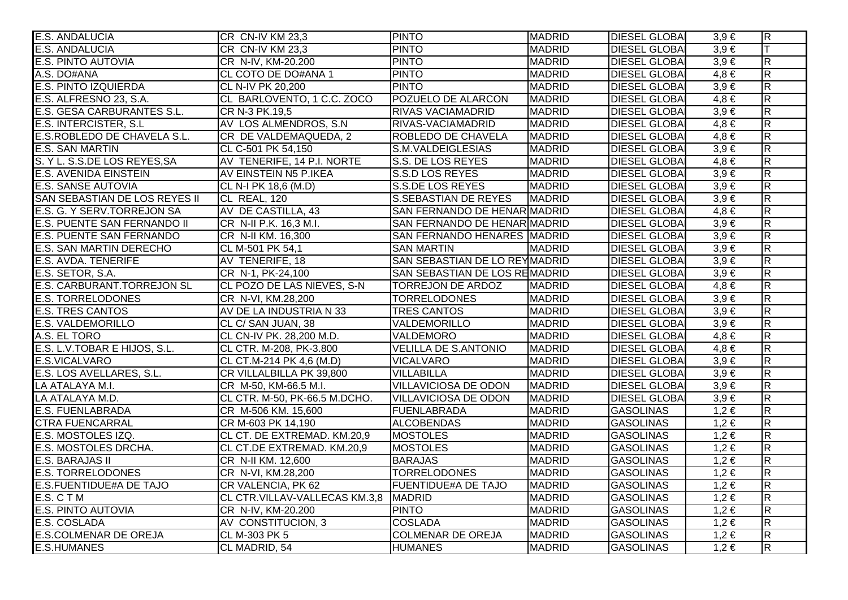| <b>E.S. ANDALUCIA</b>             | CR CN-IV KM 23,3                       | <b>FINTO</b>                  | <b>MADRID</b> | <b>DIESEL GLOBAI</b> | $3,9 \in$ | $ \mathsf{R} $          |
|-----------------------------------|----------------------------------------|-------------------------------|---------------|----------------------|-----------|-------------------------|
| <b>E.S. ANDALUCIA</b>             | CR CN-IV KM 23,3                       | <b>PINTO</b>                  | <b>MADRID</b> | <b>DIESEL GLOBAI</b> | $3,9 \in$ | lΤ                      |
| <b>E.S. PINTO AUTOVIA</b>         | CR N-IV, KM-20.200                     | <b>PINTO</b>                  | <b>MADRID</b> | <b>DIESEL GLOBAI</b> | $3,9 \in$ | $\overline{\mathsf{R}}$ |
| A.S. DO#ANA                       | CL COTO DE DO#ANA 1                    | <b>PINTO</b>                  | <b>MADRID</b> | <b>DIESEL GLOBAI</b> | $4,8 \in$ | $\overline{\mathsf{R}}$ |
| <b>E.S. PINTO IZQUIERDA</b>       | CL N-IV PK 20,200                      | <b>PINTO</b>                  | <b>MADRID</b> | <b>DIESEL GLOBAI</b> | $3,9 \in$ | $\overline{R}$          |
| E.S. ALFRESNO 23, S.A.            | CL BARLOVENTO, 1 C.C. ZOCO             | POZUELO DE ALARCON            | <b>MADRID</b> | <b>DIESEL GLOBAI</b> | $4,8 \in$ | $\overline{R}$          |
| E.S. GESA CARBURANTES S.L.        | CR N-3 PK.19,5                         | <b>RIVAS VACIAMADRID</b>      | <b>MADRID</b> | <b>DIESEL GLOBAI</b> | $3,9 \in$ | $\overline{R}$          |
| <b>E.S. INTERCISTER, S.L</b>      | AV LOS ALMENDROS, S.N.                 | RIVAS-VACIAMADRID             | <b>MADRID</b> | <b>DIESEL GLOBAI</b> | $4,8 \in$ | $\overline{\mathsf{R}}$ |
| E.S.ROBLEDO DE CHAVELA S.L.       | CR DE VALDEMAQUEDA, 2                  | ROBLEDO DE CHAVELA            | <b>MADRID</b> | <b>DIESEL GLOBAI</b> | $4,8 \in$ | $\overline{\mathsf{R}}$ |
| <b>E.S. SAN MARTIN</b>            | CL C-501 PK 54,150                     | S.M.VALDEIGLESIAS             | <b>MADRID</b> | <b>DIESEL GLOBA</b>  | $3,9 \in$ | $\overline{R}$          |
| S. Y L. S.S.DE LOS REYES, SA      | AV TENERIFE, 14 P.I. NORTE             | S.S. DE LOS REYES             | <b>MADRID</b> | <b>DIESEL GLOBAI</b> | $4,8 \in$ | $\overline{\mathsf{R}}$ |
| <b>E.S. AVENIDA EINSTEIN</b>      | AV EINSTEIN N5 P.IKEA                  | S.S.D LOS REYES               | <b>MADRID</b> | <b>DIESEL GLOBAI</b> | $3,9 \in$ | $\overline{\mathsf{R}}$ |
| <b>E.S. SANSE AUTOVIA</b>         | CL N-I PK 18,6 (M.D)                   | S.S.DE LOS REYES              | <b>MADRID</b> | <b>DIESEL GLOBAI</b> | $3,9 \in$ | $\overline{R}$          |
| SAN SEBASTIAN DE LOS REYES II     | CL REAL, 120                           | S.SEBASTIAN DE REYES          | <b>MADRID</b> | <b>DIESEL GLOBAI</b> | $3,9 \in$ | $\overline{R}$          |
| E.S. G. Y SERV.TORREJON SA        | AV DE CASTILLA, 43                     | SAN FERNANDO DE HENAR MADRID  |               | <b>DIESEL GLOBAI</b> | $4,8 \in$ | $\overline{R}$          |
| E.S. PUENTE SAN FERNANDO II       | CR N-II P.K. 16,3 M.I.                 | SAN FERNANDO DE HENAR MADRID  |               | <b>DIESEL GLOBAI</b> | $3,9 \in$ | $\overline{R}$          |
| <b>E.S. PUENTE SAN FERNANDO</b>   | CR N-II KM. 16,300                     | SAN FERNANDO HENARES MADRID   |               | <b>DIESEL GLOBAI</b> | $3,9 \in$ | $\overline{\mathsf{R}}$ |
| <b>E.S. SAN MARTIN DERECHO</b>    | CL M-501 PK 54,1                       | <b>SAN MARTIN</b>             | <b>MADRID</b> | <b>DIESEL GLOBAI</b> | $3,9 \in$ | $\overline{\mathsf{R}}$ |
| <b>E.S. AVDA. TENERIFE</b>        | AV TENERIFE, 18                        | SAN SEBASTIAN DE LO REYMADRID |               | <b>DIESEL GLOBA</b>  | $3,9 \in$ | $\overline{R}$          |
| E.S. SETOR, S.A.                  | CR N-1, PK-24,100                      | SAN SEBASTIAN DE LOS REMADRID |               | <b>DIESEL GLOBAI</b> | $3,9 \in$ | $\overline{\mathsf{R}}$ |
| <b>E.S. CARBURANT.TORREJON SL</b> | CL POZO DE LAS NIEVES, S-N             | TORREJON DE ARDOZ             | MADRID        | <b>DIESEL GLOBAI</b> | $4,8 \in$ | $\overline{\mathsf{R}}$ |
| <b>E.S. TORRELODONES</b>          | CR N-VI, KM.28,200                     | <b>TORRELODONES</b>           | <b>MADRID</b> | <b>DIESEL GLOBAI</b> | $3,9 \in$ | $\overline{R}$          |
| <b>E.S. TRES CANTOS</b>           | AV DE LA INDUSTRIA N 33                | <b>TRES CANTOS</b>            | <b>MADRID</b> | <b>DIESEL GLOBAI</b> | $3,9 \in$ | $\overline{R}$          |
| <b>E.S. VALDEMORILLO</b>          | CL C/ SAN JUAN, 38                     | VALDEMORILLO                  | <b>MADRID</b> | <b>DIESEL GLOBAI</b> | $3,9 \in$ | $\overline{R}$          |
| A.S. EL TORO                      | CL CN-IV PK. 28,200 M.D.               | VALDEMORO                     | <b>MADRID</b> | <b>DIESEL GLOBAI</b> | $4,8 \in$ | $\overline{R}$          |
| E.S. L.V.TOBAR E HIJOS, S.L.      | CL CTR. M-208, PK-3.800                | <b>VELILLA DE S.ANTONIO</b>   | <b>MADRID</b> | <b>DIESEL GLOBAL</b> | $4,8 \in$ | $\overline{\mathsf{R}}$ |
| E.S.VICALVARO                     | CL CT.M-214 PK 4,6 (M.D)               | <b>VICALVARO</b>              | <b>MADRID</b> | <b>DIESEL GLOBAI</b> | $3,9 \in$ | $\overline{\mathsf{R}}$ |
| E.S. LOS AVELLARES, S.L.          | CR VILLALBILLA PK 39,800               | <b>VILLABILLA</b>             | <b>MADRID</b> | <b>DIESEL GLOBAI</b> | $3,9 \in$ | $\overline{R}$          |
| LA ATALAYA M.I.                   | CR M-50, KM-66.5 M.I.                  | <b>VILLAVICIOSA DE ODON</b>   | <b>MADRID</b> | <b>DIESEL GLOBAI</b> | $3,9 \in$ | $\overline{\mathsf{R}}$ |
| LA ATALAYA M.D.                   | CL CTR. M-50, PK-66.5 M.DCHO.          | <b>VILLAVICIOSA DE ODON</b>   | <b>MADRID</b> | <b>DIESEL GLOBAI</b> | $3,9 \in$ | $\overline{\mathsf{R}}$ |
| <b>E.S. FUENLABRADA</b>           | CR M-506 KM. 15,600                    | <b>FUENLABRADA</b>            | <b>MADRID</b> | <b>GASOLINAS</b>     | $1,2 \in$ | $\overline{\mathsf{R}}$ |
| <b>CTRA FUENCARRAL</b>            | CR M-603 PK 14,190                     | <b>ALCOBENDAS</b>             | <b>MADRID</b> | <b>GASOLINAS</b>     | $1,2 \in$ | $\overline{\mathsf{R}}$ |
| E.S. MOSTOLES IZQ.                | CL CT. DE EXTREMAD. KM.20,9            | <b>MOSTOLES</b>               | <b>MADRID</b> | <b>GASOLINAS</b>     | $1,2 \in$ | $\overline{\mathsf{R}}$ |
| E.S. MOSTOLES DRCHA.              | CL CT.DE EXTREMAD. KM.20,9             | <b>MOSTOLES</b>               | <b>MADRID</b> | <b>GASOLINAS</b>     | $1,2 \in$ | $\overline{\mathsf{R}}$ |
| <b>E.S. BARAJAS II</b>            | CR N-II KM. 12,600                     | <b>BARAJAS</b>                | <b>MADRID</b> | <b>GASOLINAS</b>     | $1,2 \in$ | $\overline{R}$          |
| <b>E.S. TORRELODONES</b>          | CR N-VI, KM.28,200                     | <b>TORRELODONES</b>           | <b>MADRID</b> | <b>GASOLINAS</b>     | $1,2 \in$ | $\overline{R}$          |
| <b>E.S.FUENTIDUE#A DE TAJO</b>    | CR VALENCIA, PK 62                     | <b>FUENTIDUE#A DE TAJO</b>    | <b>MADRID</b> | <b>GASOLINAS</b>     | $1,2 \in$ | $\overline{\mathsf{R}}$ |
| E.S. CTM                          | CL CTR.VILLAV-VALLECAS KM.3,8   MADRID |                               | <b>MADRID</b> | <b>GASOLINAS</b>     | $1,2 \in$ | $\overline{\mathsf{R}}$ |
| <b>E.S. PINTO AUTOVIA</b>         | CR N-IV, KM-20.200                     | <b>PINTO</b>                  | <b>MADRID</b> | <b>GASOLINAS</b>     | $1,2 \in$ | $\overline{\mathsf{R}}$ |
| E.S. COSLADA                      | AV CONSTITUCION, 3                     | <b>COSLADA</b>                | <b>MADRID</b> | <b>GASOLINAS</b>     | $1,2 \in$ | $\overline{\mathsf{R}}$ |
| <b>E.S.COLMENAR DE OREJA</b>      | CL M-303 PK 5                          | <b>COLMENAR DE OREJA</b>      | <b>MADRID</b> | <b>GASOLINAS</b>     | $1,2 \in$ | $\overline{\mathsf{R}}$ |
| <b>E.S.HUMANES</b>                | CL MADRID, 54                          | <b>HUMANES</b>                | <b>MADRID</b> | <b>GASOLINAS</b>     | $1,2 \in$ | $\overline{\mathsf{R}}$ |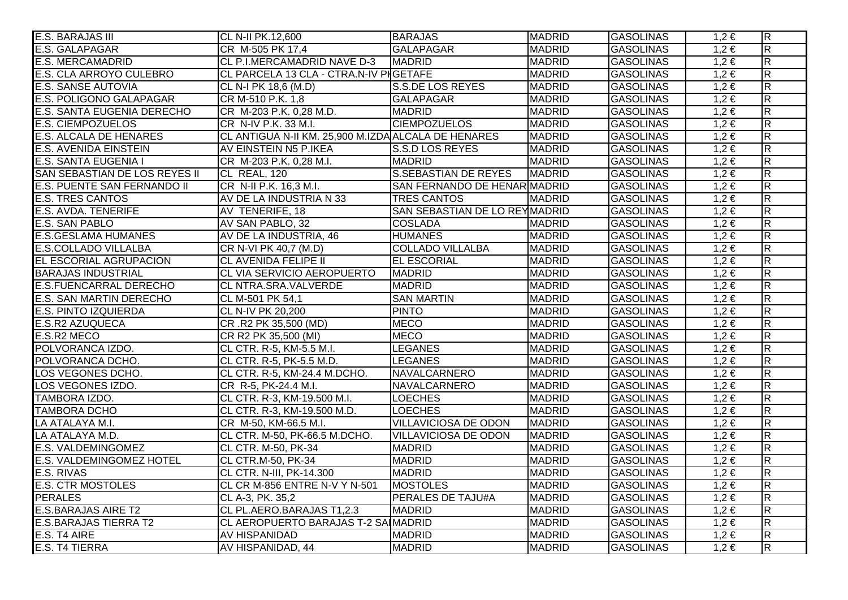| E.S. BARAJAS III                  | CL N-II PK.12,600                                   | <b>BARAJAS</b>                | <b>MADRID</b> | <b>GASOLINAS</b> | $1,2 \in$ | $\overline{R}$          |
|-----------------------------------|-----------------------------------------------------|-------------------------------|---------------|------------------|-----------|-------------------------|
| E.S. GALAPAGAR                    | CR M-505 PK 17,4                                    | GALAPAGAR                     | <b>MADRID</b> | <b>GASOLINAS</b> | $1,2 \in$ | $\overline{\mathsf{R}}$ |
| <b>E.S. MERCAMADRID</b>           | CL P.I.MERCAMADRID NAVE D-3                         | <b>MADRID</b>                 | <b>MADRID</b> | <b>GASOLINAS</b> | $1,2 \in$ | $\overline{\mathsf{R}}$ |
| <b>E.S. CLA ARROYO CULEBRO</b>    | CL PARCELA 13 CLA - CTRA.N-IV PIGETAFE              |                               | <b>MADRID</b> | <b>GASOLINAS</b> | $1,2 \in$ | $\overline{\mathsf{R}}$ |
| <b>E.S. SANSE AUTOVIA</b>         | CL N-I PK 18,6 (M.D)                                | S.S.DE LOS REYES              | <b>MADRID</b> | <b>GASOLINAS</b> | $1,2 \in$ | $\overline{R}$          |
| E.S. POLIGONO GALAPAGAR           | CR M-510 P.K. 1,8                                   | <b>GALAPAGAR</b>              | <b>MADRID</b> | <b>GASOLINAS</b> | $1,2 \in$ | $\overline{\mathsf{R}}$ |
| <b>E.S. SANTA EUGENIA DERECHO</b> | CR M-203 P.K. 0,28 M.D.                             | <b>MADRID</b>                 | <b>MADRID</b> | <b>GASOLINAS</b> | $1,2 \in$ | $\overline{R}$          |
| <b>E.S. CIEMPOZUELOS</b>          | CR N-IV P.K. 33 M.I.                                | <b>CIEMPOZUELOS</b>           | <b>MADRID</b> | <b>GASOLINAS</b> | $1,2 \in$ | $\overline{\mathsf{R}}$ |
| <b>E.S. ALCALA DE HENARES</b>     | CL ANTIGUA N-II KM. 25,900 M.IZDA ALCALA DE HENARES |                               | <b>MADRID</b> | <b>GASOLINAS</b> | $1,2 \in$ | $\overline{\mathsf{R}}$ |
| <b>E.S. AVENIDA EINSTEIN</b>      | AV EINSTEIN N5 P.IKEA                               | S.S.D LOS REYES               | <b>MADRID</b> | <b>GASOLINAS</b> | $1,2 \in$ | $\overline{\mathsf{R}}$ |
| E.S. SANTA EUGENIA I              | CR M-203 P.K. 0,28 M.I.                             | <b>MADRID</b>                 | <b>MADRID</b> | <b>GASOLINAS</b> | $1,2 \in$ | $\overline{\mathsf{R}}$ |
| SAN SEBASTIAN DE LOS REYES II     | CL REAL, 120                                        | <b>S.SEBASTIAN DE REYES</b>   | <b>MADRID</b> | <b>GASOLINAS</b> | $1,2 \in$ | $\overline{\mathsf{R}}$ |
| E.S. PUENTE SAN FERNANDO II       | CR N-II P.K. 16,3 M.I.                              | SAN FERNANDO DE HENAR MADRID  |               | <b>GASOLINAS</b> | $1,2 \in$ | $\overline{\mathsf{R}}$ |
| <b>E.S. TRES CANTOS</b>           | AV DE LA INDUSTRIA N 33                             | TRES CANTOS                   | <b>MADRID</b> | <b>GASOLINAS</b> | $1,2 \in$ | $\overline{R}$          |
| <b>E.S. AVDA. TENERIFE</b>        | AV TENERIFE, 18                                     | SAN SEBASTIAN DE LO REYMADRID |               | <b>GASOLINAS</b> | $1,2 \in$ | $\overline{R}$          |
| E.S. SAN PABLO                    | AV SAN PABLO, 32                                    | <b>COSLADA</b>                | <b>MADRID</b> | <b>GASOLINAS</b> | $1,2 \in$ | $\overline{R}$          |
| <b>E.S.GESLAMA HUMANES</b>        | AV DE LA INDUSTRIA, 46                              | <b>HUMANES</b>                | <b>MADRID</b> | <b>GASOLINAS</b> | $1,2 \in$ | $\overline{\mathsf{R}}$ |
| <b>E.S.COLLADO VILLALBA</b>       | CR N-VI PK 40,7 (M.D)                               | <b>COLLADO VILLALBA</b>       | <b>MADRID</b> | <b>GASOLINAS</b> | $1,2 \in$ | $\overline{\mathsf{R}}$ |
| EL ESCORIAL AGRUPACION            | <b>CL AVENIDA FELIPE II</b>                         | <b>EL ESCORIAL</b>            | <b>MADRID</b> | <b>GASOLINAS</b> | $1,2 \in$ | $\overline{\mathsf{R}}$ |
| <b>BARAJAS INDUSTRIAL</b>         | CL VIA SERVICIO AEROPUERTO                          | <b>MADRID</b>                 | <b>MADRID</b> | <b>GASOLINAS</b> | $1,2 \in$ | $\overline{\mathsf{R}}$ |
| <b>E.S.FUENCARRAL DERECHO</b>     | CL NTRA.SRA.VALVERDE                                | <b>MADRID</b>                 | <b>MADRID</b> | <b>GASOLINAS</b> | $1,2 \in$ | $\overline{\mathsf{R}}$ |
| <b>E.S. SAN MARTIN DERECHO</b>    | CL M-501 PK 54,1                                    | <b>SAN MARTIN</b>             | <b>MADRID</b> | <b>GASOLINAS</b> | $1,2 \in$ | R.                      |
| <b>E.S. PINTO IZQUIERDA</b>       | CL N-IV PK 20,200                                   | <b>PINTO</b>                  | <b>MADRID</b> | <b>GASOLINAS</b> | $1,2 \in$ | $\overline{R}$          |
| <b>E.S.R2 AZUQUECA</b>            | CR.R2 PK 35,500 (MD)                                | <b>MECO</b>                   | <b>MADRID</b> | <b>GASOLINAS</b> | $1,2 \in$ | $\overline{R}$          |
| E.S.R2 MECO                       | CR R2 PK 35,500 (MI)                                | <b>MECO</b>                   | <b>MADRID</b> | <b>GASOLINAS</b> | $1,2 \in$ | R                       |
| POLVORANCA IZDO.                  | CL CTR. R-5, KM-5.5 M.I.                            | <b>LEGANES</b>                | <b>MADRID</b> | <b>GASOLINAS</b> | $1,2 \in$ | $\overline{\mathsf{R}}$ |
| POLVORANCA DCHO.                  | CL CTR. R-5, PK-5.5 M.D.                            | <b>LEGANES</b>                | <b>MADRID</b> | <b>GASOLINAS</b> | $1,2 \in$ | $\overline{\mathsf{R}}$ |
| LOS VEGONES DCHO.                 | CL CTR. R-5, KM-24.4 M.DCHO.                        | NAVALCARNERO                  | <b>MADRID</b> | <b>GASOLINAS</b> | $1,2 \in$ | $\overline{R}$          |
| LOS VEGONES IZDO.                 | CR R-5, PK-24.4 M.I.                                | NAVALCARNERO                  | <b>MADRID</b> | <b>GASOLINAS</b> | $1,2 \in$ | $\overline{\mathsf{R}}$ |
| TAMBORA IZDO.                     | CL CTR. R-3, KM-19.500 M.I.                         | <b>LOECHES</b>                | <b>MADRID</b> | <b>GASOLINAS</b> | $1,2 \in$ | $\overline{\mathsf{R}}$ |
| <b>TAMBORA DCHO</b>               | CL CTR. R-3, KM-19.500 M.D.                         | <b>LOECHES</b>                | <b>MADRID</b> | <b>GASOLINAS</b> | $1,2 \in$ | R                       |
| LA ATALAYA M.I.                   | CR M-50, KM-66.5 M.I.                               | <b>VILLAVICIOSA DE ODON</b>   | <b>MADRID</b> | <b>GASOLINAS</b> | $1,2 \in$ | $\overline{R}$          |
| LA ATALAYA M.D.                   | CL CTR. M-50, PK-66.5 M.DCHO.                       | <b>VILLAVICIOSA DE ODON</b>   | <b>MADRID</b> | <b>GASOLINAS</b> | $1,2 \in$ | $\overline{\mathsf{R}}$ |
| <b>E.S. VALDEMINGOMEZ</b>         | CL CTR. M-50, PK-34                                 | <b>MADRID</b>                 | <b>MADRID</b> | <b>GASOLINAS</b> | $1,2 \in$ | $\overline{\mathsf{R}}$ |
| <b>E.S. VALDEMINGOMEZ HOTEL</b>   | <b>CL CTR.M-50, PK-34</b>                           | <b>MADRID</b>                 | <b>MADRID</b> | <b>GASOLINAS</b> | $1,2 \in$ | $\overline{\mathsf{R}}$ |
| E.S. RIVAS                        | CL CTR. N-III, PK-14.300                            | <b>MADRID</b>                 | <b>MADRID</b> | <b>GASOLINAS</b> | $1,2 \in$ | $\overline{R}$          |
| <b>E.S. CTR MOSTOLES</b>          | CL CR M-856 ENTRE N-V Y N-501                       | <b>MOSTOLES</b>               | <b>MADRID</b> | <b>GASOLINAS</b> | $1,2 \in$ | $\overline{\mathsf{R}}$ |
| <b>PERALES</b>                    | CL A-3, PK. 35,2                                    | <b>PERALES DE TAJU#A</b>      | <b>MADRID</b> | <b>GASOLINAS</b> | $1,2 \in$ | $\overline{\mathsf{R}}$ |
| <b>E.S.BARAJAS AIRE T2</b>        | CL PL.AERO.BARAJAS T1,2.3                           | <b>MADRID</b>                 | <b>MADRID</b> | <b>GASOLINAS</b> | $1,2 \in$ | $\overline{\mathsf{R}}$ |
| <b>E.S.BARAJAS TIERRA T2</b>      | CL AEROPUERTO BARAJAS T-2 SA MADRID                 |                               | <b>MADRID</b> | <b>GASOLINAS</b> | $1,2 \in$ | $\overline{\mathsf{R}}$ |
| E.S. T4 AIRE                      | AV HISPANIDAD                                       | <b>MADRID</b>                 | <b>MADRID</b> | <b>GASOLINAS</b> | $1,2 \in$ | $\overline{\mathsf{R}}$ |
| <b>E.S. T4 TIERRA</b>             | AV HISPANIDAD, 44                                   | <b>MADRID</b>                 | <b>MADRID</b> | <b>GASOLINAS</b> | $1,2 \in$ | $\overline{R}$          |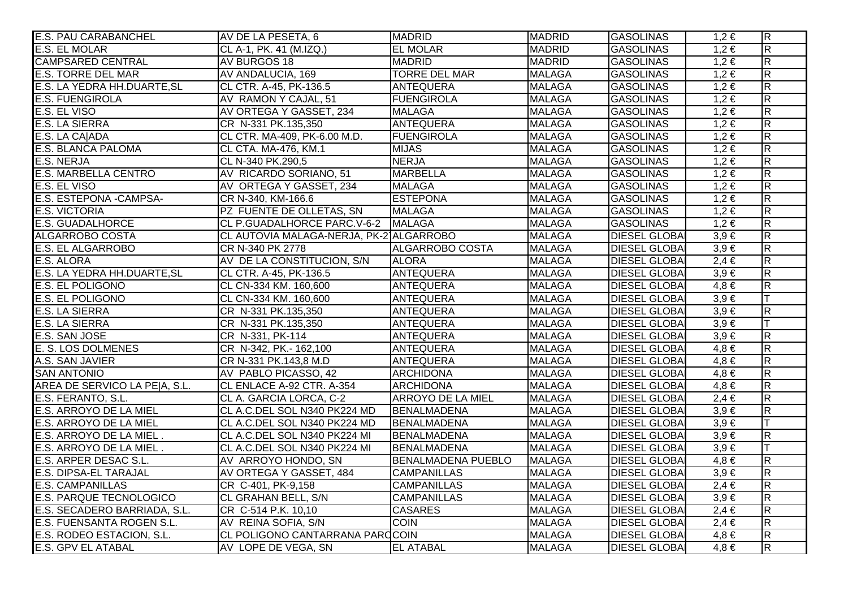| <b>E.S. PAU CARABANCHEL</b>    | AV DE LA PESETA, 6                      | <b>MADRID</b>             | <b>MADRID</b> | <b>GASOLINAS</b>     | $1,2 \in$ | $\overline{R}$          |
|--------------------------------|-----------------------------------------|---------------------------|---------------|----------------------|-----------|-------------------------|
| <b>E.S. EL MOLAR</b>           | CL A-1, PK. 41 (M.IZQ.)                 | <b>EL MOLAR</b>           | <b>MADRID</b> | <b>GASOLINAS</b>     | $1,2 \in$ | $\overline{\mathsf{R}}$ |
| <b>CAMPSARED CENTRAL</b>       | AV BURGOS 18                            | <b>MADRID</b>             | <b>MADRID</b> | <b>GASOLINAS</b>     | $1,2 \in$ | $\overline{\mathsf{R}}$ |
| <b>E.S. TORRE DEL MAR</b>      | AV ANDALUCIA, 169                       | <b>TORRE DEL MAR</b>      | <b>MALAGA</b> | <b>GASOLINAS</b>     | $1,2 \in$ | $\overline{\mathsf{R}}$ |
| E.S. LA YEDRA HH.DUARTE, SL    | CL CTR. A-45, PK-136.5                  | <b>ANTEQUERA</b>          | <b>MALAGA</b> | <b>GASOLINAS</b>     | $1,2 \in$ | $\overline{R}$          |
| <b>E.S. FUENGIROLA</b>         | AV RAMON Y CAJAL, 51                    | <b>FUENGIROLA</b>         | <b>MALAGA</b> | <b>GASOLINAS</b>     | $1,2 \in$ | $\overline{R}$          |
| E.S. EL VISO                   | AV ORTEGA Y GASSET, 234                 | <b>MALAGA</b>             | <b>MALAGA</b> | <b>GASOLINAS</b>     | $1,2 \in$ | $\overline{\mathsf{R}}$ |
| <b>E.S. LA SIERRA</b>          | CR N-331 PK.135,350                     | <b>ANTEQUERA</b>          | <b>MALAGA</b> | <b>GASOLINAS</b>     | $1,2 \in$ | $\overline{\mathsf{R}}$ |
| E.S. LA CA ADA                 | CL CTR. MA-409, PK-6.00 M.D.            | <b>FUENGIROLA</b>         | <b>MALAGA</b> | <b>GASOLINAS</b>     | $1,2 \in$ | $\overline{\mathsf{R}}$ |
| <b>E.S. BLANCA PALOMA</b>      | CL CTA. MA-476, KM.1                    | <b>MIJAS</b>              | <b>MALAGA</b> | <b>GASOLINAS</b>     | $1,2 \in$ | $\overline{R}$          |
| E.S. NERJA                     | CL N-340 PK.290,5                       | <b>NERJA</b>              | <b>MALAGA</b> | <b>GASOLINAS</b>     | $1,2 \in$ | $\overline{\mathsf{R}}$ |
| <b>E.S. MARBELLA CENTRO</b>    | AV RICARDO SORIANO, 51                  | <b>MARBELLA</b>           | <b>MALAGA</b> | <b>GASOLINAS</b>     | $1,2 \in$ | $\overline{R}$          |
| E.S. EL VISO                   | AV ORTEGA Y GASSET, 234                 | <b>MALAGA</b>             | <b>MALAGA</b> | <b>GASOLINAS</b>     | $1,2 \in$ | $\overline{\mathsf{R}}$ |
| E.S. ESTEPONA - CAMPSA-        | CR N-340, KM-166.6                      | <b>ESTEPONA</b>           | <b>MALAGA</b> | <b>GASOLINAS</b>     | $1,2 \in$ | $\overline{\mathsf{R}}$ |
| <b>E.S. VICTORIA</b>           | PZ FUENTE DE OLLETAS, SN                | <b>MALAGA</b>             | <b>MALAGA</b> | <b>GASOLINAS</b>     | $1,2 \in$ | $\overline{R}$          |
| <b>E.S. GUADALHORCE</b>        | CL P.GUADALHORCE PARC.V-6-2 MALAGA      |                           | <b>MALAGA</b> | <b>GASOLINAS</b>     | $1,2 \in$ | $\overline{R}$          |
| ALGARROBO COSTA                | CL AUTOVIA MALAGA-NERJA, PK-21ALGARROBO |                           | <b>MALAGA</b> | <b>DIESEL GLOBAI</b> | $3,9 \in$ | $\overline{R}$          |
| E.S. EL ALGARROBO              | CR N-340 PK 2778                        | ALGARROBO COSTA           | <b>MALAGA</b> | <b>DIESEL GLOBAI</b> | $3,9 \in$ | $\overline{\mathsf{R}}$ |
| E.S. ALORA                     | AV DE LA CONSTITUCION, S/N              | <b>ALORA</b>              | <b>MALAGA</b> | <b>DIESEL GLOBAI</b> | $2,4 \in$ | $\overline{R}$          |
| E.S. LA YEDRA HH.DUARTE, SL    | CL CTR. A-45, PK-136.5                  | <b>ANTEQUERA</b>          | <b>MALAGA</b> | <b>DIESEL GLOBAI</b> | $3,9 \in$ | $\overline{\mathsf{R}}$ |
| <b>E.S. EL POLIGONO</b>        | CL CN-334 KM. 160,600                   | <b>ANTEQUERA</b>          | <b>MALAGA</b> | <b>DIESEL GLOBAI</b> | $4,8 \in$ | $\overline{\mathsf{R}}$ |
| <b>E.S. EL POLIGONO</b>        | CL CN-334 KM. 160,600                   | <b>ANTEQUERA</b>          | <b>MALAGA</b> | <b>DIESEL GLOBAI</b> | $3,9 \in$ |                         |
| <b>E.S. LA SIERRA</b>          | CR N-331 PK.135,350                     | <b>ANTEQUERA</b>          | <b>MALAGA</b> | <b>DIESEL GLOBAI</b> | $3,9 \in$ | $\overline{\mathsf{R}}$ |
| <b>E.S. LA SIERRA</b>          | CR N-331 PK.135,350                     | <b>ANTEQUERA</b>          | <b>MALAGA</b> | <b>DIESEL GLOBAI</b> | $3,9 \in$ | lΤ                      |
| E.S. SAN JOSE                  | CR N-331, PK-114                        | <b>ANTEQUERA</b>          | <b>MALAGA</b> | <b>DIESEL GLOBAI</b> | $3.9 \in$ | $\overline{R}$          |
| E. S. LOS DOLMENES             | CR N-342, PK.- 162,100                  | <b>ANTEQUERA</b>          | <b>MALAGA</b> | <b>DIESEL GLOBAI</b> | $4,8 \in$ | $\overline{R}$          |
| A.S. SAN JAVIER                | CR N-331 PK.143,8 M.D                   | <b>ANTEQUERA</b>          | <b>MALAGA</b> | <b>DIESEL GLOBAI</b> | $4,8 \in$ | $\overline{R}$          |
| <b>SAN ANTONIO</b>             | AV PABLO PICASSO, 42                    | <b>ARCHIDONA</b>          | <b>MALAGA</b> | <b>DIESEL GLOBAI</b> | $4,8 \in$ | $\overline{\mathsf{R}}$ |
| AREA DE SERVICO LA PE A, S.L.  | CL ENLACE A-92 CTR. A-354               | <b>ARCHIDONA</b>          | <b>MALAGA</b> | <b>DIESEL GLOBAI</b> | $4,8 \in$ | $\overline{R}$          |
| E.S. FERANTO, S.L.             | CL A. GARCIA LORCA, C-2                 | <b>ARROYO DE LA MIEL</b>  | <b>MALAGA</b> | <b>DIESEL GLOBA</b>  | $2,4 \in$ | $\overline{\mathsf{R}}$ |
| E.S. ARROYO DE LA MIEL         | CL A.C.DEL SOL N340 PK224 MD            | <b>BENALMADENA</b>        | <b>MALAGA</b> | <b>DIESEL GLOBAI</b> | $3,9 \in$ | R.                      |
| E.S. ARROYO DE LA MIEL         | CL A.C.DEL SOL N340 PK224 MD            | BENALMADENA               | <b>MALAGA</b> | <b>DIESEL GLOBAI</b> | $3,9 \in$ |                         |
| E.S. ARROYO DE LA MIEL.        | CL A.C.DEL SOL N340 PK224 MI            | <b>BENALMADENA</b>        | <b>MALAGA</b> | <b>DIESEL GLOBAI</b> | $3,9 \in$ | $\overline{R}$          |
| E.S. ARROYO DE LA MIEL.        | CL A.C.DEL SOL N340 PK224 MI            | BENALMADENA               | <b>MALAGA</b> | <b>DIESEL GLOBAI</b> | $3.9 \in$ | T                       |
| E.S. ARPER DESAC S.L.          | AV ARROYO HONDO, SN                     | <b>BENALMADENA PUEBLO</b> | <b>MALAGA</b> | <b>DIESEL GLOBAI</b> | $4,8 \in$ | $\overline{\mathsf{R}}$ |
| E.S. DIPSA-EL TARAJAL          | AV ORTEGA Y GASSET, 484                 | <b>CAMPANILLAS</b>        | <b>MALAGA</b> | <b>DIESEL GLOBAI</b> | $3,9 \in$ | $\overline{\mathsf{R}}$ |
| <b>E.S. CAMPANILLAS</b>        | CR C-401, PK-9,158                      | <b>CAMPANILLAS</b>        | <b>MALAGA</b> | <b>DIESEL GLOBAI</b> | $2,4 \in$ | $\overline{\mathsf{R}}$ |
| <b>E.S. PARQUE TECNOLOGICO</b> | <b>CL GRAHAN BELL, S/N</b>              | <b>CAMPANILLAS</b>        | <b>MALAGA</b> | <b>DIESEL GLOBAI</b> | $3,9 \in$ | $\overline{\mathsf{R}}$ |
| E.S. SECADERO BARRIADA, S.L.   | CR C-514 P.K. 10,10                     | <b>CASARES</b>            | <b>MALAGA</b> | <b>DIESEL GLOBAI</b> | $2,4 \in$ | $\overline{\mathsf{R}}$ |
| E.S. FUENSANTA ROGEN S.L.      | AV REINA SOFIA, S/N                     | <b>COIN</b>               | <b>MALAGA</b> | <b>DIESEL GLOBAI</b> | $2,4 \in$ | $\overline{\mathsf{R}}$ |
| E.S. RODEO ESTACION, S.L.      | CL POLIGONO CANTARRANA PARCCOIN         |                           | <b>MALAGA</b> | <b>DIESEL GLOBAI</b> | $4,8 \in$ | $\overline{\mathsf{R}}$ |
| <b>E.S. GPV EL ATABAL</b>      | AV LOPE DE VEGA, SN                     | <b>EL ATABAL</b>          | <b>MALAGA</b> | <b>DIESEL GLOBAI</b> | $4,8 \in$ | R.                      |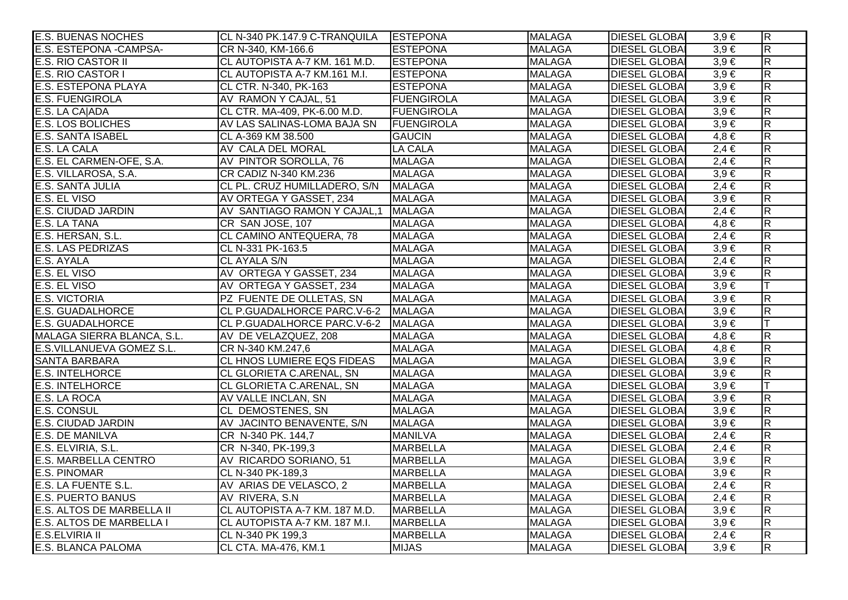| <b>E.S. BUENAS NOCHES</b>        | CL N-340 PK.147.9 C-TRANQUILA ESTEPONA |                   | <b>MALAGA</b> | <b>DIESEL GLOBAI</b> | $3,9 \in$ | $\overline{\mathsf{R}}$ |
|----------------------------------|----------------------------------------|-------------------|---------------|----------------------|-----------|-------------------------|
| E.S. ESTEPONA - CAMPSA-          | CR N-340, KM-166.6                     | <b>ESTEPONA</b>   | <b>MALAGA</b> | <b>DIESEL GLOBA</b>  | $3,9 \in$ | $\overline{\mathbf{z}}$ |
| E.S. RIO CASTOR II               | CL AUTOPISTA A-7 KM. 161 M.D.          | <b>ESTEPONA</b>   | <b>MALAGA</b> | <b>DIESEL GLOBAI</b> | $3,9 \in$ | $\overline{\mathsf{R}}$ |
| E.S. RIO CASTOR I                | CL AUTOPISTA A-7 KM.161 M.I.           | <b>ESTEPONA</b>   | <b>MALAGA</b> | <b>DIESEL GLOBA</b>  | $3,9 \in$ | $\overline{\mathsf{R}}$ |
| <b>E.S. ESTEPONA PLAYA</b>       | CL CTR. N-340, PK-163                  | <b>ESTEPONA</b>   | <b>MALAGA</b> | <b>DIESEL GLOBA</b>  | $3,9 \in$ | $\overline{R}$          |
| <b>E.S. FUENGIROLA</b>           | AV RAMON Y CAJAL, 51                   | <b>FUENGIROLA</b> | <b>MALAGA</b> | <b>DIESEL GLOBAI</b> | $3,9 \in$ | $\overline{\mathsf{R}}$ |
| E.S. LA CA ADA                   | CL CTR. MA-409, PK-6.00 M.D.           | <b>FUENGIROLA</b> | <b>MALAGA</b> | <b>DIESEL GLOBAI</b> | $3,9 \in$ | $\overline{R}$          |
| E.S. LOS BOLICHES                | AV LAS SALINAS-LOMA BAJA SN            | <b>FUENGIROLA</b> | <b>MALAGA</b> | <b>DIESEL GLOBA</b>  | $3,9 \in$ | $\overline{\mathsf{R}}$ |
| <b>E.S. SANTA ISABEL</b>         | CL A-369 KM 38.500                     | <b>GAUCIN</b>     | <b>MALAGA</b> | <b>DIESEL GLOBA</b>  | $4,8 \in$ | $\overline{\mathsf{R}}$ |
| E.S. LA CALA                     | AV CALA DEL MORAL                      | <b>LA CALA</b>    | <b>MALAGA</b> | <b>DIESEL GLOBA</b>  | $2,4 \in$ | $\overline{R}$          |
| E.S. EL CARMEN-OFE, S.A.         | AV PINTOR SOROLLA, 76                  | <b>MALAGA</b>     | <b>MALAGA</b> | <b>DIESEL GLOBA</b>  | $2,4 \in$ | $\overline{R}$          |
| E.S. VILLAROSA, S.A.             | CR CADIZ N-340 KM.236                  | <b>MALAGA</b>     | <b>MALAGA</b> | <b>DIESEL GLOBA</b>  | $3,9 \in$ | $\overline{\mathbf{z}}$ |
| E.S. SANTA JULIA                 | CL PL. CRUZ HUMILLADERO, S/N           | <b>MALAGA</b>     | <b>MALAGA</b> | <b>DIESEL GLOBAI</b> | $2,4 \in$ | $\overline{\mathsf{R}}$ |
| E.S. EL VISO                     | AV ORTEGA Y GASSET, 234                | <b>MALAGA</b>     | <b>MALAGA</b> | <b>DIESEL GLOBA</b>  | $3,9 \in$ | $\overline{\mathsf{R}}$ |
| E.S. CIUDAD JARDIN               | AV SANTIAGO RAMON Y CAJAL,1 MALAGA     |                   | <b>MALAGA</b> | <b>DIESEL GLOBAI</b> | $2,4 \in$ | $\overline{\mathsf{R}}$ |
| E.S. LA TANA                     | CR SAN JOSE, 107                       | <b>MALAGA</b>     | <b>MALAGA</b> | <b>DIESEL GLOBA</b>  | $4,8 \in$ | $\overline{\mathsf{R}}$ |
| E.S. HERSAN, S.L.                | CL CAMINO ANTEQUERA, 78                | <b>MALAGA</b>     | <b>MALAGA</b> | <b>DIESEL GLOBA</b>  | $2,4 \in$ | $\overline{\mathsf{R}}$ |
| <b>E.S. LAS PEDRIZAS</b>         | CL N-331 PK-163.5                      | <b>MALAGA</b>     | <b>MALAGA</b> | <b>DIESEL GLOBAL</b> | $3,9 \in$ | $\overline{\mathsf{R}}$ |
| E.S. AYALA                       | CL AYALA S/N                           | <b>MALAGA</b>     | <b>MALAGA</b> | <b>DIESEL GLOBA</b>  | $2,4 \in$ | $\overline{\mathsf{R}}$ |
| E.S. EL VISO                     | AV ORTEGA Y GASSET, 234                | <b>MALAGA</b>     | <b>MALAGA</b> | <b>DIESEL GLOBA</b>  | $3,9 \in$ | $\overline{R}$          |
| E.S. EL VISO                     | AV ORTEGA Y GASSET, 234                | <b>MALAGA</b>     | <b>MALAGA</b> | <b>DIESEL GLOBA</b>  | $3,9 \in$ |                         |
| <b>E.S. VICTORIA</b>             | PZ FUENTE DE OLLETAS, SN               | <b>MALAGA</b>     | <b>MALAGA</b> | <b>DIESEL GLOBA</b>  | $3,9 \in$ | $\overline{R}$          |
| <b>E.S. GUADALHORCE</b>          | CL P.GUADALHORCE PARC.V-6-2 MALAGA     |                   | <b>MALAGA</b> | <b>DIESEL GLOBA</b>  | $3,9 \in$ | $\overline{\mathbf{z}}$ |
| <b>E.S. GUADALHORCE</b>          | CL P.GUADALHORCE PARC.V-6-2 MALAGA     |                   | <b>MALAGA</b> | <b>DIESEL GLOBA</b>  | $3,9 \in$ | T                       |
| MALAGA SIERRA BLANCA, S.L.       | AV DE VELAZQUEZ, 208                   | <b>MALAGA</b>     | <b>MALAGA</b> | <b>DIESEL GLOBAI</b> | $4,8 \in$ | $\overline{R}$          |
| E.S.VILLANUEVA GOMEZ S.L.        | CR N-340 KM.247,6                      | <b>MALAGA</b>     | <b>MALAGA</b> | <b>DIESEL GLOBA</b>  | $4,8 \in$ | $\overline{R}$          |
| <b>SANTA BARBARA</b>             | <b>CL HNOS LUMIERE EQS FIDEAS</b>      | <b>MALAGA</b>     | <b>MALAGA</b> | <b>DIESEL GLOBAI</b> | $3,9 \in$ | $\overline{\mathsf{R}}$ |
| <b>E.S. INTELHORCE</b>           | CL GLORIETA C.ARENAL, SN               | <b>MALAGA</b>     | <b>MALAGA</b> | <b>DIESEL GLOBA</b>  | $3,9 \in$ | $\overline{\mathsf{R}}$ |
| <b>E.S. INTELHORCE</b>           | CL GLORIETA C.ARENAL, SN               | <b>MALAGA</b>     | <b>MALAGA</b> | <b>DIESEL GLOBA</b>  | $3,9 \in$ |                         |
| E.S. LA ROCA                     | AV VALLE INCLAN, SN                    | <b>MALAGA</b>     | <b>MALAGA</b> | <b>DIESEL GLOBA</b>  | $3,9 \in$ | $\overline{\mathbf{z}}$ |
| <b>E.S. CONSUL</b>               | CL DEMOSTENES, SN                      | <b>MALAGA</b>     | <b>MALAGA</b> | <b>DIESEL GLOBAI</b> | $3,9 \in$ | $\overline{\mathbf{z}}$ |
| <b>E.S. CIUDAD JARDIN</b>        | AV JACINTO BENAVENTE, S/N              | <b>MALAGA</b>     | <b>MALAGA</b> | <b>DIESEL GLOBAI</b> | $3,9 \in$ | $\overline{\mathsf{R}}$ |
| <b>E.S. DE MANILVA</b>           | CR N-340 PK. 144,7                     | <b>MANILVA</b>    | <b>MALAGA</b> | <b>DIESEL GLOBA</b>  | $2,4 \in$ | $\overline{\mathsf{R}}$ |
| E.S. ELVIRIA, S.L.               | CR N-340, PK-199,3                     | <b>MARBELLA</b>   | <b>MALAGA</b> | <b>DIESEL GLOBA</b>  | $2,4 \in$ | $\overline{\mathsf{R}}$ |
| <b>E.S. MARBELLA CENTRO</b>      | AV RICARDO SORIANO, 51                 | <b>MARBELLA</b>   | <b>MALAGA</b> | <b>DIESEL GLOBA</b>  | $3,9 \in$ | $\overline{\mathsf{R}}$ |
| <b>E.S. PINOMAR</b>              | CL N-340 PK-189,3                      | <b>MARBELLA</b>   | <b>MALAGA</b> | <b>DIESEL GLOBA</b>  | $3,9 \in$ | $\overline{\mathsf{R}}$ |
| <b>E.S. LA FUENTE S.L.</b>       | AV ARIAS DE VELASCO, 2                 | <b>MARBELLA</b>   | <b>MALAGA</b> | <b>DIESEL GLOBA</b>  | $2,4 \in$ | $\overline{\mathsf{R}}$ |
| <b>E.S. PUERTO BANUS</b>         | AV RIVERA, S.N.                        | <b>MARBELLA</b>   | <b>MALAGA</b> | <b>DIESEL GLOBA</b>  | $2,4 \in$ | $\overline{\mathsf{R}}$ |
| <b>E.S. ALTOS DE MARBELLA II</b> | CL AUTOPISTA A-7 KM. 187 M.D.          | <b>MARBELLA</b>   | <b>MALAGA</b> | <b>DIESEL GLOBA</b>  | $3,9 \in$ | $\overline{\mathsf{R}}$ |
| E.S. ALTOS DE MARBELLA I         | CL AUTOPISTA A-7 KM. 187 M.I.          | <b>MARBELLA</b>   | <b>MALAGA</b> | <b>DIESEL GLOBA</b>  | $3,9 \in$ | $\overline{\mathbf{z}}$ |
| <b>E.S.ELVIRIA II</b>            | CL N-340 PK 199,3                      | <b>MARBELLA</b>   | <b>MALAGA</b> | <b>DIESEL GLOBAI</b> | $2,4 \in$ | $\overline{R}$          |
| E.S. BLANCA PALOMA               | CL CTA. MA-476, KM.1                   | <b>MIJAS</b>      | <b>MALAGA</b> | <b>DIESEL GLOBAI</b> | $3,9 \in$ | $\overline{\mathbf{z}}$ |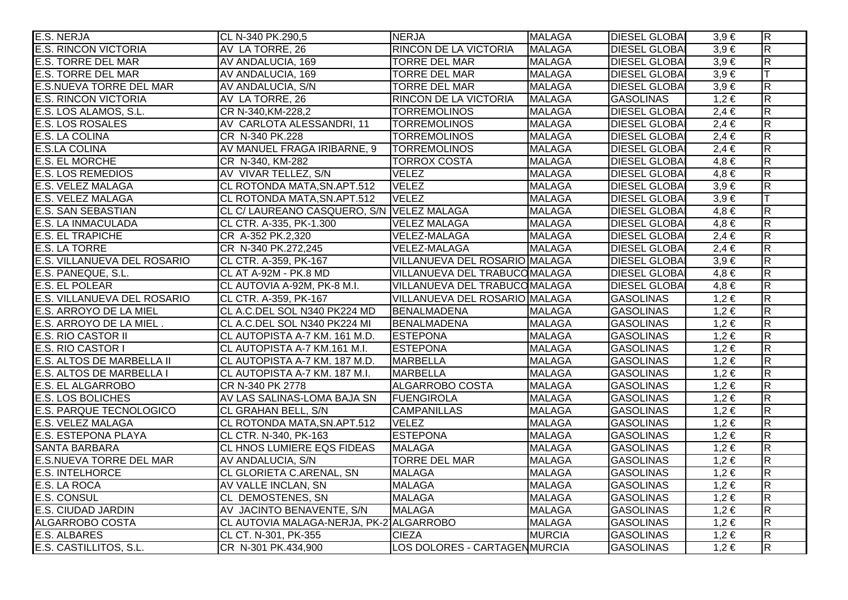| E.S. NERJA                     | CL N-340 PK.290,5                         | <b>NERJA</b>                  | <b>MALAGA</b> | <b>DIESEL GLOBAL</b> | $3,9 \in$ | $\overline{\mathsf{R}}$ |
|--------------------------------|-------------------------------------------|-------------------------------|---------------|----------------------|-----------|-------------------------|
| <b>E.S. RINCON VICTORIA</b>    | AV LA TORRE, 26                           | RINCON DE LA VICTORIA         | <b>MALAGA</b> | <b>DIESEL GLOBA</b>  | $3,9 \in$ | $\overline{\mathsf{R}}$ |
| <b>E.S. TORRE DEL MAR</b>      | AV ANDALUCIA, 169                         | <b>TORRE DEL MAR</b>          | <b>MALAGA</b> | <b>DIESEL GLOBAI</b> | $3,9 \in$ | $\overline{\mathsf{R}}$ |
| <b>E.S. TORRE DEL MAR</b>      | AV ANDALUCIA, 169                         | <b>TORRE DEL MAR</b>          | <b>MALAGA</b> | <b>DIESEL GLOBAI</b> | $3,9 \in$ | $\top$                  |
| <b>E.S.NUEVA TORRE DEL MAR</b> | AV ANDALUCIA, S/N                         | <b>TORRE DEL MAR</b>          | <b>MALAGA</b> | <b>DIESEL GLOBAI</b> | $3,9 \in$ | $\overline{\mathsf{R}}$ |
| <b>E.S. RINCON VICTORIA</b>    | AV LA TORRE, 26                           | RINCON DE LA VICTORIA         | <b>MALAGA</b> | <b>GASOLINAS</b>     | $1,2 \in$ | $\overline{R}$          |
| E.S. LOS ALAMOS, S.L.          | CR N-340, KM-228, 2                       | <b>TORREMOLINOS</b>           | <b>MALAGA</b> | <b>DIESEL GLOBAI</b> | $2,4 \in$ | $\overline{\mathsf{R}}$ |
| <b>E.S. LOS ROSALES</b>        | AV CARLOTA ALESSANDRI, 11                 | <b>TORREMOLINOS</b>           | <b>MALAGA</b> | <b>DIESEL GLOBAL</b> | $2,4 \in$ | $\overline{\mathsf{R}}$ |
| E.S. LA COLINA                 | CR N-340 PK.228                           | <b>TORREMOLINOS</b>           | <b>MALAGA</b> | <b>DIESEL GLOBAI</b> | $2,4 \in$ | $\overline{\mathsf{R}}$ |
| <b>E.S.LA COLINA</b>           | AV MANUEL FRAGA IRIBARNE, 9               | <b>TORREMOLINOS</b>           | <b>MALAGA</b> | <b>DIESEL GLOBAI</b> | $2,4 \in$ | $\overline{R}$          |
| <b>E.S. EL MORCHE</b>          | CR N-340, KM-282                          | <b>TORROX COSTA</b>           | <b>MALAGA</b> | <b>DIESEL GLOBAI</b> | $4,8 \in$ | $\overline{\mathsf{R}}$ |
| <b>E.S. LOS REMEDIOS</b>       | AV VIVAR TELLEZ, S/N                      | <b>VELEZ</b>                  | <b>MALAGA</b> | <b>DIESEL GLOBAI</b> | $4,8 \in$ | $\overline{\mathsf{R}}$ |
| E.S. VELEZ MALAGA              | CL ROTONDA MATA, SN.APT.512               | <b>VELEZ</b>                  | <b>MALAGA</b> | <b>DIESEL GLOBAI</b> | $3,9 \in$ | $\overline{R}$          |
| <b>E.S. VELEZ MALAGA</b>       | CL ROTONDA MATA, SN.APT.512               | <b>VELEZ</b>                  | <b>MALAGA</b> | <b>DIESEL GLOBA</b>  | $3,9 \in$ | lΤ                      |
| <b>E.S. SAN SEBASTIAN</b>      | CL C/ LAUREANO CASQUERO, S/N VELEZ MALAGA |                               | <b>MALAGA</b> | <b>DIESEL GLOBAI</b> | $4,8 \in$ | $\overline{R}$          |
| <b>E.S. LA INMACULADA</b>      | CL CTR. A-335, PK-1.300                   | <b>VELEZ MALAGA</b>           | <b>MALAGA</b> | <b>DIESEL GLOBAI</b> | $4,8 \in$ | $\overline{\mathsf{R}}$ |
| <b>E.S. EL TRAPICHE</b>        | CR A-352 PK.2,320                         | VELEZ-MALAGA                  | <b>MALAGA</b> | <b>DIESEL GLOBAI</b> | $2,4 \in$ | $\overline{R}$          |
| <b>E.S. LA TORRE</b>           | CR N-340 PK.272,245                       | VELEZ-MALAGA                  | <b>MALAGA</b> | <b>DIESEL GLOBAI</b> | $2,4 \in$ | $\overline{\mathsf{R}}$ |
| E.S. VILLANUEVA DEL ROSARIO    | CL CTR. A-359, PK-167                     | VILLANUEVA DEL ROSARIO MALAGA |               | <b>DIESEL GLOBAI</b> | $3,9 \in$ | $\overline{\mathsf{R}}$ |
| E.S. PANEQUE, S.L.             | CL AT A-92M - PK.8 MD                     | VILLANUEVA DEL TRABUCOMALAGA  |               | <b>DIESEL GLOBAI</b> | $4,8 \in$ | $\overline{\mathsf{R}}$ |
| <b>E.S. EL POLEAR</b>          | CL AUTOVIA A-92M, PK-8 M.I.               | VILLANUEVA DEL TRABUCOMALAGA  |               | <b>DIESEL GLOBAI</b> | $4,8 \in$ | $\overline{\mathsf{R}}$ |
| E.S. VILLANUEVA DEL ROSARIO    | CL CTR. A-359, PK-167                     | VILLANUEVA DEL ROSARIO MALAGA |               | <b>GASOLINAS</b>     | $1,2 \in$ | $\overline{R}$          |
| E.S. ARROYO DE LA MIEL         | CL A.C.DEL SOL N340 PK224 MD              | <b>BENALMADENA</b>            | <b>MALAGA</b> | <b>GASOLINAS</b>     | $1,2 \in$ | $\overline{R}$          |
| E.S. ARROYO DE LA MIEL.        | CL A.C.DEL SOL N340 PK224 MI              | BENALMADENA                   | <b>MALAGA</b> | <b>GASOLINAS</b>     | $1,2 \in$ | $\overline{R}$          |
| <b>E.S. RIO CASTOR II</b>      | CL AUTOPISTA A-7 KM. 161 M.D.             | <b>ESTEPONA</b>               | <b>MALAGA</b> | <b>GASOLINAS</b>     | $1,2 \in$ | $\overline{\mathsf{R}}$ |
| <b>E.S. RIO CASTOR I</b>       | CL AUTOPISTA A-7 KM.161 M.I.              | <b>ESTEPONA</b>               | <b>MALAGA</b> | <b>GASOLINAS</b>     | $1,2 \in$ | $\overline{\mathsf{R}}$ |
| E.S. ALTOS DE MARBELLA II      | CL AUTOPISTA A-7 KM. 187 M.D.             | <b>MARBELLA</b>               | <b>MALAGA</b> | <b>GASOLINAS</b>     | $1,2 \in$ | $\overline{R}$          |
| E.S. ALTOS DE MARBELLA I       | CL AUTOPISTA A-7 KM. 187 M.I.             | <b>MARBELLA</b>               | <b>MALAGA</b> | <b>GASOLINAS</b>     | $1,2 \in$ | $\overline{\mathsf{R}}$ |
| <b>E.S. EL ALGARROBO</b>       | CR N-340 PK 2778                          | ALGARROBO COSTA               | <b>MALAGA</b> | <b>GASOLINAS</b>     | $1,2 \in$ | $\overline{R}$          |
| <b>E.S. LOS BOLICHES</b>       | AV LAS SALINAS-LOMA BAJA SN               | FUENGIROLA                    | <b>MALAGA</b> | <b>GASOLINAS</b>     | $1,2 \in$ | $\overline{\mathsf{R}}$ |
| <b>E.S. PARQUE TECNOLOGICO</b> | CL GRAHAN BELL, S/N                       | <b>CAMPANILLAS</b>            | <b>MALAGA</b> | <b>GASOLINAS</b>     | $1,2 \in$ | $\overline{R}$          |
| <b>E.S. VELEZ MALAGA</b>       | CL ROTONDA MATA, SN. APT. 512             | <b>VELEZ</b>                  | <b>MALAGA</b> | <b>GASOLINAS</b>     | $1,2 \in$ | $\overline{R}$          |
| <b>E.S. ESTEPONA PLAYA</b>     | CL CTR. N-340, PK-163                     | <b>ESTEPONA</b>               | <b>MALAGA</b> | <b>GASOLINAS</b>     | $1,2 \in$ | $\overline{\mathsf{R}}$ |
| <b>SANTA BARBARA</b>           | CL HNOS LUMIERE EQS FIDEAS                | <b>MALAGA</b>                 | <b>MALAGA</b> | <b>GASOLINAS</b>     | $1,2 \in$ | $\overline{\mathsf{R}}$ |
| <b>E.S.NUEVA TORRE DEL MAR</b> | AV ANDALUCIA, S/N                         | <b>TORRE DEL MAR</b>          | <b>MALAGA</b> | <b>GASOLINAS</b>     | $1,2 \in$ | $\overline{\mathsf{R}}$ |
| <b>E.S. INTELHORCE</b>         | CL GLORIETA C.ARENAL, SN                  | <b>MALAGA</b>                 | <b>MALAGA</b> | <b>GASOLINAS</b>     | $1,2 \in$ | $\overline{\mathsf{R}}$ |
| E.S. LA ROCA                   | AV VALLE INCLAN, SN                       | <b>MALAGA</b>                 | <b>MALAGA</b> | <b>GASOLINAS</b>     | $1,2 \in$ | $\overline{\mathsf{R}}$ |
| <b>E.S. CONSUL</b>             | CL DEMOSTENES, SN                         | <b>MALAGA</b>                 | <b>MALAGA</b> | <b>GASOLINAS</b>     | $1,2 \in$ | $\overline{\mathsf{R}}$ |
| <b>E.S. CIUDAD JARDIN</b>      | AV JACINTO BENAVENTE, S/N                 | <b>MALAGA</b>                 | <b>MALAGA</b> | <b>GASOLINAS</b>     | $1,2 \in$ | $\overline{\mathsf{R}}$ |
| <b>ALGARROBO COSTA</b>         | CL AUTOVIA MALAGA-NERJA, PK-21ALGARROBO   |                               | <b>MALAGA</b> | <b>GASOLINAS</b>     | $1,2 \in$ | $\overline{\mathsf{R}}$ |
| <b>E.S. ALBARES</b>            | CL CT. N-301, PK-355                      | <b>CIEZA</b>                  | <b>MURCIA</b> | <b>GASOLINAS</b>     | $1,2 \in$ | $\overline{\mathsf{R}}$ |
| E.S. CASTILLITOS, S.L.         | CR N-301 PK.434,900                       | LOS DOLORES - CARTAGENMURCIA  |               | <b>GASOLINAS</b>     | $1,2 \in$ | $\overline{\mathsf{R}}$ |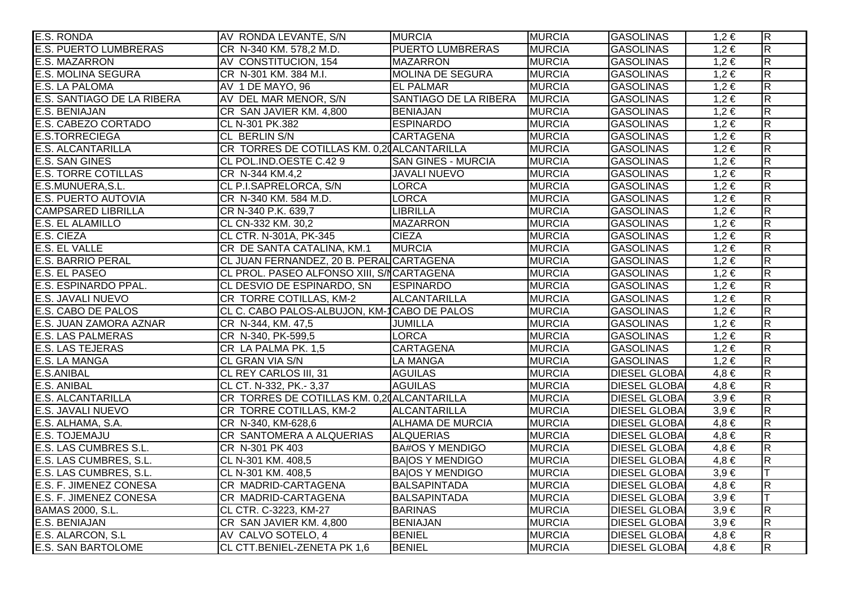| E.S. RONDA                   | AV RONDA LEVANTE, S/N                       | <b>MURCIA</b>             | <b>MURCIA</b> | <b>GASOLINAS</b>     | $1,2 \in$ | $\overline{\mathsf{R}}$ |
|------------------------------|---------------------------------------------|---------------------------|---------------|----------------------|-----------|-------------------------|
| <b>E.S. PUERTO LUMBRERAS</b> | CR N-340 KM. 578,2 M.D.                     | <b>PUERTO LUMBRERAS</b>   | <b>MURCIA</b> | <b>GASOLINAS</b>     | $1,2 \in$ | $\overline{\mathsf{R}}$ |
| <b>E.S. MAZARRON</b>         | AV CONSTITUCION, 154                        | <b>MAZARRON</b>           | <b>MURCIA</b> | <b>GASOLINAS</b>     | $1,2 \in$ | $\overline{\mathsf{R}}$ |
| <b>E.S. MOLINA SEGURA</b>    | CR N-301 KM. 384 M.I.                       | <b>MOLINA DE SEGURA</b>   | <b>MURCIA</b> | <b>GASOLINAS</b>     | $1,2 \in$ | $\overline{\mathsf{R}}$ |
| <b>E.S. LA PALOMA</b>        | AV 1 DE MAYO, 96                            | <b>EL PALMAR</b>          | <b>MURCIA</b> | <b>GASOLINAS</b>     | $1,2 \in$ | $\overline{\mathsf{R}}$ |
| E.S. SANTIAGO DE LA RIBERA   | AV DEL MAR MENOR, S/N                       | SANTIAGO DE LA RIBERA     | <b>MURCIA</b> | <b>GASOLINAS</b>     | $1,2 \in$ | $\overline{\mathsf{R}}$ |
| <b>E.S. BENIAJAN</b>         | CR SAN JAVIER KM. 4,800                     | <b>BENIAJAN</b>           | <b>MURCIA</b> | <b>GASOLINAS</b>     | $1,2 \in$ | $\overline{\mathsf{R}}$ |
| E.S. CABEZO CORTADO          | CL N-301 PK.382                             | <b>ESPINARDO</b>          | <b>MURCIA</b> | <b>GASOLINAS</b>     | $1,2 \in$ | $\overline{\mathsf{R}}$ |
| <b>E.S.TORRECIEGA</b>        | CL BERLIN S/N                               | <b>CARTAGENA</b>          | <b>MURCIA</b> | <b>GASOLINAS</b>     | $1,2 \in$ | $\overline{\mathsf{R}}$ |
| <b>E.S. ALCANTARILLA</b>     | CR TORRES DE COTILLAS KM. 0,20 ALCANTARILLA |                           | <b>MURCIA</b> | <b>GASOLINAS</b>     | $1,2 \in$ | $\overline{R}$          |
| <b>E.S. SAN GINES</b>        | CL POL.IND.OESTE C.429                      | <b>SAN GINES - MURCIA</b> | <b>MURCIA</b> | <b>GASOLINAS</b>     | $1,2 \in$ | $\overline{\mathsf{R}}$ |
| <b>E.S. TORRE COTILLAS</b>   | CR N-344 KM.4,2                             | <b>JAVALI NUEVO</b>       | <b>MURCIA</b> | <b>GASOLINAS</b>     | $1,2 \in$ | $\overline{R}$          |
| E.S.MUNUERA, S.L.            | CL P.I.SAPRELORCA, S/N                      | <b>LORCA</b>              | <b>MURCIA</b> | <b>GASOLINAS</b>     | $1,2 \in$ | $\overline{\mathsf{R}}$ |
| <b>E.S. PUERTO AUTOVIA</b>   | CR N-340 KM. 584 M.D.                       | <b>LORCA</b>              | <b>MURCIA</b> | <b>GASOLINAS</b>     | $1,2 \in$ | $\overline{R}$          |
| <b>CAMPSARED LIBRILLA</b>    | CR N-340 P.K. 639,7                         | <b>LIBRILLA</b>           | <b>MURCIA</b> | <b>GASOLINAS</b>     | $1,2 \in$ | $\overline{\mathsf{R}}$ |
| <b>E.S. EL ALAMILLO</b>      | CL CN-332 KM. 30,2                          | <b>MAZARRON</b>           | <b>MURCIA</b> | <b>GASOLINAS</b>     | $1,2 \in$ | $\overline{\mathsf{R}}$ |
| E.S. CIEZA                   | CL CTR. N-301A, PK-345                      | <b>CIEZA</b>              | <b>MURCIA</b> | <b>GASOLINAS</b>     | $1,2 \in$ | $\overline{R}$          |
| E.S. EL VALLE                | CR DE SANTA CATALINA, KM.1                  | <b>MURCIA</b>             | <b>MURCIA</b> | <b>GASOLINAS</b>     | $1,2 \in$ | $\overline{\mathsf{R}}$ |
| <b>E.S. BARRIO PERAL</b>     | CL JUAN FERNANDEZ, 20 B. PERAL CARTAGENA    |                           | <b>MURCIA</b> | <b>GASOLINAS</b>     | $1,2 \in$ | $\overline{R}$          |
| E.S. EL PASEO                | CL PROL. PASEO ALFONSO XIII, S/NCARTAGENA   |                           | <b>MURCIA</b> | <b>GASOLINAS</b>     | $1,2 \in$ | $\overline{R}$          |
| E.S. ESPINARDO PPAL.         | CL DESVIO DE ESPINARDO, SN                  | <b>ESPINARDO</b>          | <b>MURCIA</b> | <b>GASOLINAS</b>     | $1,2 \in$ | $\overline{R}$          |
| <b>E.S. JAVALI NUEVO</b>     | CR TORRE COTILLAS, KM-2                     | <b>ALCANTARILLA</b>       | <b>MURCIA</b> | <b>GASOLINAS</b>     | $1,2 \in$ | $\overline{\mathsf{R}}$ |
| E.S. CABO DE PALOS           | CL C. CABO PALOS-ALBUJON, KM-1CABO DE PALOS |                           | <b>MURCIA</b> | <b>GASOLINAS</b>     | $1,2 \in$ | $\overline{R}$          |
| E.S. JUAN ZAMORA AZNAR       | CR N-344, KM. 47,5                          | <b>JUMILLA</b>            | <b>MURCIA</b> | <b>GASOLINAS</b>     | $1,2 \in$ | $\overline{R}$          |
| <b>E.S. LAS PALMERAS</b>     | CR N-340, PK-599,5                          | <b>LORCA</b>              | <b>MURCIA</b> | <b>GASOLINAS</b>     | $1,2 \in$ | $\overline{\mathsf{R}}$ |
| <b>E.S. LAS TEJERAS</b>      | CR LA PALMA PK. 1,5                         | <b>CARTAGENA</b>          | <b>MURCIA</b> | <b>GASOLINAS</b>     | $1,2 \in$ | $\overline{\mathsf{R}}$ |
| E.S. LA MANGA                | CL GRAN VIA S/N                             | LA MANGA                  | <b>MURCIA</b> | <b>GASOLINAS</b>     | $1,2 \in$ | $\overline{\mathsf{R}}$ |
| <b>E.S.ANIBAL</b>            | CL REY CARLOS III, 31                       | <b>AGUILAS</b>            | <b>MURCIA</b> | <b>DIESEL GLOBAI</b> | $4,8 \in$ | $\overline{R}$          |
| <b>E.S. ANIBAL</b>           | CL CT. N-332, PK.- 3,37                     | <b>AGUILAS</b>            | <b>MURCIA</b> | <b>DIESEL GLOBA</b>  | $4,8 \in$ | $\overline{\mathsf{R}}$ |
| <b>E.S. ALCANTARILLA</b>     | CR TORRES DE COTILLAS KM. 0,20 ALCANTARILLA |                           | <b>MURCIA</b> | <b>DIESEL GLOBAI</b> | $3,9 \in$ | $\overline{R}$          |
| <b>E.S. JAVALI NUEVO</b>     | CR TORRE COTILLAS, KM-2                     | <b>ALCANTARILLA</b>       | <b>MURCIA</b> | <b>DIESEL GLOBAI</b> | $3,9 \in$ | $\overline{\mathsf{R}}$ |
| E.S. ALHAMA, S.A.            | CR N-340, KM-628,6                          | <b>ALHAMA DE MURCIA</b>   | <b>MURCIA</b> | <b>DIESEL GLOBA</b>  | $4,8 \in$ | $\overline{\mathsf{R}}$ |
| E.S. TOJEMAJU                | CR SANTOMERA A ALQUERIAS                    | <b>ALQUERIAS</b>          | <b>MURCIA</b> | <b>DIESEL GLOBAI</b> | $4,8 \in$ | $\overline{\mathsf{R}}$ |
| E.S. LAS CUMBRES S.L.        | CR N-301 PK 403                             | <b>BA#OS Y MENDIGO</b>    | <b>MURCIA</b> | <b>DIESEL GLOBA</b>  | $4,8 \in$ | $\overline{\mathsf{R}}$ |
| E.S. LAS CUMBRES, S.L.       | CL N-301 KM. 408,5                          | <b>BAIOS Y MENDIGO</b>    | <b>MURCIA</b> | <b>DIESEL GLOBAI</b> | $4,8 \in$ | $\overline{\mathsf{R}}$ |
| E.S. LAS CUMBRES, S.L.       | CL N-301 KM. 408,5                          | <b>BAIOS Y MENDIGO</b>    | <b>MURCIA</b> | <b>DIESEL GLOBAI</b> | $3,9 \in$ | lΤ                      |
| E.S. F. JIMENEZ CONESA       | CR MADRID-CARTAGENA                         | <b>BALSAPINTADA</b>       | <b>MURCIA</b> | <b>DIESEL GLOBA</b>  | $4,8 \in$ | $\overline{\mathsf{R}}$ |
| E.S. F. JIMENEZ CONESA       | CR MADRID-CARTAGENA                         | BALSAPINTADA              | <b>MURCIA</b> | <b>DIESEL GLOBAI</b> | $3,9 \in$ |                         |
| BAMAS 2000, S.L.             | CL CTR. C-3223, KM-27                       | <b>BARINAS</b>            | <b>MURCIA</b> | <b>DIESEL GLOBAI</b> | $3,9 \in$ | $\overline{\mathsf{R}}$ |
| <b>E.S. BENIAJAN</b>         | CR SAN JAVIER KM. 4,800                     | <b>BENIAJAN</b>           | <b>MURCIA</b> | <b>DIESEL GLOBAI</b> | $3,9 \in$ | $\overline{\mathsf{R}}$ |
| E.S. ALARCON, S.L            | AV CALVO SOTELO, 4                          | <b>BENIEL</b>             | <b>MURCIA</b> | <b>DIESEL GLOBAI</b> | $4,8 \in$ | $\overline{\mathsf{R}}$ |
| <b>E.S. SAN BARTOLOME</b>    | CL CTT.BENIEL-ZENETA PK 1,6                 | <b>BENIEL</b>             | <b>MURCIA</b> | <b>DIESEL GLOBAI</b> | $4,8 \in$ | $\overline{R}$          |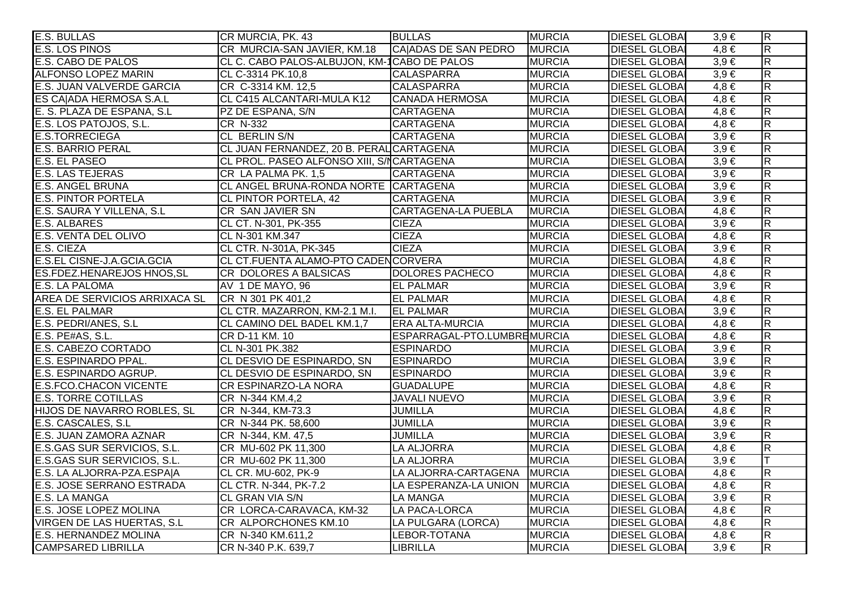| <b>E.S. BULLAS</b>                | CR MURCIA, PK. 43                           | <b>BULLAS</b>               | <b>MURCIA</b> | <b>DIESEL GLOBAI</b> | $3,9 \in$ | $\overline{\mathsf{R}}$ |
|-----------------------------------|---------------------------------------------|-----------------------------|---------------|----------------------|-----------|-------------------------|
| <b>E.S. LOS PINOS</b>             | CR MURCIA-SAN JAVIER, KM.18                 | CAJADAS DE SAN PEDRO        | <b>MURCIA</b> | <b>DIESEL GLOBAI</b> | $4,8 \in$ | $\overline{\mathsf{R}}$ |
| <b>E.S. CABO DE PALOS</b>         | CL C. CABO PALOS-ALBUJON, KM-1CABO DE PALOS |                             | <b>MURCIA</b> | <b>DIESEL GLOBAI</b> | $3,9 \in$ | $\overline{\mathsf{R}}$ |
| <b>ALFONSO LOPEZ MARIN</b>        | CL C-3314 PK.10,8                           | <b>CALASPARRA</b>           | <b>MURCIA</b> | <b>DIESEL GLOBAI</b> | $3,9 \in$ | $\overline{R}$          |
| <b>E.S. JUAN VALVERDE GARCIA</b>  | CR C-3314 KM. 12,5                          | <b>CALASPARRA</b>           | <b>MURCIA</b> | <b>DIESEL GLOBAI</b> | $4,8 \in$ | $\overline{R}$          |
| ES CAJADA HERMOSA S.A.L           | CL C415 ALCANTARI-MULA K12                  | <b>CANADA HERMOSA</b>       | <b>MURCIA</b> | <b>DIESEL GLOBAI</b> | $4,8 \in$ | $\overline{R}$          |
| E. S. PLAZA DE ESPANA, S.L.       | PZ DE ESPANA, S/N                           | <b>CARTAGENA</b>            | <b>MURCIA</b> | <b>DIESEL GLOBAI</b> | $4,8 \in$ | $\overline{R}$          |
| E.S. LOS PATOJOS, S.L.            | CR N-332                                    | <b>CARTAGENA</b>            | <b>MURCIA</b> | <b>DIESEL GLOBAI</b> | $4,8 \in$ | $\overline{R}$          |
| <b>E.S.TORRECIEGA</b>             | CL BERLIN S/N                               | <b>CARTAGENA</b>            | <b>MURCIA</b> | <b>DIESEL GLOBAI</b> | $3,9 \in$ | $\overline{\mathsf{R}}$ |
| <b>E.S. BARRIO PERAL</b>          | CL JUAN FERNANDEZ, 20 B. PERAL CARTAGENA    |                             | <b>MURCIA</b> | <b>DIESEL GLOBAI</b> | $3,9 \in$ | $\overline{R}$          |
| E.S. EL PASEO                     | CL PROL. PASEO ALFONSO XIII, S/NCARTAGENA   |                             | <b>MURCIA</b> | <b>DIESEL GLOBAI</b> | $3,9 \in$ | $\overline{\mathsf{R}}$ |
| <b>E.S. LAS TEJERAS</b>           | CR LA PALMA PK. 1,5                         | <b>CARTAGENA</b>            | <b>MURCIA</b> | <b>DIESEL GLOBAI</b> | $3,9 \in$ | $\overline{R}$          |
| <b>E.S. ANGEL BRUNA</b>           | CL ANGEL BRUNA-RONDA NORTE CARTAGENA        |                             | <b>MURCIA</b> | <b>DIESEL GLOBAI</b> | $3,9 \in$ | $\overline{R}$          |
| <b>E.S. PINTOR PORTELA</b>        | CL PINTOR PORTELA, 42                       | <b>CARTAGENA</b>            | <b>MURCIA</b> | <b>DIESEL GLOBA</b>  | $3,9 \in$ | $\overline{\mathsf{R}}$ |
| E.S. SAURA Y VILLENA, S.L.        | CR SAN JAVIER SN                            | <b>CARTAGENA-LA PUEBLA</b>  | <b>MURCIA</b> | <b>DIESEL GLOBAI</b> | $4,8 \in$ | $\overline{R}$          |
| E.S. ALBARES                      | CL CT. N-301, PK-355                        | <b>CIEZA</b>                | <b>MURCIA</b> | <b>DIESEL GLOBAI</b> | $3,9 \in$ | $\overline{R}$          |
| <b>E.S. VENTA DEL OLIVO</b>       | CL N-301 KM.347                             | <b>CIEZA</b>                | <b>MURCIA</b> | <b>DIESEL GLOBAI</b> | $4,8 \in$ | $\overline{R}$          |
| E.S. CIEZA                        | CL CTR. N-301A, PK-345                      | <b>CIEZA</b>                | <b>MURCIA</b> | <b>DIESEL GLOBAI</b> | $3,9 \in$ | $\overline{\mathsf{R}}$ |
| E.S.EL CISNE-J.A.GCIA.GCIA        | CL CT.FUENTA ALAMO-PTO CADENCORVERA         |                             | <b>MURCIA</b> | <b>DIESEL GLOBAI</b> | $4,8 \in$ | $\overline{R}$          |
| <b>ES.FDEZ.HENAREJOS HNOS, SL</b> | CR DOLORES A BALSICAS                       | DOLORES PACHECO             | <b>MURCIA</b> | <b>DIESEL GLOBAI</b> | $4,8 \in$ | $\overline{\mathsf{R}}$ |
| E.S. LA PALOMA                    | AV 1 DE MAYO, 96                            | <b>EL PALMAR</b>            | <b>MURCIA</b> | <b>DIESEL GLOBAI</b> | $3,9 \in$ | $\overline{\mathsf{R}}$ |
| AREA DE SERVICIOS ARRIXACA SL     | CR N 301 PK 401,2                           | <b>EL PALMAR</b>            | <b>MURCIA</b> | <b>DIESEL GLOBAI</b> | $4,8 \in$ | $\overline{R}$          |
| <b>E.S. EL PALMAR</b>             | CL CTR. MAZARRON, KM-2.1 M.I.               | <b>EL PALMAR</b>            | <b>MURCIA</b> | <b>DIESEL GLOBAI</b> | $3,9 \in$ | $\overline{\mathsf{R}}$ |
| E.S. PEDRI/ANES, S.L.             | CL CAMINO DEL BADEL KM.1,7                  | <b>ERA ALTA-MURCIA</b>      | <b>MURCIA</b> | <b>DIESEL GLOBAI</b> | $4,8 \in$ | $\overline{R}$          |
| E.S. PE#AS, S.L.                  | CR D-11 KM. 10                              | ESPARRAGAL-PTO.LUMBREMURCIA |               | <b>DIESEL GLOBAI</b> | $4,8 \in$ | $\overline{R}$          |
| E.S. CABEZO CORTADO               | CL N-301 PK.382                             | <b>ESPINARDO</b>            | <b>MURCIA</b> | <b>DIESEL GLOBAI</b> | $3,9 \in$ | $\overline{R}$          |
| E.S. ESPINARDO PPAL.              | CL DESVIO DE ESPINARDO, SN                  | <b>ESPINARDO</b>            | <b>MURCIA</b> | <b>DIESEL GLOBAI</b> | $3,9 \in$ | $\overline{R}$          |
| <b>E.S. ESPINARDO AGRUP.</b>      | CL DESVIO DE ESPINARDO, SN                  | <b>ESPINARDO</b>            | <b>MURCIA</b> | <b>DIESEL GLOBAI</b> | $3,9 \in$ | $\overline{\mathsf{R}}$ |
| <b>E.S.FCO.CHACON VICENTE</b>     | <b>CR ESPINARZO-LA NORA</b>                 | <b>GUADALUPE</b>            | <b>MURCIA</b> | <b>DIESEL GLOBAI</b> | $4,8 \in$ | $\overline{R}$          |
| <b>E.S. TORRE COTILLAS</b>        | CR N-344 KM.4,2                             | <b>JAVALI NUEVO</b>         | <b>MURCIA</b> | <b>DIESEL GLOBAI</b> | $3,9 \in$ | $\overline{\mathsf{R}}$ |
| HIJOS DE NAVARRO ROBLES, SL       | CR N-344, KM-73.3                           | <b>JUMILLA</b>              | <b>MURCIA</b> | <b>DIESEL GLOBAI</b> | $4,8 \in$ | R.                      |
| E.S. CASCALES, S.L                | CR N-344 PK. 58,600                         | <b>JUMILLA</b>              | <b>MURCIA</b> | <b>DIESEL GLOBAI</b> | $3,9 \in$ | $\overline{\mathsf{R}}$ |
| E.S. JUAN ZAMORA AZNAR            | CR N-344, KM. 47,5                          | JUMILLA                     | <b>MURCIA</b> | <b>DIESEL GLOBAI</b> | $3,9 \in$ | $\overline{R}$          |
| E.S.GAS SUR SERVICIOS, S.L.       | CR MU-602 PK 11,300                         | <b>LA ALJORRA</b>           | <b>MURCIA</b> | <b>DIESEL GLOBAI</b> | $4,8 \in$ | $\overline{\mathsf{R}}$ |
| E.S.GAS SUR SERVICIOS, S.L.       | CR MU-602 PK 11,300                         | <b>LA ALJORRA</b>           | <b>MURCIA</b> | <b>DIESEL GLOBAI</b> | $3,9 \in$ | lΤ                      |
| E.S. LA ALJORRA-PZA.ESPA A        | CL CR. MU-602, PK-9                         | LA ALJORRA-CARTAGENA        | <b>MURCIA</b> | <b>DIESEL GLOBAI</b> | $4,8 \in$ | $\overline{\mathsf{R}}$ |
| <b>E.S. JOSE SERRANO ESTRADA</b>  | CL CTR. N-344, PK-7.2                       | LA ESPERANZA-LA UNION       | <b>MURCIA</b> | <b>DIESEL GLOBAI</b> | $4,8 \in$ | $\overline{\mathsf{R}}$ |
| <b>E.S. LA MANGA</b>              | <b>CL GRAN VIA S/N</b>                      | <b>LA MANGA</b>             | <b>MURCIA</b> | <b>DIESEL GLOBAI</b> | $3,9 \in$ | $\overline{R}$          |
| <b>E.S. JOSE LOPEZ MOLINA</b>     | CR LORCA-CARAVACA, KM-32                    | LA PACA-LORCA               | <b>MURCIA</b> | <b>DIESEL GLOBAI</b> | $4,8 \in$ | $\overline{\mathsf{R}}$ |
| <b>VIRGEN DE LAS HUERTAS, S.L</b> | CR ALPORCHONES KM.10                        | LA PULGARA (LORCA)          | <b>MURCIA</b> | <b>DIESEL GLOBAI</b> | $4,8 \in$ | $\overline{\mathsf{R}}$ |
| <b>E.S. HERNANDEZ MOLINA</b>      | CR N-340 KM.611,2                           | LEBOR-TOTANA                | <b>MURCIA</b> | <b>DIESEL GLOBAI</b> | $4,8 \in$ | $\overline{\mathsf{R}}$ |
| <b>CAMPSARED LIBRILLA</b>         | CR N-340 P.K. 639,7                         | LIBRILLA                    | <b>MURCIA</b> | <b>DIESEL GLOBAI</b> | $3,9 \in$ | $\overline{R}$          |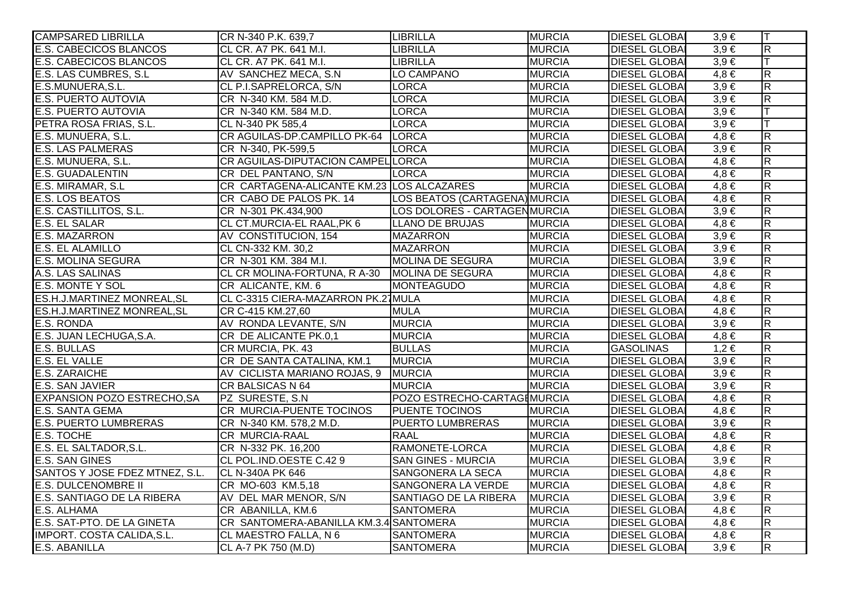| <b>CAMPSARED LIBRILLA</b>          | CR N-340 P.K. 639,7                           | <b>LIBRILLA</b>               | <b>MURCIA</b> | <b>DIESEL GLOBA</b>  | $3,9 \in$ | lΤ                      |
|------------------------------------|-----------------------------------------------|-------------------------------|---------------|----------------------|-----------|-------------------------|
| <b>E.S. CABECICOS BLANCOS</b>      | CL CR. A7 PK. 641 M.I.                        | <b>LIBRILLA</b>               | <b>MURCIA</b> | <b>DIESEL GLOBAI</b> | $3,9 \in$ | $\overline{\mathsf{R}}$ |
| <b>E.S. CABECICOS BLANCOS</b>      | CL CR. A7 PK. 641 M.I.                        | <b>LIBRILLA</b>               | <b>MURCIA</b> | <b>DIESEL GLOBAI</b> | $3,9 \in$ |                         |
| E.S. LAS CUMBRES, S.L.             | AV SANCHEZ MECA, S.N                          | LO CAMPANO                    | <b>MURCIA</b> | <b>DIESEL GLOBAI</b> | $4,8 \in$ | $\overline{\mathbf{z}}$ |
| E.S.MUNUERA, S.L.                  | CL P.I.SAPRELORCA, S/N                        | <b>LORCA</b>                  | <b>MURCIA</b> | <b>DIESEL GLOBAI</b> | $3,9 \in$ | $\overline{\mathsf{R}}$ |
| <b>E.S. PUERTO AUTOVIA</b>         | CR N-340 KM. 584 M.D.                         | <b>LORCA</b>                  | <b>MURCIA</b> | <b>DIESEL GLOBAI</b> | $3,9 \in$ | $\overline{\mathbf{z}}$ |
| <b>E.S. PUERTO AUTOVIA</b>         | CR N-340 KM. 584 M.D.                         | <b>LORCA</b>                  | <b>MURCIA</b> | <b>DIESEL GLOBAI</b> | $3,9 \in$ |                         |
| PETRA ROSA FRIAS, S.L.             | CL N-340 PK 585,4                             | <b>LORCA</b>                  | <b>MURCIA</b> | <b>DIESEL GLOBAI</b> | $3,9 \in$ |                         |
| E.S. MUNUERA, S.L.                 | CR AGUILAS-DP.CAMPILLO PK-64   LORCA          |                               | <b>MURCIA</b> | <b>DIESEL GLOBA</b>  | $4,8 \in$ | $\overline{R}$          |
| <b>E.S. LAS PALMERAS</b>           | CR N-340, PK-599,5                            | <b>LORCA</b>                  | <b>MURCIA</b> | <b>DIESEL GLOBAI</b> | $3,9 \in$ | $\overline{R}$          |
| E.S. MUNUERA, S.L.                 | CR AGUILAS-DIPUTACION CAMPEL LORCA            |                               | <b>MURCIA</b> | <b>DIESEL GLOBAI</b> | $4,8 \in$ | $\overline{\mathbf{z}}$ |
| <b>E.S. GUADALENTIN</b>            | CR DEL PANTANO, S/N                           | <b>LORCA</b>                  | <b>MURCIA</b> | <b>DIESEL GLOBA</b>  | $4,8 \in$ | $\overline{\mathbf{z}}$ |
| E.S. MIRAMAR, S.L                  | CR CARTAGENA-ALICANTE KM.23 LOS ALCAZARES     |                               | <b>MURCIA</b> | <b>DIESEL GLOBAI</b> | $4,8 \in$ | $\overline{\mathbf{z}}$ |
| <b>E.S. LOS BEATOS</b>             | CR CABO DE PALOS PK. 14                       | LOS BEATOS (CARTAGENA) MURCIA |               | <b>DIESEL GLOBAI</b> | $4,8 \in$ | $\overline{R}$          |
| E.S. CASTILLITOS, S.L.             | CR N-301 PK.434,900                           | LOS DOLORES - CARTAGENMURCIA  |               | <b>DIESEL GLOBAI</b> | $3,9 \in$ | $\overline{\mathsf{R}}$ |
| <b>E.S. EL SALAR</b>               | CL CT.MURCIA-EL RAAL, PK 6                    | LLANO DE BRUJAS               | <b>MURCIA</b> | <b>DIESEL GLOBAI</b> | $4,8 \in$ | $\overline{R}$          |
| <b>E.S. MAZARRON</b>               | AV CONSTITUCION, 154                          | <b>MAZARRON</b>               | <b>MURCIA</b> | <b>DIESEL GLOBA</b>  | $3,9 \in$ | $\overline{R}$          |
| <b>E.S. EL ALAMILLO</b>            | CL CN-332 KM. 30,2                            | <b>MAZARRON</b>               | <b>MURCIA</b> | <b>DIESEL GLOBAI</b> | $3,9 \in$ | $\overline{R}$          |
| <b>E.S. MOLINA SEGURA</b>          | CR N-301 KM. 384 M.I.                         | MOLINA DE SEGURA              | <b>MURCIA</b> | <b>DIESEL GLOBAI</b> | $3,9 \in$ | $\overline{\mathsf{R}}$ |
| A.S. LAS SALINAS                   | CL CR MOLINA-FORTUNA, R A-30 MOLINA DE SEGURA |                               | <b>MURCIA</b> | <b>DIESEL GLOBA</b>  | $4,8 \in$ | $\overline{\mathsf{R}}$ |
| <b>E.S. MONTE Y SOL</b>            | CR ALICANTE, KM. 6                            | <b>MONTEAGUDO</b>             | <b>MURCIA</b> | <b>DIESEL GLOBAI</b> | $4,8 \in$ | $\overline{\mathsf{R}}$ |
| ES.H.J.MARTINEZ MONREAL, SL        | CL C-3315 CIERA-MAZARRON PK.27 MULA           |                               | <b>MURCIA</b> | <b>DIESEL GLOBAI</b> | $4,8 \in$ | $\overline{\mathbf{z}}$ |
| ES.H.J.MARTINEZ MONREAL, SL        | CR C-415 KM.27,60                             | <b>MULA</b>                   | <b>MURCIA</b> | <b>DIESEL GLOBAI</b> | $4,8 \in$ | $\overline{\mathbf{z}}$ |
| E.S. RONDA                         | AV RONDA LEVANTE, S/N                         | <b>MURCIA</b>                 | <b>MURCIA</b> | <b>DIESEL GLOBAI</b> | $3,9 \in$ | $\overline{\mathbf{z}}$ |
| E.S. JUAN LECHUGA, S.A.            | CR DE ALICANTE PK.0,1                         | <b>MURCIA</b>                 | <b>MURCIA</b> | <b>DIESEL GLOBAI</b> | $4,8 \in$ | $\overline{R}$          |
| <b>E.S. BULLAS</b>                 | CR MURCIA, PK. 43                             | <b>BULLAS</b>                 | <b>MURCIA</b> | <b>GASOLINAS</b>     | $1,2 \in$ | $\overline{R}$          |
| <b>E.S. EL VALLE</b>               | CR DE SANTA CATALINA, KM.1                    | <b>MURCIA</b>                 | <b>MURCIA</b> | <b>DIESEL GLOBAI</b> | $3,9 \in$ | $\overline{R}$          |
| E.S. ZARAICHE                      | AV CICLISTA MARIANO ROJAS, 9 MURCIA           |                               | <b>MURCIA</b> | <b>DIESEL GLOBAI</b> | $3,9 \in$ | $\overline{R}$          |
| E.S. SAN JAVIER                    | CR BALSICAS N 64                              | <b>MURCIA</b>                 | <b>MURCIA</b> | <b>DIESEL GLOBAI</b> | $3,9 \in$ | $\overline{R}$          |
| <b>EXPANSION POZO ESTRECHO, SA</b> | PZ SURESTE, S.N.                              | POZO ESTRECHO-CARTAGIMURCIA   |               | <b>DIESEL GLOBA</b>  | $4,8 \in$ | $\overline{\mathsf{R}}$ |
| <b>E.S. SANTA GEMA</b>             | CR MURCIA-PUENTE TOCINOS                      | <b>PUENTE TOCINOS</b>         | <b>MURCIA</b> | <b>DIESEL GLOBA</b>  | $4,8 \in$ | $\overline{\mathbf{z}}$ |
| <b>E.S. PUERTO LUMBRERAS</b>       | CR N-340 KM. 578,2 M.D.                       | <b>PUERTO LUMBRERAS</b>       | <b>MURCIA</b> | <b>DIESEL GLOBAI</b> | $3,9 \in$ | $\overline{\mathsf{R}}$ |
| <b>E.S. TOCHE</b>                  | <b>CR MURCIA-RAAL</b>                         | <b>RAAL</b>                   | <b>MURCIA</b> | <b>DIESEL GLOBA</b>  | $4,8 \in$ | $\overline{\mathsf{R}}$ |
| E.S. EL SALTADOR, S.L.             | CR N-332 PK. 16,200                           | RAMONETE-LORCA                | <b>MURCIA</b> | <b>DIESEL GLOBA</b>  | $4,8 \in$ | $\overline{\mathbf{z}}$ |
| <b>E.S. SAN GINES</b>              | CL POL.IND.OESTE C.429                        | <b>SAN GINES - MURCIA</b>     | <b>MURCIA</b> | <b>DIESEL GLOBA</b>  | $3,9 \in$ | $\overline{\mathsf{R}}$ |
| SANTOS Y JOSE FDEZ MTNEZ, S.L.     | <b>CL N-340A PK 646</b>                       | SANGONERA LA SECA             | <b>MURCIA</b> | <b>DIESEL GLOBAI</b> | $4,8 \in$ | $\overline{\mathsf{R}}$ |
| <b>E.S. DULCENOMBRE II</b>         | CR MO-603 KM.5,18                             | SANGONERA LA VERDE            | <b>MURCIA</b> | <b>DIESEL GLOBAI</b> | $4,8 \in$ | $\overline{\mathsf{R}}$ |
| E.S. SANTIAGO DE LA RIBERA         | AV DEL MAR MENOR, S/N                         | SANTIAGO DE LA RIBERA         | <b>MURCIA</b> | <b>DIESEL GLOBAI</b> | $3,9 \in$ | $\overline{\mathsf{R}}$ |
| E.S. ALHAMA                        | CR ABANILLA, KM.6                             | <b>SANTOMERA</b>              | <b>MURCIA</b> | <b>DIESEL GLOBAI</b> | $4,8 \in$ | $\overline{\mathsf{R}}$ |
| E.S. SAT-PTO. DE LA GINETA         | CR SANTOMERA-ABANILLA KM.3.4 SANTOMERA        |                               | <b>MURCIA</b> | <b>DIESEL GLOBAI</b> | $4,8 \in$ | $\overline{\mathsf{R}}$ |
| IMPORT. COSTA CALIDA, S.L.         | CL MAESTRO FALLA, N 6                         | <b>SANTOMERA</b>              | <b>MURCIA</b> | <b>DIESEL GLOBAI</b> | $4,8 \in$ | $\overline{R}$          |
| E.S. ABANILLA                      | CL A-7 PK 750 (M.D)                           | <b>SANTOMERA</b>              | <b>MURCIA</b> | <b>DIESEL GLOBA</b>  | $3,9 \in$ | $\overline{\mathsf{R}}$ |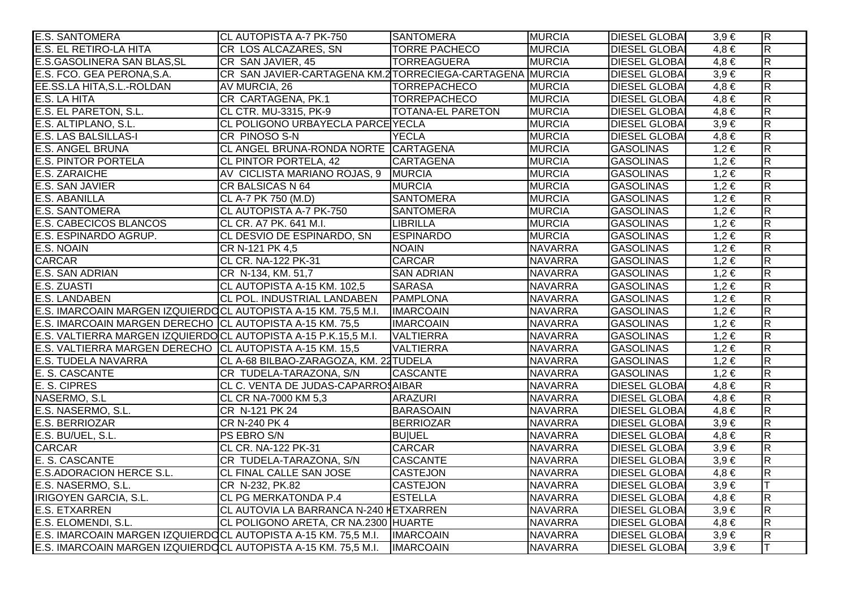| <b>E.S. SANTOMERA</b>                                                      | CL AUTOPISTA A-7 PK-750                                  | <b>SANTOMERA</b>         | <b>MURCIA</b>  | <b>DIESEL GLOBAI</b> | $3,9 \in$ | $\overline{R}$          |
|----------------------------------------------------------------------------|----------------------------------------------------------|--------------------------|----------------|----------------------|-----------|-------------------------|
| E.S. EL RETIRO-LA HITA                                                     | <b>CR LOS ALCAZARES, SN</b>                              | <b>TORRE PACHECO</b>     | <b>MURCIA</b>  | <b>DIESEL GLOBAI</b> | $4,8 \in$ | $\overline{\mathsf{R}}$ |
| E.S.GASOLINERA SAN BLAS, SL                                                | CR SAN JAVIER, 45                                        | <b>TORREAGUERA</b>       | <b>MURCIA</b>  | <b>DIESEL GLOBAI</b> | $4,8 \in$ | $\overline{\mathsf{R}}$ |
| E.S. FCO. GEA PERONA, S.A.                                                 | CR SAN JAVIER-CARTAGENA KM.2 TORRECIEGA-CARTAGENA MURCIA |                          |                | <b>DIESEL GLOBAI</b> | $3,9 \in$ | $\overline{\mathsf{R}}$ |
| EE.SS.LA HITA, S.L.-ROLDAN                                                 | AV MURCIA, 26                                            | <b>TORREPACHECO</b>      | <b>MURCIA</b>  | <b>DIESEL GLOBAI</b> | $4,8 \in$ | $\overline{R}$          |
| E.S. LA HITA                                                               | CR CARTAGENA, PK.1                                       | <b>TORREPACHECO</b>      | <b>MURCIA</b>  | <b>DIESEL GLOBAI</b> | $4,8 \in$ | $\overline{R}$          |
| E.S. EL PARETON, S.L.                                                      | CL CTR. MU-3315, PK-9                                    | <b>TOTANA-EL PARETON</b> | <b>MURCIA</b>  | <b>DIESEL GLOBAI</b> | $4,8 \in$ | $\overline{R}$          |
| E.S. ALTIPLANO, S.L.                                                       | CL POLIGONO URBAYECLA PARCE YECLA                        |                          | <b>MURCIA</b>  | <b>DIESEL GLOBAI</b> | $3,9 \in$ | $\overline{R}$          |
| <b>E.S. LAS BALSILLAS-I</b>                                                | CR PINOSO S-N                                            | <b>YECLA</b>             | <b>MURCIA</b>  | <b>DIESEL GLOBAI</b> | $4,8 \in$ | $\overline{R}$          |
| <b>E.S. ANGEL BRUNA</b>                                                    | CL ANGEL BRUNA-RONDA NORTE CARTAGENA                     |                          | <b>MURCIA</b>  | <b>GASOLINAS</b>     | $1,2 \in$ | $\overline{R}$          |
| <b>E.S. PINTOR PORTELA</b>                                                 | CL PINTOR PORTELA, 42                                    | <b>CARTAGENA</b>         | <b>MURCIA</b>  | <b>GASOLINAS</b>     | $1,2 \in$ | $\overline{R}$          |
| <b>E.S. ZARAICHE</b>                                                       | AV CICLISTA MARIANO ROJAS, 9 MURCIA                      |                          | <b>MURCIA</b>  | <b>GASOLINAS</b>     | $1,2 \in$ | $\overline{\mathsf{R}}$ |
| <b>E.S. SAN JAVIER</b>                                                     | CR BALSICAS N 64                                         | <b>MURCIA</b>            | <b>MURCIA</b>  | GASOLINAS            | $1,2 \in$ | $\overline{\mathsf{R}}$ |
| <b>E.S. ABANILLA</b>                                                       | CL A-7 PK 750 (M.D)                                      | <b>SANTOMERA</b>         | <b>MURCIA</b>  | GASOLINAS            | $1,2 \in$ | $\overline{R}$          |
| <b>E.S. SANTOMERA</b>                                                      | CL AUTOPISTA A-7 PK-750                                  | <b>SANTOMERA</b>         | <b>MURCIA</b>  | GASOLINAS            | $1,2 \in$ | $\overline{\mathsf{R}}$ |
| <b>E.S. CABECICOS BLANCOS</b>                                              | CL CR. A7 PK. 641 M.I.                                   | <b>LIBRILLA</b>          | <b>MURCIA</b>  | <b>GASOLINAS</b>     | $1,2 \in$ | $\overline{R}$          |
| E.S. ESPINARDO AGRUP.                                                      | CL DESVIO DE ESPINARDO, SN                               | <b>ESPINARDO</b>         | <b>MURCIA</b>  | <b>GASOLINAS</b>     | $1,2 \in$ | $\overline{\mathsf{R}}$ |
| E.S. NOAIN                                                                 | CR N-121 PK 4,5                                          | <b>NOAIN</b>             | <b>NAVARRA</b> | <b>GASOLINAS</b>     | $1,2 \in$ | $\overline{R}$          |
| <b>CARCAR</b>                                                              | CL CR. NA-122 PK-31                                      | <b>CARCAR</b>            | <b>NAVARRA</b> | <b>GASOLINAS</b>     | $1,2 \in$ | $\overline{\mathsf{R}}$ |
| <b>E.S. SAN ADRIAN</b>                                                     | CR N-134, KM. 51,7                                       | <b>SAN ADRIAN</b>        | <b>NAVARRA</b> | <b>GASOLINAS</b>     | $1,2 \in$ | $\overline{R}$          |
| E.S. ZUASTI                                                                | CL AUTOPISTA A-15 KM. 102,5                              | <b>SARASA</b>            | <b>NAVARRA</b> | <b>GASOLINAS</b>     | $1,2 \in$ | $\overline{\mathsf{R}}$ |
| <b>E.S. LANDABEN</b>                                                       | CL POL. INDUSTRIAL LANDABEN PAMPLONA                     |                          | <b>NAVARRA</b> | GASOLINAS            | $1,2 \in$ | $\overline{R}$          |
| E.S. IMARCOAIN MARGEN IZQUIERDOCL AUTOPISTA A-15 KM. 75,5 M.I.             |                                                          | <b>IMARCOAIN</b>         | <b>NAVARRA</b> | GASOLINAS            | $1,2 \in$ | $\overline{R}$          |
| E.S. IMARCOAIN MARGEN DERECHO CL AUTOPISTA A-15 KM. 75,5                   |                                                          | <b>IMARCOAIN</b>         | <b>NAVARRA</b> | <b>GASOLINAS</b>     | $1,2 \in$ | $\overline{R}$          |
| E.S. VALTIERRA MARGEN IZQUIERDOCL AUTOPISTA A-15 P.K.15,5 M.I.             |                                                          | <b>VALTIERRA</b>         | <b>NAVARRA</b> | <b>GASOLINAS</b>     | $1,2 \in$ | $\overline{R}$          |
| E.S. VALTIERRA MARGEN DERECHO CL AUTOPISTA A-15 KM. 15,5                   |                                                          | <b>VALTIERRA</b>         | <b>NAVARRA</b> | <b>GASOLINAS</b>     | $1,2 \in$ | $\overline{R}$          |
| <b>E.S. TUDELA NAVARRA</b>                                                 | CL A-68 BILBAO-ZARAGOZA, KM. 22 TUDELA                   |                          | <b>NAVARRA</b> | <b>GASOLINAS</b>     | $1,2 \in$ | $\overline{R}$          |
| E. S. CASCANTE                                                             | CR TUDELA-TARAZONA, S/N                                  | <b>CASCANTE</b>          | <b>NAVARRA</b> | <b>GASOLINAS</b>     | $1,2 \in$ | $\overline{\mathsf{R}}$ |
| E. S. CIPRES                                                               | CL C. VENTA DE JUDAS-CAPARROSAIBAR                       |                          | <b>NAVARRA</b> | <b>DIESEL GLOBAI</b> | $4,8 \in$ | $\overline{\mathsf{R}}$ |
| NASERMO, S.L                                                               | CL CR NA-7000 KM 5,3                                     | <b>ARAZURI</b>           | <b>NAVARRA</b> | <b>DIESEL GLOBA</b>  | $4,8 \in$ | $\overline{\mathsf{R}}$ |
| E.S. NASERMO, S.L.                                                         | CR N-121 PK 24                                           | <b>BARASOAIN</b>         | <b>NAVARRA</b> | <b>DIESEL GLOBAI</b> | $4,8 \in$ | $\overline{R}$          |
| <b>E.S. BERRIOZAR</b>                                                      | CR N-240 PK 4                                            | <b>BERRIOZAR</b>         | <b>NAVARRA</b> | <b>DIESEL GLOBA</b>  | $3,9 \in$ | $\overline{\mathsf{R}}$ |
| E.S. BU/UEL, S.L.                                                          | PS EBRO S/N                                              | <b>BUIUEL</b>            | <b>NAVARRA</b> | <b>DIESEL GLOBAI</b> | $4,8 \in$ | $\overline{\mathsf{R}}$ |
| <b>CARCAR</b>                                                              | <b>CL CR. NA-122 PK-31</b>                               | <b>CARCAR</b>            | <b>NAVARRA</b> | <b>DIESEL GLOBAI</b> | $3,9 \in$ | $\overline{R}$          |
| E. S. CASCANTE                                                             | CR TUDELA-TARAZONA, S/N                                  | <b>CASCANTE</b>          | <b>NAVARRA</b> | <b>DIESEL GLOBA</b>  | $3,9 \in$ | $\overline{\mathsf{R}}$ |
| <b>E.S.ADORACION HERCE S.L.</b>                                            | <b>CL FINAL CALLE SAN JOSE</b>                           | <b>CASTEJON</b>          | <b>NAVARRA</b> | <b>DIESEL GLOBAI</b> | $4,8 \in$ | $\overline{\mathsf{R}}$ |
| E.S. NASERMO, S.L.                                                         | CR N-232, PK.82                                          | <b>CASTEJON</b>          | <b>NAVARRA</b> | <b>DIESEL GLOBA</b>  | $3,9 \in$ |                         |
| <b>IRIGOYEN GARCIA, S.L.</b>                                               | <b>CL PG MERKATONDA P.4</b>                              | <b>ESTELLA</b>           | <b>NAVARRA</b> | <b>DIESEL GLOBAI</b> | $4,8 \in$ | $\overline{R}$          |
| <b>E.S. ETXARREN</b>                                                       | CL AUTOVIA LA BARRANCA N-240 METXARREN                   |                          | <b>NAVARRA</b> | <b>DIESEL GLOBA</b>  | $3,9 \in$ | $\overline{\mathsf{R}}$ |
| E.S. ELOMENDI, S.L.                                                        | CL POLIGONO ARETA, CR NA.2300 HUARTE                     |                          | <b>NAVARRA</b> | <b>DIESEL GLOBA</b>  | $4,8 \in$ | $\overline{\mathsf{R}}$ |
| E.S. IMARCOAIN MARGEN IZQUIERDOCL AUTOPISTA A-15 KM. 75,5 M.I.   IMARCOAIN |                                                          |                          | <b>NAVARRA</b> | <b>DIESEL GLOBAI</b> | $3,9 \in$ | $\overline{\mathsf{R}}$ |
| E.S. IMARCOAIN MARGEN IZQUIERDOCL AUTOPISTA A-15 KM. 75,5 M.I.   IMARCOAIN |                                                          |                          | <b>NAVARRA</b> | <b>DIESEL GLOBA</b>  | $3,9 \in$ | $\top$                  |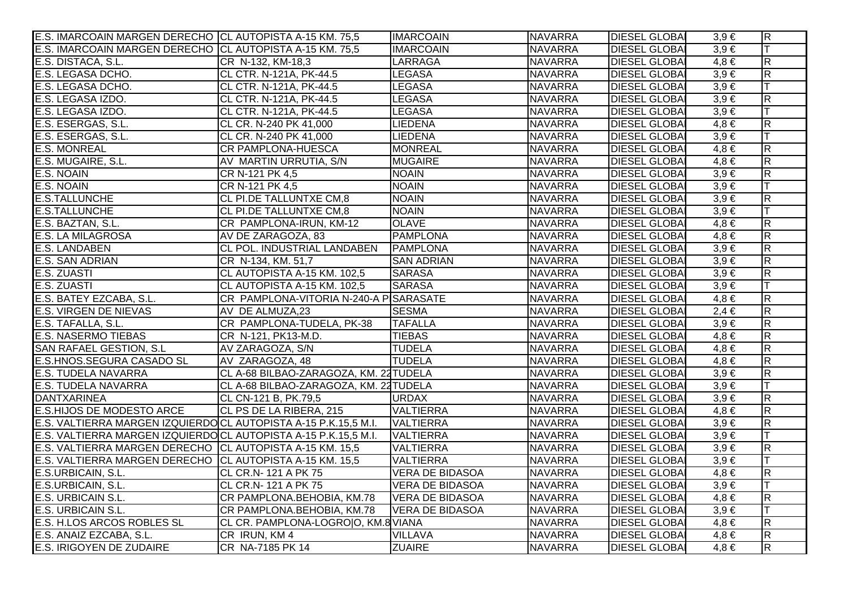| E.S. IMARCOAIN MARGEN DERECHO CL AUTOPISTA A-15 KM. 75,5                 |                                        | <b>IMARCOAIN</b>       | <b>NAVARRA</b> | <b>DIESEL GLOBAI</b> | $3,9 \in$ | $\overline{R}$          |
|--------------------------------------------------------------------------|----------------------------------------|------------------------|----------------|----------------------|-----------|-------------------------|
| E.S. IMARCOAIN MARGEN DERECHO CL AUTOPISTA A-15 KM. 75,5                 |                                        | <b>IMARCOAIN</b>       | <b>NAVARRA</b> | <b>DIESEL GLOBAI</b> | $3,9 \in$ | lΤ                      |
| E.S. DISTACA, S.L.                                                       | CR N-132, KM-18,3                      | <b>LARRAGA</b>         | <b>NAVARRA</b> | <b>DIESEL GLOBA</b>  | $4,8 \in$ | $\overline{\mathsf{R}}$ |
| E.S. LEGASA DCHO.                                                        | CL CTR. N-121A, PK-44.5                | LEGASA                 | <b>NAVARRA</b> | <b>DIESEL GLOBA</b>  | $3,9 \in$ | $\overline{\mathsf{R}}$ |
| E.S. LEGASA DCHO.                                                        | CL CTR. N-121A, PK-44.5                | LEGASA                 | <b>NAVARRA</b> | <b>DIESEL GLOBAI</b> | $3,9 \in$ | lΤ                      |
| E.S. LEGASA IZDO.                                                        | CL CTR. N-121A, PK-44.5                | <b>LEGASA</b>          | <b>NAVARRA</b> | <b>DIESEL GLOBAI</b> | $3,9 \in$ | $\overline{R}$          |
| E.S. LEGASA IZDO.                                                        | CL CTR. N-121A, PK-44.5                | <b>LEGASA</b>          | <b>NAVARRA</b> | <b>DIESEL GLOBAI</b> | $3,9 \in$ | Iт                      |
| E.S. ESERGAS, S.L.                                                       | CL CR. N-240 PK 41,000                 | LIEDENA                | <b>NAVARRA</b> | <b>DIESEL GLOBA</b>  | $4,8 \in$ | $\overline{\mathsf{R}}$ |
| E.S. ESERGAS, S.L.                                                       | CL CR. N-240 PK 41,000                 | LIEDENA                | <b>NAVARRA</b> | <b>DIESEL GLOBAI</b> | $3,9 \in$ | lT.                     |
| <b>E.S. MONREAL</b>                                                      | CR PAMPLONA-HUESCA                     | <b>MONREAL</b>         | <b>NAVARRA</b> | <b>DIESEL GLOBAI</b> | $4,8 \in$ | $\overline{R}$          |
| E.S. MUGAIRE, S.L.                                                       | AV MARTIN URRUTIA, S/N                 | <b>MUGAIRE</b>         | <b>NAVARRA</b> | <b>DIESEL GLOBAI</b> | $4,8 \in$ | $\overline{R}$          |
| E.S. NOAIN                                                               | CR N-121 PK 4,5                        | <b>NOAIN</b>           | <b>NAVARRA</b> | <b>DIESEL GLOBA</b>  | $3,9 \in$ | $\overline{\mathsf{R}}$ |
| E.S. NOAIN                                                               | CR N-121 PK 4,5                        | <b>NOAIN</b>           | <b>NAVARRA</b> | <b>DIESEL GLOBA</b>  | $3,9 \in$ | lΤ                      |
| <b>E.S.TALLUNCHE</b>                                                     | CL PI.DE TALLUNTXE CM,8                | <b>NOAIN</b>           | <b>NAVARRA</b> | <b>DIESEL GLOBA</b>  | $3,9 \in$ | $\overline{\mathsf{R}}$ |
| <b>E.S.TALLUNCHE</b>                                                     | <b>CL PI.DE TALLUNTXE CM,8</b>         | <b>NOAIN</b>           | <b>NAVARRA</b> | <b>DIESEL GLOBAI</b> | $3,9 \in$ | ΙT                      |
| E.S. BAZTAN, S.L.                                                        | CR PAMPLONA-IRUN, KM-12                | <b>OLAVE</b>           | <b>NAVARRA</b> | <b>DIESEL GLOBAI</b> | $4,8 \in$ | $\overline{R}$          |
| <b>E.S. LA MILAGROSA</b>                                                 | AV DE ZARAGOZA, 83                     | <b>PAMPLONA</b>        | <b>NAVARRA</b> | <b>DIESEL GLOBA</b>  | $4,8 \in$ | $\overline{\mathsf{R}}$ |
| <b>E.S. LANDABEN</b>                                                     | CL POL. INDUSTRIAL LANDABEN            | <b>PAMPLONA</b>        | <b>NAVARRA</b> | <b>DIESEL GLOBAI</b> | $3,9 \in$ | $\overline{R}$          |
| E.S. SAN ADRIAN                                                          | CR N-134, KM. 51,7                     | <b>SAN ADRIAN</b>      | <b>NAVARRA</b> | <b>DIESEL GLOBA</b>  | $3,9 \in$ | $\overline{\mathsf{R}}$ |
| E.S. ZUASTI                                                              | CL AUTOPISTA A-15 KM. 102,5            | <b>SARASA</b>          | <b>NAVARRA</b> | <b>DIESEL GLOBAI</b> | $3,9 \in$ | R                       |
| E.S. ZUASTI                                                              | CL AUTOPISTA A-15 KM. 102,5            | <b>SARASA</b>          | <b>NAVARRA</b> | <b>DIESEL GLOBA</b>  | $3,9 \in$ | T                       |
| E.S. BATEY EZCABA, S.L.                                                  | CR PAMPLONA-VITORIA N-240-A PISARASATE |                        | <b>NAVARRA</b> | <b>DIESEL GLOBA</b>  | $4,8 \in$ | $\overline{\mathsf{R}}$ |
| <b>E.S. VIRGEN DE NIEVAS</b>                                             | AV DE ALMUZA,23                        | <b>SESMA</b>           | <b>NAVARRA</b> | <b>DIESEL GLOBA</b>  | $2,4 \in$ | $\overline{R}$          |
| E.S. TAFALLA, S.L.                                                       | CR PAMPLONA-TUDELA, PK-38              | <b>TAFALLA</b>         | <b>NAVARRA</b> | <b>DIESEL GLOBAI</b> | $3,9 \in$ | $\overline{\mathsf{R}}$ |
| <b>E.S. NASERMO TIEBAS</b>                                               | CR N-121, PK13-M.D.                    | <b>TIEBAS</b>          | <b>NAVARRA</b> | <b>DIESEL GLOBAI</b> | $4,8 \in$ | $\overline{\mathsf{R}}$ |
| <b>SAN RAFAEL GESTION, S.L</b>                                           | AV ZARAGOZA, S/N                       | <b>TUDELA</b>          | <b>NAVARRA</b> | <b>DIESEL GLOBA</b>  | $4,8 \in$ | $\overline{R}$          |
| E.S.HNOS.SEGURA CASADO SL                                                | AV ZARAGOZA, 48                        | <b>TUDELA</b>          | <b>NAVARRA</b> | <b>DIESEL GLOBAI</b> | $4,8 \in$ | $\overline{R}$          |
| <b>E.S. TUDELA NAVARRA</b>                                               | CL A-68 BILBAO-ZARAGOZA, KM. 22 TUDELA |                        | <b>NAVARRA</b> | <b>DIESEL GLOBAI</b> | $3,9 \in$ | $\overline{\mathsf{R}}$ |
| <b>E.S. TUDELA NAVARRA</b>                                               | CL A-68 BILBAO-ZARAGOZA, KM. 22 TUDELA |                        | <b>NAVARRA</b> | <b>DIESEL GLOBAI</b> | $3,9 \in$ |                         |
| <b>DANTXARINEA</b>                                                       | CL CN-121 B, PK.79,5                   | <b>URDAX</b>           | <b>NAVARRA</b> | <b>DIESEL GLOBA</b>  | $3,9 \in$ | $\overline{\mathsf{R}}$ |
| <b>E.S.HIJOS DE MODESTO ARCE</b>                                         | CL PS DE LA RIBERA, 215                | <b>VALTIERRA</b>       | <b>NAVARRA</b> | <b>DIESEL GLOBAI</b> | $4,8 \in$ | $\overline{\mathsf{R}}$ |
| E.S. VALTIERRA MARGEN IZQUIERDOCL AUTOPISTA A-15 P.K.15,5 M.I. VALTIERRA |                                        |                        | <b>NAVARRA</b> | <b>DIESEL GLOBA</b>  | $3,9 \in$ | $\overline{\mathsf{R}}$ |
| E.S. VALTIERRA MARGEN IZQUIERDOCL AUTOPISTA A-15 P.K.15,5 M.I.           |                                        | <b>VALTIERRA</b>       | <b>NAVARRA</b> | <b>DIESEL GLOBAI</b> | $3,9 \in$ |                         |
| E.S. VALTIERRA MARGEN DERECHO CL AUTOPISTA A-15 KM. 15,5                 |                                        | <b>VALTIERRA</b>       | <b>NAVARRA</b> | <b>DIESEL GLOBAI</b> | $3,9 \in$ | $\overline{R}$          |
| E.S. VALTIERRA MARGEN DERECHO CL AUTOPISTA A-15 KM. 15,5                 |                                        | <b>VALTIERRA</b>       | <b>NAVARRA</b> | <b>DIESEL GLOBA</b>  | $3,9 \in$ | lΤ                      |
| E.S.URBICAIN, S.L.                                                       | CL CR.N-121 A PK 75                    | <b>VERA DE BIDASOA</b> | <b>NAVARRA</b> | <b>DIESEL GLOBAI</b> | $4,8 \in$ | $\overline{\mathsf{R}}$ |
| E.S.URBICAIN, S.L.                                                       | CL CR.N- 121 A PK 75                   | <b>VERA DE BIDASOA</b> | <b>NAVARRA</b> | <b>DIESEL GLOBA</b>  | $3,9 \in$ |                         |
| E.S. URBICAIN S.L.                                                       | CR PAMPLONA.BEHOBIA, KM.78             | <b>VERA DE BIDASOA</b> | <b>NAVARRA</b> | <b>DIESEL GLOBAI</b> | $4,8 \in$ | $\overline{R}$          |
| E.S. URBICAIN S.L.                                                       | CR PAMPLONA.BEHOBIA, KM.78             | <b>VERA DE BIDASOA</b> | <b>NAVARRA</b> | <b>DIESEL GLOBA</b>  | $3,9 \in$ |                         |
| E.S. H.LOS ARCOS ROBLES SL                                               | CL CR. PAMPLONA-LOGROO, KM.8 VIANA     |                        | <b>NAVARRA</b> | <b>DIESEL GLOBA</b>  | $4,8 \in$ | $\overline{\mathsf{R}}$ |
| E.S. ANAIZ EZCABA, S.L.                                                  | CR IRUN, KM 4                          | VILLAVA                | <b>NAVARRA</b> | <b>DIESEL GLOBAI</b> | $4,8 \in$ | $\overline{\mathsf{R}}$ |
| E.S. IRIGOYEN DE ZUDAIRE                                                 | CR NA-7185 PK 14                       | <b>ZUAIRE</b>          | <b>NAVARRA</b> | <b>DIESEL GLOBAI</b> | $4,8 \in$ | $\overline{R}$          |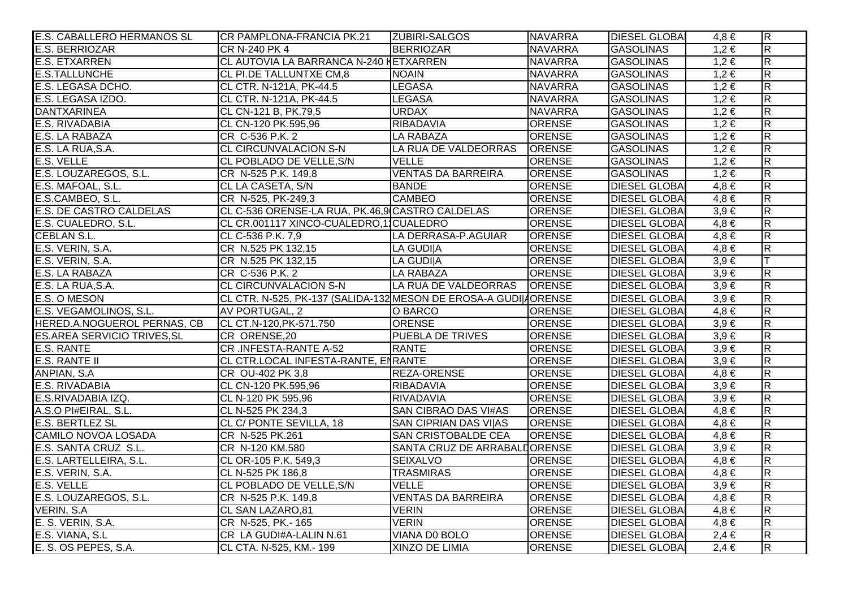| E.S. CABALLERO HERMANOS SL                  | CR PAMPLONA-FRANCIA PK.21                                        | <b>ZUBIRI-SALGOS</b>         | <b>NAVARRA</b> | <b>DIESEL GLOBAI</b> | 4.8 €     | $\overline{\mathsf{R}}$ |
|---------------------------------------------|------------------------------------------------------------------|------------------------------|----------------|----------------------|-----------|-------------------------|
| E.S. BERRIOZAR                              | CR N-240 PK 4                                                    | <b>BERRIOZAR</b>             | <b>NAVARRA</b> | GASOLINAS            | $1,2 \in$ | $\overline{\mathsf{R}}$ |
| E.S. ETXARREN                               | CL AUTOVIA LA BARRANCA N-240 KETXARREN                           |                              | <b>NAVARRA</b> | <b>GASOLINAS</b>     | $1,2 \in$ | $\overline{\mathsf{R}}$ |
| <b>E.S.TALLUNCHE</b>                        | CL PI.DE TALLUNTXE CM,8                                          | <b>NOAIN</b>                 | <b>NAVARRA</b> | <b>GASOLINAS</b>     | $1,2 \in$ | $\overline{\mathsf{R}}$ |
| E.S. LEGASA DCHO.                           | CL CTR. N-121A, PK-44.5                                          | <b>LEGASA</b>                | <b>NAVARRA</b> | <b>GASOLINAS</b>     | $1,2 \in$ | $\overline{R}$          |
| E.S. LEGASA IZDO.                           | CL CTR. N-121A, PK-44.5                                          | <b>LEGASA</b>                | <b>NAVARRA</b> | GASOLINAS            | $1,2 \in$ | $\overline{\mathsf{R}}$ |
| <b>DANTXARINEA</b>                          | CL CN-121 B, PK.79,5                                             | <b>URDAX</b>                 | <b>NAVARRA</b> | <b>GASOLINAS</b>     | $1,2 \in$ | $\overline{R}$          |
| E.S. RIVADABIA                              | CL CN-120 PK.595,96                                              | <b>RIBADAVIA</b>             | <b>ORENSE</b>  | <b>GASOLINAS</b>     | $1,2 \in$ | $\overline{\mathsf{R}}$ |
| E.S. LA RABAZA                              | CR C-536 P.K. 2                                                  | <b>LA RABAZA</b>             | ORENSE         | <b>GASOLINAS</b>     | $1,2 \in$ | $\overline{\mathsf{R}}$ |
| E.S. LA RUA, S.A.                           | <b>CL CIRCUNVALACION S-N</b>                                     | LA RUA DE VALDEORRAS         | ORENSE         | <b>GASOLINAS</b>     | $1,2 \in$ | $\overline{\mathsf{R}}$ |
| E.S. VELLE                                  | CL POBLADO DE VELLE, S/N                                         | <b>VELLE</b>                 | ORENSE         | <b>GASOLINAS</b>     | $1,2 \in$ | $\overline{R}$          |
| E.S. LOUZAREGOS, S.L.                       | CR N-525 P.K. 149,8                                              | <b>VENTAS DA BARREIRA</b>    | ORENSE         | <b>GASOLINAS</b>     | $1,2 \in$ | $\overline{\mathsf{R}}$ |
| E.S. MAFOAL, S.L.                           | CL LA CASETA, S/N                                                | <b>BANDE</b>                 | ORENSE         | <b>DIESEL GLOBAI</b> | $4,8 \in$ | $\overline{R}$          |
| E.S.CAMBEO, S.L.<br>E.S. DE CASTRO CALDELAS | CR N-525, PK-249,3                                               | <b>CAMBEO</b>                | <b>ORENSE</b>  | <b>DIESEL GLOBA</b>  | $4,8 \in$ | $\overline{\mathsf{R}}$ |
|                                             | CL C-536 ORENSE-LA RUA, PK.46,9 CASTRO CALDELAS                  |                              | ORENSE         | <b>DIESEL GLOBA</b>  | $3,9 \in$ | $\overline{\mathsf{R}}$ |
| E.S. CUALEDRO, S.L.                         | CL CR.001117 XINCO-CUALEDRO,11CUALEDRO                           |                              | ORENSE         | <b>DIESEL GLOBA</b>  | $4,8 \in$ | $\overline{\mathsf{R}}$ |
| <b>CEBLAN S.L.</b>                          | CL C-536 P.K. 7,9                                                | LA DERRASA-P.AGUIAR          | ORENSE         | <b>DIESEL GLOBA</b>  | $4,8 \in$ | $\overline{R}$          |
| E.S. VERIN, S.A.                            | CR N.525 PK 132,15                                               | <b>LA GUDI A</b>             | ORENSE         | <b>DIESEL GLOBA</b>  | $4,8 \in$ | $\overline{\mathsf{R}}$ |
| E.S. VERIN, S.A.                            | CR N.525 PK 132,15                                               | LA GUDI A                    | ORENSE         | <b>DIESEL GLOBA</b>  | $3,9 \in$ |                         |
| E.S. LA RABAZA                              | CR C-536 P.K. 2                                                  | <b>LA RABAZA</b>             | <b>ORENSE</b>  | <b>DIESEL GLOBA</b>  | $3,9 \in$ | $\overline{R}$          |
| E.S. LA RUA, S.A.                           | <b>CL CIRCUNVALACION S-N</b>                                     | LA RUA DE VALDEORRAS         | <b>ORENSE</b>  | <b>DIESEL GLOBA</b>  | $3,9 \in$ | $\overline{R}$          |
| E.S. O MESON                                | CL CTR. N-525, PK-137 (SALIDA-132 MESON DE EROSA-A GUDI  AORENSE |                              |                | <b>DIESEL GLOBA</b>  | $3,9 \in$ | $\overline{\mathsf{R}}$ |
| E.S. VEGAMOLINOS, S.L.                      | AV PORTUGAL, 2                                                   | O BARCO                      | <b>ORENSE</b>  | <b>DIESEL GLOBAI</b> | $4,8 \in$ | $\overline{R}$          |
| HERED.A.NOGUEROL PERNAS, CB                 | CL CT.N-120, PK-571.750                                          | ORENSE                       | ORENSE         | <b>DIESEL GLOBAI</b> | $3,9 \in$ | $\overline{R}$          |
| <b>ES.AREA SERVICIO TRIVES, SL</b>          | CR ORENSE, 20                                                    | <b>PUEBLA DE TRIVES</b>      | ORENSE         | <b>DIESEL GLOBAI</b> | $3,9 \in$ | $\overline{R}$          |
| <b>E.S. RANTE</b>                           | CR .INFESTA-RANTE A-52                                           | <b>RANTE</b>                 | <b>ORENSE</b>  | <b>DIESEL GLOBA</b>  | $3,9 \in$ | $\overline{R}$          |
| E.S. RANTE II                               | CL CTR.LOCAL INFESTA-RANTE, ENRANTE                              |                              | <b>ORENSE</b>  | <b>DIESEL GLOBA</b>  | $3,9 \in$ | $\overline{R}$          |
| ANPIAN, S.A.                                | CR OU-402 PK 3,8                                                 | <b>REZA-ORENSE</b>           | ORENSE         | <b>DIESEL GLOBA</b>  | $4,8 \in$ | $\overline{\mathsf{R}}$ |
| E.S. RIVADABIA                              | CL CN-120 PK.595,96                                              | <b>RIBADAVIA</b>             | ORENSE         | <b>DIESEL GLOBAI</b> | $3,9 \in$ | $\overline{R}$          |
| E.S.RIVADABIA IZQ.                          | CL N-120 PK 595,96                                               | <b>RIVADAVIA</b>             | <b>ORENSE</b>  | <b>DIESEL GLOBA</b>  | $3,9 \in$ | $\overline{\mathsf{R}}$ |
| A.S.O PI#EIRAL, S.L.                        | CL N-525 PK 234,3                                                | SAN CIBRAO DAS VI#AS         | <b>ORENSE</b>  | <b>DIESEL GLOBA</b>  | $4,8 \in$ | $\overline{R}$          |
| E.S. BERTLEZ SL                             | CL C/ PONTE SEVILLA, 18                                          | SAN CIPRIAN DAS VI AS        | <b>ORENSE</b>  | <b>DIESEL GLOBA</b>  | $4,8 \in$ | $\overline{\mathsf{R}}$ |
| CAMILO NOVOA LOSADA                         | CR N-525 PK.261                                                  | <b>SAN CRISTOBALDE CEA</b>   | <b>ORENSE</b>  | <b>DIESEL GLOBA</b>  | $4,8 \in$ | $\overline{\mathsf{R}}$ |
| E.S. SANTA CRUZ S.L.                        | CR N-120 KM.580                                                  | SANTA CRUZ DE ARRABALIORENSE |                | <b>DIESEL GLOBA</b>  | $3,9 \in$ | $\overline{\mathsf{R}}$ |
| E.S. LARTELLEIRA, S.L.                      | CL OR-105 P.K. 549,3                                             | <b>SEIXALVO</b>              | <b>ORENSE</b>  | <b>DIESEL GLOBA</b>  | $4,8 \in$ | $\overline{\mathsf{R}}$ |
| E.S. VERIN, S.A.                            | CL N-525 PK 186,8                                                | <b>TRASMIRAS</b>             | <b>ORENSE</b>  | <b>DIESEL GLOBA</b>  | $4,8 \in$ | $\overline{\mathsf{R}}$ |
| E.S. VELLE                                  | CL POBLADO DE VELLE, S/N                                         | <b>VELLE</b>                 | <b>ORENSE</b>  | <b>DIESEL GLOBA</b>  | $3,9 \in$ | $\overline{\mathsf{R}}$ |
| E.S. LOUZAREGOS, S.L.                       | CR N-525 P.K. 149,8                                              | <b>VENTAS DA BARREIRA</b>    | ORENSE         | <b>DIESEL GLOBAI</b> | $4,8 \in$ | $\overline{\mathsf{R}}$ |
| VERIN, S.A.                                 | CL SAN LAZARO,81                                                 | <b>VERIN</b>                 | <b>ORENSE</b>  | <b>DIESEL GLOBA</b>  | $4,8 \in$ | $\overline{\mathsf{R}}$ |
| E. S. VERIN, S.A.                           | CR N-525, PK.- 165                                               | <b>VERIN</b>                 | <b>ORENSE</b>  | <b>DIESEL GLOBA</b>  | $4,8 \in$ | $\overline{\mathsf{R}}$ |
|                                             | CR LA GUDI#A-LALIN N.61                                          | VIANA DO BOLO                | <b>ORENSE</b>  | <b>DIESEL GLOBAI</b> | $2,4 \in$ | $\overline{\mathsf{R}}$ |
| E.S. VIANA, S.L<br>E. S. OS PEPES, S.A.     | CL CTA. N-525, KM.- 199                                          | <b>XINZO DE LIMIA</b>        | ORENSE         | <b>DIESEL GLOBA</b>  | $2,4 \in$ | $\overline{\mathsf{R}}$ |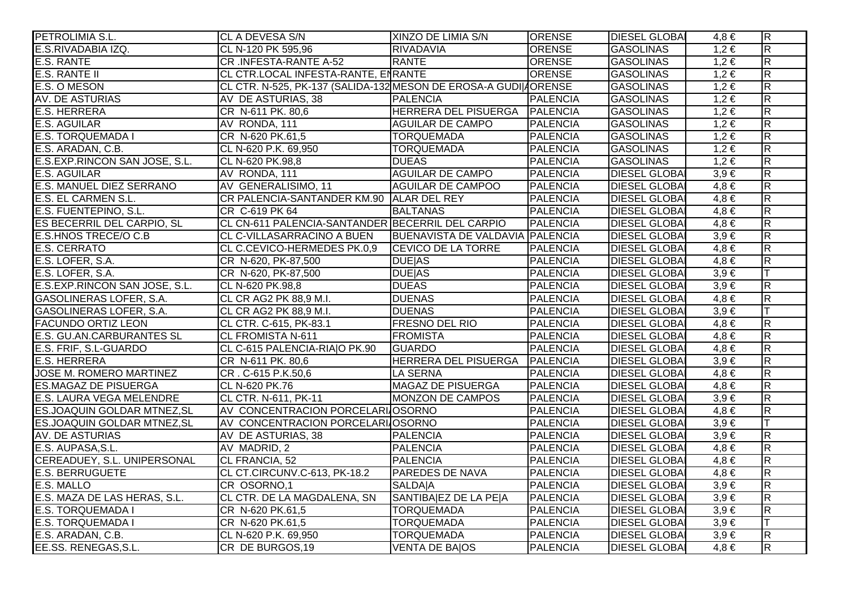| PETROLIMIA S.L.                   | CL A DEVESA S/N                                                  | XINZO DE LIMIA S/N              | <b>ORENSE</b>   | <b>DIESEL GLOBAI</b> | $4,8 \in$ | $\overline{R}$          |
|-----------------------------------|------------------------------------------------------------------|---------------------------------|-----------------|----------------------|-----------|-------------------------|
| E.S.RIVADABIA IZQ.                | CL N-120 PK 595,96                                               | RIVADAVIA                       | ORENSE          | <b>GASOLINAS</b>     | $1,2 \in$ | $\overline{\mathsf{R}}$ |
| <b>E.S. RANTE</b>                 | CR .INFESTA-RANTE A-52                                           | <b>RANTE</b>                    | <b>ORENSE</b>   | <b>GASOLINAS</b>     | $1,2 \in$ | $\overline{\mathsf{R}}$ |
| <b>E.S. RANTE II</b>              | CL CTR.LOCAL INFESTA-RANTE, ENRANTE                              |                                 | <b>ORENSE</b>   | <b>GASOLINAS</b>     | $1,2 \in$ | $\overline{\mathsf{R}}$ |
| E.S. O MESON                      | CL CTR. N-525, PK-137 (SALIDA-132 MESON DE EROSA-A GUDI  AORENSE |                                 |                 | <b>GASOLINAS</b>     | $1,2 \in$ | $\overline{\mathsf{R}}$ |
| AV. DE ASTURIAS                   | AV DE ASTURIAS, 38                                               | <b>PALENCIA</b>                 | <b>PALENCIA</b> | <b>GASOLINAS</b>     | $1,2 \in$ | $\overline{\mathsf{R}}$ |
| <b>E.S. HERRERA</b>               | CR N-611 PK. 80,6                                                | HERRERA DEL PISUERGA PALENCIA   |                 | <b>GASOLINAS</b>     | $1,2 \in$ | $\overline{R}$          |
| <b>E.S. AGUILAR</b>               | AV RONDA, 111                                                    | <b>AGUILAR DE CAMPO</b>         | <b>PALENCIA</b> | <b>GASOLINAS</b>     | $1,2 \in$ | $\overline{\mathsf{R}}$ |
| <b>E.S. TORQUEMADA I</b>          | CR N-620 PK.61,5                                                 | <b>TORQUEMADA</b>               | <b>PALENCIA</b> | <b>GASOLINAS</b>     | $1,2 \in$ | $\overline{\mathsf{R}}$ |
| E.S. ARADAN, C.B.                 | CL N-620 P.K. 69,950                                             | <b>TORQUEMADA</b>               | <b>PALENCIA</b> | <b>GASOLINAS</b>     | $1,2 \in$ | $\overline{\mathsf{R}}$ |
| E.S.EXP.RINCON SAN JOSE, S.L.     | CL N-620 PK.98,8                                                 | <b>DUEAS</b>                    | <b>PALENCIA</b> | <b>GASOLINAS</b>     | $1,2 \in$ | $\overline{R}$          |
| <b>E.S. AGUILAR</b>               | AV RONDA, 111                                                    | <b>AGUILAR DE CAMPO</b>         | <b>PALENCIA</b> | <b>DIESEL GLOBAI</b> | $3,9 \in$ | $\overline{\mathsf{R}}$ |
| E.S. MANUEL DIEZ SERRANO          | AV GENERALISIMO, 11                                              | <b>AGUILAR DE CAMPOO</b>        | <b>PALENCIA</b> | <b>DIESEL GLOBA</b>  | $4,8 \in$ | $\overline{\mathsf{R}}$ |
| E.S. EL CARMEN S.L.               | CR PALENCIA-SANTANDER KM.90 ALAR DEL REY                         |                                 | <b>PALENCIA</b> | <b>DIESEL GLOBAI</b> | $4,8 \in$ | $\overline{\mathsf{R}}$ |
| E.S. FUENTEPINO, S.L.             | CR C-619 PK 64                                                   | <b>BALTANAS</b>                 | <b>PALENCIA</b> | <b>DIESEL GLOBA</b>  | $4,8 \in$ | $\overline{R}$          |
| ES BECERRIL DEL CARPIO, SL        | CL CN-611 PALENCIA-SANTANDER BECERRIL DEL CARPIO                 |                                 | <b>PALENCIA</b> | <b>DIESEL GLOBAI</b> | $4,8 \in$ | $\overline{R}$          |
| E.S.HNOS TRECE/O C.B              | CL C-VILLASARRACINO A BUEN                                       | BUENAVISTA DE VALDAVIA PALENCIA |                 | <b>DIESEL GLOBAI</b> | $3,9 \in$ | $\overline{\mathsf{R}}$ |
| <b>E.S. CERRATO</b>               | CL C.CEVICO-HERMEDES PK.0,9                                      | <b>CEVICO DE LA TORRE</b>       | <b>PALENCIA</b> | <b>DIESEL GLOBAI</b> | $4,8 \in$ | $\overline{\mathsf{R}}$ |
| E.S. LOFER, S.A.                  | CR N-620, PK-87,500                                              | <b>DUE AS</b>                   | <b>PALENCIA</b> | <b>DIESEL GLOBAI</b> | $4,8 \in$ | $\overline{\mathsf{R}}$ |
| E.S. LOFER, S.A.                  | CR N-620, PK-87,500                                              | <b>DUE AS</b>                   | <b>PALENCIA</b> | <b>DIESEL GLOBAI</b> | $3,9 \in$ | $\top$                  |
| E.S.EXP.RINCON SAN JOSE, S.L.     | CL N-620 PK.98,8                                                 | <b>DUEAS</b>                    | <b>PALENCIA</b> | <b>DIESEL GLOBA</b>  | $3,9 \in$ | $\overline{\mathsf{R}}$ |
| <b>GASOLINERAS LOFER, S.A.</b>    | CL CR AG2 PK 88,9 M.I.                                           | <b>DUENAS</b>                   | <b>PALENCIA</b> | <b>DIESEL GLOBAI</b> | $4,8 \in$ | $\overline{\mathsf{R}}$ |
| GASOLINERAS LOFER, S.A.           | CL CR AG2 PK 88,9 M.I.                                           | <b>DUENAS</b>                   | <b>PALENCIA</b> | <b>DIESEL GLOBAI</b> | $3,9 \in$ | lΤ                      |
| <b>FACUNDO ORTIZ LEON</b>         | CL CTR. C-615, PK-83.1                                           | <b>FRESNO DEL RIO</b>           | <b>PALENCIA</b> | <b>DIESEL GLOBAI</b> | $4,8 \in$ | $\overline{\mathsf{R}}$ |
| <b>E.S. GU.AN.CARBURANTES SL</b>  | <b>CL FROMISTA N-611</b>                                         | <b>FROMISTA</b>                 | <b>PALENCIA</b> | <b>DIESEL GLOBA</b>  | $4,8 \in$ | $\overline{\mathsf{R}}$ |
| E.S. FRIF, S.L-GUARDO             | CL C-615 PALENCIA-RIA O PK.90                                    | <b>GUARDO</b>                   | <b>PALENCIA</b> | <b>DIESEL GLOBAI</b> | $4,8 \in$ | $\overline{R}$          |
| <b>E.S. HERRERA</b>               | CR N-611 PK. 80,6                                                | <b>HERRERA DEL PISUERGA</b>     | <b>PALENCIA</b> | <b>DIESEL GLOBAI</b> | $3,9 \in$ | $\overline{\mathsf{R}}$ |
| <b>JOSE M. ROMERO MARTINEZ</b>    | CR. C-615 P.K.50,6                                               | <b>LA SERNA</b>                 | <b>PALENCIA</b> | <b>DIESEL GLOBAI</b> | $4,8 \in$ | $\overline{R}$          |
| <b>ES.MAGAZ DE PISUERGA</b>       | CL N-620 PK.76                                                   | <b>MAGAZ DE PISUERGA</b>        | <b>PALENCIA</b> | <b>DIESEL GLOBAI</b> | $4,8 \in$ | $\overline{\mathsf{R}}$ |
| <b>E.S. LAURA VEGA MELENDRE</b>   | CL CTR. N-611, PK-11                                             | MONZON DE CAMPOS                | <b>PALENCIA</b> | <b>DIESEL GLOBA</b>  | $3,9 \in$ | $\overline{\mathsf{R}}$ |
| ES.JOAQUIN GOLDAR MTNEZ, SL       | AV CONCENTRACION PORCELARI OSORNO                                |                                 | <b>PALENCIA</b> | <b>DIESEL GLOBA</b>  | $4,8 \in$ | $\overline{\mathsf{R}}$ |
| <b>ES.JOAQUIN GOLDAR MTNEZ,SL</b> | AV CONCENTRACION PORCELARI OSORNO                                |                                 | <b>PALENCIA</b> | <b>DIESEL GLOBA</b>  | $3,9 \in$ | lΤ                      |
| <b>AV. DE ASTURIAS</b>            | AV DE ASTURIAS, 38                                               | <b>PALENCIA</b>                 | <b>PALENCIA</b> | <b>DIESEL GLOBAI</b> | $3,9 \in$ | $\overline{\mathsf{R}}$ |
| E.S. AUPASA, S.L.                 | AV MADRID, 2                                                     | <b>PALENCIA</b>                 | <b>PALENCIA</b> | <b>DIESEL GLOBAI</b> | $4,8 \in$ | $\overline{\mathsf{R}}$ |
| CEREADUEY, S.L. UNIPERSONAL       | CL FRANCIA, 52                                                   | <b>PALENCIA</b>                 | <b>PALENCIA</b> | <b>DIESEL GLOBAI</b> | $4,8 \in$ | $\overline{\mathsf{R}}$ |
| <b>E.S. BERRUGUETE</b>            | CL CT.CIRCUNV.C-613, PK-18.2                                     | <b>PAREDES DE NAVA</b>          | <b>PALENCIA</b> | <b>DIESEL GLOBAI</b> | $4,8 \in$ | $\overline{R}$          |
| E.S. MALLO                        | CR OSORNO,1                                                      | <b>SALDAIA</b>                  | <b>PALENCIA</b> | <b>DIESEL GLOBA</b>  | $3,9 \in$ | $\overline{\mathsf{R}}$ |
| E.S. MAZA DE LAS HERAS, S.L.      | CL CTR. DE LA MAGDALENA, SN                                      | SANTIBAIEZ DE LA PEJA           | <b>PALENCIA</b> | <b>DIESEL GLOBAI</b> | $3,9 \in$ | $\overline{\mathsf{R}}$ |
| <b>E.S. TORQUEMADA I</b>          | CR N-620 PK.61,5                                                 | <b>TORQUEMADA</b>               | <b>PALENCIA</b> | <b>DIESEL GLOBAI</b> | $3,9 \in$ | $\overline{R}$          |
| <b>E.S. TORQUEMADA I</b>          | CR N-620 PK.61,5                                                 | <b>TORQUEMADA</b>               | <b>PALENCIA</b> | <b>DIESEL GLOBAI</b> | $3,9 \in$ |                         |
| E.S. ARADAN, C.B.                 | CL N-620 P.K. 69,950                                             | <b>TORQUEMADA</b>               | <b>PALENCIA</b> | <b>DIESEL GLOBAI</b> | $3,9 \in$ | $\overline{R}$          |
| EE.SS. RENEGAS, S.L.              | CR DE BURGOS, 19                                                 | <b>VENTA DE BAJOS</b>           | <b>PALENCIA</b> | <b>DIESEL GLOBA</b>  | $4,8 \in$ | $\overline{\mathsf{R}}$ |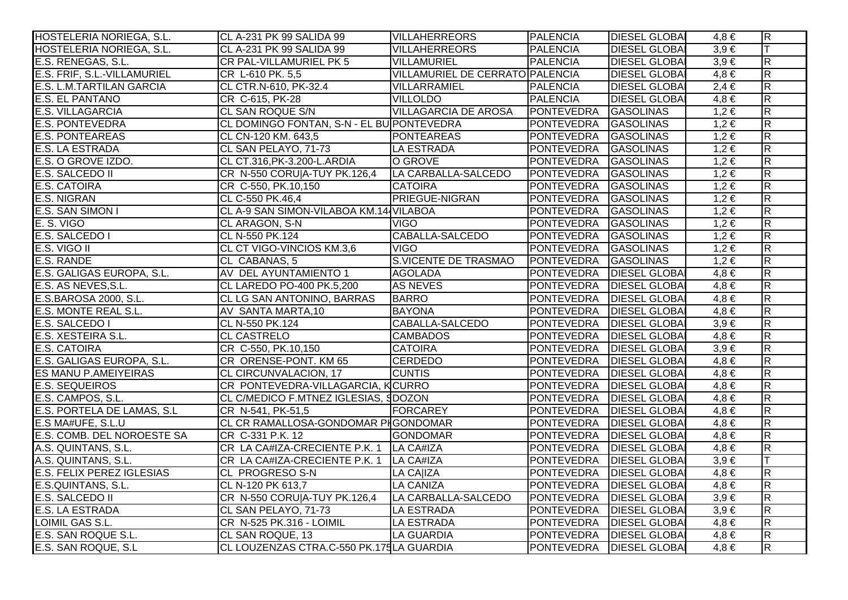| HOSTELERIA NORIEGA, S.L.         | CL A-231 PK 99 SALIDA 99                         | <b>VILLAHERREORS</b>            | <b>PALENCIA</b>                | <b>DIESEL GLOBAL</b> | $4,8 \in$ | $\overline{R}$          |
|----------------------------------|--------------------------------------------------|---------------------------------|--------------------------------|----------------------|-----------|-------------------------|
| HOSTELERIA NORIEGA, S.L.         | CL A-231 PK 99 SALIDA 99                         | <b>VILLAHERREORS</b>            | <b>PALENCIA</b>                | <b>DIESEL GLOBA</b>  | $3,9 \in$ | $\top$                  |
| E.S. RENEGAS, S.L.               | CR PAL-VILLAMURIEL PK 5                          | <b>VILLAMURIEL</b>              | <b>PALENCIA</b>                | <b>DIESEL GLOBAI</b> | $3,9 \in$ | $\overline{\mathsf{R}}$ |
| E.S. FRIF, S.L.-VILLAMURIEL      | CR L-610 PK. 5,5                                 | VILLAMURIEL DE CERRATO PALENCIA |                                | <b>DIESEL GLOBA</b>  | $4,8 \in$ | $\overline{\mathsf{R}}$ |
| E.S. L.M.TARTILAN GARCIA         | CL CTR.N-610, PK-32.4                            | VILLARRAMIEL                    | PALENCIA                       | <b>DIESEL GLOBAI</b> | $2,4 \in$ | $\overline{\mathsf{R}}$ |
| E.S. EL PANTANO                  | CR C-615, PK-28                                  | <b>VILLOLDO</b>                 | <b>PALENCIA</b>                | <b>DIESEL GLOBAI</b> | $4,8 \in$ | $\overline{\mathsf{R}}$ |
| <b>E.S. VILLAGARCIA</b>          | <b>CL SAN ROQUE S/N</b>                          | <b>VILLAGARCIA DE AROSA</b>     | PONTEVEDRA                     | <b>GASOLINAS</b>     | $1,2 \in$ | $\overline{\mathsf{R}}$ |
| <b>E.S. PONTEVEDRA</b>           | CL DOMINGO FONTAN, S-N - EL BU PONTEVEDRA        |                                 | PONTEVEDRA GASOLINAS           |                      | $1,2 \in$ | $\overline{\mathsf{R}}$ |
| <b>E.S. PONTEAREAS</b>           | CL CN-120 KM. 643,5                              | PONTEAREAS                      | PONTEVEDRA GASOLINAS           |                      | $1,2 \in$ | $\overline{\mathsf{R}}$ |
| <b>E.S. LA ESTRADA</b>           | CL SAN PELAYO, 71-73                             | <b>LA ESTRADA</b>               | PONTEVEDRA GASOLINAS           |                      | $1,2 \in$ | $\overline{R}$          |
| E.S. O GROVE IZDO.               | CL CT.316, PK-3.200-L. ARDIA                     | O GROVE                         | PONTEVEDRA GASOLINAS           |                      | $1,2 \in$ | $\overline{R}$          |
| E.S. SALCEDO II                  | CR N-550 CORU A-TUY PK.126,4 LA CARBALLA-SALCEDO |                                 | PONTEVEDRA GASOLINAS           |                      | $1,2 \in$ | $\overline{\mathsf{R}}$ |
| <b>E.S. CATOIRA</b>              | CR C-550, PK.10,150                              | <b>CATOIRA</b>                  | PONTEVEDRA GASOLINAS           |                      | $1,2 \in$ | $\overline{R}$          |
| <b>E.S. NIGRAN</b>               | CL C-550 PK.46,4                                 | <b>PRIEGUE-NIGRAN</b>           | PONTEVEDRA GASOLINAS           |                      | $1,2 \in$ | $\overline{R}$          |
| E.S. SAN SIMON I                 | CL A-9 SAN SIMON-VILABOA KM.14 VILABOA           |                                 | PONTEVEDRA GASOLINAS           |                      | $1,2 \in$ | $\overline{R}$          |
| E. S. VIGO                       | CL ARAGON, S-N                                   | VIGO                            | PONTEVEDRA GASOLINAS           |                      | $1,2 \in$ | $\overline{R}$          |
| E.S. SALCEDO I                   | CL N-550 PK.124                                  | CABALLA-SALCEDO                 | PONTEVEDRA GASOLINAS           |                      | $1,2 \in$ | $\overline{\mathsf{R}}$ |
| E.S. VIGO II                     | CL CT VIGO-VINCIOS KM.3,6                        | <b>VIGO</b>                     | PONTEVEDRA GASOLINAS           |                      | $1,2 \in$ | $\overline{\mathsf{R}}$ |
| E.S. RANDE                       | CL CABANAS, 5                                    | S.VICENTE DE TRASMAO            | PONTEVEDRA GASOLINAS           |                      | $1,2 \in$ | $\overline{R}$          |
| E.S. GALIGAS EUROPA, S.L.        | AV DEL AYUNTAMIENTO 1                            | <b>AGOLADA</b>                  | PONTEVEDRA DIESEL GLOBAI       |                      | $4,8 \in$ | $\overline{\mathsf{R}}$ |
| E.S. AS NEVES, S.L.              | CL LAREDO PO-400 PK.5,200                        | <b>AS NEVES</b>                 | PONTEVEDRA                     | <b>DIESEL GLOBA</b>  | $4,8 \in$ | $\overline{\mathsf{R}}$ |
| E.S.BAROSA 2000, S.L.            | CL LG SAN ANTONINO, BARRAS                       | <b>BARRO</b>                    | PONTEVEDRA   DIESEL GLOBAI     |                      | $4,8 \in$ | $\overline{R}$          |
| E.S. MONTE REAL S.L.             | AV SANTA MARTA, 10                               | <b>BAYONA</b>                   | PONTEVEDRA   DIESEL GLOBA      |                      | $4,8 \in$ | $\overline{\mathsf{R}}$ |
| E.S. SALCEDO I                   | CL N-550 PK.124                                  | CABALLA-SALCEDO                 | PONTEVEDRA   DIESEL GLOBA      |                      | $3,9 \in$ | $\overline{R}$          |
| E.S. XESTEIRA S.L.               | <b>CL CASTRELO</b>                               | <b>CAMBADOS</b>                 | PONTEVEDRA   DIESEL GLOBA      |                      | $4,8 \in$ | $\overline{R}$          |
| <b>E.S. CATOIRA</b>              | CR C-550, PK.10,150                              | <b>CATOIRA</b>                  | PONTEVEDRA   DIESEL GLOBA      |                      | $3,9 \in$ | $\overline{\mathsf{R}}$ |
| E.S. GALIGAS EUROPA, S.L.        | CR ORENSE-PONT. KM 65                            | <b>CERDEDO</b>                  | PONTEVEDRA   DIESEL GLOBA      |                      | $4,8 \in$ | $\overline{\mathsf{R}}$ |
| <b>ES MANU P.AMEIYEIRAS</b>      | CL CIRCUNVALACION, 17                            | <b>CUNTIS</b>                   | PONTEVEDRA   DIESEL GLOBA      |                      | $4,8 \in$ | $\overline{\mathsf{R}}$ |
| <b>E.S. SEQUEIROS</b>            | CR PONTEVEDRA-VILLAGARCIA, KCURRO                |                                 | PONTEVEDRA   DIESEL GLOBA      |                      | $4.8 \in$ | $\overline{\mathsf{R}}$ |
| E.S. CAMPOS, S.L.                | CL C/MEDICO F.MTNEZ IGLESIAS, SDOZON             |                                 | <b>PONTEVEDRA</b>              | <b>DIESEL GLOBA</b>  | $4,8 \in$ | $\overline{\mathsf{R}}$ |
| E.S. PORTELA DE LAMAS, S.L.      | CR N-541, PK-51,5                                | FORCAREY                        | PONTEVEDRA   DIESEL GLOBA      |                      | $4,8 \in$ | $\overline{R}$          |
| E.S MA#UFE, S.L.U                | CL CR RAMALLOSA-GONDOMAR PIGONDOMAR              |                                 | PONTEVEDRA   DIESEL GLOBA      |                      | $4,8 \in$ | $\overline{\mathsf{R}}$ |
| E.S. COMB. DEL NOROESTE SA       | CR C-331 P.K. 12                                 | <b>GONDOMAR</b>                 | PONTEVEDRA   DIESEL GLOBA      |                      | $4,8 \in$ | $\overline{R}$          |
| A.S. QUINTANS, S.L.              | CR LA CA#IZA-CRECIENTE P.K. 1 LA CA#IZA          |                                 | PONTEVEDRA   DIESEL GLOBA      |                      | $4,8 \in$ | $\overline{R}$          |
| A.S. QUINTANS, S.L.              | CR LA CA#IZA-CRECIENTE P.K. 1 LA CA#IZA          |                                 | PONTEVEDRA   DIESEL GLOBA      |                      | $3,9 \in$ | T                       |
| <b>E.S. FELIX PEREZ IGLESIAS</b> | CL PROGRESO S-N                                  | LA CA IZA                       | PONTEVEDRA   DIESEL GLOBA      |                      | $4,8 \in$ | $\overline{\mathsf{R}}$ |
| E.S.QUINTANS, S.L.               | CL N-120 PK 613,7                                | <b>LA CANIZA</b>                | PONTEVEDRA   DIESEL GLOBAI     |                      | $4.8 \in$ | $\overline{\mathsf{R}}$ |
| E.S. SALCEDO II                  | CR N-550 CORU A-TUY PK.126,4 LA CARBALLA-SALCEDO |                                 | <b>PONTEVEDRA DIESEL GLOBA</b> |                      | $3,9 \in$ | $\overline{R}$          |
| <b>E.S. LA ESTRADA</b>           | CL SAN PELAYO, 71-73                             | <b>LA ESTRADA</b>               | <b>PONTEVEDRA</b>              | <b>DIESEL GLOBAI</b> | $3,9 \in$ | $\overline{\mathsf{R}}$ |
| LOIMIL GAS S.L.                  | CR N-525 PK.316 - LOIMIL                         | LA ESTRADA                      | <b>PONTEVEDRA</b>              | <b>DIESEL GLOBA</b>  | $4,8 \in$ | $\overline{\mathsf{R}}$ |
| E.S. SAN ROQUE S.L.              | CL SAN ROQUE, 13                                 | LA GUARDIA                      | <b>PONTEVEDRA</b>              | <b>DIESEL GLOBAI</b> | $4,8 \in$ | $\overline{\mathsf{R}}$ |
| E.S. SAN ROQUE, S.L              | CL LOUZENZAS CTRA.C-550 PK.175LA GUARDIA         |                                 | PONTEVEDRA DIESEL GLOBA        |                      | $4,8 \in$ | $\overline{R}$          |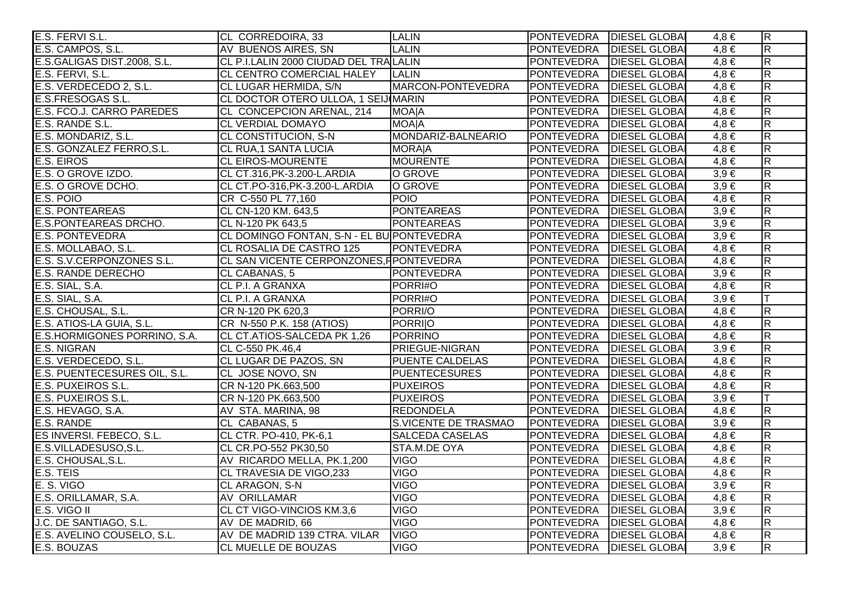| E.S. FERVI S.L.              | CL CORREDOIRA, 33                         | <b>LALIN</b>           | PONTEVEDRA   DIESEL GLOBAI |                      | $4,8 \in$ | $\overline{R}$          |
|------------------------------|-------------------------------------------|------------------------|----------------------------|----------------------|-----------|-------------------------|
| E.S. CAMPOS, S.L.            | AV BUENOS AIRES, SN                       | <b>LALIN</b>           | PONTEVEDRA   DIESEL GLOBAI |                      | $4.8 \in$ | R.                      |
| E.S.GALIGAS DIST.2008, S.L.  | CL P.I.LALIN 2000 CIUDAD DEL TRALALIN     |                        | <b>PONTEVEDRA</b>          | <b>DIESEL GLOBAI</b> | $4,8 \in$ | $\overline{\mathsf{R}}$ |
| E.S. FERVI, S.L.             | CL CENTRO COMERCIAL HALEY                 | <b>LALIN</b>           | PONTEVEDRA   DIESEL GLOBAI |                      | $4,8 \in$ | $\overline{R}$          |
| E.S. VERDECEDO 2, S.L.       | CL LUGAR HERMIDA, S/N                     | MARCON-PONTEVEDRA      | PONTEVEDRA   DIESEL GLOBAI |                      | $4,8 \in$ | $\overline{R}$          |
| E.S.FRESOGAS S.L.            | CL DOCTOR OTERO ULLOA, 1 SEIJ MARIN       |                        | PONTEVEDRA DIESEL GLOBAI   |                      | $4,8 \in$ | $\overline{\mathsf{R}}$ |
| E.S. FCO.J. CARRO PAREDES    | CL CONCEPCION ARENAL, 214                 | <b>MOA A</b>           | <b>PONTEVEDRA</b>          | <b>DIESEL GLOBAI</b> | $4,8 \in$ | R                       |
| E.S. RANDE S.L.              | <b>CL VERDIAL DOMAYO</b>                  | <b>MOA A</b>           | <b>PONTEVEDRA</b>          | <b>DIESEL GLOBAI</b> | $4,8 \in$ | $\overline{\mathsf{R}}$ |
| E.S. MONDARIZ, S.L.          | CL CONSTITUCION, S-N                      | MONDARIZ-BALNEARIO     | PONTEVEDRA   DIESEL GLOBAI |                      | $4,8 \in$ | $\overline{R}$          |
| E.S. GONZALEZ FERRO, S.L.    | CL RUA, 1 SANTA LUCIA                     | <b>MORAJA</b>          | PONTEVEDRA   DIESEL GLOBA  |                      | $4.8 \in$ | $\overline{\mathsf{R}}$ |
| E.S. EIROS                   | <b>CL EIROS-MOURENTE</b>                  | MOURENTE               | PONTEVEDRA   DIESEL GLOBAI |                      | $4,8 \in$ | R                       |
| E.S. O GROVE IZDO.           | CL CT.316, PK-3.200-L. ARDIA              | O GROVE                | <b>PONTEVEDRA</b>          | <b>DIESEL GLOBAI</b> | $3.9 \in$ | $\overline{\mathsf{R}}$ |
| E.S. O GROVE DCHO.           | CL CT.PO-316, PK-3.200-L. ARDIA           | O GROVE                | PONTEVEDRA   DIESEL GLOBAI |                      | $3,9 \in$ | R                       |
| E.S. POIO                    | CR C-550 PL 77,160                        | <b>POIO</b>            | PONTEVEDRA   DIESEL GLOBA  |                      | $4,8 \in$ | $\overline{R}$          |
| <b>E.S. PONTEAREAS</b>       | CL CN-120 KM. 643,5                       | <b>PONTEAREAS</b>      | PONTEVEDRA   DIESEL GLOBAI |                      | $3,9 \in$ | $\overline{\mathsf{R}}$ |
| <b>E.S.PONTEAREAS DRCHO.</b> | CL N-120 PK 643,5                         | <b>PONTEAREAS</b>      | PONTEVEDRA   DIESEL GLOBAI |                      | $3,9 \in$ | $\overline{R}$          |
| <b>E.S. PONTEVEDRA</b>       | CL DOMINGO FONTAN, S-N - EL BU PONTEVEDRA |                        | PONTEVEDRA   DIESEL GLOBAI |                      | $3,9 \in$ | $\overline{\mathsf{R}}$ |
| E.S. MOLLABAO, S.L.          | CL ROSALIA DE CASTRO 125                  | <b>PONTEVEDRA</b>      | PONTEVEDRA   DIESEL GLOBA  |                      | $4,8 \in$ | $\overline{R}$          |
| E.S. S.V.CERPONZONES S.L.    | CL SAN VICENTE CERPONZONES, FPONTEVEDRA   |                        | PONTEVEDRA   DIESEL GLOBA  |                      | $4.8 \in$ | $\overline{\mathsf{R}}$ |
| <b>E.S. RANDE DERECHO</b>    | CL CABANAS, 5                             | <b>PONTEVEDRA</b>      | PONTEVEDRA   DIESEL GLOBAI |                      | $3,9 \in$ | $\mathsf R$             |
| E.S. SIAL, S.A.              | CL P.I. A GRANXA                          | PORRI#O                | PONTEVEDRA                 | <b>DIESEL GLOBAI</b> | $4,8 \in$ | $\overline{\mathsf{R}}$ |
| E.S. SIAL, S.A.              | CL P.I. A GRANXA                          | PORRI#O                | PONTEVEDRA   DIESEL GLOBAI |                      | $3,9 \in$ | T                       |
| E.S. CHOUSAL, S.L.           | CR N-120 PK 620,3                         | PORRI/O                | PONTEVEDRA   DIESEL GLOBAI |                      | $4,8 \in$ | $\overline{\mathsf{R}}$ |
| E.S. ATIOS-LA GUIA, S.L.     | CR N-550 P.K. 158 (ATIOS)                 | PORRIJO                | PONTEVEDRA   DIESEL GLOBAI |                      | $4,8 \in$ | $\overline{\mathsf{R}}$ |
| E.S.HORMIGONES PORRINO, S.A. | CL CT.ATIOS-SALCEDA PK 1,26               | PORRINO                | PONTEVEDRA   DIESEL GLOBAI |                      | $4.8 \in$ | $\overline{R}$          |
| E.S. NIGRAN                  | CL C-550 PK.46,4                          | <b>PRIEGUE-NIGRAN</b>  | <b>PONTEVEDRA</b>          | <b>DIESEL GLOBAI</b> | $3,9 \in$ | $\overline{\mathsf{R}}$ |
| E.S. VERDECEDO, S.L.         | CL LUGAR DE PAZOS, SN                     | <b>PUENTE CALDELAS</b> | PONTEVEDRA   DIESEL GLOBAI |                      | $4.8 \in$ | $\overline{R}$          |
| E.S. PUENTECESURES OIL, S.L. | CL JOSE NOVO, SN                          | <b>PUENTECESURES</b>   | PONTEVEDRA   DIESEL GLOBAI |                      | $4,8 \in$ | $\overline{R}$          |
| E.S. PUXEIROS S.L.           | CR N-120 PK.663,500                       | <b>PUXEIROS</b>        | PONTEVEDRA DIESEL GLOBAI   |                      | $4,8 \in$ | $\overline{R}$          |
| E.S. PUXEIROS S.L.           | CR N-120 PK.663,500                       | <b>PUXEIROS</b>        | <b>PONTEVEDRA</b>          | <b>DIESEL GLOBA</b>  | $3,9 \in$ | $\top$                  |
| E.S. HEVAGO, S.A.            | AV STA. MARINA, 98                        | <b>REDONDELA</b>       | PONTEVEDRA   DIESEL GLOBA  |                      | $4,8 \in$ | $\overline{R}$          |
| E.S. RANDE                   | CL CABANAS, 5                             | S.VICENTE DE TRASMAO   | PONTEVEDRA DIESEL GLOBA    |                      | $3,9 \in$ | $\overline{\mathsf{R}}$ |
| ES INVERSI. FEBECO, S.L.     | CL CTR. PO-410, PK-6,1                    | <b>SALCEDA CASELAS</b> | PONTEVEDRA   DIESEL GLOBAI |                      | $4.8 \in$ | $\overline{\mathsf{R}}$ |
| E.S.VILLADESUSO,S.L.         | CL CR.PO-552 PK30,50                      | STA.M.DE OYA           | <b>PONTEVEDRA</b>          | <b>DIESEL GLOBAI</b> | $4,8 \in$ | $\overline{R}$          |
| E.S. CHOUSAL, S.L.           | AV RICARDO MELLA, PK.1,200                | <b>VIGO</b>            | <b>PONTEVEDRA</b>          | <b>DIESEL GLOBAI</b> | $4,8 \in$ | $\overline{\mathsf{R}}$ |
| E.S. TEIS                    | CL TRAVESIA DE VIGO,233                   | <b>VIGO</b>            | <b>PONTEVEDRA</b>          | <b>DIESEL GLOBAI</b> | $4,8 \in$ | $\overline{\mathsf{R}}$ |
| E. S. VIGO                   | CL ARAGON, S-N                            | <b>VIGO</b>            | PONTEVEDRA   DIESEL GLOBAI |                      | $3,9 \in$ | $\overline{\mathsf{R}}$ |
| E.S. ORILLAMAR, S.A.         | AV ORILLAMAR                              | <b>VIGO</b>            | PONTEVEDRA   DIESEL GLOBAI |                      | $4.8 \in$ | $\overline{R}$          |
| E.S. VIGO II                 | CL CT VIGO-VINCIOS KM.3,6                 | <b>VIGO</b>            | <b>PONTEVEDRA</b>          | <b>DIESEL GLOBAI</b> | $3,9 \in$ | $\overline{\mathsf{R}}$ |
| J.C. DE SANTIAGO, S.L.       | AV DE MADRID, 66                          | <b>VIGO</b>            | <b>PONTEVEDRA</b>          | <b>DIESEL GLOBAI</b> | $4,8 \in$ | $\overline{R}$          |
| E.S. AVELINO COUSELO, S.L.   | AV DE MADRID 139 CTRA. VILAR              | <b>VIGO</b>            | PONTEVEDRA   DIESEL GLOBAI |                      | $4,8 \in$ | $\overline{\mathsf{R}}$ |
| E.S. BOUZAS                  | <b>CL MUELLE DE BOUZAS</b>                | VIGO                   | PONTEVEDRA   DIESEL GLOBA  |                      | $3,9 \in$ | $\overline{\mathsf{R}}$ |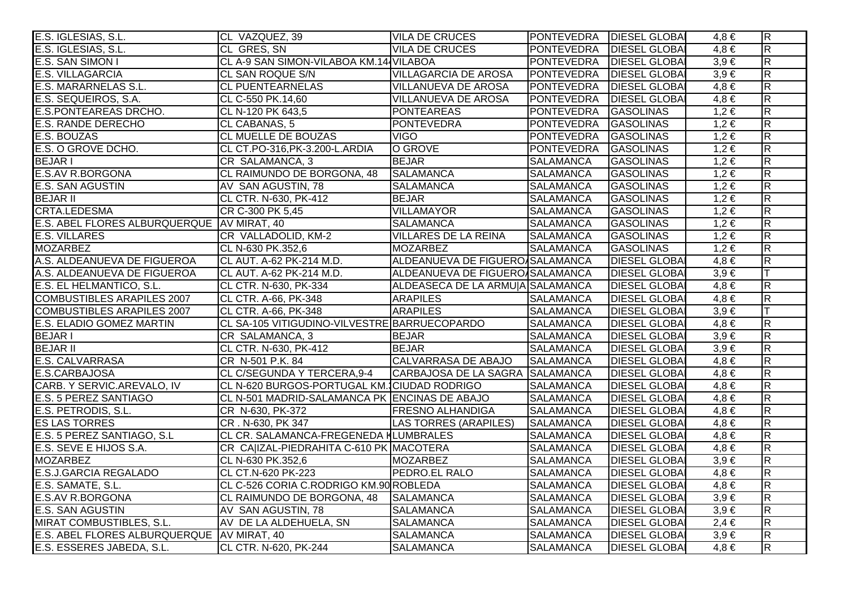| E.S. IGLESIAS, S.L.                          | CL VAZQUEZ, 39                                | <b>VILA DE CRUCES</b>            | PONTEVEDRA   DIESEL GLOBAI |                      | $4,8 \in$ | $\overline{R}$          |
|----------------------------------------------|-----------------------------------------------|----------------------------------|----------------------------|----------------------|-----------|-------------------------|
| E.S. IGLESIAS, S.L.                          | CL GRES, SN                                   | <b>VILA DE CRUCES</b>            | PONTEVEDRA   DIESEL GLOBA  |                      | $4.8 \in$ | $\overline{\mathbf{z}}$ |
| <b>E.S. SAN SIMON I</b>                      | CL A-9 SAN SIMON-VILABOA KM.14 VILABOA        |                                  | <b>PONTEVEDRA</b>          | <b>DIESEL GLOBA</b>  | $3,9 \in$ | $\overline{\mathsf{R}}$ |
| <b>E.S. VILLAGARCIA</b>                      | CL SAN ROQUE S/N                              | <b>VILLAGARCIA DE AROSA</b>      | PONTEVEDRA                 | <b>DIESEL GLOBA</b>  | $3,9 \in$ | $\overline{\mathbf{z}}$ |
| E.S. MARARNELAS S.L.                         | <b>CL PUENTEARNELAS</b>                       | VILLANUEVA DE AROSA              | PONTEVEDRA                 | <b>DIESEL GLOBA</b>  | $4,8 \in$ | $\overline{R}$          |
| E.S. SEQUEIROS, S.A.                         | CL C-550 PK.14,60                             | <b>VILLANUEVA DE AROSA</b>       | PONTEVEDRA                 | <b>DIESEL GLOBA</b>  | $4,8 \in$ | $\overline{R}$          |
| <b>E.S.PONTEAREAS DRCHO.</b>                 | CL N-120 PK 643,5                             | <b>PONTEAREAS</b>                | PONTEVEDRA                 | <b>GASOLINAS</b>     | $1,2 \in$ | $\overline{\mathbf{z}}$ |
| <b>E.S. RANDE DERECHO</b>                    | CL CABANAS, 5                                 | <b>PONTEVEDRA</b>                | <b>PONTEVEDRA</b>          | <b>GASOLINAS</b>     | $1,2 \in$ | $\overline{R}$          |
| <b>E.S. BOUZAS</b>                           | <b>CL MUELLE DE BOUZAS</b>                    | <b>VIGO</b>                      | PONTEVEDRA                 | <b>GASOLINAS</b>     | $1,2 \in$ | $\overline{\mathsf{R}}$ |
| E.S. O GROVE DCHO.                           | CL CT.PO-316, PK-3.200-L. ARDIA               | O GROVE                          | PONTEVEDRA                 | GASOLINAS            | $1,2 \in$ | $\overline{R}$          |
| <b>BEJARI</b>                                | CR SALAMANCA, 3                               | <b>BEJAR</b>                     | SALAMANCA                  | <b>GASOLINAS</b>     | $1,2 \in$ | $\overline{\mathbf{z}}$ |
| <b>E.S.AV R.BORGONA</b>                      | CL RAIMUNDO DE BORGONA, 48                    | <b>SALAMANCA</b>                 | <b>SALAMANCA</b>           | <b>GASOLINAS</b>     | $1,2 \in$ | $\overline{\mathbf{z}}$ |
| <b>E.S. SAN AGUSTIN</b>                      | AV SAN AGUSTIN, 78                            | <b>SALAMANCA</b>                 | SALAMANCA                  | <b>GASOLINAS</b>     | $1,2 \in$ | $\overline{\mathbf{z}}$ |
| <b>BEJAR II</b>                              | CL CTR. N-630, PK-412                         | <b>BEJAR</b>                     | <b>SALAMANCA</b>           | <b>GASOLINAS</b>     | $1,2 \in$ | $\overline{R}$          |
| CRTA.LEDESMA                                 | CR C-300 PK 5,45                              | <b>VILLAMAYOR</b>                | SALAMANCA                  | <b>GASOLINAS</b>     | $1,2 \in$ | $\overline{R}$          |
| E.S. ABEL FLORES ALBURQUERQUE AV MIRAT, 40   |                                               | <b>SALAMANCA</b>                 | <b>SALAMANCA</b>           | <b>GASOLINAS</b>     | $1,2 \in$ | $\overline{\mathbf{z}}$ |
| <b>E.S. VILLARES</b>                         | CR VALLADOLID, KM-2                           | <b>VILLARES DE LA REINA</b>      | SALAMANCA                  | <b>GASOLINAS</b>     | $1,2 \in$ | $\overline{R}$          |
| <b>MOZARBEZ</b>                              | CL N-630 PK.352,6                             | <b>MOZARBEZ</b>                  | <b>SALAMANCA</b>           | <b>GASOLINAS</b>     | $1,2 \in$ | $\overline{\mathsf{R}}$ |
| A.S. ALDEANUEVA DE FIGUEROA                  | CL AUT. A-62 PK-214 M.D.                      | ALDEANUEVA DE FIGUERO SALAMANCA  |                            | <b>DIESEL GLOBA</b>  | $4,8 \in$ | $\overline{\mathbf{z}}$ |
| A.S. ALDEANUEVA DE FIGUEROA                  | CL AUT. A-62 PK-214 M.D.                      | ALDEANUEVA DE FIGUERO SALAMANCA  |                            | <b>DIESEL GLOBA</b>  | $3,9 \in$ |                         |
| E.S. EL HELMANTICO, S.L.                     | CL CTR. N-630, PK-334                         | ALDEASECA DE LA ARMUJA SALAMANCA |                            | <b>DIESEL GLOBA</b>  | $4,8 \in$ | $\overline{\mathbf{z}}$ |
| <b>COMBUSTIBLES ARAPILES 2007</b>            | CL CTR. A-66, PK-348                          | <b>ARAPILES</b>                  | SALAMANCA                  | <b>DIESEL GLOBA</b>  | $4,8 \in$ | $\overline{R}$          |
| <b>COMBUSTIBLES ARAPILES 2007</b>            | CL CTR. A-66, PK-348                          | <b>ARAPILES</b>                  | <b>SALAMANCA</b>           | <b>DIESEL GLOBA</b>  | $3,9 \in$ | lΤ                      |
| E.S. ELADIO GOMEZ MARTIN                     | CL SA-105 VITIGUDINO-VILVESTRE BARRUECOPARDO  |                                  | <b>SALAMANCA</b>           | <b>DIESEL GLOBA</b>  | $4,8 \in$ | $\overline{\mathbf{z}}$ |
| <b>BEJARI</b>                                | CR SALAMANCA, 3                               | <b>BEJAR</b>                     | <b>SALAMANCA</b>           | <b>DIESEL GLOBAI</b> | $3,9 \in$ | $\overline{\mathbf{z}}$ |
| <b>BEJAR II</b>                              | CL CTR. N-630, PK-412                         | <b>BEJAR</b>                     | SALAMANCA                  | <b>DIESEL GLOBA</b>  | $3,9 \in$ | $\overline{\mathsf{R}}$ |
| E.S. CALVARRASA                              | CR N-501 P.K. 84                              | CALVARRASA DE ABAJO              | <b>SALAMANCA</b>           | <b>DIESEL GLOBA</b>  | $4,8 \in$ | $\overline{\mathbf{z}}$ |
| E.S.CARBAJOSA                                | CL C/SEGUNDA Y TERCERA, 9-4                   | CARBAJOSA DE LA SAGRA SALAMANCA  |                            | <b>DIESEL GLOBAI</b> | $4,8 \in$ | $\overline{\mathsf{R}}$ |
| CARB. Y SERVIC.AREVALO, IV                   | CL N-620 BURGOS-PORTUGAL KM. CIUDAD RODRIGO   |                                  | <b>SALAMANCA</b>           | <b>DIESEL GLOBA</b>  | $4,8 \in$ | $\overline{R}$          |
| E.S. 5 PEREZ SANTIAGO                        | CL N-501 MADRID-SALAMANCA PK ENCINAS DE ABAJO |                                  | <b>SALAMANCA</b>           | <b>DIESEL GLOBA</b>  | $4,8 \in$ | $\overline{\mathbf{z}}$ |
| E.S. PETRODIS, S.L.                          | CR N-630, PK-372                              | <b>FRESNO ALHANDIGA</b>          | <b>SALAMANCA</b>           | <b>DIESEL GLOBA</b>  | $4,8 \in$ | $\overline{R}$          |
| <b>ES LAS TORRES</b>                         | CR. N-630, PK 347                             | LAS TORRES (ARAPILES)            | <b>SALAMANCA</b>           | <b>DIESEL GLOBA</b>  | $4,8 \in$ | $\overline{\mathsf{R}}$ |
| E.S. 5 PEREZ SANTIAGO, S.L                   | CL CR. SALAMANCA-FREGENEDA MLUMBRALES         |                                  | <b>SALAMANCA</b>           | <b>DIESEL GLOBAI</b> | $4,8 \in$ | $\overline{\mathsf{R}}$ |
| E.S. SEVE E HIJOS S.A.                       | CR CA IZAL-PIEDRAHITA C-610 PK MACOTERA       |                                  | <b>SALAMANCA</b>           | <b>DIESEL GLOBA</b>  | $4,8 \in$ | $\overline{\mathsf{R}}$ |
| <b>MOZARBEZ</b>                              | CL N-630 PK.352,6                             | <b>MOZARBEZ</b>                  | <b>SALAMANCA</b>           | <b>DIESEL GLOBA</b>  | $3,9 \in$ | $\overline{\mathsf{R}}$ |
| <b>E.S.J.GARCIA REGALADO</b>                 | CL CT.N-620 PK-223                            | <b>PEDRO.EL RALO</b>             | <b>SALAMANCA</b>           | <b>DIESEL GLOBA</b>  | $4,8 \in$ | $\overline{\mathsf{R}}$ |
| E.S. SAMATE, S.L.                            | CL C-526 CORIA C.RODRIGO KM.90 ROBLEDA        |                                  | <b>SALAMANCA</b>           | <b>DIESEL GLOBAI</b> | $4,8 \in$ | $\overline{\mathsf{R}}$ |
| <b>E.S.AV R.BORGONA</b>                      | CL RAIMUNDO DE BORGONA, 48 SALAMANCA          |                                  | <b>SALAMANCA</b>           | <b>DIESEL GLOBA</b>  | $3,9 \in$ | $\overline{\mathsf{R}}$ |
| <b>E.S. SAN AGUSTIN</b>                      | AV SAN AGUSTIN, 78                            | <b>SALAMANCA</b>                 | <b>SALAMANCA</b>           | <b>DIESEL GLOBA</b>  | $3,9 \in$ | R                       |
| MIRAT COMBUSTIBLES, S.L.                     | AV DE LA ALDEHUELA, SN                        | <b>SALAMANCA</b>                 | <b>SALAMANCA</b>           | <b>DIESEL GLOBA</b>  | $2,4 \in$ | $\overline{\mathsf{R}}$ |
| E.S. ABEL FLORES ALBURQUERQUE   AV MIRAT, 40 |                                               | <b>SALAMANCA</b>                 | <b>SALAMANCA</b>           | <b>DIESEL GLOBAI</b> | $3,9 \in$ | $\overline{\mathsf{R}}$ |
| E.S. ESSERES JABEDA, S.L.                    | CL CTR. N-620, PK-244                         | <b>SALAMANCA</b>                 | <b>SALAMANCA</b>           | <b>DIESEL GLOBAL</b> | $4.8 \in$ | $\overline{R}$          |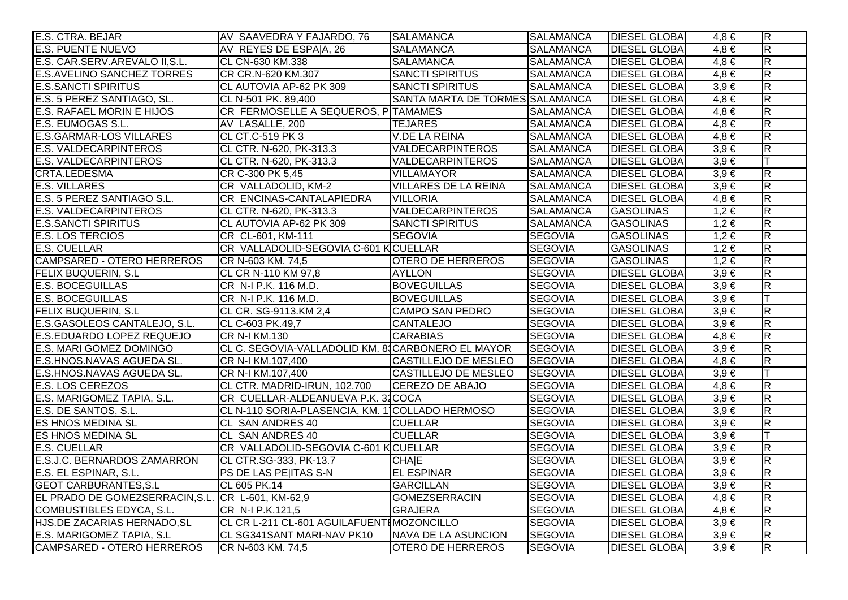| E.S. CTRA. BEJAR                                  | AV SAAVEDRA Y FAJARDO, 76                         | <b>SALAMANCA</b>                | <b>SALAMANCA</b> | <b>DIESEL GLOBAI</b> | $4,8 \in$ | $\overline{R}$          |
|---------------------------------------------------|---------------------------------------------------|---------------------------------|------------------|----------------------|-----------|-------------------------|
| <b>E.S. PUENTE NUEVO</b>                          | AV REYES DE ESPAIA, 26                            | <b>SALAMANCA</b>                | <b>SALAMANCA</b> | <b>DIESEL GLOBAI</b> | $4,8 \in$ | $\overline{\mathbf{z}}$ |
| E.S. CAR.SERV.AREVALO II, S.L.                    | CL CN-630 KM.338                                  | <b>SALAMANCA</b>                | <b>SALAMANCA</b> | <b>DIESEL GLOBAI</b> | $4,8 \in$ | $\overline{\mathsf{R}}$ |
| <b>E.S.AVELINO SANCHEZ TORRES</b>                 | CR CR.N-620 KM.307                                | <b>SANCTI SPIRITUS</b>          | <b>SALAMANCA</b> | <b>DIESEL GLOBA</b>  | $4,8 \in$ | $\overline{\mathbf{z}}$ |
| <b>E.S.SANCTI SPIRITUS</b>                        | CL AUTOVIA AP-62 PK 309                           | SANCTI SPIRITUS                 | <b>SALAMANCA</b> | <b>DIESEL GLOBAI</b> | $3,9 \in$ | $\overline{R}$          |
| E.S. 5 PEREZ SANTIAGO, SL.                        | CL N-501 PK. 89,400                               | SANTA MARTA DE TORMES SALAMANCA |                  | <b>DIESEL GLOBAI</b> | $4,8 \in$ | $\overline{R}$          |
| <b>E.S. RAFAEL MORIN E HIJOS</b>                  | CR FERMOSELLE A SEQUEROS, PITAMAMES               |                                 | <b>SALAMANCA</b> | <b>DIESEL GLOBAI</b> | $4,8 \in$ | $\overline{\mathbf{z}}$ |
| E.S. EUMOGAS S.L.                                 | AV LASALLE, 200                                   | <b>TEJARES</b>                  | <b>SALAMANCA</b> | <b>DIESEL GLOBA</b>  | $4,8 \in$ | $\overline{\mathsf{R}}$ |
| <b>E.S.GARMAR-LOS VILLARES</b>                    | CL CT.C-519 PK 3                                  | <b>V.DE LA REINA</b>            | <b>SALAMANCA</b> | <b>DIESEL GLOBA</b>  | $4,8 \in$ | $\overline{\mathsf{R}}$ |
| <b>E.S. VALDECARPINTEROS</b>                      | CL CTR. N-620, PK-313.3                           | <b>VALDECARPINTEROS</b>         | <b>SALAMANCA</b> | <b>DIESEL GLOBA</b>  | $3,9 \in$ | $\overline{R}$          |
| <b>E.S. VALDECARPINTEROS</b>                      | CL CTR. N-620, PK-313.3                           | VALDECARPINTEROS                | <b>SALAMANCA</b> | <b>DIESEL GLOBA</b>  | $3,9 \in$ |                         |
| CRTA.LEDESMA                                      | CR C-300 PK 5,45                                  | <b>VILLAMAYOR</b>               | <b>SALAMANCA</b> | <b>DIESEL GLOBAI</b> | $3,9 \in$ | $\overline{\mathbf{z}}$ |
| <b>E.S. VILLARES</b>                              | CR VALLADOLID, KM-2                               | <b>VILLARES DE LA REINA</b>     | <b>SALAMANCA</b> | <b>DIESEL GLOBA</b>  | $3,9 \in$ | $\overline{\mathbf{z}}$ |
| E.S. 5 PEREZ SANTIAGO S.L.                        | CR ENCINAS-CANTALAPIEDRA                          | <b>VILLORIA</b>                 | <b>SALAMANCA</b> | <b>DIESEL GLOBAI</b> | $4,8 \in$ | $\overline{R}$          |
| <b>E.S. VALDECARPINTEROS</b>                      | CL CTR. N-620, PK-313.3                           | <b>VALDECARPINTEROS</b>         | <b>SALAMANCA</b> | <b>GASOLINAS</b>     | $1,2 \in$ | $\overline{R}$          |
| <b>E.S.SANCTI SPIRITUS</b>                        | CL AUTOVIA AP-62 PK 309                           | <b>SANCTI SPIRITUS</b>          | <b>SALAMANCA</b> | <b>GASOLINAS</b>     | $1,2 \in$ | $\overline{R}$          |
| <b>E.S. LOS TERCIOS</b>                           | CR CL-601, KM-111                                 | <b>SEGOVIA</b>                  | <b>SEGOVIA</b>   | <b>GASOLINAS</b>     | $1,2 \in$ | $\overline{R}$          |
| <b>E.S. CUELLAR</b>                               | CR VALLADOLID-SEGOVIA C-601 K CUELLAR             |                                 | <b>SEGOVIA</b>   | <b>GASOLINAS</b>     | $1,2 \in$ | $\overline{\mathsf{R}}$ |
| <b>CAMPSARED - OTERO HERREROS</b>                 | CR N-603 KM. 74,5                                 | <b>OTERO DE HERREROS</b>        | <b>SEGOVIA</b>   | <b>GASOLINAS</b>     | $1,2 \in$ | $\overline{R}$          |
| <b>FELIX BUQUERIN, S.L.</b>                       | CL CR N-110 KM 97,8                               | <b>AYLLON</b>                   | <b>SEGOVIA</b>   | <b>DIESEL GLOBAI</b> | $3,9 \in$ | $\overline{R}$          |
| <b>E.S. BOCEGUILLAS</b>                           | CR N-I P.K. 116 M.D.                              | <b>BOVEGUILLAS</b>              | <b>SEGOVIA</b>   | <b>DIESEL GLOBAI</b> | $3,9 \in$ | $\overline{\mathbf{z}}$ |
| <b>E.S. BOCEGUILLAS</b>                           | CR N-I P.K. 116 M.D.                              | <b>BOVEGUILLAS</b>              | <b>SEGOVIA</b>   | <b>DIESEL GLOBA</b>  | $3,9 \in$ | ĪT                      |
| <b>FELIX BUQUERIN, S.L.</b>                       | CL CR. SG-9113.KM 2,4                             | <b>CAMPO SAN PEDRO</b>          | <b>SEGOVIA</b>   | <b>DIESEL GLOBA</b>  | $3,9 \in$ | $\overline{R}$          |
| E.S.GASOLEOS CANTALEJO, S.L.                      | CL C-603 PK.49,7                                  | <b>CANTALEJO</b>                | <b>SEGOVIA</b>   | <b>DIESEL GLOBAI</b> | $3,9 \in$ | $\overline{R}$          |
| E.S.EDUARDO LOPEZ REQUEJO                         | <b>CR N-I KM.130</b>                              | <b>CARABIAS</b>                 | <b>SEGOVIA</b>   | <b>DIESEL GLOBAI</b> | $4,8 \in$ | $\overline{R}$          |
| E.S. MARI GOMEZ DOMINGO                           | CL C. SEGOVIA-VALLADOLID KM. 8 CARBONERO EL MAYOR |                                 | <b>SEGOVIA</b>   | <b>DIESEL GLOBA</b>  | $3,9 \in$ | $\overline{\mathsf{R}}$ |
| E.S.HNOS.NAVAS AGUEDA SL.                         | CR N-I KM.107,400                                 | CASTILLEJO DE MESLEO            | <b>SEGOVIA</b>   | <b>DIESEL GLOBA</b>  | $4,8 \in$ | $\overline{R}$          |
| E.S.HNOS.NAVAS AGUEDA SL.                         | CR N-I KM.107,400                                 | <b>CASTILLEJO DE MESLEO</b>     | <b>SEGOVIA</b>   | <b>DIESEL GLOBAI</b> | $3,9 \in$ |                         |
| <b>E.S. LOS CEREZOS</b>                           | CL CTR. MADRID-IRUN, 102.700                      | <b>CEREZO DE ABAJO</b>          | <b>SEGOVIA</b>   | <b>DIESEL GLOBAI</b> | $4,8 \in$ | $\overline{R}$          |
| E.S. MARIGOMEZ TAPIA, S.L.                        | CR CUELLAR-ALDEANUEVA P.K. 32COCA                 |                                 | <b>SEGOVIA</b>   | <b>DIESEL GLOBA</b>  | $3,9 \in$ | $\overline{R}$          |
| E.S. DE SANTOS, S.L.                              | CL N-110 SORIA-PLASENCIA, KM. 1 COLLADO HERMOSO   |                                 | <b>SEGOVIA</b>   | <b>DIESEL GLOBAI</b> | $3,9 \in$ | $\overline{R}$          |
| <b>ES HNOS MEDINA SL</b>                          | CL SAN ANDRES 40                                  | <b>CUELLAR</b>                  | <b>SEGOVIA</b>   | <b>DIESEL GLOBAI</b> | $3,9 \in$ | $\overline{\mathsf{R}}$ |
| <b>ES HNOS MEDINA SL</b>                          | <b>CL SAN ANDRES 40</b>                           | <b>CUELLAR</b>                  | <b>SEGOVIA</b>   | <b>DIESEL GLOBAI</b> | $3,9 \in$ |                         |
| <b>E.S. CUELLAR</b>                               | CR VALLADOLID-SEGOVIA C-601 K CUELLAR             |                                 | <b>SEGOVIA</b>   | <b>DIESEL GLOBAI</b> | $3,9 \in$ | $\overline{\mathsf{R}}$ |
| E.S.J.C. BERNARDOS ZAMARRON                       | CL CTR.SG-333, PK-13.7                            | <b>CHAIE</b>                    | <b>SEGOVIA</b>   | <b>DIESEL GLOBAI</b> | $3,9 \in$ | $\overline{\mathsf{R}}$ |
| E.S. EL ESPINAR, S.L.                             | PS DE LAS PE ITAS S-N                             | <b>EL ESPINAR</b>               | <b>SEGOVIA</b>   | <b>DIESEL GLOBA</b>  | $3,9 \in$ | $\overline{\mathsf{R}}$ |
| <b>GEOT CARBURANTES, S.L</b>                      | CL 605 PK.14                                      | <b>GARCILLAN</b>                | <b>SEGOVIA</b>   | <b>DIESEL GLOBAI</b> | $3,9 \in$ | $\overline{\mathsf{R}}$ |
| EL PRADO DE GOMEZSERRACIN, S.L. CR L-601, KM-62,9 |                                                   | <b>GOMEZSERRACIN</b>            | <b>SEGOVIA</b>   | <b>DIESEL GLOBAI</b> | $4,8 \in$ | $\overline{\mathsf{R}}$ |
| <b>COMBUSTIBLES EDYCA, S.L.</b>                   | CR N-I P.K.121,5                                  | <b>GRAJERA</b>                  | <b>SEGOVIA</b>   | <b>DIESEL GLOBA</b>  | $4,8 \in$ | $\overline{\mathsf{R}}$ |
| HJS.DE ZACARIAS HERNADO, SL                       | CL CR L-211 CL-601 AGUILAFUENTIMOZONCILLO         |                                 | <b>SEGOVIA</b>   | <b>DIESEL GLOBA</b>  | $3,9 \in$ | $\overline{\mathsf{R}}$ |
| E.S. MARIGOMEZ TAPIA, S.L                         | CL SG341SANT MARI-NAV PK10                        | NAVA DE LA ASUNCION             | <b>SEGOVIA</b>   | <b>DIESEL GLOBAI</b> | $3,9 \in$ | $\overline{\mathsf{R}}$ |
| <b>CAMPSARED - OTERO HERREROS</b>                 | CR N-603 KM. 74,5                                 | <b>OTERO DE HERREROS</b>        | <b>SEGOVIA</b>   | <b>DIESEL GLOBAI</b> | $3,9 \in$ | $\overline{\mathsf{R}}$ |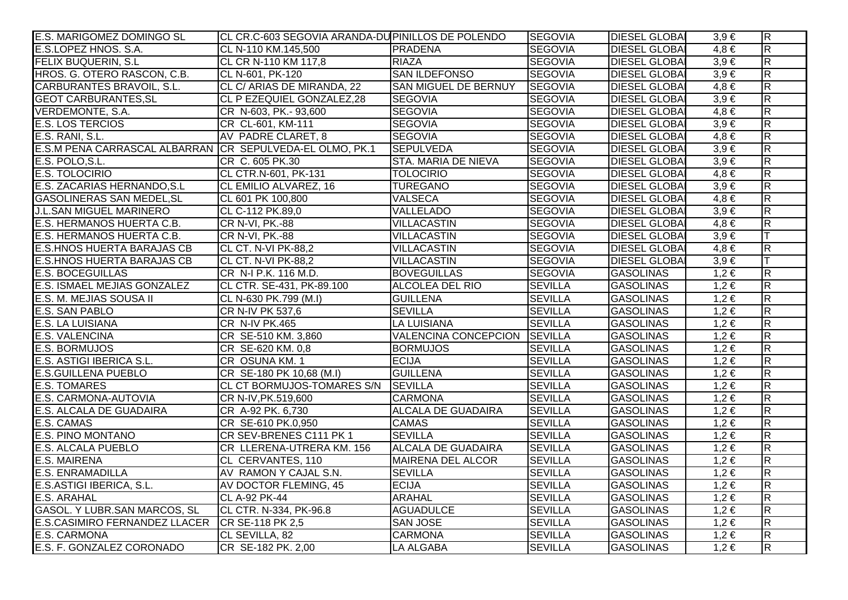| E.S. MARIGOMEZ DOMINGO SL                                | CL CR.C-603 SEGOVIA ARANDA-DU PINILLOS DE POLENDO |                             | <b>SEGOVIA</b> | <b>DIESEL GLOBAI</b> | $3,9 \in$ | $\overline{\mathsf{R}}$ |
|----------------------------------------------------------|---------------------------------------------------|-----------------------------|----------------|----------------------|-----------|-------------------------|
| E.S.LOPEZ HNOS. S.A.                                     | CL N-110 KM.145,500                               | PRADENA                     | <b>SEGOVIA</b> | <b>DIESEL GLOBAI</b> | $4.8 \in$ | R.                      |
| <b>FELIX BUQUERIN, S.L.</b>                              | CL CR N-110 KM 117,8                              | <b>RIAZA</b>                | <b>SEGOVIA</b> | <b>DIESEL GLOBAI</b> | $3,9 \in$ | $\overline{\mathsf{R}}$ |
| HROS. G. OTERO RASCON, C.B.                              | CL N-601, PK-120                                  | <b>SAN ILDEFONSO</b>        | <b>SEGOVIA</b> | <b>DIESEL GLOBAI</b> | $3,9 \in$ | $\mathsf R$             |
| CARBURANTES BRAVOIL, S.L.                                | CL C/ ARIAS DE MIRANDA, 22                        | <b>SAN MIGUEL DE BERNUY</b> | <b>SEGOVIA</b> | <b>DIESEL GLOBAI</b> | $4,8 \in$ | $\overline{R}$          |
| <b>GEOT CARBURANTES, SL</b>                              | CL P EZEQUIEL GONZALEZ,28                         | <b>SEGOVIA</b>              | <b>SEGOVIA</b> | <b>DIESEL GLOBAI</b> | $3,9 \in$ | $\overline{\mathsf{R}}$ |
| VERDEMONTE, S.A.                                         | CR N-603, PK.-93,600                              | <b>SEGOVIA</b>              | <b>SEGOVIA</b> | <b>DIESEL GLOBAI</b> | $4,8 \in$ | R.                      |
| <b>E.S. LOS TERCIOS</b>                                  | CR CL-601, KM-111                                 | <b>SEGOVIA</b>              | <b>SEGOVIA</b> | <b>DIESEL GLOBAI</b> | $3,9 \in$ | $\overline{R}$          |
| E.S. RANI, S.L.                                          | AV PADRE CLARET, 8                                | <b>SEGOVIA</b>              | <b>SEGOVIA</b> | <b>DIESEL GLOBAI</b> | $4,8 \in$ | R                       |
| E.S.M PENA CARRASCAL ALBARRAN CR SEPULVEDA-EL OLMO, PK.1 |                                                   | <b>SEPULVEDA</b>            | <b>SEGOVIA</b> | <b>DIESEL GLOBAI</b> | $3.9 \in$ | $\overline{\mathsf{R}}$ |
| E.S. POLO, S.L.                                          | CR C. 605 PK.30                                   | <b>STA. MARIA DE NIEVA</b>  | <b>SEGOVIA</b> | <b>DIESEL GLOBAI</b> | $3,9 \in$ | $\mathsf{R}$            |
| <b>E.S. TOLOCIRIO</b>                                    | CL CTR.N-601, PK-131                              | <b>TOLOCIRIO</b>            | <b>SEGOVIA</b> | <b>DIESEL GLOBAI</b> | $4.8 \in$ | $\overline{\mathsf{R}}$ |
| E.S. ZACARIAS HERNANDO, S.L                              | CL EMILIO ALVAREZ, 16                             | <b>TUREGANO</b>             | <b>SEGOVIA</b> | <b>DIESEL GLOBAI</b> | $3,9 \in$ | $\mathsf R$             |
| GASOLINERAS SAN MEDEL, SL                                | CL 601 PK 100,800                                 | <b>VALSECA</b>              | <b>SEGOVIA</b> | <b>DIESEL GLOBAI</b> | $4,8 \in$ | $\overline{R}$          |
| <b>J.L.SAN MIGUEL MARINERO</b>                           | CL C-112 PK.89,0                                  | VALLELADO                   | <b>SEGOVIA</b> | <b>DIESEL GLOBAI</b> | $3,9 \in$ | $\overline{R}$          |
| E.S. HERMANOS HUERTA C.B.                                | <b>CR N-VI, PK.-88</b>                            | <b>VILLACASTIN</b>          | <b>SEGOVIA</b> | <b>DIESEL GLOBAI</b> | $4,8 \in$ | $\overline{R}$          |
| E.S. HERMANOS HUERTA C.B.                                | CR N-VI, PK.-88                                   | <b>VILLACASTIN</b>          | <b>SEGOVIA</b> | <b>DIESEL GLOBAI</b> | $3,9 \in$ | T                       |
| <b>E.S.HNOS HUERTA BARAJAS CB</b>                        | CL CT. N-VI PK-88,2                               | <b>VILLACASTIN</b>          | <b>SEGOVIA</b> | <b>DIESEL GLOBAI</b> | $4,8 \in$ | $\overline{R}$          |
| <b>E.S.HNOS HUERTA BARAJAS CB</b>                        | CL CT. N-VI PK-88,2                               | <b>VILLACASTIN</b>          | <b>SEGOVIA</b> | <b>DIESEL GLOBAI</b> | $3,9 \in$ | T                       |
| <b>E.S. BOCEGUILLAS</b>                                  | CR N-I P.K. 116 M.D.                              | <b>BOVEGUILLAS</b>          | <b>SEGOVIA</b> | <b>GASOLINAS</b>     | $1,2 \in$ | ${\sf R}$               |
| E.S. ISMAEL MEJIAS GONZALEZ                              | CL CTR. SE-431, PK-89.100                         | <b>ALCOLEA DEL RIO</b>      | <b>SEVILLA</b> | <b>GASOLINAS</b>     | $1,2 \in$ | $\overline{R}$          |
| E.S. M. MEJIAS SOUSA II                                  | CL N-630 PK.799 (M.I)                             | <b>GUILLENA</b>             | <b>SEVILLA</b> | <b>GASOLINAS</b>     | $1,2 \in$ | R                       |
| E.S. SAN PABLO                                           | CR N-IV PK 537,6                                  | <b>SEVILLA</b>              | <b>SEVILLA</b> | <b>GASOLINAS</b>     | $1,2 \in$ | $\overline{R}$          |
| <b>E.S. LA LUISIANA</b>                                  | CR N-IV PK.465                                    | <b>LA LUISIANA</b>          | <b>SEVILLA</b> | <b>GASOLINAS</b>     | $1,2 \in$ | $\overline{R}$          |
| <b>E.S. VALENCINA</b>                                    | CR SE-510 KM. 3,860                               | <b>VALENCINA CONCEPCION</b> | <b>SEVILLA</b> | <b>GASOLINAS</b>     | $1,2 \in$ | $\overline{R}$          |
| <b>E.S. BORMUJOS</b>                                     | CR SE-620 KM. 0,8                                 | <b>BORMUJOS</b>             | <b>SEVILLA</b> | <b>GASOLINAS</b>     | 1,2€      | $\overline{R}$          |
| <b>E.S. ASTIGI IBERICA S.L.</b>                          | CR OSUNA KM. 1                                    | <b>ECIJA</b>                | <b>SEVILLA</b> | <b>GASOLINAS</b>     | $1,2 \in$ | $\overline{R}$          |
| <b>E.S.GUILLENA PUEBLO</b>                               | CR SE-180 PK 10,68 (M.I)                          | <b>GUILLENA</b>             | <b>SEVILLA</b> | <b>GASOLINAS</b>     | $1,2 \in$ | $\mathsf{R}$            |
| <b>E.S. TOMARES</b>                                      | CL CT BORMUJOS-TOMARES S/N SEVILLA                |                             | <b>SEVILLA</b> | <b>GASOLINAS</b>     | $1,2 \in$ | $\overline{R}$          |
| E.S. CARMONA-AUTOVIA                                     | CR N-IV, PK.519,600                               | <b>CARMONA</b>              | <b>SEVILLA</b> | <b>GASOLINAS</b>     | $1,2 \in$ | $\overline{R}$          |
| E.S. ALCALA DE GUADAIRA                                  | CR A-92 PK. 6,730                                 | <b>ALCALA DE GUADAIRA</b>   | <b>SEVILLA</b> | <b>GASOLINAS</b>     | $1,2 \in$ | $\overline{R}$          |
| E.S. CAMAS                                               | CR SE-610 PK.0,950                                | <b>CAMAS</b>                | <b>SEVILLA</b> | <b>GASOLINAS</b>     | $1,2 \in$ | $\overline{R}$          |
| <b>E.S. PINO MONTANO</b>                                 | CR SEV-BRENES C111 PK 1                           | <b>SEVILLA</b>              | <b>SEVILLA</b> | <b>GASOLINAS</b>     | $1,2 \in$ | $\overline{\mathsf{R}}$ |
| <b>E.S. ALCALA PUEBLO</b>                                | CR LLERENA-UTRERA KM. 156                         | <b>ALCALA DE GUADAIRA</b>   | <b>SEVILLA</b> | <b>GASOLINAS</b>     | $1,2 \in$ | $\overline{R}$          |
| <b>E.S. MAIRENA</b>                                      | CL CERVANTES, 110                                 | <b>MAIRENA DEL ALCOR</b>    | <b>SEVILLA</b> | <b>GASOLINAS</b>     | $1,2 \in$ | R                       |
| <b>E.S. ENRAMADILLA</b>                                  | AV RAMON Y CAJAL S.N.                             | <b>SEVILLA</b>              | <b>SEVILLA</b> | <b>GASOLINAS</b>     | $1,2 \in$ | $\overline{R}$          |
| E.S.ASTIGI IBERICA, S.L.                                 | <b>AV DOCTOR FLEMING, 45</b>                      | <b>ECIJA</b>                | <b>SEVILLA</b> | <b>GASOLINAS</b>     | $1,2 \in$ | $\overline{R}$          |
| <b>E.S. ARAHAL</b>                                       | CL A-92 PK-44                                     | <b>ARAHAL</b>               | <b>SEVILLA</b> | <b>GASOLINAS</b>     | $1,2 \in$ | $\overline{R}$          |
| <b>GASOL. Y LUBR.SAN MARCOS, SL</b>                      | CL CTR. N-334, PK-96.8                            | <b>AGUADULCE</b>            | <b>SEVILLA</b> | <b>GASOLINAS</b>     | $1,2 \in$ | $\overline{\mathsf{R}}$ |
| E.S.CASIMIRO FERNANDEZ LLACER                            | CR SE-118 PK 2,5                                  | <b>SAN JOSE</b>             | <b>SEVILLA</b> | <b>GASOLINAS</b>     | $1,2 \in$ | $\overline{R}$          |
| <b>E.S. CARMONA</b>                                      | CL SEVILLA, 82                                    | <b>CARMONA</b>              | <b>SEVILLA</b> | <b>GASOLINAS</b>     | $1,2 \in$ | $\overline{\mathsf{R}}$ |
| E.S. F. GONZALEZ CORONADO                                | CR SE-182 PK. 2,00                                | <b>LA ALGABA</b>            | <b>SEVILLA</b> | <b>GASOLINAS</b>     | $1,2 \in$ | $\overline{R}$          |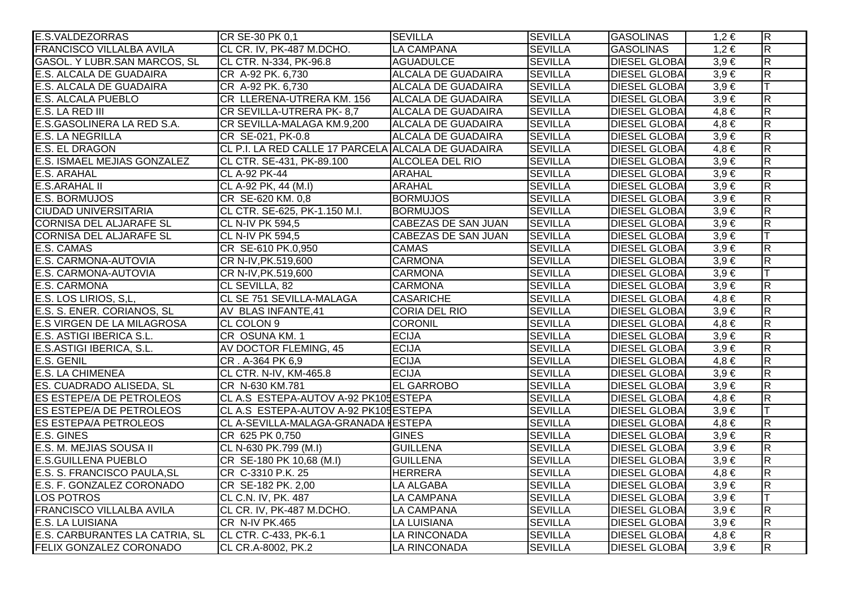| <b>E.S.VALDEZORRAS</b>              | CR SE-30 PK 0,1                                    | <b>SEVILLA</b>             | <b>SEVILLA</b> | <b>GASOLINAS</b>     | $1,2 \in$ | $\overline{\mathsf{R}}$ |
|-------------------------------------|----------------------------------------------------|----------------------------|----------------|----------------------|-----------|-------------------------|
| <b>FRANCISCO VILLALBA AVILA</b>     | CL CR. IV, PK-487 M.DCHO.                          | <b>LA CAMPANA</b>          | <b>SEVILLA</b> | <b>GASOLINAS</b>     | $1,2 \in$ | $\overline{R}$          |
| <b>GASOL. Y LUBR.SAN MARCOS, SL</b> | CL CTR. N-334, PK-96.8                             | <b>AGUADULCE</b>           | <b>SEVILLA</b> | <b>DIESEL GLOBAI</b> | $3,9 \in$ | $\overline{R}$          |
| E.S. ALCALA DE GUADAIRA             | CR A-92 PK. 6,730                                  | <b>ALCALA DE GUADAIRA</b>  | <b>SEVILLA</b> | <b>DIESEL GLOBAI</b> | $3,9 \in$ | $\overline{\mathsf{R}}$ |
| E.S. ALCALA DE GUADAIRA             | CR A-92 PK. 6,730                                  | <b>ALCALA DE GUADAIRA</b>  | <b>SEVILLA</b> | <b>DIESEL GLOBAI</b> | $3,9 \in$ | T                       |
| <b>E.S. ALCALA PUEBLO</b>           | CR LLERENA-UTRERA KM. 156                          | <b>ALCALA DE GUADAIRA</b>  | <b>SEVILLA</b> | <b>DIESEL GLOBAI</b> | $3,9 \in$ | $\overline{R}$          |
| E.S. LA RED III                     | CR SEVILLA-UTRERA PK-8,7                           | <b>ALCALA DE GUADAIRA</b>  | <b>SEVILLA</b> | <b>DIESEL GLOBAI</b> | $4,8 \in$ | R                       |
| E.S.GASOLINERA LA RED S.A.          | CR SEVILLA-MALAGA KM.9,200                         | ALCALA DE GUADAIRA         | <b>SEVILLA</b> | <b>DIESEL GLOBAI</b> | $4,8 \in$ | $\overline{\mathsf{R}}$ |
| <b>E.S. LA NEGRILLA</b>             | CR SE-021, PK-0.8                                  | <b>ALCALA DE GUADAIRA</b>  | <b>SEVILLA</b> | <b>DIESEL GLOBAI</b> | $3,9 \in$ | R.                      |
| <b>E.S. EL DRAGON</b>               | CL P.I. LA RED CALLE 17 PARCELA ALCALA DE GUADAIRA |                            | <b>SEVILLA</b> | <b>DIESEL GLOBAI</b> | $4,8 \in$ | $\mathsf{R}$            |
| E.S. ISMAEL MEJIAS GONZALEZ         | CL CTR. SE-431, PK-89.100                          | <b>ALCOLEA DEL RIO</b>     | <b>SEVILLA</b> | <b>DIESEL GLOBAI</b> | $3,9 \in$ | $\overline{R}$          |
| E.S. ARAHAL                         | <b>CL A-92 PK-44</b>                               | <b>ARAHAL</b>              | <b>SEVILLA</b> | <b>DIESEL GLOBAI</b> | $3,9 \in$ | $\overline{R}$          |
| <b>E.S.ARAHAL II</b>                | CL A-92 PK, 44 (M.I)                               | <b>ARAHAL</b>              | <b>SEVILLA</b> | <b>DIESEL GLOBAI</b> | $3,9 \in$ | $\overline{\mathsf{R}}$ |
| <b>E.S. BORMUJOS</b>                | CR SE-620 KM. 0,8                                  | <b>BORMUJOS</b>            | <b>SEVILLA</b> | <b>DIESEL GLOBAI</b> | $3,9 \in$ | R.                      |
| <b>CIUDAD UNIVERSITARIA</b>         | CL CTR. SE-625, PK-1.150 M.I.                      | <b>BORMUJOS</b>            | <b>SEVILLA</b> | <b>DIESEL GLOBAI</b> | $3.9 \in$ | $\overline{R}$          |
| <b>CORNISA DEL ALJARAFE SL</b>      | <b>CL N-IV PK 594,5</b>                            | <b>CABEZAS DE SAN JUAN</b> | <b>SEVILLA</b> | <b>DIESEL GLOBAI</b> | $3,9 \in$ | R.                      |
| <b>CORNISA DEL ALJARAFE SL</b>      | <b>CL N-IV PK 594,5</b>                            | CABEZAS DE SAN JUAN        | <b>SEVILLA</b> | <b>DIESEL GLOBAI</b> | $3,9 \in$ | T                       |
| E.S. CAMAS                          | CR SE-610 PK.0,950                                 | <b>CAMAS</b>               | <b>SEVILLA</b> | <b>DIESEL GLOBAI</b> | $3,9 \in$ | R.                      |
| E.S. CARMONA-AUTOVIA                | CR N-IV, PK.519,600                                | <b>CARMONA</b>             | <b>SEVILLA</b> | <b>DIESEL GLOBAI</b> | $3,9 \in$ | $\overline{\mathsf{R}}$ |
| E.S. CARMONA-AUTOVIA                | CR N-IV, PK.519,600                                | <b>CARMONA</b>             | <b>SEVILLA</b> | <b>DIESEL GLOBAI</b> | $3,9 \in$ |                         |
| E.S. CARMONA                        | CL SEVILLA, 82                                     | <b>CARMONA</b>             | <b>SEVILLA</b> | <b>DIESEL GLOBAI</b> | $3,9 \in$ | R                       |
| E.S. LOS LIRIOS, S,L,               | CL SE 751 SEVILLA-MALAGA                           | <b>CASARICHE</b>           | <b>SEVILLA</b> | <b>DIESEL GLOBAI</b> | $4,8 \in$ | $\overline{\mathsf{R}}$ |
| E.S. S. ENER. CORIANOS, SL          | AV BLAS INFANTE, 41                                | <b>CORIA DEL RIO</b>       | <b>SEVILLA</b> | <b>DIESEL GLOBAI</b> | $3,9 \in$ | $\overline{R}$          |
| <b>E.S VIRGEN DE LA MILAGROSA</b>   | CL COLON 9                                         | <b>CORONIL</b>             | <b>SEVILLA</b> | <b>DIESEL GLOBAI</b> | $4.8 \in$ | $\overline{R}$          |
| E.S. ASTIGI IBERICA S.L.            | CR OSUNA KM. 1                                     | <b>ECIJA</b>               | <b>SEVILLA</b> | <b>DIESEL GLOBAI</b> | $3,9 \in$ | R                       |
| E.S.ASTIGI IBERICA, S.L.            | AV DOCTOR FLEMING, 45                              | <b>ECIJA</b>               | <b>SEVILLA</b> | <b>DIESEL GLOBAI</b> | $3,9 \in$ | $\overline{\mathsf{R}}$ |
| <b>E.S. GENIL</b>                   | CR. A-364 PK 6,9                                   | <b>ECIJA</b>               | <b>SEVILLA</b> | <b>DIESEL GLOBAI</b> | $4,8 \in$ | R.                      |
| E.S. LA CHIMENEA                    | CL CTR. N-IV, KM-465.8                             | <b>ECIJA</b>               | <b>SEVILLA</b> | <b>DIESEL GLOBAI</b> | $3,9 \in$ | $\overline{R}$          |
| ES. CUADRADO ALISEDA, SL            | CR N-630 KM.781                                    | <b>EL GARROBO</b>          | <b>SEVILLA</b> | <b>DIESEL GLOBAI</b> | $3,9 \in$ | $\overline{R}$          |
| ES ESTEPE/A DE PETROLEOS            | CL A.S ESTEPA-AUTOV A-92 PK105 ESTEPA              |                            | <b>SEVILLA</b> | <b>DIESEL GLOBAI</b> | $4,8 \in$ | R                       |
| ES ESTEPE/A DE PETROLEOS            | CL A.S ESTEPA-AUTOV A-92 PK105 ESTEPA              |                            | <b>SEVILLA</b> | <b>DIESEL GLOBAI</b> | $3,9 \in$ | T                       |
| <b>ES ESTEPA/A PETROLEOS</b>        | CL A-SEVILLA-MALAGA-GRANADA HESTEPA                |                            | <b>SEVILLA</b> | <b>DIESEL GLOBAI</b> | $4,8 \in$ | R                       |
| <b>E.S. GINES</b>                   | CR 625 PK 0,750                                    | <b>GINES</b>               | <b>SEVILLA</b> | <b>DIESEL GLOBAI</b> | $3,9 \in$ | $\overline{\mathsf{R}}$ |
| E.S. M. MEJIAS SOUSA II             | CL N-630 PK.799 (M.I)                              | <b>GUILLENA</b>            | <b>SEVILLA</b> | <b>DIESEL GLOBAI</b> | $3,9 \in$ | $\overline{R}$          |
| <b>E.S.GUILLENA PUEBLO</b>          | CR SE-180 PK 10,68 (M.I)                           | <b>GUILLENA</b>            | <b>SEVILLA</b> | <b>DIESEL GLOBAI</b> | $3,9 \in$ | $\overline{\mathsf{R}}$ |
| E.S. S. FRANCISCO PAULA, SL         | CR C-3310 P.K. 25                                  | <b>HERRERA</b>             | <b>SEVILLA</b> | <b>DIESEL GLOBAI</b> | $4,8 \in$ | $\overline{R}$          |
| E.S. F. GONZALEZ CORONADO           | CR SE-182 PK. 2,00                                 | <b>LA ALGABA</b>           | <b>SEVILLA</b> | <b>DIESEL GLOBAI</b> | $3,9 \in$ | $\overline{R}$          |
| <b>LOS POTROS</b>                   | CL C.N. IV, PK. 487                                | <b>LA CAMPANA</b>          | <b>SEVILLA</b> | <b>DIESEL GLOBAI</b> | $3,9 \in$ |                         |
| <b>FRANCISCO VILLALBA AVILA</b>     | CL CR. IV, PK-487 M.DCHO.                          | <b>LA CAMPANA</b>          | <b>SEVILLA</b> | <b>DIESEL GLOBAI</b> | $3,9 \in$ | $\overline{\mathsf{R}}$ |
| <b>E.S. LA LUISIANA</b>             | <b>CR N-IV PK.465</b>                              | <b>LA LUISIANA</b>         | <b>SEVILLA</b> | <b>DIESEL GLOBAI</b> | $3,9 \in$ | $\overline{R}$          |
| E.S. CARBURANTES LA CATRIA, SL      | CL CTR. C-433, PK-6.1                              | LA RINCONADA               | <b>SEVILLA</b> | <b>DIESEL GLOBAI</b> | $4,8 \in$ | $\overline{\mathsf{R}}$ |
| FELIX GONZALEZ CORONADO             | CL CR.A-8002, PK.2                                 | LA RINCONADA               | <b>SEVILLA</b> | <b>DIESEL GLOBAI</b> | $3,9 \in$ | $\overline{\mathsf{R}}$ |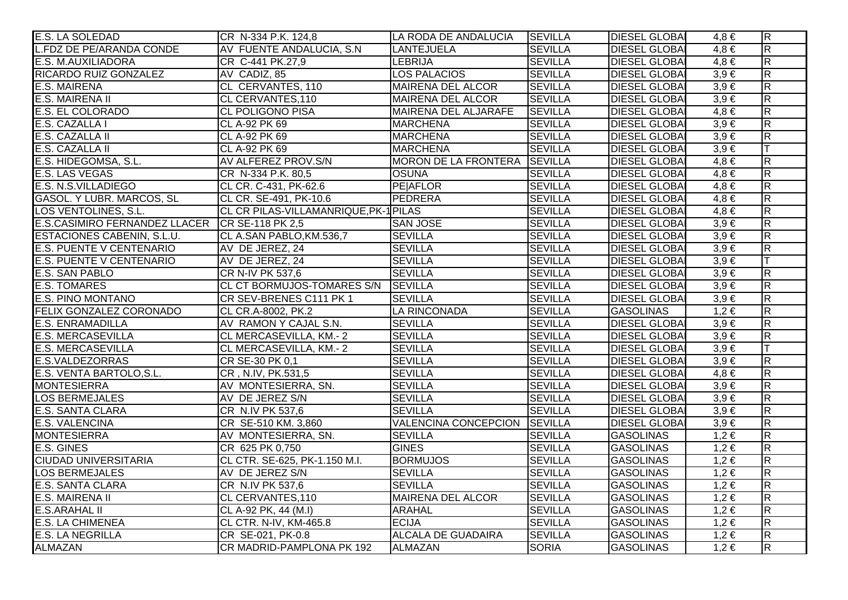| E.S. LA SOLEDAD                 | CR N-334 P.K. 124,8                   | LA RODA DE ANDALUCIA        | <b>SEVILLA</b> | <b>DIESEL GLOBA</b>  | $4,8 \in$ | $\overline{\mathsf{R}}$ |
|---------------------------------|---------------------------------------|-----------------------------|----------------|----------------------|-----------|-------------------------|
| <b>L.FDZ DE PE/ARANDA CONDE</b> | AV FUENTE ANDALUCIA, S.N.             | <b>LANTEJUELA</b>           | <b>SEVILLA</b> | <b>DIESEL GLOBAI</b> | $4,8 \in$ | $\overline{\mathsf{R}}$ |
| <b>E.S. M.AUXILIADORA</b>       | CR C-441 PK.27,9                      | LEBRIJA                     | <b>SEVILLA</b> | <b>DIESEL GLOBAI</b> | $4,8 \in$ | $\overline{R}$          |
| RICARDO RUIZ GONZALEZ           | AV CADIZ, 85                          | <b>LOS PALACIOS</b>         | <b>SEVILLA</b> | <b>DIESEL GLOBAI</b> | $3,9 \in$ | $\overline{R}$          |
| <b>E.S. MAIRENA</b>             | CL CERVANTES, 110                     | MAIRENA DEL ALCOR           | <b>SEVILLA</b> | <b>DIESEL GLOBAI</b> | $3,9 \in$ | $\overline{\mathbf{z}}$ |
| E.S. MAIRENA II                 | CL CERVANTES, 110                     | <b>MAIRENA DEL ALCOR</b>    | <b>SEVILLA</b> | <b>DIESEL GLOBAI</b> | $3,9 \in$ | $\overline{\mathsf{R}}$ |
| E.S. EL COLORADO                | <b>CL POLIGONO PISA</b>               | MAIRENA DEL ALJARAFE        | <b>SEVILLA</b> | <b>DIESEL GLOBAI</b> | $4,8 \in$ | $\overline{\mathsf{R}}$ |
| E.S. CAZALLA I                  | CL A-92 PK 69                         | <b>MARCHENA</b>             | <b>SEVILLA</b> | <b>DIESEL GLOBAI</b> | $3,9 \in$ | $\overline{\mathsf{R}}$ |
| E.S. CAZALLA II                 | CL A-92 PK 69                         | <b>MARCHENA</b>             | <b>SEVILLA</b> | <b>DIESEL GLOBAI</b> | $3,9 \in$ | $\overline{\mathbf{z}}$ |
| E.S. CAZALLA II                 | CL A-92 PK 69                         | <b>MARCHENA</b>             | <b>SEVILLA</b> | <b>DIESEL GLOBAI</b> | $3,9 \in$ |                         |
| E.S. HIDEGOMSA, S.L.            | AV ALFEREZ PROV.S/N                   | MORON DE LA FRONTERA        | <b>SEVILLA</b> | <b>DIESEL GLOBAI</b> | $4,8 \in$ | $\overline{\mathbf{z}}$ |
| <b>E.S. LAS VEGAS</b>           | CR N-334 P.K. 80,5                    | <b>OSUNA</b>                | <b>SEVILLA</b> | <b>DIESEL GLOBAI</b> | $4,8 \in$ | $\overline{\mathsf{R}}$ |
| E.S. N.S.VILLADIEGO             | CL CR. C-431, PK-62.6                 | <b>PE AFLOR</b>             | <b>SEVILLA</b> | <b>DIESEL GLOBAI</b> | $4,8 \in$ | $\overline{R}$          |
| GASOL. Y LUBR. MARCOS, SL       | CL CR. SE-491, PK-10.6                | PEDRERA                     | <b>SEVILLA</b> | <b>DIESEL GLOBAI</b> | $4,8 \in$ | $\overline{\mathsf{R}}$ |
| LOS VENTOLINES, S.L.            | CL CR PILAS-VILLAMANRIQUE, PK-1 PILAS |                             | <b>SEVILLA</b> | <b>DIESEL GLOBAI</b> | $4,8 \in$ | $\overline{R}$          |
| E.S.CASIMIRO FERNANDEZ LLACER   | CR SE-118 PK 2,5                      | <b>SAN JOSE</b>             | <b>SEVILLA</b> | <b>DIESEL GLOBAI</b> | $3,9 \in$ | $\overline{\mathsf{R}}$ |
| ESTACIONES CABENIN, S.L.U.      | CL A.SAN PABLO, KM.536,7              | <b>SEVILLA</b>              | <b>SEVILLA</b> | <b>DIESEL GLOBAI</b> | $3.9 \in$ | $\overline{\mathsf{R}}$ |
| E.S. PUENTE V CENTENARIO        | AV DE JEREZ, 24                       | <b>SEVILLA</b>              | <b>SEVILLA</b> | <b>DIESEL GLOBAI</b> | $3,9 \in$ | $\overline{R}$          |
| <b>E.S. PUENTE V CENTENARIO</b> | AV DE JEREZ, 24                       | <b>SEVILLA</b>              | <b>SEVILLA</b> | <b>DIESEL GLOBAI</b> | $3,9 \in$ |                         |
| <b>E.S. SAN PABLO</b>           | CR N-IV PK 537,6                      | <b>SEVILLA</b>              | <b>SEVILLA</b> | <b>DIESEL GLOBAI</b> | $3,9 \in$ | $\overline{\mathbf{z}}$ |
| <b>E.S. TOMARES</b>             | CL CT BORMUJOS-TOMARES S/N            | <b>SEVILLA</b>              | <b>SEVILLA</b> | <b>DIESEL GLOBAI</b> | $3,9 \in$ | $\overline{R}$          |
| <b>E.S. PINO MONTANO</b>        | CR SEV-BRENES C111 PK 1               | <b>SEVILLA</b>              | <b>SEVILLA</b> | <b>DIESEL GLOBAI</b> | $3,9 \in$ | $\overline{R}$          |
| FELIX GONZALEZ CORONADO         | CL CR.A-8002, PK.2                    | LA RINCONADA                | <b>SEVILLA</b> | <b>GASOLINAS</b>     | $1,2 \in$ | $\overline{\mathbf{z}}$ |
| <b>E.S. ENRAMADILLA</b>         | AV RAMON Y CAJAL S.N.                 | <b>SEVILLA</b>              | <b>SEVILLA</b> | <b>DIESEL GLOBAI</b> | $3,9 \in$ | $\overline{R}$          |
| <b>E.S. MERCASEVILLA</b>        | CL MERCASEVILLA, KM.-2                | <b>SEVILLA</b>              | <b>SEVILLA</b> | <b>DIESEL GLOBAI</b> | $3,9 \in$ | $\overline{\mathsf{R}}$ |
| <b>E.S. MERCASEVILLA</b>        | CL MERCASEVILLA, KM.-2                | <b>SEVILLA</b>              | <b>SEVILLA</b> | <b>DIESEL GLOBA</b>  | $3,9 \in$ | T                       |
| <b>E.S.VALDEZORRAS</b>          | CR SE-30 PK 0,1                       | <b>SEVILLA</b>              | <b>SEVILLA</b> | <b>DIESEL GLOBA</b>  | $3,9 \in$ | $\overline{\mathbf{z}}$ |
| E.S. VENTA BARTOLO, S.L.        | CR, N.IV, PK.531,5                    | <b>SEVILLA</b>              | <b>SEVILLA</b> | <b>DIESEL GLOBAI</b> | $4,8 \in$ | $\overline{\mathbf{z}}$ |
| <b>MONTESIERRA</b>              | AV MONTESIERRA, SN.                   | <b>SEVILLA</b>              | <b>SEVILLA</b> | <b>DIESEL GLOBAI</b> | $3,9 \in$ | $\overline{R}$          |
| <b>LOS BERMEJALES</b>           | AV DE JEREZ S/N                       | <b>SEVILLA</b>              | <b>SEVILLA</b> | <b>DIESEL GLOBAI</b> | $3,9 \in$ | $\overline{\mathbf{z}}$ |
| <b>E.S. SANTA CLARA</b>         | CR N.IV PK 537,6                      | <b>SEVILLA</b>              | <b>SEVILLA</b> | <b>DIESEL GLOBAI</b> | $3,9 \in$ | $\overline{R}$          |
| <b>E.S. VALENCINA</b>           | CR SE-510 KM. 3,860                   | <b>VALENCINA CONCEPCION</b> | <b>SEVILLA</b> | <b>DIESEL GLOBAI</b> | $3,9 \in$ | $\overline{\mathsf{R}}$ |
| <b>MONTESIERRA</b>              | AV MONTESIERRA, SN.                   | <b>SEVILLA</b>              | <b>SEVILLA</b> | <b>GASOLINAS</b>     | $1,2 \in$ | $\overline{\mathsf{R}}$ |
| E.S. GINES                      | CR 625 PK 0,750                       | <b>GINES</b>                | <b>SEVILLA</b> | <b>GASOLINAS</b>     | $1,2 \in$ | $\overline{\mathsf{R}}$ |
| <b>CIUDAD UNIVERSITARIA</b>     | CL CTR. SE-625, PK-1.150 M.I.         | <b>BORMUJOS</b>             | <b>SEVILLA</b> | <b>GASOLINAS</b>     | $1,2 \in$ | $\overline{\mathbf{z}}$ |
| <b>LOS BERMEJALES</b>           | AV DE JEREZ S/N                       | <b>SEVILLA</b>              | <b>SEVILLA</b> | <b>GASOLINAS</b>     | $1,2 \in$ | $\overline{\mathsf{R}}$ |
| <b>E.S. SANTA CLARA</b>         | CR N.IV PK 537,6                      | <b>SEVILLA</b>              | <b>SEVILLA</b> | <b>GASOLINAS</b>     | $1,2 \in$ | $\overline{\mathsf{R}}$ |
| <b>E.S. MAIRENA II</b>          | <b>CL CERVANTES, 110</b>              | <b>MAIRENA DEL ALCOR</b>    | <b>SEVILLA</b> | <b>GASOLINAS</b>     | $1,2 \in$ | $\overline{\mathsf{R}}$ |
| <b>E.S.ARAHAL II</b>            | CL A-92 PK, 44 (M.I)                  | <b>ARAHAL</b>               | <b>SEVILLA</b> | <b>GASOLINAS</b>     | $1,2 \in$ | $\overline{\mathsf{R}}$ |
| <b>E.S. LA CHIMENEA</b>         | CL CTR. N-IV, KM-465.8                | <b>ECIJA</b>                | <b>SEVILLA</b> | <b>GASOLINAS</b>     | $1,2 \in$ | $\overline{\mathbf{z}}$ |
| <b>E.S. LA NEGRILLA</b>         | CR SE-021, PK-0.8                     | <b>ALCALA DE GUADAIRA</b>   | <b>SEVILLA</b> | <b>GASOLINAS</b>     | $1,2 \in$ | $\overline{R}$          |
| ALMAZAN                         | CR MADRID-PAMPLONA PK 192             | <b>ALMAZAN</b>              | <b>SORIA</b>   | <b>GASOLINAS</b>     | $1,2 \in$ | $\overline{\mathbf{z}}$ |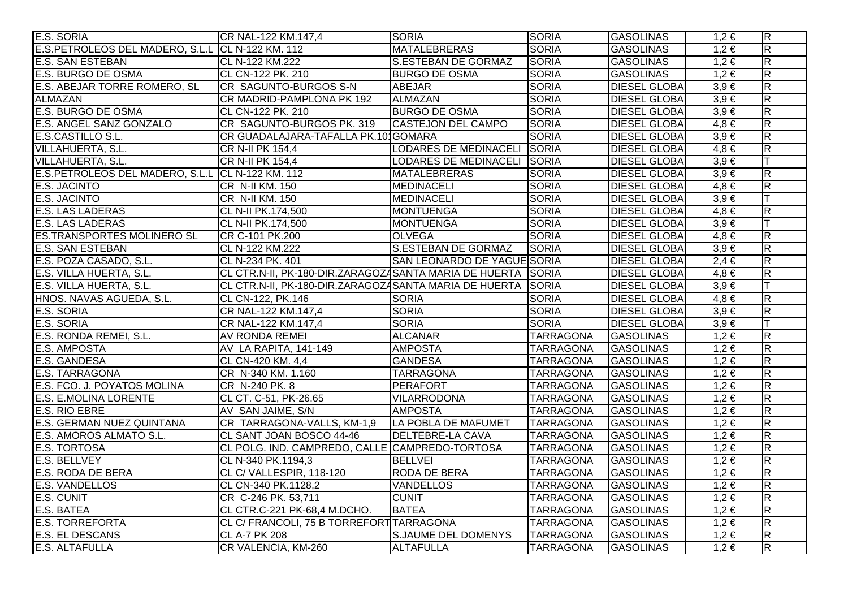| E.S. SORIA                                       | CR NAL-122 KM.147,4                                   | <b>SORIA</b>                 | <b>SORIA</b>     | <b>GASOLINAS</b>     | $1,2 \in$ | $\overline{\mathsf{R}}$ |
|--------------------------------------------------|-------------------------------------------------------|------------------------------|------------------|----------------------|-----------|-------------------------|
| E.S.PETROLEOS DEL MADERO, S.L.L CL N-122 KM. 112 |                                                       | <b>MATALEBRERAS</b>          | <b>SORIA</b>     | <b>GASOLINAS</b>     | $1,2 \in$ | $\overline{\mathsf{R}}$ |
| <b>E.S. SAN ESTEBAN</b>                          | CL N-122 KM.222                                       | <b>S.ESTEBAN DE GORMAZ</b>   | <b>SORIA</b>     | <b>GASOLINAS</b>     | $1,2 \in$ | $\overline{R}$          |
| E.S. BURGO DE OSMA                               | CL CN-122 PK. 210                                     | <b>BURGO DE OSMA</b>         | <b>SORIA</b>     | <b>GASOLINAS</b>     | $1,2 \in$ | $\overline{\mathsf{R}}$ |
| E.S. ABEJAR TORRE ROMERO, SL                     | CR SAGUNTO-BURGOS S-N                                 | <b>ABEJAR</b>                | <b>SORIA</b>     | <b>DIESEL GLOBAI</b> | $3,9 \in$ | $\overline{\mathsf{R}}$ |
| <b>ALMAZAN</b>                                   | CR MADRID-PAMPLONA PK 192                             | <b>ALMAZAN</b>               | <b>SORIA</b>     | <b>DIESEL GLOBAI</b> | $3,9 \in$ | $\overline{R}$          |
| <b>E.S. BURGO DE OSMA</b>                        | CL CN-122 PK. 210                                     | <b>BURGO DE OSMA</b>         | <b>SORIA</b>     | <b>DIESEL GLOBAI</b> | $3,9 \in$ | $\overline{R}$          |
| E.S. ANGEL SANZ GONZALO                          | CR SAGUNTO-BURGOS PK. 319                             | <b>CASTEJON DEL CAMPO</b>    | <b>SORIA</b>     | <b>DIESEL GLOBA</b>  | $4,8 \in$ | $\overline{R}$          |
| E.S.CASTILLO S.L.                                | CR GUADALAJARA-TAFALLA PK.10 GOMARA                   |                              | <b>SORIA</b>     | <b>DIESEL GLOBA</b>  | $3,9 \in$ | $\overline{\mathsf{R}}$ |
| <b>VILLAHUERTA, S.L.</b>                         | CR N-II PK 154,4                                      | <b>LODARES DE MEDINACELI</b> | <b>SORIA</b>     | <b>DIESEL GLOBAI</b> | $4,8 \in$ | $\overline{R}$          |
| VILLAHUERTA, S.L.                                | CR N-II PK 154,4                                      | LODARES DE MEDINACELI SORIA  |                  | <b>DIESEL GLOBAI</b> | $3,9 \in$ |                         |
| E.S.PETROLEOS DEL MADERO, S.L.L                  | CL N-122 KM. 112                                      | <b>MATALEBRERAS</b>          | <b>SORIA</b>     | <b>DIESEL GLOBAI</b> | $3,9 \in$ | $\overline{\mathsf{R}}$ |
| E.S. JACINTO                                     | CR N-II KM. 150                                       | <b>MEDINACELI</b>            | <b>SORIA</b>     | <b>DIESEL GLOBAI</b> | $4,8 \in$ | $\overline{\mathsf{R}}$ |
| <b>E.S. JACINTO</b>                              | CR N-II KM. 150                                       | <b>MEDINACELI</b>            | <b>SORIA</b>     | <b>DIESEL GLOBAI</b> | $3,9 \in$ |                         |
| <b>E.S. LAS LADERAS</b>                          | CL N-II PK.174,500                                    | <b>MONTUENGA</b>             | <b>SORIA</b>     | <b>DIESEL GLOBAI</b> | $4,8 \in$ | $\overline{R}$          |
| E.S. LAS LADERAS                                 | CL N-II PK.174,500                                    | <b>MONTUENGA</b>             | <b>SORIA</b>     | <b>DIESEL GLOBAI</b> | $3,9 \in$ |                         |
| <b>ES.TRANSPORTES MOLINERO SL</b>                | CR C-101 PK.200                                       | <b>OLVEGA</b>                | <b>SORIA</b>     | <b>DIESEL GLOBA</b>  | $4,8 \in$ | $\overline{R}$          |
| <b>E.S. SAN ESTEBAN</b>                          | CL N-122 KM.222                                       | <b>S.ESTEBAN DE GORMAZ</b>   | <b>SORIA</b>     | <b>DIESEL GLOBA</b>  | $3,9 \in$ | $\overline{\mathsf{R}}$ |
| E.S. POZA CASADO, S.L.                           | CL N-234 PK. 401                                      | SAN LEONARDO DE YAGUE SORIA  |                  | <b>DIESEL GLOBA</b>  | $2,4 \in$ | $\overline{\mathsf{R}}$ |
| E.S. VILLA HUERTA, S.L.                          | CL CTR.N-II, PK-180-DIR.ZARAGOZASANTA MARIA DE HUERTA |                              | SORIA            | <b>DIESEL GLOBAI</b> | $4,8 \in$ | $\overline{R}$          |
| E.S. VILLA HUERTA, S.L.                          | CL CTR.N-II, PK-180-DIR.ZARAGOZASANTA MARIA DE HUERTA |                              | <b>SORIA</b>     | <b>DIESEL GLOBAI</b> | $3,9 \in$ |                         |
| HNOS. NAVAS AGUEDA, S.L.                         | CL CN-122, PK.146                                     | <b>SORIA</b>                 | <b>SORIA</b>     | <b>DIESEL GLOBA</b>  | $4,8 \in$ | R                       |
| E.S. SORIA                                       | CR NAL-122 KM.147,4                                   | <b>SORIA</b>                 | <b>SORIA</b>     | <b>DIESEL GLOBA</b>  | $3,9 \in$ | $\overline{R}$          |
| E.S. SORIA                                       | CR NAL-122 KM.147,4                                   | <b>SORIA</b>                 | <b>SORIA</b>     | <b>DIESEL GLOBAI</b> | $3,9 \in$ |                         |
| E.S. RONDA REMEI, S.L.                           | AV RONDA REMEI                                        | <b>ALCANAR</b>               | <b>TARRAGONA</b> | <b>GASOLINAS</b>     | $1,2 \in$ | $\overline{R}$          |
| <b>E.S. AMPOSTA</b>                              | AV LA RAPITA, 141-149                                 | <b>AMPOSTA</b>               | <b>TARRAGONA</b> | <b>GASOLINAS</b>     | $1,2 \in$ | $\overline{\mathsf{R}}$ |
| E.S. GANDESA                                     | CL CN-420 KM. 4,4                                     | <b>GANDESA</b>               | <b>TARRAGONA</b> | <b>GASOLINAS</b>     | $1,2 \in$ | $\overline{\mathsf{R}}$ |
| E.S. TARRAGONA                                   | CR N-340 KM. 1.160                                    | <b>TARRAGONA</b>             | <b>TARRAGONA</b> | <b>GASOLINAS</b>     | $1,2 \in$ | $\overline{\mathsf{R}}$ |
| E.S. FCO. J. POYATOS MOLINA                      | CR N-240 PK. 8                                        | <b>PERAFORT</b>              | <b>TARRAGONA</b> | <b>GASOLINAS</b>     | $1,2 \in$ | $\mathsf{R}$            |
| E.S. E.MOLINA LORENTE                            | CL CT. C-51, PK-26.65                                 | <b>VILARRODONA</b>           | <b>TARRAGONA</b> | <b>GASOLINAS</b>     | $1,2 \in$ | $\overline{\mathsf{R}}$ |
| E.S. RIO EBRE                                    | AV SAN JAIME, S/N                                     | <b>AMPOSTA</b>               | <b>TARRAGONA</b> | <b>GASOLINAS</b>     | $1,2 \in$ | $\overline{R}$          |
| E.S. GERMAN NUEZ QUINTANA                        | CR TARRAGONA-VALLS, KM-1,9  LA POBLA DE MAFUMET       |                              | <b>TARRAGONA</b> | <b>GASOLINAS</b>     | $1,2 \in$ | $\overline{\mathsf{R}}$ |
| E.S. AMOROS ALMATO S.L.                          | CL SANT JOAN BOSCO 44-46                              | <b>DELTEBRE-LA CAVA</b>      | <b>TARRAGONA</b> | <b>GASOLINAS</b>     | $1,2 \in$ | $\overline{\mathsf{R}}$ |
| <b>E.S. TORTOSA</b>                              | CL POLG. IND. CAMPREDO, CALLE CAMPREDO-TORTOSA        |                              | <b>TARRAGONA</b> | <b>GASOLINAS</b>     | $1,2 \in$ | $\overline{\mathsf{R}}$ |
| <b>E.S. BELLVEY</b>                              | CL N-340 PK.1194,3                                    | <b>BELLVEI</b>               | <b>TARRAGONA</b> | <b>GASOLINAS</b>     | $1,2 \in$ | $\overline{\mathsf{R}}$ |
| E.S. RODA DE BERA                                | CL C/ VALLESPIR, 118-120                              | <b>RODA DE BERA</b>          | <b>TARRAGONA</b> | <b>GASOLINAS</b>     | $1,2 \in$ | $\overline{R}$          |
| E.S. VANDELLOS                                   | CL CN-340 PK.1128,2                                   | <b>VANDELLOS</b>             | <b>TARRAGONA</b> | <b>GASOLINAS</b>     | $1,2 \in$ | $\overline{\mathsf{R}}$ |
| E.S. CUNIT                                       | CR C-246 PK. 53,711                                   | <b>CUNIT</b>                 | <b>TARRAGONA</b> | <b>GASOLINAS</b>     | $1,2 \in$ | $\overline{\mathsf{R}}$ |
| E.S. BATEA                                       | CL CTR.C-221 PK-68,4 M.DCHO.                          | <b>BATEA</b>                 | <b>TARRAGONA</b> | <b>GASOLINAS</b>     | $1,2 \in$ | $\overline{\mathsf{R}}$ |
| <b>E.S. TORREFORTA</b>                           | CL C/ FRANCOLI, 75 B TORREFORT TARRAGONA              |                              | <b>TARRAGONA</b> | <b>GASOLINAS</b>     | $1,2 \in$ | $\overline{R}$          |
| E.S. EL DESCANS                                  | CL A-7 PK 208                                         | <b>S.JAUME DEL DOMENYS</b>   | <b>TARRAGONA</b> | <b>GASOLINAS</b>     | $1,2 \in$ | $\overline{\mathsf{R}}$ |
| E.S. ALTAFULLA                                   | CR VALENCIA, KM-260                                   | <b>ALTAFULLA</b>             | <b>TARRAGONA</b> | <b>GASOLINAS</b>     | $1,2 \in$ | $\overline{\mathsf{R}}$ |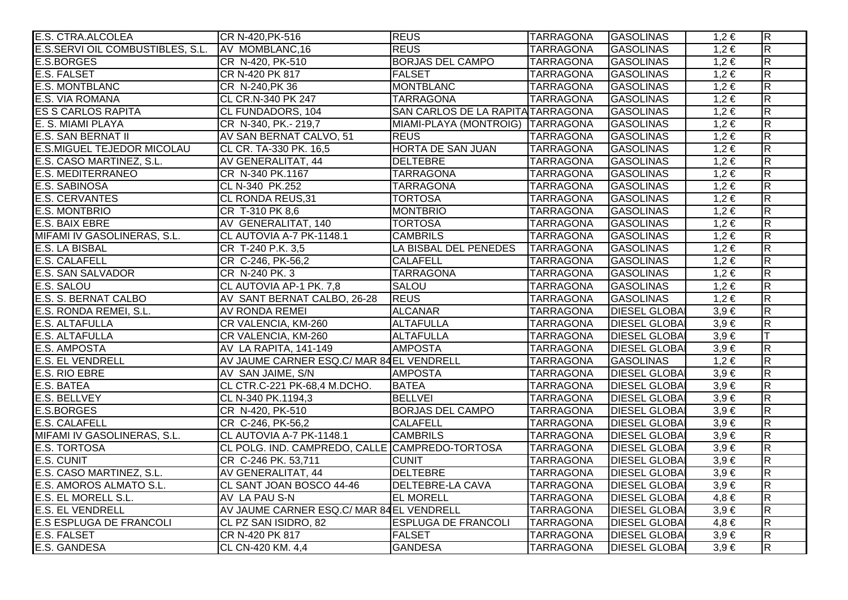| <b>E.S. CTRA.ALCOLEA</b>                 | CR N-420, PK-516                               | <b>REUS</b>                       | <b>TARRAGONA</b> | <b>GASOLINAS</b>     | $1,2 \in$ | $\overline{R}$          |
|------------------------------------------|------------------------------------------------|-----------------------------------|------------------|----------------------|-----------|-------------------------|
| E.S.SERVI OIL COMBUSTIBLES, S.L.         | AV MOMBLANC, 16                                | <b>REUS</b>                       | <b>TARRAGONA</b> | <b>GASOLINAS</b>     | $1,2 \in$ | $\overline{\mathsf{R}}$ |
| E.S.BORGES                               | CR N-420, PK-510                               | <b>BORJAS DEL CAMPO</b>           | <b>TARRAGONA</b> | <b>GASOLINAS</b>     | $1,2 \in$ | $\overline{R}$          |
| <b>E.S. FALSET</b>                       | CR N-420 PK 817                                | <b>FALSET</b>                     | <b>TARRAGONA</b> | <b>GASOLINAS</b>     | $1,2 \in$ | $\overline{R}$          |
| E.S. MONTBLANC                           | CR N-240, PK 36                                | <b>MONTBLANC</b>                  | <b>TARRAGONA</b> | <b>GASOLINAS</b>     | $1,2 \in$ | $\overline{R}$          |
| E.S. VIA ROMANA                          | CL CR.N-340 PK 247                             | <b>TARRAGONA</b>                  | <b>TARRAGONA</b> | <b>GASOLINAS</b>     | $1,2 \in$ | $\overline{\mathsf{R}}$ |
| ES S CARLOS RAPITA                       | CL FUNDADORS, 104                              | SAN CARLOS DE LA RAPITA TARRAGONA |                  | <b>GASOLINAS</b>     | $1,2 \in$ | $\overline{R}$          |
| E. S. MIAMI PLAYA                        | CR N-340, PK.- 219,7                           | MIAMI-PLAYA (MONTROIG) TARRAGONA  |                  | <b>GASOLINAS</b>     | $1,2 \in$ | $\overline{R}$          |
| E.S. SAN BERNAT II                       | AV SAN BERNAT CALVO, 51                        | <b>REUS</b>                       | <b>TARRAGONA</b> | <b>GASOLINAS</b>     | $1,2 \in$ | $\overline{\mathsf{R}}$ |
| <b>E.S.MIGUEL TEJEDOR MICOLAU</b>        | CL CR. TA-330 PK. 16,5                         | <b>HORTA DE SAN JUAN</b>          | <b>TARRAGONA</b> | <b>GASOLINAS</b>     | $1,2 \in$ | $\overline{R}$          |
| E.S. CASO MARTINEZ, S.L.                 | AV GENERALITAT, 44                             | <b>DELTEBRE</b>                   | <b>TARRAGONA</b> | <b>GASOLINAS</b>     | $1,2 \in$ | $\overline{\mathsf{R}}$ |
| <b>E.S. MEDITERRANEO</b>                 | CR N-340 PK.1167                               | <b>TARRAGONA</b>                  | <b>TARRAGONA</b> | <b>GASOLINAS</b>     | $1,2 \in$ | $\overline{R}$          |
| E.S. SABINOSA                            | CL N-340 PK.252                                | <b>TARRAGONA</b>                  | <b>TARRAGONA</b> | <b>GASOLINAS</b>     | $1,2 \in$ | $\overline{R}$          |
| E.S. CERVANTES                           | CL RONDA REUS, 31                              | <b>TORTOSA</b>                    | <b>TARRAGONA</b> | <b>GASOLINAS</b>     | $1,2 \in$ | $\overline{\mathsf{R}}$ |
| <b>E.S. MONTBRIO</b>                     | CR T-310 PK 8,6                                | <b>MONTBRIO</b>                   | <b>TARRAGONA</b> | <b>GASOLINAS</b>     | $1,2 \in$ | $\overline{\mathsf{R}}$ |
| E.S. BAIX EBRE                           | AV GENERALITAT, 140                            | <b>TORTOSA</b>                    | <b>TARRAGONA</b> | <b>GASOLINAS</b>     | $1,2 \in$ | $\overline{R}$          |
| MIFAMI IV GASOLINERAS, S.L.              | CL AUTOVIA A-7 PK-1148.1                       | <b>CAMBRILS</b>                   | <b>TARRAGONA</b> | <b>GASOLINAS</b>     | 1,2€      | $\overline{R}$          |
| E.S. LA BISBAL                           | CR T-240 P.K. 3,5                              | LA BISBAL DEL PENEDES             | <b>TARRAGONA</b> | <b>GASOLINAS</b>     | $1,2 \in$ | $\overline{R}$          |
| <b>E.S. CALAFELL</b>                     | CR C-246, PK-56,2                              | <b>CALAFELL</b>                   | <b>TARRAGONA</b> | <b>GASOLINAS</b>     | $1,2 \in$ | $\overline{R}$          |
| E.S. SAN SALVADOR                        | CR N-240 PK. 3                                 | <b>TARRAGONA</b>                  | <b>TARRAGONA</b> | <b>GASOLINAS</b>     | $1,2 \in$ | $\overline{\mathsf{R}}$ |
| E.S. SALOU                               | CL AUTOVIA AP-1 PK. 7,8                        | <b>SALOU</b>                      | <b>TARRAGONA</b> | <b>GASOLINAS</b>     | $1,2 \in$ | $\overline{\mathsf{R}}$ |
| E.S. S. BERNAT CALBO                     | AV SANT BERNAT CALBO, 26-28                    | <b>REUS</b>                       | <b>TARRAGONA</b> | <b>GASOLINAS</b>     | $1,2 \in$ | $\overline{R}$          |
|                                          | AV RONDA REMEI                                 | <b>ALCANAR</b>                    | <b>TARRAGONA</b> | <b>DIESEL GLOBAI</b> | $3,9 \in$ | $\overline{\mathsf{R}}$ |
| E.S. RONDA REMEI, S.L.<br>E.S. ALTAFULLA | CR VALENCIA, KM-260                            | <b>ALTAFULLA</b>                  | <b>TARRAGONA</b> | <b>DIESEL GLOBAI</b> | $3,9 \in$ | $\overline{R}$          |
| <b>E.S. ALTAFULLA</b>                    | CR VALENCIA, KM-260                            | <b>ALTAFULLA</b>                  | <b>TARRAGONA</b> | <b>DIESEL GLOBAI</b> | $3.9 \in$ | T                       |
| <b>E.S. AMPOSTA</b>                      | AV LA RAPITA, 141-149                          | <b>AMPOSTA</b>                    | <b>TARRAGONA</b> | <b>DIESEL GLOBAI</b> | $3,9 \in$ | $\overline{R}$          |
| <b>E.S. EL VENDRELL</b>                  | AV JAUME CARNER ESQ.C/ MAR 84EL VENDRELL       |                                   | <b>TARRAGONA</b> | <b>GASOLINAS</b>     | $1,2 \in$ | $\overline{\mathsf{R}}$ |
| <b>E.S. RIO EBRE</b>                     | AV SAN JAIME, S/N                              | <b>AMPOSTA</b>                    | <b>TARRAGONA</b> | <b>DIESEL GLOBAI</b> | $3,9 \in$ | $\overline{\mathsf{R}}$ |
| E.S. BATEA                               | CL CTR.C-221 PK-68,4 M.DCHO.                   | <b>BATEA</b>                      | <b>TARRAGONA</b> | <b>DIESEL GLOBAI</b> | $3,9 \in$ | $\overline{R}$          |
| E.S. BELLVEY                             | CL N-340 PK.1194,3                             | <b>BELLVEI</b>                    | <b>TARRAGONA</b> | <b>DIESEL GLOBA</b>  | $3,9 \in$ | $\overline{\mathsf{R}}$ |
| E.S.BORGES                               | CR N-420, PK-510                               | <b>BORJAS DEL CAMPO</b>           | <b>TARRAGONA</b> | <b>DIESEL GLOBAI</b> | $3,9 \in$ | $\overline{R}$          |
| <b>E.S. CALAFELL</b>                     | CR C-246, PK-56,2                              | <b>CALAFELL</b>                   | <b>TARRAGONA</b> | <b>DIESEL GLOBAI</b> | $3,9 \in$ | $\overline{\mathsf{R}}$ |
| MIFAMI IV GASOLINERAS, S.L.              | CL AUTOVIA A-7 PK-1148.1                       | <b>CAMBRILS</b>                   | <b>TARRAGONA</b> | <b>DIESEL GLOBAI</b> | $3,9 \in$ | $\overline{R}$          |
| <b>E.S. TORTOSA</b>                      | CL POLG. IND. CAMPREDO, CALLE CAMPREDO-TORTOSA |                                   | <b>TARRAGONA</b> | <b>DIESEL GLOBAI</b> | $3.9 \in$ | R                       |
| E.S. CUNIT                               | CR C-246 PK. 53,711                            | <b>CUNIT</b>                      | <b>TARRAGONA</b> | <b>DIESEL GLOBA</b>  | $3,9 \in$ | $\overline{\mathsf{R}}$ |
| E.S. CASO MARTINEZ, S.L.                 | AV GENERALITAT, 44                             | DELTEBRE                          | <b>TARRAGONA</b> | <b>DIESEL GLOBAI</b> | $3,9 \in$ | $\overline{\mathsf{R}}$ |
| E.S. AMOROS ALMATO S.L.                  | CL SANT JOAN BOSCO 44-46                       | <b>DELTEBRE-LA CAVA</b>           | <b>TARRAGONA</b> | <b>DIESEL GLOBAI</b> | $3,9 \in$ | $\overline{\mathsf{R}}$ |
| E.S. EL MORELL S.L.                      | AV LA PAU S-N                                  | <b>EL MORELL</b>                  | <b>TARRAGONA</b> | <b>DIESEL GLOBAI</b> | $4,8 \in$ | $\overline{\mathsf{R}}$ |
| <b>E.S. EL VENDRELL</b>                  | AV JAUME CARNER ESQ.C/ MAR 84 EL VENDRELL      |                                   | <b>TARRAGONA</b> | <b>DIESEL GLOBAI</b> | $3,9 \in$ | $\overline{\mathsf{R}}$ |
| <b>E.S ESPLUGA DE FRANCOLI</b>           | CL PZ SAN ISIDRO, 82                           | <b>ESPLUGA DE FRANCOLI</b>        | <b>TARRAGONA</b> | <b>DIESEL GLOBAI</b> | $4,8 \in$ | $\overline{\mathsf{R}}$ |
| <b>E.S. FALSET</b>                       | CR N-420 PK 817                                | <b>FALSET</b>                     | <b>TARRAGONA</b> | <b>DIESEL GLOBAI</b> | $3,9 \in$ | $\overline{\mathsf{R}}$ |
| E.S. GANDESA                             | CL CN-420 KM. 4,4                              | <b>GANDESA</b>                    | <b>TARRAGONA</b> | <b>DIESEL GLOBAI</b> | $3,9 \in$ | $\overline{R}$          |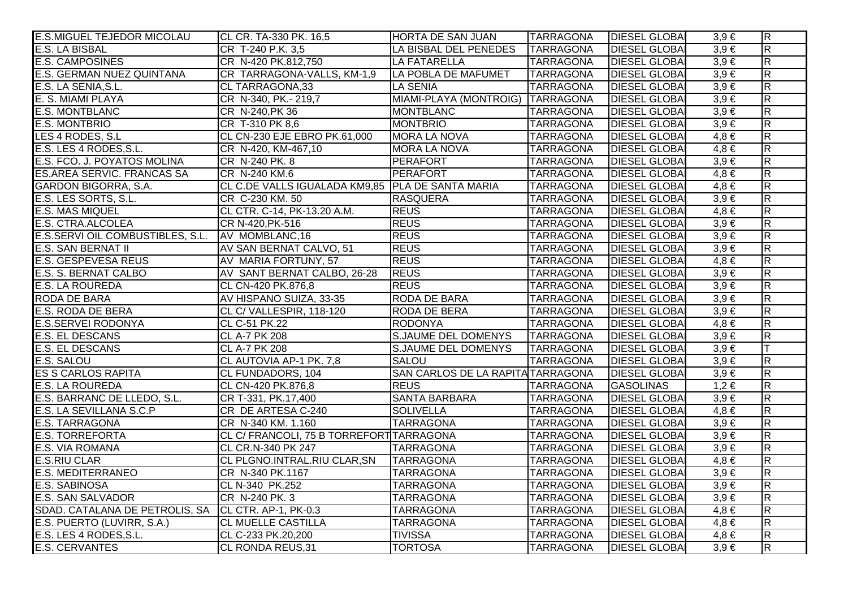| <b>E.S.MIGUEL TEJEDOR MICOLAU</b> | CL CR. TA-330 PK. 16,5                             | <b>HORTA DE SAN JUAN</b>          | <b>TARRAGONA</b> | <b>DIESEL GLOBAI</b> | $3,9 \in$ | $\overline{R}$          |
|-----------------------------------|----------------------------------------------------|-----------------------------------|------------------|----------------------|-----------|-------------------------|
| <b>E.S. LA BISBAL</b>             | CR T-240 P.K. 3,5                                  | LA BISBAL DEL PENEDES             | <b>TARRAGONA</b> | <b>DIESEL GLOBA</b>  | $3,9 \in$ | $\overline{\mathsf{R}}$ |
| <b>E.S. CAMPOSINES</b>            | CR N-420 PK.812,750                                | <b>LA FATARELLA</b>               | <b>TARRAGONA</b> | <b>DIESEL GLOBA</b>  | $3,9 \in$ | $\overline{R}$          |
| E.S. GERMAN NUEZ QUINTANA         | CR TARRAGONA-VALLS, KM-1,9                         | LA POBLA DE MAFUMET               | <b>TARRAGONA</b> | <b>DIESEL GLOBA</b>  | $3,9 \in$ | $\overline{\mathbf{z}}$ |
| E.S. LA SENIA, S.L.               | CL TARRAGONA,33                                    | <b>LA SENIA</b>                   | <b>TARRAGONA</b> | <b>DIESEL GLOBAI</b> | $3,9 \in$ | $\overline{\mathbf{z}}$ |
| E. S. MIAMI PLAYA                 | CR N-340, PK.- 219,7                               | MIAMI-PLAYA (MONTROIG) TARRAGONA  |                  | <b>DIESEL GLOBAI</b> | $3,9 \in$ | $\overline{\mathsf{R}}$ |
| <b>E.S. MONTBLANC</b>             | CR N-240, PK 36                                    | <b>MONTBLANC</b>                  | <b>TARRAGONA</b> | <b>DIESEL GLOBA</b>  | $3,9 \in$ | $\overline{R}$          |
| <b>E.S. MONTBRIO</b>              | CR T-310 PK 8,6                                    | <b>MONTBRIO</b>                   | <b>TARRAGONA</b> | <b>DIESEL GLOBA</b>  | $3,9 \in$ | $\overline{\mathsf{R}}$ |
| LES 4 RODES, S.L                  | CL CN-230 EJE EBRO PK.61,000                       | <b>MORA LA NOVA</b>               | <b>TARRAGONA</b> | <b>DIESEL GLOBA</b>  | $4,8 \in$ | $\overline{R}$          |
| E.S. LES 4 RODES, S.L.            | CR N-420, KM-467,10                                | <b>MORA LA NOVA</b>               | <b>TARRAGONA</b> | <b>DIESEL GLOBA</b>  | $4,8 \in$ | $\overline{\mathsf{R}}$ |
| E.S. FCO. J. POYATOS MOLINA       | CR N-240 PK. 8                                     | PERAFORT                          | <b>TARRAGONA</b> | <b>DIESEL GLOBA</b>  | $3,9 \in$ | $\overline{\mathbf{z}}$ |
| <b>ES.AREA SERVIC. FRANCAS SA</b> | CR N-240 KM.6                                      | PERAFORT                          | <b>TARRAGONA</b> | <b>DIESEL GLOBAI</b> | $4,8 \in$ | $\overline{R}$          |
| GARDON BIGORRA, S.A.              | CL C.DE VALLS IGUALADA KM9,85   PLA DE SANTA MARIA |                                   | <b>TARRAGONA</b> | <b>DIESEL GLOBA</b>  | $4,8 \in$ | $\overline{\mathbf{z}}$ |
| E.S. LES SORTS, S.L.              | CR C-230 KM. 50                                    | RASQUERA                          | <b>TARRAGONA</b> | <b>DIESEL GLOBAI</b> | $3,9 \in$ | $\overline{R}$          |
| <b>E.S. MAS MIQUEL</b>            | CL CTR. C-14, PK-13.20 A.M.                        | <b>REUS</b>                       | <b>TARRAGONA</b> | <b>DIESEL GLOBA</b>  | $4,8 \in$ | $\overline{R}$          |
| E.S. CTRA.ALCOLEA                 | CR N-420, PK-516                                   | <b>REUS</b>                       | <b>TARRAGONA</b> | <b>DIESEL GLOBA</b>  | $3,9 \in$ | $\overline{\mathsf{R}}$ |
| E.S.SERVI OIL COMBUSTIBLES, S.L.  | AV MOMBLANC, 16                                    | <b>REUS</b>                       | <b>TARRAGONA</b> | <b>DIESEL GLOBA</b>  | $3,9 \in$ | $\overline{R}$          |
| <b>E.S. SAN BERNAT II</b>         | AV SAN BERNAT CALVO, 51                            | <b>REUS</b>                       | <b>TARRAGONA</b> | <b>DIESEL GLOBA</b>  | $3,9 \in$ | $\overline{R}$          |
| <b>E.S. GESPEVESA REUS</b>        | AV MARIA FORTUNY, 57                               | <b>REUS</b>                       | <b>TARRAGONA</b> | <b>DIESEL GLOBA</b>  | $4,8 \in$ | $\overline{\mathsf{R}}$ |
| E.S. S. BERNAT CALBO              | AV SANT BERNAT CALBO, 26-28                        | <b>REUS</b>                       | <b>TARRAGONA</b> | <b>DIESEL GLOBA</b>  | $3,9 \in$ | $\overline{\mathbf{z}}$ |
| <b>E.S. LA ROUREDA</b>            | CL CN-420 PK.876,8                                 | <b>REUS</b>                       | <b>TARRAGONA</b> | <b>DIESEL GLOBAI</b> | $3,9 \in$ | $\overline{R}$          |
| <b>RODA DE BARA</b>               | AV HISPANO SUIZA, 33-35                            | RODA DE BARA                      | <b>TARRAGONA</b> | <b>DIESEL GLOBA</b>  | $3,9 \in$ | $\overline{\mathbf{z}}$ |
| E.S. RODA DE BERA                 | CL C/ VALLESPIR, 118-120                           | RODA DE BERA                      | <b>TARRAGONA</b> | <b>DIESEL GLOBAI</b> | $3,9 \in$ | $\overline{R}$          |
| <b>E.S.SERVEI RODONYA</b>         | CL C-51 PK.22                                      | <b>RODONYA</b>                    | <b>TARRAGONA</b> | <b>DIESEL GLOBA</b>  | $4,8 \in$ | $\overline{R}$          |
| <b>E.S. EL DESCANS</b>            | <b>CL A-7 PK 208</b>                               | <b>S.JAUME DEL DOMENYS</b>        | <b>TARRAGONA</b> | <b>DIESEL GLOBA</b>  | $3,9 \in$ | $\overline{\mathsf{R}}$ |
| E.S. EL DESCANS                   | <b>CL A-7 PK 208</b>                               | <b>S.JAUME DEL DOMENYS</b>        | <b>TARRAGONA</b> | <b>DIESEL GLOBA</b>  | $3,9 \in$ | lΤ                      |
| E.S. SALOU                        | CL AUTOVIA AP-1 PK. 7,8                            | <b>SALOU</b>                      | <b>TARRAGONA</b> | <b>DIESEL GLOBA</b>  | $3,9 \in$ | $\overline{\mathbf{z}}$ |
| <b>ES S CARLOS RAPITA</b>         | CL FUNDADORS, 104                                  | SAN CARLOS DE LA RAPITA TARRAGONA |                  | <b>DIESEL GLOBA</b>  | $3,9 \in$ | $\overline{\mathsf{R}}$ |
| <b>E.S. LA ROUREDA</b>            | CL CN-420 PK.876,8                                 | <b>REUS</b>                       | <b>TARRAGONA</b> | <b>GASOLINAS</b>     | $1,2 \in$ | $\overline{\mathbf{z}}$ |
| E.S. BARRANC DE LLEDO, S.L.       | CR T-331, PK.17,400                                | <b>SANTA BARBARA</b>              | <b>TARRAGONA</b> | <b>DIESEL GLOBAI</b> | $3,9 \in$ | $\overline{R}$          |
| <b>E.S. LA SEVILLANA S.C.P</b>    | CR DE ARTESA C-240                                 | <b>SOLIVELLA</b>                  | <b>TARRAGONA</b> | <b>DIESEL GLOBA</b>  | $4,8 \in$ | $\overline{\mathbf{z}}$ |
| <b>E.S. TARRAGONA</b>             | CR N-340 KM. 1.160                                 | <b>TARRAGONA</b>                  | <b>TARRAGONA</b> | <b>DIESEL GLOBA</b>  | $3,9 \in$ | $\overline{\mathsf{R}}$ |
| <b>E.S. TORREFORTA</b>            | CL C/ FRANCOLI, 75 B TORREFORT TARRAGONA           |                                   | <b>TARRAGONA</b> | <b>DIESEL GLOBA</b>  | $3,9 \in$ | $\overline{\mathsf{R}}$ |
| <b>E.S. VIA ROMANA</b>            | CL CR.N-340 PK 247                                 | <b>TARRAGONA</b>                  | <b>TARRAGONA</b> | <b>DIESEL GLOBA</b>  | $3,9 \in$ | $\overline{\mathsf{R}}$ |
| <b>E.S.RIU CLAR</b>               | CL PLGNO.INTRAL.RIU CLAR, SN                       | <b>TARRAGONA</b>                  | <b>TARRAGONA</b> | <b>DIESEL GLOBA</b>  | $4,8 \in$ | $\overline{\mathsf{R}}$ |
| <b>E.S. MEDITERRANEO</b>          | CR N-340 PK.1167                                   | <b>TARRAGONA</b>                  | <b>TARRAGONA</b> | <b>DIESEL GLOBA</b>  | $3,9 \in$ | $\overline{\mathsf{R}}$ |
| <b>E.S. SABINOSA</b>              | CL N-340 PK.252                                    | <b>TARRAGONA</b>                  | <b>TARRAGONA</b> | <b>DIESEL GLOBA</b>  | $3,9 \in$ | $\overline{\mathsf{R}}$ |
| <b>E.S. SAN SALVADOR</b>          | CR N-240 PK. 3                                     | <b>TARRAGONA</b>                  | <b>TARRAGONA</b> | <b>DIESEL GLOBA</b>  | $3,9 \in$ | $\overline{\mathsf{R}}$ |
| SDAD. CATALANA DE PETROLIS, SA    | CL CTR. AP-1, PK-0.3                               | <b>TARRAGONA</b>                  | <b>TARRAGONA</b> | <b>DIESEL GLOBA</b>  | $4.8 \in$ | $\overline{\mathsf{R}}$ |
| E.S. PUERTO (LUVIRR, S.A.)        | <b>CL MUELLE CASTILLA</b>                          | <b>TARRAGONA</b>                  | <b>TARRAGONA</b> | <b>DIESEL GLOBA</b>  | $4,8 \in$ | $\overline{\mathsf{R}}$ |
| E.S. LES 4 RODES, S.L.            | CL C-233 PK.20,200                                 | <b>TIVISSA</b>                    | <b>TARRAGONA</b> | <b>DIESEL GLOBA</b>  | $4,8 \in$ | $\overline{\mathsf{R}}$ |
| E.S. CERVANTES                    | CL RONDA REUS, 31                                  | <b>TORTOSA</b>                    | <b>TARRAGONA</b> | <b>DIESEL GLOBA</b>  | $3,9 \in$ | $\overline{R}$          |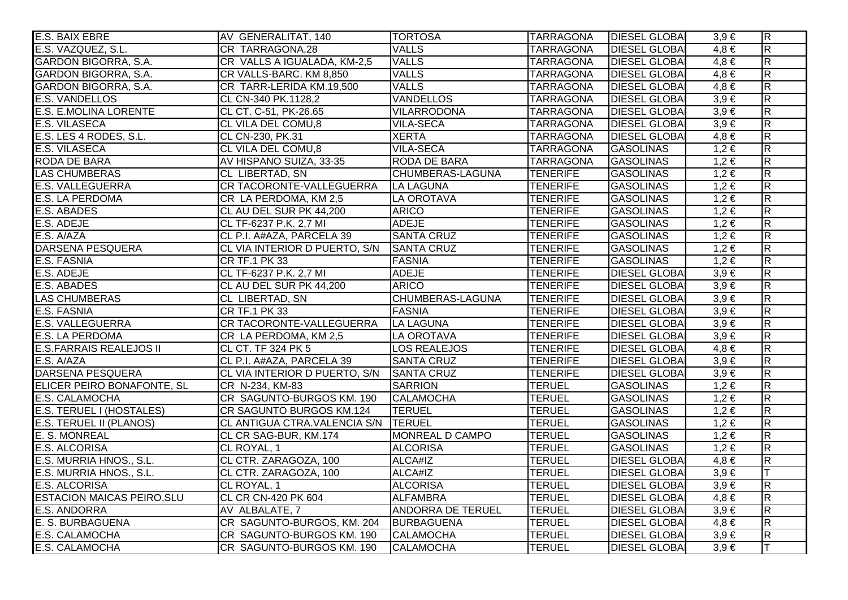| E.S. BAIX EBRE                    | AV GENERALITAT, 140                      | <b>TORTOSA</b>           | <b>TARRAGONA</b> | <b>DIESEL GLOBAI</b> | $3,9 \in$ | $\overline{R}$          |
|-----------------------------------|------------------------------------------|--------------------------|------------------|----------------------|-----------|-------------------------|
| E.S. VAZQUEZ, S.L.                | CR TARRAGONA,28                          | <b>VALLS</b>             | <b>TARRAGONA</b> | <b>DIESEL GLOBAI</b> | $4,8 \in$ | $\overline{\mathsf{R}}$ |
| GARDON BIGORRA, S.A.              | CR VALLS A IGUALADA, KM-2,5              | <b>VALLS</b>             | <b>TARRAGONA</b> | <b>DIESEL GLOBA</b>  | $4,8 \in$ | $\overline{R}$          |
| <b>GARDON BIGORRA, S.A.</b>       | CR VALLS-BARC. KM 8,850                  | <b>VALLS</b>             | <b>TARRAGONA</b> | <b>DIESEL GLOBA</b>  | $4,8 \in$ | $\overline{\mathsf{R}}$ |
| GARDON BIGORRA, S.A.              | CR TARR-LERIDA KM.19,500                 | <b>VALLS</b>             | <b>TARRAGONA</b> | <b>DIESEL GLOBA</b>  | $4,8 \in$ | $\overline{R}$          |
| <b>E.S. VANDELLOS</b>             | CL CN-340 PK.1128,2                      | <b>VANDELLOS</b>         | <b>TARRAGONA</b> | <b>DIESEL GLOBAI</b> | $3,9 \in$ | $\overline{\mathsf{R}}$ |
| <b>E.S. E.MOLINA LORENTE</b>      | CL CT. C-51, PK-26.65                    | <b>VILARRODONA</b>       | <b>TARRAGONA</b> | <b>DIESEL GLOBAI</b> | $3,9 \in$ | $\overline{\mathsf{R}}$ |
| <b>E.S. VILASECA</b>              | <b>CL VILA DEL COMU,8</b>                | <b>VILA-SECA</b>         | <b>TARRAGONA</b> | <b>DIESEL GLOBAI</b> | $3,9 \in$ | $\overline{R}$          |
| E.S. LES 4 RODES, S.L.            | CL CN-230, PK.31                         | <b>XERTA</b>             | <b>TARRAGONA</b> | <b>DIESEL GLOBAI</b> | $4,8 \in$ | $\overline{\mathsf{R}}$ |
| <b>E.S. VILASECA</b>              | <b>CL VILA DEL COMU,8</b>                | <b>VILA-SECA</b>         | <b>TARRAGONA</b> | <b>GASOLINAS</b>     | $1,2 \in$ | $\overline{R}$          |
| RODA DE BARA                      | AV HISPANO SUIZA, 33-35                  | <b>RODA DE BARA</b>      | <b>TARRAGONA</b> | <b>GASOLINAS</b>     | $1,2 \in$ | $\overline{\mathsf{R}}$ |
| <b>LAS CHUMBERAS</b>              | CL LIBERTAD, SN                          | CHUMBERAS-LAGUNA         | <b>TENERIFE</b>  | <b>GASOLINAS</b>     | $1,2 \in$ | $\overline{R}$          |
| <b>E.S. VALLEGUERRA</b>           | CR TACORONTE-VALLEGUERRA                 | LA LAGUNA                | <b>TENERIFE</b>  | <b>GASOLINAS</b>     | $1,2 \in$ | $\overline{\mathsf{R}}$ |
| <b>E.S. LA PERDOMA</b>            | CR LA PERDOMA, KM 2,5                    | LA OROTAVA               | <b>TENERIFE</b>  | <b>GASOLINAS</b>     | $1,2 \in$ | $\overline{\mathsf{R}}$ |
| E.S. ABADES                       | CL AU DEL SUR PK 44,200                  | <b>ARICO</b>             | <b>TENERIFE</b>  | <b>GASOLINAS</b>     | $1,2 \in$ | $\overline{R}$          |
| E.S. ADEJE                        | CL TF-6237 P.K. 2,7 MI                   | <b>ADEJE</b>             | <b>TENERIFE</b>  | <b>GASOLINAS</b>     | $1,2 \in$ | $\overline{R}$          |
| E.S. A/AZA                        | CL P.I. A#AZA, PARCELA 39                | <b>SANTA CRUZ</b>        | <b>TENERIFE</b>  | <b>GASOLINAS</b>     | $1,2 \in$ | $\overline{R}$          |
| <b>DARSENA PESQUERA</b>           | CL VIA INTERIOR D PUERTO, S/N            | <b>SANTA CRUZ</b>        | <b>TENERIFE</b>  | <b>GASOLINAS</b>     | $1,2 \in$ | $\overline{\mathsf{R}}$ |
| E.S. FASNIA                       | CR TF.1 PK 33                            | <b>FASNIA</b>            | <b>TENERIFE</b>  | <b>GASOLINAS</b>     | $1,2 \in$ | $\overline{R}$          |
| E.S. ADEJE                        | CL TF-6237 P.K. 2,7 MI                   | <b>ADEJE</b>             | <b>TENERIFE</b>  | <b>DIESEL GLOBAI</b> | $3,9 \in$ | $\overline{\mathsf{R}}$ |
| E.S. ABADES                       | CL AU DEL SUR PK 44,200                  | <b>ARICO</b>             | <b>TENERIFE</b>  | <b>DIESEL GLOBA</b>  | $3,9 \in$ | $\overline{\mathsf{R}}$ |
| <b>LAS CHUMBERAS</b>              | CL LIBERTAD, SN                          | CHUMBERAS-LAGUNA         | <b>TENERIFE</b>  | <b>DIESEL GLOBAI</b> | $3,9 \in$ | $\overline{R}$          |
| <b>E.S. FASNIA</b>                | CR TF.1 PK 33                            | <b>FASNIA</b>            | <b>TENERIFE</b>  | <b>DIESEL GLOBA</b>  | $3,9 \in$ | $\overline{\mathsf{R}}$ |
| <b>E.S. VALLEGUERRA</b>           | CR TACORONTE-VALLEGUERRA                 | LA LAGUNA                | <b>TENERIFE</b>  | <b>DIESEL GLOBA</b>  | $3,9 \in$ | $\overline{R}$          |
| <b>E.S. LA PERDOMA</b>            | CR LA PERDOMA, KM 2,5                    | LA OROTAVA               | <b>TENERIFE</b>  | <b>DIESEL GLOBA</b>  | $3.9 \in$ | $\overline{\mathsf{R}}$ |
| <b>E.S.FARRAIS REALEJOS II</b>    | CL CT. TF 324 PK 5                       | LOS REALEJOS             | <b>TENERIFE</b>  | <b>DIESEL GLOBAI</b> | $4,8 \in$ | $\overline{R}$          |
| E.S. A/AZA                        | CL P.I. A#AZA, PARCELA 39                | <b>SANTA CRUZ</b>        | <b>TENERIFE</b>  | <b>DIESEL GLOBAI</b> | $3,9 \in$ | $\overline{\mathsf{R}}$ |
| <b>DARSENA PESQUERA</b>           | CL VIA INTERIOR D PUERTO, S/N SANTA CRUZ |                          | <b>TENERIFE</b>  | <b>DIESEL GLOBAI</b> | $3,9 \in$ | $\overline{\mathsf{R}}$ |
| ELICER PEIRO BONAFONTE, SL        | CR N-234, KM-83                          | <b>SARRION</b>           | <b>TERUEL</b>    | <b>GASOLINAS</b>     | $1,2 \in$ | $\overline{R}$          |
| <b>E.S. CALAMOCHA</b>             | CR SAGUNTO-BURGOS KM. 190                | <b>CALAMOCHA</b>         | <b>TERUEL</b>    | <b>GASOLINAS</b>     | $1,2 \in$ | $\overline{\mathsf{R}}$ |
| E.S. TERUEL I (HOSTALES)          | CR SAGUNTO BURGOS KM.124                 | <b>TERUEL</b>            | <b>TERUEL</b>    | <b>GASOLINAS</b>     | $1,2 \in$ | R                       |
| <b>E.S. TERUEL II (PLANOS)</b>    | CL ANTIGUA CTRA.VALENCIA S/N TERUEL      |                          | <b>TERUEL</b>    | <b>GASOLINAS</b>     | $1,2 \in$ | $\overline{\mathsf{R}}$ |
| E. S. MONREAL                     | CL CR SAG-BUR, KM.174                    | <b>MONREAL D CAMPO</b>   | <b>TERUEL</b>    | <b>GASOLINAS</b>     | $1,2 \in$ | $\overline{R}$          |
| E.S. ALCORISA                     | CL ROYAL, 1                              | <b>ALCORISA</b>          | <b>TERUEL</b>    | <b>GASOLINAS</b>     | $1,2 \in$ | $\overline{\mathsf{R}}$ |
| E.S. MURRIA HNOS., S.L.           | CL CTR. ZARAGOZA, 100                    | ALCA#IZ                  | <b>TERUEL</b>    | <b>DIESEL GLOBAI</b> | $4,8 \in$ | $\overline{R}$          |
| E.S. MURRIA HNOS., S.L.           | CL CTR. ZARAGOZA, 100                    | ALCA#IZ                  | <b>TERUEL</b>    | <b>DIESEL GLOBAI</b> | $3,9 \in$ | IΤ                      |
| E.S. ALCORISA                     | CL ROYAL, 1                              | <b>ALCORISA</b>          | <b>TERUEL</b>    | <b>DIESEL GLOBA</b>  | $3,9 \in$ | $\overline{\mathsf{R}}$ |
| <b>ESTACION MAICAS PEIRO, SLU</b> | <b>CL CR CN-420 PK 604</b>               | <b>ALFAMBRA</b>          | <b>TERUEL</b>    | <b>DIESEL GLOBAI</b> | $4,8 \in$ | $\overline{\mathsf{R}}$ |
| <b>E.S. ANDORRA</b>               | AV ALBALATE, 7                           | <b>ANDORRA DE TERUEL</b> | <b>TERUEL</b>    | <b>DIESEL GLOBAI</b> | $3,9 \in$ | $\overline{\mathsf{R}}$ |
| E. S. BURBAGUENA                  | CR SAGUNTO-BURGOS, KM. 204   BURBAGUENA  |                          | <b>TERUEL</b>    | <b>DIESEL GLOBAI</b> | $4,8 \in$ | $\overline{\mathsf{R}}$ |
| <b>E.S. CALAMOCHA</b>             | CR SAGUNTO-BURGOS KM. 190                | <b>CALAMOCHA</b>         | <b>TERUEL</b>    | <b>DIESEL GLOBAI</b> | $3,9 \in$ | $\overline{\mathsf{R}}$ |
| <b>E.S. CALAMOCHA</b>             | CR SAGUNTO-BURGOS KM. 190                | <b>CALAMOCHA</b>         | <b>TERUEL</b>    | <b>DIESEL GLOBA</b>  | $3,9 \in$ | lΤ                      |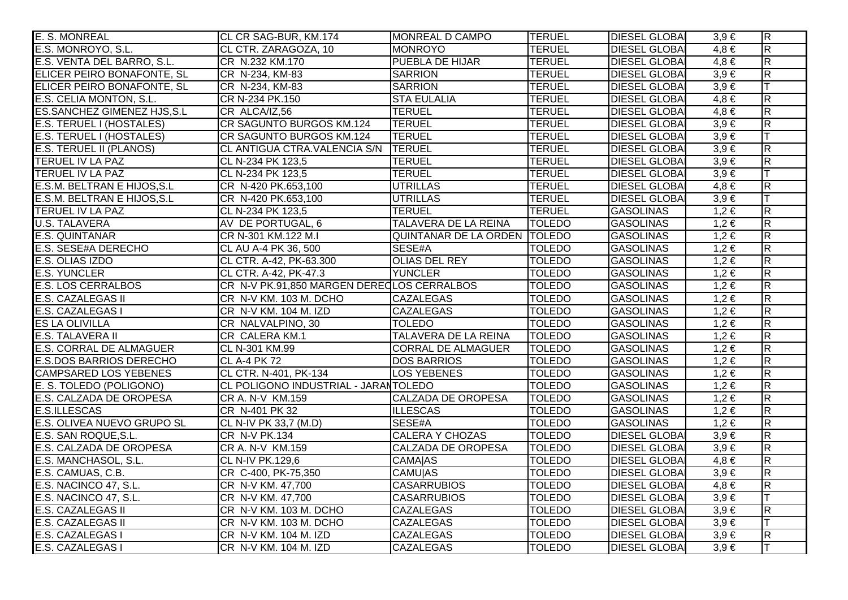| E. S. MONREAL                      | CL CR SAG-BUR, KM.174                      | MONREAL D CAMPO              | <b>TERUEL</b> | <b>DIESEL GLOBAL</b> | $3,9 \in$ | $\overline{\mathsf{R}}$ |
|------------------------------------|--------------------------------------------|------------------------------|---------------|----------------------|-----------|-------------------------|
| E.S. MONROYO, S.L.                 | CL CTR. ZARAGOZA, 10                       | MONROYO                      | <b>TERUEL</b> | <b>DIESEL GLOBAI</b> | $4,8 \in$ | $\overline{\mathsf{R}}$ |
| E.S. VENTA DEL BARRO, S.L.         | CR N.232 KM.170                            | <b>PUEBLA DE HIJAR</b>       | <b>TERUEL</b> | <b>DIESEL GLOBAI</b> | $4,8 \in$ | $\overline{\mathsf{R}}$ |
| ELICER PEIRO BONAFONTE, SL         | CR N-234, KM-83                            | <b>SARRION</b>               | <b>TERUEL</b> | <b>DIESEL GLOBA</b>  | $3,9 \in$ | $\overline{\mathsf{R}}$ |
| ELICER PEIRO BONAFONTE, SL         | CR N-234, KM-83                            | <b>SARRION</b>               | <b>TERUEL</b> | <b>DIESEL GLOBAI</b> | $3,9 \in$ |                         |
| E.S. CELIA MONTON, S.L.            | CR N-234 PK.150                            | <b>STA EULALIA</b>           | <b>TERUEL</b> | <b>DIESEL GLOBAI</b> | $4,8 \in$ | $\overline{R}$          |
| <b>ES.SANCHEZ GIMENEZ HJS, S.L</b> | CR ALCA/IZ,56                              | <b>TERUEL</b>                | <b>TERUEL</b> | <b>DIESEL GLOBAI</b> | $4,8 \in$ | $\overline{\mathsf{R}}$ |
| E.S. TERUEL I (HOSTALES)           | CR SAGUNTO BURGOS KM.124                   | <b>TERUEL</b>                | <b>TERUEL</b> | <b>DIESEL GLOBAI</b> | $3,9 \in$ | $\overline{R}$          |
| E.S. TERUEL I (HOSTALES)           | CR SAGUNTO BURGOS KM.124                   | <b>TERUEL</b>                | <b>TERUEL</b> | <b>DIESEL GLOBAI</b> | $3,9 \in$ | lΤ                      |
| E.S. TERUEL II (PLANOS)            | CL ANTIGUA CTRA.VALENCIA S/N               | <b>TERUEL</b>                | <b>TERUEL</b> | <b>DIESEL GLOBAI</b> | $3,9 \in$ | $\overline{\mathsf{R}}$ |
| <b>TERUEL IV LA PAZ</b>            | CL N-234 PK 123,5                          | <b>TERUEL</b>                | <b>TERUEL</b> | <b>DIESEL GLOBAI</b> | $3,9 \in$ | $\overline{\mathsf{R}}$ |
| TERUEL IV LA PAZ                   | CL N-234 PK 123,5                          | <b>TERUEL</b>                | <b>TERUEL</b> | <b>DIESEL GLOBAI</b> | $3,9 \in$ | Iт                      |
| E.S.M. BELTRAN E HIJOS, S.L        | CR N-420 PK.653,100                        | <b>UTRILLAS</b>              | <b>TERUEL</b> | <b>DIESEL GLOBAI</b> | $4,8 \in$ | $\overline{\mathsf{R}}$ |
| E.S.M. BELTRAN E HIJOS, S.L        | CR N-420 PK.653,100                        | <b>UTRILLAS</b>              | <b>TERUEL</b> | <b>DIESEL GLOBAI</b> | $3,9 \in$ | lΤ                      |
| <b>TERUEL IV LA PAZ</b>            | CL N-234 PK 123,5                          | <b>TERUEL</b>                | <b>TERUEL</b> | <b>GASOLINAS</b>     | $1,2 \in$ | $\overline{\mathsf{R}}$ |
| <b>U.S. TALAVERA</b>               | AV DE PORTUGAL, 6                          | TALAVERA DE LA REINA         | <b>TOLEDO</b> | <b>GASOLINAS</b>     | $1,2 \in$ | $\overline{\mathsf{R}}$ |
| <b>E.S. QUINTANAR</b>              | CR N-301 KM.122 M.I                        | QUINTANAR DE LA ORDEN TOLEDO |               | <b>GASOLINAS</b>     | $1,2 \in$ | $\overline{\mathsf{R}}$ |
| E.S. SESE#A DERECHO                | CL AU A-4 PK 36, 500                       | SESE#A                       | <b>TOLEDO</b> | <b>GASOLINAS</b>     | $1,2 \in$ | $\overline{\mathsf{R}}$ |
| E.S. OLIAS IZDO                    | CL CTR. A-42, PK-63.300                    | <b>OLIAS DEL REY</b>         | <b>TOLEDO</b> | <b>GASOLINAS</b>     | $1,2 \in$ | $\overline{\mathsf{R}}$ |
| <b>E.S. YUNCLER</b>                | CL CTR. A-42, PK-47.3                      | <b>YUNCLER</b>               | <b>TOLEDO</b> | <b>GASOLINAS</b>     | $1,2 \in$ | $\overline{\mathsf{R}}$ |
| <b>E.S. LOS CERRALBOS</b>          | CR N-V PK.91,850 MARGEN DERECLOS CERRALBOS |                              | <b>TOLEDO</b> | <b>GASOLINAS</b>     | $1,2 \in$ | $\overline{R}$          |
| <b>E.S. CAZALEGAS II</b>           | CR N-V KM. 103 M. DCHO                     | <b>CAZALEGAS</b>             | <b>TOLEDO</b> | <b>GASOLINAS</b>     | $1,2 \in$ | $\overline{\mathsf{R}}$ |
| E.S. CAZALEGAS I                   | CR N-V KM. 104 M. IZD                      | <b>CAZALEGAS</b>             | <b>TOLEDO</b> | <b>GASOLINAS</b>     | $1,2 \in$ | $\overline{R}$          |
| <b>ES LA OLIVILLA</b>              | CR NALVALPINO, 30                          | <b>TOLEDO</b>                | <b>TOLEDO</b> | <b>GASOLINAS</b>     | $1,2 \in$ | $\overline{\mathsf{R}}$ |
| E.S. TALAVERA II                   | CR CALERA KM.1                             | TALAVERA DE LA REINA         | <b>TOLEDO</b> | <b>GASOLINAS</b>     | $1,2 \in$ | $\overline{\mathsf{R}}$ |
| <b>E.S. CORRAL DE ALMAGUER</b>     | CL N-301 KM.99                             | <b>CORRAL DE ALMAGUER</b>    | <b>TOLEDO</b> | <b>GASOLINAS</b>     | $1,2 \in$ | $\overline{\mathsf{R}}$ |
| <b>E.S.DOS BARRIOS DERECHO</b>     | <b>CL A-4 PK 72</b>                        | <b>DOS BARRIOS</b>           | <b>TOLEDO</b> | <b>GASOLINAS</b>     | $1,2 \in$ | $\overline{\mathsf{R}}$ |
| <b>CAMPSARED LOS YEBENES</b>       | CL CTR. N-401, PK-134                      | <b>LOS YEBENES</b>           | <b>TOLEDO</b> | <b>GASOLINAS</b>     | $1,2 \in$ | $\overline{\mathsf{R}}$ |
| E. S. TOLEDO (POLIGONO)            | CL POLIGONO INDUSTRIAL - JARANTOLEDO       |                              | <b>TOLEDO</b> | <b>GASOLINAS</b>     | $1,2 \in$ | $\overline{\mathsf{R}}$ |
| E.S. CALZADA DE OROPESA            | CR A. N-V KM.159                           | <b>CALZADA DE OROPESA</b>    | <b>TOLEDO</b> | <b>GASOLINAS</b>     | $1,2 \in$ | $\overline{R}$          |
| <b>E.S.ILLESCAS</b>                | CR N-401 PK 32                             | <b>ILLESCAS</b>              | <b>TOLEDO</b> | <b>GASOLINAS</b>     | $1,2 \in$ | $\overline{R}$          |
| E.S. OLIVEA NUEVO GRUPO SL         | CL N-IV PK 33,7 (M.D)                      | SESE#A                       | <b>TOLEDO</b> | <b>GASOLINAS</b>     | $1,2 \in$ | $\overline{\mathsf{R}}$ |
| E.S. SAN ROQUE, S.L.               | <b>CR N-V PK.134</b>                       | <b>CALERA Y CHOZAS</b>       | <b>TOLEDO</b> | <b>DIESEL GLOBAI</b> | $3,9 \in$ | $\overline{\mathsf{R}}$ |
| E.S. CALZADA DE OROPESA            | CR A. N-V KM.159                           | <b>CALZADA DE OROPESA</b>    | <b>TOLEDO</b> | <b>DIESEL GLOBAI</b> | $3,9 \in$ | $\overline{R}$          |
| E.S. MANCHASOL, S.L.               | <b>CL N-IV PK.129.6</b>                    | <b>CAMAJAS</b>               | <b>TOLEDO</b> | <b>DIESEL GLOBAI</b> | $4,8 \in$ | $\overline{\mathsf{R}}$ |
| E.S. CAMUAS, C.B.                  | CR C-400, PK-75,350                        | <b>CAMU AS</b>               | <b>TOLEDO</b> | <b>DIESEL GLOBAI</b> | $3,9 \in$ | $\overline{\mathsf{R}}$ |
| E.S. NACINCO 47, S.L.              | CR N-V KM. 47,700                          | <b>CASARRUBIOS</b>           | <b>TOLEDO</b> | <b>DIESEL GLOBA</b>  | $4,8 \in$ | $\overline{\mathsf{R}}$ |
| E.S. NACINCO 47, S.L.              | CR N-V KM. 47,700                          | <b>CASARRUBIOS</b>           | <b>TOLEDO</b> | <b>DIESEL GLOBAI</b> | $3,9 \in$ |                         |
| <b>E.S. CAZALEGAS II</b>           | CR N-V KM. 103 M. DCHO                     | <b>CAZALEGAS</b>             | <b>TOLEDO</b> | <b>DIESEL GLOBAI</b> | $3,9 \in$ | $\overline{\mathsf{R}}$ |
| <b>E.S. CAZALEGAS II</b>           | CR N-V KM. 103 M. DCHO                     | <b>CAZALEGAS</b>             | <b>TOLEDO</b> | <b>DIESEL GLOBAI</b> | $3,9 \in$ | lΤ                      |
| E.S. CAZALEGAS I                   | CR N-V KM. 104 M. IZD                      | <b>CAZALEGAS</b>             | <b>TOLEDO</b> | <b>DIESEL GLOBAI</b> | $3,9 \in$ | $\overline{\mathsf{R}}$ |
| E.S. CAZALEGAS I                   | CR N-V KM. 104 M. IZD                      | <b>CAZALEGAS</b>             | <b>TOLEDO</b> | <b>DIESEL GLOBAI</b> | $3,9 \in$ | ΙT                      |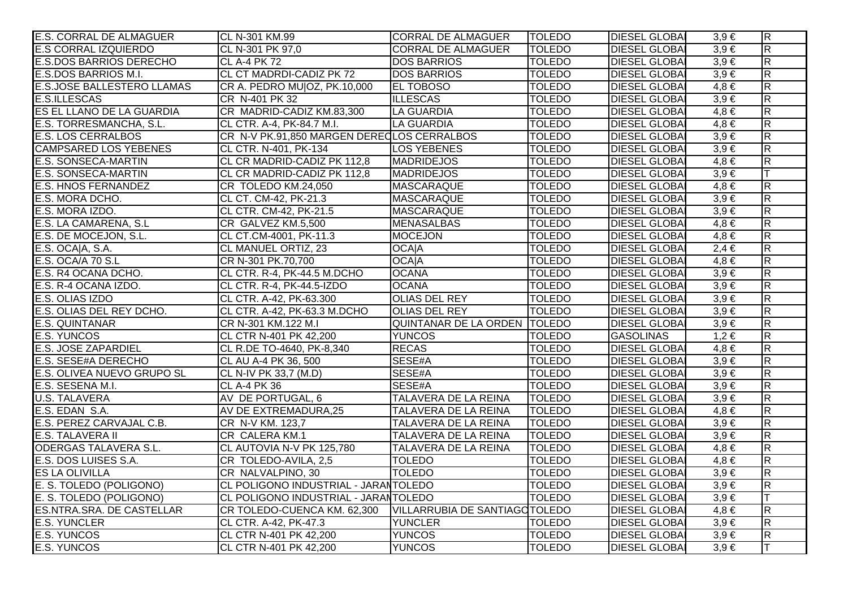| <b>E.S. CORRAL DE ALMAGUER</b>    | CL N-301 KM.99                              | <b>CORRAL DE ALMAGUER</b>      | <b>TOLEDO</b> | <b>DIESEL GLOBAL</b> | $3,9 \in$ | $\overline{R}$          |
|-----------------------------------|---------------------------------------------|--------------------------------|---------------|----------------------|-----------|-------------------------|
| <b>E.S CORRAL IZQUIERDO</b>       | CL N-301 PK 97,0                            | <b>CORRAL DE ALMAGUER</b>      | <b>TOLEDO</b> | <b>DIESEL GLOBAI</b> | $3,9 \in$ | $\overline{\mathsf{R}}$ |
| <b>E.S.DOS BARRIOS DERECHO</b>    | CL A-4 PK 72                                | <b>DOS BARRIOS</b>             | <b>TOLEDO</b> | <b>DIESEL GLOBAI</b> | $3,9 \in$ | $\overline{R}$          |
| E.S.DOS BARRIOS M.I.              | <b>CL CT MADRDI-CADIZ PK 72</b>             | <b>DOS BARRIOS</b>             | <b>TOLEDO</b> | <b>DIESEL GLOBAI</b> | $3,9 \in$ | $\overline{R}$          |
| <b>E.S.JOSE BALLESTERO LLAMAS</b> | CR A. PEDRO MU OZ, PK.10,000                | <b>EL TOBOSO</b>               | <b>TOLEDO</b> | <b>DIESEL GLOBAI</b> | $4,8 \in$ | $\overline{\mathsf{R}}$ |
| <b>E.S.ILLESCAS</b>               | CR N-401 PK 32                              | <b>ILLESCAS</b>                | <b>TOLEDO</b> | <b>DIESEL GLOBAI</b> | $3,9 \in$ | $\overline{R}$          |
| ES EL LLANO DE LA GUARDIA         | CR MADRID-CADIZ KM.83,300                   | <b>LA GUARDIA</b>              | <b>TOLEDO</b> | <b>DIESEL GLOBAI</b> | $4,8 \in$ | $\overline{R}$          |
| E.S. TORRESMANCHA, S.L.           | CL CTR. A-4, PK-84.7 M.I.                   | LA GUARDIA                     | <b>TOLEDO</b> | <b>DIESEL GLOBAI</b> | $4,8 \in$ | $\overline{R}$          |
| <b>E.S. LOS CERRALBOS</b>         | CR N-V PK.91,850 MARGEN DERECLOS CERRALBOS  |                                | <b>TOLEDO</b> | <b>DIESEL GLOBAI</b> | $3,9 \in$ | $\overline{\mathsf{R}}$ |
| <b>CAMPSARED LOS YEBENES</b>      | CL CTR. N-401, PK-134                       | <b>LOS YEBENES</b>             | <b>TOLEDO</b> | <b>DIESEL GLOBAI</b> | $3,9 \in$ | $\overline{\mathsf{R}}$ |
| <b>E.S. SONSECA-MARTIN</b>        | CL CR MADRID-CADIZ PK 112,8                 | <b>MADRIDEJOS</b>              | <b>TOLEDO</b> | <b>DIESEL GLOBAI</b> | $4,8 \in$ | $\overline{\mathsf{R}}$ |
| <b>E.S. SONSECA-MARTIN</b>        | CL CR MADRID-CADIZ PK 112,8                 | <b>MADRIDEJOS</b>              | <b>TOLEDO</b> | <b>DIESEL GLOBAI</b> | $3,9 \in$ |                         |
| <b>E.S. HNOS FERNANDEZ</b>        | CR TOLEDO KM.24,050                         | <b>MASCARAQUE</b>              | <b>TOLEDO</b> | <b>DIESEL GLOBAI</b> | $4,8 \in$ | R                       |
| E.S. MORA DCHO.                   | CL CT. CM-42, PK-21.3                       | MASCARAQUE                     | <b>TOLEDO</b> | <b>DIESEL GLOBAI</b> | $3,9 \in$ | $\overline{\mathsf{R}}$ |
| E.S. MORA IZDO.                   | CL CTR. CM-42, PK-21.5                      | <b>MASCARAQUE</b>              | <b>TOLEDO</b> | <b>DIESEL GLOBAI</b> | $3,9 \in$ | $\overline{R}$          |
| E.S. LA CAMARENA, S.L             | CR GALVEZ KM.5,500                          | <b>MENASALBAS</b>              | <b>TOLEDO</b> | <b>DIESEL GLOBAI</b> | $4,8 \in$ | $\overline{\mathsf{R}}$ |
| E.S. DE MOCEJON, S.L.             | CL CT.CM-4001, PK-11.3                      | <b>MOCEJON</b>                 | <b>TOLEDO</b> | <b>DIESEL GLOBAI</b> | $4,8 \in$ | $\overline{\mathsf{R}}$ |
| E.S. OCA A, S.A.                  | CL MANUEL ORTIZ, 23                         | <b>OCA A</b>                   | <b>TOLEDO</b> | <b>DIESEL GLOBAI</b> | $2,4 \in$ | R                       |
| E.S. OCA/A 70 S.L                 | CR N-301 PK.70,700                          | <b>OCAIA</b>                   | <b>TOLEDO</b> | <b>DIESEL GLOBAI</b> | $4,8 \in$ | $\overline{\mathsf{R}}$ |
| E.S. R4 OCANA DCHO.               | CL CTR. R-4, PK-44.5 M.DCHO                 | <b>OCANA</b>                   | <b>TOLEDO</b> | <b>DIESEL GLOBAI</b> | $3,9 \in$ | $\overline{R}$          |
| E.S. R-4 OCANA IZDO.              | CL CTR. R-4, PK-44.5-IZDO                   | <b>OCANA</b>                   | <b>TOLEDO</b> | <b>DIESEL GLOBAI</b> | $3,9 \in$ | $\overline{\mathsf{R}}$ |
| E.S. OLIAS IZDO                   | CL CTR. A-42, PK-63.300                     | <b>OLIAS DEL REY</b>           | <b>TOLEDO</b> | <b>DIESEL GLOBAI</b> | $3,9 \in$ | R.                      |
| E.S. OLIAS DEL REY DCHO.          | CL CTR. A-42, PK-63.3 M.DCHO                | OLIAS DEL REY                  | <b>TOLEDO</b> | <b>DIESEL GLOBAI</b> | $3,9 \in$ | $\overline{R}$          |
| E.S. QUINTANAR                    | CR N-301 KM.122 M.I                         | QUINTANAR DE LA ORDEN TOLEDO   |               | <b>DIESEL GLOBAI</b> | $3,9 \in$ | $\overline{R}$          |
| <b>E.S. YUNCOS</b>                | CL CTR N-401 PK 42,200                      | <b>YUNCOS</b>                  | <b>TOLEDO</b> | <b>GASOLINAS</b>     | $1,2 \in$ | $\overline{R}$          |
| <b>E.S. JOSE ZAPARDIEL</b>        | CL R.DE TO-4640, PK-8,340                   | <b>RECAS</b>                   | <b>TOLEDO</b> | <b>DIESEL GLOBAI</b> | $4,8 \in$ | $\overline{\mathsf{R}}$ |
| E.S. SESE#A DERECHO               | CL AU A-4 PK 36, 500                        | SESE#A                         | <b>TOLEDO</b> | <b>DIESEL GLOBAI</b> | $3,9 \in$ | $\overline{R}$          |
| E.S. OLIVEA NUEVO GRUPO SL        | CL N-IV PK 33,7 (M.D)                       | SESE#A                         | <b>TOLEDO</b> | <b>DIESEL GLOBAI</b> | $3,9 \in$ | $\overline{R}$          |
| E.S. SESENA M.I.                  | <b>CL A-4 PK 36</b>                         | SESE#A                         | <b>TOLEDO</b> | <b>DIESEL GLOBAI</b> | $3,9 \in$ | $\overline{R}$          |
| <b>U.S. TALAVERA</b>              | AV DE PORTUGAL, 6                           | TALAVERA DE LA REINA           | <b>TOLEDO</b> | <b>DIESEL GLOBAI</b> | $3,9 \in$ | $\overline{R}$          |
| E.S. EDAN S.A.                    | AV DE EXTREMADURA,25                        | TALAVERA DE LA REINA           | <b>TOLEDO</b> | <b>DIESEL GLOBAI</b> | $4,8 \in$ | $\overline{\mathsf{R}}$ |
| E.S. PEREZ CARVAJAL C.B.          | CR N-V KM. 123,7                            | TALAVERA DE LA REINA           | <b>TOLEDO</b> | <b>DIESEL GLOBAI</b> | $3,9 \in$ | $\overline{\mathsf{R}}$ |
| <b>E.S. TALAVERA II</b>           | <b>CR CALERA KM.1</b>                       | <b>TALAVERA DE LA REINA</b>    | <b>TOLEDO</b> | <b>DIESEL GLOBAI</b> | $3,9 \in$ | $\overline{\mathsf{R}}$ |
| <b>ODERGAS TALAVERA S.L.</b>      | CL AUTOVIA N-V PK 125,780                   | <b>TALAVERA DE LA REINA</b>    | <b>TOLEDO</b> | <b>DIESEL GLOBAI</b> | $4,8 \in$ | $\overline{\mathsf{R}}$ |
| E.S. DOS LUISES S.A.              | CR TOLEDO-AVILA, 2,5                        | <b>TOLEDO</b>                  | <b>TOLEDO</b> | <b>DIESEL GLOBAI</b> | $4,8 \in$ | $\overline{\mathsf{R}}$ |
| <b>ES LA OLIVILLA</b>             | CR NALVALPINO, 30                           | <b>TOLEDO</b>                  | <b>TOLEDO</b> | <b>DIESEL GLOBAI</b> | $3,9 \in$ | $\overline{\mathsf{R}}$ |
| E. S. TOLEDO (POLIGONO)           | CL POLIGONO INDUSTRIAL - JARANTOLEDO        |                                | <b>TOLEDO</b> | <b>DIESEL GLOBAI</b> | $3,9 \in$ | $\overline{\mathsf{R}}$ |
| E. S. TOLEDO (POLIGONO)           | <b>CL POLIGONO INDUSTRIAL - JARANTOLEDO</b> |                                | <b>TOLEDO</b> | <b>DIESEL GLOBAI</b> | $3,9 \in$ |                         |
| <b>ES.NTRA.SRA. DE CASTELLAR</b>  | CR TOLEDO-CUENCA KM. 62,300                 | VILLARRUBIA DE SANTIAGO TOLEDO |               | <b>DIESEL GLOBAI</b> | $4,8 \in$ | $\overline{R}$          |
| <b>E.S. YUNCLER</b>               | CL CTR. A-42, PK-47.3                       | <b>YUNCLER</b>                 | <b>TOLEDO</b> | <b>DIESEL GLOBAI</b> | $3,9 \in$ | $\overline{\mathsf{R}}$ |
| <b>E.S. YUNCOS</b>                | CL CTR N-401 PK 42,200                      | <b>YUNCOS</b>                  | <b>TOLEDO</b> | <b>DIESEL GLOBAI</b> | $3,9 \in$ | $\overline{\mathsf{R}}$ |
| <b>E.S. YUNCOS</b>                | CL CTR N-401 PK 42,200                      | <b>YUNCOS</b>                  | <b>TOLEDO</b> | <b>DIESEL GLOBAI</b> | $3,9 \in$ | lΤ                      |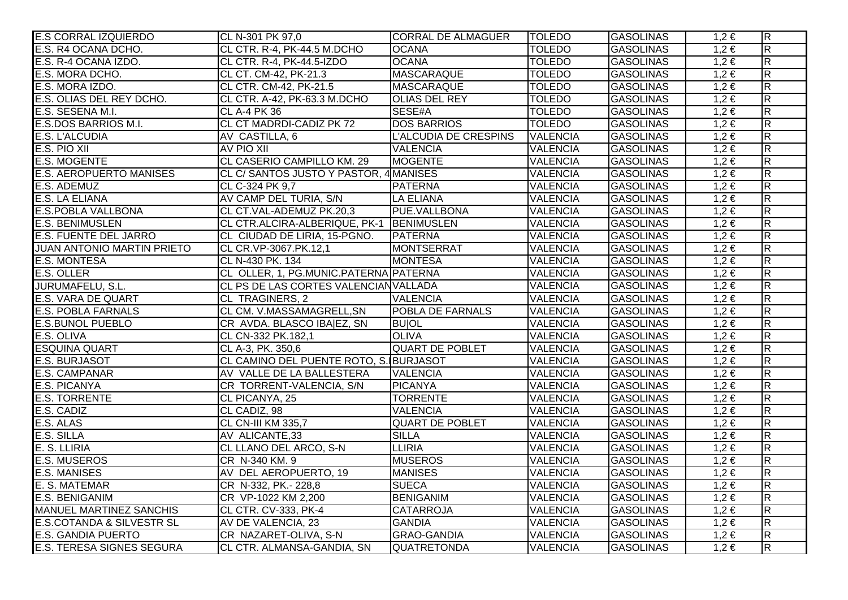| <b>E.S CORRAL IZQUIERDO</b>          | CL N-301 PK 97,0                             | <b>CORRAL DE ALMAGUER</b>    | <b>TOLEDO</b>   | <b>GASOLINAS</b> | $1,2 \in$ | $\overline{\mathsf{R}}$ |
|--------------------------------------|----------------------------------------------|------------------------------|-----------------|------------------|-----------|-------------------------|
| E.S. R4 OCANA DCHO.                  | CL CTR. R-4, PK-44.5 M.DCHO                  | <b>OCANA</b>                 | <b>TOLEDO</b>   | <b>GASOLINAS</b> | $1,2 \in$ | $\overline{\mathsf{R}}$ |
| E.S. R-4 OCANA IZDO.                 | CL CTR. R-4, PK-44.5-IZDO                    | <b>OCANA</b>                 | <b>TOLEDO</b>   | <b>GASOLINAS</b> | $1,2 \in$ | $\overline{R}$          |
| E.S. MORA DCHO.                      | CL CT. CM-42, PK-21.3                        | <b>MASCARAQUE</b>            | <b>TOLEDO</b>   | <b>GASOLINAS</b> | $1,2 \in$ | $\overline{\mathsf{R}}$ |
| E.S. MORA IZDO.                      | CL CTR. CM-42, PK-21.5                       | MASCARAQUE                   | <b>TOLEDO</b>   | <b>GASOLINAS</b> | $1,2 \in$ | $\overline{\mathsf{R}}$ |
| E.S. OLIAS DEL REY DCHO.             | CL CTR. A-42, PK-63.3 M.DCHO                 | <b>OLIAS DEL REY</b>         | <b>TOLEDO</b>   | <b>GASOLINAS</b> | $1,2 \in$ | $\overline{\mathsf{R}}$ |
| E.S. SESENA M.I.                     | CL A-4 PK 36                                 | SESE#A                       | <b>TOLEDO</b>   | <b>GASOLINAS</b> | $1,2 \in$ | $\overline{\mathsf{R}}$ |
| E.S.DOS BARRIOS M.I.                 | CL CT MADRDI-CADIZ PK 72                     | <b>DOS BARRIOS</b>           | <b>TOLEDO</b>   | <b>GASOLINAS</b> | $1,2 \in$ | $\overline{R}$          |
| E.S. L'ALCUDIA                       | AV CASTILLA, 6                               | <b>L'ALCUDIA DE CRESPINS</b> | <b>VALENCIA</b> | <b>GASOLINAS</b> | $1,2 \in$ | $\overline{\mathsf{R}}$ |
| E.S. PIO XII                         | AV PIO XII                                   | <b>VALENCIA</b>              | <b>VALENCIA</b> | <b>GASOLINAS</b> | $1,2 \in$ | $\overline{R}$          |
| <b>E.S. MOGENTE</b>                  | CL CASERIO CAMPILLO KM. 29                   | <b>MOGENTE</b>               | <b>VALENCIA</b> | <b>GASOLINAS</b> | $1,2 \in$ | $\overline{\mathsf{R}}$ |
| <b>E.S. AEROPUERTO MANISES</b>       | CL C/ SANTOS JUSTO Y PASTOR, 4 MANISES       |                              | <b>VALENCIA</b> | <b>GASOLINAS</b> | $1,2 \in$ | $\overline{R}$          |
| E.S. ADEMUZ                          | CL C-324 PK 9,7                              | <b>PATERNA</b>               | <b>VALENCIA</b> | <b>GASOLINAS</b> | $1,2 \in$ | $\overline{R}$          |
| <b>E.S. LA ELIANA</b>                | AV CAMP DEL TURIA, S/N                       | <b>LA ELIANA</b>             | <b>VALENCIA</b> | <b>GASOLINAS</b> | $1,2 \in$ | $\overline{R}$          |
| E.S.POBLA VALLBONA                   | CL CT.VAL-ADEMUZ PK.20,3                     | <b>PUE.VALLBONA</b>          | <b>VALENCIA</b> | <b>GASOLINAS</b> | $1,2 \in$ | $\overline{R}$          |
| <b>E.S. BENIMUSLEN</b>               | CL CTR.ALCIRA-ALBERIQUE, PK-1   BENIMUSLEN   |                              | <b>VALENCIA</b> | <b>GASOLINAS</b> | $1,2 \in$ | $\overline{\mathsf{R}}$ |
| <b>E.S. FUENTE DEL JARRO</b>         | CL CIUDAD DE LIRIA, 15-PGNO.                 | <b>PATERNA</b>               | <b>VALENCIA</b> | <b>GASOLINAS</b> | $1,2 \in$ | $\overline{R}$          |
| <b>JUAN ANTONIO MARTIN PRIETO</b>    | CL CR.VP-3067.PK.12,1                        | MONTSERRAT                   | <b>VALENCIA</b> | <b>GASOLINAS</b> | $1,2 \in$ | $\overline{R}$          |
| <b>E.S. MONTESA</b>                  | CL N-430 PK. 134                             | <b>MONTESA</b>               | <b>VALENCIA</b> | <b>GASOLINAS</b> | $1,2 \in$ | $\overline{R}$          |
| <b>E.S. OLLER</b>                    | CL OLLER, 1, PG.MUNIC.PATERNA PATERNA        |                              | <b>VALENCIA</b> | <b>GASOLINAS</b> | $1,2 \in$ | $\overline{\mathsf{R}}$ |
| JURUMAFELU, S.L.                     | <b>CL PS DE LAS CORTES VALENCIAN VALLADA</b> |                              | <b>VALENCIA</b> | <b>GASOLINAS</b> | $1,2 \in$ | $\overline{R}$          |
| <b>E.S. VARA DE QUART</b>            | CL TRAGINERS, 2                              | <b>VALENCIA</b>              | <b>VALENCIA</b> | <b>GASOLINAS</b> | $1,2 \in$ | $\overline{R}$          |
| <b>E.S. POBLA FARNALS</b>            | CL CM. V.MASSAMAGRELL, SN                    | <b>POBLA DE FARNALS</b>      | <b>VALENCIA</b> | <b>GASOLINAS</b> | $1,2 \in$ | $\overline{R}$          |
| <b>E.S. BUNOL PUEBLO</b>             | CR AVDA. BLASCO IBA EZ, SN                   | <b>BUJOL</b>                 | <b>VALENCIA</b> | <b>GASOLINAS</b> | $1,2 \in$ | $\overline{\mathsf{R}}$ |
| E.S. OLIVA                           | CL CN-332 PK.182,1                           | <b>OLIVA</b>                 | <b>VALENCIA</b> | <b>GASOLINAS</b> | $1,2 \in$ | $\overline{\mathsf{R}}$ |
| <b>ESQUINA QUART</b>                 | CL A-3, PK. 350,6                            | <b>QUART DE POBLET</b>       | <b>VALENCIA</b> | <b>GASOLINAS</b> | $1,2 \in$ | $\overline{R}$          |
| <b>E.S. BURJASOT</b>                 | CL CAMINO DEL PUENTE ROTO, S. BURJASOT       |                              | <b>VALENCIA</b> | <b>GASOLINAS</b> | $1,2 \in$ | $\overline{R}$          |
| E.S. CAMPANAR                        | AV VALLE DE LA BALLESTERA                    | <b>VALENCIA</b>              | <b>VALENCIA</b> | <b>GASOLINAS</b> | $1,2 \in$ | $\overline{R}$          |
| <b>E.S. PICANYA</b>                  | CR TORRENT-VALENCIA, S/N                     | <b>PICANYA</b>               | <b>VALENCIA</b> | <b>GASOLINAS</b> | $1,2 \in$ | $\overline{\mathsf{R}}$ |
| <b>E.S. TORRENTE</b>                 | CL PICANYA, 25                               | <b>TORRENTE</b>              | <b>VALENCIA</b> | <b>GASOLINAS</b> | $1,2 \in$ | $\overline{R}$          |
| E.S. CADIZ                           | CL CADIZ, 98                                 | <b>VALENCIA</b>              | <b>VALENCIA</b> | <b>GASOLINAS</b> | $1,2 \in$ | $\overline{R}$          |
| E.S. ALAS                            | CL CN-III KM 335,7                           | <b>QUART DE POBLET</b>       | <b>VALENCIA</b> | <b>GASOLINAS</b> | $1,2 \in$ | $\overline{\mathsf{R}}$ |
| E.S. SILLA                           | AV ALICANTE, 33                              | <b>SILLA</b>                 | <b>VALENCIA</b> | <b>GASOLINAS</b> | $1,2 \in$ | $\overline{\mathsf{R}}$ |
| E. S. LLIRIA                         | <b>CL LLANO DEL ARCO, S-N</b>                | <b>LLIRIA</b>                | <b>VALENCIA</b> | <b>GASOLINAS</b> | $1,2 \in$ | $\overline{R}$          |
| <b>E.S. MUSEROS</b>                  | CR N-340 KM. 9                               | <b>MUSEROS</b>               | <b>VALENCIA</b> | <b>GASOLINAS</b> | $1,2 \in$ | $\overline{\mathsf{R}}$ |
| <b>E.S. MANISES</b>                  | AV DEL AEROPUERTO, 19                        | <b>MANISES</b>               | <b>VALENCIA</b> | <b>GASOLINAS</b> | $1,2 \in$ | $\overline{\mathsf{R}}$ |
| E. S. MATEMAR                        | CR N-332, PK.- 228,8                         | <b>SUECA</b>                 | <b>VALENCIA</b> | <b>GASOLINAS</b> | $1,2 \in$ | $\overline{\mathsf{R}}$ |
| <b>E.S. BENIGANIM</b>                | CR VP-1022 KM 2,200                          | <b>BENIGANIM</b>             | <b>VALENCIA</b> | <b>GASOLINAS</b> | $1,2 \in$ | $\overline{R}$          |
| <b>MANUEL MARTINEZ SANCHIS</b>       | CL CTR. CV-333, PK-4                         | <b>CATARROJA</b>             | <b>VALENCIA</b> | <b>GASOLINAS</b> | $1,2 \in$ | $\overline{\mathsf{R}}$ |
| <b>E.S.COTANDA &amp; SILVESTR SL</b> | AV DE VALENCIA, 23                           | <b>GANDIA</b>                | <b>VALENCIA</b> | <b>GASOLINAS</b> | $1,2 \in$ | $\overline{\mathsf{R}}$ |
| <b>E.S. GANDIA PUERTO</b>            | CR NAZARET-OLIVA, S-N                        | <b>GRAO-GANDIA</b>           | <b>VALENCIA</b> | <b>GASOLINAS</b> | $1,2 \in$ | $\overline{\mathsf{R}}$ |
| <b>E.S. TERESA SIGNES SEGURA</b>     | CL CTR. ALMANSA-GANDIA, SN                   | <b>QUATRETONDA</b>           | <b>VALENCIA</b> | <b>GASOLINAS</b> | $1,2 \in$ | $\overline{\mathsf{R}}$ |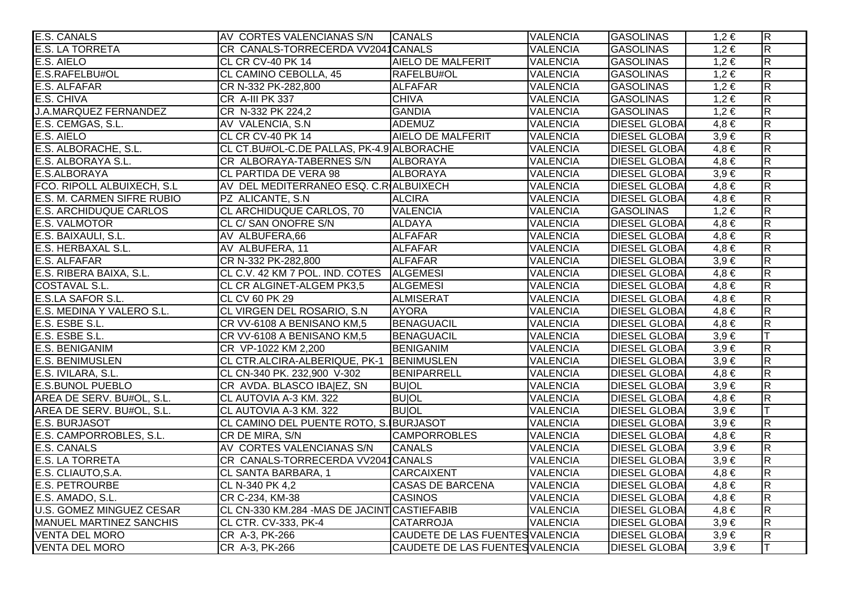| E.S. CANALS                     | AV CORTES VALENCIANAS S/N                    | <b>CANALS</b>                   | <b>VALENCIA</b> | <b>GASOLINAS</b>     | $1,2 \in$ | $ \mathsf{R} $          |
|---------------------------------|----------------------------------------------|---------------------------------|-----------------|----------------------|-----------|-------------------------|
| <b>E.S. LA TORRETA</b>          | CR CANALS-TORRECERDA VV2041CANALS            |                                 | <b>VALENCIA</b> | <b>GASOLINAS</b>     | $1,2 \in$ | $\overline{R}$          |
| E.S. AIELO                      | CL CR CV-40 PK 14                            | AIELO DE MALFERIT               | <b>VALENCIA</b> | <b>GASOLINAS</b>     | $1,2 \in$ | $\overline{\mathsf{R}}$ |
| E.S.RAFELBU#OL                  | CL CAMINO CEBOLLA, 45                        | RAFELBU#OL                      | <b>VALENCIA</b> | <b>GASOLINAS</b>     | $1,2 \in$ | R.                      |
| <b>E.S. ALFAFAR</b>             | CR N-332 PK-282,800                          | <b>ALFAFAR</b>                  | <b>VALENCIA</b> | <b>GASOLINAS</b>     | $1,2 \in$ | $\overline{\mathsf{R}}$ |
| E.S. CHIVA                      | CR A-III PK 337                              | <b>CHIVA</b>                    | <b>VALENCIA</b> | <b>GASOLINAS</b>     | $1,2 \in$ | $\overline{\mathsf{R}}$ |
| <b>J.A.MARQUEZ FERNANDEZ</b>    | CR N-332 PK 224,2                            | <b>GANDIA</b>                   | <b>VALENCIA</b> | <b>GASOLINAS</b>     | $1,2 \in$ | $\overline{\mathsf{R}}$ |
| E.S. CEMGAS, S.L.               | AV VALENCIA, S.N.                            | ADEMUZ                          | <b>VALENCIA</b> | <b>DIESEL GLOBA</b>  | $4,8 \in$ | $\overline{\mathsf{R}}$ |
| E.S. AIELO                      | CL CR CV-40 PK 14                            | <b>AIELO DE MALFERIT</b>        | <b>VALENCIA</b> | <b>DIESEL GLOBA</b>  | $3,9 \in$ | $\overline{\mathsf{R}}$ |
| E.S. ALBORACHE, S.L.            | CL CT.BU#OL-C.DE PALLAS, PK-4.9 ALBORACHE    |                                 | <b>VALENCIA</b> | <b>DIESEL GLOBA</b>  | $4,8 \in$ | $\overline{\mathsf{R}}$ |
| E.S. ALBORAYA S.L.              | CR ALBORAYA-TABERNES S/N                     | <b>ALBORAYA</b>                 | <b>VALENCIA</b> | <b>DIESEL GLOBAI</b> | $4,8 \in$ | $\overline{\mathsf{R}}$ |
| E.S.ALBORAYA                    | CL PARTIDA DE VERA 98                        | <b>ALBORAYA</b>                 | <b>VALENCIA</b> | <b>DIESEL GLOBAI</b> | $3,9 \in$ | R.                      |
| FCO. RIPOLL ALBUIXECH, S.L.     | AV DEL MEDITERRANEO ESQ. C.R ALBUIXECH       |                                 | <b>VALENCIA</b> | <b>DIESEL GLOBA</b>  | $4,8 \in$ | R.                      |
| E.S. M. CARMEN SIFRE RUBIO      | PZ ALICANTE, S.N.                            | <b>ALCIRA</b>                   | <b>VALENCIA</b> | <b>DIESEL GLOBAI</b> | $4,8 \in$ | $\overline{\mathsf{R}}$ |
| <b>E.S. ARCHIDUQUE CARLOS</b>   | CL ARCHIDUQUE CARLOS, 70                     | <b>VALENCIA</b>                 | <b>VALENCIA</b> | <b>GASOLINAS</b>     | $1,2 \in$ | $\overline{\mathsf{R}}$ |
| <b>E.S. VALMOTOR</b>            | CL C/ SAN ONOFRE S/N                         | <b>ALDAYA</b>                   | <b>VALENCIA</b> | <b>DIESEL GLOBAI</b> | $4,8 \in$ | $\overline{\mathsf{R}}$ |
| E.S. BAIXAULI, S.L.             | AV ALBUFERA,66                               | <b>ALFAFAR</b>                  | <b>VALENCIA</b> | <b>DIESEL GLOBA</b>  | $4,8 \in$ | $\overline{\mathsf{R}}$ |
| E.S. HERBAXAL S.L.              | AV ALBUFERA, 11                              | <b>ALFAFAR</b>                  | <b>VALENCIA</b> | <b>DIESEL GLOBA</b>  | $4,8 \in$ | $\overline{\mathsf{R}}$ |
| E.S. ALFAFAR                    | CR N-332 PK-282,800                          | <b>ALFAFAR</b>                  | <b>VALENCIA</b> | <b>DIESEL GLOBA</b>  | $3,9 \in$ | $\overline{\mathsf{R}}$ |
| E.S. RIBERA BAIXA, S.L.         | CL C.V. 42 KM 7 POL. IND. COTES ALGEMESI     |                                 | <b>VALENCIA</b> | <b>DIESEL GLOBAI</b> | $4,8 \in$ | $\overline{\mathsf{R}}$ |
| <b>COSTAVAL S.L.</b>            | CL CR ALGINET-ALGEM PK3,5                    | <b>ALGEMESI</b>                 | <b>VALENCIA</b> | <b>DIESEL GLOBAI</b> | $4,8 \in$ | $\overline{\mathsf{R}}$ |
| <b>E.S.LA SAFOR S.L.</b>        | CL CV 60 PK 29                               | <b>ALMISERAT</b>                | <b>VALENCIA</b> | <b>DIESEL GLOBA</b>  | $4,8 \in$ | R.                      |
| E.S. MEDINA Y VALERO S.L.       | CL VIRGEN DEL ROSARIO, S.N.                  | <b>AYORA</b>                    | <b>VALENCIA</b> | <b>DIESEL GLOBAI</b> | $4,8 \in$ | $\overline{\mathsf{R}}$ |
| E.S. ESBE S.L.                  | CR VV-6108 A BENISANO KM,5                   | BENAGUACIL                      | <b>VALENCIA</b> | <b>DIESEL GLOBA</b>  | $4,8 \in$ | $\overline{\mathsf{R}}$ |
| E.S. ESBE S.L.                  | CR VV-6108 A BENISANO KM,5                   | BENAGUACIL                      | <b>VALENCIA</b> | <b>DIESEL GLOBA</b>  | $3,9 \in$ | Iт                      |
| <b>E.S. BENIGANIM</b>           | CR VP-1022 KM 2,200                          | <b>BENIGANIM</b>                | <b>VALENCIA</b> | <b>DIESEL GLOBA</b>  | $3,9 \in$ | $\overline{\mathsf{R}}$ |
| <b>E.S. BENIMUSLEN</b>          | CL CTR.ALCIRA-ALBERIQUE, PK-1   BENIMUSLEN   |                                 | <b>VALENCIA</b> | <b>DIESEL GLOBA</b>  | $3,9 \in$ | $\overline{\mathsf{R}}$ |
| E.S. IVILARA, S.L.              | CL CN-340 PK. 232,900 V-302                  | BENIPARRELL                     | <b>VALENCIA</b> | <b>DIESEL GLOBA</b>  | $4,8 \in$ | $\overline{\mathsf{R}}$ |
| <b>E.S.BUNOL PUEBLO</b>         | CR AVDA. BLASCO IBA EZ, SN                   | <b>BUIOL</b>                    | <b>VALENCIA</b> | <b>DIESEL GLOBA</b>  | $3,9 \in$ | $\overline{\mathsf{R}}$ |
| AREA DE SERV. BU#OL, S.L.       | CL AUTOVIA A-3 KM. 322                       | <b>BUIOL</b>                    | <b>VALENCIA</b> | <b>DIESEL GLOBA</b>  | $4,8 \in$ | $\overline{\mathsf{R}}$ |
| AREA DE SERV. BU#OL, S.L.       | CL AUTOVIA A-3 KM. 322                       | <b>BUIOL</b>                    | <b>VALENCIA</b> | <b>DIESEL GLOBA</b>  | $3,9 \in$ | lΤ                      |
| <b>E.S. BURJASOT</b>            | CL CAMINO DEL PUENTE ROTO, S. BURJASOT       |                                 | <b>VALENCIA</b> | <b>DIESEL GLOBAI</b> | $3,9 \in$ | $\overline{\mathsf{R}}$ |
| E.S. CAMPORROBLES, S.L.         | CR DE MIRA, S/N                              | <b>CAMPORROBLES</b>             | <b>VALENCIA</b> | <b>DIESEL GLOBA</b>  | $4,8 \in$ | $\overline{\mathsf{R}}$ |
| <b>E.S. CANALS</b>              | AV CORTES VALENCIANAS S/N                    | <b>CANALS</b>                   | <b>VALENCIA</b> | <b>DIESEL GLOBA</b>  | $3,9 \in$ | $\overline{\mathsf{R}}$ |
| <b>E.S. LA TORRETA</b>          | CR CANALS-TORRECERDA VV2041CANALS            |                                 | <b>VALENCIA</b> | <b>DIESEL GLOBA</b>  | $3,9 \in$ | $\overline{\mathsf{R}}$ |
| E.S. CLIAUTO, S.A.              | <b>CL SANTA BARBARA, 1</b>                   | <b>CARCAIXENT</b>               | <b>VALENCIA</b> | <b>DIESEL GLOBA</b>  | $4,8 \in$ | $\overline{\mathsf{R}}$ |
| <b>E.S. PETROURBE</b>           | CL N-340 PK 4,2                              | <b>CASAS DE BARCENA</b>         | <b>VALENCIA</b> | <b>DIESEL GLOBA</b>  | $4,8 \in$ | $\overline{\mathsf{R}}$ |
| E.S. AMADO, S.L.                | CR C-234, KM-38                              | <b>CASINOS</b>                  | <b>VALENCIA</b> | <b>DIESEL GLOBA</b>  | $4,8 \in$ | $\overline{\mathsf{R}}$ |
| <b>U.S. GOMEZ MINGUEZ CESAR</b> | CL CN-330 KM.284 - MAS DE JACINT CASTIEFABIB |                                 | <b>VALENCIA</b> | <b>DIESEL GLOBA</b>  | $4,8 \in$ | $\overline{\mathsf{R}}$ |
| <b>MANUEL MARTINEZ SANCHIS</b>  | CL CTR. CV-333, PK-4                         | <b>CATARROJA</b>                | <b>VALENCIA</b> | <b>DIESEL GLOBA</b>  | $3,9 \in$ | $\overline{\mathsf{R}}$ |
| <b>VENTA DEL MORO</b>           | CR A-3, PK-266                               | CAUDETE DE LAS FUENTES VALENCIA |                 | <b>DIESEL GLOBAI</b> | $3,9 \in$ | $\overline{R}$          |
| <b>VENTA DEL MORO</b>           | CR A-3, PK-266                               | CAUDETE DE LAS FUENTES VALENCIA |                 | <b>DIESEL GLOBA</b>  | $3,9 \in$ | lT.                     |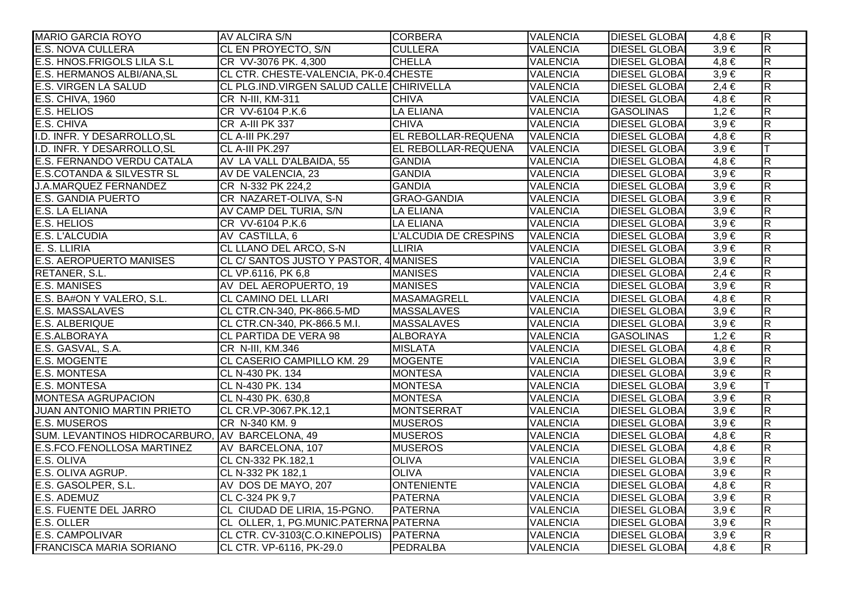| <b>MARIO GARCIA ROYO</b>                       | AV ALCIRA S/N                            | <b>CORBERA</b>        | <b>VALENCIA</b> | <b>DIESEL GLOBAI</b> | $4,8 \in$ | $\overline{R}$          |
|------------------------------------------------|------------------------------------------|-----------------------|-----------------|----------------------|-----------|-------------------------|
| <b>E.S. NOVA CULLERA</b>                       | CL EN PROYECTO, S/N                      | <b>CULLERA</b>        | <b>VALENCIA</b> | <b>DIESEL GLOBA</b>  | $3,9 \in$ | $\overline{\mathsf{R}}$ |
| E.S. HNOS.FRIGOLS LILA S.L                     | CR VV-3076 PK. 4,300                     | <b>CHELLA</b>         | <b>VALENCIA</b> | <b>DIESEL GLOBA</b>  | $4,8 \in$ | $\overline{\mathsf{R}}$ |
| E.S. HERMANOS ALBI/ANA, SL                     | CL CTR. CHESTE-VALENCIA, PK-0.4 CHESTE   |                       | <b>VALENCIA</b> | <b>DIESEL GLOBA</b>  | $3,9 \in$ | $\overline{\mathbf{z}}$ |
| <b>E.S. VIRGEN LA SALUD</b>                    | CL PLG.IND.VIRGEN SALUD CALLE CHIRIVELLA |                       | <b>VALENCIA</b> | <b>DIESEL GLOBA</b>  | $2,4 \in$ | $\overline{\mathbf{z}}$ |
| E.S. CHIVA, 1960                               | CR N-III, KM-311                         | <b>CHIVA</b>          | <b>VALENCIA</b> | <b>DIESEL GLOBA</b>  | $4,8 \in$ | $\overline{R}$          |
| <b>E.S. HELIOS</b>                             | CR VV-6104 P.K.6                         | <b>LA ELIANA</b>      | <b>VALENCIA</b> | <b>GASOLINAS</b>     | $1,2 \in$ | $\overline{\mathbf{z}}$ |
| E.S. CHIVA                                     | CR A-III PK 337                          | <b>CHIVA</b>          | <b>VALENCIA</b> | <b>DIESEL GLOBA</b>  | $3,9 \in$ | $\overline{\mathsf{R}}$ |
| I.D. INFR. Y DESARROLLO, SL                    | CL A-III PK.297                          | EL REBOLLAR-REQUENA   | <b>VALENCIA</b> | <b>DIESEL GLOBAI</b> | $4,8 \in$ | $\overline{R}$          |
| I.D. INFR. Y DESARROLLO, SL                    | CL A-III PK.297                          | EL REBOLLAR-REQUENA   | <b>VALENCIA</b> | <b>DIESEL GLOBAL</b> | $3,9 \in$ |                         |
| E.S. FERNANDO VERDU CATALA                     | AV LA VALL D'ALBAIDA, 55                 | <b>GANDIA</b>         | <b>VALENCIA</b> | <b>DIESEL GLOBA</b>  | $4,8 \in$ | $\overline{\mathbf{z}}$ |
| <b>E.S.COTANDA &amp; SILVESTR SL</b>           | AV DE VALENCIA, 23                       | <b>GANDIA</b>         | <b>VALENCIA</b> | <b>DIESEL GLOBA</b>  | $3,9 \in$ | $\overline{R}$          |
| <b>J.A.MARQUEZ FERNANDEZ</b>                   | CR N-332 PK 224,2                        | <b>GANDIA</b>         | <b>VALENCIA</b> | <b>DIESEL GLOBA</b>  | $3,9 \in$ | $\overline{\mathbf{z}}$ |
| <b>E.S. GANDIA PUERTO</b>                      | CR NAZARET-OLIVA, S-N                    | <b>GRAO-GANDIA</b>    | <b>VALENCIA</b> | <b>DIESEL GLOBAI</b> | $3,9 \in$ | $\overline{R}$          |
| E.S. LA ELIANA                                 | AV CAMP DEL TURIA, S/N                   | <b>LA ELIANA</b>      | <b>VALENCIA</b> | <b>DIESEL GLOBA</b>  | $3,9 \in$ | $\overline{R}$          |
| E.S. HELIOS                                    | CR VV-6104 P.K.6                         | <b>LA ELIANA</b>      | <b>VALENCIA</b> | <b>DIESEL GLOBA</b>  | $3,9 \in$ | $\overline{\mathsf{R}}$ |
| <b>E.S. L'ALCUDIA</b>                          | AV CASTILLA, 6                           | L'ALCUDIA DE CRESPINS | <b>VALENCIA</b> | <b>DIESEL GLOBAI</b> | $3,9 \in$ | $\overline{R}$          |
| E. S. LLIRIA                                   | CL LLANO DEL ARCO, S-N                   | <b>LLIRIA</b>         | <b>VALENCIA</b> | <b>DIESEL GLOBAI</b> | $3,9 \in$ | $\overline{\mathbf{z}}$ |
| <b>E.S. AEROPUERTO MANISES</b>                 | CL C/ SANTOS JUSTO Y PASTOR, 4 MANISES   |                       | <b>VALENCIA</b> | <b>DIESEL GLOBA</b>  | $3,9 \in$ | $\overline{\mathsf{R}}$ |
| RETANER, S.L.                                  | CL VP.6116, PK 6,8                       | <b>MANISES</b>        | <b>VALENCIA</b> | <b>DIESEL GLOBA</b>  | $2,4 \in$ | $\overline{\mathbf{z}}$ |
| <b>E.S. MANISES</b>                            | AV DEL AEROPUERTO, 19                    | <b>MANISES</b>        | <b>VALENCIA</b> | <b>DIESEL GLOBA</b>  | $3,9 \in$ | $\overline{R}$          |
| E.S. BA#ON Y VALERO, S.L.                      | <b>CL CAMINO DEL LLARI</b>               | MASAMAGRELL           | <b>VALENCIA</b> | <b>DIESEL GLOBAI</b> | $4,8 \in$ | $\overline{\mathbf{z}}$ |
| <b>E.S. MASSALAVES</b>                         | CL CTR.CN-340, PK-866.5-MD               | <b>MASSALAVES</b>     | <b>VALENCIA</b> | <b>DIESEL GLOBAL</b> | $3,9 \in$ | $\overline{R}$          |
| <b>E.S. ALBERIQUE</b>                          | CL CTR.CN-340, PK-866.5 M.I.             | <b>MASSALAVES</b>     | <b>VALENCIA</b> | <b>DIESEL GLOBA</b>  | $3,9 \in$ | $\overline{\mathsf{R}}$ |
| E.S.ALBORAYA                                   | <b>CL PARTIDA DE VERA 98</b>             | <b>ALBORAYA</b>       | <b>VALENCIA</b> | <b>GASOLINAS</b>     | $1,2 \in$ | $\overline{\mathsf{R}}$ |
| E.S. GASVAL, S.A.                              | CR N-III, KM.346                         | <b>MISLATA</b>        | <b>VALENCIA</b> | <b>DIESEL GLOBA</b>  | $4,8 \in$ | $\overline{\mathsf{R}}$ |
| <b>E.S. MOGENTE</b>                            | CL CASERIO CAMPILLO KM. 29               | <b>MOGENTE</b>        | <b>VALENCIA</b> | <b>DIESEL GLOBAI</b> | $3,9 \in$ | $\overline{R}$          |
| E.S. MONTESA                                   | CL N-430 PK. 134                         | <b>MONTESA</b>        | <b>VALENCIA</b> | <b>DIESEL GLOBAI</b> | $3,9 \in$ | $\overline{\mathsf{R}}$ |
| <b>E.S. MONTESA</b>                            | CL N-430 PK. 134                         | <b>MONTESA</b>        | <b>VALENCIA</b> | <b>DIESEL GLOBA</b>  | $3,9 \in$ |                         |
| <b>MONTESA AGRUPACION</b>                      | CL N-430 PK. 630,8                       | <b>MONTESA</b>        | <b>VALENCIA</b> | <b>DIESEL GLOBA</b>  | $3,9 \in$ | $\overline{\mathbf{R}}$ |
| <b>JUAN ANTONIO MARTIN PRIETO</b>              | CL CR.VP-3067.PK.12,1                    | MONTSERRAT            | <b>VALENCIA</b> | <b>DIESEL GLOBAI</b> | $3,9 \in$ | $\overline{\mathbf{z}}$ |
| <b>E.S. MUSEROS</b>                            | CR N-340 KM. 9                           | <b>MUSEROS</b>        | <b>VALENCIA</b> | <b>DIESEL GLOBAI</b> | $3,9 \in$ | $\overline{\mathsf{R}}$ |
| SUM. LEVANTINOS HIDROCARBURO, AV BARCELONA, 49 |                                          | <b>MUSEROS</b>        | <b>VALENCIA</b> | <b>DIESEL GLOBAI</b> | $4,8 \in$ | $\overline{\mathsf{R}}$ |
| E.S.FCO.FENOLLOSA MARTINEZ                     | AV BARCELONA, 107                        | <b>MUSEROS</b>        | <b>VALENCIA</b> | <b>DIESEL GLOBAI</b> | $4,8 \in$ | $\overline{\mathsf{R}}$ |
| E.S. OLIVA                                     | CL CN-332 PK.182,1                       | <b>OLIVA</b>          | <b>VALENCIA</b> | <b>DIESEL GLOBAI</b> | $3,9 \in$ | $\overline{\mathsf{R}}$ |
| E.S. OLIVA AGRUP.                              | CL N-332 PK 182,1                        | <b>OLIVA</b>          | <b>VALENCIA</b> | <b>DIESEL GLOBA</b>  | $3,9 \in$ | $\overline{\mathsf{R}}$ |
| E.S. GASOLPER, S.L.                            | AV DOS DE MAYO, 207                      | <b>ONTENIENTE</b>     | <b>VALENCIA</b> | <b>DIESEL GLOBA</b>  | $4,8 \in$ | $\overline{\mathsf{R}}$ |
| E.S. ADEMUZ                                    | CL C-324 PK 9,7                          | <b>PATERNA</b>        | <b>VALENCIA</b> | <b>DIESEL GLOBA</b>  | $3,9 \in$ | $\overline{\mathsf{R}}$ |
| <b>E.S. FUENTE DEL JARRO</b>                   | CL CIUDAD DE LIRIA, 15-PGNO.             | <b>PATERNA</b>        | <b>VALENCIA</b> | <b>DIESEL GLOBA</b>  | $3,9 \in$ | $\overline{\mathsf{R}}$ |
| E.S. OLLER                                     | CL OLLER, 1, PG.MUNIC.PATERNA PATERNA    |                       | <b>VALENCIA</b> | <b>DIESEL GLOBAI</b> | $3,9 \in$ | R                       |
| <b>E.S. CAMPOLIVAR</b>                         | CL CTR. CV-3103(C.O.KINEPOLIS) PATERNA   |                       | <b>VALENCIA</b> | <b>DIESEL GLOBAI</b> | $3,9 \in$ | $\overline{\mathsf{R}}$ |
| <b>FRANCISCA MARIA SORIANO</b>                 | CL CTR. VP-6116, PK-29.0                 | PEDRALBA              | <b>VALENCIA</b> | <b>DIESEL GLOBAI</b> | $4,8 \in$ | $\overline{\mathbf{z}}$ |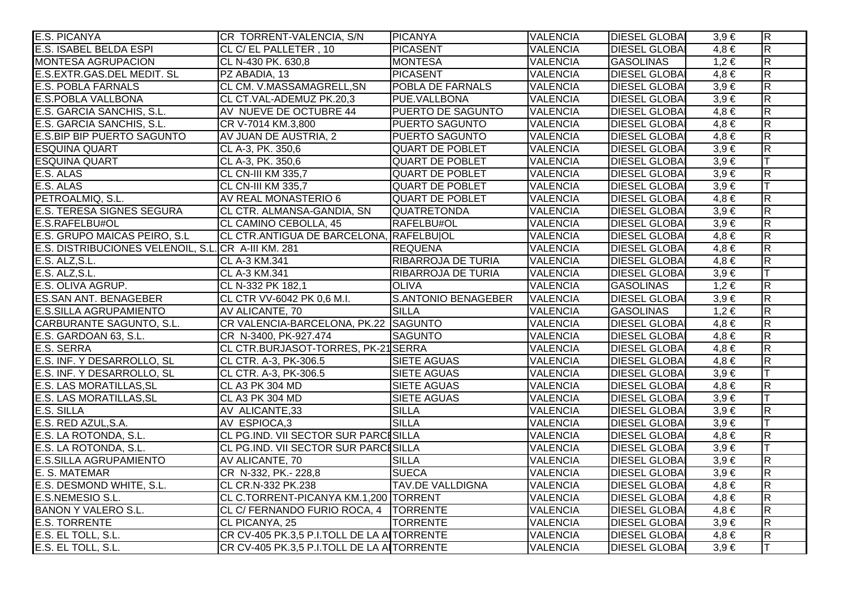| <b>E.S. PICANYA</b>                                 | CR TORRENT-VALENCIA, S/N                    | <b>PICANYA</b>            | <b>VALENCIA</b> | <b>DIESEL GLOBAI</b> | $3,9 \in$ | $\overline{\mathsf{R}}$ |
|-----------------------------------------------------|---------------------------------------------|---------------------------|-----------------|----------------------|-----------|-------------------------|
| E.S. ISABEL BELDA ESPI                              | CL C/ EL PALLETER, 10                       | PICASENT                  | <b>VALENCIA</b> | <b>DIESEL GLOBA</b>  | $4,8 \in$ | $\overline{\mathbf{z}}$ |
| <b>MONTESA AGRUPACION</b>                           | CL N-430 PK. 630,8                          | <b>MONTESA</b>            | <b>VALENCIA</b> | <b>GASOLINAS</b>     | $1,2 \in$ | $\overline{\mathsf{R}}$ |
| E.S.EXTR.GAS.DEL MEDIT. SL                          | PZ ABADIA, 13                               | PICASENT                  | <b>VALENCIA</b> | <b>DIESEL GLOBA</b>  | $4,8 \in$ | $\overline{\mathsf{R}}$ |
| <b>E.S. POBLA FARNALS</b>                           | CL CM. V.MASSAMAGRELL, SN                   | POBLA DE FARNALS          | <b>VALENCIA</b> | <b>DIESEL GLOBA</b>  | $3,9 \in$ | $\overline{\mathsf{R}}$ |
| <b>E.S.POBLA VALLBONA</b>                           | CL CT.VAL-ADEMUZ PK.20,3                    | PUE.VALLBONA              | <b>VALENCIA</b> | <b>DIESEL GLOBA</b>  | $3,9 \in$ | $\overline{\mathsf{R}}$ |
| E.S. GARCIA SANCHIS, S.L.                           | AV NUEVE DE OCTUBRE 44                      | <b>PUERTO DE SAGUNTO</b>  | <b>VALENCIA</b> | <b>DIESEL GLOBA</b>  | $4,8 \in$ | $\overline{R}$          |
| E.S. GARCIA SANCHIS, S.L.                           | CR V-7014 KM.3,800                          | <b>PUERTO SAGUNTO</b>     | <b>VALENCIA</b> | <b>DIESEL GLOBAL</b> | $4,8 \in$ | $\overline{\mathsf{R}}$ |
| <b>E.S.BIP BIP PUERTO SAGUNTO</b>                   | AV JUAN DE AUSTRIA, 2                       | <b>PUERTO SAGUNTO</b>     | <b>VALENCIA</b> | <b>DIESEL GLOBA</b>  | $4,8 \in$ | $\overline{R}$          |
| <b>ESQUINA QUART</b>                                | CL A-3, PK. 350,6                           | <b>QUART DE POBLET</b>    | <b>VALENCIA</b> | <b>DIESEL GLOBA</b>  | $3,9 \in$ | $\overline{R}$          |
| <b>ESQUINA QUART</b>                                | CL A-3, PK. 350,6                           | <b>QUART DE POBLET</b>    | <b>VALENCIA</b> | <b>DIESEL GLOBA</b>  | $3,9 \in$ |                         |
| E.S. ALAS                                           | CL CN-III KM 335,7                          | <b>QUART DE POBLET</b>    | <b>VALENCIA</b> | <b>DIESEL GLOBA</b>  | $3,9 \in$ | $\overline{\mathbf{z}}$ |
| E.S. ALAS                                           | CL CN-III KM 335,7                          | <b>QUART DE POBLET</b>    | <b>VALENCIA</b> | <b>DIESEL GLOBA</b>  | $3,9 \in$ | T                       |
| PETROALMIQ, S.L.                                    | AV REAL MONASTERIO 6                        | <b>QUART DE POBLET</b>    | <b>VALENCIA</b> | <b>DIESEL GLOBA</b>  | $4,8 \in$ | $\overline{\mathbf{z}}$ |
| <b>E.S. TERESA SIGNES SEGURA</b>                    | CL CTR. ALMANSA-GANDIA, SN                  | <b>QUATRETONDA</b>        | <b>VALENCIA</b> | <b>DIESEL GLOBA</b>  | $3,9 \in$ | $\overline{R}$          |
| E.S.RAFELBU#OL                                      | CL CAMINO CEBOLLA, 45                       | RAFELBU#OL                | <b>VALENCIA</b> | <b>DIESEL GLOBA</b>  | $3,9 \in$ | $\overline{R}$          |
| E.S. GRUPO MAICAS PEIRO, S.L                        | CL CTR.ANTIGUA DE BARCELONA, RAFELBUJOL     |                           | <b>VALENCIA</b> | <b>DIESEL GLOBAL</b> | $4,8 \in$ | $\overline{\mathsf{R}}$ |
| E.S. DISTRIBUCIONES VELENOIL, S.L. CR A-III KM. 281 |                                             | <b>REQUENA</b>            | <b>VALENCIA</b> | <b>DIESEL GLOBAL</b> | $4,8 \in$ | $\overline{R}$          |
| E.S. ALZ, S.L.                                      | <b>CL A-3 KM.341</b>                        | <b>RIBARROJA DE TURIA</b> | <b>VALENCIA</b> | <b>DIESEL GLOBA</b>  | $4,8 \in$ | $\overline{R}$          |
| E.S. ALZ, S.L.                                      | <b>CL A-3 KM.341</b>                        | RIBARROJA DE TURIA        | <b>VALENCIA</b> | <b>DIESEL GLOBA</b>  | $3,9 \in$ |                         |
| E.S. OLIVA AGRUP.                                   | CL N-332 PK 182,1                           | <b>OLIVA</b>              | <b>VALENCIA</b> | <b>GASOLINAS</b>     | $1,2 \in$ | $\overline{\mathbf{z}}$ |
| <b>ES.SAN ANT. BENAGEBER</b>                        | CL CTR VV-6042 PK 0,6 M.I.                  | S.ANTONIO BENAGEBER       | <b>VALENCIA</b> | <b>DIESEL GLOBA</b>  | $3,9 \in$ | $\overline{\mathsf{R}}$ |
| <b>E.S.SILLA AGRUPAMIENTO</b>                       | AV ALICANTE, 70                             | <b>SILLA</b>              | <b>VALENCIA</b> | <b>GASOLINAS</b>     | $1,2 \in$ | $\overline{\mathsf{R}}$ |
| CARBURANTE SAGUNTO, S.L.                            | CR VALENCIA-BARCELONA, PK.22 SAGUNTO        |                           | <b>VALENCIA</b> | <b>DIESEL GLOBAI</b> | $4,8 \in$ | $\overline{R}$          |
| E.S. GARDOAN 63, S.L.                               | CR N-3400, PK-927.474                       | <b>SAGUNTO</b>            | <b>VALENCIA</b> | <b>DIESEL GLOBA</b>  | $4,8 \in$ | $\overline{\mathsf{R}}$ |
| E.S. SERRA                                          | CL CTR.BURJASOT-TORRES, PK-21 SERRA         |                           | <b>VALENCIA</b> | <b>DIESEL GLOBAL</b> | $4,8 \in$ | $\overline{\mathsf{R}}$ |
| E.S. INF. Y DESARROLLO, SL                          | CL CTR. A-3, PK-306.5                       | <b>SIETE AGUAS</b>        | <b>VALENCIA</b> | <b>DIESEL GLOBA</b>  | $4,8 \in$ | $\overline{\mathbf{z}}$ |
| E.S. INF. Y DESARROLLO, SL                          | CL CTR. A-3, PK-306.5                       | <b>SIETE AGUAS</b>        | <b>VALENCIA</b> | <b>DIESEL GLOBAI</b> | $3,9 \in$ |                         |
| <b>E.S. LAS MORATILLAS, SL</b>                      | <b>CL A3 PK 304 MD</b>                      | <b>SIETE AGUAS</b>        | <b>VALENCIA</b> | <b>DIESEL GLOBA</b>  | $4,8 \in$ | $\overline{\mathbf{z}}$ |
| <b>E.S. LAS MORATILLAS, SL</b>                      | CL A3 PK 304 MD                             | <b>SIETE AGUAS</b>        | <b>VALENCIA</b> | <b>DIESEL GLOBA</b>  | $3,9 \in$ |                         |
| E.S. SILLA                                          | AV ALICANTE,33                              | <b>SILLA</b>              | <b>VALENCIA</b> | <b>DIESEL GLOBA</b>  | $3,9 \in$ | $\overline{\mathsf{R}}$ |
| E.S. RED AZUL, S.A.                                 | AV ESPIOCA,3                                | <b>SILLA</b>              | <b>VALENCIA</b> | <b>DIESEL GLOBA</b>  | $3,9 \in$ |                         |
| E.S. LA ROTONDA, S.L.                               | <b>CL PG.IND. VII SECTOR SUR PARCISILLA</b> |                           | <b>VALENCIA</b> | <b>DIESEL GLOBA</b>  | $4,8 \in$ | $\overline{\mathsf{R}}$ |
| E.S. LA ROTONDA, S.L.                               | <b>CL PG.IND. VII SECTOR SUR PARCESILLA</b> |                           | <b>VALENCIA</b> | <b>DIESEL GLOBA</b>  | $3,9 \in$ | lΤ                      |
| <b>E.S.SILLA AGRUPAMIENTO</b>                       | AV ALICANTE, 70                             | <b>SILLA</b>              | <b>VALENCIA</b> | <b>DIESEL GLOBA</b>  | $3,9 \in$ | $\overline{\mathsf{R}}$ |
| E. S. MATEMAR                                       | CR N-332, PK.- 228,8                        | <b>SUECA</b>              | <b>VALENCIA</b> | <b>DIESEL GLOBA</b>  | $3,9 \in$ | $\overline{\mathsf{R}}$ |
| E.S. DESMOND WHITE, S.L.                            | CL CR.N-332 PK.238                          | <b>TAV.DE VALLDIGNA</b>   | <b>VALENCIA</b> | <b>DIESEL GLOBA</b>  | $4,8 \in$ | $\overline{\mathsf{R}}$ |
| <b>E.S.NEMESIO S.L.</b>                             | CL C.TORRENT-PICANYA KM.1,200 TORRENT       |                           | <b>VALENCIA</b> | <b>DIESEL GLOBA</b>  | $4,8 \in$ | $\overline{\mathsf{R}}$ |
| <b>BANON Y VALERO S.L.</b>                          | CL C/ FERNANDO FURIO ROCA, 4   TORRENTE     |                           | <b>VALENCIA</b> | <b>DIESEL GLOBA</b>  | $4,8 \in$ | $\overline{\mathsf{R}}$ |
| <b>E.S. TORRENTE</b>                                | CL PICANYA, 25                              | <b>TORRENTE</b>           | <b>VALENCIA</b> | <b>DIESEL GLOBA</b>  | $3,9 \in$ | $\overline{\mathsf{R}}$ |
| E.S. EL TOLL, S.L.                                  | CR CV-405 PK.3,5 P.I.TOLL DE LA AITORRENTE  |                           | <b>VALENCIA</b> | <b>DIESEL GLOBAI</b> | $4,8 \in$ | $\overline{\mathsf{R}}$ |
| E.S. EL TOLL, S.L.                                  | CR CV-405 PK.3,5 P.I.TOLL DE LA A TORRENTE  |                           | <b>VALENCIA</b> | <b>DIESEL GLOBAI</b> | $3,9 \in$ | T                       |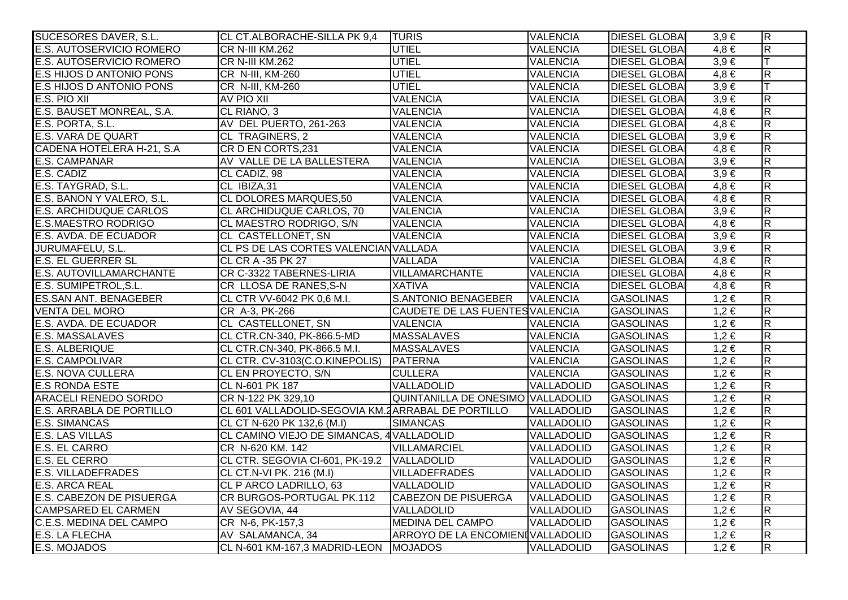| SUCESORES DAVER, S.L.           | CL CT.ALBORACHE-SILLA PK 9,4                      | <b>TURIS</b>                      | <b>VALENCIA</b>   | <b>DIESEL GLOBA</b>  | $3,9 \in$ | $\overline{\mathsf{R}}$ |
|---------------------------------|---------------------------------------------------|-----------------------------------|-------------------|----------------------|-----------|-------------------------|
| <b>E.S. AUTOSERVICIO ROMERO</b> | <b>CR N-III KM.262</b>                            | UTIEL                             | <b>VALENCIA</b>   | <b>DIESEL GLOBAI</b> | $4.8 \in$ | $\overline{\mathbf{z}}$ |
| E.S. AUTOSERVICIO ROMERO        | CR N-III KM.262                                   | <b>UTIEL</b>                      | <b>VALENCIA</b>   | <b>DIESEL GLOBAI</b> | $3,9 \in$ |                         |
| <b>E.S HIJOS D ANTONIO PONS</b> | CR N-III, KM-260                                  | <b>UTIEL</b>                      | <b>VALENCIA</b>   | <b>DIESEL GLOBA</b>  | $4,8 \in$ | $\overline{\mathbf{z}}$ |
| <b>E.S HIJOS D ANTONIO PONS</b> | CR N-III, KM-260                                  | <b>UTIEL</b>                      | <b>VALENCIA</b>   | <b>DIESEL GLOBAI</b> | $3,9 \in$ | lΤ                      |
| E.S. PIO XII                    | AV PIO XII                                        | <b>VALENCIA</b>                   | <b>VALENCIA</b>   | <b>DIESEL GLOBAI</b> | $3,9 \in$ | $\overline{\mathsf{R}}$ |
| E.S. BAUSET MONREAL, S.A.       | CL RIANO, 3                                       | <b>VALENCIA</b>                   | <b>VALENCIA</b>   | <b>DIESEL GLOBAI</b> | $4,8 \in$ | $\overline{\mathbf{z}}$ |
| E.S. PORTA, S.L.                | AV DEL PUERTO, 261-263                            | <b>VALENCIA</b>                   | <b>VALENCIA</b>   | <b>DIESEL GLOBA</b>  | $4,8 \in$ | $\overline{\mathsf{R}}$ |
| <b>E.S. VARA DE QUART</b>       | CL TRAGINERS, 2                                   | <b>VALENCIA</b>                   | <b>VALENCIA</b>   | <b>DIESEL GLOBA</b>  | $3,9 \in$ | $\overline{\mathsf{R}}$ |
| CADENA HOTELERA H-21, S.A       | CR D EN CORTS, 231                                | <b>VALENCIA</b>                   | <b>VALENCIA</b>   | <b>DIESEL GLOBA</b>  | $4,8 \in$ | $\overline{R}$          |
| E.S. CAMPANAR                   | AV VALLE DE LA BALLESTERA                         | <b>VALENCIA</b>                   | <b>VALENCIA</b>   | <b>DIESEL GLOBAI</b> | $3,9 \in$ | $\overline{\mathbf{z}}$ |
| E.S. CADIZ                      | CL CADIZ, 98                                      | <b>VALENCIA</b>                   | <b>VALENCIA</b>   | <b>DIESEL GLOBA</b>  | $3,9 \in$ | $\overline{\mathbf{z}}$ |
| E.S. TAYGRAD, S.L.              | CL IBIZA,31                                       | <b>VALENCIA</b>                   | <b>VALENCIA</b>   | <b>DIESEL GLOBAI</b> | $4,8 \in$ | $\overline{\mathbf{z}}$ |
| E.S. BANON Y VALERO, S.L.       | CL DOLORES MARQUES,50                             | <b>VALENCIA</b>                   | <b>VALENCIA</b>   | <b>DIESEL GLOBAI</b> | $4,8 \in$ | $\overline{R}$          |
| <b>E.S. ARCHIDUQUE CARLOS</b>   | CL ARCHIDUQUE CARLOS, 70                          | <b>VALENCIA</b>                   | <b>VALENCIA</b>   | <b>DIESEL GLOBAI</b> | $3,9 \in$ | $\overline{\mathsf{R}}$ |
| <b>E.S.MAESTRO RODRIGO</b>      | CL MAESTRO RODRIGO, S/N                           | <b>VALENCIA</b>                   | <b>VALENCIA</b>   | <b>DIESEL GLOBAI</b> | $4,8 \in$ | $\overline{R}$          |
| E.S. AVDA. DE ECUADOR           | CL CASTELLONET, SN                                | <b>VALENCIA</b>                   | <b>VALENCIA</b>   | <b>DIESEL GLOBA</b>  | $3,9 \in$ | $\overline{\mathsf{R}}$ |
| JURUMAFELU, S.L.                | CL PS DE LAS CORTES VALENCIAN VALLADA             |                                   | <b>VALENCIA</b>   | <b>DIESEL GLOBAI</b> | $3,9 \in$ | $\overline{R}$          |
| <b>E.S. EL GUERRER SL</b>       | CL CR A -35 PK 27                                 | <b>VALLADA</b>                    | <b>VALENCIA</b>   | <b>DIESEL GLOBAI</b> | $4,8 \in$ | $\overline{\mathsf{R}}$ |
| <b>E.S. AUTOVILLAMARCHANTE</b>  | CR C-3322 TABERNES-LIRIA                          | VILLAMARCHANTE                    | <b>VALENCIA</b>   | <b>DIESEL GLOBA</b>  | $4,8 \in$ | $\overline{R}$          |
| E.S. SUMIPETROL, S.L.           | CR LLOSA DE RANES, S-N                            | <b>XATIVA</b>                     | <b>VALENCIA</b>   | <b>DIESEL GLOBAI</b> | $4,8 \in$ | $\overline{\mathsf{R}}$ |
| <b>ES.SAN ANT. BENAGEBER</b>    | CL CTR VV-6042 PK 0,6 M.I.                        | S.ANTONIO BENAGEBER               | <b>VALENCIA</b>   | <b>GASOLINAS</b>     | $1,2 \in$ | $\overline{R}$          |
| <b>VENTA DEL MORO</b>           | CR A-3, PK-266                                    | CAUDETE DE LAS FUENTES VALENCIA   |                   | <b>GASOLINAS</b>     | $1,2 \in$ | $\overline{\mathbf{z}}$ |
| E.S. AVDA. DE ECUADOR           | CL CASTELLONET, SN                                | <b>VALENCIA</b>                   | <b>VALENCIA</b>   | <b>GASOLINAS</b>     | $1,2 \in$ | $\overline{\mathbf{z}}$ |
| E.S. MASSALAVES                 | CL CTR.CN-340, PK-866.5-MD                        | <b>MASSALAVES</b>                 | <b>VALENCIA</b>   | <b>GASOLINAS</b>     | $1,2 \in$ | $\overline{R}$          |
| <b>E.S. ALBERIQUE</b>           | CL CTR.CN-340, PK-866.5 M.I.                      | <b>MASSALAVES</b>                 | <b>VALENCIA</b>   | <b>GASOLINAS</b>     | $1,2 \in$ | $\overline{\mathsf{R}}$ |
| <b>E.S. CAMPOLIVAR</b>          | CL CTR. CV-3103(C.O.KINEPOLIS)                    | PATERNA                           | <b>VALENCIA</b>   | <b>GASOLINAS</b>     | $1,2 \in$ | $\overline{\mathsf{R}}$ |
| <b>E.S. NOVA CULLERA</b>        | CL EN PROYECTO, S/N                               | <b>CULLERA</b>                    | <b>VALENCIA</b>   | <b>GASOLINAS</b>     | $1,2 \in$ | $\overline{R}$          |
| <b>E.S RONDA ESTE</b>           | CL N-601 PK 187                                   | VALLADOLID                        | VALLADOLID        | <b>GASOLINAS</b>     | $1,2 \in$ | $\overline{R}$          |
| <b>ARACELI RENEDO SORDO</b>     | CR N-122 PK 329,10                                | QUINTANILLA DE ONESIMO VALLADOLID |                   | <b>GASOLINAS</b>     | $1,2 \in$ | $\overline{\mathsf{R}}$ |
| <b>E.S. ARRABLA DE PORTILLO</b> | CL 601 VALLADOLID-SEGOVIA KM. ARRABAL DE PORTILLO |                                   | VALLADOLID        | <b>GASOLINAS</b>     | $1,2 \in$ | $\overline{\mathbf{z}}$ |
| <b>E.S. SIMANCAS</b>            | CL CT N-620 PK 132,6 (M.I)                        | <b>SIMANCAS</b>                   | <b>VALLADOLID</b> | <b>GASOLINAS</b>     | $1,2 \in$ | $\overline{\mathsf{R}}$ |
| <b>E.S. LAS VILLAS</b>          | CL CAMINO VIEJO DE SIMANCAS, 4 VALLADOLID         |                                   | VALLADOLID        | <b>GASOLINAS</b>     | $1,2 \in$ | $\overline{\mathsf{R}}$ |
| <b>E.S. EL CARRO</b>            | CR N-620 KM. 142                                  | <b>VILLAMARCIEL</b>               | VALLADOLID        | <b>GASOLINAS</b>     | $1,2 \in$ | $\overline{\mathsf{R}}$ |
| E.S. EL CERRO                   | CL CTR. SEGOVIA CI-601, PK-19.2 VALLADOLID        |                                   | VALLADOLID        | <b>GASOLINAS</b>     | $1,2 \in$ | $\overline{R}$          |
| <b>E.S. VILLADEFRADES</b>       | CL CT.N-VI PK. 216 (M.I)                          | <b>VILLADEFRADES</b>              | VALLADOLID        | <b>GASOLINAS</b>     | $1,2 \in$ | $\overline{\mathsf{R}}$ |
| <b>E.S. ARCA REAL</b>           | <b>CL P ARCO LADRILLO, 63</b>                     | VALLADOLID                        | VALLADOLID        | <b>GASOLINAS</b>     | $1,2 \in$ | $\overline{\mathsf{R}}$ |
| <b>E.S. CABEZON DE PISUERGA</b> | CR BURGOS-PORTUGAL PK.112                         | <b>CABEZON DE PISUERGA</b>        | VALLADOLID        | <b>GASOLINAS</b>     | $1,2 \in$ | $\overline{\mathsf{R}}$ |
| <b>CAMPSARED EL CARMEN</b>      | AV SEGOVIA, 44                                    | VALLADOLID                        | VALLADOLID        | <b>GASOLINAS</b>     | $1,2 \in$ | $\overline{\mathsf{R}}$ |
| <b>C.E.S. MEDINA DEL CAMPO</b>  | CR N-6, PK-157,3                                  | <b>MEDINA DEL CAMPO</b>           | VALLADOLID        | <b>GASOLINAS</b>     | $1,2 \in$ | $\overline{\mathsf{R}}$ |
| <b>E.S. LA FLECHA</b>           | AV SALAMANCA, 34                                  | ARROYO DE LA ENCOMIENIVALLADOLID  |                   | <b>GASOLINAS</b>     | $1,2 \in$ | $\overline{\mathsf{R}}$ |
| E.S. MOJADOS                    | CL N-601 KM-167,3 MADRID-LEON MOJADOS             |                                   | VALLADOLID        | <b>GASOLINAS</b>     | $1,2 \in$ | $\overline{\mathsf{R}}$ |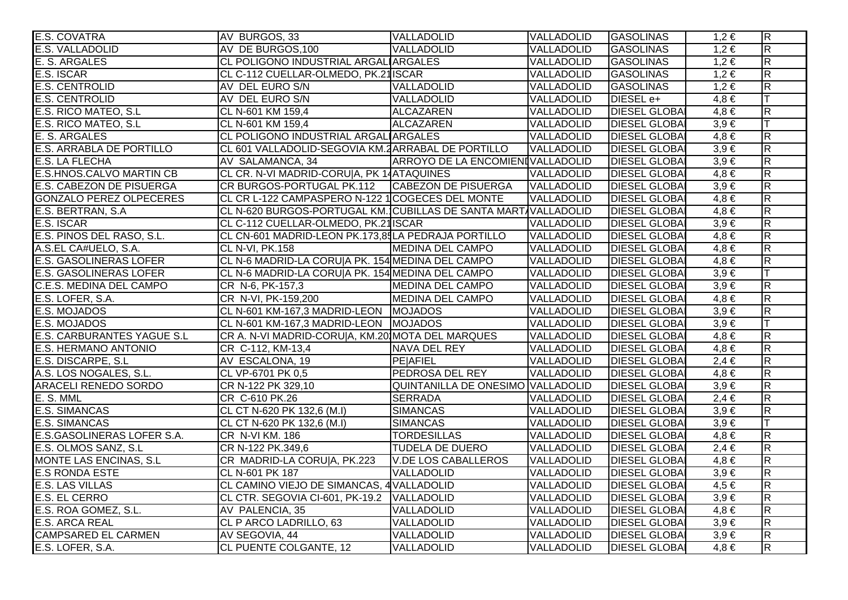| <b>E.S. COVATRA</b>               | AV BURGOS, 33                                                  | VALLADOLID                        | VALLADOLID        | <b>GASOLINAS</b>     | $1,2 \in$ | $\overline{R}$          |
|-----------------------------------|----------------------------------------------------------------|-----------------------------------|-------------------|----------------------|-----------|-------------------------|
| E.S. VALLADOLID                   | AV DE BURGOS, 100                                              | VALLADOLID                        | VALLADOLID        | <b>GASOLINAS</b>     | $1,2 \in$ | $\overline{\mathsf{R}}$ |
| E. S. ARGALES                     | CL POLIGONO INDUSTRIAL ARGAL ARGALES                           |                                   | VALLADOLID        | <b>GASOLINAS</b>     | $1,2 \in$ | $\overline{\mathsf{R}}$ |
| <b>E.S. ISCAR</b>                 | CL C-112 CUELLAR-OLMEDO, PK.21 ISCAR                           |                                   | VALLADOLID        | <b>GASOLINAS</b>     | $1,2 \in$ | $\overline{\mathsf{R}}$ |
| <b>E.S. CENTROLID</b>             | AV DEL EURO S/N                                                | VALLADOLID                        | <b>VALLADOLID</b> | <b>GASOLINAS</b>     | $1,2 \in$ | $\overline{R}$          |
| <b>E.S. CENTROLID</b>             | AV DEL EURO S/N                                                | VALLADOLID                        | VALLADOLID        | DIESEL e+            | $4,8 \in$ | lΤ                      |
| E.S. RICO MATEO, S.L              | CL N-601 KM 159,4                                              | ALCAZAREN                         | VALLADOLID        | <b>DIESEL GLOBAI</b> | $4,8 \in$ | $\overline{R}$          |
| E.S. RICO MATEO, S.L              | CL N-601 KM 159,4                                              | ALCAZAREN                         | VALLADOLID        | <b>DIESEL GLOBA</b>  | $3,9 \in$ | ΙT                      |
| E. S. ARGALES                     | CL POLIGONO INDUSTRIAL ARGAL ARGALES                           |                                   | VALLADOLID        | <b>DIESEL GLOBAI</b> | $4,8 \in$ | $\overline{\mathsf{R}}$ |
| <b>E.S. ARRABLA DE PORTILLO</b>   | CL 601 VALLADOLID-SEGOVIA KM.2 ARRABAL DE PORTILLO             |                                   | VALLADOLID        | <b>DIESEL GLOBAI</b> | $3,9 \in$ | $\overline{\mathsf{R}}$ |
| <b>E.S. LA FLECHA</b>             | AV SALAMANCA, 34                                               | ARROYO DE LA ENCOMIENIVALLADOLID  |                   | <b>DIESEL GLOBAI</b> | $3,9 \in$ | $\overline{R}$          |
| <b>E.S.HNOS.CALVO MARTIN CB</b>   | CL CR. N-VI MADRID-CORUIA, PK 14ATAQUINES                      |                                   | VALLADOLID        | <b>DIESEL GLOBAI</b> | $4,8 \in$ | $\overline{\mathsf{R}}$ |
| E.S. CABEZON DE PISUERGA          | CR BURGOS-PORTUGAL PK.112 CABEZON DE PISUERGA                  |                                   | VALLADOLID        | <b>DIESEL GLOBA</b>  | $3,9 \in$ | R                       |
| <b>GONZALO PEREZ OLPECERES</b>    | CL CR L-122 CAMPASPERO N-122 1COGECES DEL MONTE                |                                   | VALLADOLID        | <b>DIESEL GLOBAI</b> | $4,8 \in$ | $\overline{\mathsf{R}}$ |
| E.S. BERTRAN, S.A                 | CL N-620 BURGOS-PORTUGAL KM. CUBILLAS DE SANTA MART VALLADOLID |                                   |                   | <b>DIESEL GLOBAI</b> | $4,8 \in$ | $\overline{R}$          |
| E.S. ISCAR                        | CL C-112 CUELLAR-OLMEDO, PK.21 ISCAR                           |                                   | VALLADOLID        | <b>DIESEL GLOBA</b>  | $3,9 \in$ | $\overline{R}$          |
| E.S. PINOS DEL RASO, S.L.         | CL CN-601 MADRID-LEON PK.173,85LA PEDRAJA PORTILLO             |                                   | VALLADOLID        | <b>DIESEL GLOBA</b>  | $4,8 \in$ | $\overline{\mathsf{R}}$ |
| A.S.EL CA#UELO, S.A.              | <b>CL N-VI, PK.158</b>                                         | MEDINA DEL CAMPO                  | VALLADOLID        | <b>DIESEL GLOBAI</b> | $4,8 \in$ | $\overline{\mathsf{R}}$ |
| <b>E.S. GASOLINERAS LOFER</b>     | CL N-6 MADRID-LA CORU A PK. 154 MEDINA DEL CAMPO               |                                   | VALLADOLID        | <b>DIESEL GLOBAI</b> | $4,8 \in$ | $\overline{\mathsf{R}}$ |
| <b>E.S. GASOLINERAS LOFER</b>     | CL N-6 MADRID-LA CORU A PK. 154 MEDINA DEL CAMPO               |                                   | VALLADOLID        | <b>DIESEL GLOBAI</b> | $3,9 \in$ | lΤ                      |
| <b>C.E.S. MEDINA DEL CAMPO</b>    | CR N-6, PK-157,3                                               | MEDINA DEL CAMPO                  | VALLADOLID        | <b>DIESEL GLOBA</b>  | $3,9 \in$ | $\overline{\mathsf{R}}$ |
| E.S. LOFER, S.A.                  | CR N-VI, PK-159,200                                            | <b>MEDINA DEL CAMPO</b>           | VALLADOLID        | <b>DIESEL GLOBAI</b> | $4,8 \in$ | $\overline{\mathsf{R}}$ |
| E.S. MOJADOS                      | CL N-601 KM-167,3 MADRID-LEON MOJADOS                          |                                   | VALLADOLID        | <b>DIESEL GLOBA</b>  | $3,9 \in$ | $\overline{\mathsf{R}}$ |
| E.S. MOJADOS                      | CL N-601 KM-167,3 MADRID-LEON MOJADOS                          |                                   | VALLADOLID        | <b>DIESEL GLOBAI</b> | $3,9 \in$ | lΤ                      |
| <b>E.S. CARBURANTES YAGUE S.L</b> | CR A. N-VI MADRID-CORU A, KM.20 MOTA DEL MARQUES               |                                   | VALLADOLID        | <b>DIESEL GLOBAI</b> | $4,8 \in$ | $\overline{\mathsf{R}}$ |
| <b>E.S. HERMANO ANTONIO</b>       | CR C-112, KM-13,4                                              | NAVA DEL REY                      | VALLADOLID        | <b>DIESEL GLOBA</b>  | $4,8 \in$ | $\overline{R}$          |
| E.S. DISCARPE, S.L                | AV ESCALONA, 19                                                | <b>PE</b> AFIEL                   | VALLADOLID        | <b>DIESEL GLOBAI</b> | $2,4 \in$ | $\overline{\mathsf{R}}$ |
| A.S. LOS NOGALES, S.L.            | CL VP-6701 PK 0,5                                              | <b>PEDROSA DEL REY</b>            | VALLADOLID        | <b>DIESEL GLOBAI</b> | $4,8 \in$ | $\overline{\mathsf{R}}$ |
| <b>ARACELI RENEDO SORDO</b>       | CR N-122 PK 329,10                                             | QUINTANILLA DE ONESIMO VALLADOLID |                   | <b>DIESEL GLOBAI</b> | $3,9 \in$ | $\overline{\mathsf{R}}$ |
| E. S. MML                         | CR C-610 PK.26                                                 | <b>SERRADA</b>                    | VALLADOLID        | <b>DIESEL GLOBA</b>  | $2,4 \in$ | $\overline{R}$          |
| <b>E.S. SIMANCAS</b>              | CL CT N-620 PK 132,6 (M.I)                                     | <b>SIMANCAS</b>                   | VALLADOLID        | <b>DIESEL GLOBA</b>  | $3,9 \in$ | $\overline{\mathsf{R}}$ |
| <b>E.S. SIMANCAS</b>              | CL CT N-620 PK 132,6 (M.I)                                     | SIMANCAS                          | <b>VALLADOLID</b> | <b>DIESEL GLOBA</b>  | $3,9 \in$ | IТ                      |
| E.S.GASOLINERAS LOFER S.A.        | <b>CR N-VI KM. 186</b>                                         | <b>TORDESILLAS</b>                | <b>VALLADOLID</b> | <b>DIESEL GLOBA</b>  | $4,8 \in$ | $\overline{\mathsf{R}}$ |
| E.S. OLMOS SANZ, S.L.             | CR N-122 PK.349,6                                              | <b>TUDELA DE DUERO</b>            | VALLADOLID        | <b>DIESEL GLOBA</b>  | $2,4 \in$ | $\overline{\mathsf{R}}$ |
| <b>MONTE LAS ENCINAS, S.L.</b>    | CR MADRID-LA CORU A, PK.223                                    | <b>V.DE LOS CABALLEROS</b>        | VALLADOLID        | <b>DIESEL GLOBAI</b> | $4,8 \in$ | $\overline{\mathsf{R}}$ |
| <b>E.S RONDA ESTE</b>             | CL N-601 PK 187                                                | VALLADOLID                        | VALLADOLID        | <b>DIESEL GLOBAI</b> | $3,9 \in$ | $\overline{R}$          |
| <b>E.S. LAS VILLAS</b>            | CL CAMINO VIEJO DE SIMANCAS, 4 VALLADOLID                      |                                   | <b>VALLADOLID</b> | <b>DIESEL GLOBA</b>  | $4,5 \in$ | R                       |
| E.S. EL CERRO                     | CL CTR. SEGOVIA CI-601, PK-19.2 VALLADOLID                     |                                   | <b>VALLADOLID</b> | <b>DIESEL GLOBAI</b> | $3,9 \in$ | $\overline{\mathsf{R}}$ |
| E.S. ROA GOMEZ, S.L.              | AV PALENCIA, 35                                                | <b>VALLADOLID</b>                 | VALLADOLID        | <b>DIESEL GLOBAI</b> | $4,8 \in$ | $\overline{\mathsf{R}}$ |
| <b>E.S. ARCA REAL</b>             | CL P ARCO LADRILLO, 63                                         | VALLADOLID                        | VALLADOLID        | <b>DIESEL GLOBA</b>  | $3,9 \in$ | $\overline{\mathsf{R}}$ |
| <b>CAMPSARED EL CARMEN</b>        | AV SEGOVIA, 44                                                 | VALLADOLID                        | VALLADOLID        | <b>DIESEL GLOBAI</b> | $3,9 \in$ | $\overline{R}$          |
| E.S. LOFER, S.A.                  | CL PUENTE COLGANTE, 12                                         | VALLADOLID                        | VALLADOLID        | <b>DIESEL GLOBA</b>  | $4,8 \in$ | $\overline{\mathsf{R}}$ |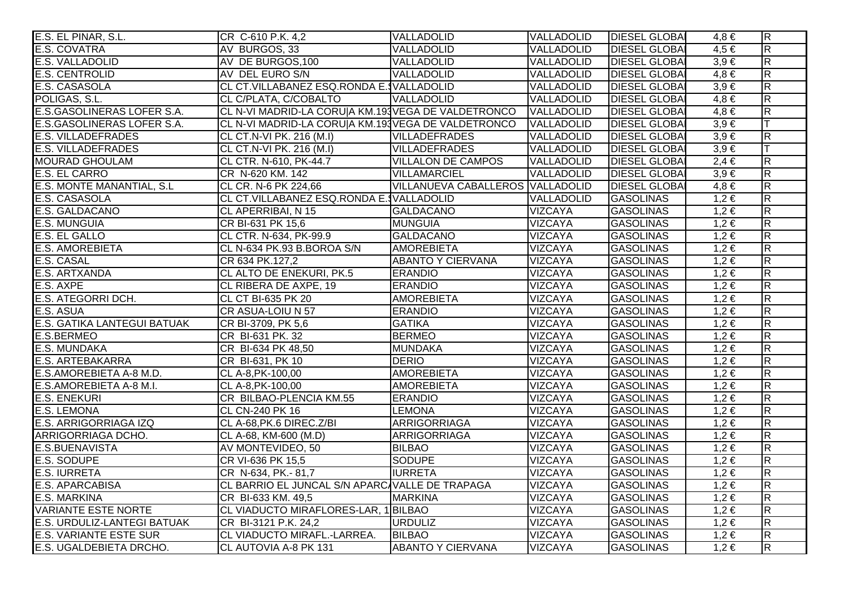| E.S. EL PINAR, S.L.                | CR C-610 P.K. 4,2                                  | VALLADOLID                       | VALLADOLID        | <b>DIESEL GLOBAL</b> | 4.8 €     | $\overline{R}$          |
|------------------------------------|----------------------------------------------------|----------------------------------|-------------------|----------------------|-----------|-------------------------|
| E.S. COVATRA                       | AV BURGOS, 33                                      | VALLADOLID                       | VALLADOLID        | <b>DIESEL GLOBAI</b> | $4,5 \in$ | $\overline{R}$          |
| <b>E.S. VALLADOLID</b>             | AV DE BURGOS, 100                                  | VALLADOLID                       | VALLADOLID        | <b>DIESEL GLOBAI</b> | $3,9 \in$ | $\overline{\mathsf{R}}$ |
| <b>E.S. CENTROLID</b>              | AV DEL EURO S/N                                    | VALLADOLID                       | VALLADOLID        | <b>DIESEL GLOBAI</b> | $4,8 \in$ | $\overline{\mathsf{R}}$ |
| E.S. CASASOLA                      | CL CT.VILLABANEZ ESQ.RONDA E. VALLADOLID           |                                  | VALLADOLID        | <b>DIESEL GLOBAI</b> | $3,9 \in$ | $\overline{R}$          |
| POLIGAS, S.L.                      | CL C/PLATA, C/COBALTO                              | VALLADOLID                       | VALLADOLID        | <b>DIESEL GLOBAI</b> | $4,8 \in$ | $\overline{\mathsf{R}}$ |
| <b>E.S.GASOLINERAS LOFER S.A.</b>  | CL N-VI MADRID-LA CORU A KM.193VEGA DE VALDETRONCO |                                  | <b>VALLADOLID</b> | <b>DIESEL GLOBAI</b> | $4,8 \in$ | $\overline{R}$          |
| E.S.GASOLINERAS LOFER S.A.         | CL N-VI MADRID-LA CORU A KM.193VEGA DE VALDETRONCO |                                  | VALLADOLID        | <b>DIESEL GLOBA</b>  | $3,9 \in$ | ΙT                      |
| <b>E.S. VILLADEFRADES</b>          | CL CT.N-VI PK. 216 (M.I)                           | <b>VILLADEFRADES</b>             | VALLADOLID        | <b>DIESEL GLOBAI</b> | $3,9 \in$ | R                       |
| <b>E.S. VILLADEFRADES</b>          | CL CT.N-VI PK. 216 (M.I)                           | <b>VILLADEFRADES</b>             | VALLADOLID        | <b>DIESEL GLOBAI</b> | $3,9 \in$ |                         |
| <b>MOURAD GHOULAM</b>              | CL CTR. N-610, PK-44.7                             | <b>VILLALON DE CAMPOS</b>        | VALLADOLID        | <b>DIESEL GLOBAI</b> | $2,4 \in$ | $\overline{\mathsf{R}}$ |
| <b>E.S. EL CARRO</b>               | CR N-620 KM. 142                                   | <b>VILLAMARCIEL</b>              | VALLADOLID        | <b>DIESEL GLOBAI</b> | $3,9 \in$ | $\overline{\mathsf{R}}$ |
| E.S. MONTE MANANTIAL, S.L          | CL CR. N-6 PK 224,66                               | VILLANUEVA CABALLEROS VALLADOLID |                   | <b>DIESEL GLOBAI</b> | $4,8 \in$ | R.                      |
| E.S. CASASOLA                      | CL CT.VILLABANEZ ESQ.RONDA E. VALLADOLID           |                                  | VALLADOLID        | <b>GASOLINAS</b>     | $1,2 \in$ | $\overline{\mathsf{R}}$ |
| E.S. GALDACANO                     | CL APERRIBAI, N 15                                 | <b>GALDACANO</b>                 | <b>VIZCAYA</b>    | <b>GASOLINAS</b>     | $1,2 \in$ | $\overline{R}$          |
| <b>E.S. MUNGUIA</b>                | CR BI-631 PK 15,6                                  | <b>MUNGUIA</b>                   | <b>VIZCAYA</b>    | GASOLINAS            | $1,2 \in$ | $\overline{R}$          |
| E.S. EL GALLO                      | CL CTR. N-634, PK-99.9                             | <b>GALDACANO</b>                 | <b>VIZCAYA</b>    | <b>GASOLINAS</b>     | $1,2 \in$ | $\overline{R}$          |
| <b>E.S. AMOREBIETA</b>             | CL N-634 PK.93 B.BOROA S/N                         | <b>AMOREBIETA</b>                | <b>VIZCAYA</b>    | <b>GASOLINAS</b>     | $1,2 \in$ | $\overline{R}$          |
| <b>E.S. CASAL</b>                  | CR 634 PK.127,2                                    | <b>ABANTO Y CIERVANA</b>         | <b>VIZCAYA</b>    | <b>GASOLINAS</b>     | $1,2 \in$ | $\overline{R}$          |
| <b>E.S. ARTXANDA</b>               | CL ALTO DE ENEKURI, PK.5                           | <b>ERANDIO</b>                   | <b>VIZCAYA</b>    | <b>GASOLINAS</b>     | $1,2 \in$ | $\overline{\mathsf{R}}$ |
| E.S. AXPE                          | CL RIBERA DE AXPE, 19                              | <b>ERANDIO</b>                   | <b>VIZCAYA</b>    | <b>GASOLINAS</b>     | $1,2 \in$ | $\overline{R}$          |
| E.S. ATEGORRI DCH.                 | CL CT BI-635 PK 20                                 | <b>AMOREBIETA</b>                | <b>VIZCAYA</b>    | <b>GASOLINAS</b>     | $1,2 \in$ | $\overline{R}$          |
| E.S. ASUA                          | CR ASUA-LOIU N 57                                  | <b>ERANDIO</b>                   | <b>VIZCAYA</b>    | <b>GASOLINAS</b>     | $1,2 \in$ | $\overline{R}$          |
| <b>E.S. GATIKA LANTEGUI BATUAK</b> | CR BI-3709, PK 5,6                                 | <b>GATIKA</b>                    | <b>VIZCAYA</b>    | <b>GASOLINAS</b>     | $1,2 \in$ | $\overline{R}$          |
| E.S.BERMEO                         | CR BI-631 PK. 32                                   | <b>BERMEO</b>                    | <b>VIZCAYA</b>    | <b>GASOLINAS</b>     | $1,2 \in$ | $\overline{R}$          |
| <b>E.S. MUNDAKA</b>                | CR BI-634 PK 48,50                                 | <b>MUNDAKA</b>                   | <b>VIZCAYA</b>    | <b>GASOLINAS</b>     | $1,2 \in$ | $\overline{R}$          |
| <b>E.S. ARTEBAKARRA</b>            | CR BI-631, PK 10                                   | <b>DERIO</b>                     | <b>VIZCAYA</b>    | <b>GASOLINAS</b>     | $1,2 \in$ | $\overline{R}$          |
| E.S.AMOREBIETA A-8 M.D.            | CL A-8, PK-100, 00                                 | <b>AMOREBIETA</b>                | <b>VIZCAYA</b>    | <b>GASOLINAS</b>     | $1,2 \in$ | $\overline{R}$          |
| E.S.AMOREBIETA A-8 M.I.            | CL A-8, PK-100, 00                                 | <b>AMOREBIETA</b>                | <b>VIZCAYA</b>    | <b>GASOLINAS</b>     | $1,2 \in$ | $\overline{R}$          |
| <b>E.S. ENEKURI</b>                | CR BILBAO-PLENCIA KM.55                            | <b>ERANDIO</b>                   | <b>VIZCAYA</b>    | <b>GASOLINAS</b>     | $1,2 \in$ | $\overline{\mathsf{R}}$ |
| <b>E.S. LEMONA</b>                 | CL CN-240 PK 16                                    | <b>LEMONA</b>                    | <b>VIZCAYA</b>    | <b>GASOLINAS</b>     | $1,2 \in$ | $\overline{R}$          |
| E.S. ARRIGORRIAGA IZQ              | CL A-68, PK.6 DIREC. Z/BI                          | <b>ARRIGORRIAGA</b>              | <b>VIZCAYA</b>    | <b>GASOLINAS</b>     | $1,2 \in$ | $\overline{R}$          |
| ARRIGORRIAGA DCHO.                 | CL A-68, KM-600 (M.D)                              | <b>ARRIGORRIAGA</b>              | <b>VIZCAYA</b>    | <b>GASOLINAS</b>     | $1,2 \in$ | $\overline{R}$          |
| <b>E.S.BUENAVISTA</b>              | AV MONTEVIDEO, 50                                  | <b>BILBAO</b>                    | <b>VIZCAYA</b>    | <b>GASOLINAS</b>     | $1,2 \in$ | $\overline{\mathsf{R}}$ |
| E.S. SODUPE                        | CR VI-636 PK 15,5                                  | <b>SODUPE</b>                    | <b>VIZCAYA</b>    | <b>GASOLINAS</b>     | $1,2 \in$ | $\overline{\mathsf{R}}$ |
| <b>E.S. IURRETA</b>                | CR N-634, PK.-81,7                                 | <b>IURRETA</b>                   | <b>VIZCAYA</b>    | <b>GASOLINAS</b>     | $1,2 \in$ | $\overline{\mathsf{R}}$ |
| <b>E.S. APARCABISA</b>             | CL BARRIO EL JUNCAL S/N APARC VALLE DE TRAPAGA     |                                  | <b>VIZCAYA</b>    | <b>GASOLINAS</b>     | $1,2 \in$ | $\overline{\mathsf{R}}$ |
| <b>E.S. MARKINA</b>                | CR BI-633 KM. 49,5                                 | <b>MARKINA</b>                   | <b>VIZCAYA</b>    | <b>GASOLINAS</b>     | $1,2 \in$ | $\overline{R}$          |
| <b>VARIANTE ESTE NORTE</b>         | CL VIADUCTO MIRAFLORES-LAR, 1 BILBAO               |                                  | <b>VIZCAYA</b>    | <b>GASOLINAS</b>     | $1,2 \in$ | $\overline{\mathsf{R}}$ |
| <b>E.S. URDULIZ-LANTEGI BATUAK</b> | CR BI-3121 P.K. 24,2                               | <b>URDULIZ</b>                   | <b>VIZCAYA</b>    | <b>GASOLINAS</b>     | $1,2 \in$ | $\overline{\mathsf{R}}$ |
| <b>E.S. VARIANTE ESTE SUR</b>      | CL VIADUCTO MIRAFL.-LARREA.                        | <b>BILBAO</b>                    | <b>VIZCAYA</b>    | <b>GASOLINAS</b>     | $1,2 \in$ | $\overline{\mathsf{R}}$ |
| E.S. UGALDEBIETA DRCHO.            | CL AUTOVIA A-8 PK 131                              | <b>ABANTO Y CIERVANA</b>         | <b>VIZCAYA</b>    | <b>GASOLINAS</b>     | $1,2 \in$ | R.                      |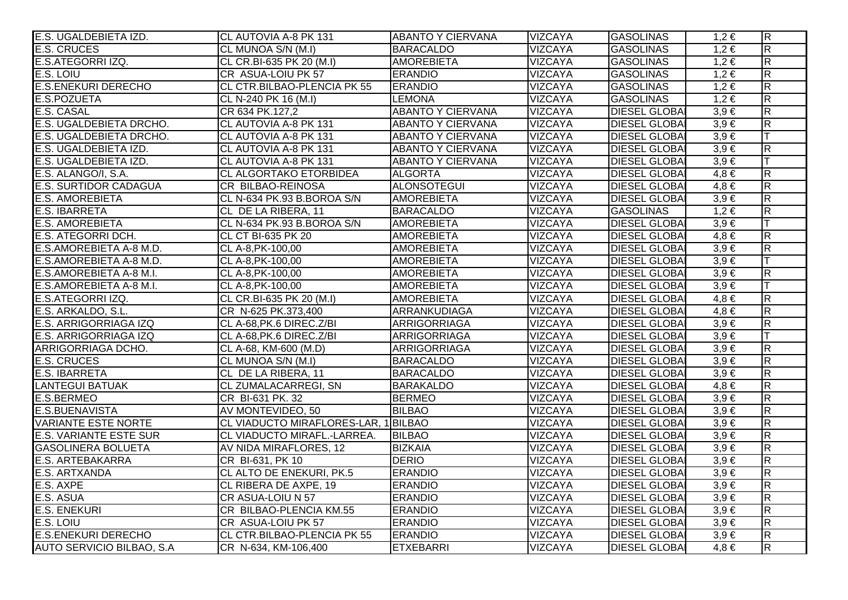| E.S. UGALDEBIETA IZD.         | <b>CL AUTOVIA A-8 PK 131</b>         | <b>ABANTO Y CIERVANA</b> | <b>VIZCAYA</b> | <b>GASOLINAS</b>     | $1.2 \in$ | $\overline{R}$          |
|-------------------------------|--------------------------------------|--------------------------|----------------|----------------------|-----------|-------------------------|
| <b>E.S. CRUCES</b>            | CL MUNOA S/N (M.I)                   | <b>BARACALDO</b>         | <b>VIZCAYA</b> | <b>GASOLINAS</b>     | $1,2 \in$ | $\overline{R}$          |
| E.S.ATEGORRI IZQ.             | CL CR.BI-635 PK 20 (M.I)             | <b>AMOREBIETA</b>        | <b>VIZCAYA</b> | <b>GASOLINAS</b>     | $1,2 \in$ | $\overline{\mathsf{R}}$ |
| E.S. LOIU                     | CR ASUA-LOIU PK 57                   | <b>ERANDIO</b>           | <b>VIZCAYA</b> | <b>GASOLINAS</b>     | $1,2 \in$ | $\overline{\mathsf{R}}$ |
| <b>E.S.ENEKURI DERECHO</b>    | CL CTR.BILBAO-PLENCIA PK 55          | <b>ERANDIO</b>           | <b>VIZCAYA</b> | <b>GASOLINAS</b>     | $1,2 \in$ | $\overline{\mathsf{R}}$ |
| <b>E.S.POZUETA</b>            | CL N-240 PK 16 (M.I)                 | <b>LEMONA</b>            | <b>VIZCAYA</b> | <b>GASOLINAS</b>     | $1,2 \in$ | $\overline{\mathsf{R}}$ |
| <b>E.S. CASAL</b>             | CR 634 PK.127,2                      | <b>ABANTO Y CIERVANA</b> | <b>VIZCAYA</b> | <b>DIESEL GLOBAI</b> | $3,9 \in$ | $\overline{R}$          |
| E.S. UGALDEBIETA DRCHO.       | CL AUTOVIA A-8 PK 131                | <b>ABANTO Y CIERVANA</b> | <b>VIZCAYA</b> | <b>DIESEL GLOBA</b>  | $3,9 \in$ | $\overline{\mathsf{R}}$ |
| E.S. UGALDEBIETA DRCHO.       | CL AUTOVIA A-8 PK 131                | <b>ABANTO Y CIERVANA</b> | <b>VIZCAYA</b> | <b>DIESEL GLOBAI</b> | $3,9 \in$ | lΤ                      |
| E.S. UGALDEBIETA IZD.         | CL AUTOVIA A-8 PK 131                | <b>ABANTO Y CIERVANA</b> | <b>VIZCAYA</b> | <b>DIESEL GLOBAI</b> | $3,9 \in$ | $\overline{\mathsf{R}}$ |
| E.S. UGALDEBIETA IZD.         | CL AUTOVIA A-8 PK 131                | <b>ABANTO Y CIERVANA</b> | <b>VIZCAYA</b> | <b>DIESEL GLOBAI</b> | $3,9 \in$ | lΤ                      |
| E.S. ALANGO/I, S.A.           | <b>CL ALGORTAKO ETORBIDEA</b>        | <b>ALGORTA</b>           | <b>VIZCAYA</b> | <b>DIESEL GLOBAI</b> | $4,8 \in$ | $\overline{\mathsf{R}}$ |
| <b>E.S. SURTIDOR CADAGUA</b>  | CR BILBAO-REINOSA                    | <b>ALONSOTEGUI</b>       | <b>VIZCAYA</b> | <b>DIESEL GLOBAI</b> | $4,8 \in$ | $\overline{R}$          |
| <b>E.S. AMOREBIETA</b>        | CL N-634 PK.93 B.BOROA S/N           | <b>AMOREBIETA</b>        | <b>VIZCAYA</b> | <b>DIESEL GLOBAI</b> | $3,9 \in$ | $\overline{\mathsf{R}}$ |
| <b>E.S. IBARRETA</b>          | CL DE LA RIBERA, 11                  | <b>BARACALDO</b>         | <b>VIZCAYA</b> | <b>GASOLINAS</b>     | $1,2 \in$ | $\overline{R}$          |
| <b>E.S. AMOREBIETA</b>        | CL N-634 PK.93 B.BOROA S/N           | <b>AMOREBIETA</b>        | <b>VIZCAYA</b> | <b>DIESEL GLOBAI</b> | $3,9 \in$ | Iт                      |
| E.S. ATEGORRI DCH.            | <b>CL CT BI-635 PK 20</b>            | <b>AMOREBIETA</b>        | <b>VIZCAYA</b> | <b>DIESEL GLOBAI</b> | $4,8 \in$ | $\overline{\mathsf{R}}$ |
| E.S.AMOREBIETA A-8 M.D.       | CL A-8, PK-100, 00                   | <b>AMOREBIETA</b>        | <b>VIZCAYA</b> | <b>DIESEL GLOBAI</b> | $3,9 \in$ | $\overline{\mathsf{R}}$ |
| E.S.AMOREBIETA A-8 M.D.       | CL A-8, PK-100, 00                   | <b>AMOREBIETA</b>        | <b>VIZCAYA</b> | <b>DIESEL GLOBAI</b> | $3,9 \in$ | $\top$                  |
| E.S.AMOREBIETA A-8 M.I.       | CL A-8, PK-100, 00                   | <b>AMOREBIETA</b>        | <b>VIZCAYA</b> | <b>DIESEL GLOBAI</b> | $3,9 \in$ | $\overline{R}$          |
| E.S.AMOREBIETA A-8 M.I.       | CL A-8, PK-100, 00                   | <b>AMOREBIETA</b>        | <b>VIZCAYA</b> | <b>DIESEL GLOBAI</b> | $3,9 \in$ |                         |
| E.S.ATEGORRI IZQ.             | CL CR.BI-635 PK 20 (M.I)             | <b>AMOREBIETA</b>        | <b>VIZCAYA</b> | <b>DIESEL GLOBAI</b> | $4,8 \in$ | R                       |
| E.S. ARKALDO, S.L.            | CR N-625 PK.373,400                  | ARRANKUDIAGA             | <b>VIZCAYA</b> | <b>DIESEL GLOBAI</b> | $4,8 \in$ | $\overline{R}$          |
| E.S. ARRIGORRIAGA IZQ         | CL A-68, PK.6 DIREC. Z/BI            | <b>ARRIGORRIAGA</b>      | <b>VIZCAYA</b> | <b>DIESEL GLOBAI</b> | $3,9 \in$ | $\overline{R}$          |
| E.S. ARRIGORRIAGA IZQ         | CL A-68, PK.6 DIREC. Z/BI            | <b>ARRIGORRIAGA</b>      | <b>VIZCAYA</b> | <b>DIESEL GLOBAI</b> | $3,9 \in$ | IТ                      |
| ARRIGORRIAGA DCHO.            | CL A-68, KM-600 (M.D)                | <b>ARRIGORRIAGA</b>      | <b>VIZCAYA</b> | <b>DIESEL GLOBAI</b> | $3,9 \in$ | $\overline{\mathsf{R}}$ |
| <b>E.S. CRUCES</b>            | CL MUNOA S/N (M.I)                   | <b>BARACALDO</b>         | <b>VIZCAYA</b> | <b>DIESEL GLOBAI</b> | $3,9 \in$ | $\overline{R}$          |
| <b>E.S. IBARRETA</b>          | CL DE LA RIBERA, 11                  | <b>BARACALDO</b>         | <b>VIZCAYA</b> | <b>DIESEL GLOBAI</b> | $3,9 \in$ | $\overline{\mathsf{R}}$ |
| <b>LANTEGUI BATUAK</b>        | <b>CL ZUMALACARREGI, SN</b>          | <b>BARAKALDO</b>         | <b>VIZCAYA</b> | <b>DIESEL GLOBAI</b> | $4,8 \in$ | R                       |
| E.S.BERMEO                    | CR BI-631 PK. 32                     | <b>BERMEO</b>            | <b>VIZCAYA</b> | <b>DIESEL GLOBAI</b> | $3,9 \in$ | $\overline{\mathsf{R}}$ |
| <b>E.S.BUENAVISTA</b>         | AV MONTEVIDEO, 50                    | <b>BILBAO</b>            | <b>VIZCAYA</b> | <b>DIESEL GLOBAI</b> | $3,9 \in$ | $\overline{R}$          |
| <b>VARIANTE ESTE NORTE</b>    | CL VIADUCTO MIRAFLORES-LAR, 1 BILBAO |                          | <b>VIZCAYA</b> | <b>DIESEL GLOBA</b>  | $3,9 \in$ | $\overline{\mathsf{R}}$ |
| <b>E.S. VARIANTE ESTE SUR</b> | CL VIADUCTO MIRAFL.-LARREA.          | <b>BILBAO</b>            | <b>VIZCAYA</b> | <b>DIESEL GLOBAI</b> | $3,9 \in$ | $\overline{\mathsf{R}}$ |
| <b>GASOLINERA BOLUETA</b>     | AV NIDA MIRAFLORES, 12               | <b>BIZKAIA</b>           | <b>VIZCAYA</b> | <b>DIESEL GLOBAI</b> | $3,9 \in$ | $\overline{R}$          |
| <b>E.S. ARTEBAKARRA</b>       | CR BI-631, PK 10                     | <b>DERIO</b>             | <b>VIZCAYA</b> | <b>DIESEL GLOBAI</b> | $3,9 \in$ | $\overline{\mathsf{R}}$ |
| E.S. ARTXANDA                 | CL ALTO DE ENEKURI, PK.5             | <b>ERANDIO</b>           | <b>VIZCAYA</b> | <b>DIESEL GLOBAI</b> | $3,9 \in$ | $\overline{\mathsf{R}}$ |
| E.S. AXPE                     | CL RIBERA DE AXPE, 19                | <b>ERANDIO</b>           | <b>VIZCAYA</b> | <b>DIESEL GLOBAI</b> | $3,9 \in$ | $\overline{\mathsf{R}}$ |
| E.S. ASUA                     | <b>CR ASUA-LOIU N 57</b>             | <b>ERANDIO</b>           | <b>VIZCAYA</b> | <b>DIESEL GLOBAI</b> | $3,9 \in$ | $\overline{\mathsf{R}}$ |
| <b>E.S. ENEKURI</b>           | CR BILBAO-PLENCIA KM.55              | <b>ERANDIO</b>           | <b>VIZCAYA</b> | <b>DIESEL GLOBAI</b> | $3,9 \in$ | $\overline{\mathsf{R}}$ |
| E.S. LOIU                     | CR ASUA-LOIU PK 57                   | <b>ERANDIO</b>           | <b>VIZCAYA</b> | <b>DIESEL GLOBAI</b> | $3,9 \in$ | $\overline{\mathsf{R}}$ |
| <b>E.S.ENEKURI DERECHO</b>    | CL CTR.BILBAO-PLENCIA PK 55          | <b>ERANDIO</b>           | <b>VIZCAYA</b> | <b>DIESEL GLOBAI</b> | $3,9 \in$ | $\overline{\mathsf{R}}$ |
| AUTO SERVICIO BILBAO, S.A     | CR N-634, KM-106,400                 | <b>ETXEBARRI</b>         | <b>VIZCAYA</b> | <b>DIESEL GLOBA</b>  | $4,8 \in$ | $\overline{R}$          |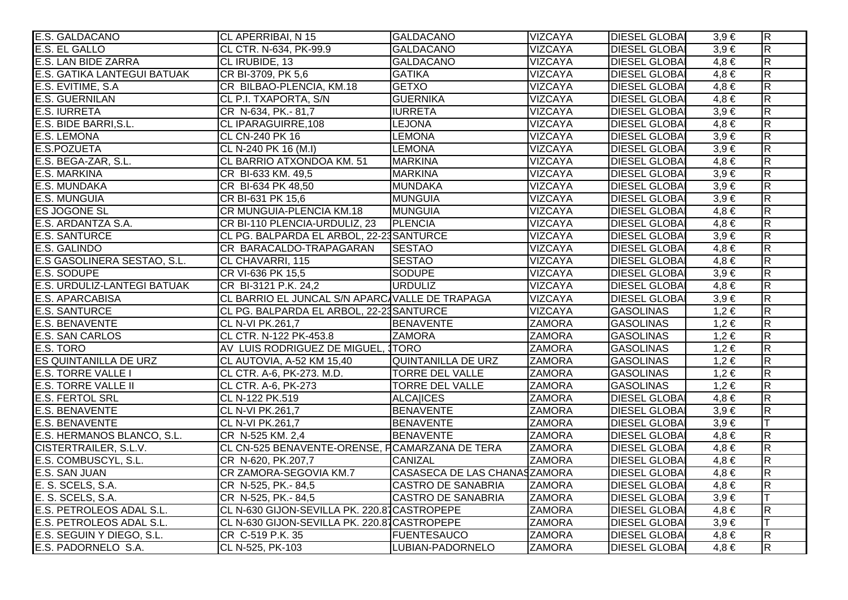| E.S. GALDACANO                     | CL APERRIBAI, N 15                             | <b>GALDACANO</b>             | <b>VIZCAYA</b> | <b>DIESEL GLOBAL</b> | $3,9 \in$ | $\overline{R}$          |
|------------------------------------|------------------------------------------------|------------------------------|----------------|----------------------|-----------|-------------------------|
| <b>E.S. EL GALLO</b>               | CL CTR. N-634, PK-99.9                         | <b>GALDACANO</b>             | <b>VIZCAYA</b> | <b>DIESEL GLOBAI</b> | $3,9 \in$ | $\overline{\mathsf{R}}$ |
| <b>E.S. LAN BIDE ZARRA</b>         | CL IRUBIDE, 13                                 | <b>GALDACANO</b>             | <b>VIZCAYA</b> | <b>DIESEL GLOBAI</b> | $4,8 \in$ | $\overline{R}$          |
| <b>E.S. GATIKA LANTEGUI BATUAK</b> | CR BI-3709, PK 5,6                             | <b>GATIKA</b>                | <b>VIZCAYA</b> | <b>DIESEL GLOBAI</b> | $4,8 \in$ | $\overline{\mathsf{R}}$ |
| E.S. EVITIME, S.A.                 | CR BILBAO-PLENCIA, KM.18                       | <b>GETXO</b>                 | <b>VIZCAYA</b> | <b>DIESEL GLOBAL</b> | $4,8 \in$ | $\overline{R}$          |
| <b>E.S. GUERNILAN</b>              | CL P.I. TXAPORTA, S/N                          | <b>GUERNIKA</b>              | <b>VIZCAYA</b> | <b>DIESEL GLOBAI</b> | $4,8 \in$ | $\overline{R}$          |
| <b>E.S. IURRETA</b>                | CR N-634, PK.-81,7                             | <b>IURRETA</b>               | <b>VIZCAYA</b> | <b>DIESEL GLOBAI</b> | $3,9 \in$ | $\overline{R}$          |
| E.S. BIDE BARRI, S.L.              | CL IPARAGUIRRE, 108                            | <b>LEJONA</b>                | VIZCAYA        | <b>DIESEL GLOBAI</b> | $4,8 \in$ | $\overline{\mathsf{R}}$ |
| <b>E.S. LEMONA</b>                 | CL CN-240 PK 16                                | <b>LEMONA</b>                | <b>VIZCAYA</b> | <b>DIESEL GLOBAI</b> | $3,9 \in$ | $\overline{R}$          |
| E.S.POZUETA                        | CL N-240 PK 16 (M.I)                           | <b>LEMONA</b>                | <b>VIZCAYA</b> | <b>DIESEL GLOBA</b>  | $3.9 \in$ | $\overline{R}$          |
| E.S. BEGA-ZAR, S.L.                | CL BARRIO ATXONDOA KM. 51                      | <b>MARKINA</b>               | <b>VIZCAYA</b> | <b>DIESEL GLOBAI</b> | $4,8 \in$ | $\overline{R}$          |
| E.S. MARKINA                       | CR BI-633 KM. 49,5                             | <b>MARKINA</b>               | <b>VIZCAYA</b> | <b>DIESEL GLOBAI</b> | $3.9 \in$ | $\overline{\mathsf{R}}$ |
| <b>E.S. MUNDAKA</b>                | CR BI-634 PK 48,50                             | <b>MUNDAKA</b>               | <b>VIZCAYA</b> | <b>DIESEL GLOBAI</b> | $3,9 \in$ | $\overline{\mathsf{R}}$ |
| <b>E.S. MUNGUIA</b>                | CR BI-631 PK 15,6                              | <b>MUNGUIA</b>               | <b>VIZCAYA</b> | <b>DIESEL GLOBAI</b> | $3,9 \in$ | $\overline{R}$          |
| <b>ES JOGONE SL</b>                | CR MUNGUIA-PLENCIA KM.18                       | MUNGUIA                      | <b>VIZCAYA</b> | <b>DIESEL GLOBA</b>  | $4,8 \in$ | $\overline{\mathsf{R}}$ |
| E.S. ARDANTZA S.A.                 | CR BI-110 PLENCIA-URDULIZ, 23                  | PLENCIA                      | <b>VIZCAYA</b> | <b>DIESEL GLOBAI</b> | $4,8 \in$ | $\overline{\mathsf{R}}$ |
| <b>E.S. SANTURCE</b>               | CL PG. BALPARDA EL ARBOL, 22-23 SANTURCE       |                              | <b>VIZCAYA</b> | <b>DIESEL GLOBAI</b> | $3,9 \in$ | $\overline{\mathsf{R}}$ |
| E.S. GALINDO                       | CR BARACALDO-TRAPAGARAN                        | <b>SESTAO</b>                | <b>VIZCAYA</b> | <b>DIESEL GLOBAI</b> | $4,8 \in$ | $\overline{R}$          |
| E.S GASOLINERA SESTAO, S.L.        | CL CHAVARRI, 115                               | <b>SESTAO</b>                | <b>VIZCAYA</b> | <b>DIESEL GLOBA</b>  | $4,8 \in$ | $\overline{R}$          |
| E.S. SODUPE                        | CR VI-636 PK 15,5                              | <b>SODUPE</b>                | <b>VIZCAYA</b> | <b>DIESEL GLOBAI</b> | $3,9 \in$ | R                       |
| E.S. URDULIZ-LANTEGI BATUAK        | CR BI-3121 P.K. 24,2                           | <b>URDULIZ</b>               | <b>VIZCAYA</b> | <b>DIESEL GLOBAI</b> | $4,8 \in$ | $\overline{\mathsf{R}}$ |
| <b>E.S. APARCABISA</b>             | CL BARRIO EL JUNCAL S/N APARC VALLE DE TRAPAGA |                              | <b>VIZCAYA</b> | <b>DIESEL GLOBAI</b> | $3,9 \in$ | $\overline{\mathsf{R}}$ |
| <b>E.S. SANTURCE</b>               | CL PG. BALPARDA EL ARBOL, 22-23 SANTURCE       |                              | <b>VIZCAYA</b> | <b>GASOLINAS</b>     | $1,2 \in$ | $\overline{R}$          |
| <b>E.S. BENAVENTE</b>              | CL N-VI PK.261,7                               | <b>BENAVENTE</b>             | <b>ZAMORA</b>  | <b>GASOLINAS</b>     | $1,2 \in$ | $\overline{R}$          |
| <b>E.S. SAN CARLOS</b>             | CL CTR. N-122 PK-453.8                         | <b>ZAMORA</b>                | <b>ZAMORA</b>  | <b>GASOLINAS</b>     | $1,2 \in$ | $\overline{R}$          |
| E.S. TORO                          | AV LUIS RODRIGUEZ DE MIGUEL, TORO              |                              | <b>ZAMORA</b>  | <b>GASOLINAS</b>     | $1,2 \in$ | $\overline{R}$          |
| <b>ES QUINTANILLA DE URZ</b>       | CL AUTOVIA, A-52 KM 15,40                      | QUINTANILLA DE URZ           | <b>ZAMORA</b>  | <b>GASOLINAS</b>     | $1,2 \in$ | $\overline{\mathsf{R}}$ |
| <b>E.S. TORRE VALLE I</b>          | CL CTR. A-6, PK-273. M.D.                      | <b>TORRE DEL VALLE</b>       | <b>ZAMORA</b>  | <b>GASOLINAS</b>     | $1,2 \in$ | $\overline{\mathsf{R}}$ |
| <b>E.S. TORRE VALLE II</b>         | CL CTR. A-6, PK-273                            | <b>TORRE DEL VALLE</b>       | <b>ZAMORA</b>  | <b>GASOLINAS</b>     | $1,2 \in$ | $\overline{\mathsf{R}}$ |
| <b>E.S. FERTOL SRL</b>             | CL N-122 PK.519                                | <b>ALCAIICES</b>             | <b>ZAMORA</b>  | <b>DIESEL GLOBAI</b> | $4,8 \in$ | $\overline{\mathsf{R}}$ |
| <b>E.S. BENAVENTE</b>              | CL N-VI PK.261,7                               | <b>BENAVENTE</b>             | <b>ZAMORA</b>  | <b>DIESEL GLOBAI</b> | $3,9 \in$ | $\overline{\mathsf{R}}$ |
| <b>E.S. BENAVENTE</b>              | CL N-VI PK.261,7                               | <b>BENAVENTE</b>             | <b>ZAMORA</b>  | <b>DIESEL GLOBA</b>  | $3,9 \in$ | lΤ                      |
| E.S. HERMANOS BLANCO, S.L.         | CR N-525 KM. 2,4                               | <b>BENAVENTE</b>             | <b>ZAMORA</b>  | <b>DIESEL GLOBAI</b> | $4,8 \in$ | $\overline{\mathsf{R}}$ |
| <b>CISTERTRAILER, S.L.V.</b>       | CL CN-525 BENAVENTE-ORENSE, FCAMARZANA DE TERA |                              | <b>ZAMORA</b>  | <b>DIESEL GLOBAI</b> | $4,8 \in$ | $\overline{\mathsf{R}}$ |
| E.S. COMBUSCYL, S.L.               | CR N-620, PK.207,7                             | <b>CANIZAL</b>               | <b>ZAMORA</b>  | <b>DIESEL GLOBAI</b> | $4,8 \in$ | $\overline{\mathsf{R}}$ |
| E.S. SAN JUAN                      | CR ZAMORA-SEGOVIA KM.7                         | CASASECA DE LAS CHANASZAMORA |                | <b>DIESEL GLOBAI</b> | $4,8 \in$ | $\overline{\mathsf{R}}$ |
| E. S. SCELS, S.A.                  | CR N-525, PK.-84,5                             | <b>CASTRO DE SANABRIA</b>    | <b>ZAMORA</b>  | <b>DIESEL GLOBA</b>  | $4,8 \in$ | $\overline{\mathsf{R}}$ |
| E. S. SCELS, S.A.                  | CR N-525, PK.-84,5                             | <b>CASTRO DE SANABRIA</b>    | <b>ZAMORA</b>  | <b>DIESEL GLOBAI</b> | $3,9 \in$ |                         |
| E.S. PETROLEOS ADAL S.L.           | CL N-630 GIJON-SEVILLA PK. 220.81 CASTROPEPE   |                              | <b>ZAMORA</b>  | <b>DIESEL GLOBAI</b> | $4,8 \in$ | $\overline{\mathsf{R}}$ |
| E.S. PETROLEOS ADAL S.L.           | CL N-630 GIJON-SEVILLA PK. 220.87 CASTROPEPE   |                              | <b>ZAMORA</b>  | <b>DIESEL GLOBAI</b> | $3,9 \in$ | lΤ                      |
| E.S. SEGUIN Y DIEGO, S.L.          | CR C-519 P.K. 35                               | <b>FUENTESAUCO</b>           | <b>ZAMORA</b>  | <b>DIESEL GLOBA</b>  | $4,8 \in$ | $\overline{\mathsf{R}}$ |
| E.S. PADORNELO S.A.                | CL N-525, PK-103                               | LUBIAN-PADORNELO             | <b>ZAMORA</b>  | <b>DIESEL GLOBAI</b> | $4,8 \in$ | $\overline{\mathsf{R}}$ |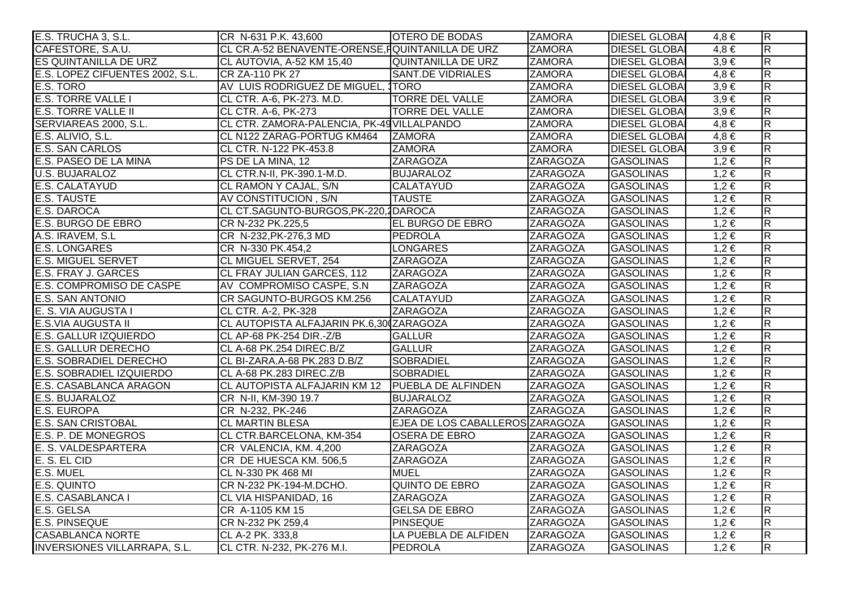| E.S. TRUCHA 3, S.L.                 | CR N-631 P.K. 43,600                             | <b>OTERO DE BODAS</b>           | <b>ZAMORA</b>   | <b>DIESEL GLOBAL</b> | $4,8 \in$ | $\overline{R}$          |
|-------------------------------------|--------------------------------------------------|---------------------------------|-----------------|----------------------|-----------|-------------------------|
| CAFESTORE, S.A.U.                   | CL CR.A-52 BENAVENTE-ORENSE, FQUINTANILLA DE URZ |                                 | <b>ZAMORA</b>   | <b>DIESEL GLOBAI</b> | $4,8 \in$ | $\overline{\mathsf{R}}$ |
| ES QUINTANILLA DE URZ               | CL AUTOVIA, A-52 KM 15,40                        | QUINTANILLA DE URZ              | <b>ZAMORA</b>   | <b>DIESEL GLOBAI</b> | $3,9 \in$ | $\overline{\mathsf{R}}$ |
| E.S. LOPEZ CIFUENTES 2002, S.L.     | CR ZA-110 PK 27                                  | <b>SANT.DE VIDRIALES</b>        | <b>ZAMORA</b>   | <b>DIESEL GLOBAI</b> | $4,8 \in$ | $\overline{\mathsf{R}}$ |
| E.S. TORO                           | AV LUIS RODRIGUEZ DE MIGUEL, 1TORO               |                                 | <b>ZAMORA</b>   | <b>DIESEL GLOBAI</b> | $3,9 \in$ | $\overline{R}$          |
| <b>E.S. TORRE VALLE I</b>           | CL CTR. A-6, PK-273. M.D.                        | <b>TORRE DEL VALLE</b>          | <b>ZAMORA</b>   | <b>DIESEL GLOBAI</b> | $3,9 \in$ | $\overline{R}$          |
| <b>E.S. TORRE VALLE II</b>          | CL CTR. A-6, PK-273                              | <b>TORRE DEL VALLE</b>          | <b>ZAMORA</b>   | <b>DIESEL GLOBAI</b> | $3,9 \in$ | $\overline{R}$          |
| SERVIAREAS 2000, S.L.               | CL CTR. ZAMORA-PALENCIA, PK-49 VILLALPANDO       |                                 | <b>ZAMORA</b>   | <b>DIESEL GLOBAI</b> | $4,8 \in$ | $\overline{R}$          |
| E.S. ALIVIO, S.L.                   | CL N122 ZARAG-PORTUG KM464                       | <b>ZAMORA</b>                   | <b>ZAMORA</b>   | <b>DIESEL GLOBA</b>  | $4,8 \in$ | $\overline{R}$          |
| <b>E.S. SAN CARLOS</b>              | CL CTR. N-122 PK-453.8                           | <b>ZAMORA</b>                   | <b>ZAMORA</b>   | <b>DIESEL GLOBA</b>  | $3,9 \in$ | $\overline{R}$          |
| E.S. PASEO DE LA MINA               | PS DE LA MINA, 12                                | <b>ZARAGOZA</b>                 | <b>ZARAGOZA</b> | <b>GASOLINAS</b>     | $1,2 \in$ | $\overline{R}$          |
| <b>U.S. BUJARALOZ</b>               | CL CTR.N-II, PK-390.1-M.D.                       | <b>BUJARALOZ</b>                | <b>ZARAGOZA</b> | <b>GASOLINAS</b>     | $1,2 \in$ | $\overline{\mathsf{R}}$ |
| E.S. CALATAYUD                      | CL RAMON Y CAJAL, S/N                            | <b>CALATAYUD</b>                | ZARAGOZA        | <b>GASOLINAS</b>     | $1,2 \in$ | $\overline{\mathsf{R}}$ |
| <b>E.S. TAUSTE</b>                  | AV CONSTITUCION, S/N                             | <b>TAUSTE</b>                   | ZARAGOZA        | <b>GASOLINAS</b>     | $1,2 \in$ | $\overline{\mathsf{R}}$ |
| E.S. DAROCA                         | CL CT.SAGUNTO-BURGOS, PK-220, 1DAROCA            |                                 | <b>ZARAGOZA</b> | <b>GASOLINAS</b>     | $1,2 \in$ | $\overline{\mathsf{R}}$ |
| E.S. BURGO DE EBRO                  | CR N-232 PK.225,5                                | <b>EL BURGO DE EBRO</b>         | <b>ZARAGOZA</b> | <b>GASOLINAS</b>     | $1,2 \in$ | $\overline{R}$          |
| A.S. IRAVEM, S.L                    | CR N-232, PK-276, 3 MD                           | <b>PEDROLA</b>                  | <b>ZARAGOZA</b> | <b>GASOLINAS</b>     | $1,2 \in$ | $\overline{\mathsf{R}}$ |
| <b>E.S. LONGARES</b>                | CR N-330 PK.454,2                                | <b>LONGARES</b>                 | ZARAGOZA        | <b>GASOLINAS</b>     | $1,2 \in$ | $\overline{R}$          |
| <b>E.S. MIGUEL SERVET</b>           | CL MIGUEL SERVET, 254                            | <b>ZARAGOZA</b>                 | <b>ZARAGOZA</b> | <b>GASOLINAS</b>     | $1,2 \in$ | $\overline{\mathsf{R}}$ |
| E.S. FRAY J. GARCES                 | CL FRAY JULIAN GARCES, 112                       | <b>ZARAGOZA</b>                 | <b>ZARAGOZA</b> | <b>GASOLINAS</b>     | $1,2 \in$ | $\overline{R}$          |
| E.S. COMPROMISO DE CASPE            | AV COMPROMISO CASPE, S.N.                        | <b>ZARAGOZA</b>                 | <b>ZARAGOZA</b> | <b>GASOLINAS</b>     | $1,2 \in$ | $\overline{\mathsf{R}}$ |
| <b>E.S. SAN ANTONIO</b>             | CR SAGUNTO-BURGOS KM.256                         | <b>CALATAYUD</b>                | ZARAGOZA        | <b>GASOLINAS</b>     | $1,2 \in$ | $\overline{R}$          |
| E. S. VIA AUGUSTA I                 | CL CTR. A-2, PK-328                              | <b>ZARAGOZA</b>                 | <b>ZARAGOZA</b> | <b>GASOLINAS</b>     | $1,2 \in$ | $\overline{R}$          |
| E.S.VIA AUGUSTA II                  | CL AUTOPISTA ALFAJARIN PK.6,30 ZARAGOZA          |                                 | <b>ZARAGOZA</b> | <b>GASOLINAS</b>     | $1,2 \in$ | $\overline{R}$          |
| <b>E.S. GALLUR IZQUIERDO</b>        | CL AP-68 PK-254 DIR.-Z/B                         | <b>GALLUR</b>                   | <b>ZARAGOZA</b> | <b>GASOLINAS</b>     | $1,2 \in$ | $\overline{R}$          |
| <b>E.S. GALLUR DERECHO</b>          | CL A-68 PK.254 DIREC.B/Z                         | <b>GALLUR</b>                   | <b>ZARAGOZA</b> | <b>GASOLINAS</b>     | $1,2 \in$ | $\overline{R}$          |
| E.S. SOBRADIEL DERECHO              | CL BI-ZARA.A-68 PK.283 D.B/Z                     | <b>SOBRADIEL</b>                | <b>ZARAGOZA</b> | <b>GASOLINAS</b>     | $1,2 \in$ | $\overline{R}$          |
| E.S. SOBRADIEL IZQUIERDO            | CL A-68 PK.283 DIREC.Z/B                         | <b>SOBRADIEL</b>                | <b>ZARAGOZA</b> | <b>GASOLINAS</b>     | $1,2 \in$ | $\overline{\mathsf{R}}$ |
| E.S. CASABLANCA ARAGON              | CL AUTOPISTA ALFAJARIN KM 12 PUEBLA DE ALFINDEN  |                                 | <b>ZARAGOZA</b> | <b>GASOLINAS</b>     | $1,2 \in$ | $\overline{R}$          |
| E.S. BUJARALOZ                      | CR N-II, KM-390 19.7                             | <b>BUJARALOZ</b>                | <b>ZARAGOZA</b> | <b>GASOLINAS</b>     | $1,2 \in$ | $\overline{\mathsf{R}}$ |
| <b>E.S. EUROPA</b>                  | CR N-232, PK-246                                 | <b>ZARAGOZA</b>                 | <b>ZARAGOZA</b> | <b>GASOLINAS</b>     | $1,2 \in$ | $\overline{R}$          |
| <b>E.S. SAN CRISTOBAL</b>           | <b>CL MARTIN BLESA</b>                           | EJEA DE LOS CABALLEROS ZARAGOZA |                 | <b>GASOLINAS</b>     | $1,2 \in$ | $\overline{\mathsf{R}}$ |
| E.S. P. DE MONEGROS                 | CL CTR.BARCELONA, KM-354                         | <b>OSERA DE EBRO</b>            | <b>ZARAGOZA</b> | <b>GASOLINAS</b>     | $1,2 \in$ | $\overline{\mathsf{R}}$ |
| E. S. VALDESPARTERA                 | CR VALENCIA, KM. 4,200                           | <b>ZARAGOZA</b>                 | <b>ZARAGOZA</b> | <b>GASOLINAS</b>     | $1,2 \in$ | $\overline{R}$          |
| E. S. EL CID                        | CR DE HUESCA KM. 506,5                           | ZARAGOZA                        | ZARAGOZA        | <b>GASOLINAS</b>     | $1,2 \in$ | $\overline{\mathsf{R}}$ |
| E.S. MUEL                           | CL N-330 PK 468 MI                               | <b>MUEL</b>                     | <b>ZARAGOZA</b> | <b>GASOLINAS</b>     | $1,2 \in$ | $\overline{\mathsf{R}}$ |
| E.S. QUINTO                         | CR N-232 PK-194-M.DCHO.                          | <b>QUINTO DE EBRO</b>           | <b>ZARAGOZA</b> | <b>GASOLINAS</b>     | $1,2 \in$ | $\overline{\mathsf{R}}$ |
| E.S. CASABLANCA I                   | CL VIA HISPANIDAD, 16                            | <b>ZARAGOZA</b>                 | <b>ZARAGOZA</b> | <b>GASOLINAS</b>     | $1,2 \in$ | $\overline{R}$          |
| E.S. GELSA                          | CR A-1105 KM 15                                  | <b>GELSA DE EBRO</b>            | <b>ZARAGOZA</b> | <b>GASOLINAS</b>     | $1,2 \in$ | $\overline{\mathsf{R}}$ |
| <b>E.S. PINSEQUE</b>                | CR N-232 PK 259,4                                | <b>PINSEQUE</b>                 | <b>ZARAGOZA</b> | <b>GASOLINAS</b>     | $1,2 \in$ | $\overline{\mathsf{R}}$ |
| <b>CASABLANCA NORTE</b>             | CL A-2 PK. 333,8                                 | LA PUEBLA DE ALFIDEN            | <b>ZARAGOZA</b> | <b>GASOLINAS</b>     | $1,2 \in$ | $\overline{\mathsf{R}}$ |
| <b>INVERSIONES VILLARRAPA, S.L.</b> | CL CTR. N-232, PK-276 M.I.                       | PEDROLA                         | <b>ZARAGOZA</b> | <b>GASOLINAS</b>     | $1,2 \in$ | $\overline{\mathsf{R}}$ |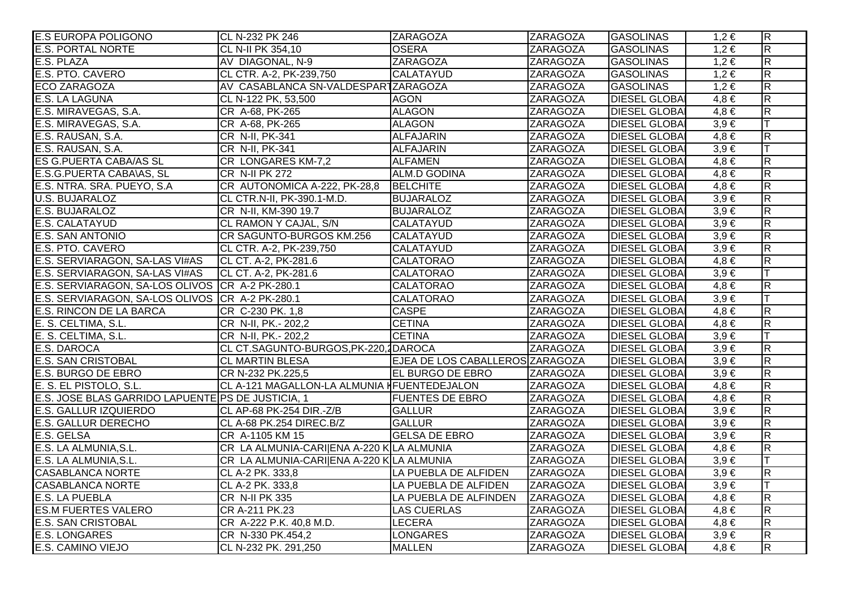| <b>E.S EUROPA POLIGONO</b>                        | CL N-232 PK 246                             | <b>ZARAGOZA</b>                 | ZARAGOZA        | <b>GASOLINAS</b>     | $1,2 \in$ | $\overline{R}$          |
|---------------------------------------------------|---------------------------------------------|---------------------------------|-----------------|----------------------|-----------|-------------------------|
| <b>E.S. PORTAL NORTE</b>                          | CL N-II PK 354,10                           | <b>OSERA</b>                    | <b>ZARAGOZA</b> | <b>GASOLINAS</b>     | $1,2 \in$ | $\overline{\mathsf{R}}$ |
| E.S. PLAZA                                        | AV DIAGONAL, N-9                            | <b>ZARAGOZA</b>                 | <b>ZARAGOZA</b> | <b>GASOLINAS</b>     | $1,2 \in$ | $\overline{\mathsf{R}}$ |
| E.S. PTO. CAVERO                                  | CL CTR. A-2, PK-239,750                     | <b>CALATAYUD</b>                | <b>ZARAGOZA</b> | <b>GASOLINAS</b>     | $1,2 \in$ | $\overline{\mathsf{R}}$ |
| <b>ECO ZARAGOZA</b>                               | AV CASABLANCA SN-VALDESPARTZARAGOZA         |                                 | <b>ZARAGOZA</b> | <b>GASOLINAS</b>     | $1,2 \in$ | $\overline{R}$          |
| <b>E.S. LA LAGUNA</b>                             | CL N-122 PK, 53,500                         | <b>AGON</b>                     | <b>ZARAGOZA</b> | <b>DIESEL GLOBAI</b> | $4,8 \in$ | $\overline{R}$          |
| E.S. MIRAVEGAS, S.A.                              | CR A-68, PK-265                             | <b>ALAGON</b>                   | <b>ZARAGOZA</b> | <b>DIESEL GLOBAI</b> | $4,8 \in$ | $\overline{\mathsf{R}}$ |
| E.S. MIRAVEGAS, S.A.                              | CR A-68, PK-265                             | <b>ALAGON</b>                   | <b>ZARAGOZA</b> | <b>DIESEL GLOBAI</b> | $3,9 \in$ | IТ                      |
| E.S. RAUSAN, S.A.                                 | CR N-II, PK-341                             | <b>ALFAJARIN</b>                | <b>ZARAGOZA</b> | <b>DIESEL GLOBAI</b> | $4,8 \in$ | $\overline{\mathsf{R}}$ |
| E.S. RAUSAN, S.A.                                 | CR N-II, PK-341                             | <b>ALFAJARIN</b>                | <b>ZARAGOZA</b> | <b>DIESEL GLOBAI</b> | $3,9 \in$ |                         |
| ES G.PUERTA CABA/AS SL                            | CR LONGARES KM-7,2                          | <b>ALFAMEN</b>                  | <b>ZARAGOZA</b> | <b>DIESEL GLOBAI</b> | $4,8 \in$ | $\overline{R}$          |
| E.S.G. PUERTA CABA\AS, SL                         | <b>CR N-II PK 272</b>                       | ALM.D GODINA                    | <b>ZARAGOZA</b> | <b>DIESEL GLOBAI</b> | $4,8 \in$ | $\overline{R}$          |
| E.S. NTRA. SRA. PUEYO, S.A.                       | CR AUTONOMICA A-222, PK-28,8                | <b>BELCHITE</b>                 | <b>ZARAGOZA</b> | <b>DIESEL GLOBAI</b> | $4,8 \in$ | $\overline{\mathsf{R}}$ |
| U.S. BUJARALOZ                                    | CL CTR.N-II, PK-390.1-M.D.                  | <b>BUJARALOZ</b>                | <b>ZARAGOZA</b> | <b>DIESEL GLOBA</b>  | $3,9 \in$ | $\overline{R}$          |
| E.S. BUJARALOZ                                    | CR N-II, KM-390 19.7                        | <b>BUJARALOZ</b>                | <b>ZARAGOZA</b> | <b>DIESEL GLOBAI</b> | $3,9 \in$ | $\overline{R}$          |
| E.S. CALATAYUD                                    | CL RAMON Y CAJAL, S/N                       | <b>CALATAYUD</b>                | <b>ZARAGOZA</b> | <b>DIESEL GLOBAI</b> | $3,9 \in$ | $\overline{R}$          |
| <b>E.S. SAN ANTONIO</b>                           | CR SAGUNTO-BURGOS KM.256                    | <b>CALATAYUD</b>                | <b>ZARAGOZA</b> | <b>DIESEL GLOBAI</b> | $3,9 \in$ | $\overline{\mathsf{R}}$ |
| E.S. PTO. CAVERO                                  | CL CTR. A-2, PK-239,750                     | <b>CALATAYUD</b>                | <b>ZARAGOZA</b> | <b>DIESEL GLOBAI</b> | $3,9 \in$ | $\overline{\mathsf{R}}$ |
| E.S. SERVIARAGON, SA-LAS VI#AS                    | CL CT. A-2, PK-281.6                        | <b>CALATORAO</b>                | <b>ZARAGOZA</b> | <b>DIESEL GLOBAI</b> | $4,8 \in$ | $\overline{R}$          |
| E.S. SERVIARAGON, SA-LAS VI#AS                    | CL CT. A-2, PK-281.6                        | <b>CALATORAO</b>                | <b>ZARAGOZA</b> | <b>DIESEL GLOBAI</b> | $3,9 \in$ |                         |
| E.S. SERVIARAGON, SA-LOS OLIVOS CR A-2 PK-280.1   |                                             | <b>CALATORAO</b>                | <b>ZARAGOZA</b> | <b>DIESEL GLOBAI</b> | $4,8 \in$ | $\overline{\mathsf{R}}$ |
| E.S. SERVIARAGON, SA-LOS OLIVOS CR A-2 PK-280.1   |                                             | <b>CALATORAO</b>                | <b>ZARAGOZA</b> | <b>DIESEL GLOBAI</b> | $3,9 \in$ | lΤ                      |
| <b>E.S. RINCON DE LA BARCA</b>                    | CR C-230 PK. 1,8                            | <b>CASPE</b>                    | <b>ZARAGOZA</b> | <b>DIESEL GLOBA</b>  | $4,8 \in$ | $\overline{R}$          |
| E. S. CELTIMA, S.L.                               | CR N-II, PK.- 202,2                         | <b>CETINA</b>                   | <b>ZARAGOZA</b> | <b>DIESEL GLOBAI</b> | $4,8 \in$ | $\overline{R}$          |
| E. S. CELTIMA, S.L.                               | CR N-II, PK.- 202,2                         | <b>CETINA</b>                   | <b>ZARAGOZA</b> | <b>DIESEL GLOBAI</b> | $3,9 \in$ | Iт                      |
| E.S. DAROCA                                       | CL CT.SAGUNTO-BURGOS, PK-220, 1DAROCA       |                                 | <b>ZARAGOZA</b> | <b>DIESEL GLOBAI</b> | $3,9 \in$ | $\overline{\mathsf{R}}$ |
| <b>E.S. SAN CRISTOBAL</b>                         | <b>CL MARTIN BLESA</b>                      | EJEA DE LOS CABALLEROS ZARAGOZA |                 | <b>DIESEL GLOBAI</b> | $3,9 \in$ | $\overline{\mathsf{R}}$ |
| E.S. BURGO DE EBRO                                | CR N-232 PK.225,5                           | <b>EL BURGO DE EBRO</b>         | <b>ZARAGOZA</b> | <b>DIESEL GLOBAI</b> | $3,9 \in$ | $\overline{R}$          |
| E. S. EL PISTOLO, S.L.                            | CL A-121 MAGALLON-LA ALMUNIA HFUENTEDEJALON |                                 | <b>ZARAGOZA</b> | <b>DIESEL GLOBAI</b> | $4,8 \in$ | $\overline{\mathsf{R}}$ |
| E.S. JOSE BLAS GARRIDO LAPUENTE PS DE JUSTICIA, 1 |                                             | <b>FUENTES DE EBRO</b>          | <b>ZARAGOZA</b> | <b>DIESEL GLOBAI</b> | $4,8 \in$ | $\overline{\mathsf{R}}$ |
| <b>E.S. GALLUR IZQUIERDO</b>                      | CL AP-68 PK-254 DIR.-Z/B                    | <b>GALLUR</b>                   | <b>ZARAGOZA</b> | <b>DIESEL GLOBAI</b> | $3,9 \in$ | $\overline{R}$          |
| <b>E.S. GALLUR DERECHO</b>                        | CL A-68 PK.254 DIREC.B/Z                    | <b>GALLUR</b>                   | <b>ZARAGOZA</b> | <b>DIESEL GLOBA</b>  | $3,9 \in$ | $\overline{\mathsf{R}}$ |
| E.S. GELSA                                        | CR A-1105 KM 15                             | <b>GELSA DE EBRO</b>            | <b>ZARAGOZA</b> | <b>DIESEL GLOBA</b>  | $3,9 \in$ | $\overline{\mathsf{R}}$ |
| E.S. LA ALMUNIA, S.L.                             | CR LA ALMUNIA-CARI ENA A-220 KLA ALMUNIA    |                                 | <b>ZARAGOZA</b> | <b>DIESEL GLOBA</b>  | $4,8 \in$ | $\overline{\mathsf{R}}$ |
| E.S. LA ALMUNIA, S.L.                             | CR LA ALMUNIA-CARI ENA A-220 KLA ALMUNIA    |                                 | <b>ZARAGOZA</b> | <b>DIESEL GLOBAI</b> | $3,9 \in$ |                         |
| <b>CASABLANCA NORTE</b>                           | CL A-2 PK. 333,8                            | LA PUEBLA DE ALFIDEN            | <b>ZARAGOZA</b> | <b>DIESEL GLOBAI</b> | $3,9 \in$ | $\overline{R}$          |
| <b>CASABLANCA NORTE</b>                           | CL A-2 PK. 333,8                            | LA PUEBLA DE ALFIDEN            | <b>ZARAGOZA</b> | <b>DIESEL GLOBA</b>  | $3,9 \in$ |                         |
| <b>E.S. LA PUEBLA</b>                             | <b>CR N-II PK 335</b>                       | LA PUEBLA DE ALFINDEN           | ZARAGOZA        | <b>DIESEL GLOBAI</b> | $4,8 \in$ | $\overline{\mathsf{R}}$ |
| <b>ES.M FUERTES VALERO</b>                        | CR A-211 PK.23                              | <b>LAS CUERLAS</b>              | <b>ZARAGOZA</b> | <b>DIESEL GLOBA</b>  | $4,8 \in$ | $\overline{\mathsf{R}}$ |
| <b>E.S. SAN CRISTOBAL</b>                         | CR A-222 P.K. 40,8 M.D.                     | <b>LECERA</b>                   | <b>ZARAGOZA</b> | <b>DIESEL GLOBA</b>  | $4,8 \in$ | $\overline{\mathsf{R}}$ |
| <b>E.S. LONGARES</b>                              | CR N-330 PK.454,2                           | <b>LONGARES</b>                 | <b>ZARAGOZA</b> | <b>DIESEL GLOBAI</b> | $3,9 \in$ | $\overline{\mathsf{R}}$ |
| E.S. CAMINO VIEJO                                 | CL N-232 PK. 291,250                        | <b>MALLEN</b>                   | <b>ZARAGOZA</b> | <b>DIESEL GLOBA</b>  | $4,8 \in$ | $\overline{\mathsf{R}}$ |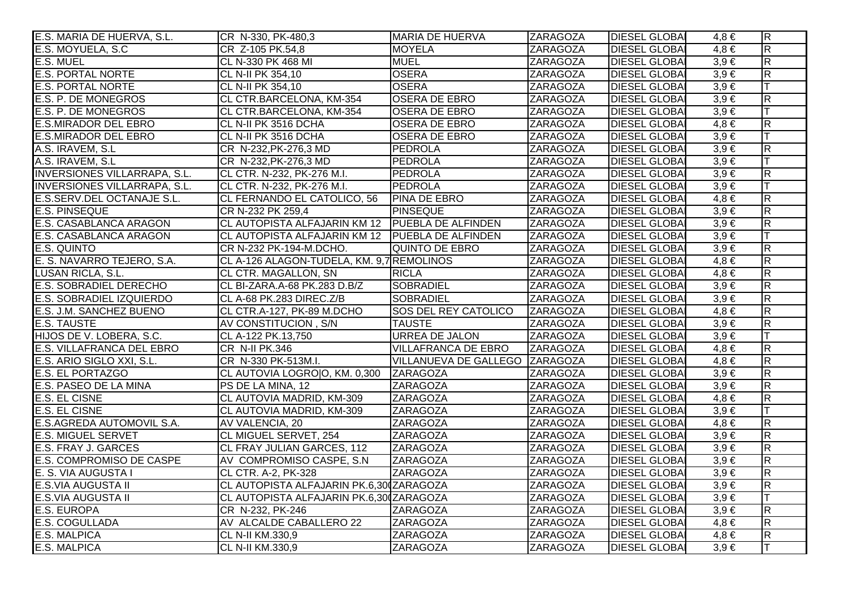| E.S. MARIA DE HUERVA, S.L.          | CR N-330, PK-480,3                                | <b>MARIA DE HUERVA</b>         | <b>ZARAGOZA</b> | <b>DIESEL GLOBA</b>  | $4,8 \in$ | $\overline{\mathsf{R}}$ |
|-------------------------------------|---------------------------------------------------|--------------------------------|-----------------|----------------------|-----------|-------------------------|
| E.S. MOYUELA, S.C.                  | CR Z-105 PK.54,8                                  | <b>MOYELA</b>                  | <b>ZARAGOZA</b> | <b>DIESEL GLOBAI</b> | $4,8 \in$ | $\overline{\mathsf{R}}$ |
| E.S. MUEL                           | CL N-330 PK 468 MI                                | <b>MUEL</b>                    | <b>ZARAGOZA</b> | <b>DIESEL GLOBAI</b> | $3,9 \in$ | $\overline{\mathsf{R}}$ |
| <b>E.S. PORTAL NORTE</b>            | CL N-II PK 354,10                                 | <b>OSERA</b>                   | <b>ZARAGOZA</b> | <b>DIESEL GLOBAI</b> | $3,9 \in$ | $\overline{\mathsf{R}}$ |
| <b>E.S. PORTAL NORTE</b>            | CL N-II PK 354,10                                 | <b>OSERA</b>                   | <b>ZARAGOZA</b> | <b>DIESEL GLOBAI</b> | $3,9 \in$ | lΤ                      |
| E.S. P. DE MONEGROS                 | CL CTR.BARCELONA, KM-354                          | <b>OSERA DE EBRO</b>           | <b>ZARAGOZA</b> | <b>DIESEL GLOBAI</b> | $3,9 \in$ | $\overline{R}$          |
| <b>E.S. P. DE MONEGROS</b>          | CL CTR.BARCELONA, KM-354                          | <b>OSERA DE EBRO</b>           | <b>ZARAGOZA</b> | <b>DIESEL GLOBAI</b> | $3,9 \in$ | IТ                      |
| <b>E.S.MIRADOR DEL EBRO</b>         | CL N-II PK 3516 DCHA                              | <b>OSERA DE EBRO</b>           | <b>ZARAGOZA</b> | <b>DIESEL GLOBA</b>  | $4,8 \in$ | $\overline{\mathsf{R}}$ |
| <b>E.S.MIRADOR DEL EBRO</b>         | CL N-II PK 3516 DCHA                              | <b>OSERA DE EBRO</b>           | <b>ZARAGOZA</b> | <b>DIESEL GLOBAI</b> | $3,9 \in$ | lT.                     |
| A.S. IRAVEM, S.L.                   | CR N-232, PK-276, 3 MD                            | <b>PEDROLA</b>                 | <b>ZARAGOZA</b> | <b>DIESEL GLOBAI</b> | $3,9 \in$ | $\overline{R}$          |
| A.S. IRAVEM, S.L.                   | CR N-232, PK-276, 3 MD                            | PEDROLA                        | <b>ZARAGOZA</b> | <b>DIESEL GLOBAI</b> | $3,9 \in$ |                         |
| <b>INVERSIONES VILLARRAPA, S.L.</b> | CL CTR. N-232, PK-276 M.I.                        | PEDROLA                        | <b>ZARAGOZA</b> | <b>DIESEL GLOBAI</b> | $3,9 \in$ | $\overline{\mathsf{R}}$ |
| <b>INVERSIONES VILLARRAPA, S.L.</b> | CL CTR. N-232, PK-276 M.I.                        | PEDROLA                        | ZARAGOZA        | <b>DIESEL GLOBAI</b> | $3,9 \in$ | ΙT                      |
| E.S.SERV.DEL OCTANAJE S.L.          | CL FERNANDO EL CATOLICO, 56                       | <b>PINA DE EBRO</b>            | ZARAGOZA        | <b>DIESEL GLOBA</b>  | $4,8 \in$ | $\overline{\mathsf{R}}$ |
| <b>E.S. PINSEQUE</b>                | CR N-232 PK 259,4                                 | PINSEQUE                       | <b>ZARAGOZA</b> | <b>DIESEL GLOBAI</b> | $3,9 \in$ | $\overline{R}$          |
| E.S. CASABLANCA ARAGON              | CL AUTOPISTA ALFAJARIN KM 12   PUEBLA DE ALFINDEN |                                | <b>ZARAGOZA</b> | <b>DIESEL GLOBAI</b> | $3,9 \in$ | $\overline{\mathsf{R}}$ |
| E.S. CASABLANCA ARAGON              | CL AUTOPISTA ALFAJARIN KM 12   PUEBLA DE ALFINDEN |                                | <b>ZARAGOZA</b> | <b>DIESEL GLOBA</b>  | $3,9 \in$ | lΤ                      |
| <b>E.S. QUINTO</b>                  | CR N-232 PK-194-M.DCHO.                           | QUINTO DE EBRO                 | <b>ZARAGOZA</b> | <b>DIESEL GLOBAI</b> | $3,9 \in$ | $\overline{\mathsf{R}}$ |
| E. S. NAVARRO TEJERO, S.A.          | CL A-126 ALAGON-TUDELA, KM. 9,7 REMOLINOS         |                                | <b>ZARAGOZA</b> | <b>DIESEL GLOBAI</b> | $4,8 \in$ | $\overline{\mathsf{R}}$ |
| LUSAN RICLA, S.L.                   | <b>CL CTR. MAGALLON, SN</b>                       | <b>RICLA</b>                   | <b>ZARAGOZA</b> | <b>DIESEL GLOBAI</b> | $4,8 \in$ | $\overline{\mathsf{R}}$ |
| <b>E.S. SOBRADIEL DERECHO</b>       | CL BI-ZARA.A-68 PK.283 D.B/Z                      | <b>SOBRADIEL</b>               | <b>ZARAGOZA</b> | <b>DIESEL GLOBAI</b> | $3,9 \in$ | $\overline{\mathsf{R}}$ |
| <b>E.S. SOBRADIEL IZQUIERDO</b>     | CL A-68 PK.283 DIREC.Z/B                          | <b>SOBRADIEL</b>               | ZARAGOZA        | <b>DIESEL GLOBA</b>  | $3,9 \in$ | $\overline{R}$          |
| E.S. J.M. SANCHEZ BUENO             | CL CTR.A-127, PK-89 M.DCHO                        | <b>SOS DEL REY CATOLICO</b>    | <b>ZARAGOZA</b> | <b>DIESEL GLOBAI</b> | $4,8 \in$ | $\overline{R}$          |
| <b>E.S. TAUSTE</b>                  | AV CONSTITUCION, S/N                              | <b>TAUSTE</b>                  | <b>ZARAGOZA</b> | <b>DIESEL GLOBAI</b> | $3,9 \in$ | $\overline{\mathsf{R}}$ |
| HIJOS DE V. LOBERA, S.C.            | CL A-122 PK.13,750                                | <b>URREA DE JALON</b>          | <b>ZARAGOZA</b> | <b>DIESEL GLOBAI</b> | $3,9 \in$ | IТ                      |
| E.S. VILLAFRANCA DEL EBRO           | CR N-II PK.346                                    | <b>VILLAFRANCA DE EBRO</b>     | <b>ZARAGOZA</b> | <b>DIESEL GLOBA</b>  | $4,8 \in$ | $\overline{\mathsf{R}}$ |
| E.S. ARIO SIGLO XXI, S.L.           | CR N-330 PK-513M.I.                               | VILLANUEVA DE GALLEGO ZARAGOZA |                 | <b>DIESEL GLOBAI</b> | $4,8 \in$ | $\overline{R}$          |
| <b>E.S. EL PORTAZGO</b>             | CL AUTOVIA LOGROO, KM. 0,300 ZARAGOZA             |                                | <b>ZARAGOZA</b> | <b>DIESEL GLOBA</b>  | $3,9 \in$ | $\overline{\mathsf{R}}$ |
| E.S. PASEO DE LA MINA               | PS DE LA MINA, 12                                 | <b>ZARAGOZA</b>                | <b>ZARAGOZA</b> | <b>DIESEL GLOBAI</b> | $3,9 \in$ | $\overline{R}$          |
| <b>E.S. EL CISNE</b>                | CL AUTOVIA MADRID, KM-309                         | <b>ZARAGOZA</b>                | <b>ZARAGOZA</b> | <b>DIESEL GLOBAI</b> | $4,8 \in$ | $\overline{\mathsf{R}}$ |
| <b>E.S. EL CISNE</b>                | CL AUTOVIA MADRID, KM-309                         | ZARAGOZA                       | ZARAGOZA        | <b>DIESEL GLOBA</b>  | $3,9 \in$ | lΤ                      |
| E.S.AGREDA AUTOMOVIL S.A.           | AV VALENCIA, 20                                   | <b>ZARAGOZA</b>                | <b>ZARAGOZA</b> | <b>DIESEL GLOBAI</b> | $4,8 \in$ | $\overline{\mathsf{R}}$ |
| <b>E.S. MIGUEL SERVET</b>           | <b>CL MIGUEL SERVET, 254</b>                      | <b>ZARAGOZA</b>                | ZARAGOZA        | <b>DIESEL GLOBA</b>  | $3,9 \in$ | $\overline{R}$          |
| <b>E.S. FRAY J. GARCES</b>          | <b>CL FRAY JULIAN GARCES, 112</b>                 | <b>ZARAGOZA</b>                | <b>ZARAGOZA</b> | <b>DIESEL GLOBAI</b> | $3,9 \in$ | $\overline{\mathsf{R}}$ |
| <b>E.S. COMPROMISO DE CASPE</b>     | AV COMPROMISO CASPE, S.N.                         | <b>ZARAGOZA</b>                | <b>ZARAGOZA</b> | <b>DIESEL GLOBA</b>  | $3,9 \in$ | $\overline{\mathsf{R}}$ |
| E. S. VIA AUGUSTA I                 | CL CTR. A-2, PK-328                               | <b>ZARAGOZA</b>                | <b>ZARAGOZA</b> | <b>DIESEL GLOBAI</b> | $3,9 \in$ | $\overline{\mathsf{R}}$ |
| <b>E.S.VIA AUGUSTA II</b>           | CL AUTOPISTA ALFAJARIN PK.6,300ZARAGOZA           |                                | <b>ZARAGOZA</b> | <b>DIESEL GLOBAI</b> | $3,9 \in$ | $\overline{\mathsf{R}}$ |
| <b>E.S.VIA AUGUSTA II</b>           | CL AUTOPISTA ALFAJARIN PK.6,300ZARAGOZA           |                                | <b>ZARAGOZA</b> | <b>DIESEL GLOBAI</b> | $3,9 \in$ |                         |
| <b>E.S. EUROPA</b>                  | CR N-232, PK-246                                  | <b>ZARAGOZA</b>                | <b>ZARAGOZA</b> | <b>DIESEL GLOBAI</b> | $3.9 \in$ | $\overline{\mathsf{R}}$ |
| <b>E.S. COGULLADA</b>               | AV ALCALDE CABALLERO 22                           | <b>ZARAGOZA</b>                | <b>ZARAGOZA</b> | <b>DIESEL GLOBA</b>  | $4,8 \in$ | $\overline{\mathsf{R}}$ |
| <b>E.S. MALPICA</b>                 | CL N-II KM.330,9                                  | <b>ZARAGOZA</b>                | <b>ZARAGOZA</b> | <b>DIESEL GLOBAI</b> | $4,8 \in$ | $\overline{\mathsf{R}}$ |
| <b>E.S. MALPICA</b>                 | CL N-II KM.330,9                                  | <b>ZARAGOZA</b>                | <b>ZARAGOZA</b> | <b>DIESEL GLOBA</b>  | $3,9 \in$ | lΤ                      |